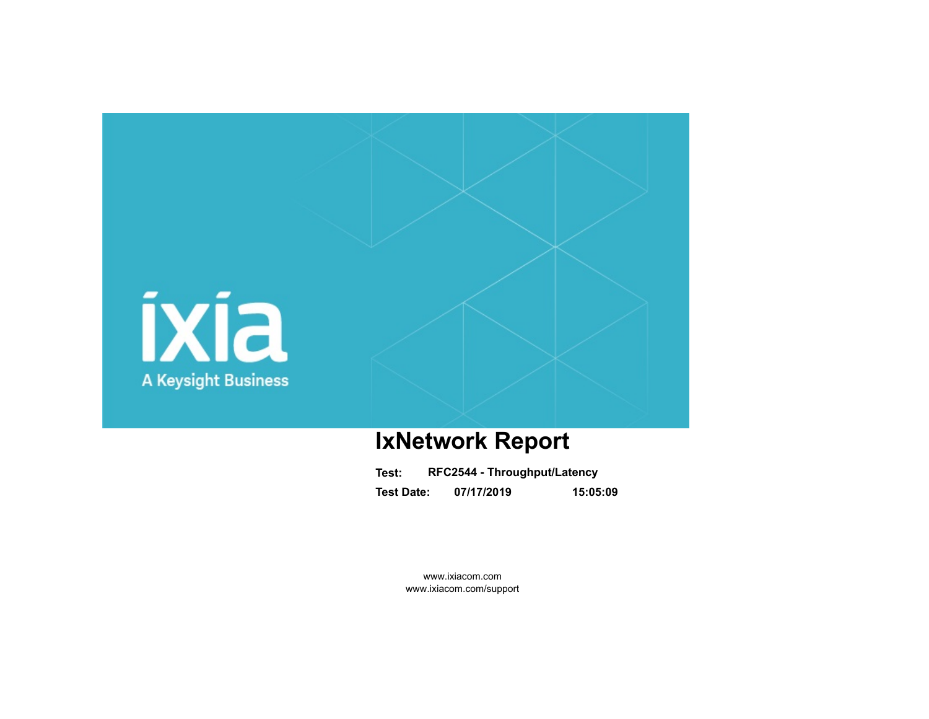

# **IxNetwork Report**

| Test:             | RFC2544 - Throughput/Latency |          |
|-------------------|------------------------------|----------|
| <b>Test Date:</b> | 07/17/2019                   | 15:05:09 |

www.ixiacom.com www.ixiacom.com/support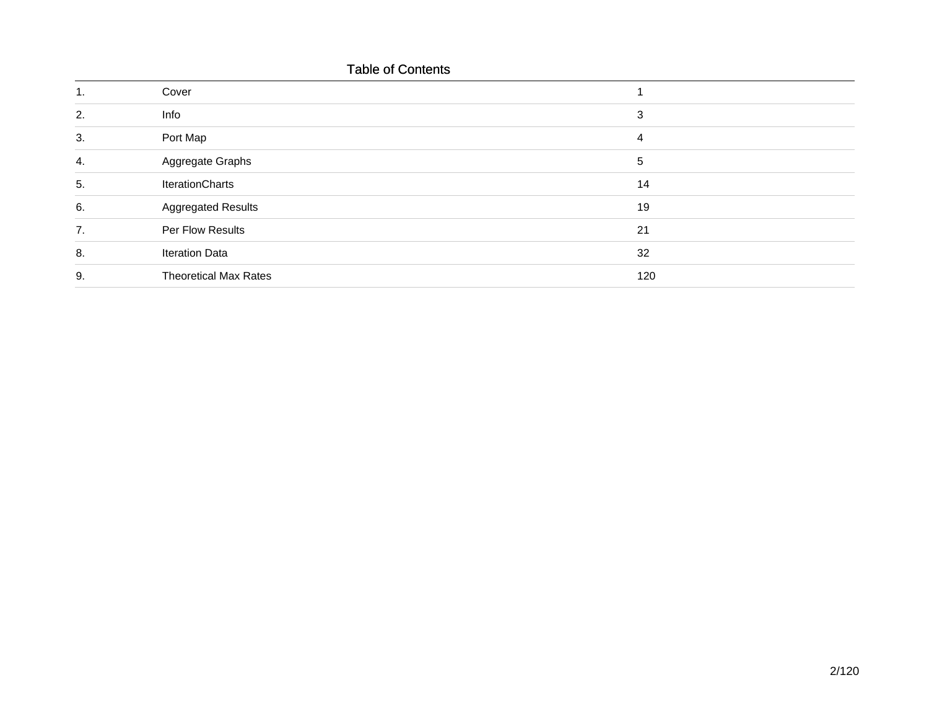# Table of Contents

|    | Cover                        |     |
|----|------------------------------|-----|
| 2. | Info                         | 3   |
| 3. | Port Map                     | 4   |
| 4. | Aggregate Graphs             | 5   |
| 5. | <b>IterationCharts</b>       | 14  |
| 6. | <b>Aggregated Results</b>    | 19  |
| 7. | Per Flow Results             | 21  |
| 8. | <b>Iteration Data</b>        | 32  |
| 9. | <b>Theoretical Max Rates</b> | 120 |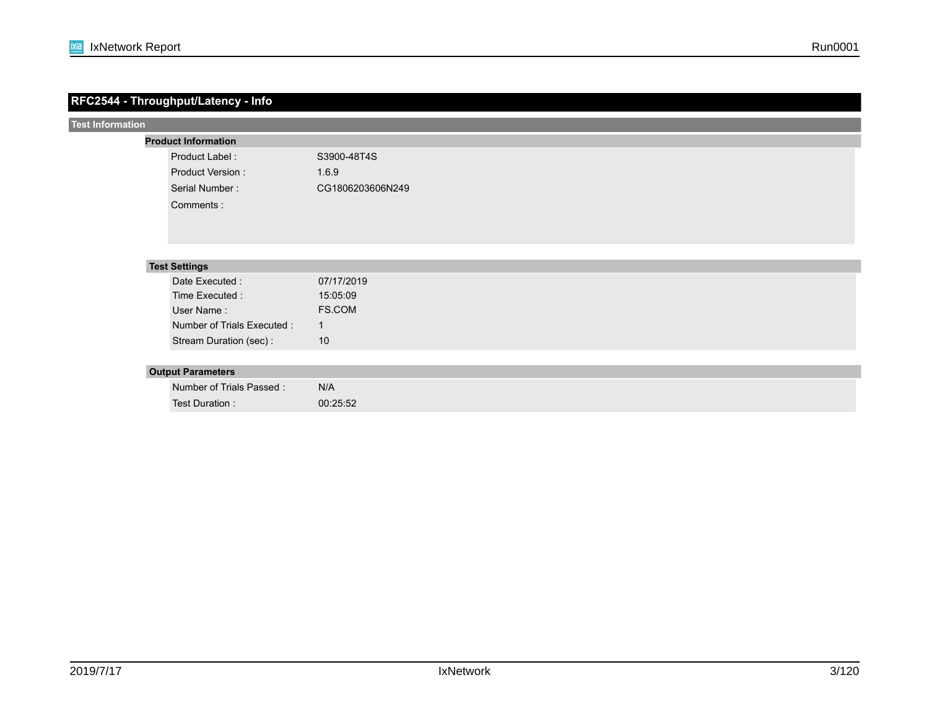|                         | RFC2544 - Throughput/Latency - Info |                  |
|-------------------------|-------------------------------------|------------------|
| <b>Test Information</b> |                                     |                  |
|                         | <b>Product Information</b>          |                  |
|                         | Product Label:                      | S3900-48T4S      |
|                         | Product Version:                    | 1.6.9            |
|                         | Serial Number:                      | CG1806203606N249 |
|                         | Comments:                           |                  |
|                         |                                     |                  |
|                         |                                     |                  |
|                         |                                     |                  |
|                         | <b>Test Settings</b>                |                  |
|                         | Date Executed :                     | 07/17/2019       |
|                         | Time Executed :                     | 15:05:09         |
|                         | User Name:                          | FS.COM           |
|                         | Number of Trials Executed :         | $\mathbf{1}$     |
|                         | Stream Duration (sec):              | 10               |
|                         |                                     |                  |
|                         | <b>Output Parameters</b>            |                  |
|                         | Number of Trials Passed:            | N/A              |
|                         | Test Duration:                      | 00:25:52         |
|                         |                                     |                  |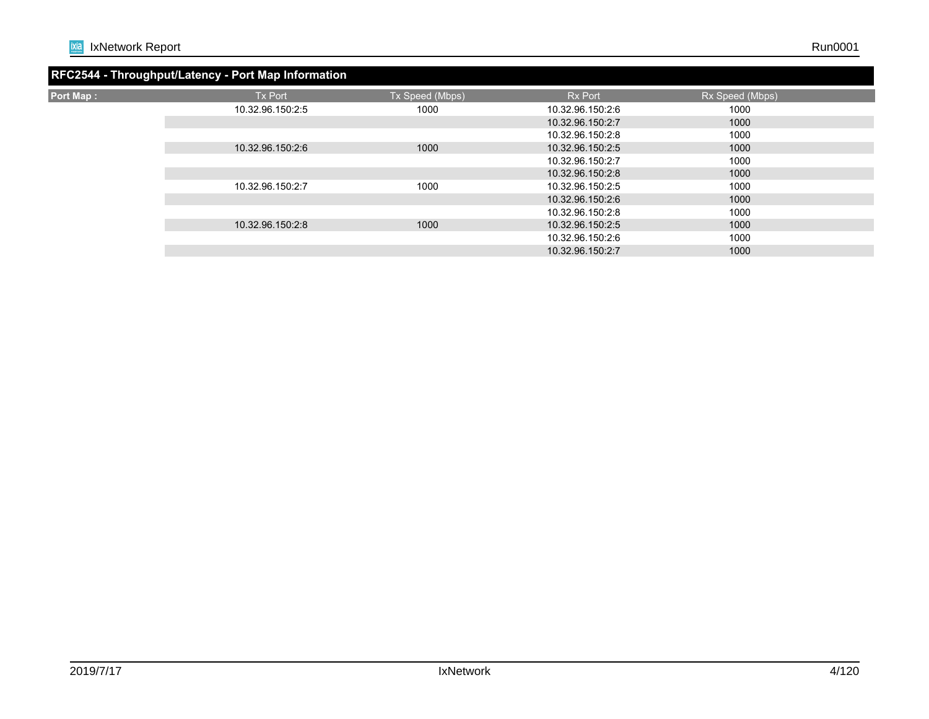|                  | RFC2544 - Throughput/Latency - Port Map Information |                 |                  |                 |  |
|------------------|-----------------------------------------------------|-----------------|------------------|-----------------|--|
| <b>Port Map:</b> | <b>Tx Port</b>                                      | Tx Speed (Mbps) | <b>Rx Port</b>   | Rx Speed (Mbps) |  |
|                  | 10.32.96.150:2:5                                    | 1000            | 10.32.96.150:2:6 | 1000            |  |
|                  |                                                     |                 | 10.32.96.150:2:7 | 1000            |  |
|                  |                                                     |                 | 10.32.96.150:2:8 | 1000            |  |
|                  | 10.32.96.150:2:6                                    | 1000            | 10.32.96.150:2:5 | 1000            |  |
|                  |                                                     |                 | 10.32.96.150:2:7 | 1000            |  |
|                  |                                                     |                 | 10.32.96.150:2:8 | 1000            |  |
|                  | 10.32.96.150:2:7                                    | 1000            | 10.32.96.150:2:5 | 1000            |  |
|                  |                                                     |                 | 10.32.96.150:2:6 | 1000            |  |
|                  |                                                     |                 | 10.32.96.150:2:8 | 1000            |  |
|                  | 10.32.96.150:2:8                                    | 1000            | 10.32.96.150:2:5 | 1000            |  |
|                  |                                                     |                 | 10.32.96.150:2:6 | 1000            |  |
|                  |                                                     |                 | 10.32.96.150:2:7 | 1000            |  |
|                  |                                                     |                 |                  |                 |  |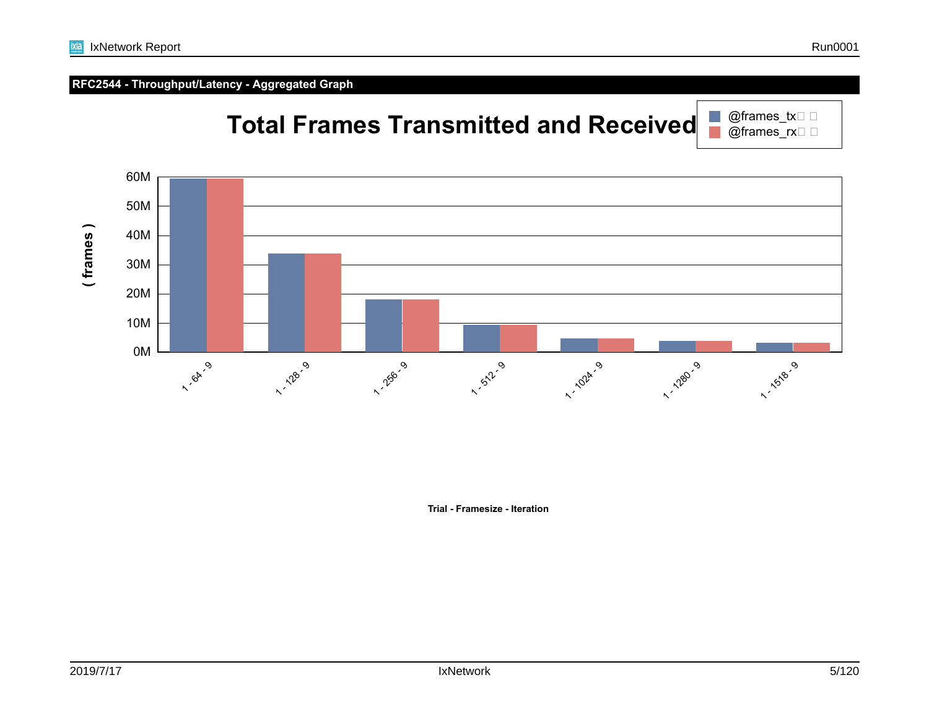

**Trial - Framesize - Iteration**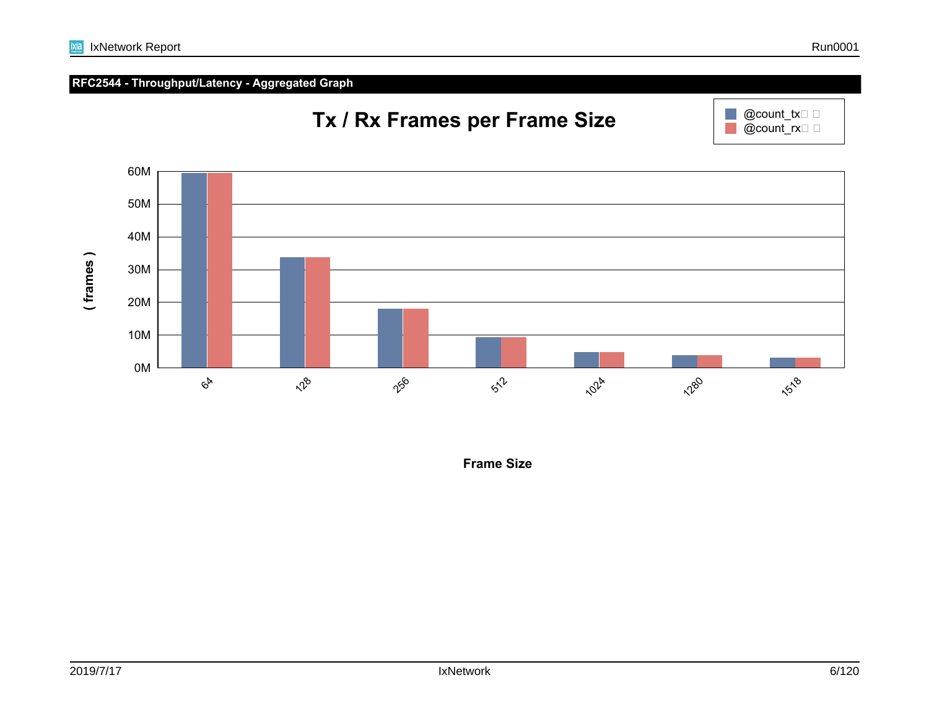



**Tx / Rx Frames per Frame Size**

**Frame Size**

 $@count\_tx \Box \Box$  $Q$ count\_rx $\square$   $\square$ 

 $\mathbb{R}^n$  $\mathcal{L}_{\mathcal{A}}$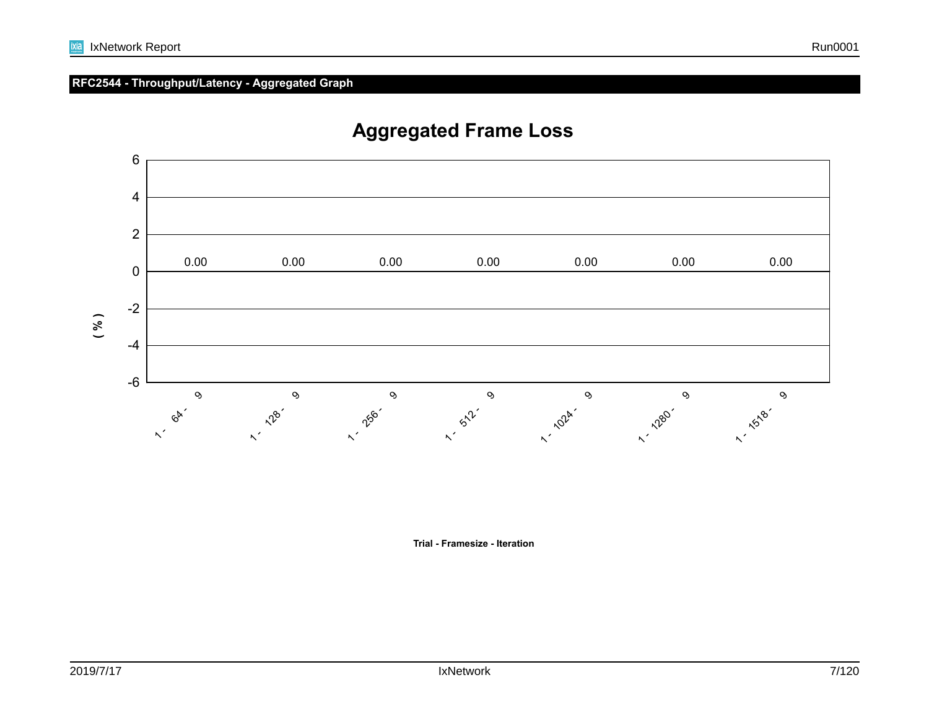

# **Aggregated Frame Loss**

**Trial - Framesize - Iteration**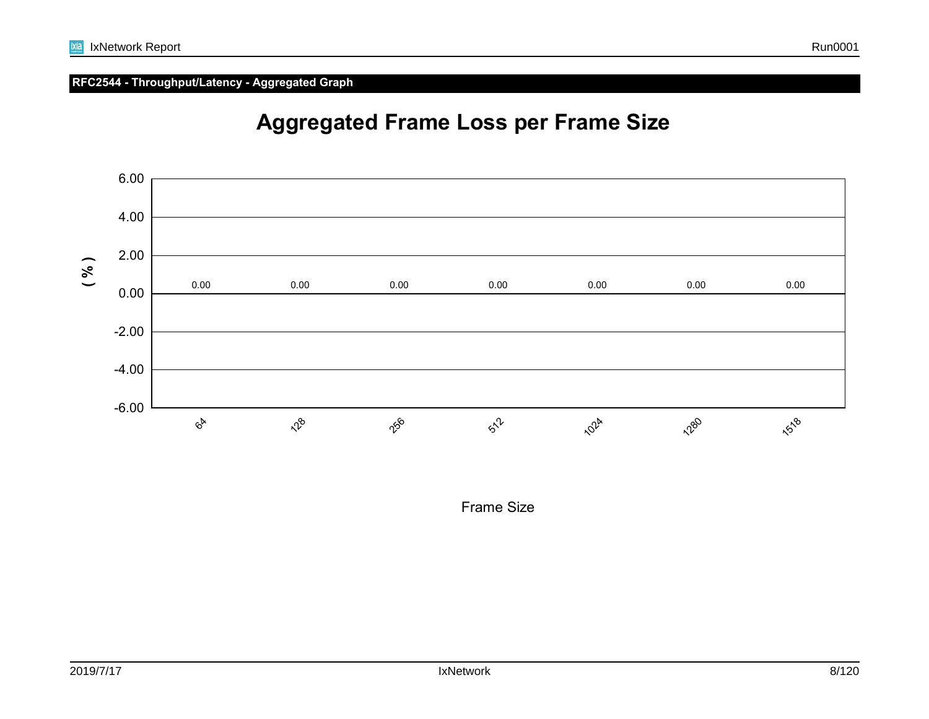

# **Aggregated Frame Loss per Frame Size**

Frame Size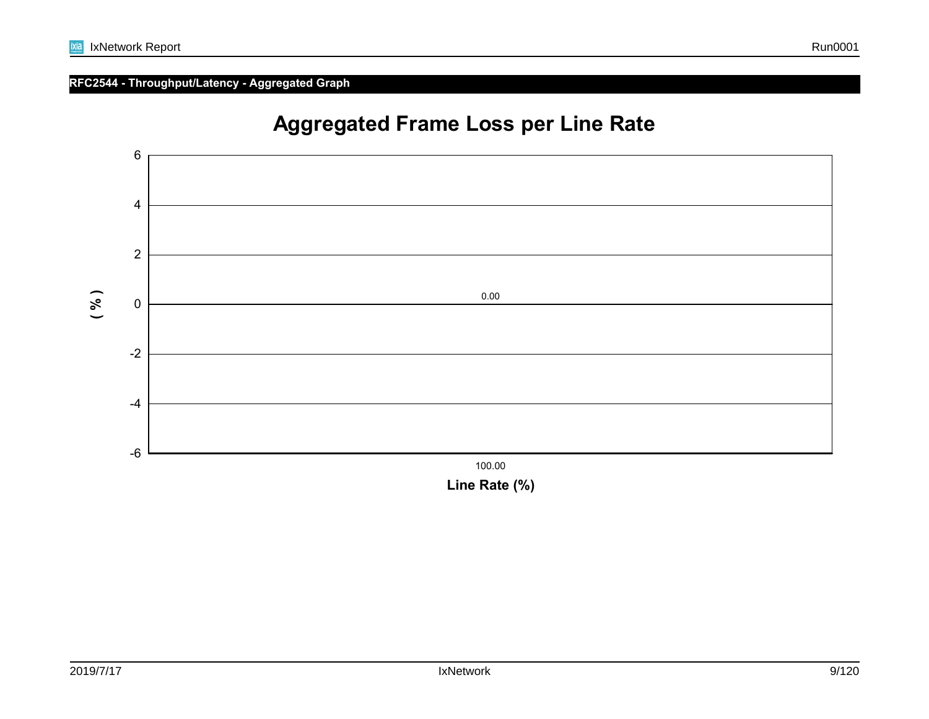

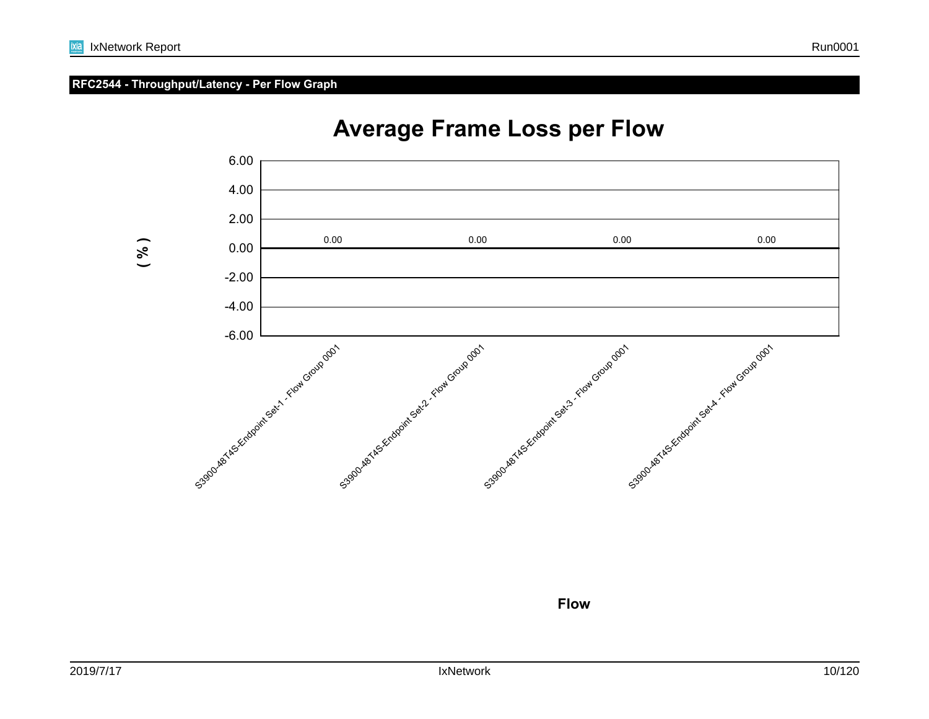### **RFC2544 - Throughput/Latency - Per Flow Graph**



# **Average Frame Loss per Flow**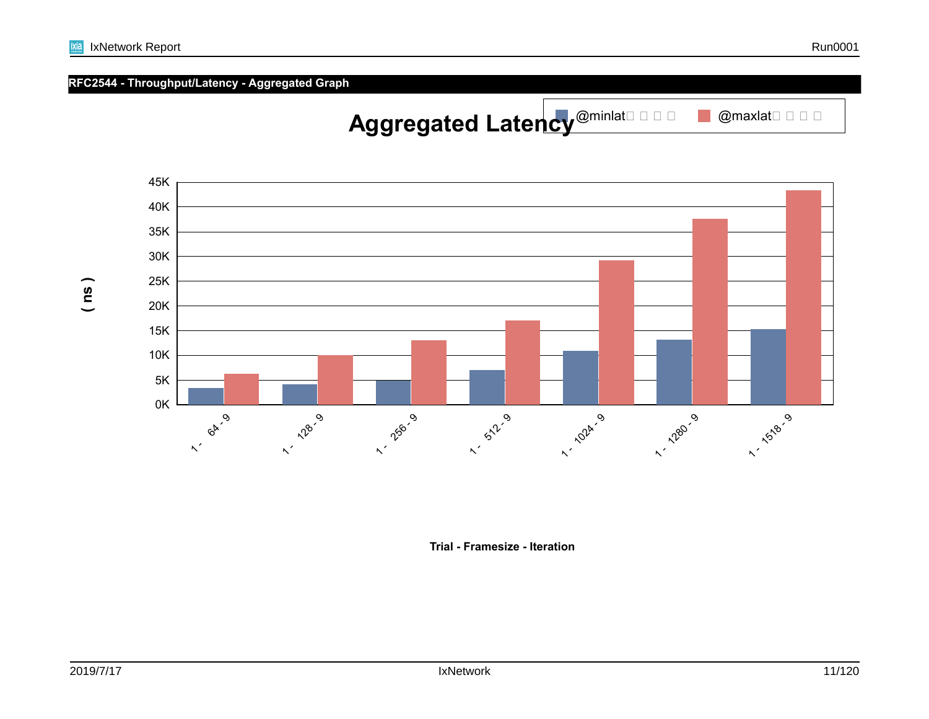

Aggregated Latency<sup>@minlatered</sup>



■ @maxlat□ □ □ □

**RFC2544 - Throughput/Latency - Aggregated Graph**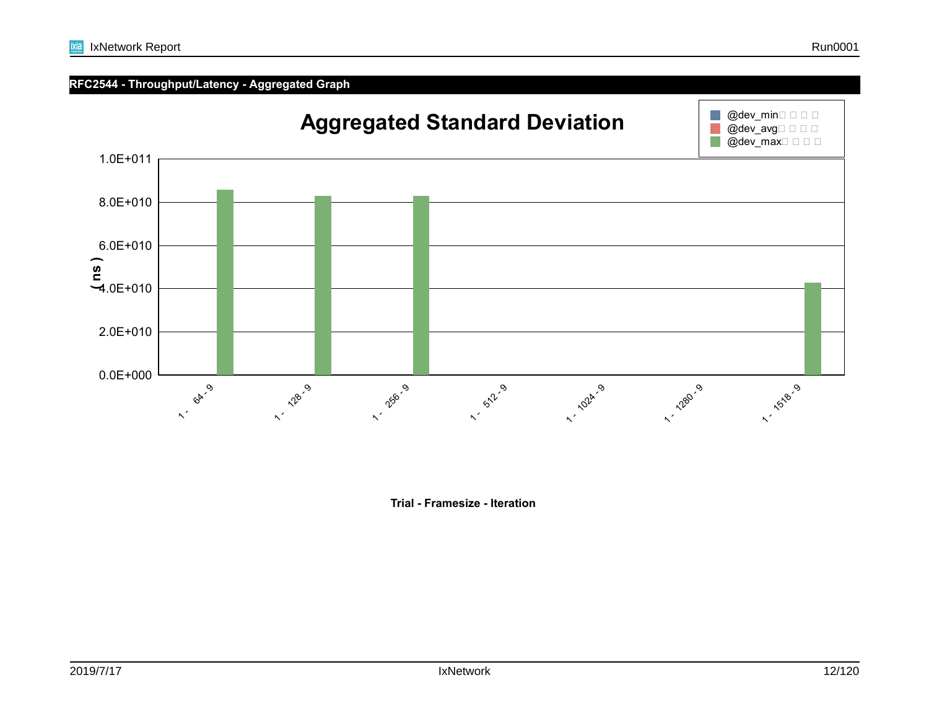

**Trial - Framesize - Iteration**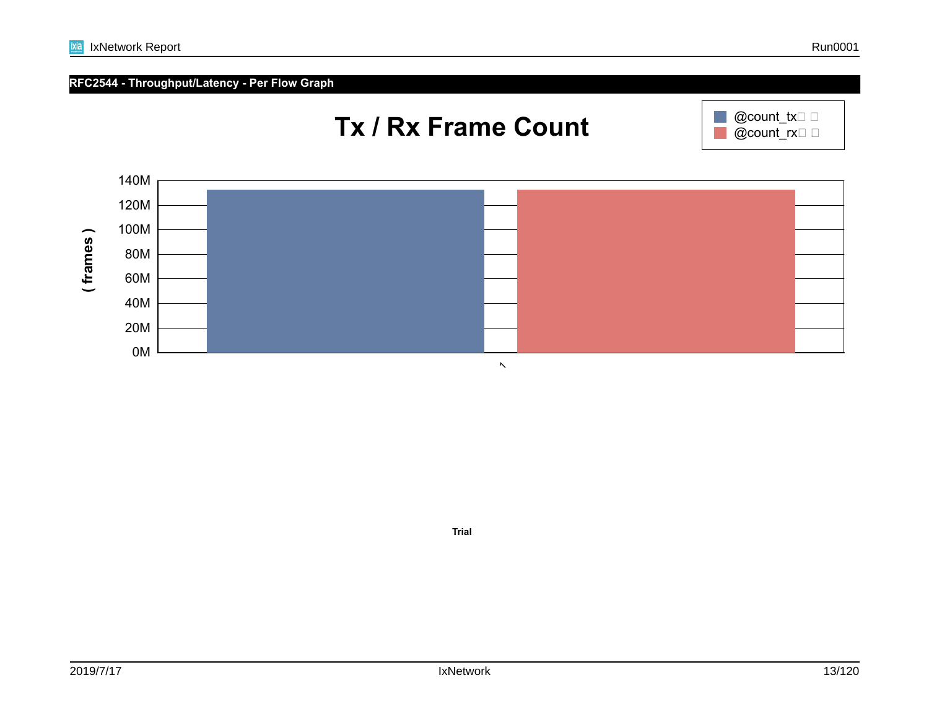**Trial**

# **RFC2544 - Throughput/Latency - Per Flow Graph**

ixia





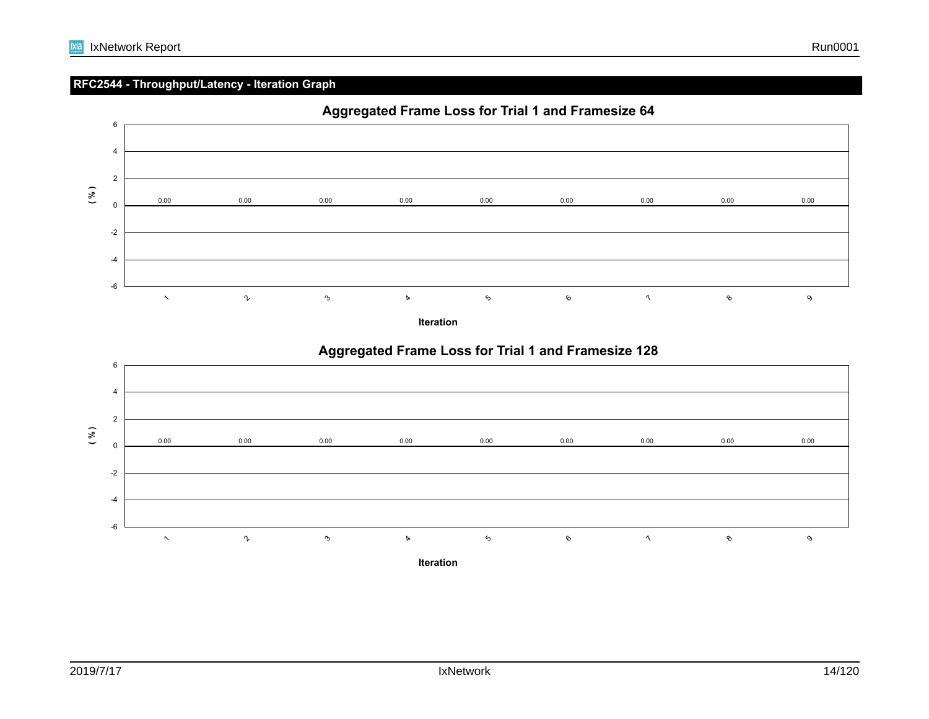## **RFC2544 - Throughput/Latency - Iteration Graph**



**Iteration**



# **Aggregated Frame Loss for Trial 1 and Framesize 128**

**Iteration**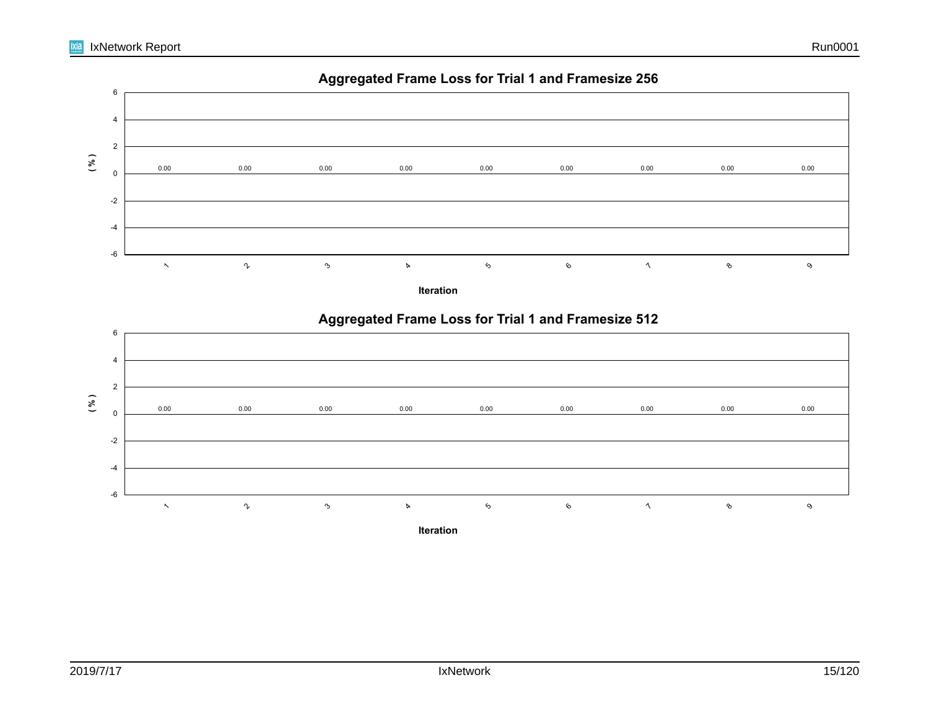

**Aggregated Frame Loss for Trial 1 and Framesize 256**

#### $\boldsymbol{\gamma}$ 3  $\alpha$  $\mathfrak{s}$ 6 $\lambda$ 8

**Iteration**

-6

 $\ddot{\phantom{1}}$ 

9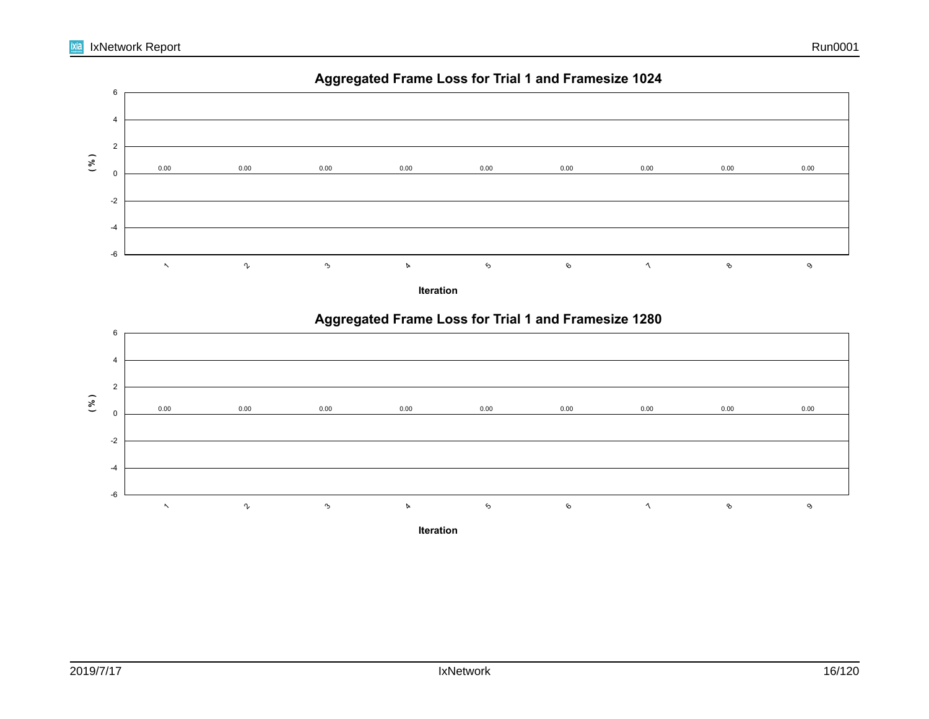

# **Aggregated Frame Loss for Trial 1 and Framesize 1024**

**Iteration**

 $\alpha$ 

 $\lambda$ 

8

6

-6

 $\ddot{\phantom{1}}$ 

 $\boldsymbol{\gamma}$ 

3

 $\mathfrak{s}$ 

9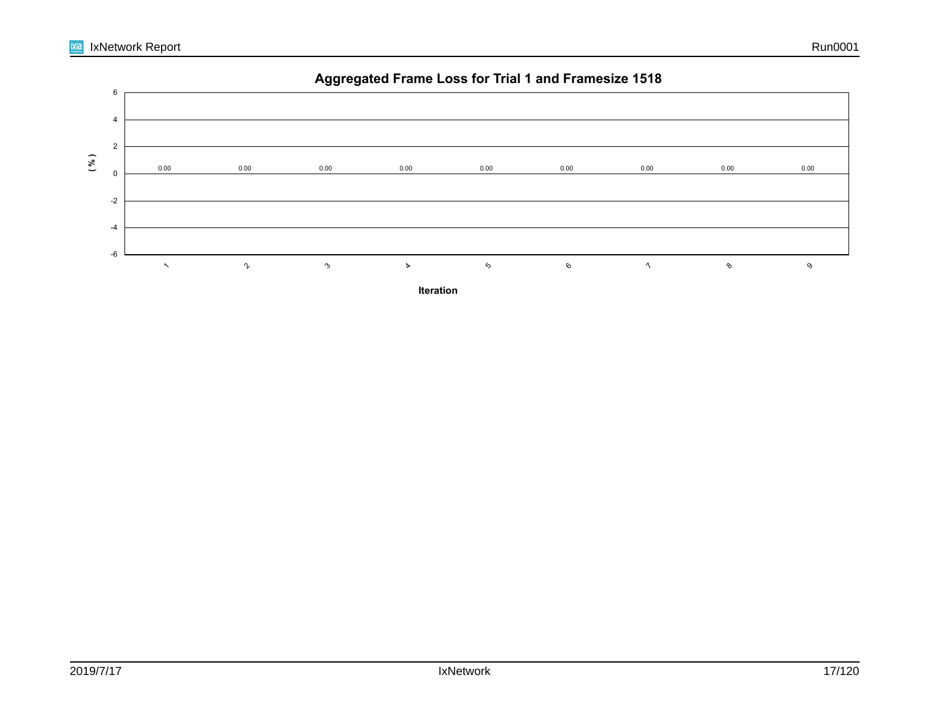

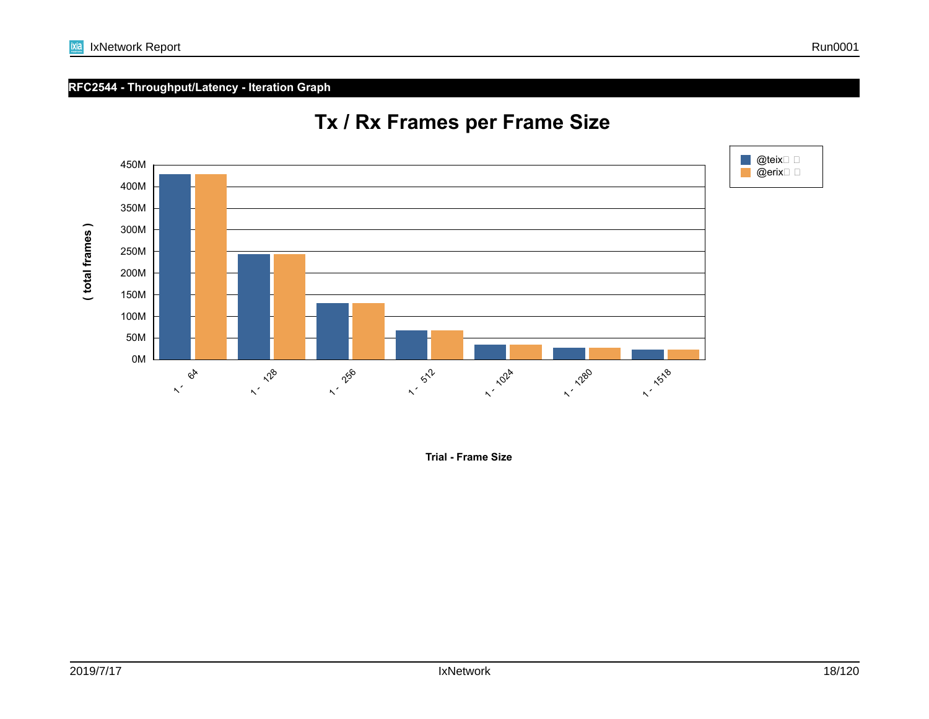# **RFC2544 - Throughput/Latency - Iteration Graph**



# **Tx / Rx Frames per Frame Size**

**Trial - Frame Size**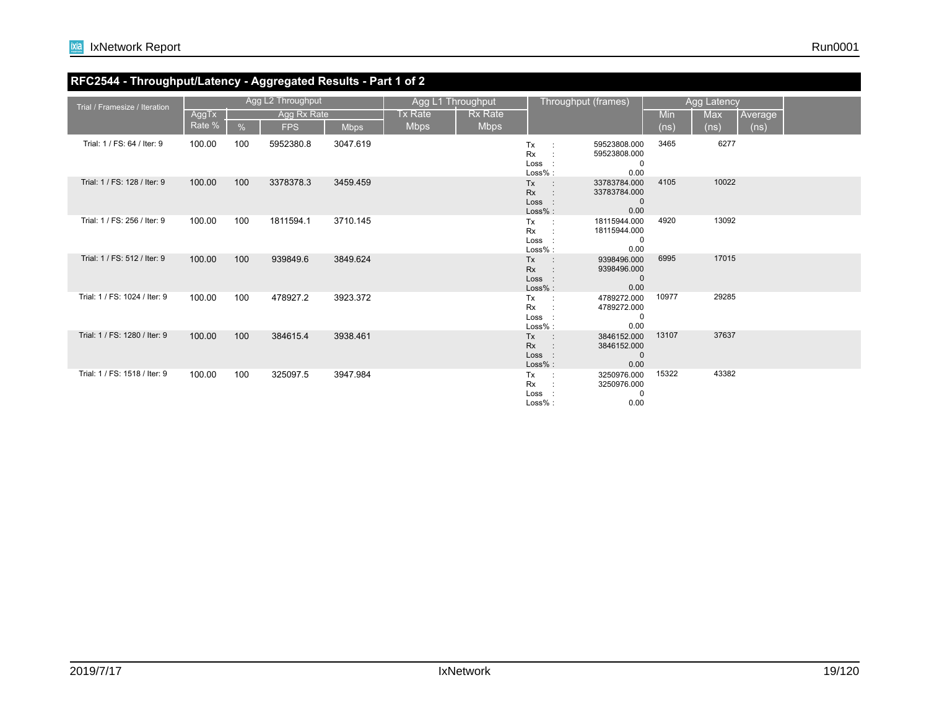## **RFC2544 - Throughput/Latency - Aggregated Results - Part 1 of 2**

| Trial / Framesize / Iteration |        |     | Agg L2 Throughput |             |             | Agg L1 Throughput |                                                                | Throughput (frames)                                 |            | Agg Latency |         |  |
|-------------------------------|--------|-----|-------------------|-------------|-------------|-------------------|----------------------------------------------------------------|-----------------------------------------------------|------------|-------------|---------|--|
|                               | AggTx  |     | Agg Rx Rate       |             | Tx Rate     | Rx Rate           |                                                                |                                                     | <b>Min</b> | Max         | Average |  |
|                               | Rate % | %   | <b>FPS</b>        | <b>Mbps</b> | <b>Mbps</b> | <b>Mbps</b>       |                                                                |                                                     | (ns)       | (ns)        | (ns)    |  |
| Trial: 1 / FS: 64 / Iter: 9   | 100.00 | 100 | 5952380.8         | 3047.619    |             |                   | Tx<br><b>Rx</b><br>Loss :<br>Loss%:                            | 59523808.000<br>59523808.000<br>0<br>0.00           | 3465       | 6277        |         |  |
| Trial: 1 / FS: 128 / Iter: 9  | 100.00 | 100 | 3378378.3         | 3459.459    |             |                   | <b>Tx</b><br>$\sim$ $\sim$<br><b>Rx</b><br>Loss :<br>$Loss%$ : | 33783784.000<br>33783784.000<br>$\mathbf 0$<br>0.00 | 4105       | 10022       |         |  |
| Trial: 1 / FS: 256 / Iter: 9  | 100.00 | 100 | 1811594.1         | 3710.145    |             |                   | Tx<br><b>Rx</b><br>Loss :<br>$Loss%$ :                         | 18115944.000<br>18115944.000<br>$\mathbf 0$<br>0.00 | 4920       | 13092       |         |  |
| Trial: 1 / FS: 512 / Iter: 9  | 100.00 | 100 | 939849.6          | 3849.624    |             |                   | Tx<br>$\sim 100$<br><b>Rx</b><br>Loss :<br>Loss% :             | 9398496.000<br>9398496.000<br>$\mathbf 0$<br>0.00   | 6995       | 17015       |         |  |
| Trial: 1 / FS: 1024 / Iter: 9 | 100.00 | 100 | 478927.2          | 3923.372    |             |                   | Tx<br>$\sim$ 10<br><b>Rx</b><br>Loss :<br>$Loss%$ :            | 4789272.000<br>4789272.000<br>$\mathbf 0$<br>0.00   | 10977      | 29285       |         |  |
| Trial: 1 / FS: 1280 / Iter: 9 | 100.00 | 100 | 384615.4          | 3938.461    |             |                   | Tx<br>$\sim$ 10<br><b>Rx</b><br>Loss :<br>Loss% :              | 3846152.000<br>3846152.000<br>$\mathbf{0}$<br>0.00  | 13107      | 37637       |         |  |
| Trial: 1 / FS: 1518 / Iter: 9 | 100.00 | 100 | 325097.5          | 3947.984    |             |                   | Tx<br>$\sim 1$<br>Rx<br>Loss :<br>$Loss%$ :                    | 3250976.000<br>3250976.000<br>0<br>0.00             | 15322      | 43382       |         |  |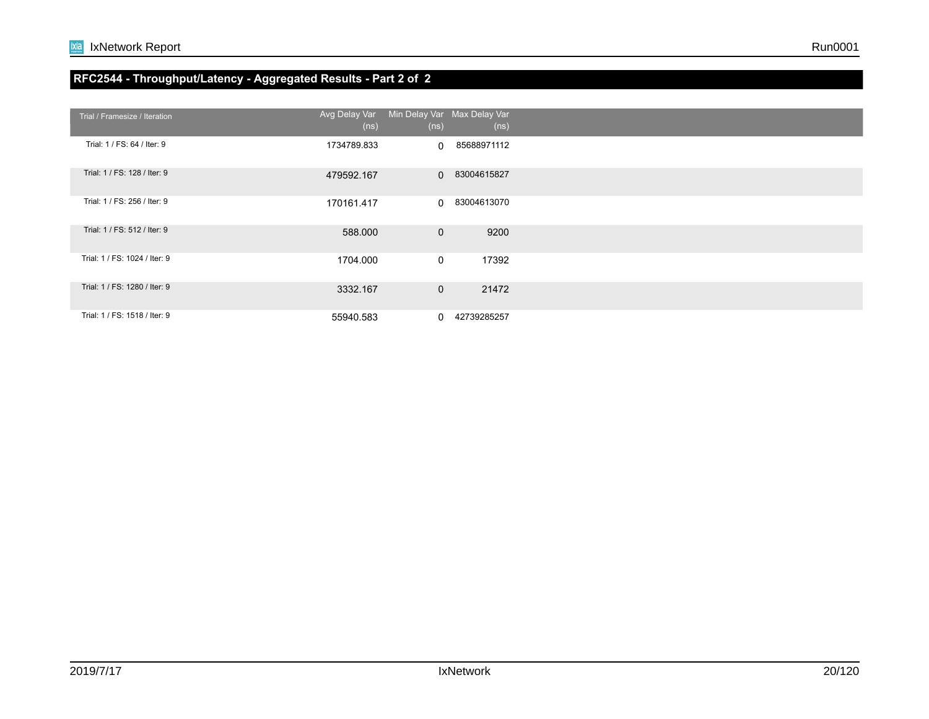## **RFC2544 - Throughput/Latency - Aggregated Results - Part 2 of 2**

| Trial / Framesize / Iteration | Avg Delay Var<br>(ns) | Min Delay Var Max Delay Var<br>(ns) | (n <sub>s</sub> ) |  |
|-------------------------------|-----------------------|-------------------------------------|-------------------|--|
| Trial: 1 / FS: 64 / Iter: 9   | 1734789.833           |                                     | 0 85688971112     |  |
| Trial: 1 / FS: 128 / Iter: 9  | 479592.167            |                                     | 0 83004615827     |  |
| Trial: 1 / FS: 256 / Iter: 9  | 170161.417            |                                     | 0 83004613070     |  |
| Trial: 1 / FS: 512 / Iter: 9  | 588.000               | $\overline{0}$                      | 9200              |  |
| Trial: 1 / FS: 1024 / Iter: 9 | 1704.000              | $\overline{0}$                      | 17392             |  |
| Trial: 1 / FS: 1280 / Iter: 9 | 3332.167              | $\overline{0}$                      | 21472             |  |
| Trial: 1 / FS: 1518 / Iter: 9 | 55940.583             |                                     | 0 42739285257     |  |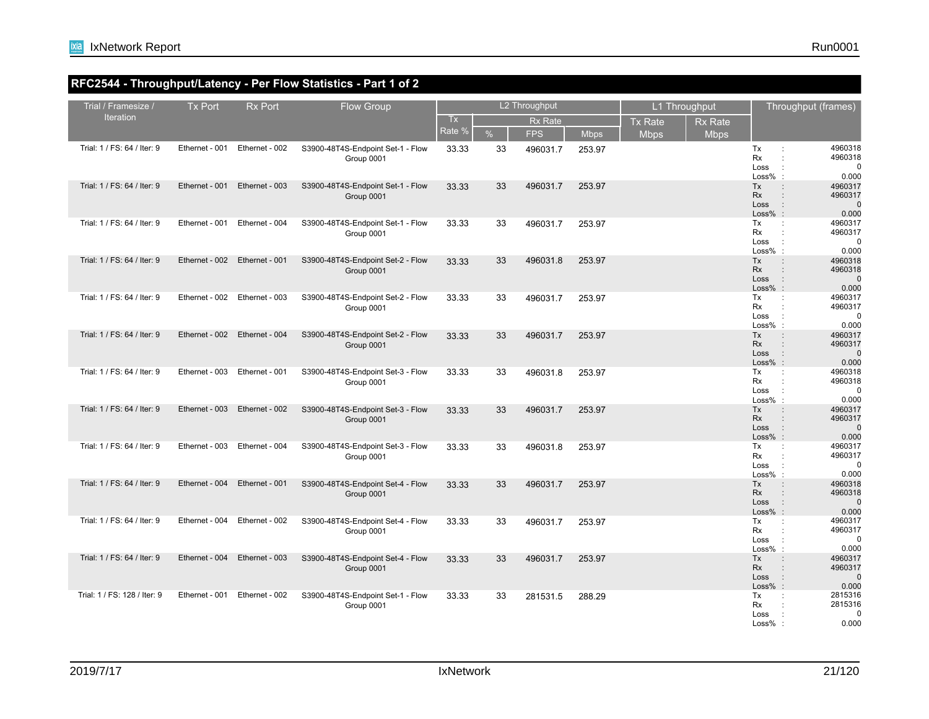## **RFC2544 - Throughput/Latency - Per Flow Statistics - Part 1 of 2**

| Trial / Framesize /          | <b>Tx Port</b> | <b>Rx Port</b> | <b>Flow Group</b>                               |        |      | L2 Throughput  |             |                | L1 Throughput  |                                       | Throughput (frames)                                                                                  |
|------------------------------|----------------|----------------|-------------------------------------------------|--------|------|----------------|-------------|----------------|----------------|---------------------------------------|------------------------------------------------------------------------------------------------------|
| <b>Iteration</b>             |                |                |                                                 | Tx     |      | <b>Rx Rate</b> |             | <b>Tx Rate</b> | <b>Rx Rate</b> |                                       |                                                                                                      |
|                              |                |                |                                                 | Rate % | $\%$ | <b>FPS</b>     | <b>Mbps</b> | <b>Mbps</b>    | <b>Mbps</b>    |                                       |                                                                                                      |
| Trial: 1 / FS: 64 / Iter: 9  | Ethernet - 001 | Ethernet - 002 | S3900-48T4S-Endpoint Set-1 - Flow<br>Group 0001 | 33.33  | 33   | 496031.7       | 253.97      |                |                | Tx<br>Rx<br>Loss<br>$Loss%$ :         | 4960318<br>÷<br>4960318<br>÷<br>$\pm$<br>$\Omega$<br>0.000                                           |
| Trial: 1 / FS: 64 / Iter: 9  | Ethernet - 001 | Ethernet - 003 | S3900-48T4S-Endpoint Set-1 - Flow<br>Group 0001 | 33.33  | 33   | 496031.7       | 253.97      |                |                | Tx<br><b>Rx</b><br>Loss<br>$Loss\%$ : | 4960317<br>$\ddot{\phantom{a}}$<br>4960317<br>$\mathbf{r}$<br>$\Omega$<br>0.000                      |
| Trial: 1 / FS: 64 / Iter: 9  | Ethernet - 001 | Ethernet - 004 | S3900-48T4S-Endpoint Set-1 - Flow<br>Group 0001 | 33.33  | 33   | 496031.7       | 253.97      |                |                | Tx<br>Rx<br>Loss<br>$Loss%$ :         | 4960317<br>$\ddot{\phantom{a}}$<br>4960317<br>÷<br>$\cdot$ :<br>$\Omega$<br>0.000                    |
| Trial: 1 / FS: 64 / Iter: 9  | Ethernet - 002 | Ethernet - 001 | S3900-48T4S-Endpoint Set-2 - Flow<br>Group 0001 | 33.33  | 33   | 496031.8       | 253.97      |                |                | <b>Tx</b><br>Rx<br>Loss<br>$Loss\%$ : | 4960318<br>4960318<br>$\ddot{\phantom{a}}$<br>$\Omega$<br>0.000                                      |
| Trial: 1 / FS: 64 / Iter: 9  | Ethernet - 002 | Ethernet - 003 | S3900-48T4S-Endpoint Set-2 - Flow<br>Group 0001 | 33.33  | 33   | 496031.7       | 253.97      |                |                | Tx<br>Rx<br>Loss<br>$Loss%$ :         | 4960317<br>÷<br>4960317<br>$\ddot{\phantom{a}}$<br>$\ddot{\phantom{a}}$<br>$\Omega$<br>0.000         |
| Trial: 1 / FS: 64 / Iter: 9  | Ethernet - 002 | Ethernet - 004 | S3900-48T4S-Endpoint Set-2 - Flow<br>Group 0001 | 33.33  | 33   | 496031.7       | 253.97      |                |                | Tx<br><b>Rx</b><br>Loss<br>$Loss%$ :  | 4960317<br>$\ddot{\phantom{a}}$<br>4960317<br>$\cdot$<br>$\Omega$<br>0.000                           |
| Trial: 1 / FS: 64 / Iter: 9  | Ethernet - 003 | Ethernet - 001 | S3900-48T4S-Endpoint Set-3 - Flow<br>Group 0001 | 33.33  | 33   | 496031.8       | 253.97      |                |                | Tx<br>Rx<br>Loss<br>$Loss%$ :         | 4960318<br>$\ddot{\phantom{a}}$<br>4960318<br>$\ddot{\phantom{a}}$<br>$\cdot$ :<br>$\Omega$<br>0.000 |
| Trial: 1 / FS: 64 / Iter: 9  | Ethernet - 003 | Ethernet - 002 | S3900-48T4S-Endpoint Set-3 - Flow<br>Group 0001 | 33.33  | 33   | 496031.7       | 253.97      |                |                | Tx<br><b>Rx</b><br>Loss<br>$Loss%$ :  | 4960317<br>÷<br>4960317<br>$\pm$<br>$\Omega$<br>0.000                                                |
| Trial: 1 / FS: 64 / Iter: 9  | Ethernet - 003 | Ethernet - 004 | S3900-48T4S-Endpoint Set-3 - Flow<br>Group 0001 | 33.33  | 33   | 496031.8       | 253.97      |                |                | Tx<br>Rx<br>Loss<br>Loss%             | 4960317<br>÷<br>4960317<br>÷<br>$\Omega$<br>÷<br>0.000                                               |
| Trial: 1 / FS: 64 / Iter: 9  | Ethernet - 004 | Ethernet - 001 | S3900-48T4S-Endpoint Set-4 - Flow<br>Group 0001 | 33.33  | 33   | 496031.7       | 253.97      |                |                | <b>Tx</b><br>Rx<br>Loss<br>$Loss%$ :  | $\pm$<br>4960318<br>4960318<br>$\ddot{\phantom{a}}$<br>$\Omega$<br>0.000                             |
| Trial: 1 / FS: 64 / Iter: 9  | Ethernet - 004 | Ethernet - 002 | S3900-48T4S-Endpoint Set-4 - Flow<br>Group 0001 | 33.33  | 33   | 496031.7       | 253.97      |                |                | Tx<br><b>Rx</b><br>Loss<br>$Loss%$ :  | 4960317<br>$\ddot{\phantom{a}}$<br>4960317<br>÷<br>$\mathbb{C}$<br>$\Omega$<br>0.000                 |
| Trial: 1 / FS: 64 / Iter: 9  | Ethernet - 004 | Ethernet - 003 | S3900-48T4S-Endpoint Set-4 - Flow<br>Group 0001 | 33.33  | 33   | 496031.7       | 253.97      |                |                | Tx<br><b>Rx</b><br>Loss<br>$Loss%$ :  | 4960317<br>$\ddot{\phantom{a}}$<br>4960317<br>$\pm$<br>$\Omega$<br>0.000                             |
| Trial: 1 / FS: 128 / Iter: 9 | Ethernet - 001 | Ethernet - 002 | S3900-48T4S-Endpoint Set-1 - Flow<br>Group 0001 | 33.33  | 33   | 281531.5       | 288.29      |                |                | Tx<br>Rx<br>Loss<br>Loss%             | 2815316<br>÷<br>2815316<br>$\ddot{\phantom{a}}$<br>$\Omega$<br>$\ddot{\phantom{a}}$<br>0.000         |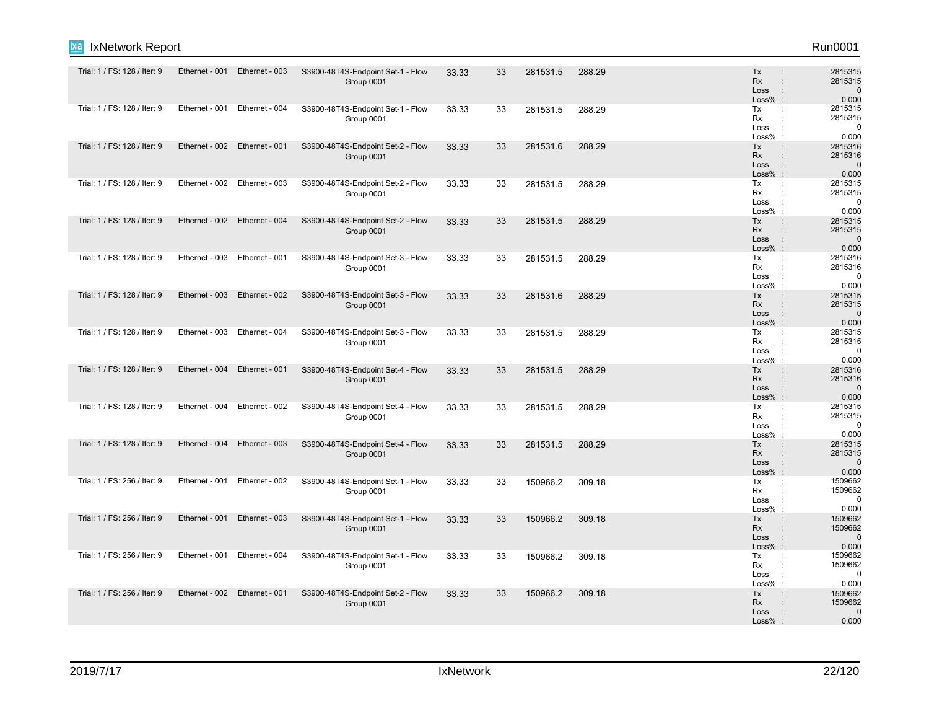| Run0001 |
|---------|
|         |

| Trial: 1 / FS: 128 / Iter: 9 | Ethernet - 001 | Ethernet - 003 | S3900-48T4S-Endpoint Set-1 - Flow<br>Group 0001 | 33.33 | 33 | 281531.5 | 288.29 | Tx<br>Rx<br>Loss<br>$Loss%$ :                         | 2815315<br>2815315<br>$\mathbf 0$<br>$\ddot{\phantom{a}}$<br>0.000 |
|------------------------------|----------------|----------------|-------------------------------------------------|-------|----|----------|--------|-------------------------------------------------------|--------------------------------------------------------------------|
| Trial: 1 / FS: 128 / Iter: 9 | Ethernet - 001 | Ethernet - 004 | S3900-48T4S-Endpoint Set-1 - Flow<br>Group 0001 | 33.33 | 33 | 281531.5 | 288.29 | Tx<br>Rx<br>Loss<br>$\cdot$<br>Loss%                  | 2815315<br>÷<br>2815315<br>0<br>0.000<br>$\pm$                     |
| Trial: 1 / FS: 128 / Iter: 9 | Ethernet - 002 | Ethernet - 001 | S3900-48T4S-Endpoint Set-2 - Flow<br>Group 0001 | 33.33 | 33 | 281531.6 | 288.29 | <b>Tx</b><br>Rx<br>Loss<br>$\pm$<br>Loss%:            | 2815316<br>2815316<br>$\mathbf 0$<br>0.000                         |
| Trial: 1 / FS: 128 / Iter: 9 | Ethernet - 002 | Ethernet - 003 | S3900-48T4S-Endpoint Set-2 - Flow<br>Group 0001 | 33.33 | 33 | 281531.5 | 288.29 | Tx<br>Rx<br>Loss<br>Loss%                             | 2815315<br>2815315<br>0<br>0.000                                   |
| Trial: 1 / FS: 128 / Iter: 9 | Ethernet - 002 | Ethernet - 004 | S3900-48T4S-Endpoint Set-2 - Flow<br>Group 0001 | 33.33 | 33 | 281531.5 | 288.29 | <b>Tx</b><br>Rx<br>Loss<br>$\cdot$ :<br>$Loss%$ :     | 2815315<br>2815315<br>$\Omega$<br>0.000                            |
| Trial: 1 / FS: 128 / Iter: 9 | Ethernet - 003 | Ethernet - 001 | S3900-48T4S-Endpoint Set-3 - Flow<br>Group 0001 | 33.33 | 33 | 281531.5 | 288.29 | Tx<br>Rx<br>Loss<br>Loss%                             | 2815316<br>2815316<br>0<br>0.000                                   |
| Trial: 1 / FS: 128 / Iter: 9 | Ethernet - 003 | Ethernet - 002 | S3900-48T4S-Endpoint Set-3 - Flow<br>Group 0001 | 33.33 | 33 | 281531.6 | 288.29 | Tx<br>Rx<br>Loss<br>$\cdot$ :<br>$Loss\%$ :           | 2815315<br>2815315<br>$\mathbf 0$<br>0.000                         |
| Trial: 1 / FS: 128 / Iter: 9 | Ethernet - 003 | Ethernet - 004 | S3900-48T4S-Endpoint Set-3 - Flow<br>Group 0001 | 33.33 | 33 | 281531.5 | 288.29 | Tx<br>Rx<br>Loss<br>Loss%                             | 2815315<br>2815315<br>0<br>0.000                                   |
| Trial: 1 / FS: 128 / Iter: 9 | Ethernet - 004 | Ethernet - 001 | S3900-48T4S-Endpoint Set-4 - Flow<br>Group 0001 | 33.33 | 33 | 281531.5 | 288.29 | Tx<br>Rx<br>Loss<br>$\therefore$<br>$Loss%$ :         | 2815316<br>2815316<br>$\Omega$<br>0.000                            |
| Trial: 1 / FS: 128 / Iter: 9 | Ethernet - 004 | Ethernet - 002 | S3900-48T4S-Endpoint Set-4 - Flow<br>Group 0001 | 33.33 | 33 | 281531.5 | 288.29 | Tx<br>Rx<br>Loss<br>Loss%<br>$\cdot$                  | 2815315<br>2815315<br>$\mathbf 0$<br>0.000                         |
| Trial: 1 / FS: 128 / Iter: 9 | Ethernet - 004 | Ethernet - 003 | S3900-48T4S-Endpoint Set-4 - Flow<br>Group 0001 | 33.33 | 33 | 281531.5 | 288.29 | Tx<br>Rx<br>Loss<br>$\mathbb{R}^2$<br>$Loss\%$ :      | 2815315<br>2815315<br>$\mathbf 0$<br>0.000                         |
| Trial: 1 / FS: 256 / Iter: 9 | Ethernet - 001 | Ethernet - 002 | S3900-48T4S-Endpoint Set-1 - Flow<br>Group 0001 | 33.33 | 33 | 150966.2 | 309.18 | Tx<br>Rx<br>$\cdot$ :<br>Loss<br>Loss%                | 1509662<br>1509662<br>$\mathbf 0$<br>0.000<br>$\cdot$              |
| Trial: 1 / FS: 256 / Iter: 9 | Ethernet - 001 | Ethernet - 003 | S3900-48T4S-Endpoint Set-1 - Flow<br>Group 0001 | 33.33 | 33 | 150966.2 | 309.18 | Tx<br>Rx<br>Loss<br>$\cdot$ :<br>$Loss%$ :            | 1509662<br>1509662<br>÷<br>$\Omega$<br>0.000                       |
| Trial: 1 / FS: 256 / Iter: 9 | Ethernet - 001 | Ethernet - 004 | S3900-48T4S-Endpoint Set-1 - Flow<br>Group 0001 | 33.33 | 33 | 150966.2 | 309.18 | Tx<br>Rx<br>$\ddot{\phantom{a}}$<br>Loss<br>$Loss%$ : | 1509662<br>1509662<br>$\mathbf 0$<br>0.000                         |
| Trial: 1 / FS: 256 / Iter: 9 | Ethernet - 002 | Ethernet - 001 | S3900-48T4S-Endpoint Set-2 - Flow<br>Group 0001 | 33.33 | 33 | 150966.2 | 309.18 | <b>Tx</b><br>Rx<br>Loss<br>$Loss%$ :                  | 1509662<br>1509662<br>$\mathbf 0$<br>0.000                         |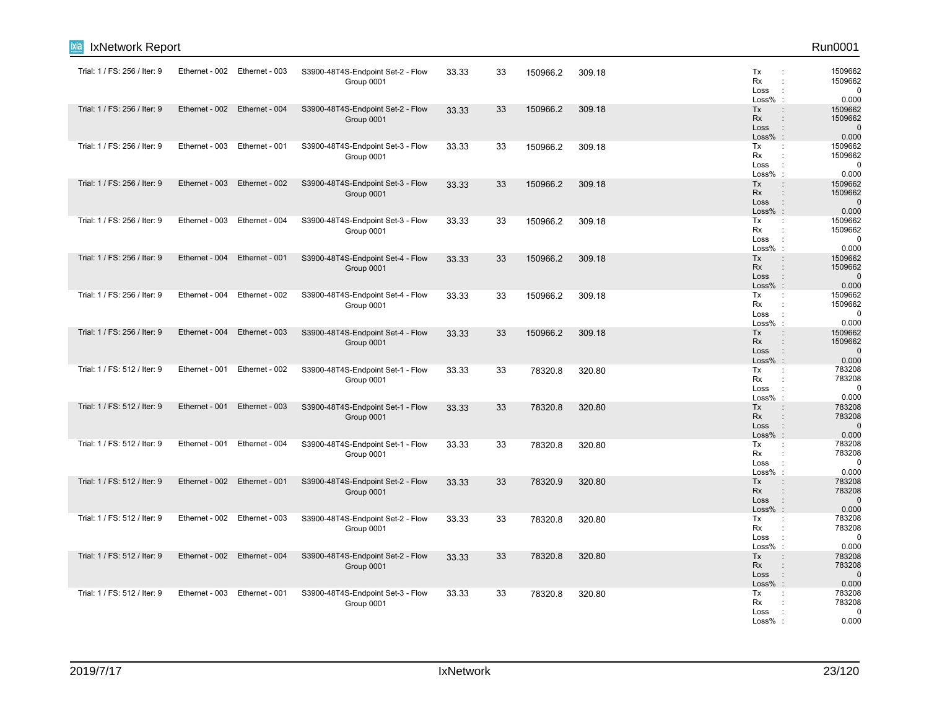| Run0001                                    |                                                   |        |          |    |       |                                                 |                               |                | IxNetwork Report             |
|--------------------------------------------|---------------------------------------------------|--------|----------|----|-------|-------------------------------------------------|-------------------------------|----------------|------------------------------|
| 1509662<br>1509662<br>$\mathbf 0$<br>0.000 | Tx<br>Rx<br>Loss<br>Loss%                         | 309.18 | 150966.2 | 33 | 33.33 | S3900-48T4S-Endpoint Set-2 - Flow<br>Group 0001 | Ethernet - 002 Ethernet - 003 |                | Trial: 1 / FS: 256 / Iter: 9 |
| 1509662<br>1509662<br>$\mathbf 0$<br>0.000 | Tx<br>Rx<br>Loss<br>$\cdot$<br>$Loss%$ :          | 309.18 | 150966.2 | 33 | 33.33 | S3900-48T4S-Endpoint Set-2 - Flow<br>Group 0001 | Ethernet - 002 Ethernet - 004 |                | Trial: 1 / FS: 256 / Iter: 9 |
| 1509662<br>1509662<br>$\mathbf 0$<br>0.000 | Tx<br>Rx<br>Loss<br>Loss%<br>$\cdot$ :            | 309.18 | 150966.2 | 33 | 33.33 | S3900-48T4S-Endpoint Set-3 - Flow<br>Group 0001 | Ethernet - 003 Ethernet - 001 |                | Trial: 1 / FS: 256 / Iter: 9 |
| 1509662<br>1509662<br>$\mathbf 0$<br>0.000 | Tx<br><b>Rx</b><br>Loss<br>$Loss\%$ :             | 309.18 | 150966.2 | 33 | 33.33 | S3900-48T4S-Endpoint Set-3 - Flow<br>Group 0001 | Ethernet - 002                | Ethernet - 003 | Trial: 1 / FS: 256 / Iter: 9 |
| 1509662<br>1509662<br>$\mathbf 0$<br>0.000 | Tx<br>Rx<br>Loss<br>Loss%<br>$\ddot{\phantom{a}}$ | 309.18 | 150966.2 | 33 | 33.33 | S3900-48T4S-Endpoint Set-3 - Flow<br>Group 0001 | Ethernet - 004                | Ethernet - 003 | Trial: 1 / FS: 256 / Iter: 9 |
| 1509662<br>1509662<br>$\mathbf 0$<br>0.000 | Tx<br><b>Rx</b><br>Loss<br>$\cdot$<br>Loss% :     | 309.18 | 150966.2 | 33 | 33.33 | S3900-48T4S-Endpoint Set-4 - Flow<br>Group 0001 | Ethernet - 001                | Ethernet - 004 | Trial: 1 / FS: 256 / Iter: 9 |
| 1509662<br>1509662<br>$\mathbf 0$<br>0.000 | Tx<br>÷<br>Rx<br>Loss<br>÷<br>Loss%               | 309.18 | 150966.2 | 33 | 33.33 | S3900-48T4S-Endpoint Set-4 - Flow<br>Group 0001 | Ethernet - 002                | Ethernet - 004 | Trial: 1 / FS: 256 / Iter: 9 |
| 1509662<br>1509662<br>$\mathbf 0$<br>0.000 | Tx<br><b>Rx</b><br>Loss<br>$Loss\%$ :             | 309.18 | 150966.2 | 33 | 33.33 | S3900-48T4S-Endpoint Set-4 - Flow<br>Group 0001 | Ethernet - 003                | Ethernet - 004 | Trial: 1 / FS: 256 / Iter: 9 |
| 783208<br>783208<br>$\mathbf 0$<br>0.000   | Tx<br>÷<br>Rx<br>Loss<br>Loss%<br>$\cdot$ :       | 320.80 | 78320.8  | 33 | 33.33 | S3900-48T4S-Endpoint Set-1 - Flow<br>Group 0001 | Ethernet - 002                | Ethernet - 001 | Trial: 1 / FS: 512 / Iter: 9 |
| 783208<br>783208<br>$\Omega$<br>0.000      | Tx<br><b>Rx</b><br>Loss<br>$Loss\%$ :             | 320.80 | 78320.8  | 33 | 33.33 | S3900-48T4S-Endpoint Set-1 - Flow<br>Group 0001 | Ethernet - 003                | Ethernet - 001 | Trial: 1 / FS: 512 / Iter: 9 |
| 783208<br>783208<br>$\mathbf 0$<br>0.000   | Tx<br>÷<br>Rx<br>Loss<br>Loss%                    | 320.80 | 78320.8  | 33 | 33.33 | S3900-48T4S-Endpoint Set-1 - Flow<br>Group 0001 | Ethernet - 004                | Ethernet - 001 | Trial: 1 / FS: 512 / Iter: 9 |
| 783208<br>783208<br>$\mathbf 0$<br>0.000   | Tx<br><b>Rx</b><br>Loss<br>Loss%<br>$\cdot$ :     | 320.80 | 78320.9  | 33 | 33.33 | S3900-48T4S-Endpoint Set-2 - Flow<br>Group 0001 | Ethernet - 001                | Ethernet - 002 | Trial: 1 / FS: 512 / Iter: 9 |
| 783208<br>783208<br>$\mathbf 0$<br>0.000   | Tx<br>Rx<br>Loss<br>$\cdot$ :<br>Loss%            | 320.80 | 78320.8  | 33 | 33.33 | S3900-48T4S-Endpoint Set-2 - Flow<br>Group 0001 | Ethernet - 002 Ethernet - 003 |                | Trial: 1 / FS: 512 / Iter: 9 |
| 783208<br>783208<br>$\mathbf 0$<br>0.000   | Tx<br><b>Rx</b><br>Loss<br>$Loss%$ :              | 320.80 | 78320.8  | 33 | 33.33 | S3900-48T4S-Endpoint Set-2 - Flow<br>Group 0001 | Ethernet - 004                | Ethernet - 002 | Trial: 1 / FS: 512 / Iter: 9 |
| 783208<br>783208<br>$\Omega$<br>0.000      | Tx<br>Rx<br>Loss<br>Loss%                         | 320.80 | 78320.8  | 33 | 33.33 | S3900-48T4S-Endpoint Set-3 - Flow<br>Group 0001 | Ethernet - 001                | Ethernet - 003 | Trial: 1 / FS: 512 / Iter: 9 |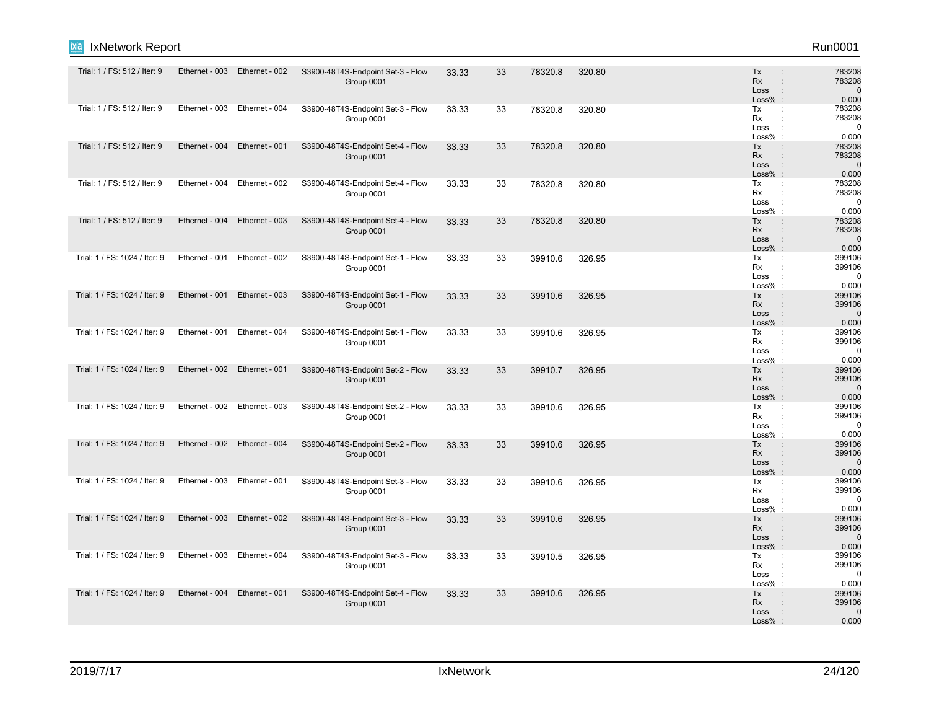| Run0001 |  |
|---------|--|
|         |  |

| Trial: 1 / FS: 512 / Iter: 9  | Ethernet - 003 | Ethernet - 002                | S3900-48T4S-Endpoint Set-3 - Flow<br>Group 0001 | 33.33 | 33 | 78320.8 | 320.80 | Tx<br>Rx<br>Loss<br>$Loss%$ :         | 783208<br>$\mathbb{R}^2$<br>783208<br>$\mathbf 0$<br>$\ddot{\phantom{a}}$<br>0.000         |
|-------------------------------|----------------|-------------------------------|-------------------------------------------------|-------|----|---------|--------|---------------------------------------|--------------------------------------------------------------------------------------------|
| Trial: 1 / FS: 512 / Iter: 9  |                | Ethernet - 003 Ethernet - 004 | S3900-48T4S-Endpoint Set-3 - Flow<br>Group 0001 | 33.33 | 33 | 78320.8 | 320.80 | Tx<br>Rx<br>Loss<br>$Loss%$ :         | 783208<br>÷<br>783208<br>$\mathbf{r}$<br>$\mathbf 0$<br>0.000                              |
| Trial: 1 / FS: 512 / Iter: 9  | Ethernet - 004 | Ethernet - 001                | S3900-48T4S-Endpoint Set-4 - Flow<br>Group 0001 | 33.33 | 33 | 78320.8 | 320.80 | Tx<br><b>Rx</b><br>Loss<br>$Loss\%$ : | 783208<br>783208<br>$\Omega$<br>$\cdot$<br>0.000                                           |
| Trial: 1 / FS: 512 / Iter: 9  | Ethernet - 004 | Ethernet - 002                | S3900-48T4S-Endpoint Set-4 - Flow<br>Group 0001 | 33.33 | 33 | 78320.8 | 320.80 | Tx<br>Rx<br>Loss<br>Loss% :           | 783208<br>÷<br>783208<br>$\cdot$ :<br>$\mathbf 0$<br>0.000                                 |
| Trial: 1 / FS: 512 / Iter: 9  | Ethernet - 004 | Ethernet - 003                | S3900-48T4S-Endpoint Set-4 - Flow<br>Group 0001 | 33.33 | 33 | 78320.8 | 320.80 | Tx<br>Rx<br>Loss<br>Loss%:            | 783208<br>$\ddot{\phantom{a}}$<br>783208<br>$\cdot$ :<br>$\mathbf 0$<br>0.000              |
| Trial: 1 / FS: 1024 / Iter: 9 | Ethernet - 001 | Ethernet - 002                | S3900-48T4S-Endpoint Set-1 - Flow<br>Group 0001 | 33.33 | 33 | 39910.6 | 326.95 | Tx<br>Rx<br>Loss<br>Loss% :           | 399106<br>$\mathbb{C}^{\times}$<br>399106<br>0<br>$\cdot$ :<br>0.000                       |
| Trial: 1 / FS: 1024 / Iter: 9 | Ethernet - 001 | Ethernet - 003                | S3900-48T4S-Endpoint Set-1 - Flow<br>Group 0001 | 33.33 | 33 | 39910.6 | 326.95 | Tx<br>Rx<br>Loss<br>Loss% :           | 399106<br>$\mathbb{R}^2$<br>399106<br>$\cdot$ :<br>$\mathbf{0}$<br>0.000                   |
| Trial: 1 / FS: 1024 / Iter: 9 | Ethernet - 001 | Ethernet - 004                | S3900-48T4S-Endpoint Set-1 - Flow<br>Group 0001 | 33.33 | 33 | 39910.6 | 326.95 | Tx<br>Rx<br>Loss<br>Loss%             | 399106<br>$\mathbb{C}^{\times}$<br>399106<br>$\mathbf 0$<br>0.000                          |
| Trial: 1 / FS: 1024 / Iter: 9 | Ethernet - 002 | Ethernet - 001                | S3900-48T4S-Endpoint Set-2 - Flow<br>Group 0001 | 33.33 | 33 | 39910.7 | 326.95 | Tx<br><b>Rx</b><br>Loss<br>$Loss%$ :  | 399106<br>$\ddot{\phantom{a}}$<br>399106<br>$\sim$ 1.<br>$\Omega$<br>0.000                 |
| Trial: 1 / FS: 1024 / Iter: 9 |                | Ethernet - 002 Ethernet - 003 | S3900-48T4S-Endpoint Set-2 - Flow<br>Group 0001 | 33.33 | 33 | 39910.6 | 326.95 | Tx<br>Rx<br>Loss<br>$Loss%$ :         | 399106<br>$\ddot{\phantom{a}}$<br>399106<br>$\ddot{\phantom{a}}$<br>0<br>0.000             |
| Trial: 1 / FS: 1024 / Iter: 9 | Ethernet - 002 | Ethernet - 004                | S3900-48T4S-Endpoint Set-2 - Flow<br>Group 0001 | 33.33 | 33 | 39910.6 | 326.95 | Tx<br>Rx<br>Loss<br>$Loss%$ :         | 399106<br>$\ddot{\phantom{a}}$<br>399106<br>$\mathbf{r}$<br>$\sim 10$<br>$\Omega$<br>0.000 |
| Trial: 1 / FS: 1024 / Iter: 9 |                | Ethernet - 003 Ethernet - 001 | S3900-48T4S-Endpoint Set-3 - Flow<br>Group 0001 | 33.33 | 33 | 39910.6 | 326.95 | Tx<br>Rx<br>Loss<br>$Loss%$ :         | 399106<br>$\ddot{\phantom{a}}$<br>399106<br>$\Omega$<br>0.000                              |
| Trial: 1 / FS: 1024 / Iter: 9 | Ethernet - 003 | Ethernet - 002                | S3900-48T4S-Endpoint Set-3 - Flow<br>Group 0001 | 33.33 | 33 | 39910.6 | 326.95 | Tx<br><b>Rx</b><br>Loss<br>$Loss%$ :  | 399106<br>399106<br>$\sim$ $\sim$<br>$\Omega$<br>0.000                                     |
| Trial: 1 / FS: 1024 / Iter: 9 |                | Ethernet - 003 Ethernet - 004 | S3900-48T4S-Endpoint Set-3 - Flow<br>Group 0001 | 33.33 | 33 | 39910.5 | 326.95 | Tx<br>Rx<br>Loss<br>Loss%             | 399106<br>÷<br>399106<br>$\mathbf 0$<br>0.000                                              |
| Trial: 1 / FS: 1024 / Iter: 9 | Ethernet - 004 | Ethernet - 001                | S3900-48T4S-Endpoint Set-4 - Flow<br>Group 0001 | 33.33 | 33 | 39910.6 | 326.95 | Tx<br>Rx<br>Loss<br>$Loss%$ :         | 399106<br>399106<br>$\mathbf 0$<br>0.000                                                   |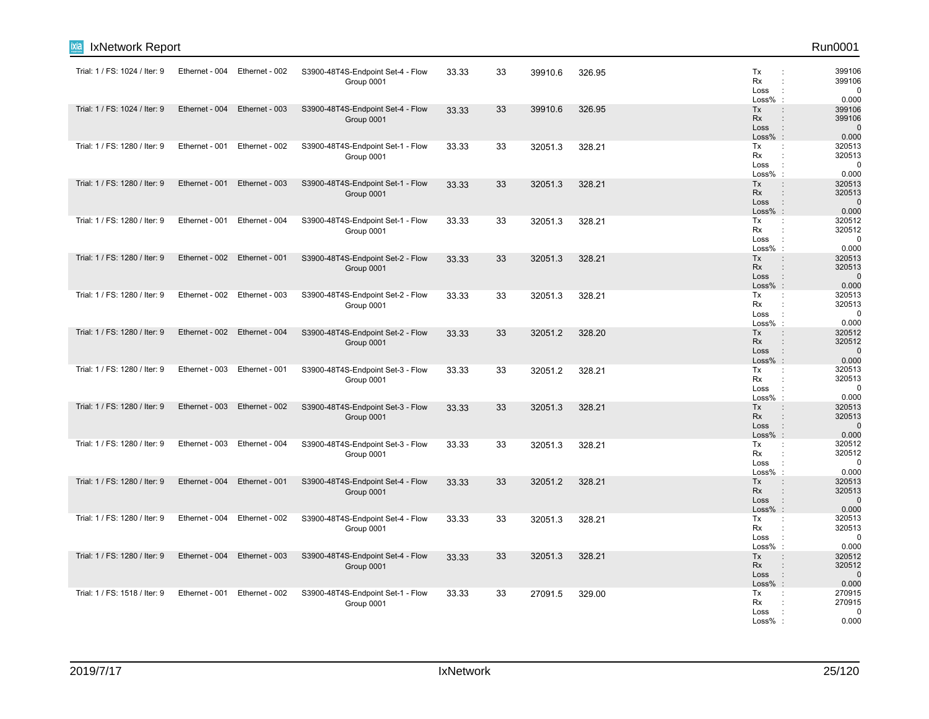| IxNetwork Report              |                |                               |                                                 |       |    |         |        |                                                       | Run0001                                  |
|-------------------------------|----------------|-------------------------------|-------------------------------------------------|-------|----|---------|--------|-------------------------------------------------------|------------------------------------------|
| Trial: 1 / FS: 1024 / Iter: 9 | Ethernet - 004 | Ethernet - 002                | S3900-48T4S-Endpoint Set-4 - Flow<br>Group 0001 | 33.33 | 33 | 39910.6 | 326.95 | Tx<br>Rx<br>Loss<br>Loss%                             | 399106<br>399106<br>$\mathbf 0$<br>0.000 |
| Trial: 1 / FS: 1024 / Iter: 9 | Ethernet - 004 | Ethernet - 003                | S3900-48T4S-Endpoint Set-4 - Flow<br>Group 0001 | 33.33 | 33 | 39910.6 | 326.95 | Tx<br>Rx<br>Loss<br>$\ddot{\phantom{a}}$<br>$Loss%$ : | 399106<br>399106<br>$\mathbf 0$<br>0.000 |
| Trial: 1 / FS: 1280 / Iter: 9 |                | Ethernet - 001 Ethernet - 002 | S3900-48T4S-Endpoint Set-1 - Flow<br>Group 0001 | 33.33 | 33 | 32051.3 | 328.21 | Tx<br>Rx<br>Loss<br>Loss%                             | 320513<br>320513<br>$\mathbf 0$<br>0.000 |
| Trial: 1 / FS: 1280 / Iter: 9 | Ethernet - 001 | Ethernet - 003                | S3900-48T4S-Endpoint Set-1 - Flow<br>Group 0001 | 33.33 | 33 | 32051.3 | 328.21 | Tx<br>Rx<br>Loss<br>$Loss\%$ :                        | 320513<br>320513<br>$\mathbf 0$<br>0.000 |
| Trial: 1 / FS: 1280 / Iter: 9 | Ethernet - 001 | Ethernet - 004                | S3900-48T4S-Endpoint Set-1 - Flow<br>Group 0001 | 33.33 | 33 | 32051.3 | 328.21 | Tx<br>÷<br>Rx<br>Loss<br>Loss%                        | 320512<br>320512<br>$\mathbf 0$<br>0.000 |
| Trial: 1 / FS: 1280 / Iter: 9 | Ethernet - 002 | Ethernet - 001                | S3900-48T4S-Endpoint Set-2 - Flow<br>Group 0001 | 33.33 | 33 | 32051.3 | 328.21 | Tx<br>Rx<br>Loss<br>$\cdot$ :<br>Loss% :              | 320513<br>320513<br>$\mathbf 0$<br>0.000 |
| Trial: 1 / FS: 1280 / Iter: 9 | Ethernet - 002 | Ethernet - 003                | S3900-48T4S-Endpoint Set-2 - Flow<br>Group 0001 | 33.33 | 33 | 32051.3 | 328.21 | Tx<br>Rx<br>Loss<br>Loss%                             | 320513<br>320513<br>0<br>0.000           |
| Trial: 1 / FS: 1280 / Iter: 9 |                | Ethernet - 002 Ethernet - 004 | S3900-48T4S-Endpoint Set-2 - Flow<br>Group 0001 | 33.33 | 33 | 32051.2 | 328.20 | Tx<br>Rx<br>Loss<br>$Loss\%$ :                        | 320512<br>320512<br>$\mathbf 0$<br>0.000 |
| Trial: 1 / FS: 1280 / Iter: 9 | Ethernet - 003 | Ethernet - 001                | S3900-48T4S-Endpoint Set-3 - Flow<br>Group 0001 | 33.33 | 33 | 32051.2 | 328.21 | Tx<br>÷<br>Rx<br>Loss<br>Loss%<br>$\cdot$             | 320513<br>320513<br>$\mathbf 0$<br>0.000 |
| Trial: 1 / FS: 1280 / Iter: 9 | Ethernet - 003 | Ethernet - 002                | S3900-48T4S-Endpoint Set-3 - Flow<br>Group 0001 | 33.33 | 33 | 32051.3 | 328.21 | Tx<br>Rx<br>Loss<br>$Loss\%$ :                        | 320513<br>320513<br>$\Omega$<br>0.000    |
| Trial: 1 / FS: 1280 / Iter: 9 |                | Ethernet - 003 Ethernet - 004 | S3900-48T4S-Endpoint Set-3 - Flow<br>Group 0001 | 33.33 | 33 | 32051.3 | 328.21 | Тx<br>÷<br>Rx<br>Loss<br>Loss%                        | 320512<br>320512<br>$\mathbf 0$<br>0.000 |
| Trial: 1 / FS: 1280 / Iter: 9 | Ethernet - 004 | Ethernet - 001                | S3900-48T4S-Endpoint Set-4 - Flow<br>Group 0001 | 33.33 | 33 | 32051.2 | 328.21 | Tx<br>Rx<br>Loss<br>Loss%                             | 320513<br>320513<br>$\mathbf 0$<br>0.000 |
| Trial: 1 / FS: 1280 / Iter: 9 | Ethernet - 004 | Ethernet - 002                | S3900-48T4S-Endpoint Set-4 - Flow<br>Group 0001 | 33.33 | 33 | 32051.3 | 328.21 | Tx<br>Rx<br>Loss<br>Loss%                             | 320513<br>320513<br>$\mathbf 0$<br>0.000 |
| Trial: 1 / FS: 1280 / Iter: 9 | Ethernet - 004 | Ethernet - 003                | S3900-48T4S-Endpoint Set-4 - Flow<br>Group 0001 | 33.33 | 33 | 32051.3 | 328.21 | Tx<br><b>Rx</b><br>Loss<br>$Loss%$ :                  | 320512<br>320512<br>$\mathbf 0$<br>0.000 |
| Trial: 1 / FS: 1518 / Iter: 9 | Ethernet - 001 | Ethernet - 002                | S3900-48T4S-Endpoint Set-1 - Flow<br>Group 0001 | 33.33 | 33 | 27091.5 | 329.00 | Tx<br>Rx<br>Loss<br>Loss%                             | 270915<br>270915<br>$\Omega$<br>0.000    |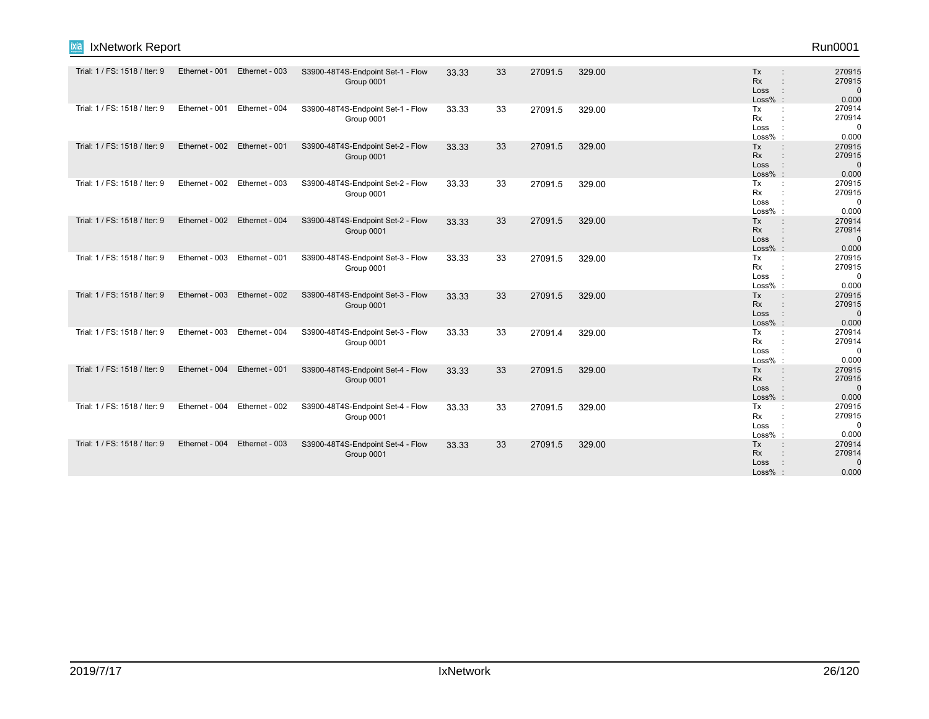| Run0001 |
|---------|
|---------|

| <b>ixia</b> IxNetwork Report | Run0001 |
|------------------------------|---------|
|                              |         |

| Trial: 1 / FS: 1518 / Iter: 9 | Ethernet - 001 | Ethernet - 003 | S3900-48T4S-Endpoint Set-1 - Flow               | 33.33 | 33 | 27091.5 | 329.00 | Tx<br><b>Rx</b>                          | 270915<br>270915      |
|-------------------------------|----------------|----------------|-------------------------------------------------|-------|----|---------|--------|------------------------------------------|-----------------------|
|                               |                |                | Group 0001                                      |       |    |         |        | Loss<br>$Loss%$ :                        | $\mathbf 0$<br>0.000  |
| Trial: 1 / FS: 1518 / Iter: 9 | Ethernet - 001 | Ethernet - 004 | S3900-48T4S-Endpoint Set-1 - Flow               | 33.33 | 33 | 27091.5 | 329.00 | Tx<br>Rx                                 | 270914<br>270914      |
|                               |                |                | Group 0001                                      |       |    |         |        | Loss                                     | $\mathbf 0$           |
| Trial: 1 / FS: 1518 / Iter: 9 | Ethernet - 002 | Ethernet - 001 | S3900-48T4S-Endpoint Set-2 - Flow               | 33.33 | 33 | 27091.5 | 329.00 | Loss%:<br>Tx                             | 0.000<br>270915       |
|                               |                |                | Group 0001                                      |       |    |         |        | <b>Rx</b><br>Loss                        | 270915<br>$\mathbf 0$ |
| Trial: 1 / FS: 1518 / Iter: 9 | Ethernet - 002 | Ethernet - 003 | S3900-48T4S-Endpoint Set-2 - Flow               | 33.33 | 33 | 27091.5 | 329.00 | Loss% :<br>Tx<br>÷                       | 0.000<br>270915       |
|                               |                |                | Group 0001                                      |       |    |         |        | <b>Rx</b>                                | 270915                |
|                               |                |                |                                                 |       |    |         |        | Loss<br>Loss%:                           | 0<br>0.000            |
| Trial: 1 / FS: 1518 / Iter: 9 | Ethernet - 002 | Ethernet - 004 | S3900-48T4S-Endpoint Set-2 - Flow<br>Group 0001 | 33.33 | 33 | 27091.5 | 329.00 | Tx<br><b>Rx</b>                          | 270914<br>270914      |
|                               |                |                |                                                 |       |    |         |        | Loss<br>$Loss%$ :                        | $\mathbf 0$<br>0.000  |
| Trial: 1 / FS: 1518 / Iter: 9 | Ethernet - 003 | Ethernet - 001 | S3900-48T4S-Endpoint Set-3 - Flow               | 33.33 | 33 | 27091.5 | 329.00 | Tx<br><b>Rx</b>                          | 270915<br>270915      |
|                               |                |                | Group 0001                                      |       |    |         |        | Loss                                     | $\mathbf 0$           |
| Trial: 1 / FS: 1518 / Iter: 9 | Ethernet - 003 | Ethernet - 002 | S3900-48T4S-Endpoint Set-3 - Flow               | 33.33 | 33 | 27091.5 | 329.00 | Loss%:<br>Tx                             | 0.000<br>270915       |
|                               |                |                | Group 0001                                      |       |    |         |        | Rx<br>Loss                               | 270915<br>$\mathbf 0$ |
| Trial: 1 / FS: 1518 / Iter: 9 | Ethernet - 003 | Ethernet - 004 | S3900-48T4S-Endpoint Set-3 - Flow               | 33.33 | 33 | 27091.4 | 329.00 | Loss% :<br>Tx                            | 0.000<br>270914       |
|                               |                |                | Group 0001                                      |       |    |         |        | Rx                                       | 270914<br>$\Omega$    |
|                               |                |                |                                                 |       |    |         |        | Loss<br>Loss%:                           | 0.000                 |
| Trial: 1 / FS: 1518 / Iter: 9 | Ethernet - 004 | Ethernet - 001 | S3900-48T4S-Endpoint Set-4 - Flow<br>Group 0001 | 33.33 | 33 | 27091.5 | 329.00 | <b>Tx</b><br>$\mathbb{R}^2$<br><b>Rx</b> | 270915<br>270915      |
|                               |                |                |                                                 |       |    |         |        | Loss<br>Loss% :                          | $\mathbf 0$<br>0.000  |
| Trial: 1 / FS: 1518 / Iter: 9 | Ethernet - 004 | Ethernet - 002 | S3900-48T4S-Endpoint Set-4 - Flow<br>Group 0001 | 33.33 | 33 | 27091.5 | 329.00 | Tx<br><b>Rx</b>                          | 270915<br>270915      |
|                               |                |                |                                                 |       |    |         |        | Loss                                     | $\mathbf 0$           |
| Trial: 1 / FS: 1518 / Iter: 9 | Ethernet - 004 | Ethernet - 003 | S3900-48T4S-Endpoint Set-4 - Flow               | 33.33 | 33 | 27091.5 | 329.00 | Loss% :<br>Tx                            | 0.000<br>270914       |
|                               |                |                | Group 0001                                      |       |    |         |        | <b>Rx</b><br>Loss                        | 270914<br>$\Omega$    |
|                               |                |                |                                                 |       |    |         |        | Loss% :                                  | 0.000                 |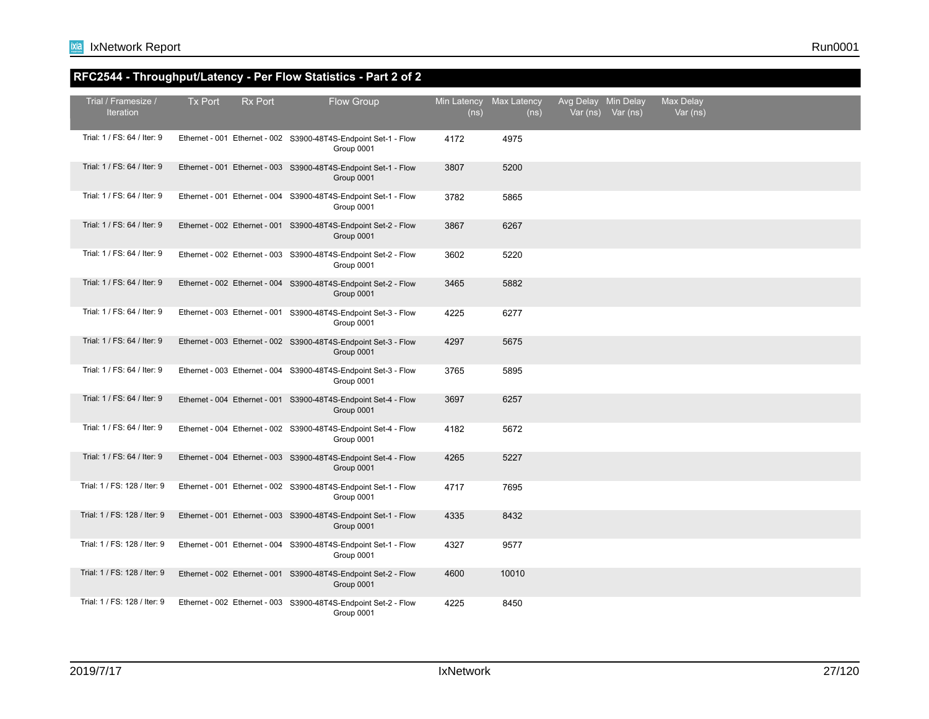## **RFC2544 - Throughput/Latency - Per Flow Statistics - Part 2 of 2**

| Trial / Framesize /<br><b>Iteration</b> | <b>Tx Port</b> | <b>Rx Port</b> | Flow Group                                                                    | Min Latency<br>(ns) | Max Latency<br>(ns) | Avg Delay Min Delay | Var (ns) Var (ns) | Max Delay<br>Var (ns) |  |  |
|-----------------------------------------|----------------|----------------|-------------------------------------------------------------------------------|---------------------|---------------------|---------------------|-------------------|-----------------------|--|--|
| Trial: 1 / FS: 64 / Iter: 9             |                |                | Ethernet - 001 Ethernet - 002 S3900-48T4S-Endpoint Set-1 - Flow<br>Group 0001 | 4172                | 4975                |                     |                   |                       |  |  |
| Trial: 1 / FS: 64 / Iter: 9             |                |                | Ethernet - 001 Ethernet - 003 S3900-48T4S-Endpoint Set-1 - Flow<br>Group 0001 | 3807                | 5200                |                     |                   |                       |  |  |
| Trial: 1 / FS: 64 / Iter: 9             |                |                | Ethernet - 001 Ethernet - 004 S3900-48T4S-Endpoint Set-1 - Flow<br>Group 0001 | 3782                | 5865                |                     |                   |                       |  |  |
| Trial: 1 / FS: 64 / Iter: 9             |                |                | Ethernet - 002 Ethernet - 001 S3900-48T4S-Endpoint Set-2 - Flow<br>Group 0001 | 3867                | 6267                |                     |                   |                       |  |  |
| Trial: 1 / FS: 64 / Iter: 9             |                |                | Ethernet - 002 Ethernet - 003 S3900-48T4S-Endpoint Set-2 - Flow<br>Group 0001 | 3602                | 5220                |                     |                   |                       |  |  |
| Trial: 1 / FS: 64 / Iter: 9             |                |                | Ethernet - 002 Ethernet - 004 S3900-48T4S-Endpoint Set-2 - Flow<br>Group 0001 | 3465                | 5882                |                     |                   |                       |  |  |
| Trial: 1 / FS: 64 / Iter: 9             |                |                | Ethernet - 003 Ethernet - 001 S3900-48T4S-Endpoint Set-3 - Flow<br>Group 0001 | 4225                | 6277                |                     |                   |                       |  |  |
| Trial: 1 / FS: 64 / Iter: 9             |                |                | Ethernet - 003 Ethernet - 002 S3900-48T4S-Endpoint Set-3 - Flow<br>Group 0001 | 4297                | 5675                |                     |                   |                       |  |  |
| Trial: 1 / FS: 64 / Iter: 9             |                |                | Ethernet - 003 Ethernet - 004 S3900-48T4S-Endpoint Set-3 - Flow<br>Group 0001 | 3765                | 5895                |                     |                   |                       |  |  |
| Trial: 1 / FS: 64 / Iter: 9             |                |                | Ethernet - 004 Ethernet - 001 S3900-48T4S-Endpoint Set-4 - Flow<br>Group 0001 | 3697                | 6257                |                     |                   |                       |  |  |
| Trial: 1 / FS: 64 / Iter: 9             |                |                | Ethernet - 004 Ethernet - 002 S3900-48T4S-Endpoint Set-4 - Flow<br>Group 0001 | 4182                | 5672                |                     |                   |                       |  |  |
| Trial: 1 / FS: 64 / Iter: 9             |                |                | Ethernet - 004 Ethernet - 003 S3900-48T4S-Endpoint Set-4 - Flow<br>Group 0001 | 4265                | 5227                |                     |                   |                       |  |  |
| Trial: 1 / FS: 128 / Iter: 9            |                |                | Ethernet - 001 Ethernet - 002 S3900-48T4S-Endpoint Set-1 - Flow<br>Group 0001 | 4717                | 7695                |                     |                   |                       |  |  |
| Trial: 1 / FS: 128 / Iter: 9            |                |                | Ethernet - 001 Ethernet - 003 S3900-48T4S-Endpoint Set-1 - Flow<br>Group 0001 | 4335                | 8432                |                     |                   |                       |  |  |
| Trial: 1 / FS: 128 / Iter: 9            |                |                | Ethernet - 001 Ethernet - 004 S3900-48T4S-Endpoint Set-1 - Flow<br>Group 0001 | 4327                | 9577                |                     |                   |                       |  |  |
| Trial: 1 / FS: 128 / Iter: 9            |                |                | Ethernet - 002 Ethernet - 001 S3900-48T4S-Endpoint Set-2 - Flow<br>Group 0001 | 4600                | 10010               |                     |                   |                       |  |  |
| Trial: 1 / FS: 128 / Iter: 9            |                |                | Ethernet - 002 Ethernet - 003 S3900-48T4S-Endpoint Set-2 - Flow<br>Group 0001 | 4225                | 8450                |                     |                   |                       |  |  |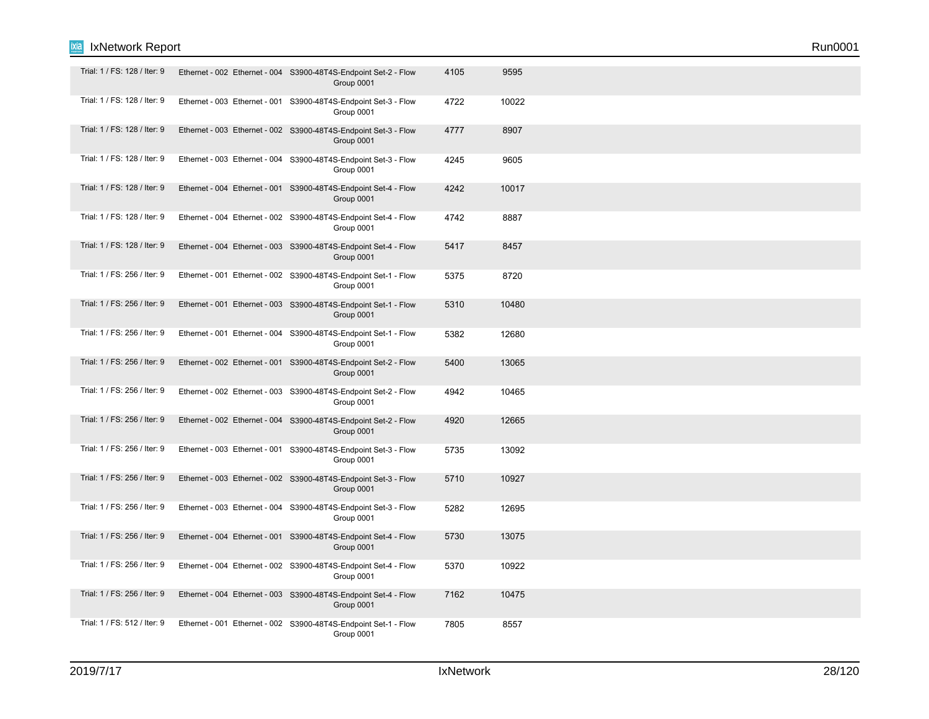| Trial: 1 / FS: 128 / Iter: 9 | Ethernet - 002 Ethernet - 004 S3900-48T4S-Endpoint Set-2 - Flow<br>Group 0001 | 4105 | 9595  |  |
|------------------------------|-------------------------------------------------------------------------------|------|-------|--|
| Trial: 1 / FS: 128 / Iter: 9 | Ethernet - 003 Ethernet - 001 S3900-48T4S-Endpoint Set-3 - Flow<br>Group 0001 | 4722 | 10022 |  |
| Trial: 1 / FS: 128 / Iter: 9 | Ethernet - 003 Ethernet - 002 S3900-48T4S-Endpoint Set-3 - Flow<br>Group 0001 | 4777 | 8907  |  |
| Trial: 1 / FS: 128 / Iter: 9 | Ethernet - 003 Ethernet - 004 S3900-48T4S-Endpoint Set-3 - Flow<br>Group 0001 | 4245 | 9605  |  |
| Trial: 1 / FS: 128 / Iter: 9 | Ethernet - 004 Ethernet - 001 S3900-48T4S-Endpoint Set-4 - Flow<br>Group 0001 | 4242 | 10017 |  |
| Trial: 1 / FS: 128 / Iter: 9 | Ethernet - 004 Ethernet - 002 S3900-48T4S-Endpoint Set-4 - Flow<br>Group 0001 | 4742 | 8887  |  |
| Trial: 1 / FS: 128 / Iter: 9 | Ethernet - 004 Ethernet - 003 S3900-48T4S-Endpoint Set-4 - Flow<br>Group 0001 | 5417 | 8457  |  |
| Trial: 1 / FS: 256 / Iter: 9 | Ethernet - 001 Ethernet - 002 S3900-48T4S-Endpoint Set-1 - Flow<br>Group 0001 | 5375 | 8720  |  |
| Trial: 1 / FS: 256 / Iter: 9 | Ethernet - 001 Ethernet - 003 S3900-48T4S-Endpoint Set-1 - Flow<br>Group 0001 | 5310 | 10480 |  |
| Trial: 1 / FS: 256 / Iter: 9 | Ethernet - 001 Ethernet - 004 S3900-48T4S-Endpoint Set-1 - Flow<br>Group 0001 | 5382 | 12680 |  |
| Trial: 1 / FS: 256 / Iter: 9 | Ethernet - 002 Ethernet - 001 S3900-48T4S-Endpoint Set-2 - Flow<br>Group 0001 | 5400 | 13065 |  |
| Trial: 1 / FS: 256 / Iter: 9 | Ethernet - 002 Ethernet - 003 S3900-48T4S-Endpoint Set-2 - Flow<br>Group 0001 | 4942 | 10465 |  |
| Trial: 1 / FS: 256 / Iter: 9 | Ethernet - 002 Ethernet - 004 S3900-48T4S-Endpoint Set-2 - Flow<br>Group 0001 | 4920 | 12665 |  |
| Trial: 1 / FS: 256 / Iter: 9 | Ethernet - 003 Ethernet - 001 S3900-48T4S-Endpoint Set-3 - Flow<br>Group 0001 | 5735 | 13092 |  |
| Trial: 1 / FS: 256 / Iter: 9 | Ethernet - 003 Ethernet - 002 S3900-48T4S-Endpoint Set-3 - Flow<br>Group 0001 | 5710 | 10927 |  |
| Trial: 1 / FS: 256 / Iter: 9 | Ethernet - 003 Ethernet - 004 S3900-48T4S-Endpoint Set-3 - Flow<br>Group 0001 | 5282 | 12695 |  |
| Trial: 1 / FS: 256 / Iter: 9 | Ethernet - 004 Ethernet - 001 S3900-48T4S-Endpoint Set-4 - Flow<br>Group 0001 | 5730 | 13075 |  |
| Trial: 1 / FS: 256 / Iter: 9 | Ethernet - 004 Ethernet - 002 S3900-48T4S-Endpoint Set-4 - Flow<br>Group 0001 | 5370 | 10922 |  |
| Trial: 1 / FS: 256 / Iter: 9 | Ethernet - 004 Ethernet - 003 S3900-48T4S-Endpoint Set-4 - Flow<br>Group 0001 | 7162 | 10475 |  |
| Trial: 1 / FS: 512 / Iter: 9 | Ethernet - 001 Ethernet - 002 S3900-48T4S-Endpoint Set-1 - Flow<br>Group 0001 | 7805 | 8557  |  |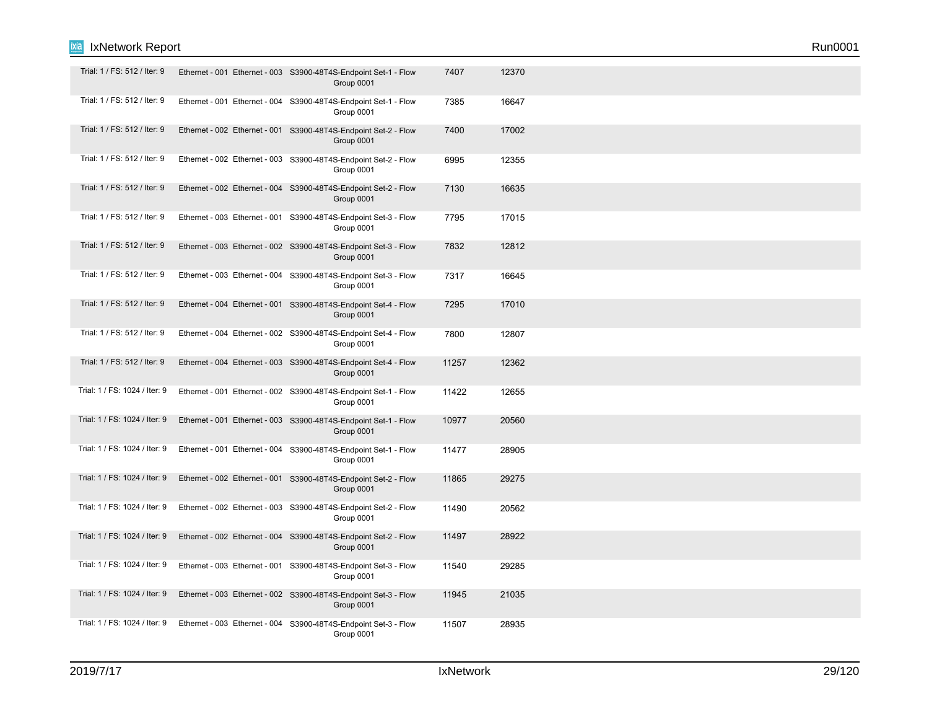| Trial: 1 / FS: 512 / Iter: 9  | Ethernet - 001 Ethernet - 003 S3900-48T4S-Endpoint Set-1 - Flow<br>Group 0001 | 7407  | 12370 |  |
|-------------------------------|-------------------------------------------------------------------------------|-------|-------|--|
| Trial: 1 / FS: 512 / Iter: 9  | Ethernet - 001 Ethernet - 004 S3900-48T4S-Endpoint Set-1 - Flow<br>Group 0001 | 7385  | 16647 |  |
| Trial: 1 / FS: 512 / Iter: 9  | Ethernet - 002 Ethernet - 001 S3900-48T4S-Endpoint Set-2 - Flow<br>Group 0001 | 7400  | 17002 |  |
| Trial: 1 / FS: 512 / Iter: 9  | Ethernet - 002 Ethernet - 003 S3900-48T4S-Endpoint Set-2 - Flow<br>Group 0001 | 6995  | 12355 |  |
| Trial: 1 / FS: 512 / Iter: 9  | Ethernet - 002 Ethernet - 004 S3900-48T4S-Endpoint Set-2 - Flow<br>Group 0001 | 7130  | 16635 |  |
| Trial: 1 / FS: 512 / Iter: 9  | Ethernet - 003 Ethernet - 001 S3900-48T4S-Endpoint Set-3 - Flow<br>Group 0001 | 7795  | 17015 |  |
| Trial: 1 / FS: 512 / Iter: 9  | Ethernet - 003 Ethernet - 002 S3900-48T4S-Endpoint Set-3 - Flow<br>Group 0001 | 7832  | 12812 |  |
| Trial: 1 / FS: 512 / Iter: 9  | Ethernet - 003 Ethernet - 004 S3900-48T4S-Endpoint Set-3 - Flow<br>Group 0001 | 7317  | 16645 |  |
| Trial: 1 / FS: 512 / Iter: 9  | Ethernet - 004 Ethernet - 001 S3900-48T4S-Endpoint Set-4 - Flow<br>Group 0001 | 7295  | 17010 |  |
| Trial: 1 / FS: 512 / Iter: 9  | Ethernet - 004 Ethernet - 002 S3900-48T4S-Endpoint Set-4 - Flow<br>Group 0001 | 7800  | 12807 |  |
| Trial: 1 / FS: 512 / Iter: 9  | Ethernet - 004 Ethernet - 003 S3900-48T4S-Endpoint Set-4 - Flow<br>Group 0001 | 11257 | 12362 |  |
| Trial: 1 / FS: 1024 / Iter: 9 | Ethernet - 001 Ethernet - 002 S3900-48T4S-Endpoint Set-1 - Flow<br>Group 0001 | 11422 | 12655 |  |
| Trial: 1 / FS: 1024 / Iter: 9 | Ethernet - 001 Ethernet - 003 S3900-48T4S-Endpoint Set-1 - Flow<br>Group 0001 | 10977 | 20560 |  |
| Trial: 1 / FS: 1024 / Iter: 9 | Ethernet - 001 Ethernet - 004 S3900-48T4S-Endpoint Set-1 - Flow<br>Group 0001 | 11477 | 28905 |  |
| Trial: 1 / FS: 1024 / Iter: 9 | Ethernet - 002 Ethernet - 001 S3900-48T4S-Endpoint Set-2 - Flow<br>Group 0001 | 11865 | 29275 |  |
| Trial: 1 / FS: 1024 / Iter: 9 | Ethernet - 002 Ethernet - 003 S3900-48T4S-Endpoint Set-2 - Flow<br>Group 0001 | 11490 | 20562 |  |
| Trial: 1 / FS: 1024 / Iter: 9 | Ethernet - 002 Ethernet - 004 S3900-48T4S-Endpoint Set-2 - Flow<br>Group 0001 | 11497 | 28922 |  |
| Trial: 1 / FS: 1024 / Iter: 9 | Ethernet - 003 Ethernet - 001 S3900-48T4S-Endpoint Set-3 - Flow<br>Group 0001 | 11540 | 29285 |  |
| Trial: 1 / FS: 1024 / Iter: 9 | Ethernet - 003 Ethernet - 002 S3900-48T4S-Endpoint Set-3 - Flow<br>Group 0001 | 11945 | 21035 |  |
| Trial: 1 / FS: 1024 / Iter: 9 | Ethernet - 003 Ethernet - 004 S3900-48T4S-Endpoint Set-3 - Flow<br>Group 0001 | 11507 | 28935 |  |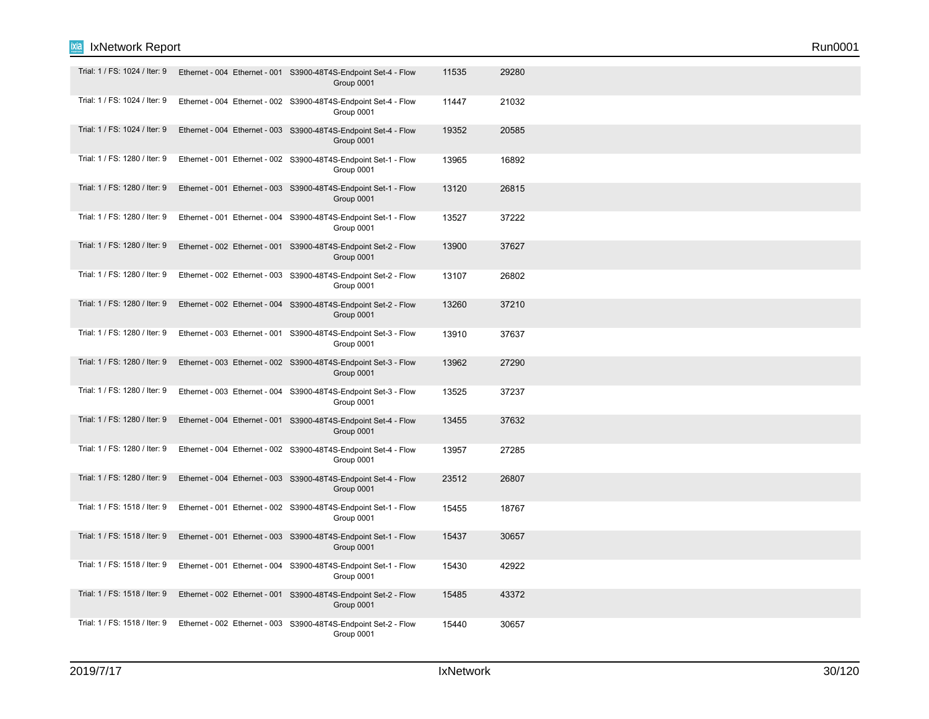| Trial: 1 / FS: 1024 / Iter: 9 | Ethernet - 004 Ethernet - 001 S3900-48T4S-Endpoint Set-4 - Flow<br>Group 0001 | 11535 | 29280 |  |  |
|-------------------------------|-------------------------------------------------------------------------------|-------|-------|--|--|
| Trial: 1 / FS: 1024 / Iter: 9 | Ethernet - 004 Ethernet - 002 S3900-48T4S-Endpoint Set-4 - Flow<br>Group 0001 | 11447 | 21032 |  |  |
| Trial: 1 / FS: 1024 / Iter: 9 | Ethernet - 004 Ethernet - 003 S3900-48T4S-Endpoint Set-4 - Flow<br>Group 0001 | 19352 | 20585 |  |  |
| Trial: 1 / FS: 1280 / Iter: 9 | Ethernet - 001 Ethernet - 002 S3900-48T4S-Endpoint Set-1 - Flow<br>Group 0001 | 13965 | 16892 |  |  |
| Trial: 1 / FS: 1280 / Iter: 9 | Ethernet - 001 Ethernet - 003 S3900-48T4S-Endpoint Set-1 - Flow<br>Group 0001 | 13120 | 26815 |  |  |
| Trial: 1 / FS: 1280 / Iter: 9 | Ethernet - 001 Ethernet - 004 S3900-48T4S-Endpoint Set-1 - Flow<br>Group 0001 | 13527 | 37222 |  |  |
| Trial: 1 / FS: 1280 / Iter: 9 | Ethernet - 002 Ethernet - 001 S3900-48T4S-Endpoint Set-2 - Flow<br>Group 0001 | 13900 | 37627 |  |  |
| Trial: 1 / FS: 1280 / Iter: 9 | Ethernet - 002 Ethernet - 003 S3900-48T4S-Endpoint Set-2 - Flow<br>Group 0001 | 13107 | 26802 |  |  |
| Trial: 1 / FS: 1280 / Iter: 9 | Ethernet - 002 Ethernet - 004 S3900-48T4S-Endpoint Set-2 - Flow<br>Group 0001 | 13260 | 37210 |  |  |
| Trial: 1 / FS: 1280 / Iter: 9 | Ethernet - 003 Ethernet - 001 S3900-48T4S-Endpoint Set-3 - Flow<br>Group 0001 | 13910 | 37637 |  |  |
| Trial: 1 / FS: 1280 / Iter: 9 | Ethernet - 003 Ethernet - 002 S3900-48T4S-Endpoint Set-3 - Flow<br>Group 0001 | 13962 | 27290 |  |  |
| Trial: 1 / FS: 1280 / Iter: 9 | Ethernet - 003 Ethernet - 004 S3900-48T4S-Endpoint Set-3 - Flow<br>Group 0001 | 13525 | 37237 |  |  |
| Trial: 1 / FS: 1280 / Iter: 9 | Ethernet - 004 Ethernet - 001 S3900-48T4S-Endpoint Set-4 - Flow<br>Group 0001 | 13455 | 37632 |  |  |
| Trial: 1 / FS: 1280 / Iter: 9 | Ethernet - 004 Ethernet - 002 S3900-48T4S-Endpoint Set-4 - Flow<br>Group 0001 | 13957 | 27285 |  |  |
| Trial: 1 / FS: 1280 / Iter: 9 | Ethernet - 004 Ethernet - 003 S3900-48T4S-Endpoint Set-4 - Flow<br>Group 0001 | 23512 | 26807 |  |  |
| Trial: 1 / FS: 1518 / Iter: 9 | Ethernet - 001 Ethernet - 002 S3900-48T4S-Endpoint Set-1 - Flow<br>Group 0001 | 15455 | 18767 |  |  |
| Trial: 1 / FS: 1518 / Iter: 9 | Ethernet - 001 Ethernet - 003 S3900-48T4S-Endpoint Set-1 - Flow<br>Group 0001 | 15437 | 30657 |  |  |
| Trial: 1 / FS: 1518 / Iter: 9 | Ethernet - 001 Ethernet - 004 S3900-48T4S-Endpoint Set-1 - Flow<br>Group 0001 | 15430 | 42922 |  |  |
| Trial: 1 / FS: 1518 / Iter: 9 | Ethernet - 002 Ethernet - 001 S3900-48T4S-Endpoint Set-2 - Flow<br>Group 0001 | 15485 | 43372 |  |  |
| Trial: 1 / FS: 1518 / Iter: 9 | Ethernet - 002 Ethernet - 003 S3900-48T4S-Endpoint Set-2 - Flow<br>Group 0001 | 15440 | 30657 |  |  |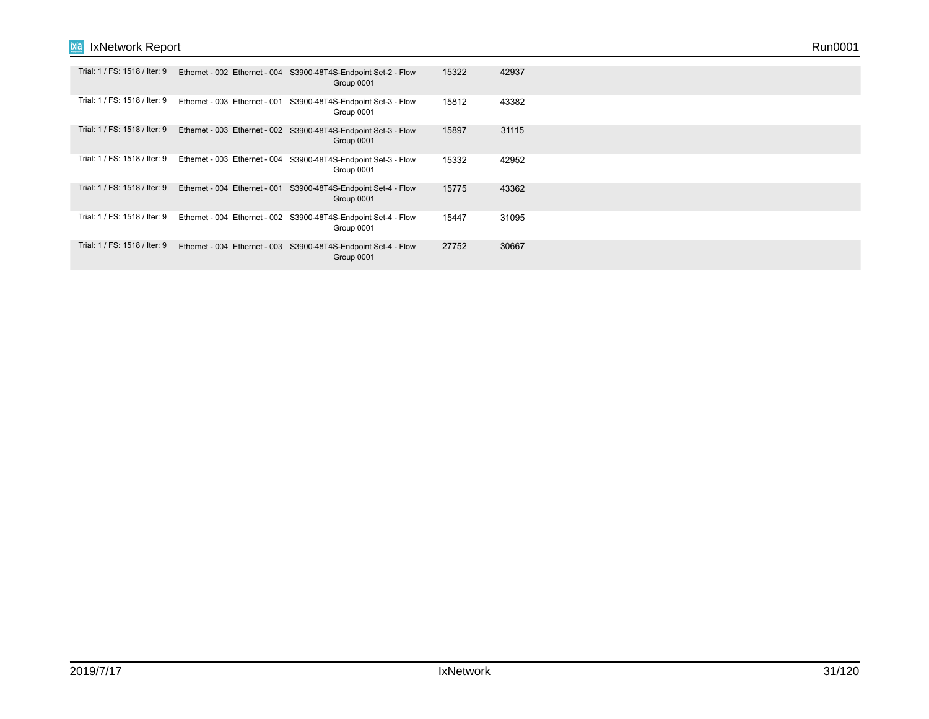| Trial: 1 / FS: 1518 / Iter: 9 |                               | Ethernet - 002 Ethernet - 004 S3900-48T4S-Endpoint Set-2 - Flow<br>Group 0001 | 15322 | 42937 |  |  |
|-------------------------------|-------------------------------|-------------------------------------------------------------------------------|-------|-------|--|--|
| Trial: 1 / FS: 1518 / Iter: 9 | Ethernet - 003 Ethernet - 001 | S3900-48T4S-Endpoint Set-3 - Flow<br>Group 0001                               | 15812 | 43382 |  |  |
| Trial: 1 / FS: 1518 / Iter: 9 |                               | Ethernet - 003 Ethernet - 002 S3900-48T4S-Endpoint Set-3 - Flow<br>Group 0001 | 15897 | 31115 |  |  |
| Trial: 1 / FS: 1518 / Iter: 9 | Ethernet - 003 Ethernet - 004 | S3900-48T4S-Endpoint Set-3 - Flow<br>Group 0001                               | 15332 | 42952 |  |  |
| Trial: 1 / FS: 1518 / Iter: 9 | Ethernet - 004 Ethernet - 001 | S3900-48T4S-Endpoint Set-4 - Flow<br>Group 0001                               | 15775 | 43362 |  |  |
| Trial: 1 / FS: 1518 / Iter: 9 |                               | Ethernet - 004 Ethernet - 002 S3900-48T4S-Endpoint Set-4 - Flow<br>Group 0001 | 15447 | 31095 |  |  |
| Trial: 1 / FS: 1518 / Iter: 9 |                               | Ethernet - 004 Ethernet - 003 S3900-48T4S-Endpoint Set-4 - Flow<br>Group 0001 | 27752 | 30667 |  |  |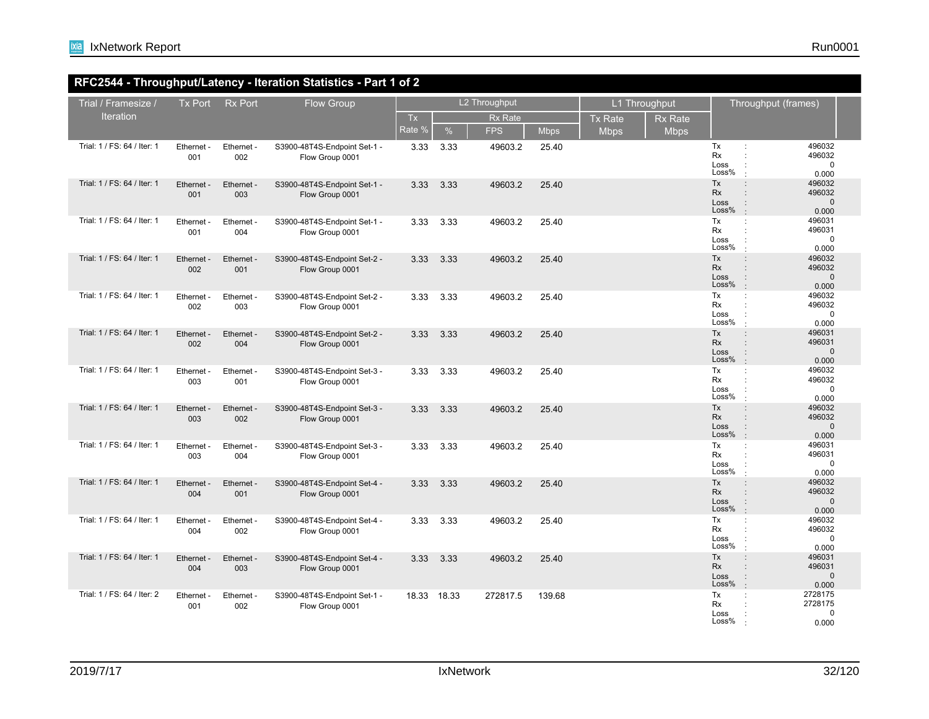### **RFC2544 - Throughput/Latency - Iteration Statistics - Part 1 of 2**

| Trial / Framesize /         | <b>Tx Port</b>    | <b>Rx Port</b>    | Flow Group                                      |              | L2 Throughput |                              |             | L1 Throughput                 |                               | Throughput (frames)              |                                                                                                                      |  |
|-----------------------------|-------------------|-------------------|-------------------------------------------------|--------------|---------------|------------------------------|-------------|-------------------------------|-------------------------------|----------------------------------|----------------------------------------------------------------------------------------------------------------------|--|
| Iteration                   |                   |                   |                                                 | Tx<br>Rate 9 | %             | <b>Rx Rate</b><br><b>FPS</b> | <b>Mbps</b> | <b>Tx Rate</b><br><b>Mbps</b> | <b>Rx Rate</b><br><b>Mbps</b> |                                  |                                                                                                                      |  |
| Trial: 1 / FS: 64 / Iter: 1 | Ethernet -<br>001 | Ethernet -<br>002 | S3900-48T4S-Endpoint Set-1 -<br>Flow Group 0001 | 3.33         | 3.33          | 49603.2                      | 25.40       |                               |                               | Tx<br>Rx<br>Loss<br>Loss%        | 496032<br>$\ddot{\phantom{a}}$<br>496032<br>÷<br>$\Omega$<br>0.000                                                   |  |
| Trial: 1 / FS: 64 / Iter: 1 | Ethernet -<br>001 | Ethernet -<br>003 | S3900-48T4S-Endpoint Set-1 -<br>Flow Group 0001 | 3.33         | 3.33          | 49603.2                      | 25.40       |                               |                               | Tx<br><b>Rx</b><br>Loss<br>Loss% | 496032<br>$\ddot{\phantom{a}}$<br>496032<br>$\pm$<br>$\mathbf{0}$<br>0.000<br>$\cdot$                                |  |
| Trial: 1 / FS: 64 / Iter: 1 | Ethernet -<br>001 | Ethernet -<br>004 | S3900-48T4S-Endpoint Set-1 -<br>Flow Group 0001 | 3.33         | 3.33          | 49603.2                      | 25.40       |                               |                               | Tx<br>Rx<br>Loss<br>Loss%        | 496031<br>÷<br>496031<br>$\mathbf 0$<br>0.000                                                                        |  |
| Trial: 1 / FS: 64 / Iter: 1 | Ethernet -<br>002 | Ethernet -<br>001 | S3900-48T4S-Endpoint Set-2 -<br>Flow Group 0001 | 3.33         | 3.33          | 49603.2                      | 25.40       |                               |                               | Tx<br>Rx<br>Loss<br>Loss%        | 496032<br>$\pm$<br>496032<br>$\ddot{\phantom{a}}$<br>$\mathbf 0$<br>0.000<br>$\cdot$                                 |  |
| Trial: 1 / FS: 64 / Iter: 1 | Ethernet<br>002   | Ethernet -<br>003 | S3900-48T4S-Endpoint Set-2 -<br>Flow Group 0001 | 3.33         | 3.33          | 49603.2                      | 25.40       |                               |                               | Tx<br>Rx<br>Loss<br>Loss%        | 496032<br>496032<br>$\mathbf 0$<br>0.000                                                                             |  |
| Trial: 1 / FS: 64 / Iter: 1 | Ethernet -<br>002 | Ethernet -<br>004 | S3900-48T4S-Endpoint Set-2 -<br>Flow Group 0001 | 3.33         | 3.33          | 49603.2                      | 25.40       |                               |                               | Tx<br><b>Rx</b><br>Loss<br>Loss% | 496031<br>$\ddot{\phantom{a}}$<br>496031<br>÷<br>$\mathbf{0}$<br>0.000<br>$\cdot$                                    |  |
| Trial: 1 / FS: 64 / Iter: 1 | Ethernet -<br>003 | Ethernet -<br>001 | S3900-48T4S-Endpoint Set-3 -<br>Flow Group 0001 | 3.33         | 3.33          | 49603.2                      | 25.40       |                               |                               | Tx<br>Rx<br>Loss<br>Loss%        | 496032<br>÷<br>496032<br>$\cdot$<br>$\mathbf 0$<br>$\ddot{\phantom{a}}$<br>0.000                                     |  |
| Trial: 1 / FS: 64 / Iter: 1 | Ethernet -<br>003 | Ethernet -<br>002 | S3900-48T4S-Endpoint Set-3 -<br>Flow Group 0001 | 3.33         | 3.33          | 49603.2                      | 25.40       |                               |                               | Tx<br>Rx<br>Loss<br>Loss%        | 496032<br>÷<br>496032<br>$\mathbf 0$<br>0.000<br>$\cdot$                                                             |  |
| Trial: 1 / FS: 64 / Iter: 1 | Ethernet -<br>003 | Ethernet -<br>004 | S3900-48T4S-Endpoint Set-3 -<br>Flow Group 0001 | 3.33         | 3.33          | 49603.2                      | 25.40       |                               |                               | Tx<br>Rx<br>Loss<br>Loss%        | 496031<br>496031<br>÷<br>$\mathbf 0$<br>0.000                                                                        |  |
| Trial: 1 / FS: 64 / Iter: 1 | Ethernet -<br>004 | Ethernet -<br>001 | S3900-48T4S-Endpoint Set-4 -<br>Flow Group 0001 | 3.33         | 3.33          | 49603.2                      | 25.40       |                               |                               | Tx<br><b>Rx</b><br>Loss<br>Loss% | 496032<br>$\ddot{\phantom{a}}$<br>496032<br>$\mathbf{I}$<br>$\mathbf{0}$<br>$\ddot{\phantom{a}}$<br>$\cdot$<br>0.000 |  |
| Trial: 1 / FS: 64 / Iter: 1 | Ethernet -<br>004 | Ethernet -<br>002 | S3900-48T4S-Endpoint Set-4 -<br>Flow Group 0001 | 3.33         | 3.33          | 49603.2                      | 25.40       |                               |                               | Tx<br>Rx<br>Loss<br>Loss%        | 496032<br>÷<br>496032<br>$\cdot$<br>$\mathbf 0$<br>0.000                                                             |  |
| Trial: 1 / FS: 64 / Iter: 1 | Ethernet -<br>004 | Ethernet -<br>003 | S3900-48T4S-Endpoint Set-4 -<br>Flow Group 0001 | 3.33         | 3.33          | 49603.2                      | 25.40       |                               |                               | <b>Tx</b><br>Rx<br>Loss<br>Loss% | 496031<br>$\pm$<br>496031<br>$\mathbf{0}$<br>$\ddot{\phantom{a}}$<br>0.000<br>$\cdot$                                |  |
| Trial: 1 / FS: 64 / Iter: 2 | Ethernet -<br>001 | Ethernet -<br>002 | S3900-48T4S-Endpoint Set-1 -<br>Flow Group 0001 |              | 18.33 18.33   | 272817.5                     | 139.68      |                               |                               | Tx<br>Rx<br>Loss<br>Loss%        | 2728175<br>2728175<br>0<br>0.000                                                                                     |  |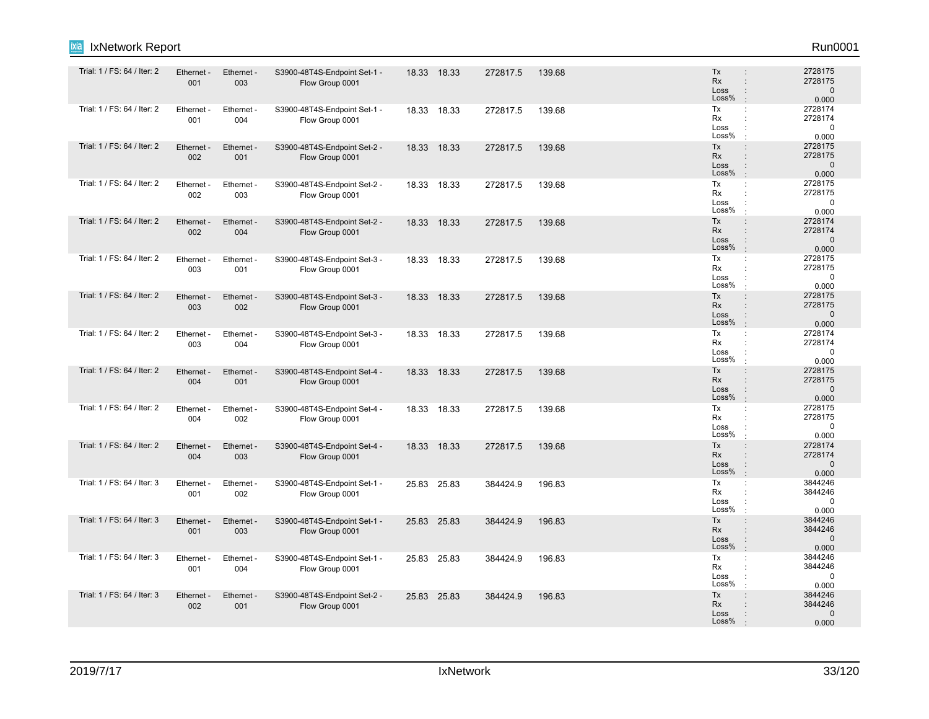| ixia<br>IxNetwork Report    |                   |                   |                                                 |             |          |        |                                                                                                      | Run0001                                     |
|-----------------------------|-------------------|-------------------|-------------------------------------------------|-------------|----------|--------|------------------------------------------------------------------------------------------------------|---------------------------------------------|
| Trial: 1 / FS: 64 / Iter: 2 | Ethernet -<br>001 | Ethernet -<br>003 | S3900-48T4S-Endpoint Set-1 -<br>Flow Group 0001 | 18.33 18.33 | 272817.5 | 139.68 | Tx<br>$\ddot{\phantom{a}}$<br><b>Rx</b><br>$\ddot{\phantom{a}}$<br>Loss<br>÷<br>Loss%<br>$\cdot$     | 2728175<br>2728175<br>$\mathbf 0$<br>0.000  |
| Trial: 1 / FS: 64 / Iter: 2 | Ethernet -<br>001 | Ethernet -<br>004 | S3900-48T4S-Endpoint Set-1 -<br>Flow Group 0001 | 18.33 18.33 | 272817.5 | 139.68 | Tx<br>÷<br>Rx<br>Loss<br>÷<br>Loss%<br>$\cdot$                                                       | 2728174<br>2728174<br>$\mathbf 0$<br>0.000  |
| Trial: 1 / FS: 64 / Iter: 2 | Ethernet -<br>002 | Ethernet -<br>001 | S3900-48T4S-Endpoint Set-2 -<br>Flow Group 0001 | 18.33 18.33 | 272817.5 | 139.68 | Tx<br>$\ddot{\phantom{a}}$<br>Rx<br>$\ddot{\phantom{a}}$<br>Loss<br>$\mathbf{I}$<br>Loss%<br>$\cdot$ | 2728175<br>2728175<br>$\mathbf 0$<br>0.000  |
| Trial: 1 / FS: 64 / Iter: 2 | Ethernet<br>002   | Ethernet -<br>003 | S3900-48T4S-Endpoint Set-2 -<br>Flow Group 0001 | 18.33 18.33 | 272817.5 | 139.68 | Tx<br>÷<br>Rx<br>÷<br>Loss<br>÷<br>Loss%<br>$\cdot$                                                  | 2728175<br>2728175<br>$\mathbf 0$<br>0.000  |
| Trial: 1 / FS: 64 / Iter: 2 | Ethernet -<br>002 | Ethernet -<br>004 | S3900-48T4S-Endpoint Set-2 -<br>Flow Group 0001 | 18.33 18.33 | 272817.5 | 139.68 | Tx<br>$\ddot{\phantom{a}}$<br>Rx<br>$\vdots$<br>Loss<br>$\ddot{\phantom{a}}$<br>Loss%<br>$\cdot$     | 2728174<br>2728174<br>$\mathbf 0$<br>0.000  |
| Trial: 1 / FS: 64 / Iter: 2 | Ethernet -<br>003 | Ethernet -<br>001 | S3900-48T4S-Endpoint Set-3 -<br>Flow Group 0001 | 18.33 18.33 | 272817.5 | 139.68 | Tx<br>÷<br>Rx<br>÷<br>Loss<br>Loss%<br>٠                                                             | 2728175<br>2728175<br>$\mathbf 0$<br>0.000  |
| Trial: 1 / FS: 64 / Iter: 2 | Ethernet -<br>003 | Ethernet -<br>002 | S3900-48T4S-Endpoint Set-3 -<br>Flow Group 0001 | 18.33 18.33 | 272817.5 | 139.68 | Tx<br>$\ddot{\phantom{a}}$<br>Rx<br>÷<br>Loss<br>÷<br>Loss%<br>$\cdot$                               | 2728175<br>2728175<br>$\mathbf 0$<br>0.000  |
| Trial: 1 / FS: 64 / Iter: 2 | Ethernet<br>003   | Ethernet -<br>004 | S3900-48T4S-Endpoint Set-3 -<br>Flow Group 0001 | 18.33 18.33 | 272817.5 | 139.68 | Tx<br>÷<br>Rx<br>Loss<br>Loss%<br>$\cdot$                                                            | 2728174<br>2728174<br>$\mathbf 0$<br>0.000  |
| Trial: 1 / FS: 64 / Iter: 2 | Ethernet<br>004   | Ethernet -<br>001 | S3900-48T4S-Endpoint Set-4 -<br>Flow Group 0001 | 18.33 18.33 | 272817.5 | 139.68 | Tx<br>÷<br><b>Rx</b><br>$\ddot{\phantom{a}}$<br>Loss<br>÷<br>Loss%<br>$\cdot$                        | 2728175<br>2728175<br>$\mathbf{0}$<br>0.000 |
| Trial: 1 / FS: 64 / Iter: 2 | Ethernet -<br>004 | Ethernet -<br>002 | S3900-48T4S-Endpoint Set-4 -<br>Flow Group 0001 | 18.33 18.33 | 272817.5 | 139.68 | Tx<br>÷<br>Rx<br>Loss<br>÷<br>Loss%<br>$\cdot$                                                       | 2728175<br>2728175<br>0<br>0.000            |
| Trial: 1 / FS: 64 / Iter: 2 | Ethernet -<br>004 | Ethernet -<br>003 | S3900-48T4S-Endpoint Set-4 -<br>Flow Group 0001 | 18.33 18.33 | 272817.5 | 139.68 | Tx<br>÷<br>Rx<br>$\ddot{\phantom{a}}$<br>Loss<br>Loss%<br>$\cdot$                                    | 2728174<br>2728174<br>$\mathbf 0$<br>0.000  |
| Trial: 1 / FS: 64 / Iter: 3 | Ethernet<br>001   | Ethernet -<br>002 | S3900-48T4S-Endpoint Set-1 -<br>Flow Group 0001 | 25.83 25.83 | 384424.9 | 196.83 | Tx<br>÷<br>Rx<br>Loss<br>Loss%<br>$\cdot$                                                            | 3844246<br>3844246<br>$\mathbf 0$<br>0.000  |
| Trial: 1 / FS: 64 / Iter: 3 | Ethernet -<br>001 | Ethernet -<br>003 | S3900-48T4S-Endpoint Set-1 -<br>Flow Group 0001 | 25.83 25.83 | 384424.9 | 196.83 | Tx<br>÷<br><b>Rx</b><br>÷<br>Loss<br>$\ddot{\phantom{a}}$<br>Loss%<br>$\cdot$                        | 3844246<br>3844246<br>$\mathbf{0}$<br>0.000 |
| Trial: 1 / FS: 64 / Iter: 3 | Ethernet<br>001   | Ethernet<br>004   | S3900-48T4S-Endpoint Set-1 -<br>Flow Group 0001 | 25.83 25.83 | 384424.9 | 196.83 | Tx<br>÷<br>Rx<br>Loss<br>Loss%                                                                       | 3844246<br>3844246<br>$\mathbf 0$<br>0.000  |
| Trial: 1 / FS: 64 / Iter: 3 | Ethernet -<br>002 | Ethernet -<br>001 | S3900-48T4S-Endpoint Set-2 -<br>Flow Group 0001 | 25.83 25.83 | 384424.9 | 196.83 | Tx<br>$\vdots$<br>Rx<br>Loss<br>Loss%                                                                | 3844246<br>3844246<br>$\Omega$<br>0.000     |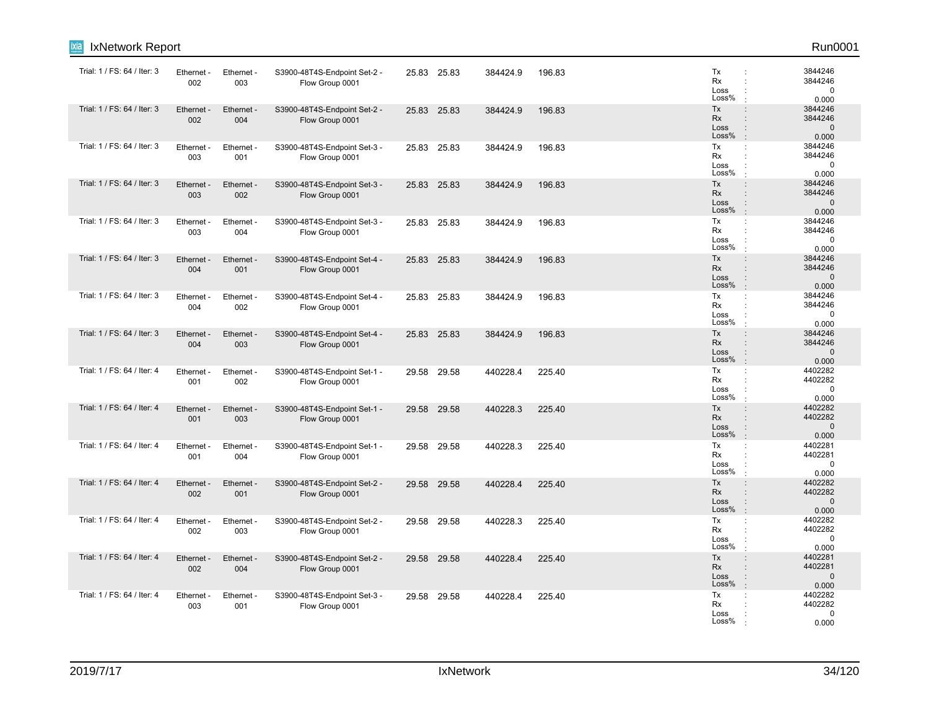| ixia<br>IxNetwork Report    |                   |                   |                                                 |       |             |          |        |                                  | Run0001                                                                                    |
|-----------------------------|-------------------|-------------------|-------------------------------------------------|-------|-------------|----------|--------|----------------------------------|--------------------------------------------------------------------------------------------|
| Trial: 1 / FS: 64 / Iter: 3 | Ethernet -<br>002 | Ethernet -<br>003 | S3900-48T4S-Endpoint Set-2 -<br>Flow Group 0001 |       | 25.83 25.83 | 384424.9 | 196.83 | Tx<br><b>Rx</b><br>Loss<br>Loss% | 3844246<br>$\ddot{\phantom{a}}$<br>3844246<br>$\mathbf 0$<br>0.000                         |
| Trial: 1 / FS: 64 / Iter: 3 | Ethernet -<br>002 | Ethernet -<br>004 | S3900-48T4S-Endpoint Set-2 -<br>Flow Group 0001 | 25.83 | 25.83       | 384424.9 | 196.83 | Tx<br>Rx<br>Loss<br>Loss%        | $\ddot{\phantom{a}}$<br>3844246<br>3844246<br>$\mathbf 0$<br>÷<br>0.000                    |
| Trial: 1 / FS: 64 / Iter: 3 | Ethernet -<br>003 | Ethernet -<br>001 | S3900-48T4S-Endpoint Set-3 -<br>Flow Group 0001 | 25.83 | 25.83       | 384424.9 | 196.83 | Tx<br>Rx<br>Loss<br>Loss%        | 3844246<br>$\mathbb{C}^{\times}$<br>3844246<br>÷<br>$\mathbf 0$<br>0.000                   |
| Trial: 1 / FS: 64 / Iter: 3 | Ethernet<br>003   | Ethernet -<br>002 | S3900-48T4S-Endpoint Set-3 -<br>Flow Group 0001 | 25.83 | 25.83       | 384424.9 | 196.83 | Tx<br>Rx<br>Loss<br>Loss%        | 3844246<br>÷<br>3844246<br>÷<br>$\mathbf 0$<br>0.000<br>$\cdot$                            |
| Trial: 1 / FS: 64 / Iter: 3 | Ethernet -<br>003 | Ethernet -<br>004 | S3900-48T4S-Endpoint Set-3 -<br>Flow Group 0001 |       | 25.83 25.83 | 384424.9 | 196.83 | Tx<br>Rx<br>Loss<br>Loss%        | 3844246<br>÷<br>3844246<br>$\Omega$<br>$\ddot{\phantom{a}}$<br>0.000                       |
| Trial: 1 / FS: 64 / Iter: 3 | Ethernet -<br>004 | Ethernet -<br>001 | S3900-48T4S-Endpoint Set-4 -<br>Flow Group 0001 | 25.83 | 25.83       | 384424.9 | 196.83 | Tx<br>Rx<br>Loss<br>Loss%        | 3844246<br>$\ddot{\phantom{a}}$<br>3844246<br>÷<br>$\mathbf 0$<br>0.000                    |
| Trial: 1 / FS: 64 / Iter: 3 | Ethernet<br>004   | Ethernet -<br>002 | S3900-48T4S-Endpoint Set-4 -<br>Flow Group 0001 | 25.83 | 25.83       | 384424.9 | 196.83 | Tx<br>Rx<br>Loss<br>Loss%        | 3844246<br>÷<br>3844246<br>$\ddot{\phantom{a}}$<br>$\mathbf 0$<br>0.000                    |
| Trial: 1 / FS: 64 / Iter: 3 | Ethernet -<br>004 | Ethernet -<br>003 | S3900-48T4S-Endpoint Set-4 -<br>Flow Group 0001 |       | 25.83 25.83 | 384424.9 | 196.83 | Tx<br>Rx<br>Loss<br>Loss%        | 3844246<br>$\cdot$<br>3844246<br>$\mathbf 0$<br>0.000                                      |
| Trial: 1 / FS: 64 / Iter: 4 | Ethernet<br>001   | Ethernet -<br>002 | S3900-48T4S-Endpoint Set-1 -<br>Flow Group 0001 |       | 29.58 29.58 | 440228.4 | 225.40 | Tx<br>Rx<br>Loss<br>Loss%        | 4402282<br>÷<br>4402282<br>$\mathbf 0$<br>0.000                                            |
| Trial: 1 / FS: 64 / Iter: 4 | Ethernet -<br>001 | Ethernet -<br>003 | S3900-48T4S-Endpoint Set-1 -<br>Flow Group 0001 | 29.58 | 29.58       | 440228.3 | 225.40 | Tx<br>Rx<br>Loss<br>Loss%        | 4402282<br>$\ddot{\phantom{a}}$<br>4402282<br>$\mathbf 0$<br>$\cdot$<br>0.000              |
| Trial: 1 / FS: 64 / Iter: 4 | Ethernet<br>001   | Ethernet -<br>004 | S3900-48T4S-Endpoint Set-1 -<br>Flow Group 0001 | 29.58 | 29.58       | 440228.3 | 225.40 | Tx<br>Rx<br>Loss<br>Loss%        | 4402281<br>$\ddot{\phantom{a}}$<br>4402281<br>$\ddot{\phantom{a}}$<br>$\mathbf 0$<br>0.000 |
| Trial: 1 / FS: 64 / Iter: 4 | Ethernet<br>002   | Ethernet -<br>001 | S3900-48T4S-Endpoint Set-2 -<br>Flow Group 0001 | 29.58 | 29.58       | 440228.4 | 225.40 | Tx<br>Rx<br>Loss<br>Loss%        | 4402282<br>$\cdot$<br>4402282<br>$\mathbf{0}$<br>0.000<br>$\cdot$                          |
| Trial: 1 / FS: 64 / Iter: 4 | Ethernet -<br>002 | Ethernet -<br>003 | S3900-48T4S-Endpoint Set-2 -<br>Flow Group 0001 |       | 29.58 29.58 | 440228.3 | 225.40 | Tx<br>Rx<br>Loss<br>Loss%        | 4402282<br>$\ddot{\phantom{a}}$<br>4402282<br>$\mathbf 0$<br>0.000<br>$\cdot$              |
| Trial: 1 / FS: 64 / Iter: 4 | Ethernet<br>002   | Ethernet -<br>004 | S3900-48T4S-Endpoint Set-2 -<br>Flow Group 0001 | 29.58 | 29.58       | 440228.4 | 225.40 | Tx<br><b>Rx</b><br>Loss<br>Loss% | 4402281<br>$\ddot{\phantom{a}}$<br>4402281<br>$\mathbf{0}$<br>0.000<br>$\cdot$             |
| Trial: 1 / FS: 64 / Iter: 4 | Ethernet<br>003   | Ethernet -<br>001 | S3900-48T4S-Endpoint Set-3 -<br>Flow Group 0001 | 29.58 | 29.58       | 440228.4 | 225.40 | Tx<br>Rx<br>Loss<br>Loss%        | 4402282<br>÷<br>4402282<br>$\mathbf 0$<br>0.000                                            |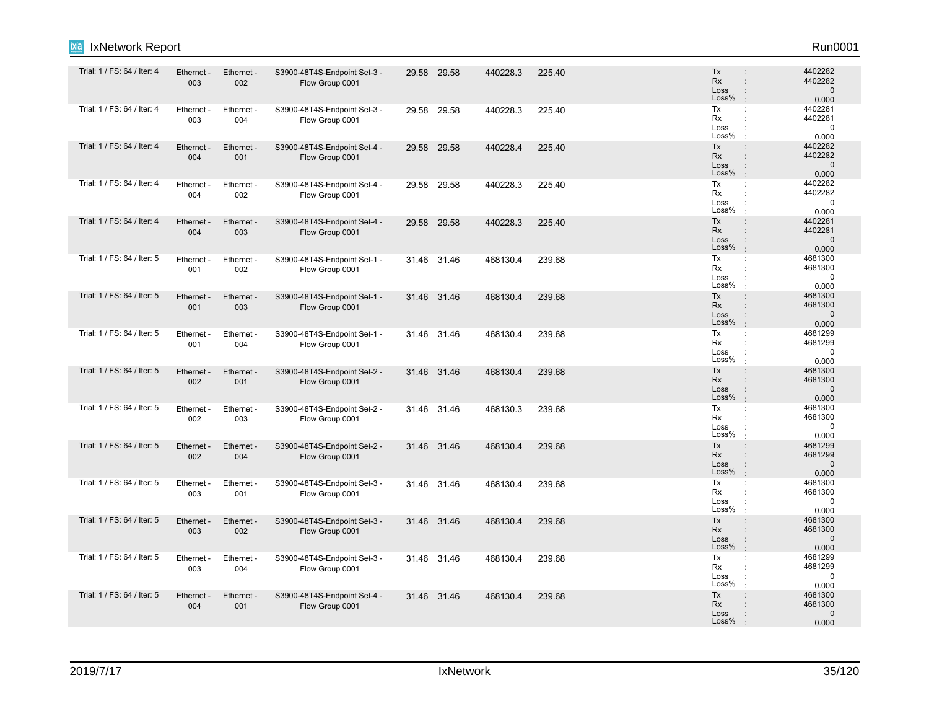| Trial: 1 / FS: 64 / Iter: 4 | Ethernet -<br>003 | Ethernet -<br>002 | S3900-48T4S-Endpoint Set-3 -<br>Flow Group 0001 |       | 29.58 29.58 | 440228.3 | 225.40 | <b>Tx</b><br>÷<br><b>Rx</b><br>$\ddot{\phantom{a}}$<br>Loss<br>$\ddot{\phantom{a}}$<br>Loss%<br>÷.                  | 4402282<br>4402282<br>$\mathbf{0}$<br>0.000   |
|-----------------------------|-------------------|-------------------|-------------------------------------------------|-------|-------------|----------|--------|---------------------------------------------------------------------------------------------------------------------|-----------------------------------------------|
| Trial: 1 / FS: 64 / Iter: 4 | Ethernet -<br>003 | Ethernet -<br>004 | S3900-48T4S-Endpoint Set-3 -<br>Flow Group 0001 |       | 29.58 29.58 | 440228.3 | 225.40 | Tx<br>÷<br>Rx<br>Loss<br>Loss%                                                                                      | 4402281<br>4402281<br>$\mathbf 0$<br>0.000    |
| Trial: 1 / FS: 64 / Iter: 4 | Ethernet -<br>004 | Ethernet -<br>001 | S3900-48T4S-Endpoint Set-4 -<br>Flow Group 0001 |       | 29.58 29.58 | 440228.4 | 225.40 | Tx<br>$\ddot{\phantom{a}}$<br>Rx<br>$\ddot{\phantom{a}}$<br>Loss<br>Loss%<br>$\cdot$                                | 4402282<br>4402282<br>$\mathbf 0$<br>0.000    |
| Trial: 1 / FS: 64 / Iter: 4 | Ethernet -<br>004 | Ethernet -<br>002 | S3900-48T4S-Endpoint Set-4 -<br>Flow Group 0001 | 29.58 | 29.58       | 440228.3 | 225.40 | Tx<br>÷<br><b>Rx</b><br>÷<br>Loss<br>Loss%<br>$\cdot$                                                               | 4402282<br>4402282<br>$\mathbf 0$<br>0.000    |
| Trial: 1 / FS: 64 / Iter: 4 | Ethernet -<br>004 | Ethernet -<br>003 | S3900-48T4S-Endpoint Set-4 -<br>Flow Group 0001 |       | 29.58 29.58 | 440228.3 | 225.40 | Tx<br>$\ddot{\phantom{a}}$<br><b>Rx</b><br>$\ddot{\phantom{a}}$<br>Loss<br>Loss%<br>$\cdot$                         | 4402281<br>4402281<br>$\overline{0}$<br>0.000 |
| Trial: 1 / FS: 64 / Iter: 5 | Ethernet -<br>001 | Ethernet -<br>002 | S3900-48T4S-Endpoint Set-1 -<br>Flow Group 0001 |       | 31.46 31.46 | 468130.4 | 239.68 | Tx<br>÷<br>Rx<br>÷<br>Loss<br>Loss%                                                                                 | 4681300<br>4681300<br>$\mathbf 0$<br>0.000    |
| Trial: 1 / FS: 64 / Iter: 5 | Ethernet -<br>001 | Ethernet -<br>003 | S3900-48T4S-Endpoint Set-1 -<br>Flow Group 0001 |       | 31.46 31.46 | 468130.4 | 239.68 | Tx<br>$\ddot{\phantom{a}}$<br><b>Rx</b><br>$\ddot{\phantom{a}}$<br>Loss<br>$\ddot{\phantom{a}}$<br>Loss%<br>$\cdot$ | 4681300<br>4681300<br>$\mathbf 0$<br>0.000    |
| Trial: 1 / FS: 64 / Iter: 5 | Ethernet -<br>001 | Ethernet -<br>004 | S3900-48T4S-Endpoint Set-1 -<br>Flow Group 0001 |       | 31.46 31.46 | 468130.4 | 239.68 | Tx<br><b>Rx</b><br>÷<br>Loss<br>÷<br>Loss%<br>$\cdot$                                                               | 4681299<br>4681299<br>$\mathbf 0$<br>0.000    |
| Trial: 1 / FS: 64 / Iter: 5 | Ethernet -<br>002 | Ethernet -<br>001 | S3900-48T4S-Endpoint Set-2 -<br>Flow Group 0001 |       | 31.46 31.46 | 468130.4 | 239.68 | Tx<br>$\ddot{\phantom{a}}$<br>Rx<br>$\ddot{\phantom{a}}$<br>Loss<br>$\ddot{\phantom{a}}$<br>Loss%<br>÷              | 4681300<br>4681300<br>$\mathbf 0$<br>0.000    |
| Trial: 1 / FS: 64 / Iter: 5 | Ethernet -<br>002 | Ethernet -<br>003 | S3900-48T4S-Endpoint Set-2 -<br>Flow Group 0001 |       | 31.46 31.46 | 468130.3 | 239.68 | Tx<br>÷<br>Rx<br>Loss<br>Loss%<br>÷                                                                                 | 4681300<br>4681300<br>$\mathbf 0$<br>0.000    |
| Trial: 1 / FS: 64 / Iter: 5 | Ethernet -<br>002 | Ethernet -<br>004 | S3900-48T4S-Endpoint Set-2 -<br>Flow Group 0001 |       | 31.46 31.46 | 468130.4 | 239.68 | Tx<br>÷<br>Rx<br>$\ddot{\phantom{a}}$<br>Loss<br>$\ddot{\phantom{a}}$<br>Loss%<br>$\cdot$                           | 4681299<br>4681299<br>$\mathbf 0$<br>0.000    |
| Trial: 1 / FS: 64 / Iter: 5 | Ethernet -<br>003 | Ethernet -<br>001 | S3900-48T4S-Endpoint Set-3 -<br>Flow Group 0001 |       | 31.46 31.46 | 468130.4 | 239.68 | Tx<br>÷<br>Rx<br>Loss<br>Loss%                                                                                      | 4681300<br>4681300<br>$\mathbf 0$<br>0.000    |
| Trial: 1 / FS: 64 / Iter: 5 | Ethernet -<br>003 | Ethernet -<br>002 | S3900-48T4S-Endpoint Set-3 -<br>Flow Group 0001 |       | 31.46 31.46 | 468130.4 | 239.68 | Tx<br>$\ddot{\phantom{a}}$<br>Rx<br>÷<br>$\ddot{\phantom{a}}$<br>Loss<br>Loss%<br>$\cdot$                           | 4681300<br>4681300<br>$\mathbf 0$<br>0.000    |
| Trial: 1 / FS: 64 / Iter: 5 | Ethernet -<br>003 | Ethernet -<br>004 | S3900-48T4S-Endpoint Set-3 -<br>Flow Group 0001 |       | 31.46 31.46 | 468130.4 | 239.68 | Tx<br>÷<br><b>Rx</b><br>÷<br>Loss<br>Loss%<br>$\cdot$                                                               | 4681299<br>4681299<br>$\mathbf 0$<br>0.000    |
| Trial: 1 / FS: 64 / Iter: 5 | Ethernet -<br>004 | Ethernet -<br>001 | S3900-48T4S-Endpoint Set-4 -<br>Flow Group 0001 |       | 31.46 31.46 | 468130.4 | 239.68 | Tx<br>$\ddot{\phantom{a}}$<br><b>Rx</b><br>$\ddot{\phantom{a}}$<br>Loss<br>Loss%                                    | 4681300<br>4681300<br>$\mathbf{0}$<br>0.000   |

**Ixia** IxNetwork Report Run0001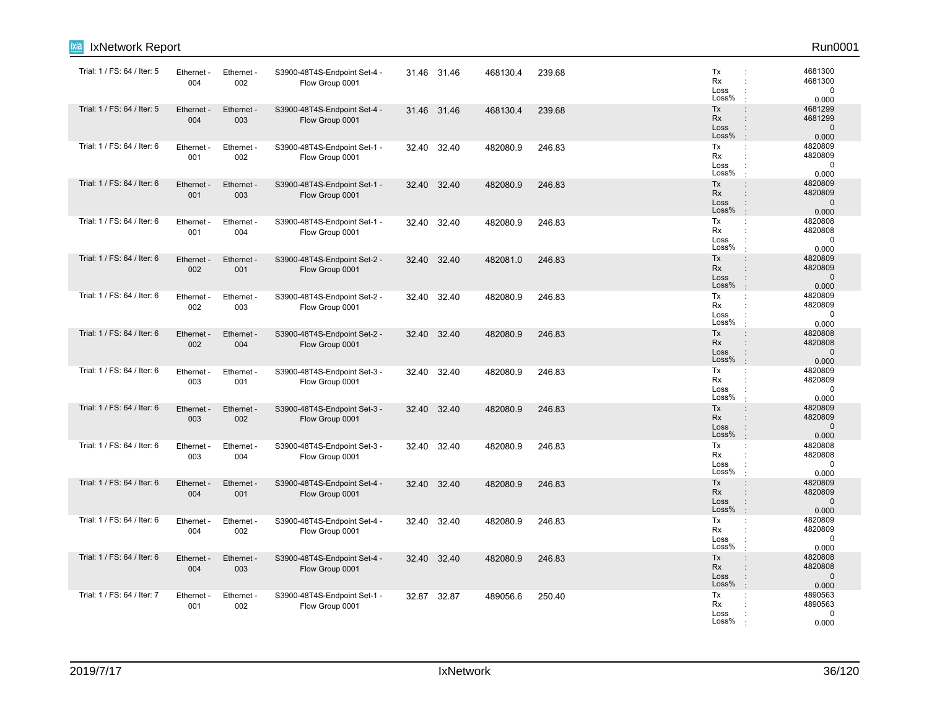| ixia<br>IxNetwork Report    |                   |                   |                                                 |       |             |          |        |                                                                                             | Run0001                                     |
|-----------------------------|-------------------|-------------------|-------------------------------------------------|-------|-------------|----------|--------|---------------------------------------------------------------------------------------------|---------------------------------------------|
| Trial: 1 / FS: 64 / Iter: 5 | Ethernet -<br>004 | Ethernet -<br>002 | S3900-48T4S-Endpoint Set-4 -<br>Flow Group 0001 |       | 31.46 31.46 | 468130.4 | 239.68 | Tx<br>$\ddot{\phantom{a}}$<br><b>Rx</b><br>Loss<br>Loss%                                    | 4681300<br>4681300<br>$\mathbf 0$<br>0.000  |
| Trial: 1 / FS: 64 / Iter: 5 | Ethernet -<br>004 | Ethernet -<br>003 | S3900-48T4S-Endpoint Set-4 -<br>Flow Group 0001 |       | 31.46 31.46 | 468130.4 | 239.68 | Tx<br>$\ddot{\phantom{a}}$<br>Rx<br>Loss<br>÷<br>Loss%                                      | 4681299<br>4681299<br>$\mathbf 0$<br>0.000  |
| Trial: 1 / FS: 64 / Iter: 6 | Ethernet -<br>001 | Ethernet -<br>002 | S3900-48T4S-Endpoint Set-1 -<br>Flow Group 0001 | 32.40 | 32.40       | 482080.9 | 246.83 | Tx<br>$\mathbb{C}^{\times}$<br>Rx<br>÷<br>Loss<br>Loss%                                     | 4820809<br>4820809<br>$\mathbf 0$<br>0.000  |
| Trial: 1 / FS: 64 / Iter: 6 | Ethernet<br>001   | Ethernet -<br>003 | S3900-48T4S-Endpoint Set-1 -<br>Flow Group 0001 | 32.40 | 32.40       | 482080.9 | 246.83 | Tx<br>$\ddot{\phantom{a}}$<br>Rx<br>$\ddot{\phantom{a}}$<br>Loss<br>Loss%<br>$\cdot$        | 4820809<br>4820809<br>$\mathbf 0$<br>0.000  |
| Trial: 1 / FS: 64 / Iter: 6 | Ethernet -<br>001 | Ethernet -<br>004 | S3900-48T4S-Endpoint Set-1 -<br>Flow Group 0001 |       | 32.40 32.40 | 482080.9 | 246.83 | Tx<br>÷<br>Rx<br>Loss<br>$\ddot{\phantom{a}}$<br>Loss%                                      | 4820808<br>4820808<br>$\Omega$<br>0.000     |
| Trial: 1 / FS: 64 / Iter: 6 | Ethernet -<br>002 | Ethernet -<br>001 | S3900-48T4S-Endpoint Set-2 -<br>Flow Group 0001 |       | 32.40 32.40 | 482081.0 | 246.83 | Tx<br>$\ddot{\phantom{a}}$<br>Rx<br>$\ddot{\phantom{a}}$<br>Loss<br>Loss%                   | 4820809<br>4820809<br>$\mathbf 0$<br>0.000  |
| Trial: 1 / FS: 64 / Iter: 6 | Ethernet<br>002   | Ethernet -<br>003 | S3900-48T4S-Endpoint Set-2 -<br>Flow Group 0001 | 32.40 | 32.40       | 482080.9 | 246.83 | Tx<br>÷<br>Rx<br>$\ddot{\phantom{a}}$<br>Loss<br>Loss%                                      | 4820809<br>4820809<br>$\mathbf 0$<br>0.000  |
| Trial: 1 / FS: 64 / Iter: 6 | Ethernet -<br>002 | Ethernet -<br>004 | S3900-48T4S-Endpoint Set-2 -<br>Flow Group 0001 |       | 32.40 32.40 | 482080.9 | 246.83 | Tx<br>$\mathbf{r}$<br>Rx<br>Loss<br>Loss%<br>$\cdot$                                        | 4820808<br>4820808<br>$\mathbf 0$<br>0.000  |
| Trial: 1 / FS: 64 / Iter: 6 | Ethernet<br>003   | Ethernet -<br>001 | S3900-48T4S-Endpoint Set-3 -<br>Flow Group 0001 |       | 32.40 32.40 | 482080.9 | 246.83 | Tx<br>÷<br>Rx<br>Loss<br>Loss%                                                              | 4820809<br>4820809<br>$\mathbf 0$<br>0.000  |
| Trial: 1 / FS: 64 / Iter: 6 | Ethernet -<br>003 | Ethernet -<br>002 | S3900-48T4S-Endpoint Set-3 -<br>Flow Group 0001 |       | 32.40 32.40 | 482080.9 | 246.83 | Tx<br>$\ddot{\phantom{a}}$<br>Rx<br>Loss<br>Loss%<br>$\cdot$                                | 4820809<br>4820809<br>$\mathbf 0$<br>0.000  |
| Trial: 1 / FS: 64 / Iter: 6 | Ethernet<br>003   | Ethernet -<br>004 | S3900-48T4S-Endpoint Set-3 -<br>Flow Group 0001 | 32.40 | 32.40       | 482080.9 | 246.83 | Tx<br>$\ddot{\phantom{a}}$<br>Rx<br>÷<br>Loss<br>Loss%                                      | 4820808<br>4820808<br>$\mathbf 0$<br>0.000  |
| Trial: 1 / FS: 64 / Iter: 6 | Ethernet<br>004   | Ethernet -<br>001 | S3900-48T4S-Endpoint Set-4 -<br>Flow Group 0001 |       | 32.40 32.40 | 482080.9 | 246.83 | Tx<br>$\ddot{\phantom{a}}$<br>Rx<br>Loss<br>Loss%<br>$\cdot$                                | 4820809<br>4820809<br>$\mathbf{0}$<br>0.000 |
| Trial: 1 / FS: 64 / Iter: 6 | Ethernet<br>004   | Ethernet -<br>002 | S3900-48T4S-Endpoint Set-4 -<br>Flow Group 0001 |       | 32.40 32.40 | 482080.9 | 246.83 | Tx<br>$\ddot{\phantom{a}}$<br>Rx<br>Loss<br>Loss%<br>$\cdot$                                | 4820809<br>4820809<br>$\mathbf 0$<br>0.000  |
| Trial: 1 / FS: 64 / Iter: 6 | Ethernet<br>004   | Ethernet -<br>003 | S3900-48T4S-Endpoint Set-4 -<br>Flow Group 0001 | 32.40 | 32.40       | 482080.9 | 246.83 | Tx<br>$\ddot{\phantom{a}}$<br><b>Rx</b><br>$\ddot{\phantom{a}}$<br>Loss<br>Loss%<br>$\cdot$ | 4820808<br>4820808<br>$\mathbf{0}$<br>0.000 |
| Trial: 1 / FS: 64 / Iter: 7 | Ethernet<br>001   | Ethernet -<br>002 | S3900-48T4S-Endpoint Set-1 -<br>Flow Group 0001 |       | 32.87 32.87 | 489056.6 | 250.40 | Tx<br>÷<br>Rx<br>Loss<br>Loss%                                                              | 4890563<br>4890563<br>$\mathbf 0$<br>0.000  |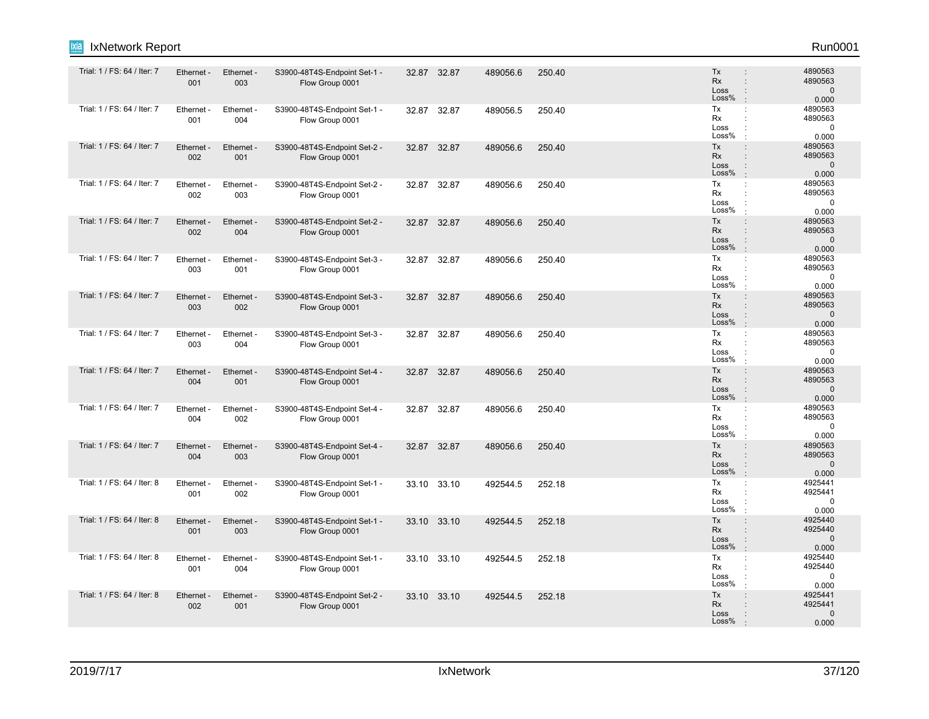| ixia<br>IxNetwork Report    |                   |                        |                                                 |       |             |          |        |                                                                                                              | Run0001                                     |
|-----------------------------|-------------------|------------------------|-------------------------------------------------|-------|-------------|----------|--------|--------------------------------------------------------------------------------------------------------------|---------------------------------------------|
| Trial: 1 / FS: 64 / Iter: 7 | Ethernet -<br>001 | Ethernet -<br>003      | S3900-48T4S-Endpoint Set-1 -<br>Flow Group 0001 |       | 32.87 32.87 | 489056.6 | 250.40 | Tx<br>$\ddot{\phantom{a}}$<br>Rx<br>$\ddot{\phantom{a}}$<br>Loss<br>÷<br>Loss%<br>$\cdot$                    | 4890563<br>4890563<br>$\mathbf 0$<br>0.000  |
| Trial: 1 / FS: 64 / Iter: 7 | Ethernet -<br>001 | Ethernet -<br>004      | S3900-48T4S-Endpoint Set-1 -<br>Flow Group 0001 | 32.87 | 32.87       | 489056.5 | 250.40 | Tx<br>÷<br>Rx<br>Loss<br>Loss%                                                                               | 4890563<br>4890563<br>$\mathbf 0$<br>0.000  |
| Trial: 1 / FS: 64 / Iter: 7 | Ethernet -<br>002 | Ethernet -<br>001      | S3900-48T4S-Endpoint Set-2 -<br>Flow Group 0001 | 32.87 | 32.87       | 489056.6 | 250.40 | Tx<br>$\ddot{\phantom{a}}$<br>Rx<br>$\ddot{\phantom{a}}$<br>Loss<br>$\ddot{\phantom{a}}$<br>Loss%<br>$\cdot$ | 4890563<br>4890563<br>$\mathbf 0$<br>0.000  |
| Trial: 1 / FS: 64 / Iter: 7 | Ethernet<br>002   | Ethernet -<br>003      | S3900-48T4S-Endpoint Set-2 -<br>Flow Group 0001 | 32.87 | 32.87       | 489056.6 | 250.40 | Tx<br>$\ddot{\phantom{a}}$<br>Rx<br>÷<br>Loss<br>Loss%<br>$\cdot$                                            | 4890563<br>4890563<br>$\mathbf 0$<br>0.000  |
| Trial: 1 / FS: 64 / Iter: 7 | Ethernet -<br>002 | Ethernet -<br>004      | S3900-48T4S-Endpoint Set-2 -<br>Flow Group 0001 |       | 32.87 32.87 | 489056.6 | 250.40 | Tx<br>$\ddot{\phantom{a}}$<br>Rx<br>$\ddot{\phantom{a}}$<br>Loss<br>÷<br>Loss%<br>$\cdot$                    | 4890563<br>4890563<br>$\mathbf 0$<br>0.000  |
| Trial: 1 / FS: 64 / Iter: 7 | Ethernet<br>003   | Ethernet<br>001        | S3900-48T4S-Endpoint Set-3 -<br>Flow Group 0001 | 32.87 | 32.87       | 489056.6 | 250.40 | Tx<br>÷<br>Rx<br>$\ddot{\phantom{a}}$<br>Loss<br>Loss%<br>$\cdot$                                            | 4890563<br>4890563<br>$\mathbf 0$<br>0.000  |
| Trial: 1 / FS: 64 / Iter: 7 | Ethernet -<br>003 | Ethernet -<br>002      | S3900-48T4S-Endpoint Set-3 -<br>Flow Group 0001 | 32.87 | 32.87       | 489056.6 | 250.40 | Tx<br>$\ddot{\phantom{a}}$<br><b>Rx</b><br>÷<br>Loss<br>÷<br>Loss%<br>$\cdot$                                | 4890563<br>4890563<br>$\mathbf 0$<br>0.000  |
| Trial: 1 / FS: 64 / Iter: 7 | Ethernet<br>003   | <b>Ethernet</b><br>004 | S3900-48T4S-Endpoint Set-3 -<br>Flow Group 0001 | 32.87 | 32.87       | 489056.6 | 250.40 | Tx<br>÷<br>Rx<br>÷<br>Loss<br>÷<br>Loss%                                                                     | 4890563<br>4890563<br>$\mathbf 0$<br>0.000  |
| Trial: 1 / FS: 64 / Iter: 7 | Ethernet -<br>004 | Ethernet -<br>001      | S3900-48T4S-Endpoint Set-4 -<br>Flow Group 0001 | 32.87 | 32.87       | 489056.6 | 250.40 | Tx<br>$\ddot{\phantom{a}}$<br>Rx<br>$\ddot{\phantom{a}}$<br>Loss<br>÷<br>Loss%<br>$\cdot$                    | 4890563<br>4890563<br>$\mathbf{0}$<br>0.000 |
| Trial: 1 / FS: 64 / Iter: 7 | Ethernet -<br>004 | Ethernet -<br>002      | S3900-48T4S-Endpoint Set-4 -<br>Flow Group 0001 |       | 32.87 32.87 | 489056.6 | 250.40 | Tx<br>÷<br>Rx<br>Loss<br>Loss%                                                                               | 4890563<br>4890563<br>0<br>0.000            |
| Trial: 1 / FS: 64 / Iter: 7 | Ethernet -<br>004 | Ethernet -<br>003      | S3900-48T4S-Endpoint Set-4 -<br>Flow Group 0001 | 32.87 | 32.87       | 489056.6 | 250.40 | Tx<br>$\ddot{\phantom{a}}$<br>Rx<br>$\ddot{\phantom{a}}$<br>Loss<br>Loss%<br>$\cdot$                         | 4890563<br>4890563<br>$\mathbf 0$<br>0.000  |
| Trial: 1 / FS: 64 / Iter: 8 | Ethernet<br>001   | Ethernet -<br>002      | S3900-48T4S-Endpoint Set-1 -<br>Flow Group 0001 | 33.10 | 33.10       | 492544.5 | 252.18 | Tx<br>÷<br>Rx<br>Loss<br>$\ddot{\phantom{a}}$<br>Loss%<br>$\cdot$                                            | 4925441<br>4925441<br>$\mathbf 0$<br>0.000  |
| Trial: 1 / FS: 64 / Iter: 8 | Ethernet -<br>001 | Ethernet -<br>003      | S3900-48T4S-Endpoint Set-1 -<br>Flow Group 0001 |       | 33.10 33.10 | 492544.5 | 252.18 | Tx<br>÷<br>Rx<br>÷<br>Loss<br>$\ddot{\phantom{a}}$<br>Loss%<br>$\cdot$                                       | 4925440<br>4925440<br>$\mathbf{0}$<br>0.000 |
| Trial: 1 / FS: 64 / Iter: 8 | Ethernet<br>001   | Ethernet<br>004        | S3900-48T4S-Endpoint Set-1 -<br>Flow Group 0001 |       | 33.10 33.10 | 492544.5 | 252.18 | Tx<br>÷<br>Rx<br>Loss<br>Loss%                                                                               | 4925440<br>4925440<br>$\mathbf 0$<br>0.000  |
| Trial: 1 / FS: 64 / Iter: 8 | Ethernet -<br>002 | Ethernet -<br>001      | S3900-48T4S-Endpoint Set-2 -<br>Flow Group 0001 |       | 33.10 33.10 | 492544.5 | 252.18 | Tx<br>$\vdots$<br>Rx<br>Loss<br>Loss%                                                                        | 4925441<br>4925441<br>$\mathbf{0}$<br>0.000 |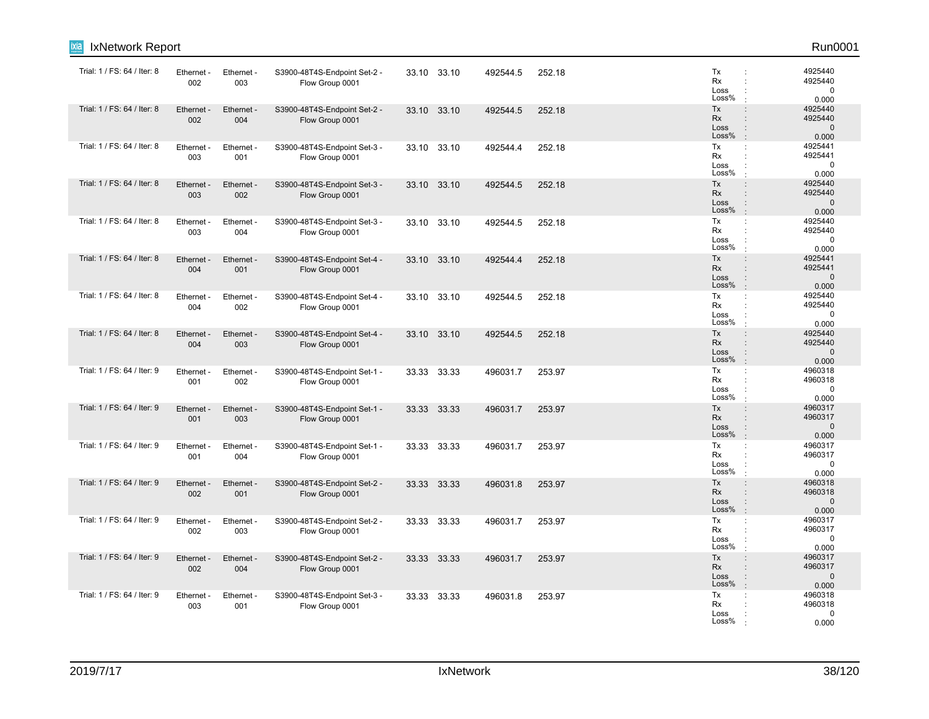| ixia<br>IxNetwork Report    |                   |                   |                                                 |       |             |          |        |                                                                                             | Run0001                                     |
|-----------------------------|-------------------|-------------------|-------------------------------------------------|-------|-------------|----------|--------|---------------------------------------------------------------------------------------------|---------------------------------------------|
| Trial: 1 / FS: 64 / Iter: 8 | Ethernet -<br>002 | Ethernet -<br>003 | S3900-48T4S-Endpoint Set-2 -<br>Flow Group 0001 |       | 33.10 33.10 | 492544.5 | 252.18 | Tx<br>$\ddot{\phantom{a}}$<br><b>Rx</b><br>Loss<br>Loss%                                    | 4925440<br>4925440<br>$\mathbf 0$<br>0.000  |
| Trial: 1 / FS: 64 / Iter: 8 | Ethernet -<br>002 | Ethernet -<br>004 | S3900-48T4S-Endpoint Set-2 -<br>Flow Group 0001 |       | 33.10 33.10 | 492544.5 | 252.18 | Tx<br>$\ddot{\phantom{a}}$<br>Rx<br>Loss<br>÷<br>Loss%                                      | 4925440<br>4925440<br>$\mathbf 0$<br>0.000  |
| Trial: 1 / FS: 64 / Iter: 8 | Ethernet -<br>003 | Ethernet -<br>001 | S3900-48T4S-Endpoint Set-3 -<br>Flow Group 0001 |       | 33.10 33.10 | 492544.4 | 252.18 | Tx<br>$\mathbb{C}^{\times}$<br>Rx<br>$\ddot{\phantom{a}}$<br>Loss<br>Loss%                  | 4925441<br>4925441<br>$\mathbf 0$<br>0.000  |
| Trial: 1 / FS: 64 / Iter: 8 | Ethernet<br>003   | Ethernet -<br>002 | S3900-48T4S-Endpoint Set-3 -<br>Flow Group 0001 | 33.10 | 33.10       | 492544.5 | 252.18 | Tx<br>$\ddot{\phantom{a}}$<br>Rx<br>$\ddot{\phantom{a}}$<br>Loss<br>Loss%<br>$\cdot$        | 4925440<br>4925440<br>$\mathbf 0$<br>0.000  |
| Trial: 1 / FS: 64 / Iter: 8 | Ethernet -<br>003 | Ethernet -<br>004 | S3900-48T4S-Endpoint Set-3 -<br>Flow Group 0001 |       | 33.10 33.10 | 492544.5 | 252.18 | Tx<br>÷<br>Rx<br>$\ddot{\phantom{a}}$<br>Loss<br>$\ddot{\phantom{a}}$<br>Loss%              | 4925440<br>4925440<br>$\Omega$<br>0.000     |
| Trial: 1 / FS: 64 / Iter: 8 | Ethernet -<br>004 | Ethernet -<br>001 | S3900-48T4S-Endpoint Set-4 -<br>Flow Group 0001 |       | 33.10 33.10 | 492544.4 | 252.18 | Tx<br>$\ddot{\phantom{a}}$<br>Rx<br>$\ddot{\phantom{a}}$<br>Loss<br>Loss%                   | 4925441<br>4925441<br>$\mathbf 0$<br>0.000  |
| Trial: 1 / FS: 64 / Iter: 8 | Ethernet<br>004   | Ethernet -<br>002 | S3900-48T4S-Endpoint Set-4 -<br>Flow Group 0001 |       | 33.10 33.10 | 492544.5 | 252.18 | Tx<br>÷<br>Rx<br>$\ddot{\phantom{a}}$<br>Loss<br>Loss%                                      | 4925440<br>4925440<br>$\mathbf 0$<br>0.000  |
| Trial: 1 / FS: 64 / Iter: 8 | Ethernet -<br>004 | Ethernet -<br>003 | S3900-48T4S-Endpoint Set-4 -<br>Flow Group 0001 |       | 33.10 33.10 | 492544.5 | 252.18 | Tx<br>$\mathbf{r}$<br>Rx<br>÷<br>Loss<br>Loss%<br>$\cdot$                                   | 4925440<br>4925440<br>$\mathbf 0$<br>0.000  |
| Trial: 1 / FS: 64 / Iter: 9 | Ethernet<br>001   | Ethernet -<br>002 | S3900-48T4S-Endpoint Set-1 -<br>Flow Group 0001 |       | 33.33 33.33 | 496031.7 | 253.97 | Tx<br>÷<br>Rx<br>Loss<br>Loss%                                                              | 4960318<br>4960318<br>$\mathbf 0$<br>0.000  |
| Trial: 1 / FS: 64 / Iter: 9 | Ethernet -<br>001 | Ethernet -<br>003 | S3900-48T4S-Endpoint Set-1 -<br>Flow Group 0001 |       | 33.33 33.33 | 496031.7 | 253.97 | Tx<br>$\ddot{\phantom{a}}$<br>Rx<br>Loss<br>Loss%<br>$\cdot$                                | 4960317<br>4960317<br>$\mathbf 0$<br>0.000  |
| Trial: 1 / FS: 64 / Iter: 9 | Ethernet<br>001   | Ethernet -<br>004 | S3900-48T4S-Endpoint Set-1 -<br>Flow Group 0001 |       | 33.33 33.33 | 496031.7 | 253.97 | Tx<br>$\ddot{\phantom{a}}$<br>Rx<br>÷<br>Loss<br>Loss%<br>$\cdot$                           | 4960317<br>4960317<br>$\mathbf 0$<br>0.000  |
| Trial: 1 / FS: 64 / Iter: 9 | Ethernet<br>002   | Ethernet -<br>001 | S3900-48T4S-Endpoint Set-2 -<br>Flow Group 0001 |       | 33.33 33.33 | 496031.8 | 253.97 | Tx<br>$\ddot{\phantom{a}}$<br>Rx<br>Loss<br>Loss%<br>$\cdot$                                | 4960318<br>4960318<br>$\mathbf{0}$<br>0.000 |
| Trial: 1 / FS: 64 / Iter: 9 | Ethernet -<br>002 | Ethernet -<br>003 | S3900-48T4S-Endpoint Set-2 -<br>Flow Group 0001 |       | 33.33 33.33 | 496031.7 | 253.97 | Tx<br>$\ddot{\phantom{a}}$<br>Rx<br>Loss<br>Loss%<br>$\cdot$                                | 4960317<br>4960317<br>$\mathbf 0$<br>0.000  |
| Trial: 1 / FS: 64 / Iter: 9 | Ethernet<br>002   | Ethernet -<br>004 | S3900-48T4S-Endpoint Set-2 -<br>Flow Group 0001 | 33.33 | 33.33       | 496031.7 | 253.97 | Tx<br>$\ddot{\phantom{a}}$<br><b>Rx</b><br>$\ddot{\phantom{a}}$<br>Loss<br>Loss%<br>$\cdot$ | 4960317<br>4960317<br>$\mathbf{0}$<br>0.000 |
| Trial: 1 / FS: 64 / Iter: 9 | Ethernet<br>003   | Ethernet -<br>001 | S3900-48T4S-Endpoint Set-3 -<br>Flow Group 0001 |       | 33.33 33.33 | 496031.8 | 253.97 | Tx<br>÷<br>Rx<br>Loss<br>Loss%                                                              | 4960318<br>4960318<br>$\mathbf 0$<br>0.000  |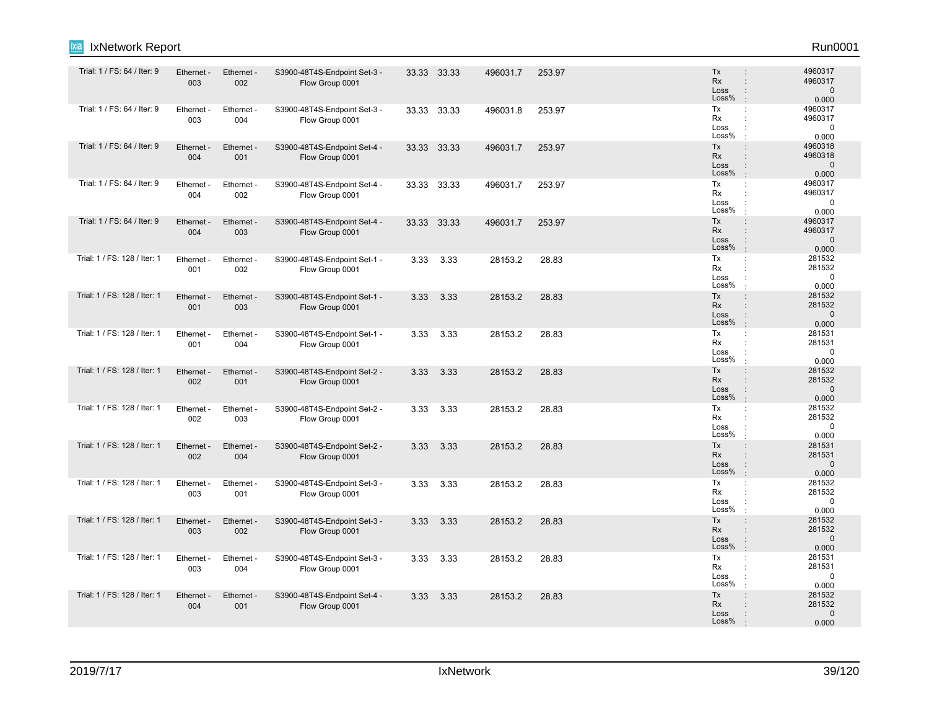| <b>IxNetwork Report</b><br>Ixia |                   |                   |                                                 |      |             |          |        |                                                                                           | Run0001                                     |
|---------------------------------|-------------------|-------------------|-------------------------------------------------|------|-------------|----------|--------|-------------------------------------------------------------------------------------------|---------------------------------------------|
| Trial: 1 / FS: 64 / Iter: 9     | Ethernet -<br>003 | Ethernet -<br>002 | S3900-48T4S-Endpoint Set-3 -<br>Flow Group 0001 |      | 33.33 33.33 | 496031.7 | 253.97 | Tx<br>÷<br>Rx<br>$\ddot{\phantom{a}}$<br>Loss<br>÷<br>Loss%<br>$\ddot{\phantom{a}}$       | 4960317<br>4960317<br>$\mathbf 0$<br>0.000  |
| Trial: 1 / FS: 64 / Iter: 9     | Ethernet -<br>003 | Ethernet -<br>004 | S3900-48T4S-Endpoint Set-3 -<br>Flow Group 0001 |      | 33.33 33.33 | 496031.8 | 253.97 | Tx<br>÷<br>Rx<br>٠<br>Loss<br>÷<br>Loss%                                                  | 4960317<br>4960317<br>$\mathbf 0$<br>0.000  |
| Trial: 1 / FS: 64 / Iter: 9     | Ethernet -<br>004 | Ethernet -<br>001 | S3900-48T4S-Endpoint Set-4 -<br>Flow Group 0001 |      | 33.33 33.33 | 496031.7 | 253.97 | Tx<br>÷<br>Rx<br>÷<br>Loss<br>÷<br>Loss%                                                  | 4960318<br>4960318<br>$\mathbf{0}$<br>0.000 |
| Trial: 1 / FS: 64 / Iter: 9     | Ethernet -<br>004 | Ethernet -<br>002 | S3900-48T4S-Endpoint Set-4 -<br>Flow Group 0001 |      | 33.33 33.33 | 496031.7 | 253.97 | Tx<br>$\ddot{\phantom{a}}$<br>Rx<br>÷<br>Loss<br>÷<br>Loss%<br>$\cdot$                    | 4960317<br>4960317<br>$\mathbf 0$<br>0.000  |
| Trial: 1 / FS: 64 / Iter: 9     | Ethernet -<br>004 | Ethernet -<br>003 | S3900-48T4S-Endpoint Set-4 -<br>Flow Group 0001 |      | 33.33 33.33 | 496031.7 | 253.97 | Tx<br>$\ddot{\phantom{a}}$<br>Rx<br>÷<br>Loss<br>÷<br>Loss%<br>$\cdot$                    | 4960317<br>4960317<br>$\mathbf{0}$<br>0.000 |
| Trial: 1 / FS: 128 / Iter: 1    | Ethernet -<br>001 | Ethernet -<br>002 | S3900-48T4S-Endpoint Set-1 -<br>Flow Group 0001 | 3.33 | 3.33        | 28153.2  | 28.83  | Tx<br>$\ddot{\phantom{a}}$<br>Rx<br>÷<br>Loss<br>Loss%                                    | 281532<br>281532<br>0<br>0.000              |
| Trial: 1 / FS: 128 / Iter: 1    | Ethernet -<br>001 | Ethernet -<br>003 | S3900-48T4S-Endpoint Set-1 -<br>Flow Group 0001 | 3.33 | 3.33        | 28153.2  | 28.83  | Tx<br>$\ddot{\phantom{a}}$<br>Rx<br>$\ddot{\phantom{a}}$<br>Loss<br>÷<br>Loss%<br>$\cdot$ | 281532<br>281532<br>$\mathsf 0$<br>0.000    |
| Trial: 1 / FS: 128 / Iter: 1    | Ethernet -<br>001 | Ethernet -<br>004 | S3900-48T4S-Endpoint Set-1 -<br>Flow Group 0001 | 3.33 | 3.33        | 28153.2  | 28.83  | Tx<br>$\ddot{\cdot}$<br>Rx<br>$\ddot{\phantom{a}}$<br>Loss<br>÷<br>Loss%<br>$\cdot$       | 281531<br>281531<br>$\mathbf 0$<br>0.000    |
| Trial: 1 / FS: 128 / Iter: 1    | Ethernet -<br>002 | Ethernet -<br>001 | S3900-48T4S-Endpoint Set-2 -<br>Flow Group 0001 | 3.33 | 3.33        | 28153.2  | 28.83  | Tx<br>$\ddot{\phantom{a}}$<br>Rx<br>$\ddot{\phantom{a}}$<br>Loss<br>÷<br>Loss%<br>ċ       | 281532<br>281532<br>$\mathsf 0$<br>0.000    |
| Trial: 1 / FS: 128 / Iter: 1    | Ethernet -<br>002 | Ethernet -<br>003 | S3900-48T4S-Endpoint Set-2 -<br>Flow Group 0001 | 3.33 | 3.33        | 28153.2  | 28.83  | Tx<br>÷<br>Rx<br>÷<br>Loss<br>$\ddot{\phantom{a}}$<br>Loss%<br>÷                          | 281532<br>281532<br>$\mathbf 0$<br>0.000    |
| Trial: 1 / FS: 128 / Iter: 1    | Ethernet -<br>002 | Ethernet -<br>004 | S3900-48T4S-Endpoint Set-2 -<br>Flow Group 0001 | 3.33 | 3.33        | 28153.2  | 28.83  | Tx<br>$\ddot{\phantom{a}}$<br>Rx<br>÷<br>Loss<br>÷<br>Loss%<br>$\cdot$                    | 281531<br>281531<br>$\mathbf{0}$<br>0.000   |
| Trial: 1 / FS: 128 / Iter: 1    | Ethernet -<br>003 | Ethernet -<br>001 | S3900-48T4S-Endpoint Set-3 -<br>Flow Group 0001 | 3.33 | 3.33        | 28153.2  | 28.83  | Tx<br>÷<br>Rx<br>Loss<br>÷<br>Loss%<br>$\cdot$                                            | 281532<br>281532<br>$\mathbf 0$<br>0.000    |
| Trial: 1 / FS: 128 / Iter: 1    | Ethernet -<br>003 | Ethernet -<br>002 | S3900-48T4S-Endpoint Set-3 -<br>Flow Group 0001 | 3.33 | 3.33        | 28153.2  | 28.83  | Tx<br>$\ddot{\phantom{a}}$<br>Rx<br>÷<br>Loss<br>÷<br>Loss%<br>$\cdot$                    | 281532<br>281532<br>$\mathbf{0}$<br>0.000   |
| Trial: 1 / FS: 128 / Iter: 1    | Ethernet<br>003   | Ethernet<br>004   | S3900-48T4S-Endpoint Set-3 -<br>Flow Group 0001 | 3.33 | 3.33        | 28153.2  | 28.83  | Tx<br>÷<br>Rx<br>÷<br>Loss<br>÷<br>Loss%<br>÷                                             | 281531<br>281531<br>0<br>0.000              |
| Trial: 1 / FS: 128 / Iter: 1    | Ethernet -<br>004 | Ethernet -<br>001 | S3900-48T4S-Endpoint Set-4 -<br>Flow Group 0001 | 3.33 | 3.33        | 28153.2  | 28.83  | Tx<br>$\ddot{\phantom{a}}$<br>Rx<br>$\ddot{\phantom{a}}$<br>Loss<br>Loss%                 | 281532<br>281532<br>$\mathbf 0$<br>0.000    |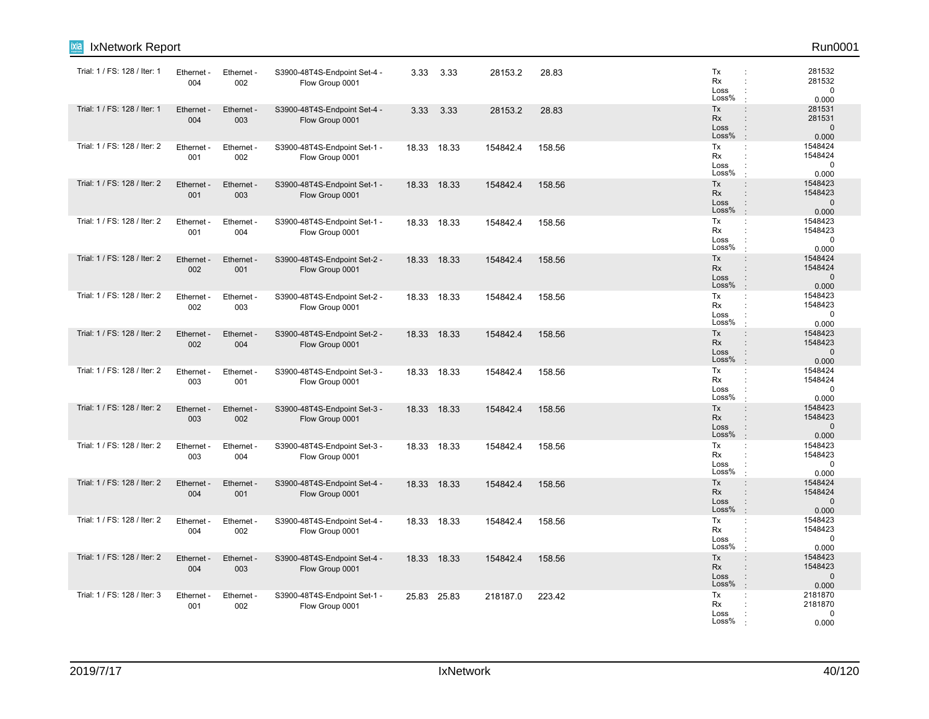| <b>IxNetwork Report</b><br>ixia |                   |                        |                                                 |       |             |          |        |                                                                                                                     | Run0001                                     |
|---------------------------------|-------------------|------------------------|-------------------------------------------------|-------|-------------|----------|--------|---------------------------------------------------------------------------------------------------------------------|---------------------------------------------|
| Trial: 1 / FS: 128 / Iter: 1    | Ethernet -<br>004 | Ethernet -<br>002      | S3900-48T4S-Endpoint Set-4 -<br>Flow Group 0001 |       | 3.33 3.33   | 28153.2  | 28.83  | Tx<br>÷<br>Rx<br>÷<br>Loss<br>Loss%                                                                                 | 281532<br>281532<br>$\mathbf 0$<br>0.000    |
| Trial: 1 / FS: 128 / Iter: 1    | Ethernet<br>004   | Ethernet -<br>003      | S3900-48T4S-Endpoint Set-4 -<br>Flow Group 0001 | 3.33  | 3.33        | 28153.2  | 28.83  | Tx<br>$\ddot{\phantom{a}}$<br>Rx<br>Loss<br>$\ddot{\phantom{a}}$<br>Loss%<br>$\ddot{\phantom{a}}$                   | 281531<br>281531<br>$\mathbf{0}$<br>0.000   |
| Trial: 1 / FS: 128 / Iter: 2    | Ethernet -<br>001 | Ethernet -<br>002      | S3900-48T4S-Endpoint Set-1 -<br>Flow Group 0001 |       | 18.33 18.33 | 154842.4 | 158.56 | Tx<br>÷<br>Rx<br>÷<br>Loss<br>Loss%                                                                                 | 1548424<br>1548424<br>$\mathbf 0$<br>0.000  |
| Trial: 1 / FS: 128 / Iter: 2    | Ethernet<br>001   | Ethernet -<br>003      | S3900-48T4S-Endpoint Set-1 -<br>Flow Group 0001 | 18.33 | 18.33       | 154842.4 | 158.56 | Tx<br>$\ddot{\phantom{a}}$<br>Rx<br>$\vdots$<br>Loss<br>$\vdots$<br>Loss%<br>$\cdot$                                | 1548423<br>1548423<br>$\mathbf{0}$<br>0.000 |
| Trial: 1 / FS: 128 / Iter: 2    | Ethernet -<br>001 | Ethernet -<br>004      | S3900-48T4S-Endpoint Set-1 -<br>Flow Group 0001 |       | 18.33 18.33 | 154842.4 | 158.56 | Tx<br>÷<br>Rx<br>Loss<br>Loss%<br>٠                                                                                 | 1548423<br>1548423<br>$\mathbf 0$<br>0.000  |
| Trial: 1 / FS: 128 / Iter: 2    | Ethernet<br>002   | Ethernet -<br>001      | S3900-48T4S-Endpoint Set-2 -<br>Flow Group 0001 |       | 18.33 18.33 | 154842.4 | 158.56 | Tx<br>÷<br>Rx<br>÷<br>Loss<br>Loss%                                                                                 | 1548424<br>1548424<br>$\mathbf{0}$<br>0.000 |
| Trial: 1 / FS: 128 / Iter: 2    | Ethernet -<br>002 | Ethernet -<br>003      | S3900-48T4S-Endpoint Set-2 -<br>Flow Group 0001 | 18.33 | 18.33       | 154842.4 | 158.56 | Tx<br>÷<br>Rx<br>÷<br>Loss<br>Loss%                                                                                 | 1548423<br>1548423<br>$\mathbf 0$<br>0.000  |
| Trial: 1 / FS: 128 / Iter: 2    | Ethernet<br>002   | Ethernet -<br>004      | S3900-48T4S-Endpoint Set-2 -<br>Flow Group 0001 | 18.33 | 18.33       | 154842.4 | 158.56 | Tx<br>÷<br>Rx<br>÷<br>Loss<br>$\ddot{\phantom{a}}$<br>Loss%<br>$\cdot$                                              | 1548423<br>1548423<br>$\mathbf 0$<br>0.000  |
| Trial: 1 / FS: 128 / Iter: 2    | Ethernet -<br>003 | Ethernet -<br>001      | S3900-48T4S-Endpoint Set-3 -<br>Flow Group 0001 |       | 18.33 18.33 | 154842.4 | 158.56 | Tx<br>÷<br>Rx<br>÷<br>Loss<br>Loss%<br>$\cdot$                                                                      | 1548424<br>1548424<br>$\mathbf 0$<br>0.000  |
| Trial: 1 / FS: 128 / Iter: 2    | Ethernet -<br>003 | Ethernet -<br>002      | S3900-48T4S-Endpoint Set-3 -<br>Flow Group 0001 |       | 18.33 18.33 | 154842.4 | 158.56 | Tx<br>÷<br>Rx<br>Loss<br>$\ddot{\phantom{a}}$<br>Loss%<br>$\cdot$                                                   | 1548423<br>1548423<br>$\Omega$<br>0.000     |
| Trial: 1 / FS: 128 / Iter: 2    | Ethernet<br>003   | Ethernet -<br>004      | S3900-48T4S-Endpoint Set-3 -<br>Flow Group 0001 | 18.33 | 18.33       | 154842.4 | 158.56 | Tx<br>÷<br>Rx<br>÷<br>Loss<br>Loss%                                                                                 | 1548423<br>1548423<br>0<br>0.000            |
| Trial: 1 / FS: 128 / Iter: 2    | Ethernet<br>004   | Ethernet -<br>001      | S3900-48T4S-Endpoint Set-4 -<br>Flow Group 0001 | 18.33 | 18.33       | 154842.4 | 158.56 | Tx<br>$\ddot{\phantom{a}}$<br><b>Rx</b><br>$\ddot{\phantom{a}}$<br>Loss<br>$\ddot{\phantom{a}}$<br>Loss%<br>$\cdot$ | 1548424<br>1548424<br>$\mathbf{0}$<br>0.000 |
| Trial: 1 / FS: 128 / Iter: 2    | Ethernet -<br>004 | Ethernet -<br>002      | S3900-48T4S-Endpoint Set-4 -<br>Flow Group 0001 |       | 18.33 18.33 | 154842.4 | 158.56 | Tx<br>÷<br>Rx<br>÷<br>Loss<br>Loss%<br>٠                                                                            | 1548423<br>1548423<br>0<br>0.000            |
| Trial: 1 / FS: 128 / Iter: 2    | Ethernet<br>004   | <b>Ethernet</b><br>003 | S3900-48T4S-Endpoint Set-4 -<br>Flow Group 0001 |       | 18.33 18.33 | 154842.4 | 158.56 | Tx<br>$\ddot{\phantom{a}}$<br>Rx<br>Loss<br>$\vdots$<br>Loss%<br>$\ddot{\phantom{a}}$                               | 1548423<br>1548423<br>$\mathbf{0}$<br>0.000 |
| Trial: 1 / FS: 128 / Iter: 3    | Ethernet -<br>001 | Ethernet -<br>002      | S3900-48T4S-Endpoint Set-1 -<br>Flow Group 0001 |       | 25.83 25.83 | 218187.0 | 223.42 | Tx<br>÷<br>Rx<br>Loss<br>Loss%                                                                                      | 2181870<br>2181870<br>$\Omega$<br>0.000     |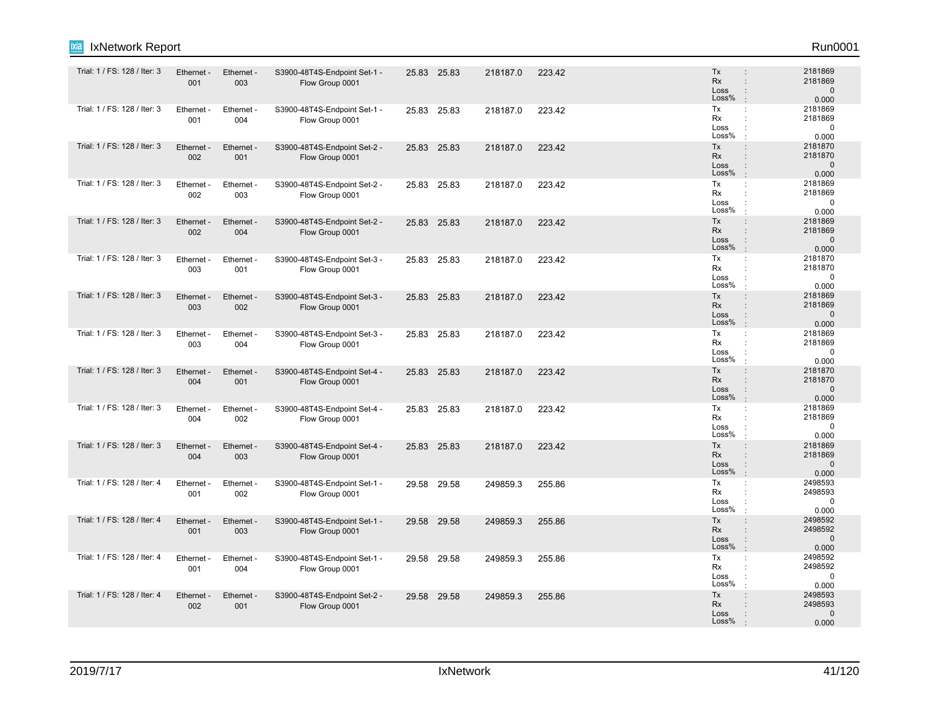| Trial: 1 / FS: 128 / Iter: 3 | Ethernet -<br>001 | Ethernet -<br>003 | S3900-48T4S-Endpoint Set-1 -<br>Flow Group 0001 |       | 25.83 25.83 | 218187.0 | 223.42 | Tx<br><b>Rx</b><br>Loss<br>Loss%<br>$\cdot$                                          | 2181869<br>2181869<br>$\Omega$<br>0.000     |
|------------------------------|-------------------|-------------------|-------------------------------------------------|-------|-------------|----------|--------|--------------------------------------------------------------------------------------|---------------------------------------------|
| Trial: 1 / FS: 128 / Iter: 3 | Ethernet -<br>001 | Ethernet -<br>004 | S3900-48T4S-Endpoint Set-1 -<br>Flow Group 0001 |       | 25.83 25.83 | 218187.0 | 223.42 | Tx<br>÷<br>Rx<br>÷<br>Loss<br>$\ddot{\phantom{a}}$<br>Loss%                          | 2181869<br>2181869<br>$\mathbf 0$<br>0.000  |
| Trial: 1 / FS: 128 / Iter: 3 | Ethernet -<br>002 | Ethernet -<br>001 | S3900-48T4S-Endpoint Set-2 -<br>Flow Group 0001 |       | 25.83 25.83 | 218187.0 | 223.42 | Tx<br>$\ddot{\phantom{a}}$<br>Rx<br>Loss<br>Loss%<br>$\cdot$                         | 2181870<br>2181870<br>$\Omega$<br>0.000     |
| Trial: 1 / FS: 128 / Iter: 3 | Ethernet -<br>002 | Ethernet -<br>003 | S3900-48T4S-Endpoint Set-2 -<br>Flow Group 0001 |       | 25.83 25.83 | 218187.0 | 223.42 | Tx<br>÷<br><b>Rx</b><br>$\cdot$<br>Loss<br>÷<br>Loss%<br>$\cdot$                     | 2181869<br>2181869<br>$\mathbf 0$<br>0.000  |
| Trial: 1 / FS: 128 / Iter: 3 | Ethernet -<br>002 | Ethernet -<br>004 | S3900-48T4S-Endpoint Set-2 -<br>Flow Group 0001 |       | 25.83 25.83 | 218187.0 | 223.42 | Tx<br>$\ddot{\phantom{a}}$<br><b>Rx</b><br>$\ddot{\phantom{a}}$<br>Loss<br>Loss%     | 2181869<br>2181869<br>$\mathbf{0}$<br>0.000 |
| Trial: 1 / FS: 128 / Iter: 3 | Ethernet -<br>003 | Ethernet -<br>001 | S3900-48T4S-Endpoint Set-3 -<br>Flow Group 0001 |       | 25.83 25.83 | 218187.0 | 223.42 | Tx<br>$\ddot{\phantom{a}}$<br>Rx<br>÷<br>Loss<br>Loss%                               | 2181870<br>2181870<br>$\Omega$<br>0.000     |
| Trial: 1 / FS: 128 / Iter: 3 | Ethernet -<br>003 | Ethernet -<br>002 | S3900-48T4S-Endpoint Set-3 -<br>Flow Group 0001 |       | 25.83 25.83 | 218187.0 | 223.42 | Tx<br>÷<br><b>Rx</b><br>$\ddot{\phantom{a}}$<br>Loss<br>Loss%                        | 2181869<br>2181869<br>$\mathbf{0}$<br>0.000 |
| Trial: 1 / FS: 128 / Iter: 3 | Ethernet -<br>003 | Ethernet -<br>004 | S3900-48T4S-Endpoint Set-3 -<br>Flow Group 0001 |       | 25.83 25.83 | 218187.0 | 223.42 | Tx<br>Rx<br>Loss<br>Loss%                                                            | 2181869<br>2181869<br>0<br>0.000            |
| Trial: 1 / FS: 128 / Iter: 3 | Ethernet -<br>004 | Ethernet -<br>001 | S3900-48T4S-Endpoint Set-4 -<br>Flow Group 0001 |       | 25.83 25.83 | 218187.0 | 223.42 | Tx<br><b>Rx</b><br>÷<br>Loss<br>Loss%                                                | 2181870<br>2181870<br>$\mathbf{0}$<br>0.000 |
| Trial: 1 / FS: 128 / Iter: 3 | Ethernet -<br>004 | Ethernet -<br>002 | S3900-48T4S-Endpoint Set-4 -<br>Flow Group 0001 |       | 25.83 25.83 | 218187.0 | 223.42 | Tx<br><b>Rx</b><br>Loss<br>Loss%                                                     | 2181869<br>2181869<br>$\Omega$<br>0.000     |
| Trial: 1 / FS: 128 / Iter: 3 | Ethernet -<br>004 | Ethernet -<br>003 | S3900-48T4S-Endpoint Set-4 -<br>Flow Group 0001 |       | 25.83 25.83 | 218187.0 | 223.42 | Tx<br>$\ddot{\phantom{a}}$<br>Rx<br>Loss<br>$\ddot{\phantom{a}}$<br>Loss%<br>$\cdot$ | 2181869<br>2181869<br>$\mathbf{0}$<br>0.000 |
| Trial: 1 / FS: 128 / Iter: 4 | Ethernet -<br>001 | Ethernet -<br>002 | S3900-48T4S-Endpoint Set-1 -<br>Flow Group 0001 |       | 29.58 29.58 | 249859.3 | 255.86 | Tx<br>÷<br>Rx<br>Loss<br>Loss%                                                       | 2498593<br>2498593<br>$\Omega$<br>0.000     |
| Trial: 1 / FS: 128 / Iter: 4 | Ethernet -<br>001 | Ethernet -<br>003 | S3900-48T4S-Endpoint Set-1 -<br>Flow Group 0001 |       | 29.58 29.58 | 249859.3 | 255.86 | Tx<br>$\ddot{\phantom{a}}$<br>Rx<br>Loss<br>$\ddot{\phantom{a}}$<br>Loss%<br>÷.      | 2498592<br>2498592<br>$\mathbf{0}$<br>0.000 |
| Trial: 1 / FS: 128 / Iter: 4 | Ethernet -<br>001 | Ethernet -<br>004 | S3900-48T4S-Endpoint Set-1 -<br>Flow Group 0001 | 29.58 | 29.58       | 249859.3 | 255.86 | Tx<br>÷<br>Rx<br>$\ddot{\phantom{a}}$<br>Loss<br>Loss%<br>$\cdot$                    | 2498592<br>2498592<br>$\mathbf 0$<br>0.000  |
| Trial: 1 / FS: 128 / Iter: 4 | Ethernet -<br>002 | Ethernet -<br>001 | S3900-48T4S-Endpoint Set-2 -<br>Flow Group 0001 | 29.58 | 29.58       | 249859.3 | 255.86 | Tx<br>$\ddot{\phantom{a}}$<br><b>Rx</b><br>Loss<br>Loss%                             | 2498593<br>2498593<br>$\mathbf{0}$<br>0.000 |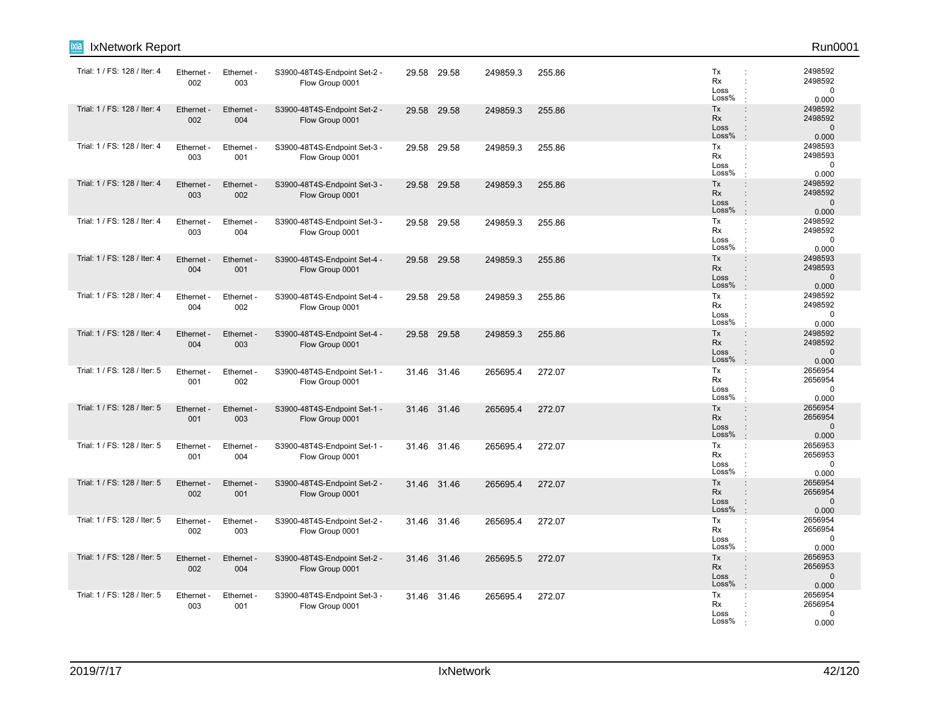| ixia<br>IxNetwork Report     |                   |                   |                                                 |       |             |          |        |                                  | Run0001                                                                                                            |
|------------------------------|-------------------|-------------------|-------------------------------------------------|-------|-------------|----------|--------|----------------------------------|--------------------------------------------------------------------------------------------------------------------|
| Trial: 1 / FS: 128 / Iter: 4 | Ethernet<br>002   | Ethernet -<br>003 | S3900-48T4S-Endpoint Set-2 -<br>Flow Group 0001 | 29.58 | 29.58       | 249859.3 | 255.86 | Tx<br>Rx<br>Loss<br>Loss%        | 2498592<br>$\ddot{\phantom{a}}$<br>2498592<br>$\mathbf 0$<br>0.000                                                 |
| Trial: 1 / FS: 128 / Iter: 4 | Ethernet<br>002   | Ethernet -<br>004 | S3900-48T4S-Endpoint Set-2 -<br>Flow Group 0001 |       | 29.58 29.58 | 249859.3 | 255.86 | Tx<br>Rx<br>Loss<br>Loss%        | 2498592<br>$\ddot{\phantom{a}}$<br>2498592<br>$\ddot{\phantom{a}}$<br>$\mathbf{0}$<br>$\vdots$<br>0.000<br>$\cdot$ |
| Trial: 1 / FS: 128 / Iter: 4 | Ethernet<br>003   | Ethernet -<br>001 | S3900-48T4S-Endpoint Set-3 -<br>Flow Group 0001 |       | 29.58 29.58 | 249859.3 | 255.86 | Tx<br>Rx<br>Loss<br>Loss%        | 2498593<br>÷<br>2498593<br>$\ddot{\phantom{a}}$<br>$\mathbf 0$<br>0.000                                            |
| Trial: 1 / FS: 128 / Iter: 4 | Ethernet -<br>003 | Ethernet -<br>002 | S3900-48T4S-Endpoint Set-3 -<br>Flow Group 0001 | 29.58 | 29.58       | 249859.3 | 255.86 | Tx<br>Rx<br>Loss<br>Loss%        | 2498592<br>$\ddot{\phantom{a}}$<br>2498592<br>$\ddot{\phantom{a}}$<br>$\mathbf{0}$<br>÷<br>0.000<br>$\mathbf{r}$   |
| Trial: 1 / FS: 128 / Iter: 4 | Ethernet<br>003   | Ethernet -<br>004 | S3900-48T4S-Endpoint Set-3 -<br>Flow Group 0001 | 29.58 | 29.58       | 249859.3 | 255.86 | Tx<br>Rx<br>Loss<br>Loss%        | 2498592<br>÷<br>2498592<br>$\ddot{\phantom{a}}$<br>0<br>$\ddot{\phantom{a}}$<br>0.000<br>$\cdot$                   |
| Trial: 1 / FS: 128 / Iter: 4 | Ethernet<br>004   | Ethernet -<br>001 | S3900-48T4S-Endpoint Set-4 -<br>Flow Group 0001 | 29.58 | 29.58       | 249859.3 | 255.86 | Tx<br><b>Rx</b><br>Loss<br>Loss% | 2498593<br>$\ddot{\phantom{a}}$<br>2498593<br>$\mathbf 0$<br>$\ddot{\phantom{a}}$<br>0.000<br>$\cdot$              |
| Trial: 1 / FS: 128 / Iter: 4 | Ethernet -<br>004 | Ethernet -<br>002 | S3900-48T4S-Endpoint Set-4 -<br>Flow Group 0001 | 29.58 | 29.58       | 249859.3 | 255.86 | Tx<br>Rx<br>Loss<br>Loss%        | 2498592<br>÷<br>2498592<br>$\ddot{\phantom{a}}$<br>$\mathbf 0$<br>0.000<br>$\cdot$                                 |
| Trial: 1 / FS: 128 / Iter: 4 | Ethernet<br>004   | Ethernet -<br>003 | S3900-48T4S-Endpoint Set-4 -<br>Flow Group 0001 | 29.58 | 29.58       | 249859.3 | 255.86 | Tx<br><b>Rx</b><br>Loss<br>Loss% | 2498592<br>$\ddot{\phantom{a}}$<br>2498592<br>$\ddot{\phantom{a}}$<br>$\Omega$<br>$\vdots$<br>0.000<br>$\cdot$     |
| Trial: 1 / FS: 128 / Iter: 5 | Ethernet<br>001   | Ethernet -<br>002 | S3900-48T4S-Endpoint Set-1 -<br>Flow Group 0001 | 31.46 | 31.46       | 265695.4 | 272.07 | Tx<br>Rx<br>Loss<br>Loss%        | 2656954<br>÷<br>2656954<br>$\ddot{\phantom{a}}$<br>$\ddot{\cdot}$<br>$\mathbf 0$<br>0.000<br>$\mathbf{r}$          |
| Trial: 1 / FS: 128 / Iter: 5 | Ethernet<br>001   | Ethernet -<br>003 | S3900-48T4S-Endpoint Set-1 -<br>Flow Group 0001 |       | 31.46 31.46 | 265695.4 | 272.07 | Tx<br>Rx<br>Loss<br>Loss%        | 2656954<br>$\ddot{\phantom{a}}$<br>2656954<br>$\Omega$<br>:<br>0.000<br>$\mathbf{r}$                               |
| Trial: 1 / FS: 128 / Iter: 5 | Ethernet<br>001   | Ethernet -<br>004 | S3900-48T4S-Endpoint Set-1 -<br>Flow Group 0001 | 31.46 | 31.46       | 265695.4 | 272.07 | Tx<br>Rx<br>Loss<br>Loss%        | 2656953<br>÷<br>2656953<br>$\ddot{\phantom{a}}$<br>$\mathbf 0$<br>0.000                                            |
| Trial: 1 / FS: 128 / Iter: 5 | Ethernet<br>002   | Ethernet -<br>001 | S3900-48T4S-Endpoint Set-2 -<br>Flow Group 0001 | 31.46 | 31.46       | 265695.4 | 272.07 | Tx<br><b>Rx</b><br>Loss<br>Loss% | 2656954<br>$\vdots$<br>2656954<br>$\mathbf{0}$<br>$\ddot{\phantom{a}}$<br>$\cdot$<br>0.000                         |
| Trial: 1 / FS: 128 / Iter: 5 | Ethernet -<br>002 | Ethernet -<br>003 | S3900-48T4S-Endpoint Set-2 -<br>Flow Group 0001 |       | 31.46 31.46 | 265695.4 | 272.07 | Tx<br><b>Rx</b><br>Loss<br>Loss% | 2656954<br>÷<br>2656954<br>$\ddot{\phantom{a}}$<br>$\mathbf 0$<br>$\ddot{\phantom{a}}$<br>0.000                    |
| Trial: 1 / FS: 128 / Iter: 5 | Ethernet -<br>002 | Ethernet -<br>004 | S3900-48T4S-Endpoint Set-2 -<br>Flow Group 0001 |       | 31.46 31.46 | 265695.5 | 272.07 | Tx<br><b>Rx</b><br>Loss<br>Loss% | 2656953<br>$\vdots$<br>2656953<br>÷<br>$\mathbf 0$<br>$\ddot{\phantom{a}}$<br>0.000                                |
| Trial: 1 / FS: 128 / Iter: 5 | Ethernet<br>003   | Ethernet -<br>001 | S3900-48T4S-Endpoint Set-3 -<br>Flow Group 0001 |       | 31.46 31.46 | 265695.4 | 272.07 | Tx<br>Rx<br>Loss<br>Loss%        | 2656954<br>÷<br>2656954<br>$\Omega$<br>0.000                                                                       |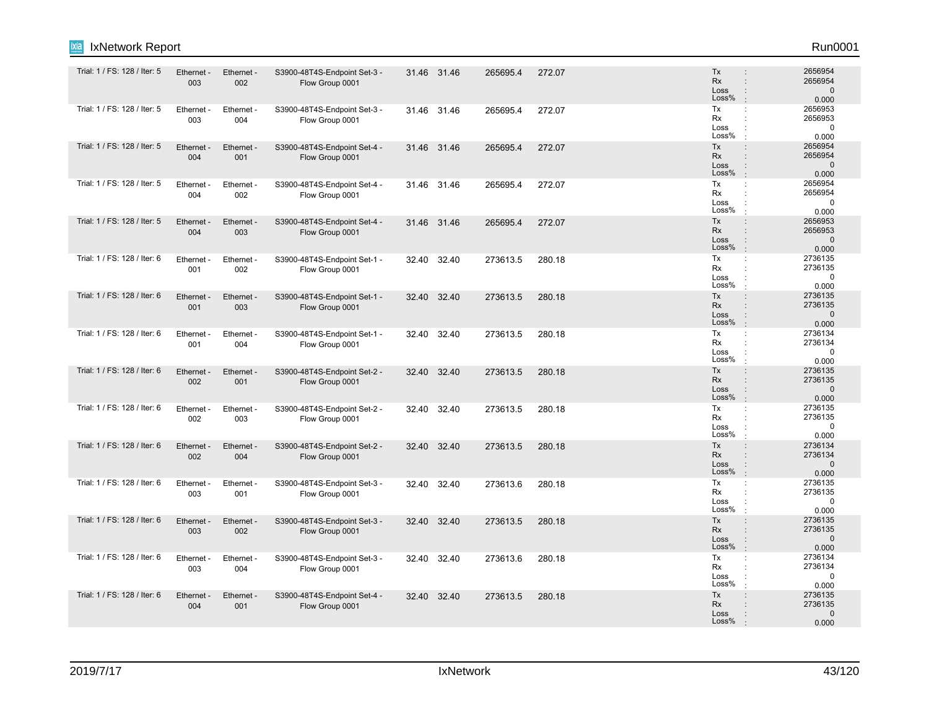| ixia<br>IxNetwork Report     |                   |                        |                                                 |       |             |          |        |                                                                                                              | Run0001                                     |
|------------------------------|-------------------|------------------------|-------------------------------------------------|-------|-------------|----------|--------|--------------------------------------------------------------------------------------------------------------|---------------------------------------------|
| Trial: 1 / FS: 128 / Iter: 5 | Ethernet -<br>003 | Ethernet -<br>002      | S3900-48T4S-Endpoint Set-3 -<br>Flow Group 0001 |       | 31.46 31.46 | 265695.4 | 272.07 | Tx<br>$\ddot{\phantom{a}}$<br>Rx<br>$\ddot{\phantom{a}}$<br>Loss<br>÷<br>Loss%<br>÷                          | 2656954<br>2656954<br>$\mathbf 0$<br>0.000  |
| Trial: 1 / FS: 128 / Iter: 5 | Ethernet -<br>003 | Ethernet -<br>004      | S3900-48T4S-Endpoint Set-3 -<br>Flow Group 0001 |       | 31.46 31.46 | 265695.4 | 272.07 | Tx<br>÷<br>Rx<br>Loss<br>Loss%                                                                               | 2656953<br>2656953<br>$\mathbf 0$<br>0.000  |
| Trial: 1 / FS: 128 / Iter: 5 | Ethernet -<br>004 | Ethernet -<br>001      | S3900-48T4S-Endpoint Set-4 -<br>Flow Group 0001 |       | 31.46 31.46 | 265695.4 | 272.07 | Tx<br>$\ddot{\phantom{a}}$<br>Rx<br>$\ddot{\phantom{a}}$<br>Loss<br>÷<br>Loss%<br>$\cdot$                    | 2656954<br>2656954<br>$\mathbf 0$<br>0.000  |
| Trial: 1 / FS: 128 / Iter: 5 | Ethernet<br>004   | Ethernet -<br>002      | S3900-48T4S-Endpoint Set-4 -<br>Flow Group 0001 |       | 31.46 31.46 | 265695.4 | 272.07 | Tx<br>$\ddot{\phantom{a}}$<br>Rx<br>÷<br>Loss<br>÷<br>Loss%<br>$\cdot$                                       | 2656954<br>2656954<br>$\mathbf 0$<br>0.000  |
| Trial: 1 / FS: 128 / Iter: 5 | Ethernet -<br>004 | Ethernet -<br>003      | S3900-48T4S-Endpoint Set-4 -<br>Flow Group 0001 |       | 31.46 31.46 | 265695.4 | 272.07 | Tx<br>$\ddot{\phantom{a}}$<br>Rx<br>$\ddot{\phantom{a}}$<br>Loss<br>÷<br>Loss%<br>$\cdot$                    | 2656953<br>2656953<br>$\mathbf 0$<br>0.000  |
| Trial: 1 / FS: 128 / Iter: 6 | Ethernet -<br>001 | Ethernet -<br>002      | S3900-48T4S-Endpoint Set-1 -<br>Flow Group 0001 |       | 32.40 32.40 | 273613.5 | 280.18 | Tx<br>÷<br>Rx<br>$\ddot{\phantom{a}}$<br>Loss<br>Loss%<br>$\cdot$                                            | 2736135<br>2736135<br>$\mathbf 0$<br>0.000  |
| Trial: 1 / FS: 128 / Iter: 6 | Ethernet -<br>001 | Ethernet -<br>003      | S3900-48T4S-Endpoint Set-1 -<br>Flow Group 0001 | 32.40 | 32.40       | 273613.5 | 280.18 | Tx<br>$\ddot{\phantom{a}}$<br>Rx<br>÷<br>Loss<br>÷<br>Loss%<br>$\cdot$                                       | 2736135<br>2736135<br>$\mathbf 0$<br>0.000  |
| Trial: 1 / FS: 128 / Iter: 6 | Ethernet<br>001   | <b>Ethernet</b><br>004 | S3900-48T4S-Endpoint Set-1 -<br>Flow Group 0001 | 32.40 | 32.40       | 273613.5 | 280.18 | Tx<br>÷<br>Rx<br>÷<br>Loss<br>÷<br>Loss%                                                                     | 2736134<br>2736134<br>$\mathbf 0$<br>0.000  |
| Trial: 1 / FS: 128 / Iter: 6 | Ethernet -<br>002 | Ethernet -<br>001      | S3900-48T4S-Endpoint Set-2 -<br>Flow Group 0001 |       | 32.40 32.40 | 273613.5 | 280.18 | Tx<br>$\ddot{\phantom{a}}$<br>Rx<br>$\ddot{\phantom{a}}$<br>Loss<br>÷<br>Loss%<br>$\cdot$                    | 2736135<br>2736135<br>$\mathbf{0}$<br>0.000 |
| Trial: 1 / FS: 128 / Iter: 6 | Ethernet -<br>002 | Ethernet -<br>003      | S3900-48T4S-Endpoint Set-2 -<br>Flow Group 0001 |       | 32.40 32.40 | 273613.5 | 280.18 | Tx<br>÷<br>Rx<br>Loss<br>Loss%<br>$\cdot$                                                                    | 2736135<br>2736135<br>0<br>0.000            |
| Trial: 1 / FS: 128 / Iter: 6 | Ethernet -<br>002 | Ethernet -<br>004      | S3900-48T4S-Endpoint Set-2 -<br>Flow Group 0001 | 32.40 | 32.40       | 273613.5 | 280.18 | Tx<br>$\ddot{\phantom{a}}$<br>Rx<br>$\ddot{\phantom{a}}$<br>Loss<br>$\ddot{\phantom{a}}$<br>Loss%<br>$\cdot$ | 2736134<br>2736134<br>$\mathbf 0$<br>0.000  |
| Trial: 1 / FS: 128 / Iter: 6 | Ethernet<br>003   | Ethernet -<br>001      | S3900-48T4S-Endpoint Set-3 -<br>Flow Group 0001 | 32.40 | 32.40       | 273613.6 | 280.18 | Tx<br>÷<br>Rx<br>÷<br>Loss<br>$\ddot{\cdot}$<br>Loss%<br>÷                                                   | 2736135<br>2736135<br>$\mathbf 0$<br>0.000  |
| Trial: 1 / FS: 128 / Iter: 6 | Ethernet -<br>003 | Ethernet -<br>002      | S3900-48T4S-Endpoint Set-3 -<br>Flow Group 0001 |       | 32.40 32.40 | 273613.5 | 280.18 | Tx<br>÷<br>Rx<br>÷<br>Loss<br>$\ddot{\phantom{a}}$<br>Loss%<br>$\cdot$                                       | 2736135<br>2736135<br>$\mathbf{0}$<br>0.000 |
| Trial: 1 / FS: 128 / Iter: 6 | Ethernet<br>003   | Ethernet<br>004        | S3900-48T4S-Endpoint Set-3 -<br>Flow Group 0001 | 32.40 | 32.40       | 273613.6 | 280.18 | Tx<br>÷<br>Rx<br>Loss<br>Loss%                                                                               | 2736134<br>2736134<br>$\mathbf 0$<br>0.000  |
| Trial: 1 / FS: 128 / Iter: 6 | Ethernet -<br>004 | Ethernet -<br>001      | S3900-48T4S-Endpoint Set-4 -<br>Flow Group 0001 |       | 32.40 32.40 | 273613.5 | 280.18 | Tx<br>$\vdots$<br>Rx<br>Loss<br>Loss%                                                                        | 2736135<br>2736135<br>$\mathbf{0}$<br>0.000 |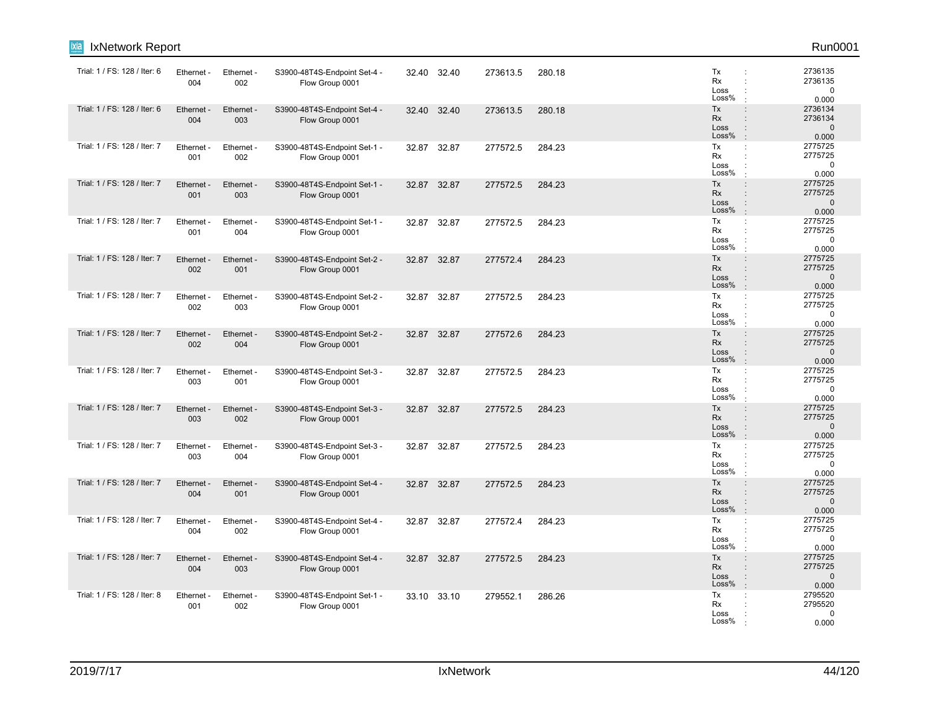| ixia<br>IxNetwork Report     |                   |                   |                                                 |       |             |          |        |                                                                     | Run0001                                     |
|------------------------------|-------------------|-------------------|-------------------------------------------------|-------|-------------|----------|--------|---------------------------------------------------------------------|---------------------------------------------|
| Trial: 1 / FS: 128 / Iter: 6 | Ethernet -<br>004 | Ethernet -<br>002 | S3900-48T4S-Endpoint Set-4 -<br>Flow Group 0001 |       | 32.40 32.40 | 273613.5 | 280.18 | Tx<br><b>Rx</b><br>Loss<br>Loss%                                    | 2736135<br>2736135<br>$\mathbf 0$<br>0.000  |
| Trial: 1 / FS: 128 / Iter: 6 | Ethernet -<br>004 | Ethernet -<br>003 | S3900-48T4S-Endpoint Set-4 -<br>Flow Group 0001 | 32.40 | 32.40       | 273613.5 | 280.18 | Tx<br>$\ddot{\phantom{a}}$<br>Rx<br>Loss<br>÷<br>Loss%              | 2736134<br>2736134<br>$\mathbf 0$<br>0.000  |
| Trial: 1 / FS: 128 / Iter: 7 | Ethernet -<br>001 | Ethernet -<br>002 | S3900-48T4S-Endpoint Set-1 -<br>Flow Group 0001 | 32.87 | 32.87       | 277572.5 | 284.23 | Tx<br>$\mathbb{C}^{\times}$<br>Rx<br>÷<br>Loss<br>Loss%             | 2775725<br>2775725<br>$\mathbf 0$<br>0.000  |
| Trial: 1 / FS: 128 / Iter: 7 | Ethernet<br>001   | Ethernet -<br>003 | S3900-48T4S-Endpoint Set-1 -<br>Flow Group 0001 | 32.87 | 32.87       | 277572.5 | 284.23 | Tx<br>Rx<br>÷<br>Loss<br>Loss%<br>$\cdot$                           | 2775725<br>2775725<br>$\mathbf{0}$<br>0.000 |
| Trial: 1 / FS: 128 / Iter: 7 | Ethernet -<br>001 | Ethernet -<br>004 | S3900-48T4S-Endpoint Set-1 -<br>Flow Group 0001 |       | 32.87 32.87 | 277572.5 | 284.23 | Tx<br>÷<br>Rx<br>Loss<br>$\ddot{\phantom{a}}$<br>Loss%              | 2775725<br>2775725<br>$\Omega$<br>0.000     |
| Trial: 1 / FS: 128 / Iter: 7 | Ethernet -<br>002 | Ethernet -<br>001 | S3900-48T4S-Endpoint Set-2 -<br>Flow Group 0001 |       | 32.87 32.87 | 277572.4 | 284.23 | Tx<br>÷<br>Rx<br>÷<br>Loss<br>Loss%                                 | 2775725<br>2775725<br>$\mathbf 0$<br>0.000  |
| Trial: 1 / FS: 128 / Iter: 7 | Ethernet<br>002   | Ethernet -<br>003 | S3900-48T4S-Endpoint Set-2 -<br>Flow Group 0001 |       | 32.87 32.87 | 277572.5 | 284.23 | Tx<br>÷<br>Rx<br>$\ddot{\phantom{a}}$<br>Loss<br>Loss%              | 2775725<br>2775725<br>$\mathbf 0$<br>0.000  |
| Trial: 1 / FS: 128 / Iter: 7 | Ethernet -<br>002 | Ethernet -<br>004 | S3900-48T4S-Endpoint Set-2 -<br>Flow Group 0001 |       | 32.87 32.87 | 277572.6 | 284.23 | Tx<br>$\cdot$<br>Rx<br>Loss<br>Loss%                                | 2775725<br>2775725<br>$\mathbf{0}$<br>0.000 |
| Trial: 1 / FS: 128 / Iter: 7 | Ethernet<br>003   | Ethernet -<br>001 | S3900-48T4S-Endpoint Set-3 -<br>Flow Group 0001 |       | 32.87 32.87 | 277572.5 | 284.23 | Tx<br>÷<br>Rx<br>Loss<br>Loss%                                      | 2775725<br>2775725<br>$\Omega$<br>0.000     |
| Trial: 1 / FS: 128 / Iter: 7 | Ethernet -<br>003 | Ethernet -<br>002 | S3900-48T4S-Endpoint Set-3 -<br>Flow Group 0001 |       | 32.87 32.87 | 277572.5 | 284.23 | Tx<br>$\ddot{\phantom{a}}$<br>Rx<br>Loss<br>Loss%<br>$\cdot$        | 2775725<br>2775725<br>$\mathbf{0}$<br>0.000 |
| Trial: 1 / FS: 128 / Iter: 7 | Ethernet<br>003   | Ethernet -<br>004 | S3900-48T4S-Endpoint Set-3 -<br>Flow Group 0001 |       | 32.87 32.87 | 277572.5 | 284.23 | Tx<br>$\ddot{\phantom{a}}$<br>Rx<br>÷<br>Loss<br>Loss%              | 2775725<br>2775725<br>$\mathbf 0$<br>0.000  |
| Trial: 1 / FS: 128 / Iter: 7 | Ethernet<br>004   | Ethernet -<br>001 | S3900-48T4S-Endpoint Set-4 -<br>Flow Group 0001 |       | 32.87 32.87 | 277572.5 | 284.23 | Tx<br>$\cdot$<br>Rx<br>Loss<br>Loss%<br>$\cdot$                     | 2775725<br>2775725<br>$\mathbf{0}$<br>0.000 |
| Trial: 1 / FS: 128 / Iter: 7 | Ethernet -<br>004 | Ethernet -<br>002 | S3900-48T4S-Endpoint Set-4 -<br>Flow Group 0001 |       | 32.87 32.87 | 277572.4 | 284.23 | Tx<br>÷<br>Rx<br>Loss<br>Loss%<br>$\cdot$                           | 2775725<br>2775725<br>$\mathbf 0$<br>0.000  |
| Trial: 1 / FS: 128 / Iter: 7 | Ethernet<br>004   | Ethernet -<br>003 | S3900-48T4S-Endpoint Set-4 -<br>Flow Group 0001 | 32.87 | 32.87       | 277572.5 | 284.23 | Tx<br>$\ddot{\phantom{a}}$<br><b>Rx</b><br>Loss<br>Loss%<br>$\cdot$ | 2775725<br>2775725<br>$\mathbf{0}$<br>0.000 |
| Trial: 1 / FS: 128 / Iter: 8 | Ethernet<br>001   | Ethernet -<br>002 | S3900-48T4S-Endpoint Set-1 -<br>Flow Group 0001 |       | 33.10 33.10 | 279552.1 | 286.26 | Tx<br>÷<br>Rx<br>Loss<br>Loss%                                      | 2795520<br>2795520<br>$\mathbf 0$<br>0.000  |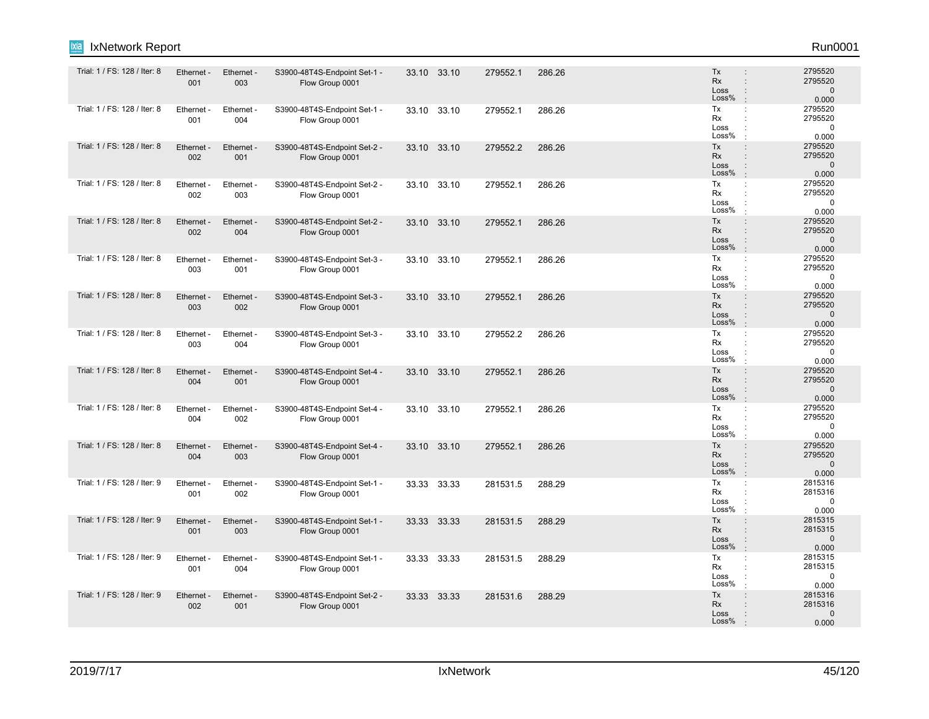| Trial: 1 / FS: 128 / Iter: 8 | Ethernet -<br>001 | Ethernet -<br>003 | S3900-48T4S-Endpoint Set-1 -<br>Flow Group 0001 | 33.10 33.10 | 279552.1 | 286.26 | <b>Tx</b><br><b>Rx</b><br>Loss<br>Loss% | 2795520<br>$\ddot{\phantom{a}}$<br>2795520<br>$\ddot{\phantom{a}}$<br>$\mathbf{0}$<br>$\cdot$<br>0.000                         |
|------------------------------|-------------------|-------------------|-------------------------------------------------|-------------|----------|--------|-----------------------------------------|--------------------------------------------------------------------------------------------------------------------------------|
| Trial: 1 / FS: 128 / Iter: 8 | Ethernet -<br>001 | Ethernet -<br>004 | S3900-48T4S-Endpoint Set-1 -<br>Flow Group 0001 | 33.10 33.10 | 279552.1 | 286.26 | Tx<br>Rx<br>Loss<br>Loss%               | 2795520<br>÷<br>2795520<br>÷<br>$\mathbf 0$<br>÷<br>0.000<br>÷                                                                 |
| Trial: 1 / FS: 128 / Iter: 8 | Ethernet -<br>002 | Ethernet -<br>001 | S3900-48T4S-Endpoint Set-2 -<br>Flow Group 0001 | 33.10 33.10 | 279552.2 | 286.26 | Tx<br>Rx<br>Loss<br>Loss%               | 2795520<br>$\ddot{\phantom{a}}$<br>2795520<br>$\Omega$<br>$\ddot{\phantom{a}}$<br>0.000<br>÷                                   |
| Trial: 1 / FS: 128 / Iter: 8 | Ethernet -<br>002 | Ethernet -<br>003 | S3900-48T4S-Endpoint Set-2 -<br>Flow Group 0001 | 33.10 33.10 | 279552.1 | 286.26 | Tx<br><b>Rx</b><br>Loss<br>Loss%        | 2795520<br>$\ddot{\phantom{a}}$<br>2795520<br>÷<br>0<br>0.000<br>$\cdot$                                                       |
| Trial: 1 / FS: 128 / Iter: 8 | Ethernet -<br>002 | Ethernet -<br>004 | S3900-48T4S-Endpoint Set-2 -<br>Flow Group 0001 | 33.10 33.10 | 279552.1 | 286.26 | Tx<br><b>Rx</b><br>Loss<br>Loss%        | 2795520<br>$\ddot{\phantom{a}}$<br>$\ddot{\phantom{a}}$<br>2795520<br>$\overline{0}$<br>0.000<br>$\cdot$                       |
| Trial: 1 / FS: 128 / Iter: 8 | Ethernet -<br>003 | Ethernet -<br>001 | S3900-48T4S-Endpoint Set-3 -<br>Flow Group 0001 | 33.10 33.10 | 279552.1 | 286.26 | Tx<br>Rx<br>Loss<br>Loss%               | 2795520<br>÷<br>2795520<br>÷<br>$\mathbf 0$<br>0.000                                                                           |
| Trial: 1 / FS: 128 / Iter: 8 | Ethernet -<br>003 | Ethernet -<br>002 | S3900-48T4S-Endpoint Set-3 -<br>Flow Group 0001 | 33.10 33.10 | 279552.1 | 286.26 | Tx<br><b>Rx</b><br>Loss<br>Loss%        | 2795520<br>÷<br>2795520<br>$\ddot{\phantom{a}}$<br>$\overline{0}$<br>$\ddot{\phantom{a}}$<br>$\cdot$<br>0.000                  |
| Trial: 1 / FS: 128 / Iter: 8 | Ethernet -<br>003 | Ethernet -<br>004 | S3900-48T4S-Endpoint Set-3 -<br>Flow Group 0001 | 33.10 33.10 | 279552.2 | 286.26 | Tx<br><b>Rx</b><br>Loss<br>Loss%        | 2795520<br>÷<br>2795520<br>0<br>0.000<br>$\cdot$                                                                               |
| Trial: 1 / FS: 128 / Iter: 8 | Ethernet -<br>004 | Ethernet -<br>001 | S3900-48T4S-Endpoint Set-4 -<br>Flow Group 0001 | 33.10 33.10 | 279552.1 | 286.26 | Tx<br><b>Rx</b><br>Loss<br>Loss%        | 2795520<br>$\ddot{\phantom{a}}$<br>2795520<br>÷<br>$\ddot{\phantom{a}}$<br>$\mathbf{0}$<br>$\cdot$<br>0.000                    |
| Trial: 1 / FS: 128 / Iter: 8 | Ethernet -<br>004 | Ethernet -<br>002 | S3900-48T4S-Endpoint Set-4 -<br>Flow Group 0001 | 33.10 33.10 | 279552.1 | 286.26 | Tx<br>Rx<br>Loss<br>Loss%               | 2795520<br>2795520<br>÷<br>$\Omega$<br>0.000<br>÷                                                                              |
| Trial: 1 / FS: 128 / Iter: 8 | Ethernet -<br>004 | Ethernet -<br>003 | S3900-48T4S-Endpoint Set-4 -<br>Flow Group 0001 | 33.10 33.10 | 279552.1 | 286.26 | Tx<br><b>Rx</b><br>Loss<br>Loss%        | 2795520<br>$\ddot{\phantom{a}}$<br>2795520<br>$\ddot{\phantom{a}}$<br>$\mathbf{0}$<br>$\ddot{\phantom{a}}$<br>$\cdot$<br>0.000 |
| Trial: 1 / FS: 128 / Iter: 9 | Ethernet -<br>001 | Ethernet -<br>002 | S3900-48T4S-Endpoint Set-1 -<br>Flow Group 0001 | 33.33 33.33 | 281531.5 | 288.29 | Tx<br>Rx<br>Loss<br>Loss%               | 2815316<br>÷<br>2815316<br>$\Omega$<br>0.000                                                                                   |
| Trial: 1 / FS: 128 / Iter: 9 | Ethernet -<br>001 | Ethernet -<br>003 | S3900-48T4S-Endpoint Set-1 -<br>Flow Group 0001 | 33.33 33.33 | 281531.5 | 288.29 | Tx<br><b>Rx</b><br>Loss<br>Loss%        | 2815315<br>$\ddot{\phantom{a}}$<br>2815315<br>÷<br>$\mathbf{0}$<br>$\ddot{\phantom{a}}$<br>$\cdot$<br>0.000                    |
| Trial: 1 / FS: 128 / Iter: 9 | Ethernet -<br>001 | Ethernet -<br>004 | S3900-48T4S-Endpoint Set-1 -<br>Flow Group 0001 | 33.33 33.33 | 281531.5 | 288.29 | Tx<br><b>Rx</b><br>Loss<br>Loss%        | 2815315<br>÷<br>2815315<br>÷<br>0<br>0.000<br>$\cdot$                                                                          |
| Trial: 1 / FS: 128 / Iter: 9 | Ethernet -<br>002 | Ethernet -<br>001 | S3900-48T4S-Endpoint Set-2 -<br>Flow Group 0001 | 33.33 33.33 | 281531.6 | 288.29 | Tx<br><b>Rx</b><br>Loss<br>Loss%        | 2815316<br>$\ddot{\phantom{a}}$<br>2815316<br>$\ddot{\phantom{a}}$<br>$\mathbf{0}$<br>0.000                                    |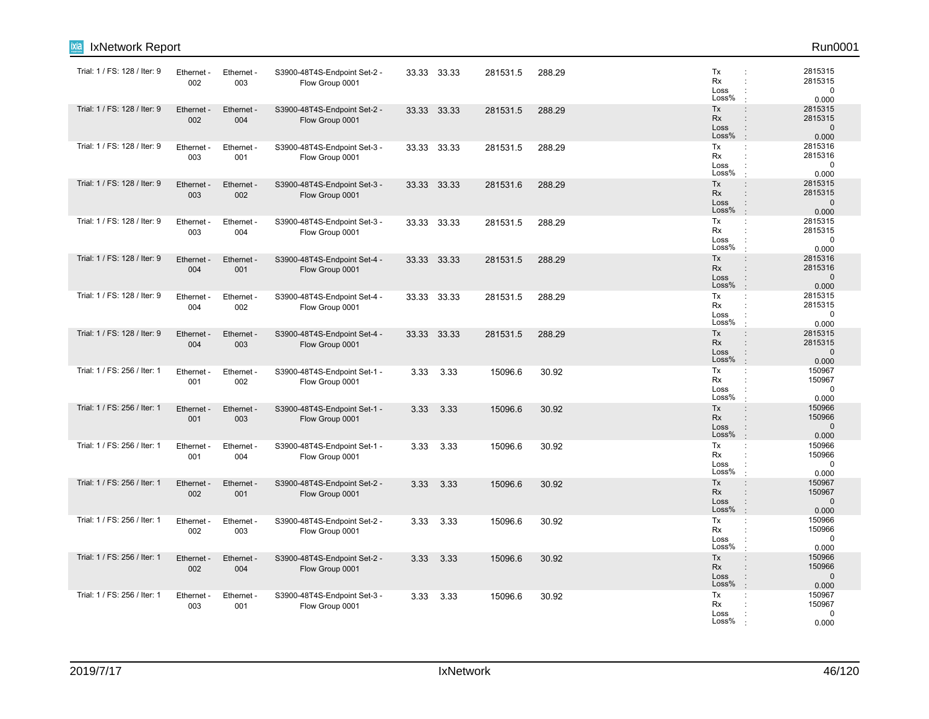| lixia<br>IxNetwork Report    |                   |                   |                                                 |      |             |          |        |                                  | Run0001                                                                                                                                   |
|------------------------------|-------------------|-------------------|-------------------------------------------------|------|-------------|----------|--------|----------------------------------|-------------------------------------------------------------------------------------------------------------------------------------------|
| Trial: 1 / FS: 128 / Iter: 9 | Ethernet -<br>002 | Ethernet -<br>003 | S3900-48T4S-Endpoint Set-2 -<br>Flow Group 0001 |      | 33.33 33.33 | 281531.5 | 288.29 | Tx<br>Rx<br>Loss<br>Loss%        | 2815315<br>÷<br>2815315<br>$\ddot{\phantom{a}}$<br>$\mathbf 0$<br>0.000                                                                   |
| Trial: 1 / FS: 128 / Iter: 9 | Ethernet<br>002   | Ethernet -<br>004 | S3900-48T4S-Endpoint Set-2 -<br>Flow Group 0001 |      | 33.33 33.33 | 281531.5 | 288.29 | Tx<br><b>Rx</b><br>Loss<br>Loss% | 2815315<br>$\ddot{\phantom{a}}$<br>2815315<br>$\ddot{\phantom{a}}$<br>$\mathbf{0}$<br>$\vdots$<br>$\mathbb{R}^2$<br>0.000                 |
| Trial: 1 / FS: 128 / Iter: 9 | Ethernet -<br>003 | Ethernet -<br>001 | S3900-48T4S-Endpoint Set-3 -<br>Flow Group 0001 |      | 33.33 33.33 | 281531.5 | 288.29 | Tx<br>Rx<br>Loss<br>Loss%        | 2815316<br>÷<br>2815316<br>$\ddot{\cdot}$<br>$\mathbf 0$<br>0.000<br>$\mathbf{r}$                                                         |
| Trial: 1 / FS: 128 / Iter: 9 | Ethernet -<br>003 | Ethernet -<br>002 | S3900-48T4S-Endpoint Set-3 -<br>Flow Group 0001 |      | 33.33 33.33 | 281531.6 | 288.29 | Tx<br>Rx<br>Loss<br>Loss%        | $\ddot{\phantom{a}}$<br>2815315<br>$\ddot{\phantom{a}}$<br>2815315<br>$\mathbf{0}$<br>$\ddot{\phantom{a}}$<br>0.000<br>÷                  |
| Trial: 1 / FS: 128 / Iter: 9 | Ethernet -<br>003 | Ethernet -<br>004 | S3900-48T4S-Endpoint Set-3 -<br>Flow Group 0001 |      | 33.33 33.33 | 281531.5 | 288.29 | Tx<br>Rx<br>Loss<br>Loss%        | 2815315<br>÷<br>2815315<br>÷<br>$\mathbf 0$<br>÷<br>0.000                                                                                 |
| Trial: 1 / FS: 128 / Iter: 9 | Ethernet<br>004   | Ethernet -<br>001 | S3900-48T4S-Endpoint Set-4 -<br>Flow Group 0001 |      | 33.33 33.33 | 281531.5 | 288.29 | Tx<br>Rx<br>Loss<br>Loss%        | 2815316<br>$\vdots$<br>2815316<br>$\ddot{\phantom{a}}$<br>$\mathbf{0}$<br>$\ddot{\phantom{a}}$<br>0.000<br>÷.                             |
| Trial: 1 / FS: 128 / Iter: 9 | Ethernet -<br>004 | Ethernet -<br>002 | S3900-48T4S-Endpoint Set-4 -<br>Flow Group 0001 |      | 33.33 33.33 | 281531.5 | 288.29 | Tx<br>Rx<br>Loss<br>Loss%        | 2815315<br>÷<br>2815315<br>$\mathbf 0$<br>0.000<br>$\cdot$                                                                                |
| Trial: 1 / FS: 128 / Iter: 9 | Ethernet -<br>004 | Ethernet -<br>003 | S3900-48T4S-Endpoint Set-4 -<br>Flow Group 0001 |      | 33.33 33.33 | 281531.5 | 288.29 | Tx<br>Rx<br>Loss<br>Loss%        | 2815315<br>$\ddot{\phantom{a}}$<br>2815315<br>$\ddot{\phantom{a}}$<br>$\mathbf{0}$<br>$\ddot{\phantom{a}}$<br>0.000<br>$\cdot$            |
| Trial: 1 / FS: 256 / Iter: 1 | Ethernet<br>001   | Ethernet -<br>002 | S3900-48T4S-Endpoint Set-1 -<br>Flow Group 0001 | 3.33 | 3.33        | 15096.6  | 30.92  | Tx<br>Rx<br>Loss<br>Loss%        | 150967<br>÷<br>150967<br>÷<br>$\mathbf 0$<br>$\cdot$<br>0.000                                                                             |
| Trial: 1 / FS: 256 / Iter: 1 | Ethernet -<br>001 | Ethernet -<br>003 | S3900-48T4S-Endpoint Set-1 -<br>Flow Group 0001 | 3.33 | 3.33        | 15096.6  | 30.92  | Tx<br>Rx<br>Loss<br>Loss%        | 150966<br>$\ddot{\phantom{a}}$<br>150966<br>$\mathbf{0}$<br>÷<br>÷.<br>0.000                                                              |
| Trial: 1 / FS: 256 / Iter: 1 | Ethernet -<br>001 | Ethernet -<br>004 | S3900-48T4S-Endpoint Set-1 -<br>Flow Group 0001 | 3.33 | 3.33        | 15096.6  | 30.92  | Tx<br>Rx<br>Loss<br>Loss%        | 150966<br>÷<br>150966<br>$\mathbf 0$<br>$\cdot$<br>0.000                                                                                  |
| Trial: 1 / FS: 256 / Iter: 1 | Ethernet -<br>002 | Ethernet -<br>001 | S3900-48T4S-Endpoint Set-2 -<br>Flow Group 0001 | 3.33 | 3.33        | 15096.6  | 30.92  | Tx<br>Rx<br>Loss<br>Loss%        | 150967<br>$\ddot{\phantom{a}}$<br>150967<br>$\ddot{\phantom{a}}$<br>$\mathbf{0}$<br>$\ddot{\phantom{a}}$<br>$\,$ .<br>0.000               |
| Trial: 1 / FS: 256 / Iter: 1 | Ethernet -<br>002 | Ethernet -<br>003 | S3900-48T4S-Endpoint Set-2 -<br>Flow Group 0001 | 3.33 | 3.33        | 15096.6  | 30.92  | Tx<br>Rx<br>Loss<br>Loss%        | 150966<br>÷<br>150966<br>$\ddot{\phantom{a}}$<br>$\mathbf 0$<br>$\ddot{\phantom{a}}$<br>0.000<br>$\mathbf{r}$                             |
| Trial: 1 / FS: 256 / Iter: 1 | Ethernet<br>002   | Ethernet -<br>004 | S3900-48T4S-Endpoint Set-2 -<br>Flow Group 0001 | 3.33 | 3.33        | 15096.6  | 30.92  | Tx<br>Rx<br>Loss<br>Loss%        | 150966<br>$\ddot{\phantom{a}}$<br>150966<br>$\ddot{\phantom{a}}$<br>$\mathbf{0}$<br>$\ddot{\phantom{a}}$<br>0.000<br>$\ddot{\phantom{a}}$ |
| Trial: 1 / FS: 256 / Iter: 1 | Ethernet -<br>003 | Ethernet -<br>001 | S3900-48T4S-Endpoint Set-3 -<br>Flow Group 0001 | 3.33 | 3.33        | 15096.6  | 30.92  | Tx<br>Rx<br>Loss<br>Loss%        | 150967<br>÷<br>150967<br>$\mathbf 0$<br>0.000                                                                                             |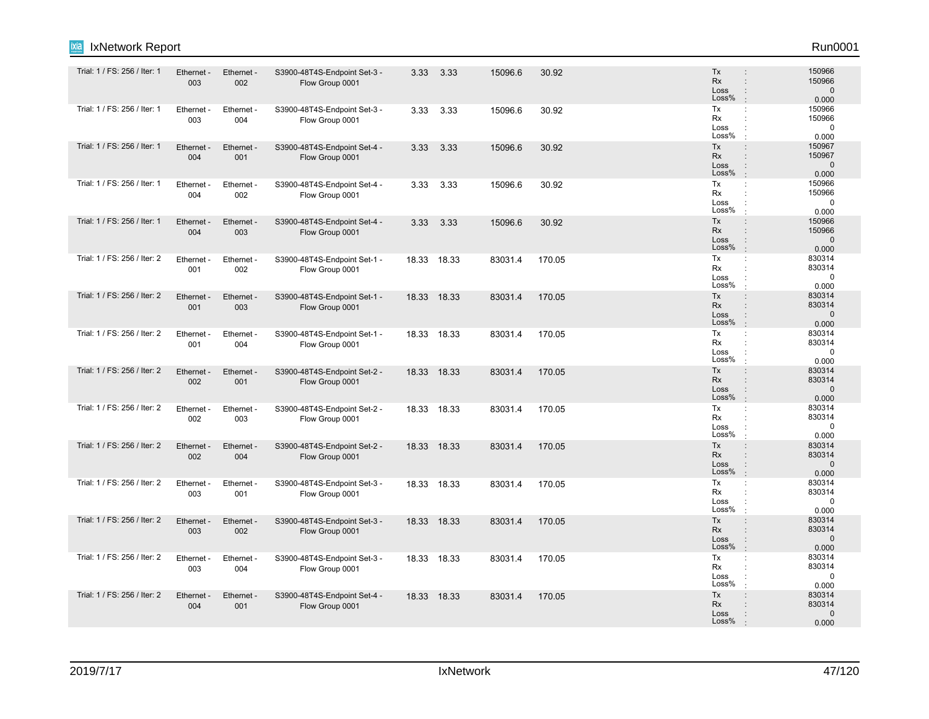| <b>IxNetwork Report</b><br>Ixia |                   |                   |                                                 |       |             |         |        |                                                                                           | Run0001                                   |
|---------------------------------|-------------------|-------------------|-------------------------------------------------|-------|-------------|---------|--------|-------------------------------------------------------------------------------------------|-------------------------------------------|
| Trial: 1 / FS: 256 / Iter: 1    | Ethernet -<br>003 | Ethernet -<br>002 | S3900-48T4S-Endpoint Set-3 -<br>Flow Group 0001 | 3.33  | 3.33        | 15096.6 | 30.92  | Tx<br>Rx<br>$\ddot{\phantom{a}}$<br>Loss<br>÷<br>Loss%<br>$\cdot$                         | 150966<br>150966<br>$\mathbf{0}$<br>0.000 |
| Trial: 1 / FS: 256 / Iter: 1    | Ethernet -<br>003 | Ethernet -<br>004 | S3900-48T4S-Endpoint Set-3 -<br>Flow Group 0001 | 3.33  | 3.33        | 15096.6 | 30.92  | Tx<br>÷<br>Rx<br>÷<br>Loss<br>÷<br>Loss%                                                  | 150966<br>150966<br>$\mathbf 0$<br>0.000  |
| Trial: 1 / FS: 256 / Iter: 1    | Ethernet -<br>004 | Ethernet -<br>001 | S3900-48T4S-Endpoint Set-4 -<br>Flow Group 0001 | 3.33  | 3.33        | 15096.6 | 30.92  | Tx<br>$\ddot{\phantom{a}}$<br>Rx<br>$\ddot{\phantom{a}}$<br>Loss<br>÷<br>Loss%            | 150967<br>150967<br>$\mathbf 0$<br>0.000  |
| Trial: 1 / FS: 256 / Iter: 1    | Ethernet -<br>004 | Ethernet -<br>002 | S3900-48T4S-Endpoint Set-4 -<br>Flow Group 0001 | 3.33  | 3.33        | 15096.6 | 30.92  | Tx<br>÷<br>Rx<br>÷<br>Loss<br>÷<br>Loss%<br>$\cdot$                                       | 150966<br>150966<br>$\mathbf 0$<br>0.000  |
| Trial: 1 / FS: 256 / Iter: 1    | Ethernet -<br>004 | Ethernet -<br>003 | S3900-48T4S-Endpoint Set-4 -<br>Flow Group 0001 | 3.33  | 3.33        | 15096.6 | 30.92  | Tx<br>÷<br>Rx<br>÷<br>Loss<br>$\ddot{\phantom{a}}$<br>Loss%<br>ċ                          | 150966<br>150966<br>$\mathbf{0}$<br>0.000 |
| Trial: 1 / FS: 256 / Iter: 2    | Ethernet -<br>001 | Ethernet -<br>002 | S3900-48T4S-Endpoint Set-1 -<br>Flow Group 0001 |       | 18.33 18.33 | 83031.4 | 170.05 | Tx<br>÷<br>Rx<br>÷<br>Loss<br>Loss%                                                       | 830314<br>830314<br>$\mathbf 0$<br>0.000  |
| Trial: 1 / FS: 256 / Iter: 2    | Ethernet -<br>001 | Ethernet -<br>003 | S3900-48T4S-Endpoint Set-1 -<br>Flow Group 0001 | 18.33 | 18.33       | 83031.4 | 170.05 | Tx<br>$\ddot{\phantom{a}}$<br>Rx<br>÷<br>Loss<br>÷<br>Loss%<br>$\cdot$                    | 830314<br>830314<br>$\mathbf{0}$<br>0.000 |
| Trial: 1 / FS: 256 / Iter: 2    | Ethernet -<br>001 | Ethernet -<br>004 | S3900-48T4S-Endpoint Set-1 -<br>Flow Group 0001 | 18.33 | 18.33       | 83031.4 | 170.05 | Tx<br>÷<br>Rx<br>÷<br>Loss<br>÷<br>Loss%<br>$\cdot$                                       | 830314<br>830314<br>$\mathbf 0$<br>0.000  |
| Trial: 1 / FS: 256 / Iter: 2    | Ethernet -<br>002 | Ethernet -<br>001 | S3900-48T4S-Endpoint Set-2 -<br>Flow Group 0001 |       | 18.33 18.33 | 83031.4 | 170.05 | Tx<br>$\ddot{\phantom{a}}$<br>Rx<br>÷<br>Loss<br>÷<br>Loss%<br>÷                          | 830314<br>830314<br>$\mathbf{0}$<br>0.000 |
| Trial: 1 / FS: 256 / Iter: 2    | Ethernet -<br>002 | Ethernet -<br>003 | S3900-48T4S-Endpoint Set-2 -<br>Flow Group 0001 |       | 18.33 18.33 | 83031.4 | 170.05 | Tx<br>÷<br>Rx<br>Loss<br>÷<br>Loss%<br>$\cdot$                                            | 830314<br>830314<br>$\mathbf 0$<br>0.000  |
| Trial: 1 / FS: 256 / Iter: 2    | Ethernet -<br>002 | Ethernet -<br>004 | S3900-48T4S-Endpoint Set-2 -<br>Flow Group 0001 | 18.33 | 18.33       | 83031.4 | 170.05 | Tx<br>$\ddot{\phantom{a}}$<br>Rx<br>$\ddot{\phantom{a}}$<br>Loss<br>÷<br>Loss%<br>$\cdot$ | 830314<br>830314<br>$\mathbf 0$<br>0.000  |
| Trial: 1 / FS: 256 / Iter: 2    | Ethernet -<br>003 | Ethernet -<br>001 | S3900-48T4S-Endpoint Set-3 -<br>Flow Group 0001 |       | 18.33 18.33 | 83031.4 | 170.05 | Tx<br>$\ddot{\phantom{a}}$<br>Rx<br>÷<br>Loss<br>÷<br>Loss%<br>$\cdot$                    | 830314<br>830314<br>$\mathbf 0$<br>0.000  |
| Trial: 1 / FS: 256 / Iter: 2    | Ethernet -<br>003 | Ethernet -<br>002 | S3900-48T4S-Endpoint Set-3 -<br>Flow Group 0001 |       | 18.33 18.33 | 83031.4 | 170.05 | Tx<br>÷<br>Rx<br>$\ddot{\phantom{a}}$<br>Loss<br>÷<br>Loss%<br>÷                          | 830314<br>830314<br>$\mathbf 0$<br>0.000  |
| Trial: 1 / FS: 256 / Iter: 2    | Ethernet -<br>003 | Ethernet<br>004   | S3900-48T4S-Endpoint Set-3 -<br>Flow Group 0001 |       | 18.33 18.33 | 83031.4 | 170.05 | Tx<br>÷<br>Rx<br>÷<br>Loss<br>Loss%<br>$\cdot$                                            | 830314<br>830314<br>$\mathbf 0$<br>0.000  |
| Trial: 1 / FS: 256 / Iter: 2    | Ethernet -<br>004 | Ethernet -<br>001 | S3900-48T4S-Endpoint Set-4 -<br>Flow Group 0001 |       | 18.33 18.33 | 83031.4 | 170.05 | Tx<br>÷<br>Rx<br>$\ddot{\phantom{a}}$<br>Loss<br>÷<br>Loss%                               | 830314<br>830314<br>$\mathbf{0}$<br>0.000 |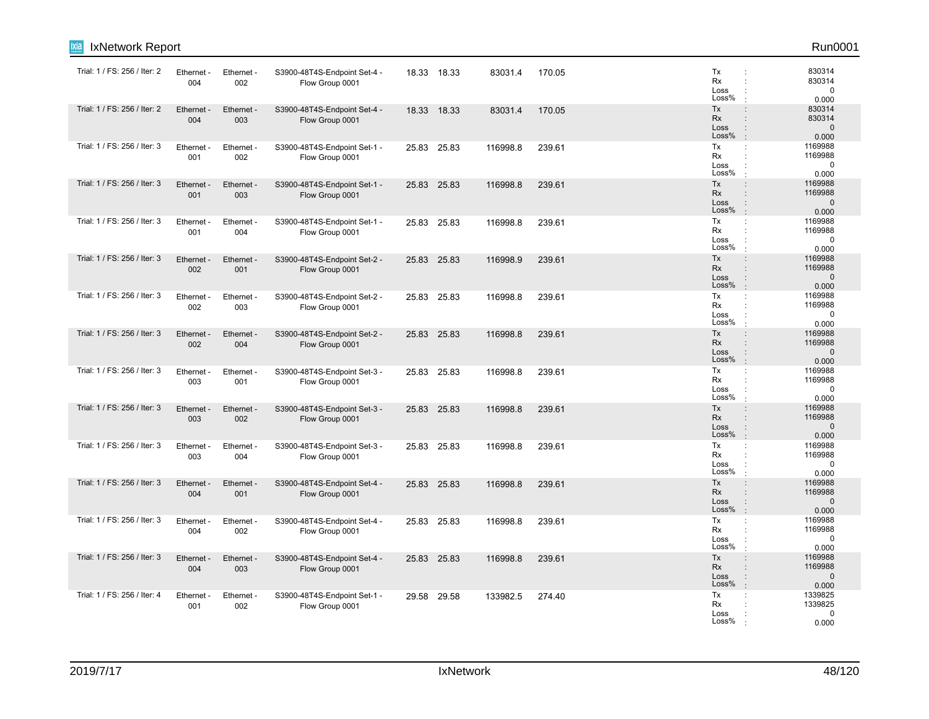| ixia<br>IxNetwork Report     |                   |                   |                                                 |       |             |          |        |                                                                                                                     | Run0001                                    |
|------------------------------|-------------------|-------------------|-------------------------------------------------|-------|-------------|----------|--------|---------------------------------------------------------------------------------------------------------------------|--------------------------------------------|
| Trial: 1 / FS: 256 / Iter: 2 | Ethernet -<br>004 | Ethernet -<br>002 | S3900-48T4S-Endpoint Set-4 -<br>Flow Group 0001 |       | 18.33 18.33 | 83031.4  | 170.05 | Tx<br>Rx<br>Loss<br>Loss%                                                                                           | 830314<br>830314<br>$\mathbf 0$<br>0.000   |
| Trial: 1 / FS: 256 / Iter: 2 | Ethernet -<br>004 | Ethernet -<br>003 | S3900-48T4S-Endpoint Set-4 -<br>Flow Group 0001 |       | 18.33 18.33 | 83031.4  | 170.05 | Tx<br>$\ddot{\phantom{a}}$<br><b>Rx</b><br>÷<br>Loss<br>$\ddot{\phantom{a}}$<br>Loss%<br>$\cdot$                    | 830314<br>830314<br>$\mathbf 0$<br>0.000   |
| Trial: 1 / FS: 256 / Iter: 3 | Ethernet -<br>001 | Ethernet -<br>002 | S3900-48T4S-Endpoint Set-1 -<br>Flow Group 0001 |       | 25.83 25.83 | 116998.8 | 239.61 | Tx<br>÷<br>Rx<br>÷<br>Loss<br>Loss%                                                                                 | 1169988<br>1169988<br>$\mathbf 0$<br>0.000 |
| Trial: 1 / FS: 256 / Iter: 3 | Ethernet<br>001   | Ethernet -<br>003 | S3900-48T4S-Endpoint Set-1 -<br>Flow Group 0001 |       | 25.83 25.83 | 116998.8 | 239.61 | Tx<br>$\ddot{\phantom{a}}$<br><b>Rx</b><br>÷<br>Loss<br>÷<br>Loss%<br>$\cdot$                                       | 1169988<br>1169988<br>$\mathbf 0$<br>0.000 |
| Trial: 1 / FS: 256 / Iter: 3 | Ethernet -<br>001 | Ethernet -<br>004 | S3900-48T4S-Endpoint Set-1 -<br>Flow Group 0001 |       | 25.83 25.83 | 116998.8 | 239.61 | Tx<br>÷<br>Rx<br>Loss<br>Loss%                                                                                      | 1169988<br>1169988<br>$\mathbf 0$<br>0.000 |
| Trial: 1 / FS: 256 / Iter: 3 | Ethernet -<br>002 | Ethernet -<br>001 | S3900-48T4S-Endpoint Set-2 -<br>Flow Group 0001 |       | 25.83 25.83 | 116998.9 | 239.61 | Tx<br>$\ddot{\phantom{a}}$<br><b>Rx</b><br>÷<br>Loss<br>$\ddot{\phantom{a}}$<br>Loss%                               | 1169988<br>1169988<br>$\mathbf 0$<br>0.000 |
| Trial: 1 / FS: 256 / Iter: 3 | Ethernet<br>002   | Ethernet -<br>003 | S3900-48T4S-Endpoint Set-2 -<br>Flow Group 0001 | 25.83 | 25.83       | 116998.8 | 239.61 | Tx<br>÷<br>Rx<br>÷<br>Loss<br>Loss%                                                                                 | 1169988<br>1169988<br>$\mathbf 0$<br>0.000 |
| Trial: 1 / FS: 256 / Iter: 3 | Ethernet -<br>002 | Ethernet -<br>004 | S3900-48T4S-Endpoint Set-2 -<br>Flow Group 0001 |       | 25.83 25.83 | 116998.8 | 239.61 | Tx<br>$\ddot{\phantom{a}}$<br><b>Rx</b><br>$\ddot{\phantom{a}}$<br>Loss<br>$\ddot{\phantom{a}}$<br>Loss%<br>$\cdot$ | 1169988<br>1169988<br>$\mathbf 0$<br>0.000 |
| Trial: 1 / FS: 256 / Iter: 3 | Ethernet<br>003   | Ethernet -<br>001 | S3900-48T4S-Endpoint Set-3 -<br>Flow Group 0001 |       | 25.83 25.83 | 116998.8 | 239.61 | Tx<br>÷<br>Rx<br>÷<br>Loss<br>Loss%                                                                                 | 1169988<br>1169988<br>$\mathbf 0$<br>0.000 |
| Trial: 1 / FS: 256 / Iter: 3 | Ethernet -<br>003 | Ethernet -<br>002 | S3900-48T4S-Endpoint Set-3 -<br>Flow Group 0001 |       | 25.83 25.83 | 116998.8 | 239.61 | Tx<br>$\ddot{\phantom{a}}$<br><b>Rx</b><br>÷<br>Loss<br>$\ddot{\phantom{a}}$<br>Loss%<br>$\cdot$                    | 1169988<br>1169988<br>$\mathbf 0$<br>0.000 |
| Trial: 1 / FS: 256 / Iter: 3 | Ethernet<br>003   | Ethernet -<br>004 | S3900-48T4S-Endpoint Set-3 -<br>Flow Group 0001 | 25.83 | 25.83       | 116998.8 | 239.61 | Tx<br>÷<br>Rx<br>÷<br>Loss<br>Loss%                                                                                 | 1169988<br>1169988<br>$\mathbf 0$<br>0.000 |
| Trial: 1 / FS: 256 / Iter: 3 | Ethernet<br>004   | Ethernet -<br>001 | S3900-48T4S-Endpoint Set-4 -<br>Flow Group 0001 |       | 25.83 25.83 | 116998.8 | 239.61 | Tx<br>$\ddot{\phantom{a}}$<br><b>Rx</b><br>÷<br>Loss<br>$\ddot{\phantom{a}}$<br>Loss%<br>$\cdot$                    | 1169988<br>1169988<br>$\mathbf 0$<br>0.000 |
| Trial: 1 / FS: 256 / Iter: 3 | Ethernet -<br>004 | Ethernet -<br>002 | S3900-48T4S-Endpoint Set-4 -<br>Flow Group 0001 |       | 25.83 25.83 | 116998.8 | 239.61 | Tx<br>÷<br>Rx<br>÷<br>Loss<br>Loss%                                                                                 | 1169988<br>1169988<br>$\mathbf 0$<br>0.000 |
| Trial: 1 / FS: 256 / Iter: 3 | Ethernet<br>004   | Ethernet -<br>003 | S3900-48T4S-Endpoint Set-4 -<br>Flow Group 0001 |       | 25.83 25.83 | 116998.8 | 239.61 | Tx<br>$\ddot{\phantom{a}}$<br><b>Rx</b><br>÷<br>Loss<br>$\vdots$<br>Loss%<br>÷                                      | 1169988<br>1169988<br>$\mathbf 0$<br>0.000 |
| Trial: 1 / FS: 256 / Iter: 4 | Ethernet<br>001   | Ethernet -<br>002 | S3900-48T4S-Endpoint Set-1 -<br>Flow Group 0001 | 29.58 | 29.58       | 133982.5 | 274.40 | Tx<br>÷<br>Rx<br>Loss<br>Loss%                                                                                      | 1339825<br>1339825<br>$\mathbf 0$<br>0.000 |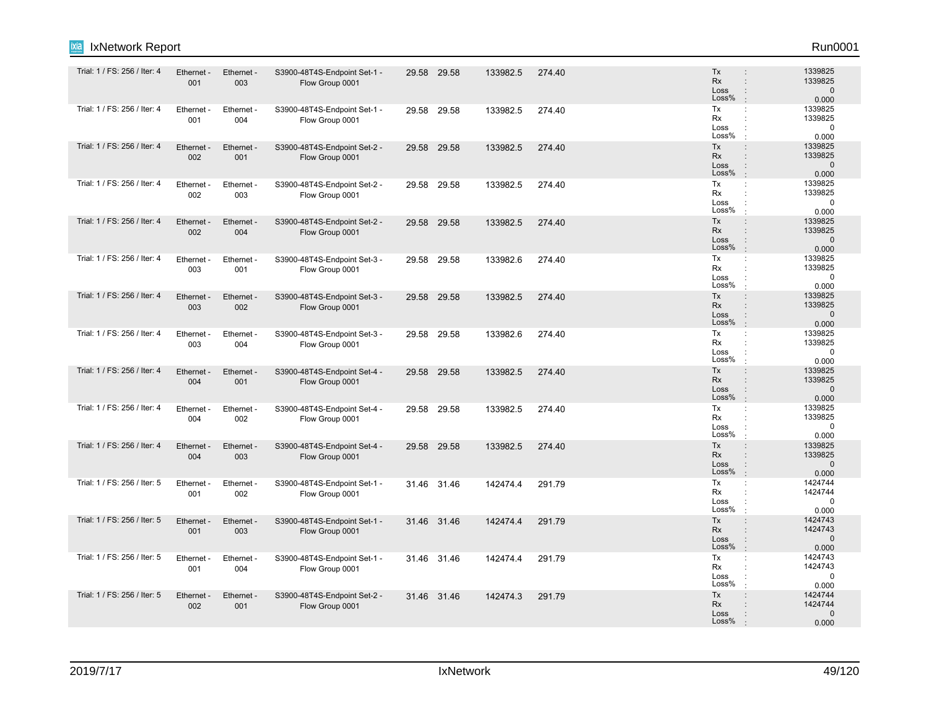| IxNetwork Report<br>Ixia     |                   |                   |                                                 |       |             |          |        |                                                                                                              | Run0001                                     |
|------------------------------|-------------------|-------------------|-------------------------------------------------|-------|-------------|----------|--------|--------------------------------------------------------------------------------------------------------------|---------------------------------------------|
| Trial: 1 / FS: 256 / Iter: 4 | Ethernet -<br>001 | Ethernet -<br>003 | S3900-48T4S-Endpoint Set-1 -<br>Flow Group 0001 |       | 29.58 29.58 | 133982.5 | 274.40 | Tx<br>$\ddot{\phantom{a}}$<br>Rx<br>$\ddot{\phantom{a}}$<br>Loss<br>÷<br>Loss%<br>÷                          | 1339825<br>1339825<br>$\mathbf 0$<br>0.000  |
| Trial: 1 / FS: 256 / Iter: 4 | Ethernet -<br>001 | Ethernet -<br>004 | S3900-48T4S-Endpoint Set-1 -<br>Flow Group 0001 |       | 29.58 29.58 | 133982.5 | 274.40 | Tx<br>÷<br>Rx<br>Loss<br>Loss%                                                                               | 1339825<br>1339825<br>$\mathbf 0$<br>0.000  |
| Trial: 1 / FS: 256 / Iter: 4 | Ethernet -<br>002 | Ethernet -<br>001 | S3900-48T4S-Endpoint Set-2 -<br>Flow Group 0001 |       | 29.58 29.58 | 133982.5 | 274.40 | Tx<br>$\ddot{\phantom{a}}$<br>Rx<br>$\ddot{\phantom{a}}$<br>Loss<br>÷<br>Loss%<br>$\cdot$                    | 1339825<br>1339825<br>$\mathbf 0$<br>0.000  |
| Trial: 1 / FS: 256 / Iter: 4 | Ethernet<br>002   | Ethernet<br>003   | S3900-48T4S-Endpoint Set-2 -<br>Flow Group 0001 | 29.58 | 29.58       | 133982.5 | 274.40 | Tx<br>$\ddot{\phantom{a}}$<br>Rx<br>÷<br>Loss<br>÷<br>Loss%<br>$\cdot$                                       | 1339825<br>1339825<br>$\mathbf 0$<br>0.000  |
| Trial: 1 / FS: 256 / Iter: 4 | Ethernet -<br>002 | Ethernet -<br>004 | S3900-48T4S-Endpoint Set-2 -<br>Flow Group 0001 |       | 29.58 29.58 | 133982.5 | 274.40 | Tx<br>$\ddot{\phantom{a}}$<br>Rx<br>$\ddot{\phantom{a}}$<br>Loss<br>÷<br>Loss%<br>$\cdot$                    | 1339825<br>1339825<br>$\mathbf 0$<br>0.000  |
| Trial: 1 / FS: 256 / Iter: 4 | Ethernet -<br>003 | Ethernet<br>001   | S3900-48T4S-Endpoint Set-3 -<br>Flow Group 0001 |       | 29.58 29.58 | 133982.6 | 274.40 | Tx<br>÷<br>Rx<br>$\ddot{\phantom{a}}$<br>Loss<br>Loss%<br>$\cdot$                                            | 1339825<br>1339825<br>$\mathbf 0$<br>0.000  |
| Trial: 1 / FS: 256 / Iter: 4 | Ethernet -<br>003 | Ethernet -<br>002 | S3900-48T4S-Endpoint Set-3 -<br>Flow Group 0001 |       | 29.58 29.58 | 133982.5 | 274.40 | Tx<br>$\ddot{\phantom{a}}$<br>Rx<br>÷<br>Loss<br>÷<br>Loss%<br>$\cdot$                                       | 1339825<br>1339825<br>$\mathbf 0$<br>0.000  |
| Trial: 1 / FS: 256 / Iter: 4 | Ethernet<br>003   | Ethernet<br>004   | S3900-48T4S-Endpoint Set-3 -<br>Flow Group 0001 | 29.58 | 29.58       | 133982.6 | 274.40 | Tx<br>÷<br>Rx<br>÷<br>Loss<br>÷<br>Loss%                                                                     | 1339825<br>1339825<br>$\mathbf 0$<br>0.000  |
| Trial: 1 / FS: 256 / Iter: 4 | Ethernet -<br>004 | Ethernet -<br>001 | S3900-48T4S-Endpoint Set-4 -<br>Flow Group 0001 |       | 29.58 29.58 | 133982.5 | 274.40 | Tx<br>$\ddot{\phantom{a}}$<br>Rx<br>÷<br>Loss<br>÷<br>Loss%<br>$\cdot$                                       | 1339825<br>1339825<br>$\mathbf{0}$<br>0.000 |
| Trial: 1 / FS: 256 / Iter: 4 | Ethernet -<br>004 | Ethernet -<br>002 | S3900-48T4S-Endpoint Set-4 -<br>Flow Group 0001 |       | 29.58 29.58 | 133982.5 | 274.40 | Tx<br>÷<br>Rx<br>Loss<br>Loss%<br>$\cdot$                                                                    | 1339825<br>1339825<br>0<br>0.000            |
| Trial: 1 / FS: 256 / Iter: 4 | Ethernet -<br>004 | Ethernet -<br>003 | S3900-48T4S-Endpoint Set-4 -<br>Flow Group 0001 |       | 29.58 29.58 | 133982.5 | 274.40 | Tx<br>$\ddot{\phantom{a}}$<br>Rx<br>$\ddot{\phantom{a}}$<br>Loss<br>$\ddot{\phantom{a}}$<br>Loss%<br>$\cdot$ | 1339825<br>1339825<br>$\mathbf 0$<br>0.000  |
| Trial: 1 / FS: 256 / Iter: 5 | Ethernet<br>001   | Ethernet<br>002   | S3900-48T4S-Endpoint Set-1 -<br>Flow Group 0001 |       | 31.46 31.46 | 142474.4 | 291.79 | Tx<br>÷<br>Rx<br>÷<br>Loss<br>$\ddot{\cdot}$<br>Loss%<br>÷                                                   | 1424744<br>1424744<br>$\mathbf 0$<br>0.000  |
| Trial: 1 / FS: 256 / Iter: 5 | Ethernet -<br>001 | Ethernet -<br>003 | S3900-48T4S-Endpoint Set-1 -<br>Flow Group 0001 |       | 31.46 31.46 | 142474.4 | 291.79 | Tx<br>÷<br>Rx<br>÷<br>Loss<br>$\ddot{\phantom{a}}$<br>Loss%<br>$\cdot$                                       | 1424743<br>1424743<br>$\mathbf{0}$<br>0.000 |
| Trial: 1 / FS: 256 / Iter: 5 | Ethernet<br>001   | Ethernet<br>004   | S3900-48T4S-Endpoint Set-1 -<br>Flow Group 0001 |       | 31.46 31.46 | 142474.4 | 291.79 | Tx<br>÷<br>Rx<br>Loss<br>Loss%                                                                               | 1424743<br>1424743<br>$\mathbf 0$<br>0.000  |
| Trial: 1 / FS: 256 / Iter: 5 | Ethernet -<br>002 | Ethernet -<br>001 | S3900-48T4S-Endpoint Set-2 -<br>Flow Group 0001 |       | 31.46 31.46 | 142474.3 | 291.79 | Tx<br>$\vdots$<br>Rx<br>Loss<br>Loss%                                                                        | 1424744<br>1424744<br>$\mathbf{0}$<br>0.000 |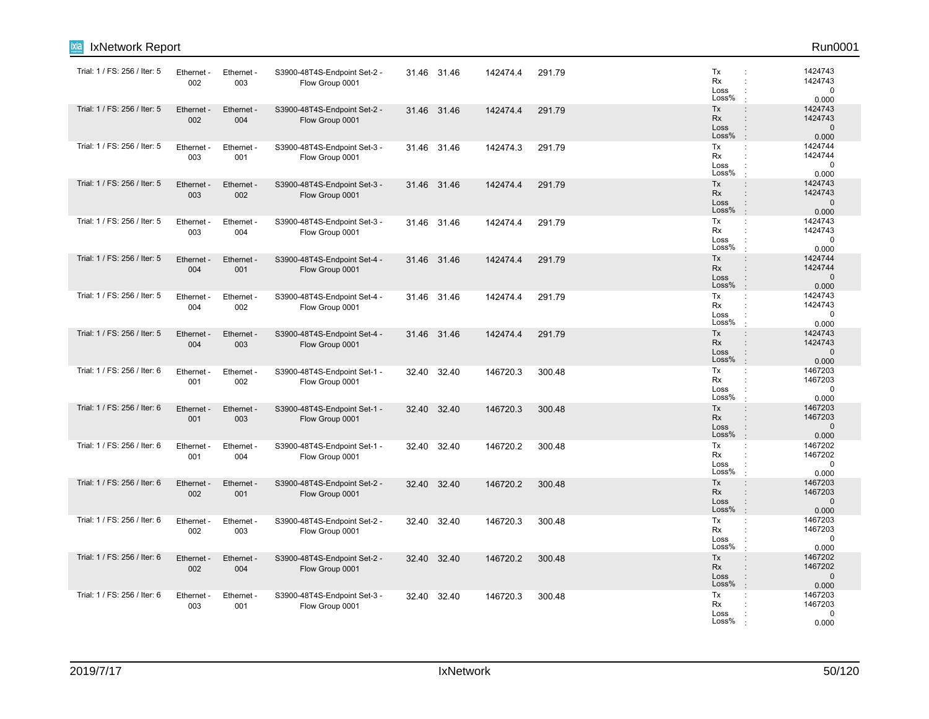| <b>IxNetwork Report</b><br>ixia |                   |                   |                                                 |       |             |          |        |                                  | Run0001                                                                                                                             |
|---------------------------------|-------------------|-------------------|-------------------------------------------------|-------|-------------|----------|--------|----------------------------------|-------------------------------------------------------------------------------------------------------------------------------------|
| Trial: 1 / FS: 256 / Iter: 5    | Ethernet -<br>002 | Ethernet -<br>003 | S3900-48T4S-Endpoint Set-2 -<br>Flow Group 0001 |       | 31.46 31.46 | 142474.4 | 291.79 | Tx<br>Rx<br>Loss<br>Loss%        | 1424743<br>$\ddot{\phantom{a}}$<br>1424743<br>÷<br>$\mathbf 0$<br>$\ddot{\cdot}$<br>0.000<br>$\cdot$                                |
| Trial: 1 / FS: 256 / Iter: 5    | Ethernet<br>002   | Ethernet -<br>004 | S3900-48T4S-Endpoint Set-2 -<br>Flow Group 0001 |       | 31.46 31.46 | 142474.4 | 291.79 | Tx<br><b>Rx</b><br>Loss<br>Loss% | 1424743<br>$\ddot{\phantom{a}}$<br>1424743<br>$\ddot{\phantom{a}}$<br>$\mathbf{0}$<br>$\ddot{\phantom{a}}$<br>$\mathbf{r}$<br>0.000 |
| Trial: 1 / FS: 256 / Iter: 5    | Ethernet -<br>003 | Ethernet -<br>001 | S3900-48T4S-Endpoint Set-3 -<br>Flow Group 0001 |       | 31.46 31.46 | 142474.3 | 291.79 | Tx<br>Rx<br>Loss<br>Loss%        | ÷<br>1424744<br>1424744<br>$\ddot{\phantom{a}}$<br>$\mathbf 0$<br>÷<br>0.000                                                        |
| Trial: 1 / FS: 256 / Iter: 5    | Ethernet -<br>003 | Ethernet -<br>002 | S3900-48T4S-Endpoint Set-3 -<br>Flow Group 0001 |       | 31.46 31.46 | 142474.4 | 291.79 | Tx<br>Rx<br>Loss<br>Loss%        | 1424743<br>$\ddot{\phantom{a}}$<br>1424743<br>÷<br>$\mathbf{0}$<br>$\ddot{\phantom{a}}$<br>0.000<br>$\mathbf{r}$                    |
| Trial: 1 / FS: 256 / Iter: 5    | Ethernet -<br>003 | Ethernet -<br>004 | S3900-48T4S-Endpoint Set-3 -<br>Flow Group 0001 |       | 31.46 31.46 | 142474.4 | 291.79 | Tx<br>Rx<br>Loss<br>Loss%        | 1424743<br>÷<br>1424743<br>÷<br>$\mathbf 0$<br>÷<br>0.000                                                                           |
| Trial: 1 / FS: 256 / Iter: 5    | Ethernet<br>004   | Ethernet -<br>001 | S3900-48T4S-Endpoint Set-4 -<br>Flow Group 0001 |       | 31.46 31.46 | 142474.4 | 291.79 | Tx<br><b>Rx</b><br>Loss<br>Loss% | 1424744<br>$\vdots$<br>1424744<br>÷<br>$\Omega$<br>$\ddot{\phantom{a}}$<br>0.000<br>$\mathbf{r}$                                    |
| Trial: 1 / FS: 256 / Iter: 5    | Ethernet -<br>004 | Ethernet -<br>002 | S3900-48T4S-Endpoint Set-4 -<br>Flow Group 0001 |       | 31.46 31.46 | 142474.4 | 291.79 | Tx<br>Rx<br>Loss<br>Loss%        | 1424743<br>÷<br>1424743<br>$\Omega$<br>0.000<br>$\cdot$                                                                             |
| Trial: 1 / FS: 256 / Iter: 5    | Ethernet -<br>004 | Ethernet -<br>003 | S3900-48T4S-Endpoint Set-4 -<br>Flow Group 0001 |       | 31.46 31.46 | 142474.4 | 291.79 | Tx<br>Rx<br>Loss<br>Loss%        | 1424743<br>$\ddot{\phantom{a}}$<br>1424743<br>÷<br>$\ddot{\phantom{a}}$<br>$\mathbf{0}$<br>0.000<br>$\cdot$                         |
| Trial: 1 / FS: 256 / Iter: 6    | Ethernet<br>001   | Ethernet -<br>002 | S3900-48T4S-Endpoint Set-1 -<br>Flow Group 0001 | 32.40 | 32.40       | 146720.3 | 300.48 | Tx<br>Rx<br>Loss<br>Loss%        | 1467203<br>÷<br>1467203<br>$\ddot{\cdot}$<br>$\mathbf 0$<br>$\ddot{\phantom{a}}$<br>$\cdot$<br>0.000                                |
| Trial: 1 / FS: 256 / Iter: 6    | Ethernet -<br>001 | Ethernet -<br>003 | S3900-48T4S-Endpoint Set-1 -<br>Flow Group 0001 |       | 32.40 32.40 | 146720.3 | 300.48 | Tx<br><b>Rx</b><br>Loss<br>Loss% | 1467203<br>$\ddot{\phantom{a}}$<br>1467203<br>$\Omega$<br>$\ddot{\phantom{a}}$<br>$\mathbf{r}$<br>0.000                             |
| Trial: 1 / FS: 256 / Iter: 6    | Ethernet -<br>001 | Ethernet -<br>004 | S3900-48T4S-Endpoint Set-1 -<br>Flow Group 0001 | 32.40 | 32.40       | 146720.2 | 300.48 | Tx<br>Rx<br>Loss<br>Loss%        | 1467202<br>÷<br>1467202<br>÷<br>0<br>$\cdot$<br>0.000                                                                               |
| Trial: 1 / FS: 256 / Iter: 6    | Ethernet -<br>002 | Ethernet -<br>001 | S3900-48T4S-Endpoint Set-2 -<br>Flow Group 0001 | 32.40 | 32.40       | 146720.2 | 300.48 | Tx<br><b>Rx</b><br>Loss<br>Loss% | 1467203<br>$\ddot{\phantom{a}}$<br>1467203<br>$\ddot{\phantom{a}}$<br>$\mathbf{0}$<br>$\ddot{\phantom{a}}$<br>÷.<br>0.000           |
| Trial: 1 / FS: 256 / Iter: 6    | Ethernet -<br>002 | Ethernet -<br>003 | S3900-48T4S-Endpoint Set-2 -<br>Flow Group 0001 | 32.40 | 32.40       | 146720.3 | 300.48 | Tx<br>Rx<br>Loss<br>Loss%        | 1467203<br>÷<br>1467203<br>$\ddot{\phantom{a}}$<br>$\mathbf 0$<br>$\ddot{\cdot}$<br>0.000<br>$\cdot$                                |
| Trial: 1 / FS: 256 / Iter: 6    | Ethernet<br>002   | Ethernet -<br>004 | S3900-48T4S-Endpoint Set-2 -<br>Flow Group 0001 | 32.40 | 32.40       | 146720.2 | 300.48 | Tx<br>Rx<br>Loss<br>Loss%        | 1467202<br>÷<br>1467202<br>$\Omega$<br>$\ddot{\phantom{a}}$<br>0.000<br>$\mathbf{r}$                                                |
| Trial: 1 / FS: 256 / Iter: 6    | Ethernet -<br>003 | Ethernet -<br>001 | S3900-48T4S-Endpoint Set-3 -<br>Flow Group 0001 |       | 32.40 32.40 | 146720.3 | 300.48 | Tx<br>Rx<br>Loss<br>Loss%        | 1467203<br>÷<br>1467203<br>$\mathbf 0$<br>0.000                                                                                     |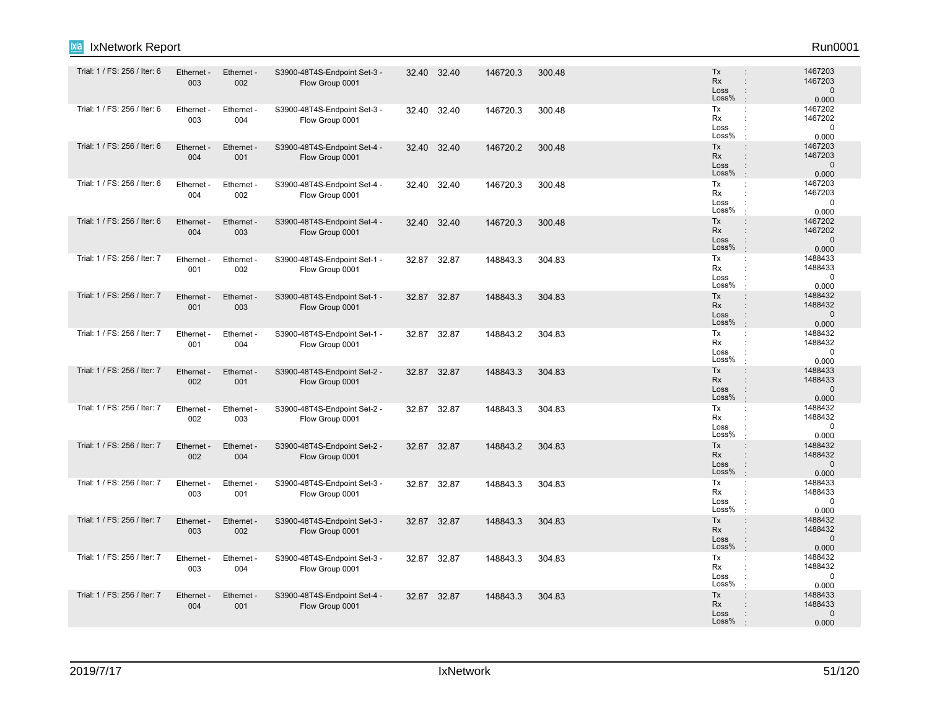| ixia<br>IxNetwork Report     |                   |                        |                                                 |       |             |          |        |                                                                                                  | Run0001                                     |
|------------------------------|-------------------|------------------------|-------------------------------------------------|-------|-------------|----------|--------|--------------------------------------------------------------------------------------------------|---------------------------------------------|
| Trial: 1 / FS: 256 / Iter: 6 | Ethernet -<br>003 | Ethernet -<br>002      | S3900-48T4S-Endpoint Set-3 -<br>Flow Group 0001 |       | 32.40 32.40 | 146720.3 | 300.48 | Tx<br>$\ddot{\phantom{a}}$<br>Rx<br>$\ddot{\phantom{a}}$<br>Loss<br>÷<br>Loss%<br>$\cdot$        | 1467203<br>1467203<br>$\mathbf 0$<br>0.000  |
| Trial: 1 / FS: 256 / Iter: 6 | Ethernet -<br>003 | Ethernet -<br>004      | S3900-48T4S-Endpoint Set-3 -<br>Flow Group 0001 | 32.40 | 32.40       | 146720.3 | 300.48 | Tx<br>÷<br>Rx<br>Loss<br>Loss%                                                                   | 1467202<br>1467202<br>$\mathbf 0$<br>0.000  |
| Trial: 1 / FS: 256 / Iter: 6 | Ethernet -<br>004 | Ethernet -<br>001      | S3900-48T4S-Endpoint Set-4 -<br>Flow Group 0001 | 32.40 | 32.40       | 146720.2 | 300.48 | Tx<br>$\ddot{\phantom{a}}$<br>Rx<br>$\ddot{\phantom{a}}$<br>Loss<br>÷<br>Loss%<br>$\cdot$        | 1467203<br>1467203<br>$\mathbf 0$<br>0.000  |
| Trial: 1 / FS: 256 / Iter: 6 | Ethernet<br>004   | Ethernet -<br>002      | S3900-48T4S-Endpoint Set-4 -<br>Flow Group 0001 | 32.40 | 32.40       | 146720.3 | 300.48 | Tx<br>$\ddot{\phantom{a}}$<br>Rx<br>÷<br>Loss<br>Loss%<br>$\cdot$                                | 1467203<br>1467203<br>$\mathbf 0$<br>0.000  |
| Trial: 1 / FS: 256 / Iter: 6 | Ethernet -<br>004 | Ethernet -<br>003      | S3900-48T4S-Endpoint Set-4 -<br>Flow Group 0001 |       | 32.40 32.40 | 146720.3 | 300.48 | Tx<br>$\ddot{\phantom{a}}$<br>Rx<br>$\ddot{\phantom{a}}$<br>Loss<br>÷<br>Loss%<br>$\cdot$        | 1467202<br>1467202<br>$\mathbf 0$<br>0.000  |
| Trial: 1 / FS: 256 / Iter: 7 | Ethernet<br>001   | Ethernet<br>002        | S3900-48T4S-Endpoint Set-1 -<br>Flow Group 0001 | 32.87 | 32.87       | 148843.3 | 304.83 | Tx<br>÷<br>Rx<br>Loss<br>Loss%<br>$\cdot$                                                        | 1488433<br>1488433<br>$\mathbf 0$<br>0.000  |
| Trial: 1 / FS: 256 / Iter: 7 | Ethernet -<br>001 | Ethernet -<br>003      | S3900-48T4S-Endpoint Set-1 -<br>Flow Group 0001 | 32.87 | 32.87       | 148843.3 | 304.83 | Tx<br>$\ddot{\phantom{a}}$<br><b>Rx</b><br>÷<br>Loss<br>÷<br>Loss%<br>$\cdot$                    | 1488432<br>1488432<br>$\mathbf 0$<br>0.000  |
| Trial: 1 / FS: 256 / Iter: 7 | Ethernet<br>001   | <b>Ethernet</b><br>004 | S3900-48T4S-Endpoint Set-1 -<br>Flow Group 0001 | 32.87 | 32.87       | 148843.2 | 304.83 | Tx<br>÷<br>Rx<br>÷<br>Loss<br>$\ddot{\phantom{a}}$<br>Loss%                                      | 1488432<br>1488432<br>$\mathbf 0$<br>0.000  |
| Trial: 1 / FS: 256 / Iter: 7 | Ethernet -<br>002 | Ethernet -<br>001      | S3900-48T4S-Endpoint Set-2 -<br>Flow Group 0001 | 32.87 | 32.87       | 148843.3 | 304.83 | Tx<br>$\ddot{\phantom{a}}$<br>Rx<br>$\ddot{\phantom{a}}$<br>Loss<br>÷<br>Loss%<br>$\cdot$        | 1488433<br>1488433<br>$\mathbf{0}$<br>0.000 |
| Trial: 1 / FS: 256 / Iter: 7 | Ethernet -<br>002 | Ethernet -<br>003      | S3900-48T4S-Endpoint Set-2 -<br>Flow Group 0001 |       | 32.87 32.87 | 148843.3 | 304.83 | Tx<br>÷<br>Rx<br>Loss<br>Loss%                                                                   | 1488432<br>1488432<br>0<br>0.000            |
| Trial: 1 / FS: 256 / Iter: 7 | Ethernet -<br>002 | Ethernet -<br>004      | S3900-48T4S-Endpoint Set-2 -<br>Flow Group 0001 | 32.87 | 32.87       | 148843.2 | 304.83 | Tx<br>$\ddot{\phantom{a}}$<br>Rx<br>$\ddot{\phantom{a}}$<br>Loss<br>$\vdots$<br>Loss%<br>$\cdot$ | 1488432<br>1488432<br>$\mathbf 0$<br>0.000  |
| Trial: 1 / FS: 256 / Iter: 7 | Ethernet<br>003   | Ethernet -<br>001      | S3900-48T4S-Endpoint Set-3 -<br>Flow Group 0001 | 32.87 | 32.87       | 148843.3 | 304.83 | Tx<br>÷<br>Rx<br>Loss<br>Loss%<br>$\cdot$                                                        | 1488433<br>1488433<br>$\mathbf 0$<br>0.000  |
| Trial: 1 / FS: 256 / Iter: 7 | Ethernet -<br>003 | Ethernet -<br>002      | S3900-48T4S-Endpoint Set-3 -<br>Flow Group 0001 |       | 32.87 32.87 | 148843.3 | 304.83 | Tx<br>÷<br>Rx<br>÷<br>Loss<br>$\ddot{\phantom{a}}$<br>Loss%<br>$\cdot$                           | 1488432<br>1488432<br>$\mathbf{0}$<br>0.000 |
| Trial: 1 / FS: 256 / Iter: 7 | Ethernet<br>003   | Ethernet<br>004        | S3900-48T4S-Endpoint Set-3 -<br>Flow Group 0001 |       | 32.87 32.87 | 148843.3 | 304.83 | Tx<br>÷<br>Rx<br>Loss<br>Loss%                                                                   | 1488432<br>1488432<br>$\mathbf 0$<br>0.000  |
| Trial: 1 / FS: 256 / Iter: 7 | Ethernet -<br>004 | Ethernet -<br>001      | S3900-48T4S-Endpoint Set-4 -<br>Flow Group 0001 |       | 32.87 32.87 | 148843.3 | 304.83 | Tx<br>$\vdots$<br>Rx<br>Loss<br>Loss%                                                            | 1488433<br>1488433<br>$\mathbf{0}$<br>0.000 |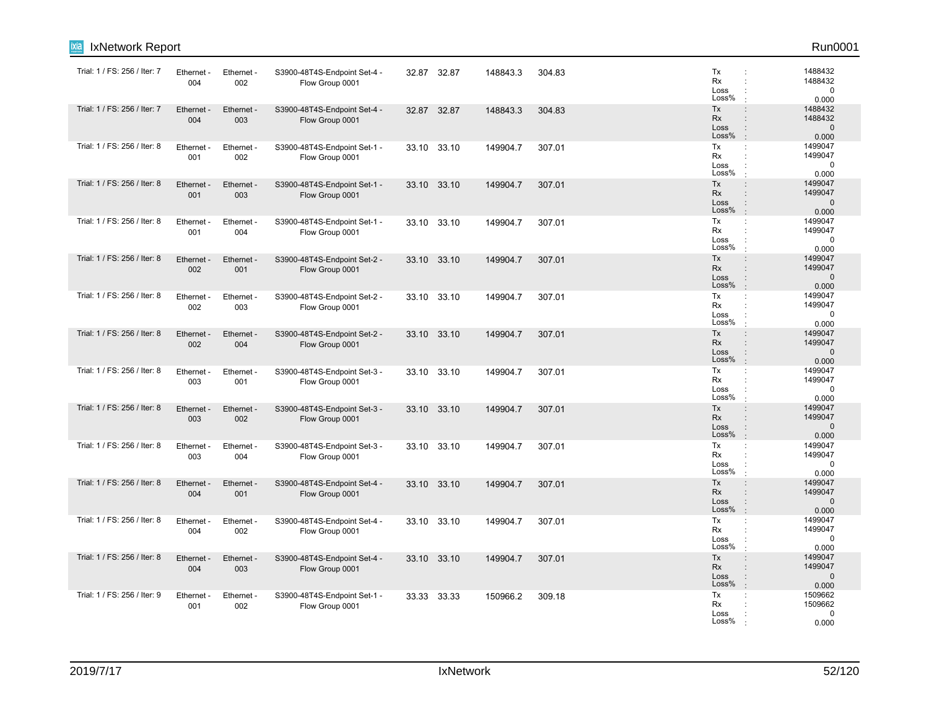| ixia<br>IxNetwork Report     |                   |                   |                                                 |       |             |          |        |                                  | Run0001                                                  |
|------------------------------|-------------------|-------------------|-------------------------------------------------|-------|-------------|----------|--------|----------------------------------|----------------------------------------------------------|
| Trial: 1 / FS: 256 / Iter: 7 | Ethernet -<br>004 | Ethernet -<br>002 | S3900-48T4S-Endpoint Set-4 -<br>Flow Group 0001 |       | 32.87 32.87 | 148843.3 | 304.83 | Tx<br>Rx<br>Loss<br>Loss%        | 1488432<br>1488432<br>0<br>0.000                         |
| Trial: 1 / FS: 256 / Iter: 7 | Ethernet -<br>004 | Ethernet -<br>003 | S3900-48T4S-Endpoint Set-4 -<br>Flow Group 0001 |       | 32.87 32.87 | 148843.3 | 304.83 | Tx<br>Rx<br>Loss<br>Loss%        | 1488432<br>1488432<br>$\mathbf 0$<br>0.000               |
| Trial: 1 / FS: 256 / Iter: 8 | Ethernet -<br>001 | Ethernet -<br>002 | S3900-48T4S-Endpoint Set-1 -<br>Flow Group 0001 |       | 33.10 33.10 | 149904.7 | 307.01 | Tx<br>Rx<br>Loss<br>Loss%        | 1499047<br>$\ddot{\phantom{a}}$<br>1499047<br>0<br>0.000 |
| Trial: 1 / FS: 256 / Iter: 8 | Ethernet<br>001   | Ethernet -<br>003 | S3900-48T4S-Endpoint Set-1 -<br>Flow Group 0001 | 33.10 | 33.10       | 149904.7 | 307.01 | Tx<br><b>Rx</b><br>Loss<br>Loss% | 1499047<br>1499047<br>÷<br>$\mathbf 0$<br>0.000          |
| Trial: 1 / FS: 256 / Iter: 8 | Ethernet -<br>001 | Ethernet -<br>004 | S3900-48T4S-Endpoint Set-1 -<br>Flow Group 0001 |       | 33.10 33.10 | 149904.7 | 307.01 | Tx<br>Rx<br>Loss<br>Loss%        | 1499047<br>÷<br>1499047<br>$\mathbf 0$<br>0.000          |
| Trial: 1 / FS: 256 / Iter: 8 | Ethernet -<br>002 | Ethernet -<br>001 | S3900-48T4S-Endpoint Set-2 -<br>Flow Group 0001 |       | 33.10 33.10 | 149904.7 | 307.01 | Tx<br>Rx<br>Loss<br>Loss%        | 1499047<br>1499047<br>٠<br>$\mathbf 0$<br>0.000          |
| Trial: 1 / FS: 256 / Iter: 8 | Ethernet<br>002   | Ethernet -<br>003 | S3900-48T4S-Endpoint Set-2 -<br>Flow Group 0001 |       | 33.10 33.10 | 149904.7 | 307.01 | Tx<br>Rx<br>Loss<br>Loss%        | 1499047<br>÷<br>1499047<br>0<br>0.000                    |
| Trial: 1 / FS: 256 / Iter: 8 | Ethernet<br>002   | Ethernet -<br>004 | S3900-48T4S-Endpoint Set-2 -<br>Flow Group 0001 |       | 33.10 33.10 | 149904.7 | 307.01 | Tx<br><b>Rx</b><br>Loss<br>Loss% | 1499047<br>1499047<br>$\mathbf 0$<br>0.000               |
| Trial: 1 / FS: 256 / Iter: 8 | Ethernet<br>003   | Ethernet -<br>001 | S3900-48T4S-Endpoint Set-3 -<br>Flow Group 0001 |       | 33.10 33.10 | 149904.7 | 307.01 | Tx<br>Rx<br>Loss<br>Loss%        | 1499047<br>1499047<br>$\mathbf 0$<br>0.000               |
| Trial: 1 / FS: 256 / Iter: 8 | Ethernet -<br>003 | Ethernet -<br>002 | S3900-48T4S-Endpoint Set-3 -<br>Flow Group 0001 |       | 33.10 33.10 | 149904.7 | 307.01 | Tx<br>Rx<br>Loss<br>Loss%        | 1499047<br>1499047<br>$\mathbf 0$<br>0.000               |
| Trial: 1 / FS: 256 / Iter: 8 | Ethernet<br>003   | Ethernet -<br>004 | S3900-48T4S-Endpoint Set-3 -<br>Flow Group 0001 |       | 33.10 33.10 | 149904.7 | 307.01 | Tx<br>Rx<br>Loss<br>Loss%        | 1499047<br>÷<br>1499047<br>$\mathbf 0$<br>0.000          |
| Trial: 1 / FS: 256 / Iter: 8 | Ethernet<br>004   | Ethernet -<br>001 | S3900-48T4S-Endpoint Set-4 -<br>Flow Group 0001 |       | 33.10 33.10 | 149904.7 | 307.01 | Tx<br><b>Rx</b><br>Loss<br>Loss% | 1499047<br>1499047<br>$\mathbf 0$<br>0.000               |
| Trial: 1 / FS: 256 / Iter: 8 | Ethernet -<br>004 | Ethernet -<br>002 | S3900-48T4S-Endpoint Set-4 -<br>Flow Group 0001 |       | 33.10 33.10 | 149904.7 | 307.01 | Tx<br>Rx<br>Loss<br>Loss%        | 1499047<br>÷<br>1499047<br>$\mathbf 0$<br>0.000          |
| Trial: 1 / FS: 256 / Iter: 8 | Ethernet<br>004   | Ethernet -<br>003 | S3900-48T4S-Endpoint Set-4 -<br>Flow Group 0001 | 33.10 | 33.10       | 149904.7 | 307.01 | Tx<br>Rx<br>Loss<br>Loss%        | 1499047<br>1499047<br>٠<br>$\mathbf 0$<br>0.000          |
| Trial: 1 / FS: 256 / Iter: 9 | Ethernet<br>001   | Ethernet -<br>002 | S3900-48T4S-Endpoint Set-1 -<br>Flow Group 0001 | 33.33 | 33.33       | 150966.2 | 309.18 | Tx<br>Rx<br>Loss<br>Loss%        | 1509662<br>÷<br>1509662<br>0<br>0.000                    |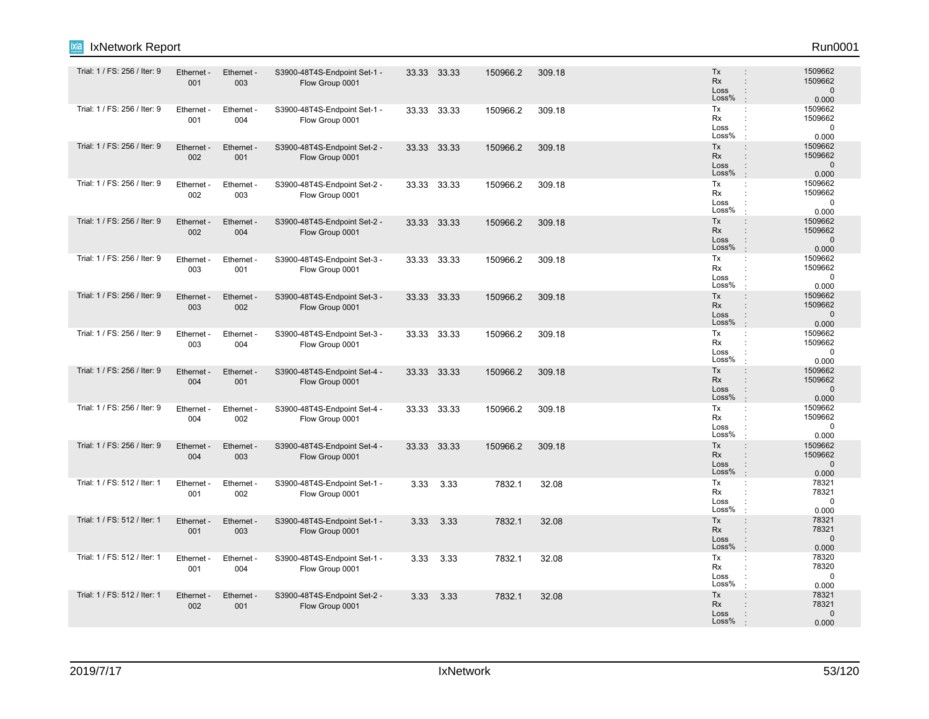| ixia<br>IxNetwork Report     |                   |                   |                                                 |       |             |          |        |                                  | Run0001                                                                                     |
|------------------------------|-------------------|-------------------|-------------------------------------------------|-------|-------------|----------|--------|----------------------------------|---------------------------------------------------------------------------------------------|
| Trial: 1 / FS: 256 / Iter: 9 | Ethernet -<br>001 | Ethernet -<br>003 | S3900-48T4S-Endpoint Set-1 -<br>Flow Group 0001 |       | 33.33 33.33 | 150966.2 | 309.18 | Tx<br>Rx<br>Loss<br>Loss%        | 1509662<br>1509662<br>$\mathbf 0$<br>0.000                                                  |
| Trial: 1 / FS: 256 / Iter: 9 | Ethernet -<br>001 | Ethernet -<br>004 | S3900-48T4S-Endpoint Set-1 -<br>Flow Group 0001 |       | 33.33 33.33 | 150966.2 | 309.18 | Tx<br>Rx<br>Loss<br>Loss%        | 1509662<br>÷<br>1509662<br>0<br>0.000                                                       |
| Trial: 1 / FS: 256 / Iter: 9 | Ethernet -<br>002 | Ethernet -<br>001 | S3900-48T4S-Endpoint Set-2 -<br>Flow Group 0001 |       | 33.33 33.33 | 150966.2 | 309.18 | Tx<br>Rx<br>Loss<br>Loss%        | 1509662<br>$\ddot{\phantom{a}}$<br>1509662<br>$\ddot{\phantom{a}}$<br>$\mathbf{0}$<br>0.000 |
| Trial: 1 / FS: 256 / Iter: 9 | Ethernet<br>002   | Ethernet -<br>003 | S3900-48T4S-Endpoint Set-2 -<br>Flow Group 0001 |       | 33.33 33.33 | 150966.2 | 309.18 | Tx<br>Rx<br>Loss<br>Loss%        | 1509662<br>1509662<br>$\mathbf 0$<br>0.000                                                  |
| Trial: 1 / FS: 256 / Iter: 9 | Ethernet -<br>002 | Ethernet -<br>004 | S3900-48T4S-Endpoint Set-2 -<br>Flow Group 0001 |       | 33.33 33.33 | 150966.2 | 309.18 | Tx<br>Rx<br>Loss<br>Loss%        | 1509662<br>÷<br>1509662<br>$\mathbf{0}$<br>0.000                                            |
| Trial: 1 / FS: 256 / Iter: 9 | Ethernet -<br>003 | Ethernet -<br>001 | S3900-48T4S-Endpoint Set-3 -<br>Flow Group 0001 |       | 33.33 33.33 | 150966.2 | 309.18 | Tx<br>Rx<br>Loss<br>Loss%        | 1509662<br>÷<br>1509662<br>0<br>0.000                                                       |
| Trial: 1 / FS: 256 / Iter: 9 | Ethernet -<br>003 | Ethernet -<br>002 | S3900-48T4S-Endpoint Set-3 -<br>Flow Group 0001 | 33.33 | 33.33       | 150966.2 | 309.18 | Tx<br><b>Rx</b><br>Loss<br>Loss% | 1509662<br>÷<br>1509662<br>$\mathbf 0$<br>0.000                                             |
| Trial: 1 / FS: 256 / Iter: 9 | Ethernet -<br>003 | Ethernet -<br>004 | S3900-48T4S-Endpoint Set-3 -<br>Flow Group 0001 | 33.33 | 33.33       | 150966.2 | 309.18 | Tx<br>Rx<br>Loss<br>Loss%        | 1509662<br>1509662<br>0<br>0.000                                                            |
| Trial: 1 / FS: 256 / Iter: 9 | Ethernet -<br>004 | Ethernet -<br>001 | S3900-48T4S-Endpoint Set-4 -<br>Flow Group 0001 |       | 33.33 33.33 | 150966.2 | 309.18 | Tx<br>Rx<br>Loss<br>Loss%        | 1509662<br>1509662<br>$\mathbf 0$<br>0.000                                                  |
| Trial: 1 / FS: 256 / Iter: 9 | Ethernet -<br>004 | Ethernet -<br>002 | S3900-48T4S-Endpoint Set-4 -<br>Flow Group 0001 |       | 33.33 33.33 | 150966.2 | 309.18 | Tx<br><b>Rx</b><br>Loss<br>Loss% | 1509662<br>$\ddot{\phantom{a}}$<br>1509662<br>0<br>0.000                                    |
| Trial: 1 / FS: 256 / Iter: 9 | Ethernet -<br>004 | Ethernet -<br>003 | S3900-48T4S-Endpoint Set-4 -<br>Flow Group 0001 | 33.33 | 33.33       | 150966.2 | 309.18 | Tx<br>Rx<br>Loss<br>Loss%        | 1509662<br>$\ddot{\phantom{a}}$<br>1509662<br>$\mathbf 0$<br>0.000                          |
| Trial: 1 / FS: 512 / Iter: 1 | Ethernet<br>001   | Ethernet -<br>002 | S3900-48T4S-Endpoint Set-1 -<br>Flow Group 0001 | 3.33  | 3.33        | 7832.1   | 32.08  | Tx<br>Rx<br>Loss<br>Loss%        | 78321<br>78321<br>0<br>0.000                                                                |
| Trial: 1 / FS: 512 / Iter: 1 | Ethernet -<br>001 | Ethernet -<br>003 | S3900-48T4S-Endpoint Set-1 -<br>Flow Group 0001 | 3.33  | 3.33        | 7832.1   | 32.08  | Tx<br>Rx<br>Loss<br>Loss%        | 78321<br>78321<br>$\mathbf{0}$<br>0.000                                                     |
| Trial: 1 / FS: 512 / Iter: 1 | Ethernet<br>001   | Ethernet -<br>004 | S3900-48T4S-Endpoint Set-1 -<br>Flow Group 0001 | 3.33  | 3.33        | 7832.1   | 32.08  | Tx<br>Rx<br>Loss<br>Loss%        | 78320<br>÷<br>78320<br>0<br>0.000                                                           |
| Trial: 1 / FS: 512 / Iter: 1 | Ethernet -<br>002 | Ethernet -<br>001 | S3900-48T4S-Endpoint Set-2 -<br>Flow Group 0001 | 3.33  | 3.33        | 7832.1   | 32.08  | Tx<br>Rx<br>Loss<br>Loss%        | 78321<br>78321<br>$\mathbf 0$<br>0.000                                                      |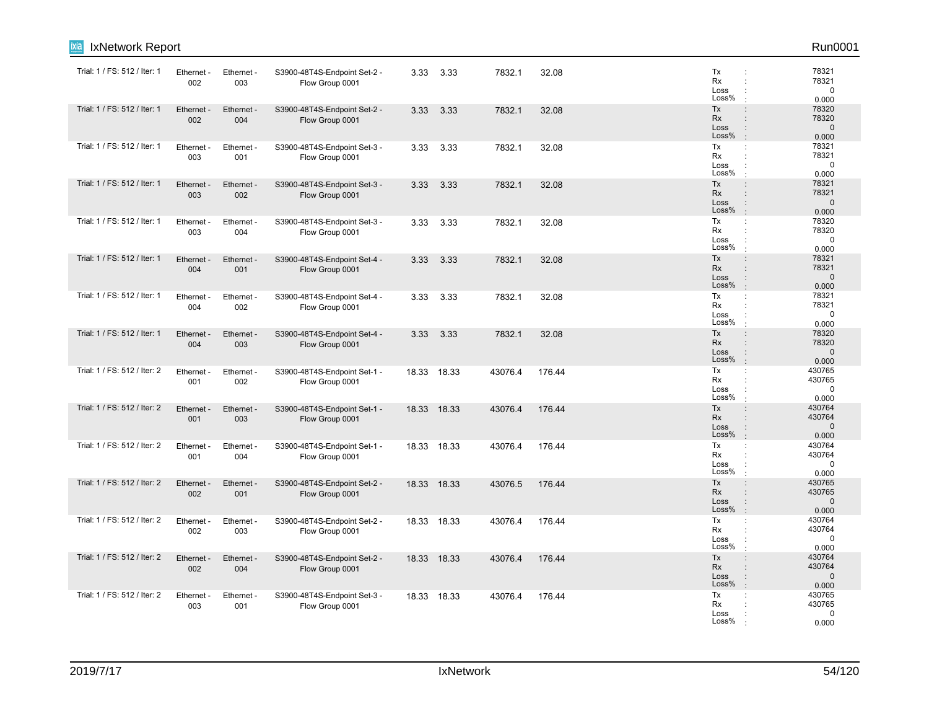| IxNetwork Report<br><u>xia</u> |                   |                   |                                                 |       |             |         |        |                                                                                                              | Run0001                                                                                |
|--------------------------------|-------------------|-------------------|-------------------------------------------------|-------|-------------|---------|--------|--------------------------------------------------------------------------------------------------------------|----------------------------------------------------------------------------------------|
| Trial: 1 / FS: 512 / Iter: 1   | Ethernet -<br>002 | Ethernet -<br>003 | S3900-48T4S-Endpoint Set-2 -<br>Flow Group 0001 | 3.33  | 3.33        | 7832.1  | 32.08  | Tx<br>Rx<br>Loss<br>Loss%                                                                                    | 78321<br>78321<br>$\mathbf 0$<br>0.000                                                 |
| Trial: 1 / FS: 512 / Iter: 1   | Ethernet<br>002   | Ethernet -<br>004 | S3900-48T4S-Endpoint Set-2 -<br>Flow Group 0001 | 3.33  | 3.33        | 7832.1  | 32.08  | Tx<br><b>Rx</b><br>Loss<br>Loss%<br>$\cdot$                                                                  | 78320<br>$\ddot{\phantom{a}}$<br>78320<br>$\ddot{\phantom{a}}$<br>$\mathbf 0$<br>0.000 |
| Trial: 1 / FS: 512 / Iter: 1   | Ethernet -<br>003 | Ethernet -<br>001 | S3900-48T4S-Endpoint Set-3 -<br>Flow Group 0001 | 3.33  | 3.33        | 7832.1  | 32.08  | Tx<br>Rx<br>Loss<br>Loss%                                                                                    | 78321<br>$\ddot{\phantom{a}}$<br>78321<br>$\mathbf 0$<br>0.000                         |
| Trial: 1 / FS: 512 / Iter: 1   | Ethernet -<br>003 | Ethernet -<br>002 | S3900-48T4S-Endpoint Set-3 -<br>Flow Group 0001 | 3.33  | 3.33        | 7832.1  | 32.08  | Tx<br>Rx<br>Loss<br>Loss%<br>$\cdot$                                                                         | 78321<br>$\ddot{\phantom{a}}$<br>78321<br>$\mathbf{0}$<br>0.000                        |
| Trial: 1 / FS: 512 / Iter: 1   | Ethernet -<br>003 | Ethernet -<br>004 | S3900-48T4S-Endpoint Set-3 -<br>Flow Group 0001 | 3.33  | 3.33        | 7832.1  | 32.08  | Tx<br>÷<br>Rx<br>$\cdot$<br>Loss<br>Loss%                                                                    | 78320<br>78320<br>0<br>0.000                                                           |
| Trial: 1 / FS: 512 / Iter: 1   | Ethernet -<br>004 | Ethernet -<br>001 | S3900-48T4S-Endpoint Set-4 -<br>Flow Group 0001 | 3.33  | 3.33        | 7832.1  | 32.08  | Tx<br>$\ddot{\phantom{a}}$<br>Rx<br>$\ddot{\phantom{a}}$<br>Loss<br>$\ddot{\phantom{a}}$<br>Loss%<br>$\cdot$ | 78321<br>78321<br>$\mathbf{0}$<br>0.000                                                |
| Trial: 1 / FS: 512 / Iter: 1   | Ethernet<br>004   | Ethernet -<br>002 | S3900-48T4S-Endpoint Set-4 -<br>Flow Group 0001 | 3.33  | 3.33        | 7832.1  | 32.08  | Tx<br>Rx<br>Loss<br>Loss%<br>$\cdot$                                                                         | 78321<br>78321<br>$\mathbf 0$<br>0.000                                                 |
| Trial: 1 / FS: 512 / Iter: 1   | Ethernet -<br>004 | Ethernet -<br>003 | S3900-48T4S-Endpoint Set-4 -<br>Flow Group 0001 | 3.33  | 3.33        | 7832.1  | 32.08  | Tx<br>Rx<br>Loss<br>$\ddot{\phantom{a}}$<br>Loss%<br>$\cdot$                                                 | 78320<br>$\ddot{\phantom{a}}$<br>78320<br>$\mathbf{0}$<br>0.000                        |
| Trial: 1 / FS: 512 / Iter: 2   | Ethernet -<br>001 | Ethernet -<br>002 | S3900-48T4S-Endpoint Set-1 -<br>Flow Group 0001 |       | 18.33 18.33 | 43076.4 | 176.44 | Tx<br>Rx<br>Loss<br>Loss%                                                                                    | 430765<br>430765<br>$\mathbf 0$<br>0.000                                               |
| Trial: 1 / FS: 512 / Iter: 2   | Ethernet -<br>001 | Ethernet -<br>003 | S3900-48T4S-Endpoint Set-1 -<br>Flow Group 0001 |       | 18.33 18.33 | 43076.4 | 176.44 | Tx<br>$\ddot{\phantom{a}}$<br>Rx<br>Loss<br>Loss%<br>$\cdot$                                                 | 430764<br>430764<br>$\ddot{\phantom{a}}$<br>$\mathbf 0$<br>0.000                       |
| Trial: 1 / FS: 512 / Iter: 2   | Ethernet -<br>001 | Ethernet -<br>004 | S3900-48T4S-Endpoint Set-1 -<br>Flow Group 0001 |       | 18.33 18.33 | 43076.4 | 176.44 | Tx<br>Rx<br>$\ddot{\phantom{a}}$<br>Loss<br>Loss%                                                            | 430764<br>$\mathbb{C}^{\times}$<br>430764<br>0<br>0.000                                |
| Trial: 1 / FS: 512 / Iter: 2   | Ethernet -<br>002 | Ethernet -<br>001 | S3900-48T4S-Endpoint Set-2 -<br>Flow Group 0001 | 18.33 | 18.33       | 43076.5 | 176.44 | Tx<br><b>Rx</b><br>$\ddot{\phantom{a}}$<br>Loss<br>$\ddot{\phantom{a}}$<br>Loss%<br>$\cdot$                  | 430765<br>$\ddot{\phantom{a}}$<br>430765<br>$\mathbf 0$<br>0.000                       |
| Trial: 1 / FS: 512 / Iter: 2   | Ethernet -<br>002 | Ethernet -<br>003 | S3900-48T4S-Endpoint Set-2 -<br>Flow Group 0001 |       | 18.33 18.33 | 43076.4 | 176.44 | Tx<br>Rx<br>Loss<br>Loss%                                                                                    | 430764<br>430764<br>0<br>0.000                                                         |
| Trial: 1 / FS: 512 / Iter: 2   | Ethernet -<br>002 | Ethernet -<br>004 | S3900-48T4S-Endpoint Set-2 -<br>Flow Group 0001 |       | 18.33 18.33 | 43076.4 | 176.44 | Tx<br>Rx<br>Loss<br>Loss%<br>$\mathbb{R}^2$                                                                  | 430764<br>430764<br>$\mathbf 0$<br>0.000                                               |
| Trial: 1 / FS: 512 / Iter: 2   | Ethernet -<br>003 | Ethernet -<br>001 | S3900-48T4S-Endpoint Set-3 -<br>Flow Group 0001 |       | 18.33 18.33 | 43076.4 | 176.44 | Tx<br>Rx<br>Loss<br>Loss%                                                                                    | 430765<br>430765<br>0<br>0.000                                                         |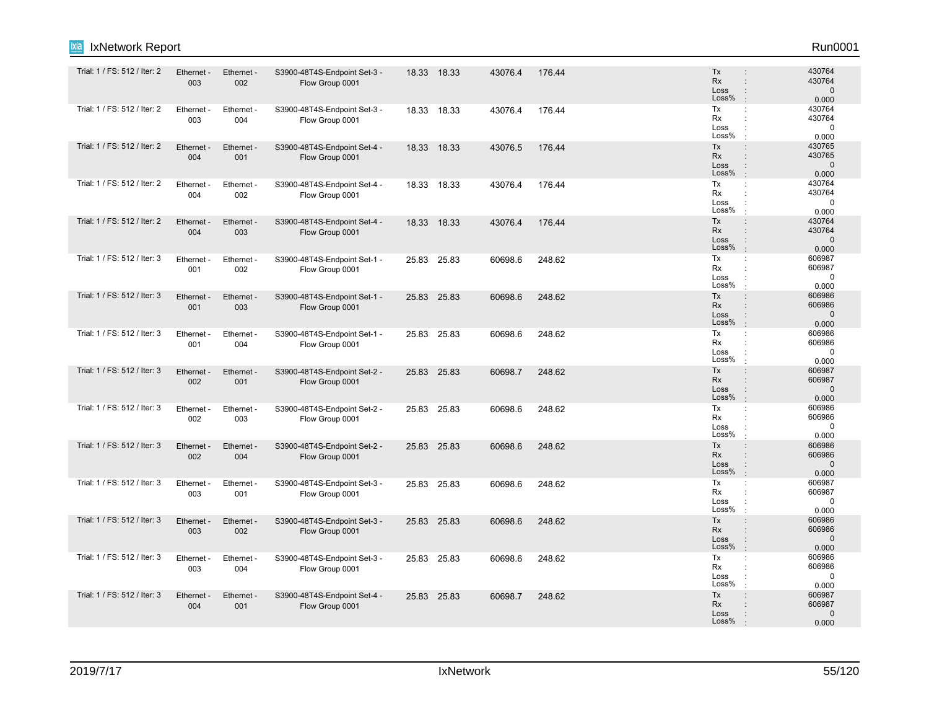| IxNetwork Report<br>ixia     |                   |                        |                                                 |       |             |         |        |                                                                                                              | Run0001                                   |
|------------------------------|-------------------|------------------------|-------------------------------------------------|-------|-------------|---------|--------|--------------------------------------------------------------------------------------------------------------|-------------------------------------------|
| Trial: 1 / FS: 512 / Iter: 2 | Ethernet -<br>003 | Ethernet -<br>002      | S3900-48T4S-Endpoint Set-3 -<br>Flow Group 0001 |       | 18.33 18.33 | 43076.4 | 176.44 | Tx<br>Rx<br>$\ddot{\phantom{a}}$<br>Loss<br>÷<br>Loss%<br>$\cdot$                                            | 430764<br>430764<br>$\mathbf 0$<br>0.000  |
| Trial: 1 / FS: 512 / Iter: 2 | Ethernet -<br>003 | Ethernet -<br>004      | S3900-48T4S-Endpoint Set-3 -<br>Flow Group 0001 |       | 18.33 18.33 | 43076.4 | 176.44 | Tx<br>÷<br>Rx<br>Loss<br>Loss%                                                                               | 430764<br>430764<br>$\mathbf 0$<br>0.000  |
| Trial: 1 / FS: 512 / Iter: 2 | Ethernet -<br>004 | Ethernet -<br>001      | S3900-48T4S-Endpoint Set-4 -<br>Flow Group 0001 |       | 18.33 18.33 | 43076.5 | 176.44 | Tx<br>$\ddot{\phantom{a}}$<br>Rx<br>$\ddot{\phantom{a}}$<br>Loss<br>$\ddot{\phantom{a}}$<br>Loss%            | 430765<br>430765<br>$\mathbf 0$<br>0.000  |
| Trial: 1 / FS: 512 / Iter: 2 | Ethernet<br>004   | Ethernet -<br>002      | S3900-48T4S-Endpoint Set-4 -<br>Flow Group 0001 |       | 18.33 18.33 | 43076.4 | 176.44 | Tx<br>$\ddot{\phantom{a}}$<br>Rx<br>÷<br>Loss<br>÷<br>Loss%<br>$\cdot$                                       | 430764<br>430764<br>$\mathbf 0$<br>0.000  |
| Trial: 1 / FS: 512 / Iter: 2 | Ethernet -<br>004 | Ethernet -<br>003      | S3900-48T4S-Endpoint Set-4 -<br>Flow Group 0001 |       | 18.33 18.33 | 43076.4 | 176.44 | Tx<br>$\vdots$<br>Rx<br>$\ddot{\phantom{a}}$<br>Loss<br>÷<br>Loss%<br>$\cdot$                                | 430764<br>430764<br>$\mathbf 0$<br>0.000  |
| Trial: 1 / FS: 512 / Iter: 3 | Ethernet -<br>001 | Ethernet<br>002        | S3900-48T4S-Endpoint Set-1 -<br>Flow Group 0001 |       | 25.83 25.83 | 60698.6 | 248.62 | Tx<br>÷<br>Rx<br>$\ddot{\phantom{a}}$<br>Loss<br>Loss%                                                       | 606987<br>606987<br>$\mathbf 0$<br>0.000  |
| Trial: 1 / FS: 512 / Iter: 3 | Ethernet -<br>001 | Ethernet -<br>003      | S3900-48T4S-Endpoint Set-1 -<br>Flow Group 0001 |       | 25.83 25.83 | 60698.6 | 248.62 | Tx<br>$\ddot{\phantom{a}}$<br>Rx<br>÷<br>Loss<br>÷<br>Loss%<br>$\cdot$                                       | 606986<br>606986<br>$\mathbf 0$<br>0.000  |
| Trial: 1 / FS: 512 / Iter: 3 | Ethernet<br>001   | <b>Ethernet</b><br>004 | S3900-48T4S-Endpoint Set-1 -<br>Flow Group 0001 |       | 25.83 25.83 | 60698.6 | 248.62 | Tx<br>÷<br>Rx<br>$\ddot{\phantom{a}}$<br>Loss<br>÷<br>Loss%                                                  | 606986<br>606986<br>$\mathbf 0$<br>0.000  |
| Trial: 1 / FS: 512 / Iter: 3 | Ethernet -<br>002 | Ethernet -<br>001      | S3900-48T4S-Endpoint Set-2 -<br>Flow Group 0001 |       | 25.83 25.83 | 60698.7 | 248.62 | Tx<br>$\ddot{\phantom{a}}$<br>Rx<br>$\ddot{\phantom{a}}$<br>Loss<br>$\ddot{\phantom{a}}$<br>Loss%<br>$\cdot$ | 606987<br>606987<br>$\mathbf{0}$<br>0.000 |
| Trial: 1 / FS: 512 / Iter: 3 | Ethernet -<br>002 | Ethernet -<br>003      | S3900-48T4S-Endpoint Set-2 -<br>Flow Group 0001 |       | 25.83 25.83 | 60698.6 | 248.62 | Tx<br>÷<br>Rx<br>Loss<br>Loss%                                                                               | 606986<br>606986<br>0<br>0.000            |
| Trial: 1 / FS: 512 / Iter: 3 | Ethernet -<br>002 | Ethernet -<br>004      | S3900-48T4S-Endpoint Set-2 -<br>Flow Group 0001 |       | 25.83 25.83 | 60698.6 | 248.62 | Tx<br>$\ddot{\phantom{a}}$<br>Rx<br>$\ddot{\phantom{a}}$<br>Loss<br>Loss%<br>$\cdot$                         | 606986<br>606986<br>$\mathbf 0$<br>0.000  |
| Trial: 1 / FS: 512 / Iter: 3 | Ethernet<br>003   | Ethernet -<br>001      | S3900-48T4S-Endpoint Set-3 -<br>Flow Group 0001 | 25.83 | 25.83       | 60698.6 | 248.62 | Tx<br>÷<br>Rx<br>Loss<br>$\ddot{\cdot}$<br>Loss%<br>$\cdot$                                                  | 606987<br>606987<br>$\mathbf 0$<br>0.000  |
| Trial: 1 / FS: 512 / Iter: 3 | Ethernet -<br>003 | Ethernet -<br>002      | S3900-48T4S-Endpoint Set-3 -<br>Flow Group 0001 |       | 25.83 25.83 | 60698.6 | 248.62 | Tx<br>÷<br>Rx<br>$\ddot{\phantom{a}}$<br>Loss<br>$\ddot{\phantom{a}}$<br>Loss%<br>$\cdot$                    | 606986<br>606986<br>$\mathbf{0}$<br>0.000 |
| Trial: 1 / FS: 512 / Iter: 3 | Ethernet<br>003   | Ethernet<br>004        | S3900-48T4S-Endpoint Set-3 -<br>Flow Group 0001 |       | 25.83 25.83 | 60698.6 | 248.62 | Tx<br>÷<br>Rx<br>Loss<br>Loss%                                                                               | 606986<br>606986<br>$\mathbf 0$<br>0.000  |
| Trial: 1 / FS: 512 / Iter: 3 | Ethernet -<br>004 | Ethernet -<br>001      | S3900-48T4S-Endpoint Set-4 -<br>Flow Group 0001 |       | 25.83 25.83 | 60698.7 | 248.62 | Tx<br>$\vdots$<br>Rx<br>Loss<br>Loss%                                                                        | 606987<br>606987<br>$\Omega$<br>0.000     |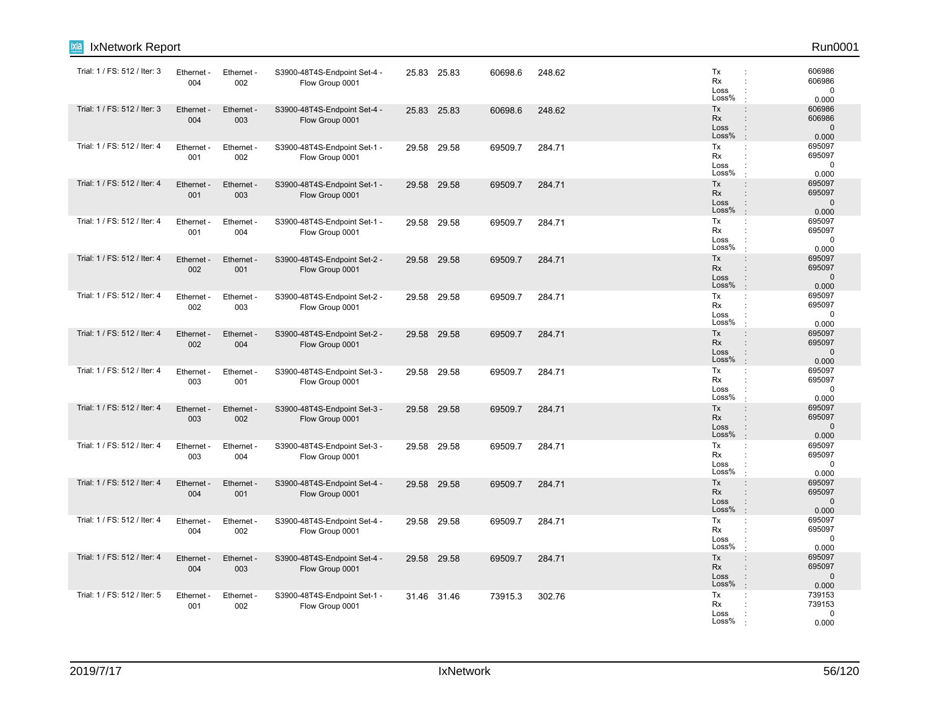| ixia<br>IxNetwork Report     |                   |                   |                                                 |       |             |         |        |                                  | Run0001                                                                                                                  |
|------------------------------|-------------------|-------------------|-------------------------------------------------|-------|-------------|---------|--------|----------------------------------|--------------------------------------------------------------------------------------------------------------------------|
| Trial: 1 / FS: 512 / Iter: 3 | Ethernet<br>004   | Ethernet -<br>002 | S3900-48T4S-Endpoint Set-4 -<br>Flow Group 0001 |       | 25.83 25.83 | 60698.6 | 248.62 | Tx<br>Rx<br>Loss<br>Loss%        | 606986<br>$\ddot{\phantom{a}}$<br>606986<br>$\mathbf 0$<br>0.000<br>$\cdot$                                              |
| Trial: 1 / FS: 512 / Iter: 3 | Ethernet<br>004   | Ethernet -<br>003 | S3900-48T4S-Endpoint Set-4 -<br>Flow Group 0001 |       | 25.83 25.83 | 60698.6 | 248.62 | Tx<br>Rx<br>Loss<br>Loss%        | 606986<br>$\ddot{\phantom{a}}$<br>606986<br>$\ddot{\phantom{a}}$<br>$\mathbf{0}$<br>$\vdots$<br>0.000<br>$\cdot$         |
| Trial: 1 / FS: 512 / Iter: 4 | Ethernet<br>001   | Ethernet -<br>002 | S3900-48T4S-Endpoint Set-1 -<br>Flow Group 0001 |       | 29.58 29.58 | 69509.7 | 284.71 | Tx<br>Rx<br>Loss<br>Loss%        | 695097<br>÷<br>695097<br>÷<br>$\mathbf 0$<br>0.000<br>$\cdot$                                                            |
| Trial: 1 / FS: 512 / Iter: 4 | Ethernet -<br>001 | Ethernet -<br>003 | S3900-48T4S-Endpoint Set-1 -<br>Flow Group 0001 | 29.58 | 29.58       | 69509.7 | 284.71 | Tx<br>Rx<br>Loss<br>Loss%        | $\colon$<br>695097<br>695097<br>$\ddot{\phantom{a}}$<br>$\mathbf 0$<br>$\ddot{\phantom{a}}$<br>$\cdot$<br>0.000          |
| Trial: 1 / FS: 512 / Iter: 4 | Ethernet<br>001   | Ethernet -<br>004 | S3900-48T4S-Endpoint Set-1 -<br>Flow Group 0001 | 29.58 | 29.58       | 69509.7 | 284.71 | Tx<br>Rx<br>Loss<br>Loss%        | 695097<br>÷<br>695097<br>$\ddot{\phantom{a}}$<br>$\mathbf 0$<br>$\ddot{\phantom{a}}$<br>0.000<br>$\cdot$                 |
| Trial: 1 / FS: 512 / Iter: 4 | Ethernet<br>002   | Ethernet -<br>001 | S3900-48T4S-Endpoint Set-2 -<br>Flow Group 0001 | 29.58 | 29.58       | 69509.7 | 284.71 | Tx<br><b>Rx</b><br>Loss<br>Loss% | 695097<br>$\ddot{\phantom{a}}$<br>695097<br>÷<br>$\mathbf 0$<br>$\ddot{\phantom{a}}$<br>0.000<br>$\mathbf{r}$            |
| Trial: 1 / FS: 512 / Iter: 4 | Ethernet -<br>002 | Ethernet -<br>003 | S3900-48T4S-Endpoint Set-2 -<br>Flow Group 0001 |       | 29.58 29.58 | 69509.7 | 284.71 | Tx<br>Rx<br>Loss<br>Loss%        | 695097<br>÷<br>695097<br>$\ddot{\phantom{a}}$<br>$\mathbf 0$<br>$\ddot{\phantom{a}}$<br>0.000<br>$\cdot$                 |
| Trial: 1 / FS: 512 / Iter: 4 | Ethernet<br>002   | Ethernet -<br>004 | S3900-48T4S-Endpoint Set-2 -<br>Flow Group 0001 | 29.58 | 29.58       | 69509.7 | 284.71 | Tx<br><b>Rx</b><br>Loss<br>Loss% | 695097<br>$\ddot{\phantom{a}}$<br>695097<br>$\ddot{\phantom{a}}$<br>$\Omega$<br>$\ddot{\phantom{a}}$<br>0.000<br>$\cdot$ |
| Trial: 1 / FS: 512 / Iter: 4 | Ethernet<br>003   | Ethernet -<br>001 | S3900-48T4S-Endpoint Set-3 -<br>Flow Group 0001 | 29.58 | 29.58       | 69509.7 | 284.71 | Tx<br>Rx<br>Loss<br>Loss%        | 695097<br>÷<br>695097<br>÷<br>$\ddot{\cdot}$<br>$\mathbf 0$<br>0.000<br>$\mathbf{r}$                                     |
| Trial: 1 / FS: 512 / Iter: 4 | Ethernet<br>003   | Ethernet -<br>002 | S3900-48T4S-Endpoint Set-3 -<br>Flow Group 0001 |       | 29.58 29.58 | 69509.7 | 284.71 | Tx<br>Rx<br>Loss<br>Loss%        | 695097<br>$\ddot{\phantom{a}}$<br>695097<br>$\Omega$<br>:<br>$\mathbf{r}$<br>0.000                                       |
| Trial: 1 / FS: 512 / Iter: 4 | Ethernet<br>003   | Ethernet -<br>004 | S3900-48T4S-Endpoint Set-3 -<br>Flow Group 0001 | 29.58 | 29.58       | 69509.7 | 284.71 | Tx<br>Rx<br>Loss<br>Loss%        | 695097<br>÷<br>695097<br>$\ddot{\phantom{a}}$<br>$\mathbf 0$<br>0.000                                                    |
| Trial: 1 / FS: 512 / Iter: 4 | Ethernet<br>004   | Ethernet -<br>001 | S3900-48T4S-Endpoint Set-4 -<br>Flow Group 0001 | 29.58 | 29.58       | 69509.7 | 284.71 | Tx<br><b>Rx</b><br>Loss<br>Loss% | 695097<br>$\vdots$<br>695097<br>$\ddot{\phantom{a}}$<br>$\mathbf{0}$<br>$\ddot{\phantom{a}}$<br>$\cdot$<br>0.000         |
| Trial: 1 / FS: 512 / Iter: 4 | Ethernet -<br>004 | Ethernet -<br>002 | S3900-48T4S-Endpoint Set-4 -<br>Flow Group 0001 |       | 29.58 29.58 | 69509.7 | 284.71 | Tx<br><b>Rx</b><br>Loss<br>Loss% | 695097<br>÷<br>695097<br>$\ddot{\phantom{a}}$<br>$\mathbf 0$<br>$\ddot{\phantom{a}}$<br>0.000                            |
| Trial: 1 / FS: 512 / Iter: 4 | Ethernet -<br>004 | Ethernet -<br>003 | S3900-48T4S-Endpoint Set-4 -<br>Flow Group 0001 | 29.58 | 29.58       | 69509.7 | 284.71 | Tx<br><b>Rx</b><br>Loss<br>Loss% | 695097<br>$\vdots$<br>695097<br>÷<br>$\mathbf 0$<br>$\ddot{\phantom{a}}$<br>0.000                                        |
| Trial: 1 / FS: 512 / Iter: 5 | Ethernet -<br>001 | Ethernet -<br>002 | S3900-48T4S-Endpoint Set-1 -<br>Flow Group 0001 |       | 31.46 31.46 | 73915.3 | 302.76 | Tx<br>Rx<br>Loss<br>Loss%        | 739153<br>÷<br>739153<br>$\Omega$<br>0.000                                                                               |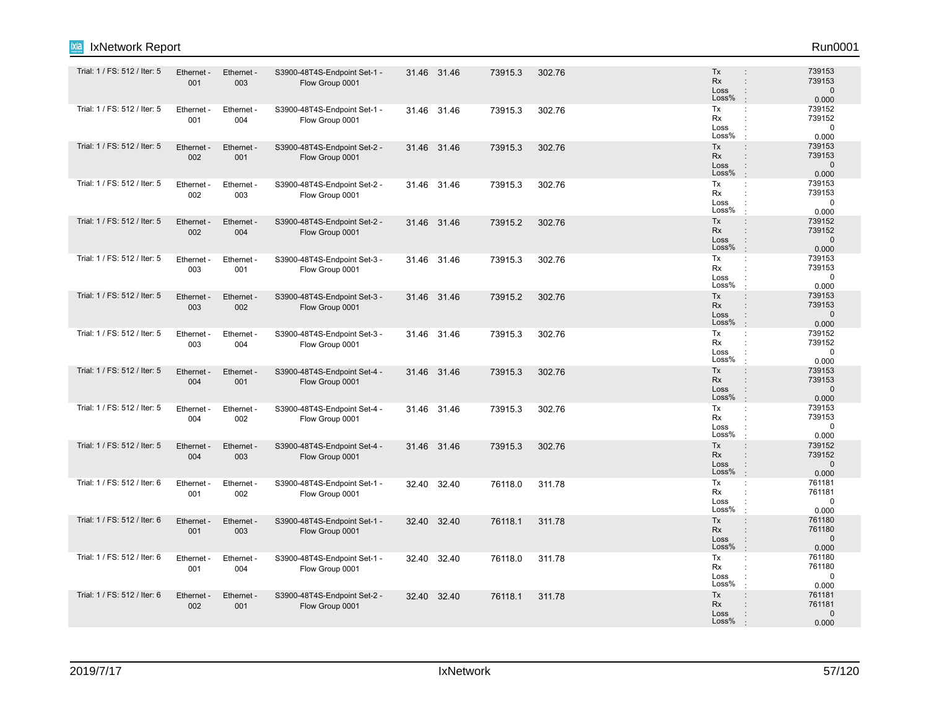| IxNetwork Report<br>ixia     |                   |                        |                                                 |       |             |         |        |                                                                                                  | Run0001                                   |
|------------------------------|-------------------|------------------------|-------------------------------------------------|-------|-------------|---------|--------|--------------------------------------------------------------------------------------------------|-------------------------------------------|
| Trial: 1 / FS: 512 / Iter: 5 | Ethernet -<br>001 | Ethernet -<br>003      | S3900-48T4S-Endpoint Set-1 -<br>Flow Group 0001 |       | 31.46 31.46 | 73915.3 | 302.76 | Tx<br>$\ddot{\phantom{a}}$<br>Rx<br>$\ddot{\phantom{a}}$<br>Loss<br>÷<br>Loss%<br>$\cdot$        | 739153<br>739153<br>$\mathsf 0$<br>0.000  |
| Trial: 1 / FS: 512 / Iter: 5 | Ethernet -<br>001 | Ethernet -<br>004      | S3900-48T4S-Endpoint Set-1 -<br>Flow Group 0001 |       | 31.46 31.46 | 73915.3 | 302.76 | Tx<br>÷<br>Rx<br>Loss<br>Loss%                                                                   | 739152<br>739152<br>$\mathbf 0$<br>0.000  |
| Trial: 1 / FS: 512 / Iter: 5 | Ethernet -<br>002 | Ethernet -<br>001      | S3900-48T4S-Endpoint Set-2 -<br>Flow Group 0001 |       | 31.46 31.46 | 73915.3 | 302.76 | Tx<br>$\ddot{\phantom{a}}$<br>Rx<br>$\ddot{\phantom{a}}$<br>Loss<br>÷<br>Loss%<br>$\cdot$        | 739153<br>739153<br>$\mathbf 0$<br>0.000  |
| Trial: 1 / FS: 512 / Iter: 5 | Ethernet<br>002   | Ethernet -<br>003      | S3900-48T4S-Endpoint Set-2 -<br>Flow Group 0001 |       | 31.46 31.46 | 73915.3 | 302.76 | Tx<br>$\ddot{\phantom{a}}$<br>Rx<br>÷<br>Loss<br>$\ddot{\phantom{a}}$<br>Loss%<br>$\cdot$        | 739153<br>739153<br>$\mathbf 0$<br>0.000  |
| Trial: 1 / FS: 512 / Iter: 5 | Ethernet -<br>002 | Ethernet -<br>004      | S3900-48T4S-Endpoint Set-2 -<br>Flow Group 0001 |       | 31.46 31.46 | 73915.2 | 302.76 | Tx<br>$\ddot{\phantom{a}}$<br>Rx<br>$\ddot{\phantom{a}}$<br>Loss<br>÷<br>Loss%<br>$\cdot$        | 739152<br>739152<br>$\mathbf 0$<br>0.000  |
| Trial: 1 / FS: 512 / Iter: 5 | Ethernet -<br>003 | Ethernet -<br>001      | S3900-48T4S-Endpoint Set-3 -<br>Flow Group 0001 |       | 31.46 31.46 | 73915.3 | 302.76 | Tx<br>÷<br>Rx<br>$\ddot{\phantom{a}}$<br>Loss<br>Loss%<br>$\cdot$                                | 739153<br>739153<br>$\mathbf 0$<br>0.000  |
| Trial: 1 / FS: 512 / Iter: 5 | Ethernet -<br>003 | Ethernet -<br>002      | S3900-48T4S-Endpoint Set-3 -<br>Flow Group 0001 |       | 31.46 31.46 | 73915.2 | 302.76 | Tx<br>$\ddot{\phantom{a}}$<br><b>Rx</b><br>$\ddot{\phantom{a}}$<br>Loss<br>÷<br>Loss%<br>$\cdot$ | 739153<br>739153<br>$\mathbf 0$<br>0.000  |
| Trial: 1 / FS: 512 / Iter: 5 | Ethernet<br>003   | <b>Ethernet</b><br>004 | S3900-48T4S-Endpoint Set-3 -<br>Flow Group 0001 |       | 31.46 31.46 | 73915.3 | 302.76 | Tx<br>÷<br>Rx<br>÷<br>Loss<br>÷<br>Loss%                                                         | 739152<br>739152<br>$\mathbf 0$<br>0.000  |
| Trial: 1 / FS: 512 / Iter: 5 | Ethernet -<br>004 | Ethernet -<br>001      | S3900-48T4S-Endpoint Set-4 -<br>Flow Group 0001 |       | 31.46 31.46 | 73915.3 | 302.76 | Tx<br>$\ddot{\phantom{a}}$<br>Rx<br>$\ddot{\phantom{a}}$<br>Loss<br>÷<br>Loss%<br>$\cdot$        | 739153<br>739153<br>$\mathbf{0}$<br>0.000 |
| Trial: 1 / FS: 512 / Iter: 5 | Ethernet -<br>004 | Ethernet -<br>002      | S3900-48T4S-Endpoint Set-4 -<br>Flow Group 0001 |       | 31.46 31.46 | 73915.3 | 302.76 | Tx<br>÷<br>Rx<br>Loss<br>Loss%                                                                   | 739153<br>739153<br>$\mathbf 0$<br>0.000  |
| Trial: 1 / FS: 512 / Iter: 5 | Ethernet -<br>004 | Ethernet -<br>003      | S3900-48T4S-Endpoint Set-4 -<br>Flow Group 0001 |       | 31.46 31.46 | 73915.3 | 302.76 | Tx<br>$\ddot{\phantom{a}}$<br>Rx<br>$\ddot{\phantom{a}}$<br>Loss<br>Loss%<br>$\cdot$             | 739152<br>739152<br>$\mathbf 0$<br>0.000  |
| Trial: 1 / FS: 512 / Iter: 6 | Ethernet<br>001   | Ethernet -<br>002      | S3900-48T4S-Endpoint Set-1 -<br>Flow Group 0001 | 32.40 | 32.40       | 76118.0 | 311.78 | Tx<br>÷<br>Rx<br>÷<br>Loss<br>$\ddot{\cdot}$<br>Loss%<br>$\cdot$                                 | 761181<br>761181<br>$\mathbf 0$<br>0.000  |
| Trial: 1 / FS: 512 / Iter: 6 | Ethernet -<br>001 | Ethernet -<br>003      | S3900-48T4S-Endpoint Set-1 -<br>Flow Group 0001 |       | 32.40 32.40 | 76118.1 | 311.78 | Tx<br>÷<br>Rx<br>$\ddot{\phantom{a}}$<br>Loss<br>$\ddot{\phantom{a}}$<br>Loss%<br>$\cdot$        | 761180<br>761180<br>$\mathbf{0}$<br>0.000 |
| Trial: 1 / FS: 512 / Iter: 6 | Ethernet<br>001   | Ethernet<br>004        | S3900-48T4S-Endpoint Set-1 -<br>Flow Group 0001 | 32.40 | 32.40       | 76118.0 | 311.78 | Tx<br>÷<br>Rx<br>Loss<br>Loss%                                                                   | 761180<br>761180<br>0<br>0.000            |
| Trial: 1 / FS: 512 / Iter: 6 | Ethernet -<br>002 | Ethernet -<br>001      | S3900-48T4S-Endpoint Set-2 -<br>Flow Group 0001 |       | 32.40 32.40 | 76118.1 | 311.78 | Tx<br>$\vdots$<br>Rx<br>Loss<br>Loss%                                                            | 761181<br>761181<br>$\Omega$<br>0.000     |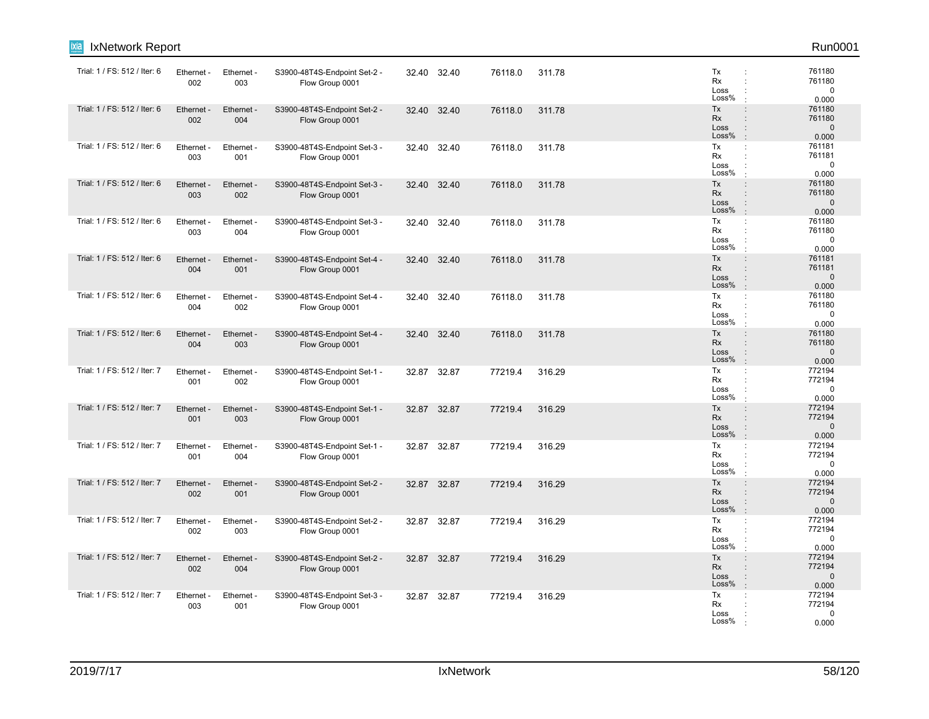| IxNetwork Report             |                   |                   |                                                 |       |             |         |        |                                                                                                                     | Run0001                                   |
|------------------------------|-------------------|-------------------|-------------------------------------------------|-------|-------------|---------|--------|---------------------------------------------------------------------------------------------------------------------|-------------------------------------------|
| Trial: 1 / FS: 512 / Iter: 6 | Ethernet -<br>002 | Ethernet -<br>003 | S3900-48T4S-Endpoint Set-2 -<br>Flow Group 0001 |       | 32.40 32.40 | 76118.0 | 311.78 | Tx<br>Rx<br>Loss<br>Loss%                                                                                           | 761180<br>761180<br>0<br>0.000            |
| Trial: 1 / FS: 512 / Iter: 6 | Ethernet<br>002   | Ethernet<br>004   | S3900-48T4S-Endpoint Set-2 -<br>Flow Group 0001 | 32.40 | 32.40       | 76118.0 | 311.78 | Tx<br>$\ddot{\phantom{a}}$<br><b>Rx</b><br>$\mathbf{r}$<br>Loss<br>$\ddot{\phantom{a}}$<br>Loss%<br>$\cdot$         | 761180<br>761180<br>$\mathbf{0}$<br>0.000 |
| Trial: 1 / FS: 512 / Iter: 6 | Ethernet -<br>003 | Ethernet -<br>001 | S3900-48T4S-Endpoint Set-3 -<br>Flow Group 0001 |       | 32.40 32.40 | 76118.0 | 311.78 | Tx<br>$\cdot$<br>Rx<br>Loss<br>Loss%                                                                                | 761181<br>761181<br>$\Omega$<br>0.000     |
| Trial: 1 / FS: 512 / Iter: 6 | Ethernet -<br>003 | Ethernet -<br>002 | S3900-48T4S-Endpoint Set-3 -<br>Flow Group 0001 |       | 32.40 32.40 | 76118.0 | 311.78 | Tx<br>$\ddot{\phantom{a}}$<br>Rx<br>Loss<br>Loss%<br>$\cdot$                                                        | 761180<br>761180<br>$\mathbf{0}$<br>0.000 |
| Trial: 1 / FS: 512 / Iter: 6 | Ethernet -<br>003 | Ethernet -<br>004 | S3900-48T4S-Endpoint Set-3 -<br>Flow Group 0001 | 32.40 | 32.40       | 76118.0 | 311.78 | Tx<br>÷<br>Rx<br>$\cdot$<br>Loss<br>Loss%                                                                           | 761180<br>761180<br>0<br>0.000            |
| Trial: 1 / FS: 512 / Iter: 6 | Ethernet -<br>004 | Ethernet -<br>001 | S3900-48T4S-Endpoint Set-4 -<br>Flow Group 0001 |       | 32.40 32.40 | 76118.0 | 311.78 | Tx<br>$\ddot{\phantom{a}}$<br>Rx<br>$\ddot{\phantom{a}}$<br>Loss<br>$\pm$<br>Loss%<br>$\cdot$                       | 761181<br>761181<br>$\mathbf{0}$<br>0.000 |
| Trial: 1 / FS: 512 / Iter: 6 | Ethernet<br>004   | Ethernet -<br>002 | S3900-48T4S-Endpoint Set-4 -<br>Flow Group 0001 | 32.40 | 32.40       | 76118.0 | 311.78 | Tx<br>÷<br>Rx<br>÷<br>Loss<br>Loss%<br>$\cdot$                                                                      | 761180<br>761180<br>$\mathbf 0$<br>0.000  |
| Trial: 1 / FS: 512 / Iter: 6 | Ethernet -<br>004 | Ethernet -<br>003 | S3900-48T4S-Endpoint Set-4 -<br>Flow Group 0001 |       | 32.40 32.40 | 76118.0 | 311.78 | Tx<br>$\ddot{\phantom{a}}$<br>Rx<br>Loss<br>$\ddot{\phantom{a}}$<br>Loss%<br>$\cdot$                                | 761180<br>761180<br>$\mathbf{0}$<br>0.000 |
| Trial: 1 / FS: 512 / Iter: 7 | Ethernet<br>001   | Ethernet<br>002   | S3900-48T4S-Endpoint Set-1 -<br>Flow Group 0001 |       | 32.87 32.87 | 77219.4 | 316.29 | Tx<br>÷<br>Rx<br>Loss<br>Loss%                                                                                      | 772194<br>772194<br>$\Omega$<br>0.000     |
| Trial: 1 / FS: 512 / Iter: 7 | Ethernet -<br>001 | Ethernet -<br>003 | S3900-48T4S-Endpoint Set-1 -<br>Flow Group 0001 |       | 32.87 32.87 | 77219.4 | 316.29 | Tx<br>$\ddot{\phantom{a}}$<br>Rx<br>$\ddot{\phantom{a}}$<br>Loss<br>Loss%<br>$\cdot$                                | 772194<br>772194<br>$\mathbf 0$<br>0.000  |
| Trial: 1 / FS: 512 / Iter: 7 | Ethernet -<br>001 | Ethernet -<br>004 | S3900-48T4S-Endpoint Set-1 -<br>Flow Group 0001 |       | 32.87 32.87 | 77219.4 | 316.29 | Tx<br>$\mathbb{C}^{\times}$<br>Rx<br>÷<br>Loss<br>Loss%                                                             | 772194<br>772194<br>$\mathbf 0$<br>0.000  |
| Trial: 1 / FS: 512 / Iter: 7 | Ethernet<br>002   | Ethernet -<br>001 | S3900-48T4S-Endpoint Set-2 -<br>Flow Group 0001 |       | 32.87 32.87 | 77219.4 | 316.29 | Tx<br>$\ddot{\phantom{a}}$<br><b>Rx</b><br>$\ddot{\phantom{a}}$<br>Loss<br>$\ddot{\phantom{a}}$<br>Loss%<br>$\cdot$ | 772194<br>772194<br>$\mathbf 0$<br>0.000  |
| Trial: 1 / FS: 512 / Iter: 7 | Ethernet -<br>002 | Ethernet -<br>003 | S3900-48T4S-Endpoint Set-2 -<br>Flow Group 0001 |       | 32.87 32.87 | 77219.4 | 316.29 | Tx<br>$\cdot$<br>Rx<br>Loss<br>Loss%                                                                                | 772194<br>772194<br>$\Omega$<br>0.000     |
| Trial: 1 / FS: 512 / Iter: 7 | Ethernet -<br>002 | Ethernet -<br>004 | S3900-48T4S-Endpoint Set-2 -<br>Flow Group 0001 |       | 32.87 32.87 | 77219.4 | 316.29 | Tx<br>$\ddot{\phantom{a}}$<br>Rx<br>Loss<br>Loss%<br>$\mathbb{R}^2$                                                 | 772194<br>772194<br>$\mathbf 0$<br>0.000  |
| Trial: 1 / FS: 512 / Iter: 7 | Ethernet -<br>003 | Ethernet -<br>001 | S3900-48T4S-Endpoint Set-3 -<br>Flow Group 0001 |       | 32.87 32.87 | 77219.4 | 316.29 | Tx<br>Rx<br>Loss<br>Loss%                                                                                           | 772194<br>772194<br>0<br>0.000            |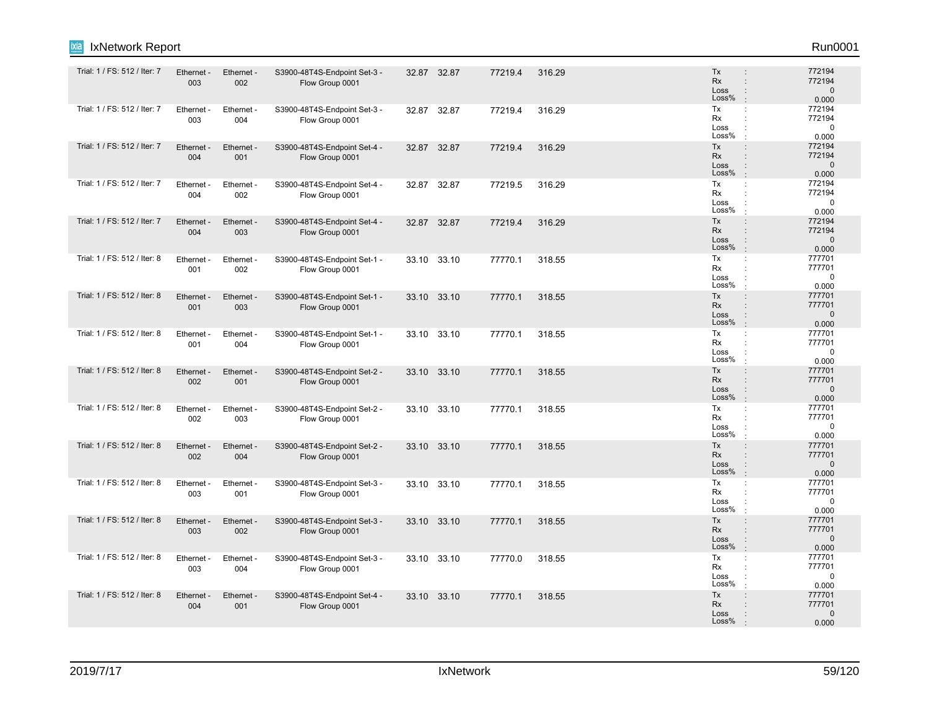| IxNetwork Report<br>ixia     |                   |                        |                                                 |       |             |         |        |                                                                                           | Run0001                                   |
|------------------------------|-------------------|------------------------|-------------------------------------------------|-------|-------------|---------|--------|-------------------------------------------------------------------------------------------|-------------------------------------------|
| Trial: 1 / FS: 512 / Iter: 7 | Ethernet -<br>003 | Ethernet -<br>002      | S3900-48T4S-Endpoint Set-3 -<br>Flow Group 0001 |       | 32.87 32.87 | 77219.4 | 316.29 | Tx<br>$\ddot{\phantom{a}}$<br>Rx<br>$\ddot{\phantom{a}}$<br>Loss<br>÷<br>Loss%<br>$\cdot$ | 772194<br>772194<br>$\mathbf 0$<br>0.000  |
| Trial: 1 / FS: 512 / Iter: 7 | Ethernet -<br>003 | Ethernet -<br>004      | S3900-48T4S-Endpoint Set-3 -<br>Flow Group 0001 | 32.87 | 32.87       | 77219.4 | 316.29 | Tx<br>÷<br>Rx<br>Loss<br>Loss%                                                            | 772194<br>772194<br>$\mathbf 0$<br>0.000  |
| Trial: 1 / FS: 512 / Iter: 7 | Ethernet -<br>004 | Ethernet -<br>001      | S3900-48T4S-Endpoint Set-4 -<br>Flow Group 0001 | 32.87 | 32.87       | 77219.4 | 316.29 | Tx<br>$\ddot{\phantom{a}}$<br>Rx<br>$\ddot{\phantom{a}}$<br>Loss<br>÷<br>Loss%<br>$\cdot$ | 772194<br>772194<br>$\mathbf{0}$<br>0.000 |
| Trial: 1 / FS: 512 / Iter: 7 | Ethernet<br>004   | Ethernet -<br>002      | S3900-48T4S-Endpoint Set-4 -<br>Flow Group 0001 | 32.87 | 32.87       | 77219.5 | 316.29 | Tx<br>$\ddot{\phantom{a}}$<br>Rx<br>÷<br>Loss<br>÷<br>Loss%<br>$\cdot$                    | 772194<br>772194<br>$\mathbf 0$<br>0.000  |
| Trial: 1 / FS: 512 / Iter: 7 | Ethernet -<br>004 | Ethernet -<br>003      | S3900-48T4S-Endpoint Set-4 -<br>Flow Group 0001 |       | 32.87 32.87 | 77219.4 | 316.29 | Tx<br>$\ddot{\phantom{a}}$<br>Rx<br>$\ddot{\phantom{a}}$<br>Loss<br>÷<br>Loss%<br>$\cdot$ | 772194<br>772194<br>$\mathbf 0$<br>0.000  |
| Trial: 1 / FS: 512 / Iter: 8 | Ethernet -<br>001 | Ethernet -<br>002      | S3900-48T4S-Endpoint Set-1 -<br>Flow Group 0001 |       | 33.10 33.10 | 77770.1 | 318.55 | Tx<br>÷<br>Rx<br>$\ddot{\phantom{a}}$<br>Loss<br>Loss%<br>$\cdot$                         | 777701<br>777701<br>$\mathbf 0$<br>0.000  |
| Trial: 1 / FS: 512 / Iter: 8 | Ethernet -<br>001 | Ethernet -<br>003      | S3900-48T4S-Endpoint Set-1 -<br>Flow Group 0001 |       | 33.10 33.10 | 77770.1 | 318.55 | Tx<br>$\ddot{\phantom{a}}$<br>Rx<br>$\ddot{\phantom{a}}$<br>Loss<br>÷<br>Loss%<br>$\cdot$ | 777701<br>777701<br>$\mathbf 0$<br>0.000  |
| Trial: 1 / FS: 512 / Iter: 8 | Ethernet<br>001   | <b>Ethernet</b><br>004 | S3900-48T4S-Endpoint Set-1 -<br>Flow Group 0001 |       | 33.10 33.10 | 77770.1 | 318.55 | Tx<br>÷<br>Rx<br>÷<br>Loss<br>÷<br>Loss%                                                  | 777701<br>777701<br>$\mathbf 0$<br>0.000  |
| Trial: 1 / FS: 512 / Iter: 8 | Ethernet -<br>002 | Ethernet -<br>001      | S3900-48T4S-Endpoint Set-2 -<br>Flow Group 0001 |       | 33.10 33.10 | 77770.1 | 318.55 | Tx<br>$\ddot{\phantom{a}}$<br>Rx<br>$\ddot{\phantom{a}}$<br>Loss<br>÷<br>Loss%<br>$\cdot$ | 777701<br>777701<br>$\mathbf{0}$<br>0.000 |
| Trial: 1 / FS: 512 / Iter: 8 | Ethernet -<br>002 | Ethernet -<br>003      | S3900-48T4S-Endpoint Set-2 -<br>Flow Group 0001 |       | 33.10 33.10 | 77770.1 | 318.55 | Tx<br>÷<br>Rx<br>Loss<br>Loss%                                                            | 777701<br>777701<br>$\Omega$<br>0.000     |
| Trial: 1 / FS: 512 / Iter: 8 | Ethernet -<br>002 | Ethernet -<br>004      | S3900-48T4S-Endpoint Set-2 -<br>Flow Group 0001 |       | 33.10 33.10 | 77770.1 | 318.55 | Tx<br>$\ddot{\phantom{a}}$<br>Rx<br>$\ddot{\phantom{a}}$<br>Loss<br>Loss%<br>$\cdot$      | 777701<br>777701<br>$\mathbf 0$<br>0.000  |
| Trial: 1 / FS: 512 / Iter: 8 | Ethernet<br>003   | Ethernet -<br>001      | S3900-48T4S-Endpoint Set-3 -<br>Flow Group 0001 | 33.10 | 33.10       | 77770.1 | 318.55 | Tx<br>÷<br>Rx<br>÷<br>Loss<br>$\ddot{\cdot}$<br>Loss%<br>$\cdot$                          | 777701<br>777701<br>$\mathbf 0$<br>0.000  |
| Trial: 1 / FS: 512 / Iter: 8 | Ethernet -<br>003 | Ethernet -<br>002      | S3900-48T4S-Endpoint Set-3 -<br>Flow Group 0001 |       | 33.10 33.10 | 77770.1 | 318.55 | Tx<br>÷<br>Rx<br>$\ddot{\phantom{a}}$<br>Loss<br>$\ddot{\phantom{a}}$<br>Loss%<br>$\cdot$ | 777701<br>777701<br>$\mathbf{0}$<br>0.000 |
| Trial: 1 / FS: 512 / Iter: 8 | Ethernet<br>003   | Ethernet<br>004        | S3900-48T4S-Endpoint Set-3 -<br>Flow Group 0001 |       | 33.10 33.10 | 77770.0 | 318.55 | Tx<br>÷<br>Rx<br>Loss<br>Loss%                                                            | 777701<br>777701<br>0<br>0.000            |
| Trial: 1 / FS: 512 / Iter: 8 | Ethernet -<br>004 | Ethernet -<br>001      | S3900-48T4S-Endpoint Set-4 -<br>Flow Group 0001 |       | 33.10 33.10 | 77770.1 | 318.55 | Tx<br>$\vdots$<br>Rx<br>Loss<br>Loss%                                                     | 777701<br>777701<br>$\Omega$<br>0.000     |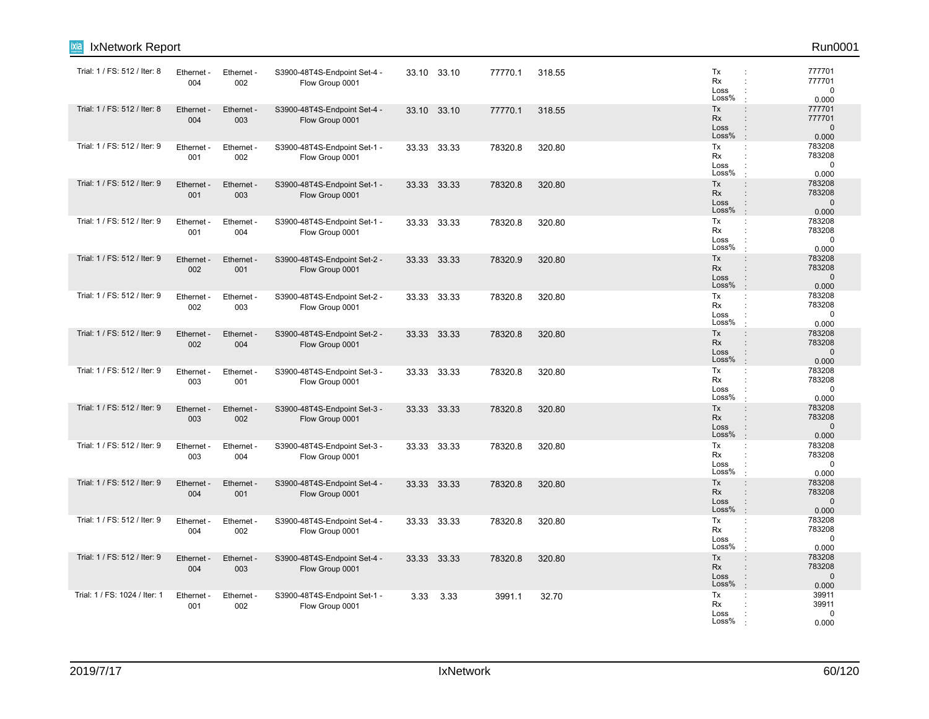| <b>IxNetwork Report</b><br>ixia |                   |                   |                                                 |       |             |         |        |                                                                                                                     | Run0001                                   |
|---------------------------------|-------------------|-------------------|-------------------------------------------------|-------|-------------|---------|--------|---------------------------------------------------------------------------------------------------------------------|-------------------------------------------|
| Trial: 1 / FS: 512 / Iter: 8    | Ethernet -<br>004 | Ethernet -<br>002 | S3900-48T4S-Endpoint Set-4 -<br>Flow Group 0001 |       | 33.10 33.10 | 77770.1 | 318.55 | Tx<br>÷<br>Rx<br>÷<br>Loss<br>Loss%                                                                                 | 777701<br>777701<br>$\mathbf 0$<br>0.000  |
| Trial: 1 / FS: 512 / Iter: 8    | Ethernet<br>004   | Ethernet -<br>003 | S3900-48T4S-Endpoint Set-4 -<br>Flow Group 0001 |       | 33.10 33.10 | 77770.1 | 318.55 | Tx<br>$\ddot{\phantom{a}}$<br>Rx<br>Loss<br>$\ddot{\phantom{a}}$<br>Loss%<br>$\ddot{\phantom{a}}$                   | 777701<br>777701<br>$\mathbf{0}$<br>0.000 |
| Trial: 1 / FS: 512 / Iter: 9    | Ethernet -<br>001 | Ethernet -<br>002 | S3900-48T4S-Endpoint Set-1 -<br>Flow Group 0001 |       | 33.33 33.33 | 78320.8 | 320.80 | Tx<br>÷<br>Rx<br>÷<br>Loss<br>Loss%                                                                                 | 783208<br>783208<br>$\mathbf 0$<br>0.000  |
| Trial: 1 / FS: 512 / Iter: 9    | Ethernet<br>001   | Ethernet -<br>003 | S3900-48T4S-Endpoint Set-1 -<br>Flow Group 0001 | 33.33 | 33.33       | 78320.8 | 320.80 | Tx<br>÷<br>Rx<br>$\vdots$<br>Loss<br>$\ddot{\phantom{a}}$<br>Loss%<br>$\cdot$                                       | 783208<br>783208<br>$\mathbf 0$<br>0.000  |
| Trial: 1 / FS: 512 / Iter: 9    | Ethernet -<br>001 | Ethernet -<br>004 | S3900-48T4S-Endpoint Set-1 -<br>Flow Group 0001 |       | 33.33 33.33 | 78320.8 | 320.80 | Tx<br>÷<br>Rx<br>Loss<br>Loss%                                                                                      | 783208<br>783208<br>$\mathbf 0$<br>0.000  |
| Trial: 1 / FS: 512 / Iter: 9    | Ethernet<br>002   | Ethernet -<br>001 | S3900-48T4S-Endpoint Set-2 -<br>Flow Group 0001 |       | 33.33 33.33 | 78320.9 | 320.80 | Tx<br>$\ddot{\phantom{a}}$<br>Rx<br>÷<br>Loss<br>Loss%                                                              | 783208<br>783208<br>$\mathbf{0}$<br>0.000 |
| Trial: 1 / FS: 512 / Iter: 9    | Ethernet -<br>002 | Ethernet -<br>003 | S3900-48T4S-Endpoint Set-2 -<br>Flow Group 0001 | 33.33 | 33.33       | 78320.8 | 320.80 | Tx<br>÷<br>Rx<br>÷<br>Loss<br>Loss%                                                                                 | 783208<br>783208<br>$\mathbf 0$<br>0.000  |
| Trial: 1 / FS: 512 / Iter: 9    | Ethernet<br>002   | Ethernet -<br>004 | S3900-48T4S-Endpoint Set-2 -<br>Flow Group 0001 | 33.33 | 33.33       | 78320.8 | 320.80 | Tx<br>÷<br>Rx<br>$\vdots$<br>Loss<br>$\ddot{\phantom{a}}$<br>Loss%<br>$\cdot$                                       | 783208<br>783208<br>$\mathbf 0$<br>0.000  |
| Trial: 1 / FS: 512 / Iter: 9    | Ethernet -<br>003 | Ethernet -<br>001 | S3900-48T4S-Endpoint Set-3 -<br>Flow Group 0001 |       | 33.33 33.33 | 78320.8 | 320.80 | Tx<br>÷<br>Rx<br>÷<br>Loss<br>Loss%<br>$\cdot$                                                                      | 783208<br>783208<br>$\mathbf 0$<br>0.000  |
| Trial: 1 / FS: 512 / Iter: 9    | Ethernet<br>003   | Ethernet -<br>002 | S3900-48T4S-Endpoint Set-3 -<br>Flow Group 0001 |       | 33.33 33.33 | 78320.8 | 320.80 | Tx<br>$\ddot{\phantom{a}}$<br>Rx<br>Loss<br>$\ddot{\phantom{a}}$<br>Loss%<br>$\cdot$                                | 783208<br>783208<br>$\Omega$<br>0.000     |
| Trial: 1 / FS: 512 / Iter: 9    | Ethernet<br>003   | Ethernet -<br>004 | S3900-48T4S-Endpoint Set-3 -<br>Flow Group 0001 | 33.33 | 33.33       | 78320.8 | 320.80 | Tx<br>÷<br>Rx<br>÷<br>Loss<br>Loss%                                                                                 | 783208<br>783208<br>0<br>0.000            |
| Trial: 1 / FS: 512 / Iter: 9    | Ethernet<br>004   | Ethernet -<br>001 | S3900-48T4S-Endpoint Set-4 -<br>Flow Group 0001 | 33.33 | 33.33       | 78320.8 | 320.80 | Tx<br>$\ddot{\phantom{a}}$<br><b>Rx</b><br>$\ddot{\phantom{a}}$<br>Loss<br>$\ddot{\phantom{a}}$<br>Loss%<br>$\cdot$ | 783208<br>783208<br>$\mathbf{0}$<br>0.000 |
| Trial: 1 / FS: 512 / Iter: 9    | Ethernet -<br>004 | Ethernet -<br>002 | S3900-48T4S-Endpoint Set-4 -<br>Flow Group 0001 |       | 33.33 33.33 | 78320.8 | 320.80 | Tx<br>÷<br>Rx<br>÷<br>Loss<br>Loss%                                                                                 | 783208<br>783208<br>0<br>0.000            |
| Trial: 1 / FS: 512 / Iter: 9    | Ethernet<br>004   | Ethernet -<br>003 | S3900-48T4S-Endpoint Set-4 -<br>Flow Group 0001 |       | 33.33 33.33 | 78320.8 | 320.80 | Tx<br>$\vdots$<br>Rx<br>Loss<br>$\vdots$<br>Loss%<br>$\ddot{\phantom{a}}$                                           | 783208<br>783208<br>$\mathbf 0$<br>0.000  |
| Trial: 1 / FS: 1024 / Iter: 1   | Ethernet -<br>001 | Ethernet -<br>002 | S3900-48T4S-Endpoint Set-1 -<br>Flow Group 0001 | 3.33  | 3.33        | 3991.1  | 32.70  | Tx<br>÷<br>Rx<br>Loss<br>Loss%                                                                                      | 39911<br>39911<br>0<br>0.000              |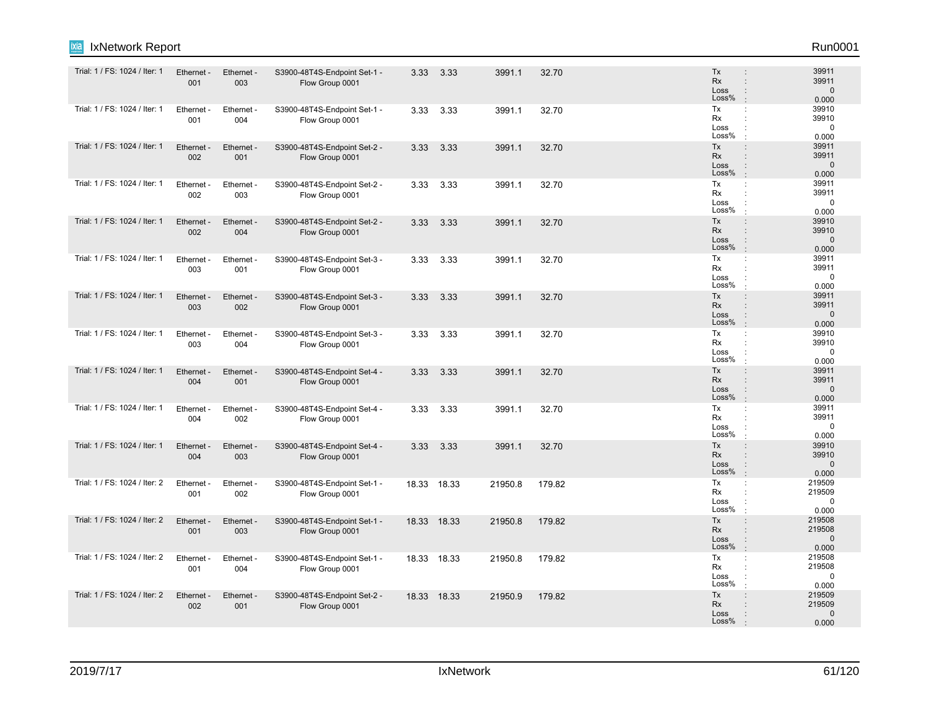| ixia<br>IxNetwork Report      |                   |                   |                                                 |      |             |         |        |                                                                                                      | Run0001                                   |
|-------------------------------|-------------------|-------------------|-------------------------------------------------|------|-------------|---------|--------|------------------------------------------------------------------------------------------------------|-------------------------------------------|
| Trial: 1 / FS: 1024 / Iter: 1 | Ethernet -<br>001 | Ethernet -<br>003 | S3900-48T4S-Endpoint Set-1 -<br>Flow Group 0001 |      | 3.33 3.33   | 3991.1  | 32.70  | Tx<br><b>Rx</b><br>$\ddot{\phantom{a}}$<br>Loss<br>÷<br>Loss%                                        | 39911<br>39911<br>$\mathbf 0$<br>0.000    |
| Trial: 1 / FS: 1024 / Iter: 1 | Ethernet -<br>001 | Ethernet -<br>004 | S3900-48T4S-Endpoint Set-1 -<br>Flow Group 0001 | 3.33 | 3.33        | 3991.1  | 32.70  | Tx<br>÷<br>Rx<br>Loss<br>Loss%                                                                       | 39910<br>39910<br>$\mathbf 0$<br>0.000    |
| Trial: 1 / FS: 1024 / Iter: 1 | Ethernet -<br>002 | Ethernet -<br>001 | S3900-48T4S-Endpoint Set-2 -<br>Flow Group 0001 | 3.33 | 3.33        | 3991.1  | 32.70  | Tx<br>$\ddot{\phantom{a}}$<br>Rx<br>$\ddot{\phantom{a}}$<br>Loss<br>$\ddot{\phantom{a}}$<br>Loss%    | 39911<br>39911<br>$\mathbf 0$<br>0.000    |
| Trial: 1 / FS: 1024 / Iter: 1 | Ethernet<br>002   | Ethernet -<br>003 | S3900-48T4S-Endpoint Set-2 -<br>Flow Group 0001 | 3.33 | 3.33        | 3991.1  | 32.70  | Tx<br>÷<br>Rx<br>÷<br>Loss<br>÷<br>Loss%<br>$\cdot$                                                  | 39911<br>39911<br>$\mathbf 0$<br>0.000    |
| Trial: 1 / FS: 1024 / Iter: 1 | Ethernet -<br>002 | Ethernet -<br>004 | S3900-48T4S-Endpoint Set-2 -<br>Flow Group 0001 | 3.33 | 3.33        | 3991.1  | 32.70  | Tx<br>$\vdots$<br>Rx<br>$\vdots$<br>Loss<br>$\ddot{\phantom{a}}$<br>Loss%<br>$\cdot$                 | 39910<br>39910<br>$\mathbf 0$<br>0.000    |
| Trial: 1 / FS: 1024 / Iter: 1 | Ethernet<br>003   | Ethernet -<br>001 | S3900-48T4S-Endpoint Set-3 -<br>Flow Group 0001 | 3.33 | 3.33        | 3991.1  | 32.70  | Tx<br>÷<br>Rx<br>÷<br>Loss<br>Loss%                                                                  | 39911<br>39911<br>$\mathbf 0$<br>0.000    |
| Trial: 1 / FS: 1024 / Iter: 1 | Ethernet -<br>003 | Ethernet -<br>002 | S3900-48T4S-Endpoint Set-3 -<br>Flow Group 0001 | 3.33 | 3.33        | 3991.1  | 32.70  | Tx<br>$\ddot{\phantom{a}}$<br>Rx<br>$\ddot{\phantom{a}}$<br>Loss<br>$\mathbf{I}$<br>Loss%<br>$\cdot$ | 39911<br>39911<br>$\mathbf 0$<br>0.000    |
| Trial: 1 / FS: 1024 / Iter: 1 | Ethernet<br>003   | Ethernet -<br>004 | S3900-48T4S-Endpoint Set-3 -<br>Flow Group 0001 | 3.33 | 3.33        | 3991.1  | 32.70  | Tx<br>÷<br>Rx<br>Loss<br>$\ddot{\phantom{a}}$<br>Loss%                                               | 39910<br>39910<br>$\mathbf 0$<br>0.000    |
| Trial: 1 / FS: 1024 / Iter: 1 | Ethernet<br>004   | Ethernet -<br>001 | S3900-48T4S-Endpoint Set-4 -<br>Flow Group 0001 | 3.33 | 3.33        | 3991.1  | 32.70  | Tx<br>÷<br><b>Rx</b><br>$\ddot{\phantom{a}}$<br>Loss<br>÷<br>Loss%<br>$\cdot$                        | 39911<br>39911<br>$\mathbf{0}$<br>0.000   |
| Trial: 1 / FS: 1024 / Iter: 1 | Ethernet -<br>004 | Ethernet -<br>002 | S3900-48T4S-Endpoint Set-4 -<br>Flow Group 0001 | 3.33 | 3.33        | 3991.1  | 32.70  | Tx<br>÷<br>Rx<br>Loss<br>Loss%<br>$\cdot$                                                            | 39911<br>39911<br>$\mathbf 0$<br>0.000    |
| Trial: 1 / FS: 1024 / Iter: 1 | Ethernet -<br>004 | Ethernet -<br>003 | S3900-48T4S-Endpoint Set-4 -<br>Flow Group 0001 | 3.33 | 3.33        | 3991.1  | 32.70  | Tx<br>$\ddot{\phantom{a}}$<br>Rx<br>$\ddot{\phantom{a}}$<br>Loss<br>Loss%<br>$\cdot$                 | 39910<br>39910<br>$\mathbf 0$<br>0.000    |
| Trial: 1 / FS: 1024 / Iter: 2 | Ethernet<br>001   | Ethernet -<br>002 | S3900-48T4S-Endpoint Set-1 -<br>Flow Group 0001 |      | 18.33 18.33 | 21950.8 | 179.82 | Tx<br>÷<br>Rx<br>Loss<br>Loss%<br>$\cdot$                                                            | 219509<br>219509<br>$\mathbf 0$<br>0.000  |
| Trial: 1 / FS: 1024 / Iter: 2 | Ethernet -<br>001 | Ethernet -<br>003 | S3900-48T4S-Endpoint Set-1 -<br>Flow Group 0001 |      | 18.33 18.33 | 21950.8 | 179.82 | Tx<br>$\ddot{\phantom{a}}$<br><b>Rx</b><br>÷<br>Loss<br>$\ddot{\phantom{a}}$<br>Loss%<br>$\cdot$     | 219508<br>219508<br>$\mathbf{0}$<br>0.000 |
| Trial: 1 / FS: 1024 / Iter: 2 | Ethernet<br>001   | Ethernet<br>004   | S3900-48T4S-Endpoint Set-1 -<br>Flow Group 0001 |      | 18.33 18.33 | 21950.8 | 179.82 | Tx<br>÷<br>Rx<br>Loss<br>Loss%                                                                       | 219508<br>219508<br>$\mathbf 0$<br>0.000  |
| Trial: 1 / FS: 1024 / Iter: 2 | Ethernet -<br>002 | Ethernet -<br>001 | S3900-48T4S-Endpoint Set-2 -<br>Flow Group 0001 |      | 18.33 18.33 | 21950.9 | 179.82 | Tx<br>$\vdots$<br>Rx<br>Loss<br>Loss%                                                                | 219509<br>219509<br>$\Omega$<br>0.000     |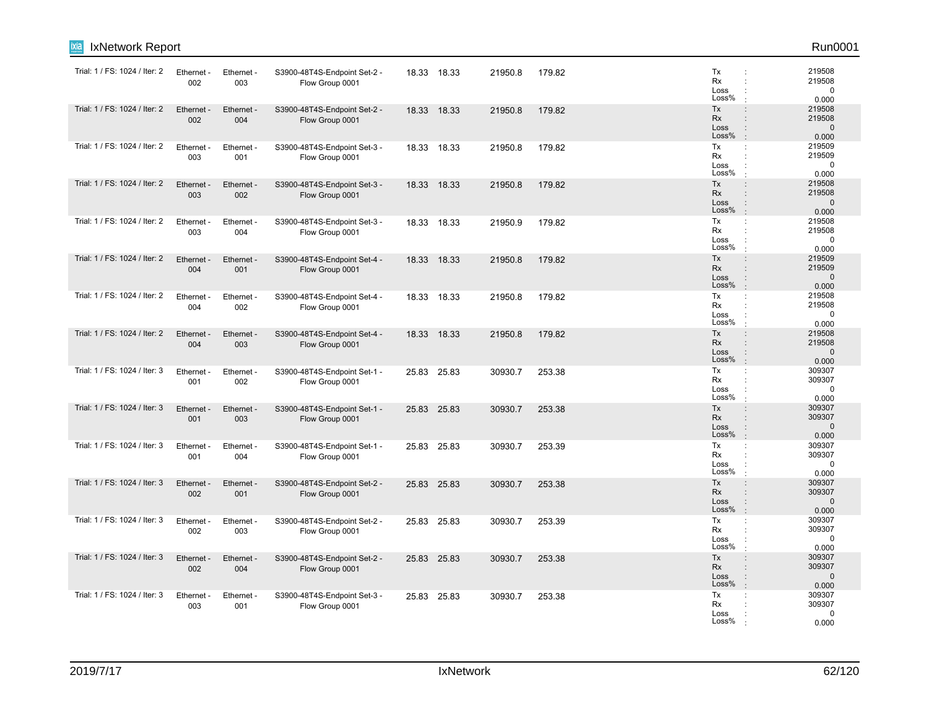| ixia<br>IxNetwork Report      |                   |                   |                                                 |       |             |         |        |                                                   | Run0001                                  |
|-------------------------------|-------------------|-------------------|-------------------------------------------------|-------|-------------|---------|--------|---------------------------------------------------|------------------------------------------|
| Trial: 1 / FS: 1024 / Iter: 2 | Ethernet -<br>002 | Ethernet -<br>003 | S3900-48T4S-Endpoint Set-2 -<br>Flow Group 0001 |       | 18.33 18.33 | 21950.8 | 179.82 | Tx<br>Rx<br>Loss<br>Loss%                         | 219508<br>219508<br>0<br>0.000           |
| Trial: 1 / FS: 1024 / Iter: 2 | Ethernet -<br>002 | Ethernet -<br>004 | S3900-48T4S-Endpoint Set-2 -<br>Flow Group 0001 | 18.33 | 18.33       | 21950.8 | 179.82 | Tx<br>Rx<br>Loss<br>Loss%                         | 219508<br>219508<br>$\mathbf 0$<br>0.000 |
| Trial: 1 / FS: 1024 / Iter: 2 | Ethernet -<br>003 | Ethernet -<br>001 | S3900-48T4S-Endpoint Set-3 -<br>Flow Group 0001 |       | 18.33 18.33 | 21950.8 | 179.82 | Tx<br>$\ddot{\phantom{a}}$<br>Rx<br>Loss<br>Loss% | 219509<br>219509<br>0<br>0.000           |
| Trial: 1 / FS: 1024 / Iter: 2 | Ethernet<br>003   | Ethernet -<br>002 | S3900-48T4S-Endpoint Set-3 -<br>Flow Group 0001 | 18.33 | 18.33       | 21950.8 | 179.82 | Tx<br><b>Rx</b><br>÷<br>Loss<br>Loss%             | 219508<br>219508<br>$\mathbf 0$<br>0.000 |
| Trial: 1 / FS: 1024 / Iter: 2 | Ethernet -<br>003 | Ethernet -<br>004 | S3900-48T4S-Endpoint Set-3 -<br>Flow Group 0001 |       | 18.33 18.33 | 21950.9 | 179.82 | Tx<br>Rx<br>Loss<br>Loss%                         | 219508<br>219508<br>0<br>0.000           |
| Trial: 1 / FS: 1024 / Iter: 2 | Ethernet -<br>004 | Ethernet -<br>001 | S3900-48T4S-Endpoint Set-4 -<br>Flow Group 0001 | 18.33 | 18.33       | 21950.8 | 179.82 | Tx<br>Rx<br>Loss<br>Loss%                         | 219509<br>219509<br>$\mathbf 0$<br>0.000 |
| Trial: 1 / FS: 1024 / Iter: 2 | Ethernet<br>004   | Ethernet -<br>002 | S3900-48T4S-Endpoint Set-4 -<br>Flow Group 0001 | 18.33 | 18.33       | 21950.8 | 179.82 | Tx<br>÷<br>Rx<br>Loss<br>Loss%                    | 219508<br>219508<br>0<br>0.000           |
| Trial: 1 / FS: 1024 / Iter: 2 | Ethernet -<br>004 | Ethernet -<br>003 | S3900-48T4S-Endpoint Set-4 -<br>Flow Group 0001 | 18.33 | 18.33       | 21950.8 | 179.82 | Tx<br><b>Rx</b><br>Loss<br>Loss%                  | 219508<br>219508<br>$\mathbf 0$<br>0.000 |
| Trial: 1 / FS: 1024 / Iter: 3 | Ethernet -<br>001 | Ethernet -<br>002 | S3900-48T4S-Endpoint Set-1 -<br>Flow Group 0001 |       | 25.83 25.83 | 30930.7 | 253.38 | Tx<br>Rx<br>Loss<br>Loss%                         | 309307<br>309307<br>0<br>0.000           |
| Trial: 1 / FS: 1024 / Iter: 3 | Ethernet -<br>001 | Ethernet -<br>003 | S3900-48T4S-Endpoint Set-1 -<br>Flow Group 0001 | 25.83 | 25.83       | 30930.7 | 253.38 | Tx<br>Rx<br>Loss<br>Loss%                         | 309307<br>309307<br>$\mathbf 0$<br>0.000 |
| Trial: 1 / FS: 1024 / Iter: 3 | Ethernet<br>001   | Ethernet -<br>004 | S3900-48T4S-Endpoint Set-1 -<br>Flow Group 0001 | 25.83 | 25.83       | 30930.7 | 253.39 | Tx<br>÷<br>Rx<br>Loss<br>Loss%                    | 309307<br>309307<br>0<br>0.000           |
| Trial: 1 / FS: 1024 / Iter: 3 | Ethernet<br>002   | Ethernet -<br>001 | S3900-48T4S-Endpoint Set-2 -<br>Flow Group 0001 | 25.83 | 25.83       | 30930.7 | 253.38 | Tx<br><b>Rx</b><br>Loss<br>Loss%                  | 309307<br>309307<br>$\mathbf 0$<br>0.000 |
| Trial: 1 / FS: 1024 / Iter: 3 | Ethernet -<br>002 | Ethernet -<br>003 | S3900-48T4S-Endpoint Set-2 -<br>Flow Group 0001 |       | 25.83 25.83 | 30930.7 | 253.39 | Tx<br>÷<br>Rx<br>Loss<br>Loss%                    | 309307<br>309307<br>0<br>0.000           |
| Trial: 1 / FS: 1024 / Iter: 3 | Ethernet<br>002   | Ethernet -<br>004 | S3900-48T4S-Endpoint Set-2 -<br>Flow Group 0001 | 25.83 | 25.83       | 30930.7 | 253.38 | Tx<br>Rx<br>٠<br>Loss<br>Loss%                    | 309307<br>309307<br>$\mathbf 0$<br>0.000 |
| Trial: 1 / FS: 1024 / Iter: 3 | Ethernet<br>003   | Ethernet -<br>001 | S3900-48T4S-Endpoint Set-3 -<br>Flow Group 0001 | 25.83 | 25.83       | 30930.7 | 253.38 | Tx<br>Rx<br>Loss<br>Loss%                         | 309307<br>309307<br>0<br>0.000           |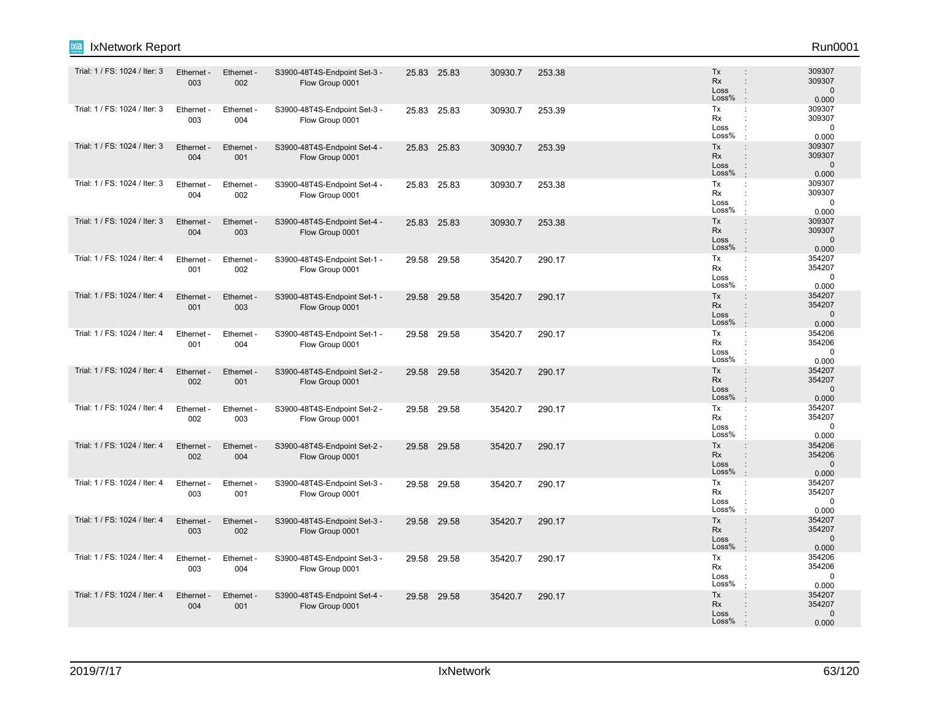| Trial: 1 / FS: 1024 / Iter: 3 | Ethernet -<br>003 | Ethernet -<br>002 | S3900-48T4S-Endpoint Set-3 -<br>Flow Group 0001 |       | 25.83 25.83 | 30930.7 | 253.38 | <b>Tx</b><br><b>Rx</b><br>Loss<br>Loss%     | 309307<br>309307<br>$\vdots$<br>$\mathbf{0}$<br>0.000<br>$\cdot$                                  |  |
|-------------------------------|-------------------|-------------------|-------------------------------------------------|-------|-------------|---------|--------|---------------------------------------------|---------------------------------------------------------------------------------------------------|--|
| Trial: 1 / FS: 1024 / Iter: 3 | Ethernet -<br>003 | Ethernet -<br>004 | S3900-48T4S-Endpoint Set-3 -<br>Flow Group 0001 |       | 25.83 25.83 | 30930.7 | 253.39 | Tx<br>Rx<br>Loss<br>Loss%                   | 309307<br>÷<br>309307<br>$\mathbf 0$<br>$\ddot{\phantom{a}}$<br>0.000                             |  |
| Trial: 1 / FS: 1024 / Iter: 3 | Ethernet -<br>004 | Ethernet -<br>001 | S3900-48T4S-Endpoint Set-4 -<br>Flow Group 0001 |       | 25.83 25.83 | 30930.7 | 253.39 | Tx<br><b>Rx</b><br>Loss<br>Loss%            | 309307<br>$\vdots$<br>309307<br>$\mathbf{0}$<br>0.000<br>$\cdot$                                  |  |
| Trial: 1 / FS: 1024 / Iter: 3 | Ethernet -<br>004 | Ethernet -<br>002 | S3900-48T4S-Endpoint Set-4 -<br>Flow Group 0001 |       | 25.83 25.83 | 30930.7 | 253.38 | Tx<br>Rx<br>Loss<br>Loss%                   | 309307<br>÷<br>309307<br>÷<br>$\mathbf 0$<br>0.000                                                |  |
| Trial: 1 / FS: 1024 / Iter: 3 | Ethernet -<br>004 | Ethernet -<br>003 | S3900-48T4S-Endpoint Set-4 -<br>Flow Group 0001 |       | 25.83 25.83 | 30930.7 | 253.38 | Tx<br>Rx<br>Loss<br>Loss%                   | 309307<br>$\vdots$<br>309307<br>$\ddot{\phantom{a}}$<br>$\mathbf{0}$<br>0.000<br>$\cdot$          |  |
| Trial: 1 / FS: 1024 / Iter: 4 | Ethernet -<br>001 | Ethernet -<br>002 | S3900-48T4S-Endpoint Set-1 -<br>Flow Group 0001 | 29.58 | 29.58       | 35420.7 | 290.17 | Tx<br><b>Rx</b><br>Loss<br>Loss%            | 354207<br>÷<br>354207<br>÷<br>$\mathbf 0$<br>0.000                                                |  |
| Trial: 1 / FS: 1024 / Iter: 4 | Ethernet -<br>001 | Ethernet -<br>003 | S3900-48T4S-Endpoint Set-1 -<br>Flow Group 0001 |       | 29.58 29.58 | 35420.7 | 290.17 | Tx<br><b>Rx</b><br>Loss<br>Loss%            | 354207<br>$\ddot{\phantom{a}}$<br>354207<br>$\vdots$<br>$\Omega$<br>$\ddot{\phantom{a}}$<br>0.000 |  |
| Trial: 1 / FS: 1024 / Iter: 4 | Ethernet -<br>001 | Ethernet -<br>004 | S3900-48T4S-Endpoint Set-1 -<br>Flow Group 0001 |       | 29.58 29.58 | 35420.7 | 290.17 | $\mathsf{Tx}$<br><b>Rx</b><br>Loss<br>Loss% | 354206<br>354206<br>$\mathbf 0$<br>0.000                                                          |  |
| Trial: 1 / FS: 1024 / Iter: 4 | Ethernet -<br>002 | Ethernet -<br>001 | S3900-48T4S-Endpoint Set-2 -<br>Flow Group 0001 |       | 29.58 29.58 | 35420.7 | 290.17 | Tx<br><b>Rx</b><br>Loss<br>Loss%            | 354207<br>$\ddot{\phantom{a}}$<br>354207<br>÷<br>$\mathbf{0}$<br>$\cdot$<br>0.000                 |  |
| Trial: 1 / FS: 1024 / Iter: 4 | Ethernet -<br>002 | Ethernet -<br>003 | S3900-48T4S-Endpoint Set-2 -<br>Flow Group 0001 |       | 29.58 29.58 | 35420.7 | 290.17 | Tx<br>Rx<br>Loss<br>Loss%                   | 354207<br>÷<br>354207<br>$\ddot{\phantom{a}}$<br>$\Omega$<br>0.000                                |  |
| Trial: 1 / FS: 1024 / Iter: 4 | Ethernet -<br>002 | Ethernet -<br>004 | S3900-48T4S-Endpoint Set-2 -<br>Flow Group 0001 |       | 29.58 29.58 | 35420.7 | 290.17 | Tx<br><b>Rx</b><br>Loss<br>Loss%            | 354206<br>÷<br>354206<br>÷<br>$\Omega$<br>$\ddot{\phantom{a}}$<br>0.000<br>$\cdot$                |  |
| Trial: 1 / FS: 1024 / Iter: 4 | Ethernet -<br>003 | Ethernet -<br>001 | S3900-48T4S-Endpoint Set-3 -<br>Flow Group 0001 |       | 29.58 29.58 | 35420.7 | 290.17 | Tx<br>Rx<br>Loss<br>Loss%                   | 354207<br>$\ddot{\phantom{a}}$<br>354207<br>0<br>0.000                                            |  |
| Trial: 1 / FS: 1024 / Iter: 4 | Ethernet -<br>003 | Ethernet -<br>002 | S3900-48T4S-Endpoint Set-3 -<br>Flow Group 0001 |       | 29.58 29.58 | 35420.7 | 290.17 | Tx<br><b>Rx</b><br>Loss<br>Loss%            | 354207<br>$\vdots$<br>354207<br>÷<br>$\mathbf{0}$<br>$\ddot{\phantom{a}}$<br>÷.<br>0.000          |  |
| Trial: 1 / FS: 1024 / Iter: 4 | Ethernet -<br>003 | Ethernet -<br>004 | S3900-48T4S-Endpoint Set-3 -<br>Flow Group 0001 | 29.58 | 29.58       | 35420.7 | 290.17 | Tx<br><b>Rx</b><br>Loss<br>Loss%            | 354206<br>÷<br>354206<br>÷<br>$\Omega$<br>0.000                                                   |  |
| Trial: 1 / FS: 1024 / Iter: 4 | Ethernet -<br>004 | Ethernet -<br>001 | S3900-48T4S-Endpoint Set-4 -<br>Flow Group 0001 |       | 29.58 29.58 | 35420.7 | 290.17 | Tx<br><b>Rx</b><br>Loss<br>Loss%            | 354207<br>$\ddot{\phantom{a}}$<br>354207<br>$\mathbf 0$<br>0.000                                  |  |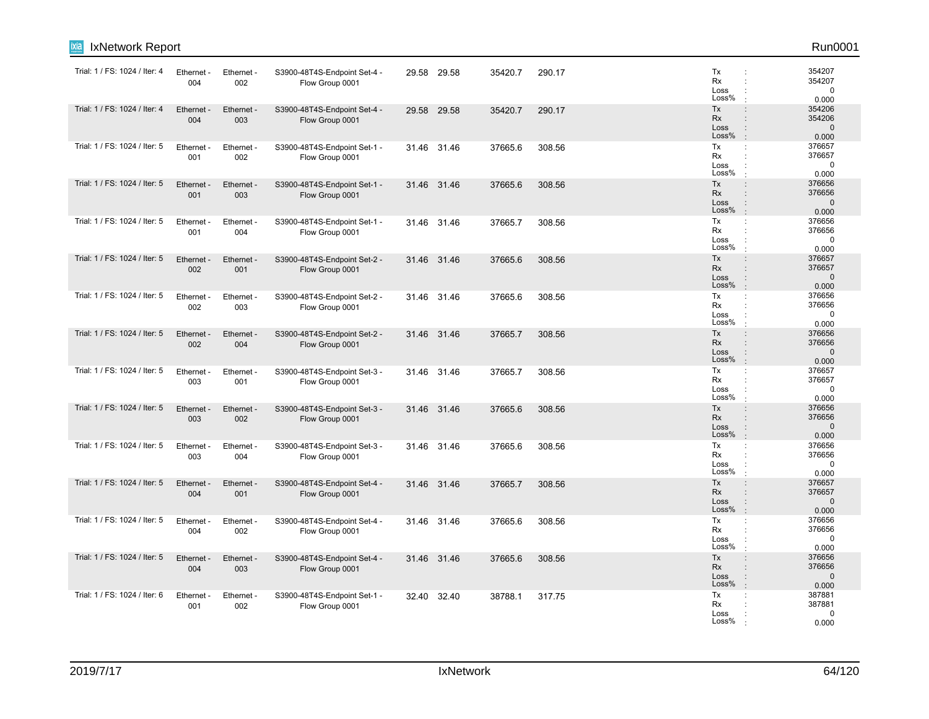| <b>IxNetwork Report</b><br>ixia |                   |                   |                                                 |       |             |         |        |                                  | Run0001                                                                                                                     |
|---------------------------------|-------------------|-------------------|-------------------------------------------------|-------|-------------|---------|--------|----------------------------------|-----------------------------------------------------------------------------------------------------------------------------|
| Trial: 1 / FS: 1024 / Iter: 4   | Ethernet -<br>004 | Ethernet -<br>002 | S3900-48T4S-Endpoint Set-4 -<br>Flow Group 0001 |       | 29.58 29.58 | 35420.7 | 290.17 | Tx<br>Rx<br>Loss<br>Loss%        | 354207<br>$\ddot{\phantom{a}}$<br>354207<br>÷<br>$\mathbf 0$<br>$\ddot{\phantom{a}}$<br>0.000<br>$\cdot$                    |
| Trial: 1 / FS: 1024 / Iter: 4   | Ethernet<br>004   | Ethernet -<br>003 | S3900-48T4S-Endpoint Set-4 -<br>Flow Group 0001 |       | 29.58 29.58 | 35420.7 | 290.17 | Tx<br>Rx<br>Loss<br>Loss%        | 354206<br>$\ddot{\phantom{a}}$<br>354206<br>$\ddot{\phantom{a}}$<br>$\mathbf 0$<br>$\ddot{\phantom{a}}$<br>$\cdot$<br>0.000 |
| Trial: 1 / FS: 1024 / Iter: 5   | Ethernet -<br>001 | Ethernet -<br>002 | S3900-48T4S-Endpoint Set-1 -<br>Flow Group 0001 |       | 31.46 31.46 | 37665.6 | 308.56 | Tx<br><b>Rx</b><br>Loss<br>Loss% | $\ddot{\phantom{a}}$<br>376657<br>376657<br>$\ddot{\phantom{a}}$<br>$\Omega$<br>÷<br>0.000                                  |
| Trial: 1 / FS: 1024 / Iter: 5   | Ethernet -<br>001 | Ethernet -<br>003 | S3900-48T4S-Endpoint Set-1 -<br>Flow Group 0001 |       | 31.46 31.46 | 37665.6 | 308.56 | Tx<br>Rx<br>Loss<br>Loss%        | 376656<br>$\vdots$<br>376656<br>÷<br>$\mathbf{0}$<br>$\ddot{\phantom{a}}$<br>0.000<br>$\cdot$                               |
| Trial: 1 / FS: 1024 / Iter: 5   | Ethernet -<br>001 | Ethernet -<br>004 | S3900-48T4S-Endpoint Set-1 -<br>Flow Group 0001 |       | 31.46 31.46 | 37665.7 | 308.56 | Tx<br>Rx<br>Loss<br>Loss%        | 376656<br>÷<br>376656<br>$\ddot{\phantom{a}}$<br>$\mathbf 0$<br>÷<br>0.000<br>$\cdot$                                       |
| Trial: 1 / FS: 1024 / Iter: 5   | Ethernet<br>002   | Ethernet -<br>001 | S3900-48T4S-Endpoint Set-2 -<br>Flow Group 0001 |       | 31.46 31.46 | 37665.6 | 308.56 | Tx<br>Rx<br>Loss<br>Loss%        | 376657<br>$\vdots$<br>376657<br>÷<br>$\vdots$<br>$\Omega$<br>0.000<br>$\cdot$                                               |
| Trial: 1 / FS: 1024 / Iter: 5   | Ethernet<br>002   | Ethernet -<br>003 | S3900-48T4S-Endpoint Set-2 -<br>Flow Group 0001 |       | 31.46 31.46 | 37665.6 | 308.56 | Tx<br>Rx<br>Loss<br>Loss%        | 376656<br>÷<br>376656<br>÷<br>$\mathbf 0$<br>÷<br>0.000<br>$\cdot$                                                          |
| Trial: 1 / FS: 1024 / Iter: 5   | Ethernet -<br>002 | Ethernet -<br>004 | S3900-48T4S-Endpoint Set-2 -<br>Flow Group 0001 | 31.46 | 31.46       | 37665.7 | 308.56 | Tx<br>Rx<br>Loss<br>Loss%        | 376656<br>$\ddot{\phantom{a}}$<br>376656<br>$\ddot{\phantom{a}}$<br>$\mathbf 0$<br>÷<br>0.000                               |
| Trial: 1 / FS: 1024 / Iter: 5   | Ethernet<br>003   | Ethernet -<br>001 | S3900-48T4S-Endpoint Set-3 -<br>Flow Group 0001 | 31.46 | 31.46       | 37665.7 | 308.56 | Tx<br><b>Rx</b><br>Loss<br>Loss% | 376657<br>÷<br>376657<br>$\ddot{\phantom{a}}$<br>$\mathbf 0$<br>$\ddot{\cdot}$<br>0.000<br>$\cdot$                          |
| Trial: 1 / FS: 1024 / Iter: 5   | Ethernet<br>003   | Ethernet -<br>002 | S3900-48T4S-Endpoint Set-3 -<br>Flow Group 0001 |       | 31.46 31.46 | 37665.6 | 308.56 | Tx<br>Rx<br>Loss<br>Loss%        | 376656<br>÷<br>376656<br>$\Omega$<br>$\ddot{\phantom{a}}$<br>$\cdot$<br>0.000                                               |
| Trial: 1 / FS: 1024 / Iter: 5   | Ethernet -<br>003 | Ethernet -<br>004 | S3900-48T4S-Endpoint Set-3 -<br>Flow Group 0001 |       | 31.46 31.46 | 37665.6 | 308.56 | Tx<br>Rx<br>Loss<br>Loss%        | 376656<br>÷<br>376656<br>$\ddot{\phantom{a}}$<br>$\mathbf 0$<br>$\ddot{\cdot}$<br>0.000                                     |
| Trial: 1 / FS: 1024 / Iter: 5   | Ethernet<br>004   | Ethernet -<br>001 | S3900-48T4S-Endpoint Set-4 -<br>Flow Group 0001 | 31.46 | 31.46       | 37665.7 | 308.56 | Tx<br>Rx<br>Loss<br>Loss%        | 376657<br>÷<br>376657<br>$\vdots$<br>$\mathbf 0$<br>:<br>$\cdot$<br>0.000                                                   |
| Trial: 1 / FS: 1024 / Iter: 5   | Ethernet -<br>004 | Ethernet -<br>002 | S3900-48T4S-Endpoint Set-4 -<br>Flow Group 0001 |       | 31.46 31.46 | 37665.6 | 308.56 | Tx<br>Rx<br>Loss<br>Loss%        | ÷<br>376656<br>376656<br>$\ddot{\phantom{a}}$<br>$\mathbf 0$<br>$\ddot{\phantom{a}}$<br>0.000                               |
| Trial: 1 / FS: 1024 / Iter: 5   | Ethernet<br>004   | Ethernet -<br>003 | S3900-48T4S-Endpoint Set-4 -<br>Flow Group 0001 |       | 31.46 31.46 | 37665.6 | 308.56 | Tx<br>Rx<br>Loss<br>Loss%        | 376656<br>$\vdots$<br>376656<br>$\cdot$<br>$\mathbf 0$<br>$\ddot{\phantom{a}}$<br>0.000                                     |
| Trial: 1 / FS: 1024 / Iter: 6   | Ethernet -<br>001 | Ethernet -<br>002 | S3900-48T4S-Endpoint Set-1 -<br>Flow Group 0001 | 32.40 | 32.40       | 38788.1 | 317.75 | Tx<br>Rx<br>Loss<br>Loss%        | 387881<br>÷<br>387881<br>$\Omega$<br>0.000                                                                                  |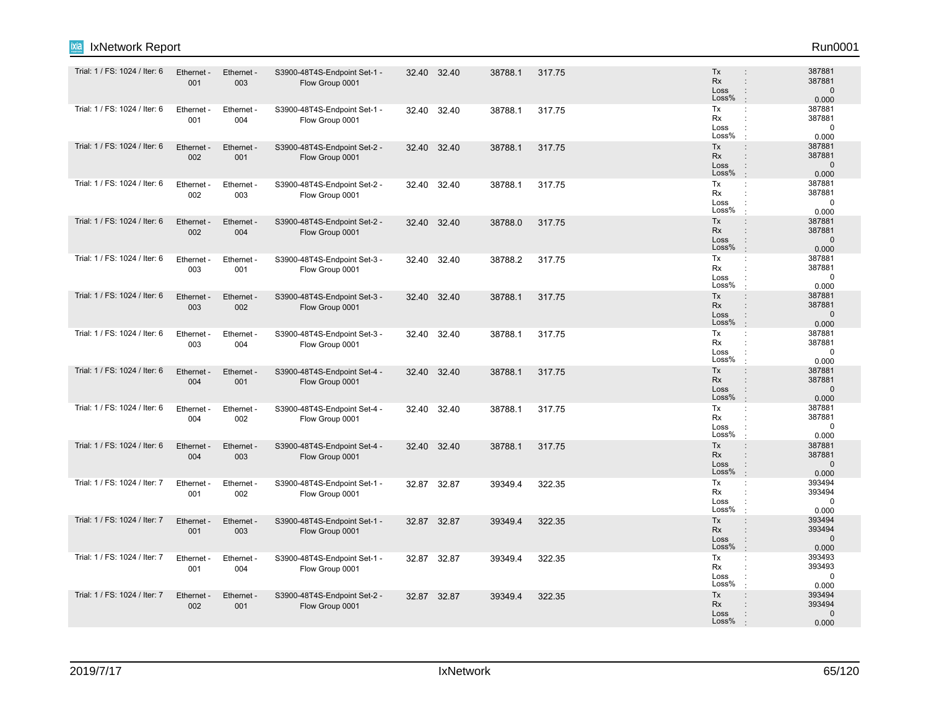| ixia<br>IxNetwork Report      |                   |                   |                                                 |       |             |         |        |                                                                                                      | Run0001                                   |
|-------------------------------|-------------------|-------------------|-------------------------------------------------|-------|-------------|---------|--------|------------------------------------------------------------------------------------------------------|-------------------------------------------|
| Trial: 1 / FS: 1024 / Iter: 6 | Ethernet -<br>001 | Ethernet -<br>003 | S3900-48T4S-Endpoint Set-1 -<br>Flow Group 0001 |       | 32.40 32.40 | 38788.1 | 317.75 | Tx<br><b>Rx</b><br>$\ddot{\phantom{a}}$<br>Loss<br>÷<br>Loss%<br>$\cdot$                             | 387881<br>387881<br>$\mathbf 0$<br>0.000  |
| Trial: 1 / FS: 1024 / Iter: 6 | Ethernet -<br>001 | Ethernet -<br>004 | S3900-48T4S-Endpoint Set-1 -<br>Flow Group 0001 | 32.40 | 32.40       | 38788.1 | 317.75 | Tx<br>÷<br>Rx<br>Loss<br>÷<br>Loss%                                                                  | 387881<br>387881<br>$\mathbf 0$<br>0.000  |
| Trial: 1 / FS: 1024 / Iter: 6 | Ethernet -<br>002 | Ethernet -<br>001 | S3900-48T4S-Endpoint Set-2 -<br>Flow Group 0001 | 32.40 | 32.40       | 38788.1 | 317.75 | Tx<br>$\ddot{\phantom{a}}$<br>Rx<br>$\ddot{\phantom{a}}$<br>Loss<br>$\mathbf{I}$<br>Loss%<br>$\cdot$ | 387881<br>387881<br>$\mathbf{0}$<br>0.000 |
| Trial: 1 / FS: 1024 / Iter: 6 | Ethernet<br>002   | Ethernet -<br>003 | S3900-48T4S-Endpoint Set-2 -<br>Flow Group 0001 | 32.40 | 32.40       | 38788.1 | 317.75 | Tx<br>÷<br>Rx<br>÷<br>Loss<br>÷<br>Loss%<br>$\cdot$                                                  | 387881<br>387881<br>$\mathbf 0$<br>0.000  |
| Trial: 1 / FS: 1024 / Iter: 6 | Ethernet -<br>002 | Ethernet -<br>004 | S3900-48T4S-Endpoint Set-2 -<br>Flow Group 0001 |       | 32.40 32.40 | 38788.0 | 317.75 | Tx<br>$\vdots$<br>Rx<br>$\vdots$<br>Loss<br>$\ddot{\phantom{a}}$<br>Loss%<br>$\cdot$                 | 387881<br>387881<br>$\mathbf{0}$<br>0.000 |
| Trial: 1 / FS: 1024 / Iter: 6 | Ethernet<br>003   | Ethernet -<br>001 | S3900-48T4S-Endpoint Set-3 -<br>Flow Group 0001 |       | 32.40 32.40 | 38788.2 | 317.75 | Tx<br>÷<br>Rx<br>÷<br>Loss<br>Loss%                                                                  | 387881<br>387881<br>$\mathbf 0$<br>0.000  |
| Trial: 1 / FS: 1024 / Iter: 6 | Ethernet -<br>003 | Ethernet -<br>002 | S3900-48T4S-Endpoint Set-3 -<br>Flow Group 0001 | 32.40 | 32.40       | 38788.1 | 317.75 | Tx<br>$\ddot{\phantom{a}}$<br>Rx<br>$\ddot{\phantom{a}}$<br>Loss<br>÷<br>Loss%<br>$\cdot$            | 387881<br>387881<br>$\mathbf 0$<br>0.000  |
| Trial: 1 / FS: 1024 / Iter: 6 | Ethernet<br>003   | Ethernet -<br>004 | S3900-48T4S-Endpoint Set-3 -<br>Flow Group 0001 | 32.40 | 32.40       | 38788.1 | 317.75 | Tx<br>÷<br>Rx<br>Loss<br>÷<br>Loss%                                                                  | 387881<br>387881<br>$\mathbf 0$<br>0.000  |
| Trial: 1 / FS: 1024 / Iter: 6 | Ethernet<br>004   | Ethernet -<br>001 | S3900-48T4S-Endpoint Set-4 -<br>Flow Group 0001 | 32.40 | 32.40       | 38788.1 | 317.75 | Tx<br>÷<br><b>Rx</b><br>$\ddot{\phantom{a}}$<br>Loss<br>÷<br>Loss%<br>$\cdot$                        | 387881<br>387881<br>$\mathbf{0}$<br>0.000 |
| Trial: 1 / FS: 1024 / Iter: 6 | Ethernet -<br>004 | Ethernet -<br>002 | S3900-48T4S-Endpoint Set-4 -<br>Flow Group 0001 | 32.40 | 32.40       | 38788.1 | 317.75 | Tx<br>÷<br>Rx<br>Loss<br>÷<br>Loss%<br>$\cdot$                                                       | 387881<br>387881<br>0<br>0.000            |
| Trial: 1 / FS: 1024 / Iter: 6 | Ethernet -<br>004 | Ethernet -<br>003 | S3900-48T4S-Endpoint Set-4 -<br>Flow Group 0001 | 32.40 | 32.40       | 38788.1 | 317.75 | Tx<br>$\ddot{\phantom{a}}$<br>Rx<br>$\ddot{\phantom{a}}$<br>Loss<br>Loss%<br>$\cdot$                 | 387881<br>387881<br>$\mathbf 0$<br>0.000  |
| Trial: 1 / FS: 1024 / Iter: 7 | Ethernet<br>001   | Ethernet -<br>002 | S3900-48T4S-Endpoint Set-1 -<br>Flow Group 0001 | 32.87 | 32.87       | 39349.4 | 322.35 | Tx<br>÷<br>Rx<br>Loss<br>Loss%<br>$\cdot$                                                            | 393494<br>393494<br>$\mathbf 0$<br>0.000  |
| Trial: 1 / FS: 1024 / Iter: 7 | Ethernet -<br>001 | Ethernet -<br>003 | S3900-48T4S-Endpoint Set-1 -<br>Flow Group 0001 |       | 32.87 32.87 | 39349.4 | 322.35 | Tx<br>÷<br><b>Rx</b><br>÷<br>Loss<br>$\ddot{\phantom{a}}$<br>Loss%<br>$\cdot$                        | 393494<br>393494<br>$\mathbf{0}$<br>0.000 |
| Trial: 1 / FS: 1024 / Iter: 7 | Ethernet<br>001   | Ethernet<br>004   | S3900-48T4S-Endpoint Set-1 -<br>Flow Group 0001 |       | 32.87 32.87 | 39349.4 | 322.35 | Tx<br>÷<br>Rx<br>Loss<br>Loss%                                                                       | 393493<br>393493<br>$\mathbf 0$<br>0.000  |
| Trial: 1 / FS: 1024 / Iter: 7 | Ethernet -<br>002 | Ethernet -<br>001 | S3900-48T4S-Endpoint Set-2 -<br>Flow Group 0001 |       | 32.87 32.87 | 39349.4 | 322.35 | Tx<br>$\vdots$<br><b>Rx</b><br>Loss<br>Loss%                                                         | 393494<br>393494<br>$\mathbf{0}$<br>0.000 |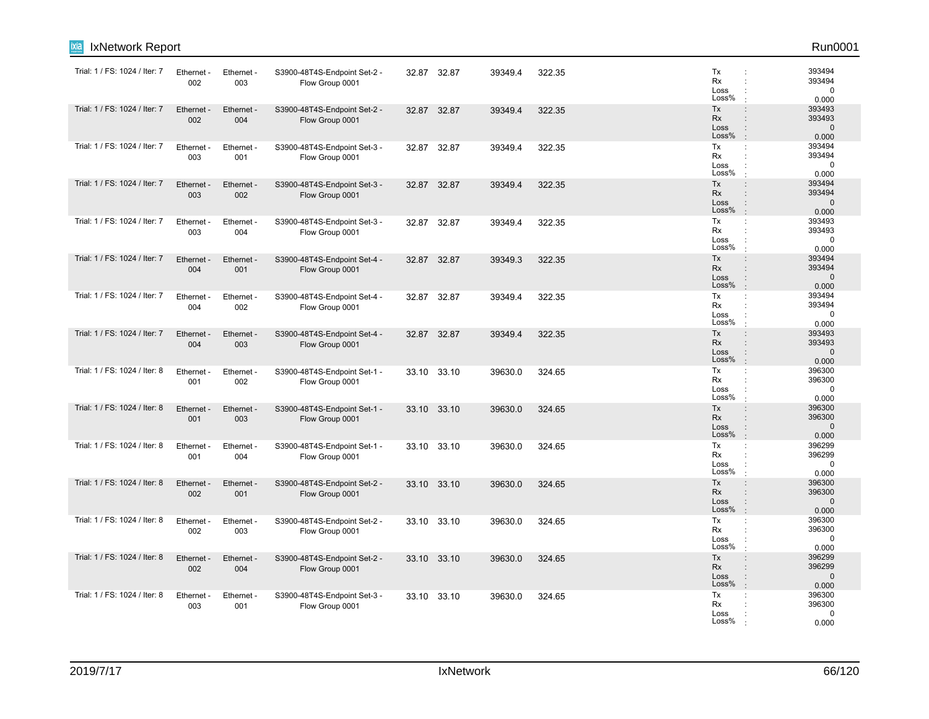| ixia<br>IxNetwork Report      |                   |                   |                                                 |       |             |         |        |                                                                                                                     | Run0001                                  |
|-------------------------------|-------------------|-------------------|-------------------------------------------------|-------|-------------|---------|--------|---------------------------------------------------------------------------------------------------------------------|------------------------------------------|
| Trial: 1 / FS: 1024 / Iter: 7 | Ethernet -<br>002 | Ethernet -<br>003 | S3900-48T4S-Endpoint Set-2 -<br>Flow Group 0001 |       | 32.87 32.87 | 39349.4 | 322.35 | Tx<br>Rx<br>Loss<br>Loss%                                                                                           | 393494<br>393494<br>$\mathbf 0$<br>0.000 |
| Trial: 1 / FS: 1024 / Iter: 7 | Ethernet -<br>002 | Ethernet -<br>004 | S3900-48T4S-Endpoint Set-2 -<br>Flow Group 0001 | 32.87 | 32.87       | 39349.4 | 322.35 | Tx<br>$\ddot{\phantom{a}}$<br><b>Rx</b><br>÷<br>Loss<br>$\ddot{\phantom{a}}$<br>Loss%<br>$\cdot$                    | 393493<br>393493<br>$\mathbf 0$<br>0.000 |
| Trial: 1 / FS: 1024 / Iter: 7 | Ethernet -<br>003 | Ethernet -<br>001 | S3900-48T4S-Endpoint Set-3 -<br>Flow Group 0001 | 32.87 | 32.87       | 39349.4 | 322.35 | Tx<br>÷<br>Rx<br>÷<br>Loss<br>Loss%                                                                                 | 393494<br>393494<br>$\mathbf 0$<br>0.000 |
| Trial: 1 / FS: 1024 / Iter: 7 | Ethernet<br>003   | Ethernet -<br>002 | S3900-48T4S-Endpoint Set-3 -<br>Flow Group 0001 | 32.87 | 32.87       | 39349.4 | 322.35 | Tx<br>$\ddot{\phantom{a}}$<br><b>Rx</b><br>÷<br>Loss<br>$\ddot{\phantom{a}}$<br>Loss%<br>$\cdot$                    | 393494<br>393494<br>$\mathbf 0$<br>0.000 |
| Trial: 1 / FS: 1024 / Iter: 7 | Ethernet -<br>003 | Ethernet -<br>004 | S3900-48T4S-Endpoint Set-3 -<br>Flow Group 0001 | 32.87 | 32.87       | 39349.4 | 322.35 | Tx<br>÷<br>Rx<br>Loss<br>Loss%                                                                                      | 393493<br>393493<br>$\mathbf 0$<br>0.000 |
| Trial: 1 / FS: 1024 / Iter: 7 | Ethernet -<br>004 | Ethernet -<br>001 | S3900-48T4S-Endpoint Set-4 -<br>Flow Group 0001 | 32.87 | 32.87       | 39349.3 | 322.35 | Tx<br>$\vdots$<br><b>Rx</b><br>÷<br>Loss<br>$\ddot{\phantom{a}}$<br>Loss%                                           | 393494<br>393494<br>$\mathbf 0$<br>0.000 |
| Trial: 1 / FS: 1024 / Iter: 7 | Ethernet<br>004   | Ethernet -<br>002 | S3900-48T4S-Endpoint Set-4 -<br>Flow Group 0001 | 32.87 | 32.87       | 39349.4 | 322.35 | Tx<br>÷<br>Rx<br>÷<br>Loss<br>Loss%                                                                                 | 393494<br>393494<br>$\mathbf 0$<br>0.000 |
| Trial: 1 / FS: 1024 / Iter: 7 | Ethernet -<br>004 | Ethernet -<br>003 | S3900-48T4S-Endpoint Set-4 -<br>Flow Group 0001 | 32.87 | 32.87       | 39349.4 | 322.35 | Tx<br>$\ddot{\phantom{a}}$<br><b>Rx</b><br>$\ddot{\phantom{a}}$<br>Loss<br>$\ddot{\phantom{a}}$<br>Loss%<br>$\cdot$ | 393493<br>393493<br>$\mathbf 0$<br>0.000 |
| Trial: 1 / FS: 1024 / Iter: 8 | Ethernet<br>001   | Ethernet -<br>002 | S3900-48T4S-Endpoint Set-1 -<br>Flow Group 0001 |       | 33.10 33.10 | 39630.0 | 324.65 | Tx<br>÷<br>Rx<br>÷<br>Loss<br>Loss%                                                                                 | 396300<br>396300<br>$\mathbf 0$<br>0.000 |
| Trial: 1 / FS: 1024 / Iter: 8 | Ethernet -<br>001 | Ethernet -<br>003 | S3900-48T4S-Endpoint Set-1 -<br>Flow Group 0001 | 33.10 | 33.10       | 39630.0 | 324.65 | Tx<br>$\ddot{\phantom{a}}$<br><b>Rx</b><br>$\ddot{\phantom{a}}$<br>Loss<br>$\ddot{\phantom{a}}$<br>Loss%<br>$\cdot$ | 396300<br>396300<br>$\mathbf 0$<br>0.000 |
| Trial: 1 / FS: 1024 / Iter: 8 | Ethernet<br>001   | Ethernet -<br>004 | S3900-48T4S-Endpoint Set-1 -<br>Flow Group 0001 | 33.10 | 33.10       | 39630.0 | 324.65 | Tx<br>÷<br>Rx<br>÷<br>Loss<br>Loss%                                                                                 | 396299<br>396299<br>$\mathbf 0$<br>0.000 |
| Trial: 1 / FS: 1024 / Iter: 8 | Ethernet<br>002   | Ethernet -<br>001 | S3900-48T4S-Endpoint Set-2 -<br>Flow Group 0001 | 33.10 | 33.10       | 39630.0 | 324.65 | Tx<br>$\ddot{\phantom{a}}$<br><b>Rx</b><br>÷<br>Loss<br>$\ddot{\phantom{a}}$<br>Loss%<br>$\cdot$                    | 396300<br>396300<br>$\mathbf 0$<br>0.000 |
| Trial: 1 / FS: 1024 / Iter: 8 | Ethernet -<br>002 | Ethernet -<br>003 | S3900-48T4S-Endpoint Set-2 -<br>Flow Group 0001 |       | 33.10 33.10 | 39630.0 | 324.65 | Tx<br>÷<br>Rx<br>÷<br>Loss<br>Loss%                                                                                 | 396300<br>396300<br>$\mathbf 0$<br>0.000 |
| Trial: 1 / FS: 1024 / Iter: 8 | Ethernet<br>002   | Ethernet -<br>004 | S3900-48T4S-Endpoint Set-2 -<br>Flow Group 0001 | 33.10 | 33.10       | 39630.0 | 324.65 | Tx<br>$\ddot{\phantom{a}}$<br><b>Rx</b><br>÷<br>Loss<br>$\vdots$<br>Loss%<br>÷                                      | 396299<br>396299<br>$\mathbf 0$<br>0.000 |
| Trial: 1 / FS: 1024 / Iter: 8 | Ethernet<br>003   | Ethernet -<br>001 | S3900-48T4S-Endpoint Set-3 -<br>Flow Group 0001 | 33.10 | 33.10       | 39630.0 | 324.65 | Tx<br>÷<br>Rx<br>Loss<br>Loss%                                                                                      | 396300<br>396300<br>$\mathbf 0$<br>0.000 |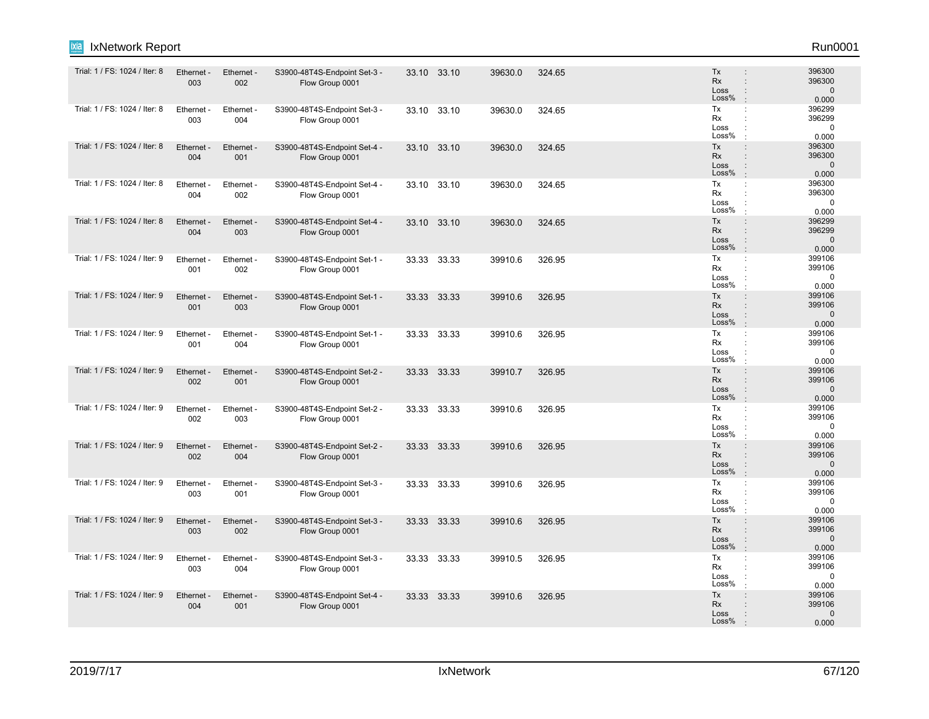| ixia<br>IxNetwork Report      |                   |                   |                                                 |       |             |         |        |                                                                                                      | Run0001                                   |
|-------------------------------|-------------------|-------------------|-------------------------------------------------|-------|-------------|---------|--------|------------------------------------------------------------------------------------------------------|-------------------------------------------|
| Trial: 1 / FS: 1024 / Iter: 8 | Ethernet -<br>003 | Ethernet -<br>002 | S3900-48T4S-Endpoint Set-3 -<br>Flow Group 0001 |       | 33.10 33.10 | 39630.0 | 324.65 | Tx<br><b>Rx</b><br>$\ddot{\phantom{a}}$<br>Loss<br>÷<br>Loss%                                        | 396300<br>396300<br>$\mathbf 0$<br>0.000  |
| Trial: 1 / FS: 1024 / Iter: 8 | Ethernet -<br>003 | Ethernet -<br>004 | S3900-48T4S-Endpoint Set-3 -<br>Flow Group 0001 |       | 33.10 33.10 | 39630.0 | 324.65 | Tx<br>÷<br>Rx<br>Loss<br>÷<br>Loss%                                                                  | 396299<br>396299<br>$\mathbf 0$<br>0.000  |
| Trial: 1 / FS: 1024 / Iter: 8 | Ethernet -<br>004 | Ethernet -<br>001 | S3900-48T4S-Endpoint Set-4 -<br>Flow Group 0001 |       | 33.10 33.10 | 39630.0 | 324.65 | Tx<br>$\ddot{\phantom{a}}$<br>Rx<br>$\ddot{\phantom{a}}$<br>Loss<br>$\mathbf{I}$<br>Loss%            | 396300<br>396300<br>$\mathbf 0$<br>0.000  |
| Trial: 1 / FS: 1024 / Iter: 8 | Ethernet<br>004   | Ethernet -<br>002 | S3900-48T4S-Endpoint Set-4 -<br>Flow Group 0001 |       | 33.10 33.10 | 39630.0 | 324.65 | Tx<br>÷<br>Rx<br>÷<br>Loss<br>Loss%<br>$\cdot$                                                       | 396300<br>396300<br>$\mathbf 0$<br>0.000  |
| Trial: 1 / FS: 1024 / Iter: 8 | Ethernet -<br>004 | Ethernet -<br>003 | S3900-48T4S-Endpoint Set-4 -<br>Flow Group 0001 |       | 33.10 33.10 | 39630.0 | 324.65 | Tx<br>$\vdots$<br>Rx<br>$\vdots$<br>Loss<br>$\ddot{\phantom{a}}$<br>Loss%<br>$\cdot$                 | 396299<br>396299<br>$\mathbf 0$<br>0.000  |
| Trial: 1 / FS: 1024 / Iter: 9 | Ethernet<br>001   | Ethernet -<br>002 | S3900-48T4S-Endpoint Set-1 -<br>Flow Group 0001 |       | 33.33 33.33 | 39910.6 | 326.95 | Tx<br>÷<br>Rx<br>÷<br>Loss<br>Loss%                                                                  | 399106<br>399106<br>$\mathbf 0$<br>0.000  |
| Trial: 1 / FS: 1024 / Iter: 9 | Ethernet -<br>001 | Ethernet -<br>003 | S3900-48T4S-Endpoint Set-1 -<br>Flow Group 0001 |       | 33.33 33.33 | 39910.6 | 326.95 | Tx<br>$\ddot{\phantom{a}}$<br>Rx<br>$\ddot{\phantom{a}}$<br>Loss<br>$\mathbf{I}$<br>Loss%<br>$\cdot$ | 399106<br>399106<br>$\mathbf 0$<br>0.000  |
| Trial: 1 / FS: 1024 / Iter: 9 | Ethernet<br>001   | Ethernet -<br>004 | S3900-48T4S-Endpoint Set-1 -<br>Flow Group 0001 |       | 33.33 33.33 | 39910.6 | 326.95 | Tx<br>÷<br>Rx<br>Loss<br>Loss%                                                                       | 399106<br>399106<br>$\mathbf 0$<br>0.000  |
| Trial: 1 / FS: 1024 / Iter: 9 | Ethernet<br>002   | Ethernet -<br>001 | S3900-48T4S-Endpoint Set-2 -<br>Flow Group 0001 |       | 33.33 33.33 | 39910.7 | 326.95 | Tx<br>÷<br><b>Rx</b><br>$\ddot{\phantom{a}}$<br>Loss<br>÷<br>Loss%<br>$\cdot$                        | 399106<br>399106<br>$\mathbf{0}$<br>0.000 |
| Trial: 1 / FS: 1024 / Iter: 9 | Ethernet -<br>002 | Ethernet -<br>003 | S3900-48T4S-Endpoint Set-2 -<br>Flow Group 0001 |       | 33.33 33.33 | 39910.6 | 326.95 | Tx<br>÷<br>Rx<br>Loss<br>÷<br>Loss%<br>$\cdot$                                                       | 399106<br>399106<br>0<br>0.000            |
| Trial: 1 / FS: 1024 / Iter: 9 | Ethernet -<br>002 | Ethernet -<br>004 | S3900-48T4S-Endpoint Set-2 -<br>Flow Group 0001 |       | 33.33 33.33 | 39910.6 | 326.95 | Tx<br>$\ddot{\phantom{a}}$<br>Rx<br>$\ddot{\phantom{a}}$<br>Loss<br>Loss%<br>$\cdot$                 | 399106<br>399106<br>$\mathbf 0$<br>0.000  |
| Trial: 1 / FS: 1024 / Iter: 9 | Ethernet<br>003   | Ethernet -<br>001 | S3900-48T4S-Endpoint Set-3 -<br>Flow Group 0001 | 33.33 | 33.33       | 39910.6 | 326.95 | Tx<br>÷<br>Rx<br>Loss<br>Loss%<br>$\cdot$                                                            | 399106<br>399106<br>$\mathbf 0$<br>0.000  |
| Trial: 1 / FS: 1024 / Iter: 9 | Ethernet -<br>003 | Ethernet -<br>002 | S3900-48T4S-Endpoint Set-3 -<br>Flow Group 0001 |       | 33.33 33.33 | 39910.6 | 326.95 | Tx<br>$\ddot{\phantom{a}}$<br><b>Rx</b><br>÷<br>Loss<br>$\ddot{\phantom{a}}$<br>Loss%<br>$\cdot$     | 399106<br>399106<br>$\mathbf{0}$<br>0.000 |
| Trial: 1 / FS: 1024 / Iter: 9 | Ethernet<br>003   | Ethernet<br>004   | S3900-48T4S-Endpoint Set-3 -<br>Flow Group 0001 |       | 33.33 33.33 | 39910.5 | 326.95 | Tx<br>÷<br>Rx<br>Loss<br>Loss%                                                                       | 399106<br>399106<br>$\mathbf 0$<br>0.000  |
| Trial: 1 / FS: 1024 / Iter: 9 | Ethernet -<br>004 | Ethernet -<br>001 | S3900-48T4S-Endpoint Set-4 -<br>Flow Group 0001 |       | 33.33 33.33 | 39910.6 | 326.95 | Tx<br>$\vdots$<br>Rx<br>Loss<br>Loss%                                                                | 399106<br>399106<br>$\Omega$<br>0.000     |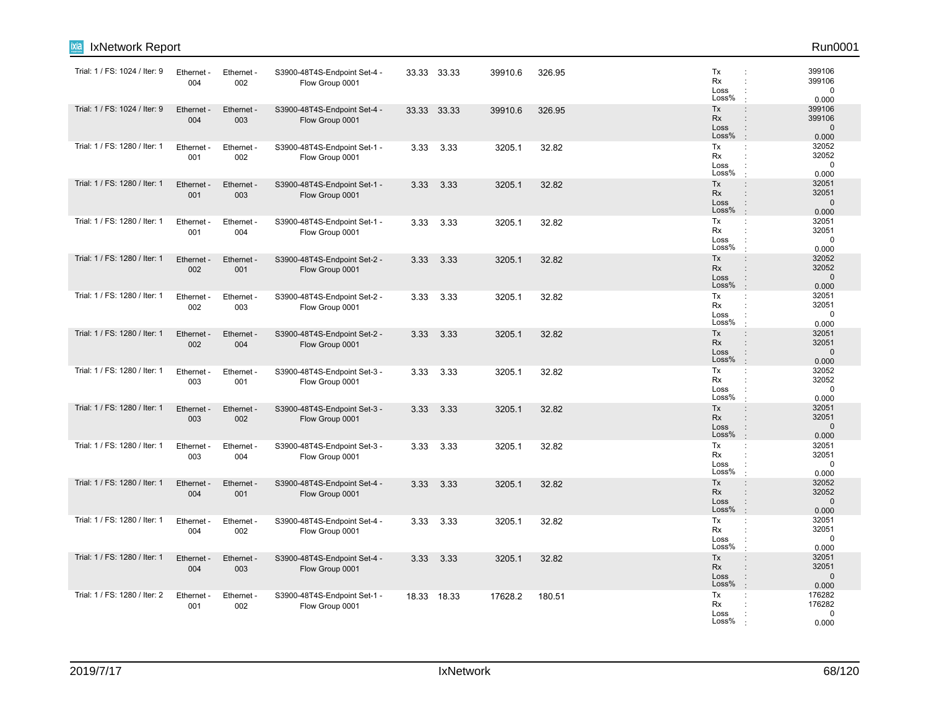| ixia<br>IxNetwork Report      |                   |                   |                                                 |      |             |         |        |                                                                                                                     | Run0001                                  |
|-------------------------------|-------------------|-------------------|-------------------------------------------------|------|-------------|---------|--------|---------------------------------------------------------------------------------------------------------------------|------------------------------------------|
| Trial: 1 / FS: 1024 / Iter: 9 | Ethernet -<br>004 | Ethernet -<br>002 | S3900-48T4S-Endpoint Set-4 -<br>Flow Group 0001 |      | 33.33 33.33 | 39910.6 | 326.95 | Tx<br>Rx<br>Loss<br>Loss%                                                                                           | 399106<br>399106<br>$\mathbf 0$<br>0.000 |
| Trial: 1 / FS: 1024 / Iter: 9 | Ethernet -<br>004 | Ethernet -<br>003 | S3900-48T4S-Endpoint Set-4 -<br>Flow Group 0001 |      | 33.33 33.33 | 39910.6 | 326.95 | Tx<br>$\ddot{\phantom{a}}$<br><b>Rx</b><br>÷<br>Loss<br>$\ddot{\phantom{a}}$<br>Loss%<br>$\cdot$                    | 399106<br>399106<br>$\mathbf 0$<br>0.000 |
| Trial: 1 / FS: 1280 / Iter: 1 | Ethernet -<br>001 | Ethernet -<br>002 | S3900-48T4S-Endpoint Set-1 -<br>Flow Group 0001 | 3.33 | 3.33        | 3205.1  | 32.82  | Tx<br>÷<br>Rx<br>÷<br>Loss<br>Loss%                                                                                 | 32052<br>32052<br>$\mathbf 0$<br>0.000   |
| Trial: 1 / FS: 1280 / Iter: 1 | Ethernet<br>001   | Ethernet -<br>003 | S3900-48T4S-Endpoint Set-1 -<br>Flow Group 0001 | 3.33 | 3.33        | 3205.1  | 32.82  | Tx<br>$\ddot{\phantom{a}}$<br><b>Rx</b><br>÷<br>Loss<br>$\ddot{\phantom{a}}$<br>Loss%<br>$\cdot$                    | 32051<br>32051<br>$\mathbf 0$<br>0.000   |
| Trial: 1 / FS: 1280 / Iter: 1 | Ethernet -<br>001 | Ethernet -<br>004 | S3900-48T4S-Endpoint Set-1 -<br>Flow Group 0001 | 3.33 | 3.33        | 3205.1  | 32.82  | Tx<br>÷<br>Rx<br>Loss<br>Loss%                                                                                      | 32051<br>32051<br>$\mathbf 0$<br>0.000   |
| Trial: 1 / FS: 1280 / Iter: 1 | Ethernet -<br>002 | Ethernet -<br>001 | S3900-48T4S-Endpoint Set-2 -<br>Flow Group 0001 | 3.33 | 3.33        | 3205.1  | 32.82  | Tx<br>$\vdots$<br><b>Rx</b><br>÷<br>Loss<br>$\ddot{\phantom{a}}$<br>Loss%<br>$\cdot$                                | 32052<br>32052<br>$\mathbf 0$<br>0.000   |
| Trial: 1 / FS: 1280 / Iter: 1 | Ethernet<br>002   | Ethernet -<br>003 | S3900-48T4S-Endpoint Set-2 -<br>Flow Group 0001 | 3.33 | 3.33        | 3205.1  | 32.82  | Tx<br>÷<br>Rx<br>÷<br>Loss<br>Loss%                                                                                 | 32051<br>32051<br>$\mathbf 0$<br>0.000   |
| Trial: 1 / FS: 1280 / Iter: 1 | Ethernet -<br>002 | Ethernet -<br>004 | S3900-48T4S-Endpoint Set-2 -<br>Flow Group 0001 | 3.33 | 3.33        | 3205.1  | 32.82  | Tx<br>$\ddot{\phantom{a}}$<br><b>Rx</b><br>$\ddot{\phantom{a}}$<br>$\ddot{\phantom{a}}$<br>Loss<br>Loss%<br>$\cdot$ | 32051<br>32051<br>$\mathbf 0$<br>0.000   |
| Trial: 1 / FS: 1280 / Iter: 1 | Ethernet<br>003   | Ethernet -<br>001 | S3900-48T4S-Endpoint Set-3 -<br>Flow Group 0001 | 3.33 | 3.33        | 3205.1  | 32.82  | Tx<br>÷<br>Rx<br>÷<br>Loss<br>Loss%                                                                                 | 32052<br>32052<br>$\mathbf 0$<br>0.000   |
| Trial: 1 / FS: 1280 / Iter: 1 | Ethernet -<br>003 | Ethernet -<br>002 | S3900-48T4S-Endpoint Set-3 -<br>Flow Group 0001 | 3.33 | 3.33        | 3205.1  | 32.82  | Tx<br>$\ddot{\phantom{a}}$<br><b>Rx</b><br>$\ddot{\phantom{a}}$<br>Loss<br>$\ddot{\phantom{a}}$<br>Loss%<br>$\cdot$ | 32051<br>32051<br>$\mathbf 0$<br>0.000   |
| Trial: 1 / FS: 1280 / Iter: 1 | Ethernet<br>003   | Ethernet -<br>004 | S3900-48T4S-Endpoint Set-3 -<br>Flow Group 0001 | 3.33 | 3.33        | 3205.1  | 32.82  | Tx<br>÷<br>Rx<br>÷<br>Loss<br>Loss%                                                                                 | 32051<br>32051<br>$\mathbf 0$<br>0.000   |
| Trial: 1 / FS: 1280 / Iter: 1 | Ethernet<br>004   | Ethernet -<br>001 | S3900-48T4S-Endpoint Set-4 -<br>Flow Group 0001 | 3.33 | 3.33        | 3205.1  | 32.82  | Tx<br>$\ddot{\phantom{a}}$<br><b>Rx</b><br>÷<br>Loss<br>$\ddot{\phantom{a}}$<br>Loss%<br>$\cdot$                    | 32052<br>32052<br>$\mathbf 0$<br>0.000   |
| Trial: 1 / FS: 1280 / Iter: 1 | Ethernet -<br>004 | Ethernet -<br>002 | S3900-48T4S-Endpoint Set-4 -<br>Flow Group 0001 | 3.33 | 3.33        | 3205.1  | 32.82  | Tx<br>÷<br>Rx<br>Loss<br>Loss%                                                                                      | 32051<br>32051<br>$\mathbf 0$<br>0.000   |
| Trial: 1 / FS: 1280 / Iter: 1 | Ethernet<br>004   | Ethernet -<br>003 | S3900-48T4S-Endpoint Set-4 -<br>Flow Group 0001 | 3.33 | 3.33        | 3205.1  | 32.82  | Tx<br>$\ddot{\phantom{a}}$<br><b>Rx</b><br>÷<br>Loss<br>$\vdots$<br>Loss%<br>÷                                      | 32051<br>32051<br>$\mathbf 0$<br>0.000   |
| Trial: 1 / FS: 1280 / Iter: 2 | Ethernet<br>001   | Ethernet -<br>002 | S3900-48T4S-Endpoint Set-1 -<br>Flow Group 0001 |      | 18.33 18.33 | 17628.2 | 180.51 | Tx<br>÷<br>Rx<br>Loss<br>Loss%                                                                                      | 176282<br>176282<br>$\mathbf 0$<br>0.000 |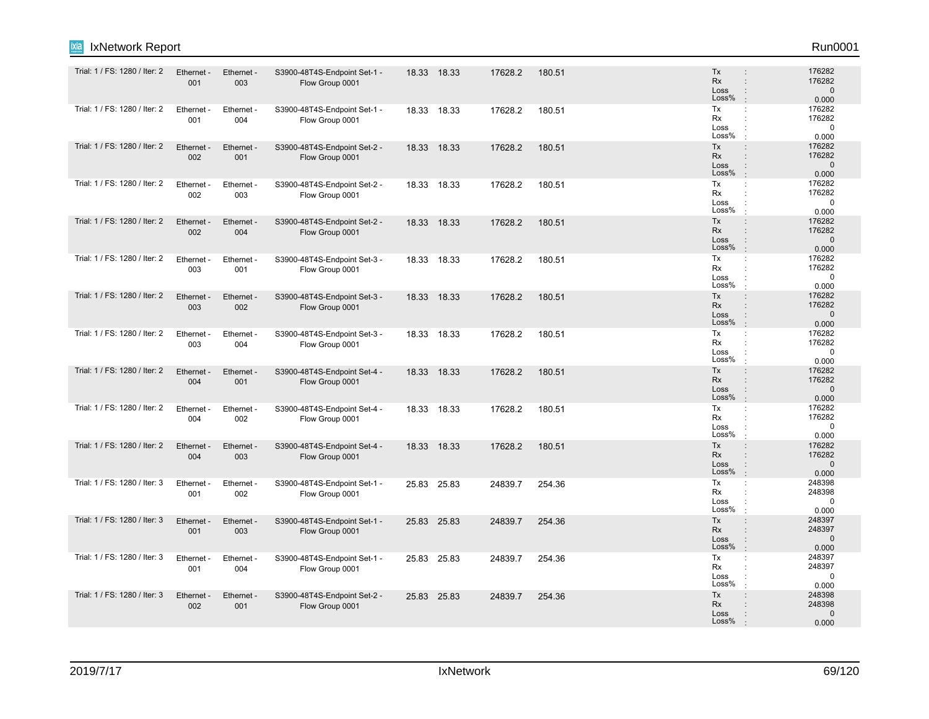| Trial: 1 / FS: 1280 / Iter: 2 | Ethernet -<br>001 | Ethernet -<br>003 | S3900-48T4S-Endpoint Set-1 -<br>Flow Group 0001 | 18.33 18.33 | 17628.2 | 180.51 | Tx<br>Rx<br>Loss<br>Loss%<br>$\cdot$                   | 176282<br>$\ddot{\phantom{a}}$<br>176282<br>$\vdots$<br>$\mathbf{0}$<br>0.000                     |
|-------------------------------|-------------------|-------------------|-------------------------------------------------|-------------|---------|--------|--------------------------------------------------------|---------------------------------------------------------------------------------------------------|
| Trial: 1 / FS: 1280 / Iter: 2 | Ethernet -<br>001 | Ethernet -<br>004 | S3900-48T4S-Endpoint Set-1 -<br>Flow Group 0001 | 18.33 18.33 | 17628.2 | 180.51 | Tx<br>÷<br>Rx<br>Loss<br>$\ddot{\phantom{a}}$<br>Loss% | 176282<br>176282<br>÷<br>$\Omega$<br>0.000                                                        |
| Trial: 1 / FS: 1280 / Iter: 2 | Ethernet -<br>002 | Ethernet -<br>001 | S3900-48T4S-Endpoint Set-2 -<br>Flow Group 0001 | 18.33 18.33 | 17628.2 | 180.51 | Tx<br>Rx<br>Loss<br>Loss%<br>$\cdot$                   | 176282<br>$\ddot{\phantom{a}}$<br>176282<br>$\mathbf{0}$<br>$\vdots$<br>0.000                     |
| Trial: 1 / FS: 1280 / Iter: 2 | Ethernet -<br>002 | Ethernet -<br>003 | S3900-48T4S-Endpoint Set-2 -<br>Flow Group 0001 | 18.33 18.33 | 17628.2 | 180.51 | Tx<br>Rx<br>Loss<br>Loss%<br>$\cdot$                   | 176282<br>÷<br>176282<br>÷<br>$\mathbf 0$<br>÷<br>0.000                                           |
| Trial: 1 / FS: 1280 / Iter: 2 | Ethernet -<br>002 | Ethernet -<br>004 | S3900-48T4S-Endpoint Set-2 -<br>Flow Group 0001 | 18.33 18.33 | 17628.2 | 180.51 | Tx<br>Rx<br>Loss<br>Loss%<br>$\mathbf{r}$              | $\vdots$<br>176282<br>176282<br>$\ddot{\phantom{a}}$<br>$\mathbf{0}$<br>0.000                     |
| Trial: 1 / FS: 1280 / Iter: 2 | Ethernet -<br>003 | Ethernet -<br>001 | S3900-48T4S-Endpoint Set-3 -<br>Flow Group 0001 | 18.33 18.33 | 17628.2 | 180.51 | Tx<br><b>Rx</b><br>Loss<br>Loss%                       | 176282<br>÷<br>176282<br>$\ddot{\phantom{a}}$<br>$\mathbf 0$<br>0.000                             |
| Trial: 1 / FS: 1280 / Iter: 2 | Ethernet -<br>003 | Ethernet -<br>002 | S3900-48T4S-Endpoint Set-3 -<br>Flow Group 0001 | 18.33 18.33 | 17628.2 | 180.51 | Tx<br>Rx<br>Loss<br>Loss%<br>$\cdot$                   | 176282<br>$\ddot{\phantom{a}}$<br>$\vdots$<br>176282<br>$\Omega$<br>$\ddot{\phantom{a}}$<br>0.000 |
| Trial: 1 / FS: 1280 / Iter: 2 | Ethernet -<br>003 | Ethernet -<br>004 | S3900-48T4S-Endpoint Set-3 -<br>Flow Group 0001 | 18.33 18.33 | 17628.2 | 180.51 | Тx<br><b>Rx</b><br>Loss<br>Loss%                       | 176282<br>$\ddot{\phantom{a}}$<br>176282<br>$\mathbf 0$<br>0.000                                  |
| Trial: 1 / FS: 1280 / Iter: 2 | Ethernet -<br>004 | Ethernet -<br>001 | S3900-48T4S-Endpoint Set-4 -<br>Flow Group 0001 | 18.33 18.33 | 17628.2 | 180.51 | Tx<br><b>Rx</b><br>Loss<br>Loss%                       | 176282<br>$\ddot{\phantom{a}}$<br>176282<br>÷<br>$\mathbf 0$<br>$\vdots$<br>$\cdot$<br>0.000      |
| Trial: 1 / FS: 1280 / Iter: 2 | Ethernet -<br>004 | Ethernet -<br>002 | S3900-48T4S-Endpoint Set-4 -<br>Flow Group 0001 | 18.33 18.33 | 17628.2 | 180.51 | Tx<br>Rx<br>Loss<br>Loss%                              | 176282<br>176282<br>$\ddot{\phantom{a}}$<br>$\Omega$<br>0.000<br>$\cdot$                          |
| Trial: 1 / FS: 1280 / Iter: 2 | Ethernet -<br>004 | Ethernet -<br>003 | S3900-48T4S-Endpoint Set-4 -<br>Flow Group 0001 | 18.33 18.33 | 17628.2 | 180.51 | Tx<br><b>Rx</b><br>Loss<br>Loss%<br>$\mathbf{r}$       | 176282<br>÷<br>176282<br>$\ddot{\phantom{a}}$<br>$\Omega$<br>÷<br>0.000                           |
| Trial: 1 / FS: 1280 / Iter: 3 | Ethernet<br>001   | Ethernet -<br>002 | S3900-48T4S-Endpoint Set-1 -<br>Flow Group 0001 | 25.83 25.83 | 24839.7 | 254.36 | Tx<br>÷<br>Rx<br>Loss<br>Loss%                         | 248398<br>248398<br>0<br>0.000                                                                    |
| Trial: 1 / FS: 1280 / Iter: 3 | Ethernet -<br>001 | Ethernet -<br>003 | S3900-48T4S-Endpoint Set-1 -<br>Flow Group 0001 | 25.83 25.83 | 24839.7 | 254.36 | Tx<br>Rx<br>Loss<br>Loss%<br>÷.                        | 248397<br>$\vdots$<br>248397<br>÷<br>$\mathbf{0}$<br>$\ddot{\phantom{a}}$<br>0.000                |
| Trial: 1 / FS: 1280 / Iter: 3 | Ethernet -<br>001 | Ethernet -<br>004 | S3900-48T4S-Endpoint Set-1 -<br>Flow Group 0001 | 25.83 25.83 | 24839.7 | 254.36 | Tx<br><b>Rx</b><br>Loss<br>Loss%                       | 248397<br>÷<br>248397<br>÷<br>0<br>0.000<br>÷                                                     |
| Trial: 1 / FS: 1280 / Iter: 3 | Ethernet -<br>002 | Ethernet -<br>001 | S3900-48T4S-Endpoint Set-2 -<br>Flow Group 0001 | 25.83 25.83 | 24839.7 | 254.36 | Tx<br><b>Rx</b><br>Loss<br>Loss%                       | 248398<br>$\ddot{\phantom{a}}$<br>248398<br>$\ddot{\phantom{a}}$<br>$\mathbf 0$<br>0.000          |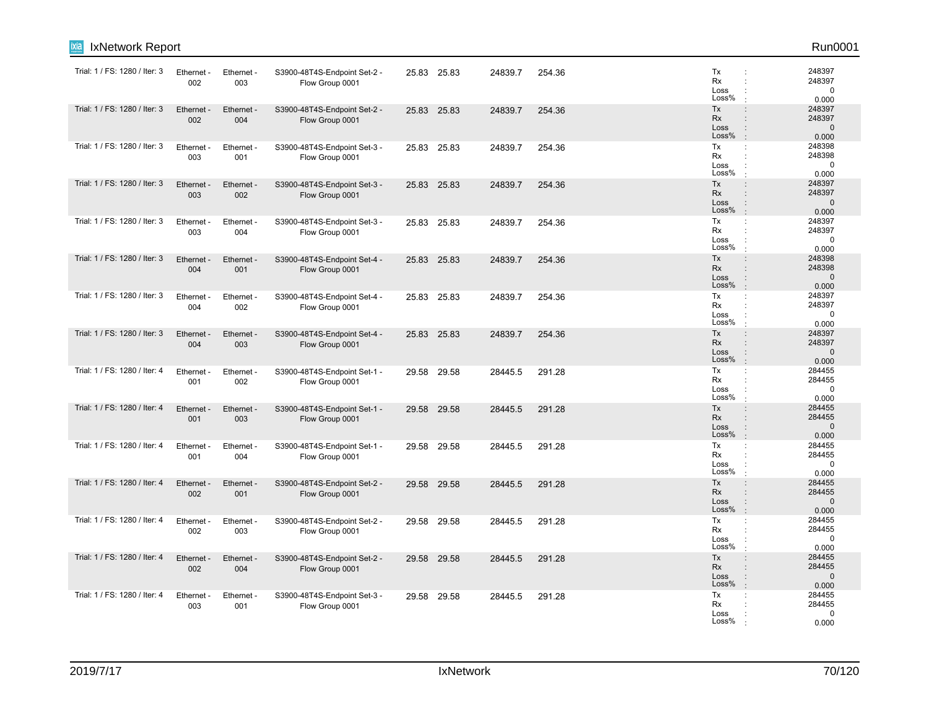| ixia<br>IxNetwork Report      |                   |                   |                                                 |       |             |         |        |                                  | Run0001                                                                                                          |
|-------------------------------|-------------------|-------------------|-------------------------------------------------|-------|-------------|---------|--------|----------------------------------|------------------------------------------------------------------------------------------------------------------|
| Trial: 1 / FS: 1280 / Iter: 3 | Ethernet<br>002   | Ethernet -<br>003 | S3900-48T4S-Endpoint Set-2 -<br>Flow Group 0001 |       | 25.83 25.83 | 24839.7 | 254.36 | Tx<br>Rx<br>Loss<br>Loss%        | 248397<br>$\ddot{\phantom{a}}$<br>248397<br>$\mathbf 0$<br>0.000                                                 |
| Trial: 1 / FS: 1280 / Iter: 3 | Ethernet<br>002   | Ethernet -<br>004 | S3900-48T4S-Endpoint Set-2 -<br>Flow Group 0001 |       | 25.83 25.83 | 24839.7 | 254.36 | Tx<br>Rx<br>Loss<br>Loss%        | 248397<br>$\vdots$<br>248397<br>$\ddot{\phantom{a}}$<br>$\mathbf 0$<br>$\vdots$<br>0.000<br>$\cdot$              |
| Trial: 1 / FS: 1280 / Iter: 3 | Ethernet<br>003   | Ethernet -<br>001 | S3900-48T4S-Endpoint Set-3 -<br>Flow Group 0001 |       | 25.83 25.83 | 24839.7 | 254.36 | Tx<br>Rx<br>Loss<br>Loss%        | 248398<br>÷<br>248398<br>÷<br>$\mathbf 0$<br>0.000<br>$\cdot$                                                    |
| Trial: 1 / FS: 1280 / Iter: 3 | Ethernet -<br>003 | Ethernet -<br>002 | S3900-48T4S-Endpoint Set-3 -<br>Flow Group 0001 | 25.83 | 25.83       | 24839.7 | 254.36 | Tx<br>Rx<br>Loss<br>Loss%        | $\colon$<br>248397<br>248397<br>$\ddot{\phantom{a}}$<br>$\mathbf 0$<br>$\cdot$<br>$\cdot$<br>0.000               |
| Trial: 1 / FS: 1280 / Iter: 3 | Ethernet<br>003   | Ethernet -<br>004 | S3900-48T4S-Endpoint Set-3 -<br>Flow Group 0001 |       | 25.83 25.83 | 24839.7 | 254.36 | Tx<br>Rx<br>Loss<br>Loss%        | 248397<br>÷<br>248397<br>$\ddot{\phantom{a}}$<br>$\mathbf 0$<br>$\ddot{\phantom{a}}$<br>0.000<br>$\cdot$         |
| Trial: 1 / FS: 1280 / Iter: 3 | Ethernet<br>004   | Ethernet -<br>001 | S3900-48T4S-Endpoint Set-4 -<br>Flow Group 0001 |       | 25.83 25.83 | 24839.7 | 254.36 | Tx<br><b>Rx</b><br>Loss<br>Loss% | 248398<br>$\ddot{\phantom{a}}$<br>248398<br>÷<br>$\mathbf 0$<br>$\ddot{\phantom{a}}$<br>0.000<br>$\cdot$         |
| Trial: 1 / FS: 1280 / Iter: 3 | Ethernet -<br>004 | Ethernet -<br>002 | S3900-48T4S-Endpoint Set-4 -<br>Flow Group 0001 |       | 25.83 25.83 | 24839.7 | 254.36 | Tx<br>Rx<br>Loss<br>Loss%        | 248397<br>÷<br>248397<br>$\ddot{\phantom{a}}$<br>0<br>0.000<br>$\cdot$                                           |
| Trial: 1 / FS: 1280 / Iter: 3 | Ethernet<br>004   | Ethernet -<br>003 | S3900-48T4S-Endpoint Set-4 -<br>Flow Group 0001 | 25.83 | 25.83       | 24839.7 | 254.36 | Tx<br><b>Rx</b><br>Loss<br>Loss% | 248397<br>$\ddot{\phantom{a}}$<br>248397<br>$\ddot{\phantom{a}}$<br>$\Omega$<br>$\vdots$<br>0.000<br>$\cdot$     |
| Trial: 1 / FS: 1280 / Iter: 4 | Ethernet<br>001   | Ethernet -<br>002 | S3900-48T4S-Endpoint Set-1 -<br>Flow Group 0001 | 29.58 | 29.58       | 28445.5 | 291.28 | Tx<br>Rx<br>Loss<br>Loss%        | 284455<br>÷<br>284455<br>$\ddot{\phantom{a}}$<br>$\ddot{\cdot}$<br>$\mathbf 0$<br>0.000<br>$\mathbf{r}$          |
| Trial: 1 / FS: 1280 / Iter: 4 | Ethernet<br>001   | Ethernet -<br>003 | S3900-48T4S-Endpoint Set-1 -<br>Flow Group 0001 |       | 29.58 29.58 | 28445.5 | 291.28 | Tx<br>Rx<br>Loss<br>Loss%        | 284455<br>$\ddot{\phantom{a}}$<br>284455<br>$\Omega$<br>:<br>0.000<br>$\mathbf{r}$                               |
| Trial: 1 / FS: 1280 / Iter: 4 | Ethernet -<br>001 | Ethernet -<br>004 | S3900-48T4S-Endpoint Set-1 -<br>Flow Group 0001 | 29.58 | 29.58       | 28445.5 | 291.28 | Tx<br>Rx<br>Loss<br>Loss%        | 284455<br>÷<br>284455<br>$\ddot{\phantom{a}}$<br>$\mathbf 0$<br>0.000                                            |
| Trial: 1 / FS: 1280 / Iter: 4 | Ethernet<br>002   | Ethernet -<br>001 | S3900-48T4S-Endpoint Set-2 -<br>Flow Group 0001 | 29.58 | 29.58       | 28445.5 | 291.28 | Tx<br><b>Rx</b><br>Loss<br>Loss% | 284455<br>$\vdots$<br>284455<br>$\ddot{\phantom{a}}$<br>$\mathbf{0}$<br>$\ddot{\phantom{a}}$<br>$\cdot$<br>0.000 |
| Trial: 1 / FS: 1280 / Iter: 4 | Ethernet -<br>002 | Ethernet -<br>003 | S3900-48T4S-Endpoint Set-2 -<br>Flow Group 0001 |       | 29.58 29.58 | 28445.5 | 291.28 | Tx<br><b>Rx</b><br>Loss<br>Loss% | 284455<br>÷<br>284455<br>$\ddot{\phantom{a}}$<br>$\mathbf 0$<br>$\ddot{\phantom{a}}$<br>0.000                    |
| Trial: 1 / FS: 1280 / Iter: 4 | Ethernet -<br>002 | Ethernet -<br>004 | S3900-48T4S-Endpoint Set-2 -<br>Flow Group 0001 | 29.58 | 29.58       | 28445.5 | 291.28 | Tx<br><b>Rx</b><br>Loss<br>Loss% | 284455<br>$\vdots$<br>284455<br>÷<br>$\mathbf 0$<br>$\ddot{\phantom{a}}$<br>0.000                                |
| Trial: 1 / FS: 1280 / Iter: 4 | Ethernet<br>003   | Ethernet -<br>001 | S3900-48T4S-Endpoint Set-3 -<br>Flow Group 0001 | 29.58 | 29.58       | 28445.5 | 291.28 | Tx<br>Rx<br>Loss<br>Loss%        | 284455<br>÷<br>284455<br>$\Omega$<br>0.000                                                                       |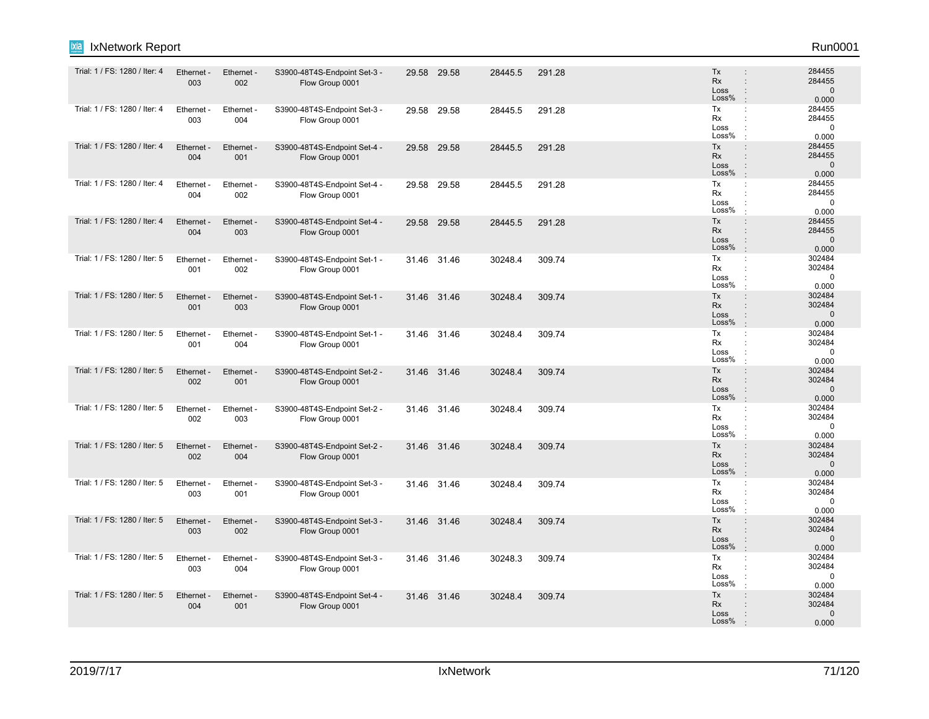| Trial: 1 / FS: 1280 / Iter: 4 | Ethernet -<br>003 | Ethernet -<br>002 | S3900-48T4S-Endpoint Set-3 -<br>Flow Group 0001 |       | 29.58 29.58 | 28445.5 | 291.28 | Tx<br>$\ddot{\phantom{a}}$<br>Rx<br>Loss<br>Loss%                                                              | 284455<br>284455<br>$\Omega$<br>0.000       |
|-------------------------------|-------------------|-------------------|-------------------------------------------------|-------|-------------|---------|--------|----------------------------------------------------------------------------------------------------------------|---------------------------------------------|
| Trial: 1 / FS: 1280 / Iter: 4 | Ethernet -<br>003 | Ethernet -<br>004 | S3900-48T4S-Endpoint Set-3 -<br>Flow Group 0001 |       | 29.58 29.58 | 28445.5 | 291.28 | Tx<br>$\ddot{\cdot}$<br>Rx<br>Loss<br>Loss%<br>$\cdot$                                                         | 284455<br>284455<br>$\Omega$<br>0.000       |
| Trial: 1 / FS: 1280 / Iter: 4 | Ethernet -<br>004 | Ethernet -<br>001 | S3900-48T4S-Endpoint Set-4 -<br>Flow Group 0001 |       | 29.58 29.58 | 28445.5 | 291.28 | Tx<br>$\ddot{\phantom{a}}$<br><b>Rx</b><br>$\ddot{\phantom{a}}$<br>Loss<br>$\vdots$<br>Loss%                   | 284455<br>284455<br>$\mathbf{0}$<br>0.000   |
| Trial: 1 / FS: 1280 / Iter: 4 | Ethernet -<br>004 | Ethernet -<br>002 | S3900-48T4S-Endpoint Set-4 -<br>Flow Group 0001 | 29.58 | 29.58       | 28445.5 | 291.28 | Tx<br>÷<br>Rx<br>÷<br>Loss<br>Loss%                                                                            | 284455<br>284455<br>$\Omega$<br>0.000       |
| Trial: 1 / FS: 1280 / Iter: 4 | Ethernet -<br>004 | Ethernet -<br>003 | S3900-48T4S-Endpoint Set-4 -<br>Flow Group 0001 | 29.58 | 29.58       | 28445.5 | 291.28 | Tx<br>$\ddot{\phantom{a}}$<br><b>Rx</b><br>$\ddot{\phantom{a}}$<br>Loss<br>÷<br>Loss%<br>$\cdot$               | 284455<br>284455<br>$\mathbf{0}$<br>0.000   |
| Trial: 1 / FS: 1280 / Iter: 5 | Ethernet -<br>001 | Ethernet -<br>002 | S3900-48T4S-Endpoint Set-1 -<br>Flow Group 0001 |       | 31.46 31.46 | 30248.4 | 309.74 | Tx<br>÷<br>Rx<br>Loss<br>Loss%                                                                                 | 302484<br>302484<br>$\Omega$<br>0.000       |
| Trial: 1 / FS: 1280 / Iter: 5 | Ethernet -<br>001 | Ethernet -<br>003 | S3900-48T4S-Endpoint Set-1 -<br>Flow Group 0001 |       | 31.46 31.46 | 30248.4 | 309.74 | Tx<br>$\vdots$<br><b>Rx</b><br>$\ddot{\phantom{a}}$<br>Loss<br>$\vdots$<br>Loss%<br>$\cdot$                    | 302484<br>302484<br>$\mathbf{0}$<br>0.000   |
| Trial: 1 / FS: 1280 / Iter: 5 | Ethernet -<br>001 | Ethernet -<br>004 | S3900-48T4S-Endpoint Set-1 -<br>Flow Group 0001 |       | 31.46 31.46 | 30248.4 | 309.74 | Tx<br>÷<br>Rx<br>÷<br>Loss<br>Loss%                                                                            | 302484<br>302484<br>$\mathbf 0$<br>0.000    |
| Trial: 1 / FS: 1280 / Iter: 5 | Ethernet -<br>002 | Ethernet -<br>001 | S3900-48T4S-Endpoint Set-2 -<br>Flow Group 0001 |       | 31.46 31.46 | 30248.4 | 309.74 | Tx<br><b>Rx</b><br>$\vdots$<br>Loss<br>Loss%<br>$\cdot$                                                        | 302484<br>302484<br>$\Omega$<br>0.000       |
| Trial: 1 / FS: 1280 / Iter: 5 | Ethernet -<br>002 | Ethernet -<br>003 | S3900-48T4S-Endpoint Set-2 -<br>Flow Group 0001 |       | 31.46 31.46 | 30248.4 | 309.74 | Tx<br>÷<br>Rx<br>Loss<br>Loss%                                                                                 | 302484<br>302484<br>$\Omega$<br>0.000       |
| Trial: 1 / FS: 1280 / Iter: 5 | Ethernet -<br>002 | Ethernet -<br>004 | S3900-48T4S-Endpoint Set-2 -<br>Flow Group 0001 |       | 31.46 31.46 | 30248.4 | 309.74 | Tx<br>$\ddot{\phantom{a}}$<br><b>Rx</b><br>Loss<br>$\vdots$<br>Loss%                                           | 302484<br>302484<br>$\Omega$<br>0.000       |
| Trial: 1 / FS: 1280 / Iter: 5 | Ethernet -<br>003 | Ethernet -<br>001 | S3900-48T4S-Endpoint Set-3 -<br>Flow Group 0001 |       | 31.46 31.46 | 30248.4 | 309.74 | Tx<br>÷<br>Rx<br>Loss<br>Loss%                                                                                 | 302484<br>302484<br>$\Omega$<br>0.000       |
| Trial: 1 / FS: 1280 / Iter: 5 | Ethernet -<br>003 | Ethernet -<br>002 | S3900-48T4S-Endpoint Set-3 -<br>Flow Group 0001 |       | 31.46 31.46 | 30248.4 | 309.74 | Tx<br>$\ddot{\phantom{a}}$<br><b>Rx</b><br>$\ddot{\phantom{a}}$<br>Loss<br>$\ddot{\phantom{a}}$<br>Loss%<br>÷. | 302484<br>302484<br>$\overline{0}$<br>0.000 |
| Trial: 1 / FS: 1280 / Iter: 5 | Ethernet -<br>003 | Ethernet -<br>004 | S3900-48T4S-Endpoint Set-3 -<br>Flow Group 0001 |       | 31.46 31.46 | 30248.3 | 309.74 | Tx<br>÷<br>Rx<br>÷<br>Loss<br>Loss%                                                                            | 302484<br>302484<br>$\Omega$<br>0.000       |
| Trial: 1 / FS: 1280 / Iter: 5 | Ethernet -<br>004 | Ethernet -<br>001 | S3900-48T4S-Endpoint Set-4 -<br>Flow Group 0001 |       | 31.46 31.46 | 30248.4 | 309.74 | <b>Tx</b><br>$\ddot{\phantom{a}}$<br><b>Rx</b><br>Loss<br>Loss%                                                | 302484<br>302484<br>$\mathbf 0$<br>0.000    |

IxNetwork Report Run0001

ixia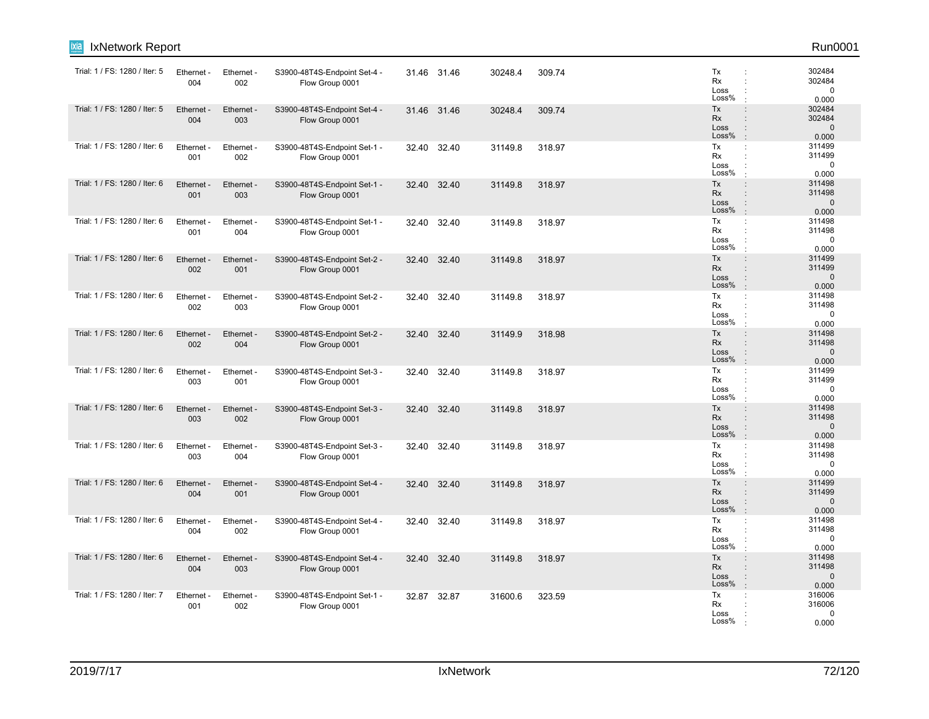| ixia<br>IxNetwork Report      |                   |                   |                                                 |       |             |         |        |                                                                                                                     | Run0001                                  |
|-------------------------------|-------------------|-------------------|-------------------------------------------------|-------|-------------|---------|--------|---------------------------------------------------------------------------------------------------------------------|------------------------------------------|
| Trial: 1 / FS: 1280 / Iter: 5 | Ethernet -<br>004 | Ethernet -<br>002 | S3900-48T4S-Endpoint Set-4 -<br>Flow Group 0001 |       | 31.46 31.46 | 30248.4 | 309.74 | Tx<br>Rx<br>Loss<br>Loss%                                                                                           | 302484<br>302484<br>$\mathbf 0$<br>0.000 |
| Trial: 1 / FS: 1280 / Iter: 5 | Ethernet -<br>004 | Ethernet -<br>003 | S3900-48T4S-Endpoint Set-4 -<br>Flow Group 0001 |       | 31.46 31.46 | 30248.4 | 309.74 | Tx<br>$\ddot{\phantom{a}}$<br><b>Rx</b><br>÷<br>Loss<br>$\ddot{\phantom{a}}$<br>Loss%<br>$\cdot$                    | 302484<br>302484<br>$\mathbf 0$<br>0.000 |
| Trial: 1 / FS: 1280 / Iter: 6 | Ethernet -<br>001 | Ethernet -<br>002 | S3900-48T4S-Endpoint Set-1 -<br>Flow Group 0001 | 32.40 | 32.40       | 31149.8 | 318.97 | Tx<br>÷<br>Rx<br>÷<br>Loss<br>Loss%                                                                                 | 311499<br>311499<br>$\mathbf 0$<br>0.000 |
| Trial: 1 / FS: 1280 / Iter: 6 | Ethernet<br>001   | Ethernet -<br>003 | S3900-48T4S-Endpoint Set-1 -<br>Flow Group 0001 | 32.40 | 32.40       | 31149.8 | 318.97 | Tx<br>$\ddot{\phantom{a}}$<br><b>Rx</b><br>÷<br>Loss<br>$\ddot{\phantom{a}}$<br>Loss%<br>$\cdot$                    | 311498<br>311498<br>$\mathbf 0$<br>0.000 |
| Trial: 1 / FS: 1280 / Iter: 6 | Ethernet -<br>001 | Ethernet -<br>004 | S3900-48T4S-Endpoint Set-1 -<br>Flow Group 0001 |       | 32.40 32.40 | 31149.8 | 318.97 | Tx<br>÷<br>Rx<br>Loss<br>Loss%                                                                                      | 311498<br>311498<br>$\mathbf 0$<br>0.000 |
| Trial: 1 / FS: 1280 / Iter: 6 | Ethernet -<br>002 | Ethernet -<br>001 | S3900-48T4S-Endpoint Set-2 -<br>Flow Group 0001 | 32.40 | 32.40       | 31149.8 | 318.97 | Tx<br>$\vdots$<br><b>Rx</b><br>÷<br>Loss<br>$\ddot{\phantom{a}}$<br>Loss%                                           | 311499<br>311499<br>$\mathbf 0$<br>0.000 |
| Trial: 1 / FS: 1280 / Iter: 6 | Ethernet<br>002   | Ethernet -<br>003 | S3900-48T4S-Endpoint Set-2 -<br>Flow Group 0001 | 32.40 | 32.40       | 31149.8 | 318.97 | Tx<br>÷<br>Rx<br>÷<br>Loss<br>Loss%                                                                                 | 311498<br>311498<br>$\mathbf 0$<br>0.000 |
| Trial: 1 / FS: 1280 / Iter: 6 | Ethernet -<br>002 | Ethernet -<br>004 | S3900-48T4S-Endpoint Set-2 -<br>Flow Group 0001 | 32.40 | 32.40       | 31149.9 | 318.98 | Tx<br>$\ddot{\phantom{a}}$<br><b>Rx</b><br>$\ddot{\phantom{a}}$<br>Loss<br>$\ddot{\phantom{a}}$<br>Loss%<br>$\cdot$ | 311498<br>311498<br>$\mathbf 0$<br>0.000 |
| Trial: 1 / FS: 1280 / Iter: 6 | Ethernet<br>003   | Ethernet -<br>001 | S3900-48T4S-Endpoint Set-3 -<br>Flow Group 0001 | 32.40 | 32.40       | 31149.8 | 318.97 | Tx<br>÷<br>Rx<br>÷<br>Loss<br>Loss%                                                                                 | 311499<br>311499<br>$\mathbf 0$<br>0.000 |
| Trial: 1 / FS: 1280 / Iter: 6 | Ethernet -<br>003 | Ethernet -<br>002 | S3900-48T4S-Endpoint Set-3 -<br>Flow Group 0001 | 32.40 | 32.40       | 31149.8 | 318.97 | Tx<br>$\ddot{\phantom{a}}$<br><b>Rx</b><br>÷<br>Loss<br>$\ddot{\phantom{a}}$<br>Loss%<br>$\cdot$                    | 311498<br>311498<br>$\mathbf 0$<br>0.000 |
| Trial: 1 / FS: 1280 / Iter: 6 | Ethernet<br>003   | Ethernet -<br>004 | S3900-48T4S-Endpoint Set-3 -<br>Flow Group 0001 | 32.40 | 32.40       | 31149.8 | 318.97 | Tx<br>÷<br>Rx<br>÷<br>Loss<br>Loss%                                                                                 | 311498<br>311498<br>$\mathbf 0$<br>0.000 |
| Trial: 1 / FS: 1280 / Iter: 6 | Ethernet<br>004   | Ethernet -<br>001 | S3900-48T4S-Endpoint Set-4 -<br>Flow Group 0001 | 32.40 | 32.40       | 31149.8 | 318.97 | Tx<br>$\ddot{\phantom{a}}$<br><b>Rx</b><br>÷<br>Loss<br>$\ddot{\phantom{a}}$<br>Loss%<br>$\cdot$                    | 311499<br>311499<br>$\mathbf 0$<br>0.000 |
| Trial: 1 / FS: 1280 / Iter: 6 | Ethernet -<br>004 | Ethernet -<br>002 | S3900-48T4S-Endpoint Set-4 -<br>Flow Group 0001 |       | 32.40 32.40 | 31149.8 | 318.97 | Tx<br>÷<br>Rx<br>÷<br>Loss<br>Loss%                                                                                 | 311498<br>311498<br>$\mathbf 0$<br>0.000 |
| Trial: 1 / FS: 1280 / Iter: 6 | Ethernet<br>004   | Ethernet -<br>003 | S3900-48T4S-Endpoint Set-4 -<br>Flow Group 0001 | 32.40 | 32.40       | 31149.8 | 318.97 | Tx<br>$\ddot{\phantom{a}}$<br><b>Rx</b><br>÷<br>Loss<br>$\vdots$<br>Loss%<br>÷                                      | 311498<br>311498<br>$\mathbf 0$<br>0.000 |
| Trial: 1 / FS: 1280 / Iter: 7 | Ethernet<br>001   | Ethernet -<br>002 | S3900-48T4S-Endpoint Set-1 -<br>Flow Group 0001 | 32.87 | 32.87       | 31600.6 | 323.59 | Tx<br>÷<br>Rx<br>Loss<br>Loss%                                                                                      | 316006<br>316006<br>$\mathbf 0$<br>0.000 |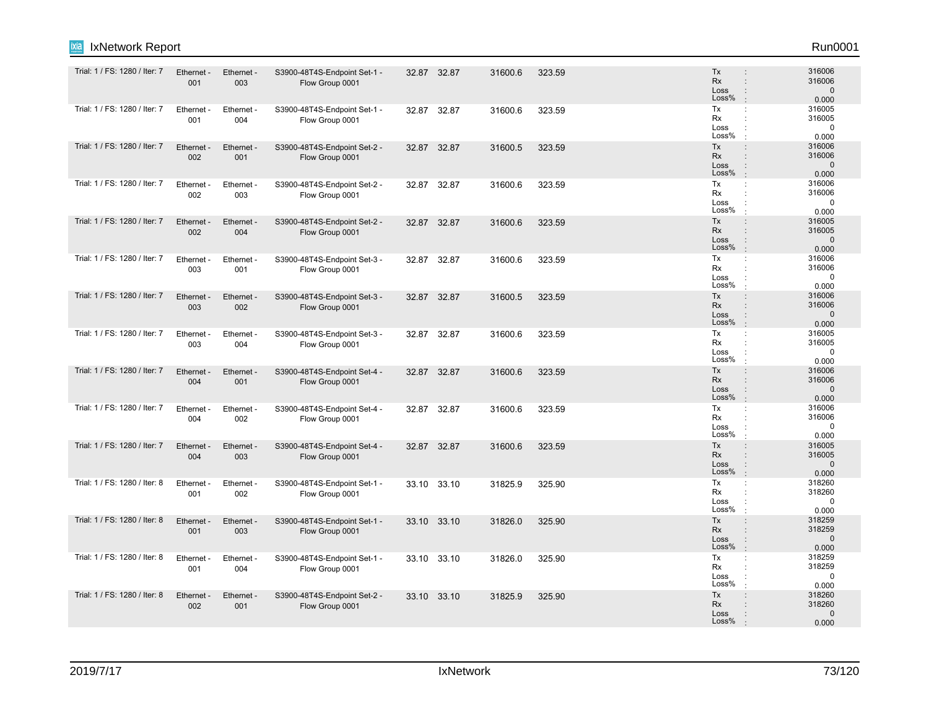| ixia<br>IxNetwork Report      |                   |                   |                                                 |       |             |         |        |                                                                                                      | Run0001                                   |
|-------------------------------|-------------------|-------------------|-------------------------------------------------|-------|-------------|---------|--------|------------------------------------------------------------------------------------------------------|-------------------------------------------|
| Trial: 1 / FS: 1280 / Iter: 7 | Ethernet -<br>001 | Ethernet -<br>003 | S3900-48T4S-Endpoint Set-1 -<br>Flow Group 0001 |       | 32.87 32.87 | 31600.6 | 323.59 | Tx<br><b>Rx</b><br>$\ddot{\phantom{a}}$<br>Loss<br>÷<br>Loss%                                        | 316006<br>316006<br>$\mathbf 0$<br>0.000  |
| Trial: 1 / FS: 1280 / Iter: 7 | Ethernet -<br>001 | Ethernet -<br>004 | S3900-48T4S-Endpoint Set-1 -<br>Flow Group 0001 | 32.87 | 32.87       | 31600.6 | 323.59 | Tx<br>÷<br>Rx<br>Loss<br>Loss%                                                                       | 316005<br>316005<br>$\mathbf 0$<br>0.000  |
| Trial: 1 / FS: 1280 / Iter: 7 | Ethernet -<br>002 | Ethernet -<br>001 | S3900-48T4S-Endpoint Set-2 -<br>Flow Group 0001 | 32.87 | 32.87       | 31600.5 | 323.59 | Tx<br>$\ddot{\phantom{a}}$<br>Rx<br>$\ddot{\phantom{a}}$<br>Loss<br>$\mathbf{L}$<br>Loss%            | 316006<br>316006<br>$\mathbf{0}$<br>0.000 |
| Trial: 1 / FS: 1280 / Iter: 7 | Ethernet<br>002   | Ethernet -<br>003 | S3900-48T4S-Endpoint Set-2 -<br>Flow Group 0001 | 32.87 | 32.87       | 31600.6 | 323.59 | Tx<br>÷<br>Rx<br>÷<br>Loss<br>Loss%<br>$\cdot$                                                       | 316006<br>316006<br>$\mathbf 0$<br>0.000  |
| Trial: 1 / FS: 1280 / Iter: 7 | Ethernet -<br>002 | Ethernet -<br>004 | S3900-48T4S-Endpoint Set-2 -<br>Flow Group 0001 | 32.87 | 32.87       | 31600.6 | 323.59 | Tx<br>$\vdots$<br>Rx<br>$\vdots$<br>Loss<br>$\ddot{\phantom{a}}$<br>Loss%<br>$\cdot$                 | 316005<br>316005<br>$\mathbf 0$<br>0.000  |
| Trial: 1 / FS: 1280 / Iter: 7 | Ethernet<br>003   | Ethernet -<br>001 | S3900-48T4S-Endpoint Set-3 -<br>Flow Group 0001 | 32.87 | 32.87       | 31600.6 | 323.59 | Tx<br>÷<br>Rx<br>÷<br>Loss<br>Loss%                                                                  | 316006<br>316006<br>$\mathbf 0$<br>0.000  |
| Trial: 1 / FS: 1280 / Iter: 7 | Ethernet -<br>003 | Ethernet -<br>002 | S3900-48T4S-Endpoint Set-3 -<br>Flow Group 0001 | 32.87 | 32.87       | 31600.5 | 323.59 | Tx<br>$\ddot{\phantom{a}}$<br>Rx<br>$\ddot{\phantom{a}}$<br>Loss<br>$\mathbf{L}$<br>Loss%<br>$\cdot$ | 316006<br>316006<br>$\mathbf 0$<br>0.000  |
| Trial: 1 / FS: 1280 / Iter: 7 | Ethernet<br>003   | Ethernet -<br>004 | S3900-48T4S-Endpoint Set-3 -<br>Flow Group 0001 | 32.87 | 32.87       | 31600.6 | 323.59 | Tx<br>÷<br>Rx<br>Loss<br>Loss%                                                                       | 316005<br>316005<br>$\mathbf 0$<br>0.000  |
| Trial: 1 / FS: 1280 / Iter: 7 | Ethernet<br>004   | Ethernet -<br>001 | S3900-48T4S-Endpoint Set-4 -<br>Flow Group 0001 | 32.87 | 32.87       | 31600.6 | 323.59 | Tx<br>÷<br><b>Rx</b><br>$\ddot{\phantom{a}}$<br>Loss<br>÷<br>Loss%<br>$\cdot$                        | 316006<br>316006<br>$\mathbf{0}$<br>0.000 |
| Trial: 1 / FS: 1280 / Iter: 7 | Ethernet -<br>004 | Ethernet -<br>002 | S3900-48T4S-Endpoint Set-4 -<br>Flow Group 0001 | 32.87 | 32.87       | 31600.6 | 323.59 | Tx<br>÷<br>Rx<br>Loss<br>÷<br>Loss%<br>$\cdot$                                                       | 316006<br>316006<br>0<br>0.000            |
| Trial: 1 / FS: 1280 / Iter: 7 | Ethernet -<br>004 | Ethernet -<br>003 | S3900-48T4S-Endpoint Set-4 -<br>Flow Group 0001 | 32.87 | 32.87       | 31600.6 | 323.59 | Tx<br>$\ddot{\phantom{a}}$<br>Rx<br>$\ddot{\phantom{a}}$<br>Loss<br>Loss%<br>$\cdot$                 | 316005<br>316005<br>$\mathbf 0$<br>0.000  |
| Trial: 1 / FS: 1280 / Iter: 8 | Ethernet<br>001   | Ethernet -<br>002 | S3900-48T4S-Endpoint Set-1 -<br>Flow Group 0001 | 33.10 | 33.10       | 31825.9 | 325.90 | Tx<br>÷<br>Rx<br>Loss<br>Loss%<br>$\cdot$                                                            | 318260<br>318260<br>$\mathbf 0$<br>0.000  |
| Trial: 1 / FS: 1280 / Iter: 8 | Ethernet -<br>001 | Ethernet -<br>003 | S3900-48T4S-Endpoint Set-1 -<br>Flow Group 0001 |       | 33.10 33.10 | 31826.0 | 325.90 | Tx<br>$\ddot{\phantom{a}}$<br><b>Rx</b><br>÷<br>Loss<br>$\ddot{\phantom{a}}$<br>Loss%<br>$\cdot$     | 318259<br>318259<br>$\mathbf{0}$<br>0.000 |
| Trial: 1 / FS: 1280 / Iter: 8 | Ethernet<br>001   | Ethernet<br>004   | S3900-48T4S-Endpoint Set-1 -<br>Flow Group 0001 |       | 33.10 33.10 | 31826.0 | 325.90 | Tx<br>÷<br>Rx<br>Loss<br>Loss%                                                                       | 318259<br>318259<br>$\mathbf 0$<br>0.000  |
| Trial: 1 / FS: 1280 / Iter: 8 | Ethernet -<br>002 | Ethernet -<br>001 | S3900-48T4S-Endpoint Set-2 -<br>Flow Group 0001 |       | 33.10 33.10 | 31825.9 | 325.90 | Tx<br>$\vdots$<br><b>Rx</b><br>Loss<br>Loss%                                                         | 318260<br>318260<br>$\Omega$<br>0.000     |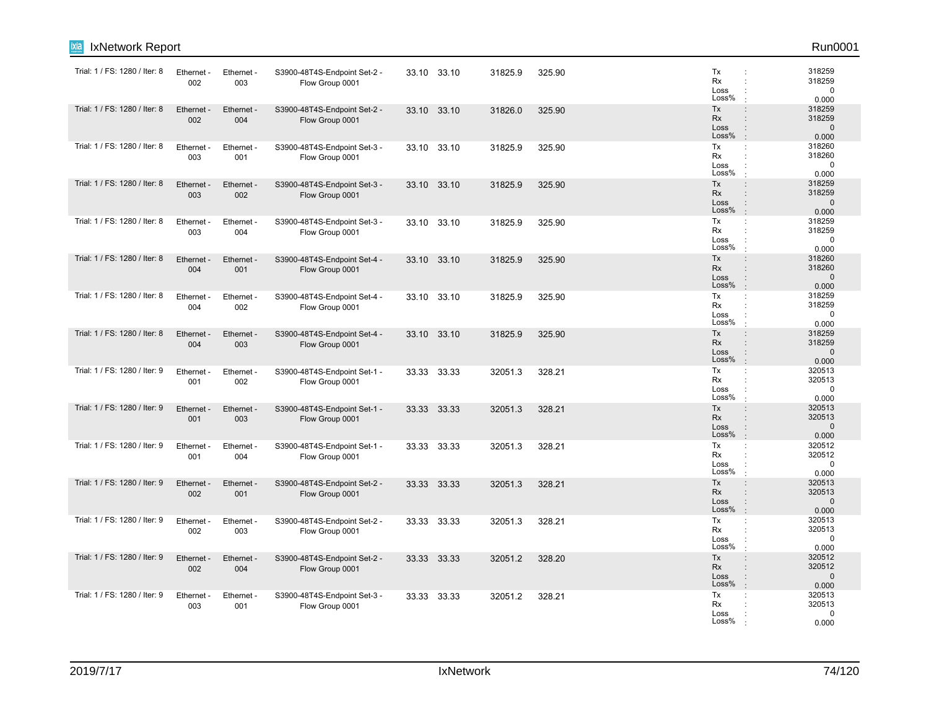| IxNetwork Report<br>ixia      |                   |                   |                                                 |       |             |         |        |                                  | Run0001                                                                                                                     |
|-------------------------------|-------------------|-------------------|-------------------------------------------------|-------|-------------|---------|--------|----------------------------------|-----------------------------------------------------------------------------------------------------------------------------|
| Trial: 1 / FS: 1280 / Iter: 8 | Ethernet -<br>002 | Ethernet -<br>003 | S3900-48T4S-Endpoint Set-2 -<br>Flow Group 0001 |       | 33.10 33.10 | 31825.9 | 325.90 | Tx<br>Rx<br>Loss<br>Loss%        | 318259<br>÷<br>318259<br>$\mathbf 0$<br>÷<br>0.000                                                                          |
| Trial: 1 / FS: 1280 / Iter: 8 | Ethernet -<br>002 | Ethernet -<br>004 | S3900-48T4S-Endpoint Set-2 -<br>Flow Group 0001 |       | 33.10 33.10 | 31826.0 | 325.90 | Tx<br><b>Rx</b><br>Loss<br>Loss% | 318259<br>$\vdots$<br>318259<br>÷<br>$\mathbf{0}$<br>$\vdots$<br>$\mathbf{r}$<br>0.000                                      |
| Trial: 1 / FS: 1280 / Iter: 8 | Ethernet<br>003   | Ethernet -<br>001 | S3900-48T4S-Endpoint Set-3 -<br>Flow Group 0001 |       | 33.10 33.10 | 31825.9 | 325.90 | Tx<br>Rx<br>Loss<br>Loss%        | 318260<br>÷<br>318260<br>$\ddot{\phantom{a}}$<br>$\mathbf 0$<br>÷<br>0.000                                                  |
| Trial: 1 / FS: 1280 / Iter: 8 | Ethernet -<br>003 | Ethernet -<br>002 | S3900-48T4S-Endpoint Set-3 -<br>Flow Group 0001 |       | 33.10 33.10 | 31825.9 | 325.90 | Tx<br>Rx<br>Loss<br>Loss%        | 318259<br>$\ddot{\phantom{a}}$<br>318259<br>÷<br>$\mathbf 0$<br>$\ddot{\phantom{a}}$<br>0.000<br>$\cdot$                    |
| Trial: 1 / FS: 1280 / Iter: 8 | Ethernet<br>003   | Ethernet -<br>004 | S3900-48T4S-Endpoint Set-3 -<br>Flow Group 0001 |       | 33.10 33.10 | 31825.9 | 325.90 | Tx<br>Rx<br>Loss<br>Loss%        | 318259<br>÷<br>318259<br>$\ddot{\cdot}$<br>$\mathbf 0$<br>$\ddot{\phantom{a}}$<br>0.000<br>$\cdot$                          |
| Trial: 1 / FS: 1280 / Iter: 8 | Ethernet<br>004   | Ethernet -<br>001 | S3900-48T4S-Endpoint Set-4 -<br>Flow Group 0001 |       | 33.10 33.10 | 31825.9 | 325.90 | Tx<br><b>Rx</b><br>Loss<br>Loss% | 318260<br>$\ddot{\phantom{a}}$<br>318260<br>$\Omega$<br>$\vdots$<br>0.000<br>$\cdot$                                        |
| Trial: 1 / FS: 1280 / Iter: 8 | Ethernet<br>004   | Ethernet -<br>002 | S3900-48T4S-Endpoint Set-4 -<br>Flow Group 0001 |       | 33.10 33.10 | 31825.9 | 325.90 | Tx<br>Rx<br>Loss<br>Loss%        | 318259<br>÷<br>318259<br>$\ddot{\phantom{a}}$<br>$\mathbf 0$<br>$\ddot{\phantom{a}}$<br>0.000<br>$\cdot$                    |
| Trial: 1 / FS: 1280 / Iter: 8 | Ethernet -<br>004 | Ethernet -<br>003 | S3900-48T4S-Endpoint Set-4 -<br>Flow Group 0001 | 33.10 | 33.10       | 31825.9 | 325.90 | Tx<br><b>Rx</b><br>Loss<br>Loss% | 318259<br>$\vdots$<br>318259<br>$\ddot{\phantom{a}}$<br>$\mathbf 0$<br>$\ddot{\phantom{a}}$<br>0.000                        |
| Trial: 1 / FS: 1280 / Iter: 9 | Ethernet -<br>001 | Ethernet -<br>002 | S3900-48T4S-Endpoint Set-1 -<br>Flow Group 0001 |       | 33.33 33.33 | 32051.3 | 328.21 | Tx<br>Rx<br>Loss<br>Loss%        | 320513<br>$\ddot{\phantom{a}}$<br>320513<br>$\ddot{\phantom{a}}$<br>$\mathbf 0$<br>$\ddot{\phantom{a}}$<br>0.000<br>$\cdot$ |
| Trial: 1 / FS: 1280 / Iter: 9 | Ethernet -<br>001 | Ethernet -<br>003 | S3900-48T4S-Endpoint Set-1 -<br>Flow Group 0001 |       | 33.33 33.33 | 32051.3 | 328.21 | Tx<br>Rx<br>Loss<br>Loss%        | 320513<br>÷<br>320513<br>$\mathbf{0}$<br>$\ddot{\phantom{a}}$<br>0.000<br>$\mathbf{r}$                                      |
| Trial: 1 / FS: 1280 / Iter: 9 | Ethernet -<br>001 | Ethernet -<br>004 | S3900-48T4S-Endpoint Set-1 -<br>Flow Group 0001 |       | 33.33 33.33 | 32051.3 | 328.21 | Tx<br>Rx<br>Loss<br>Loss%        | 320512<br>÷<br>320512<br>÷<br>0<br>0.000                                                                                    |
| Trial: 1 / FS: 1280 / Iter: 9 | Ethernet<br>002   | Ethernet -<br>001 | S3900-48T4S-Endpoint Set-2 -<br>Flow Group 0001 |       | 33.33 33.33 | 32051.3 | 328.21 | Tx<br>Rx<br>Loss<br>Loss%        | 320513<br>$\ddot{\phantom{a}}$<br>320513<br>$\vdots$<br>$\mathbf 0$<br>$\vdots$<br>$\cdot$<br>0.000                         |
| Trial: 1 / FS: 1280 / Iter: 9 | Ethernet -<br>002 | Ethernet -<br>003 | S3900-48T4S-Endpoint Set-2 -<br>Flow Group 0001 |       | 33.33 33.33 | 32051.3 | 328.21 | Tx<br>Rx<br>Loss<br>Loss%        | ÷<br>320513<br>320513<br>$\ddot{\phantom{a}}$<br>$\mathbf 0$<br>$\ddot{\phantom{a}}$<br>0.000                               |
| Trial: 1 / FS: 1280 / Iter: 9 | Ethernet -<br>002 | Ethernet -<br>004 | S3900-48T4S-Endpoint Set-2 -<br>Flow Group 0001 |       | 33.33 33.33 | 32051.2 | 328.20 | Tx<br><b>Rx</b><br>Loss<br>Loss% | 320512<br>$\vdots$<br>320512<br>$\cdot$<br>$\mathbf 0$<br>$\ddot{\phantom{a}}$<br>0.000                                     |
| Trial: 1 / FS: 1280 / Iter: 9 | Ethernet -<br>003 | Ethernet -<br>001 | S3900-48T4S-Endpoint Set-3 -<br>Flow Group 0001 |       | 33.33 33.33 | 32051.2 | 328.21 | Tx<br>Rx<br>Loss<br>Loss%        | 320513<br>÷<br>320513<br>$\Omega$<br>0.000                                                                                  |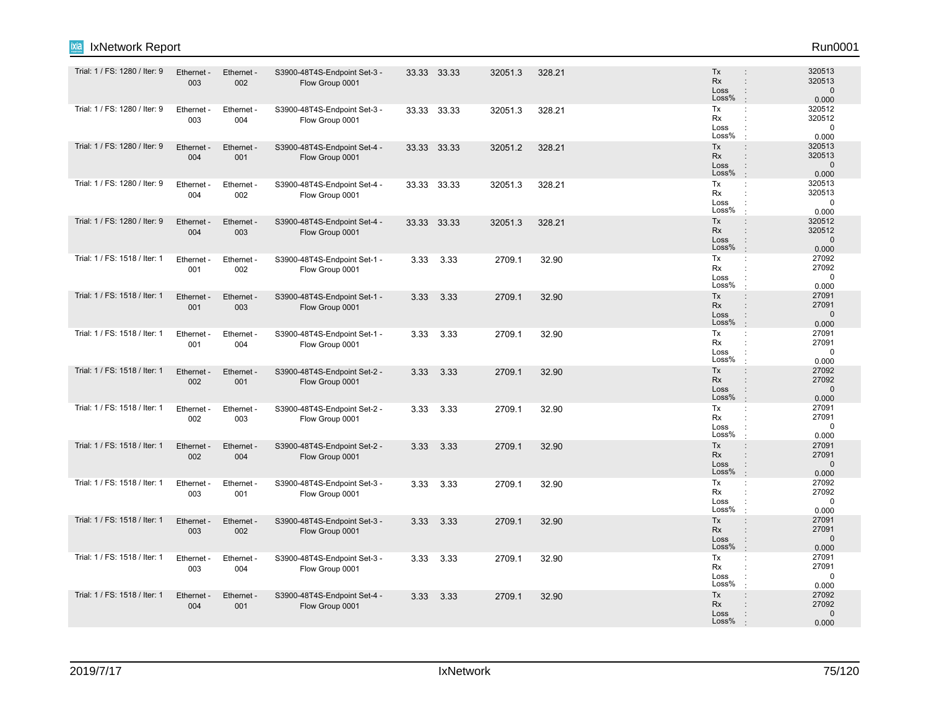| ixia<br>IxNetwork Report      |                   |                   |                                                 |      |             |         |        |                                                                                                              | Run0001                                   |
|-------------------------------|-------------------|-------------------|-------------------------------------------------|------|-------------|---------|--------|--------------------------------------------------------------------------------------------------------------|-------------------------------------------|
| Trial: 1 / FS: 1280 / Iter: 9 | Ethernet -<br>003 | Ethernet -<br>002 | S3900-48T4S-Endpoint Set-3 -<br>Flow Group 0001 |      | 33.33 33.33 | 32051.3 | 328.21 | Tx<br><b>Rx</b><br>$\ddot{\phantom{a}}$<br>Loss<br>÷<br>Loss%<br>$\cdot$                                     | 320513<br>320513<br>$\mathbf 0$<br>0.000  |
| Trial: 1 / FS: 1280 / Iter: 9 | Ethernet -<br>003 | Ethernet -<br>004 | S3900-48T4S-Endpoint Set-3 -<br>Flow Group 0001 |      | 33.33 33.33 | 32051.3 | 328.21 | Tx<br>÷<br>Rx<br>Loss<br>Loss%                                                                               | 320512<br>320512<br>$\mathbf 0$<br>0.000  |
| Trial: 1 / FS: 1280 / Iter: 9 | Ethernet -<br>004 | Ethernet -<br>001 | S3900-48T4S-Endpoint Set-4 -<br>Flow Group 0001 |      | 33.33 33.33 | 32051.2 | 328.21 | Tx<br>$\ddot{\phantom{a}}$<br>Rx<br>$\ddot{\phantom{a}}$<br>Loss<br>÷<br>Loss%                               | 320513<br>320513<br>$\mathbf{0}$<br>0.000 |
| Trial: 1 / FS: 1280 / Iter: 9 | Ethernet<br>004   | Ethernet -<br>002 | S3900-48T4S-Endpoint Set-4 -<br>Flow Group 0001 |      | 33.33 33.33 | 32051.3 | 328.21 | Tx<br>÷<br>Rx<br>÷<br>Loss<br>$\ddot{\phantom{a}}$<br>Loss%<br>$\cdot$                                       | 320513<br>320513<br>$\mathbf 0$<br>0.000  |
| Trial: 1 / FS: 1280 / Iter: 9 | Ethernet -<br>004 | Ethernet -<br>003 | S3900-48T4S-Endpoint Set-4 -<br>Flow Group 0001 |      | 33.33 33.33 | 32051.3 | 328.21 | Tx<br>$\vdots$<br><b>Rx</b><br>÷<br>Loss<br>$\ddot{\phantom{a}}$<br>Loss%<br>$\cdot$                         | 320512<br>320512<br>$\mathbf{0}$<br>0.000 |
| Trial: 1 / FS: 1518 / Iter: 1 | Ethernet -<br>001 | Ethernet -<br>002 | S3900-48T4S-Endpoint Set-1 -<br>Flow Group 0001 | 3.33 | 3.33        | 2709.1  | 32.90  | Tx<br>$\ddot{\phantom{a}}$<br>Rx<br>÷<br>Loss<br>Loss%                                                       | 27092<br>27092<br>0<br>0.000              |
| Trial: 1 / FS: 1518 / Iter: 1 | Ethernet -<br>001 | Ethernet -<br>003 | S3900-48T4S-Endpoint Set-1 -<br>Flow Group 0001 | 3.33 | 3.33        | 2709.1  | 32.90  | Tx<br>$\ddot{\phantom{a}}$<br>Rx<br>$\ddot{\phantom{0}}$<br>Loss<br>$\ddot{\phantom{a}}$<br>Loss%<br>$\cdot$ | 27091<br>27091<br>$\mathbf 0$<br>0.000    |
| Trial: 1 / FS: 1518 / Iter: 1 | Ethernet<br>001   | Ethernet -<br>004 | S3900-48T4S-Endpoint Set-1 -<br>Flow Group 0001 | 3.33 | 3.33        | 2709.1  | 32.90  | Tx<br>÷<br>Rx<br>÷<br>Loss<br>$\ddot{\cdot}$<br>Loss%                                                        | 27091<br>27091<br>$\mathbf 0$<br>0.000    |
| Trial: 1 / FS: 1518 / Iter: 1 | Ethernet<br>002   | Ethernet -<br>001 | S3900-48T4S-Endpoint Set-2 -<br>Flow Group 0001 | 3.33 | 3.33        | 2709.1  | 32.90  | Tx<br>÷<br>Rx<br>$\vdots$<br>Loss<br>$\ddot{\phantom{a}}$<br>Loss%<br>$\cdot$                                | 27092<br>27092<br>$\mathbf 0$<br>0.000    |
| Trial: 1 / FS: 1518 / Iter: 1 | Ethernet -<br>002 | Ethernet -<br>003 | S3900-48T4S-Endpoint Set-2 -<br>Flow Group 0001 | 3.33 | 3.33        | 2709.1  | 32.90  | Tx<br>÷<br>Rx<br>Loss<br>Loss%                                                                               | 27091<br>27091<br>$\mathbf 0$<br>0.000    |
| Trial: 1 / FS: 1518 / Iter: 1 | Ethernet -<br>002 | Ethernet -<br>004 | S3900-48T4S-Endpoint Set-2 -<br>Flow Group 0001 | 3.33 | 3.33        | 2709.1  | 32.90  | Tx<br>$\ddot{\phantom{a}}$<br>Rx<br>$\ddot{\phantom{a}}$<br>Loss<br>$\mathbf{I}$<br>Loss%<br>$\cdot$         | 27091<br>27091<br>$\mathbf{0}$<br>0.000   |
| Trial: 1 / FS: 1518 / Iter: 1 | Ethernet<br>003   | Ethernet -<br>001 | S3900-48T4S-Endpoint Set-3 -<br>Flow Group 0001 | 3.33 | 3.33        | 2709.1  | 32.90  | Tx<br>÷<br>Rx<br>Loss<br>Loss%<br>$\cdot$                                                                    | 27092<br>27092<br>$\mathbf 0$<br>0.000    |
| Trial: 1 / FS: 1518 / Iter: 1 | Ethernet -<br>003 | Ethernet -<br>002 | S3900-48T4S-Endpoint Set-3 -<br>Flow Group 0001 | 3.33 | 3.33        | 2709.1  | 32.90  | Tx<br>÷<br>Rx<br>$\ddot{\phantom{a}}$<br>Loss<br>$\ddot{\phantom{a}}$<br>Loss%<br>$\cdot$                    | 27091<br>27091<br>$\mathbf{0}$<br>0.000   |
| Trial: 1 / FS: 1518 / Iter: 1 | Ethernet<br>003   | Ethernet -<br>004 | S3900-48T4S-Endpoint Set-3 -<br>Flow Group 0001 | 3.33 | 3.33        | 2709.1  | 32.90  | Tx<br>$\ddot{\phantom{a}}$<br>Rx<br>Loss<br>Loss%<br>$\cdot$                                                 | 27091<br>27091<br>0<br>0.000              |
| Trial: 1 / FS: 1518 / Iter: 1 | Ethernet -<br>004 | Ethernet -<br>001 | S3900-48T4S-Endpoint Set-4 -<br>Flow Group 0001 | 3.33 | 3.33        | 2709.1  | 32.90  | Tx<br>$\ddot{\phantom{a}}$<br>Rx<br>Loss<br>Loss%                                                            | 27092<br>27092<br>$\mathbf 0$<br>0.000    |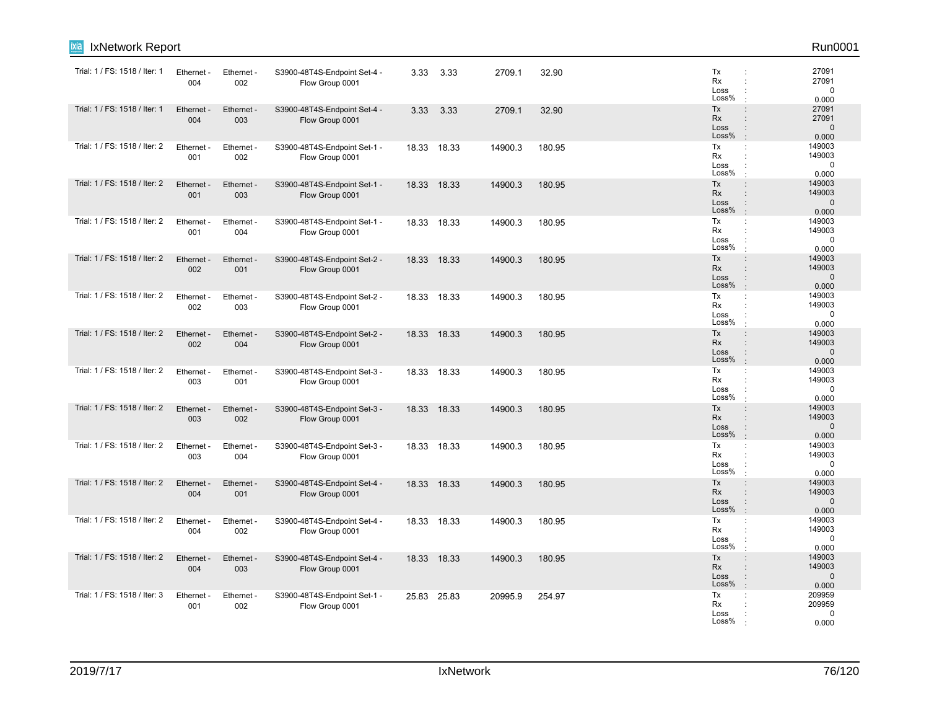| <b>IxNetwork Report</b><br>ixia |                   |                        |                                                 |       |             |         |        |                                                                                                  | Run0001                                   |
|---------------------------------|-------------------|------------------------|-------------------------------------------------|-------|-------------|---------|--------|--------------------------------------------------------------------------------------------------|-------------------------------------------|
| Trial: 1 / FS: 1518 / Iter: 1   | Ethernet -<br>004 | Ethernet -<br>002      | S3900-48T4S-Endpoint Set-4 -<br>Flow Group 0001 |       | 3.33 3.33   | 2709.1  | 32.90  | Tx<br>÷<br>Rx<br>÷<br>Loss<br>Loss%                                                              | 27091<br>27091<br>$\mathbf 0$<br>0.000    |
| Trial: 1 / FS: 1518 / Iter: 1   | Ethernet<br>004   | Ethernet -<br>003      | S3900-48T4S-Endpoint Set-4 -<br>Flow Group 0001 | 3.33  | 3.33        | 2709.1  | 32.90  | Tx<br>$\ddot{\phantom{a}}$<br>Rx<br>Loss<br>$\ddot{\phantom{a}}$<br>Loss%<br>$\cdot$             | 27091<br>27091<br>$\mathbf{0}$<br>0.000   |
| Trial: 1 / FS: 1518 / Iter: 2   | Ethernet -<br>001 | Ethernet -<br>002      | S3900-48T4S-Endpoint Set-1 -<br>Flow Group 0001 |       | 18.33 18.33 | 14900.3 | 180.95 | Tx<br>÷<br>Rx<br>÷<br>Loss<br>Loss%                                                              | 149003<br>149003<br>$\mathbf 0$<br>0.000  |
| Trial: 1 / FS: 1518 / Iter: 2   | Ethernet<br>001   | Ethernet -<br>003      | S3900-48T4S-Endpoint Set-1 -<br>Flow Group 0001 | 18.33 | 18.33       | 14900.3 | 180.95 | Tx<br>$\ddot{\phantom{a}}$<br>Rx<br>$\vdots$<br>Loss<br>$\vdots$<br>Loss%<br>$\cdot$             | 149003<br>149003<br>$\mathbf 0$<br>0.000  |
| Trial: 1 / FS: 1518 / Iter: 2   | Ethernet -<br>001 | Ethernet -<br>004      | S3900-48T4S-Endpoint Set-1 -<br>Flow Group 0001 |       | 18.33 18.33 | 14900.3 | 180.95 | Tx<br>÷<br>Rx<br>Loss<br>Loss%                                                                   | 149003<br>149003<br>$\mathbf 0$<br>0.000  |
| Trial: 1 / FS: 1518 / Iter: 2   | Ethernet<br>002   | Ethernet -<br>001      | S3900-48T4S-Endpoint Set-2 -<br>Flow Group 0001 |       | 18.33 18.33 | 14900.3 | 180.95 | Tx<br>$\ddot{\phantom{a}}$<br>Rx<br>÷<br>Loss<br>Loss%                                           | 149003<br>149003<br>$\mathbf{0}$<br>0.000 |
| Trial: 1 / FS: 1518 / Iter: 2   | Ethernet -<br>002 | Ethernet -<br>003      | S3900-48T4S-Endpoint Set-2 -<br>Flow Group 0001 | 18.33 | 18.33       | 14900.3 | 180.95 | Tx<br>÷<br>Rx<br>÷<br>Loss<br>Loss%                                                              | 149003<br>149003<br>$\Omega$<br>0.000     |
| Trial: 1 / FS: 1518 / Iter: 2   | Ethernet<br>002   | Ethernet -<br>004      | S3900-48T4S-Endpoint Set-2 -<br>Flow Group 0001 | 18.33 | 18.33       | 14900.3 | 180.95 | Tx<br>$\ddot{\phantom{a}}$<br>Rx<br>÷<br>Loss<br>$\ddot{\phantom{a}}$<br>Loss%<br>$\cdot$        | 149003<br>149003<br>$\mathbf 0$<br>0.000  |
| Trial: 1 / FS: 1518 / Iter: 2   | Ethernet -<br>003 | Ethernet -<br>001      | S3900-48T4S-Endpoint Set-3 -<br>Flow Group 0001 |       | 18.33 18.33 | 14900.3 | 180.95 | Tx<br>÷<br>Rx<br>÷<br>Loss<br>Loss%<br>$\cdot$                                                   | 149003<br>149003<br>$\mathbf 0$<br>0.000  |
| Trial: 1 / FS: 1518 / Iter: 2   | Ethernet -<br>003 | Ethernet -<br>002      | S3900-48T4S-Endpoint Set-3 -<br>Flow Group 0001 |       | 18.33 18.33 | 14900.3 | 180.95 | Tx<br>$\ddot{\phantom{a}}$<br>Rx<br>Loss<br>$\ddot{\phantom{a}}$<br>Loss%<br>$\cdot$             | 149003<br>149003<br>$\mathbf{0}$<br>0.000 |
| Trial: 1 / FS: 1518 / Iter: 2   | Ethernet<br>003   | Ethernet -<br>004      | S3900-48T4S-Endpoint Set-3 -<br>Flow Group 0001 | 18.33 | 18.33       | 14900.3 | 180.95 | Tx<br>÷<br>Rx<br>÷<br>Loss<br>Loss%                                                              | 149003<br>149003<br>0<br>0.000            |
| Trial: 1 / FS: 1518 / Iter: 2   | Ethernet<br>004   | Ethernet -<br>001      | S3900-48T4S-Endpoint Set-4 -<br>Flow Group 0001 | 18.33 | 18.33       | 14900.3 | 180.95 | Tx<br>÷<br><b>Rx</b><br>$\ddot{\phantom{a}}$<br>Loss<br>$\ddot{\phantom{a}}$<br>Loss%<br>$\cdot$ | 149003<br>149003<br>$\mathbf{0}$<br>0.000 |
| Trial: 1 / FS: 1518 / Iter: 2   | Ethernet -<br>004 | Ethernet -<br>002      | S3900-48T4S-Endpoint Set-4 -<br>Flow Group 0001 |       | 18.33 18.33 | 14900.3 | 180.95 | Tx<br>÷<br>Rx<br>÷<br>Loss<br>Loss%                                                              | 149003<br>149003<br>0<br>0.000            |
| Trial: 1 / FS: 1518 / Iter: 2   | Ethernet<br>004   | <b>Ethernet</b><br>003 | S3900-48T4S-Endpoint Set-4 -<br>Flow Group 0001 |       | 18.33 18.33 | 14900.3 | 180.95 | Tx<br>$\vdots$<br>Rx<br>Loss<br>$\ddot{\phantom{a}}$<br>Loss%<br>$\ddot{\phantom{a}}$            | 149003<br>149003<br>$\mathbf{0}$<br>0.000 |
| Trial: 1 / FS: 1518 / Iter: 3   | Ethernet -<br>001 | Ethernet -<br>002      | S3900-48T4S-Endpoint Set-1 -<br>Flow Group 0001 |       | 25.83 25.83 | 20995.9 | 254.97 | Tx<br>÷<br>Rx<br>Loss<br>Loss%                                                                   | 209959<br>209959<br>0<br>0.000            |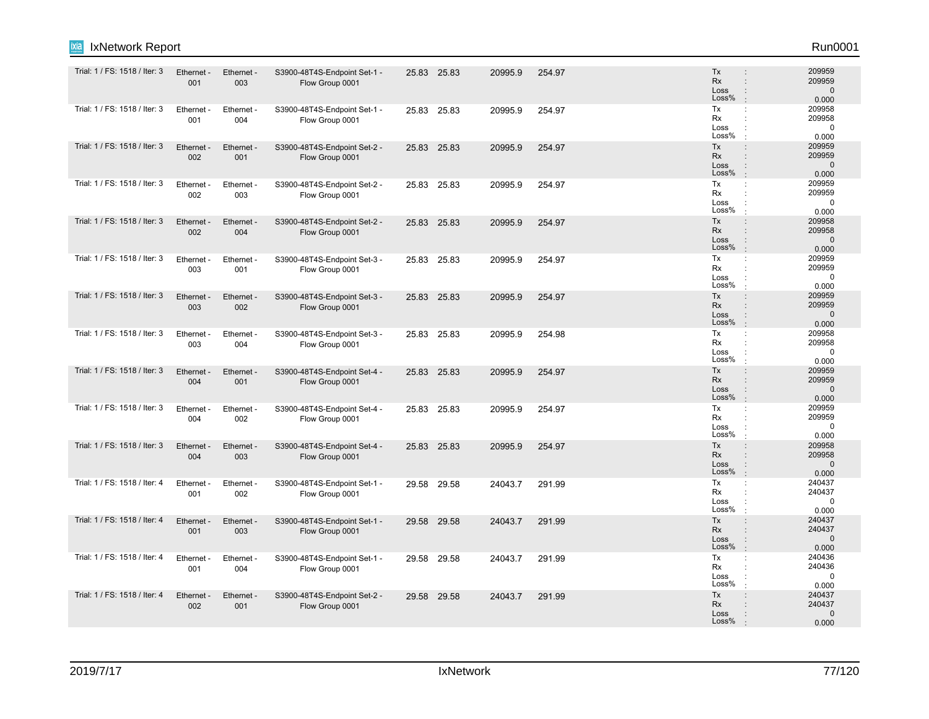| Trial: 1 / FS: 1518 / Iter: 3 | Ethernet -<br>001 | Ethernet -<br>003 | S3900-48T4S-Endpoint Set-1 -<br>Flow Group 0001 |       | 25.83 25.83 | 20995.9 | 254.97 | Tx<br><b>Rx</b><br>Loss<br>Loss% | $\ddot{\phantom{a}}$<br>÷<br>÷<br>$\cdot$                    | 209959<br>209959<br>$\mathbf 0$<br>0.000  |
|-------------------------------|-------------------|-------------------|-------------------------------------------------|-------|-------------|---------|--------|----------------------------------|--------------------------------------------------------------|-------------------------------------------|
| Trial: 1 / FS: 1518 / Iter: 3 | Ethernet -<br>001 | Ethernet -<br>004 | S3900-48T4S-Endpoint Set-1 -<br>Flow Group 0001 | 25.83 | 25.83       | 20995.9 | 254.97 | Tx<br>Rx<br>Loss<br>Loss%        | ÷<br>٠<br>$\cdot$                                            | 209958<br>209958<br>$\mathbf 0$<br>0.000  |
| Trial: 1 / FS: 1518 / Iter: 3 | Ethernet -<br>002 | Ethernet -<br>001 | S3900-48T4S-Endpoint Set-2 -<br>Flow Group 0001 |       | 25.83 25.83 | 20995.9 | 254.97 | Tx<br>Rx<br>Loss<br>Loss%        | $\ddot{\phantom{a}}$<br>$\ddot{\phantom{a}}$<br>$\cdot$      | 209959<br>209959<br>$\Omega$<br>0.000     |
| Trial: 1 / FS: 1518 / Iter: 3 | Ethernet -<br>002 | Ethernet -<br>003 | S3900-48T4S-Endpoint Set-2 -<br>Flow Group 0001 | 25.83 | 25.83       | 20995.9 | 254.97 | Tx<br>Rx<br>Loss<br>Loss%        | ÷<br>$\ddot{\phantom{a}}$                                    | 209959<br>209959<br>$\mathbf 0$<br>0.000  |
| Trial: 1 / FS: 1518 / Iter: 3 | Ethernet -<br>002 | Ethernet -<br>004 | S3900-48T4S-Endpoint Set-2 -<br>Flow Group 0001 | 25.83 | 25.83       | 20995.9 | 254.97 | Tx<br>Rx<br>Loss<br>Loss%        | ÷<br>$\ddot{\phantom{a}}$<br>÷<br>$\cdot$                    | 209958<br>209958<br>$\Omega$<br>0.000     |
| Trial: 1 / FS: 1518 / Iter: 3 | Ethernet -<br>003 | Ethernet -<br>001 | S3900-48T4S-Endpoint Set-3 -<br>Flow Group 0001 | 25.83 | 25.83       | 20995.9 | 254.97 | Tx<br>Rx<br>Loss<br>Loss%        | ÷<br>$\ddot{\phantom{a}}$<br>$\ddot{\phantom{a}}$            | 209959<br>209959<br>$\Omega$<br>0.000     |
| Trial: 1 / FS: 1518 / Iter: 3 | Ethernet -<br>003 | Ethernet -<br>002 | S3900-48T4S-Endpoint Set-3 -<br>Flow Group 0001 | 25.83 | 25.83       | 20995.9 | 254.97 | Tx<br><b>Rx</b><br>Loss<br>Loss% | :<br>÷<br>$\ddot{\phantom{a}}$<br>$\cdot$                    | 209959<br>209959<br>$\mathbf 0$<br>0.000  |
| Trial: 1 / FS: 1518 / Iter: 3 | Ethernet -<br>003 | Ethernet -<br>004 | S3900-48T4S-Endpoint Set-3 -<br>Flow Group 0001 | 25.83 | 25.83       | 20995.9 | 254.98 | Tx<br>Rx<br>Loss<br>Loss%        | $\ddot{\phantom{a}}$<br>$\ddot{\phantom{a}}$<br>$\cdot$      | 209958<br>209958<br>$\Omega$<br>0.000     |
| Trial: 1 / FS: 1518 / Iter: 3 | Ethernet -<br>004 | Ethernet -<br>001 | S3900-48T4S-Endpoint Set-4 -<br>Flow Group 0001 |       | 25.83 25.83 | 20995.9 | 254.97 | Tx<br><b>Rx</b><br>Loss<br>Loss% | $\ddot{\phantom{a}}$<br>÷<br>$\cdot$                         | 209959<br>209959<br>$\Omega$<br>0.000     |
| Trial: 1 / FS: 1518 / Iter: 3 | Ethernet -<br>004 | Ethernet -<br>002 | S3900-48T4S-Endpoint Set-4 -<br>Flow Group 0001 |       | 25.83 25.83 | 20995.9 | 254.97 | Tx<br><b>Rx</b><br>Loss<br>Loss% | ÷<br>÷<br>÷                                                  | 209959<br>209959<br>$\mathbf 0$<br>0.000  |
| Trial: 1 / FS: 1518 / Iter: 3 | Ethernet -<br>004 | Ethernet -<br>003 | S3900-48T4S-Endpoint Set-4 -<br>Flow Group 0001 |       | 25.83 25.83 | 20995.9 | 254.97 | Tx<br>Rx<br>Loss<br>Loss%        | $\ddot{\phantom{a}}$<br>$\ddot{\phantom{a}}$<br>$\mathbf{r}$ | 209958<br>209958<br>$\Omega$<br>0.000     |
| Trial: 1 / FS: 1518 / Iter: 4 | Ethernet -<br>001 | Ethernet -<br>002 | S3900-48T4S-Endpoint Set-1 -<br>Flow Group 0001 |       | 29.58 29.58 | 24043.7 | 291.99 | Tx<br>Rx<br>Loss<br>Loss%        | ÷                                                            | 240437<br>240437<br>$\mathbf 0$<br>0.000  |
| Trial: 1 / FS: 1518 / Iter: 4 | Ethernet -<br>001 | Ethernet -<br>003 | S3900-48T4S-Endpoint Set-1 -<br>Flow Group 0001 |       | 29.58 29.58 | 24043.7 | 291.99 | Tx<br><b>Rx</b><br>Loss<br>Loss% | $\ddot{\phantom{a}}$<br>÷<br>$\ddot{\phantom{a}}$<br>$\cdot$ | 240437<br>240437<br>$\mathbf 0$<br>0.000  |
| Trial: 1 / FS: 1518 / Iter: 4 | Ethernet -<br>001 | Ethernet -<br>004 | S3900-48T4S-Endpoint Set-1 -<br>Flow Group 0001 | 29.58 | 29.58       | 24043.7 | 291.99 | Tx<br>Rx<br>Loss<br>Loss%        | ÷<br>$\ddot{\phantom{a}}$<br>$\cdot$                         | 240436<br>240436<br>$\mathbf 0$<br>0.000  |
| Trial: 1 / FS: 1518 / Iter: 4 | Ethernet -<br>002 | Ethernet -<br>001 | S3900-48T4S-Endpoint Set-2 -<br>Flow Group 0001 | 29.58 | 29.58       | 24043.7 | 291.99 | Tx<br><b>Rx</b><br>Loss<br>Loss% | ÷                                                            | 240437<br>240437<br>$\mathbf{0}$<br>0.000 |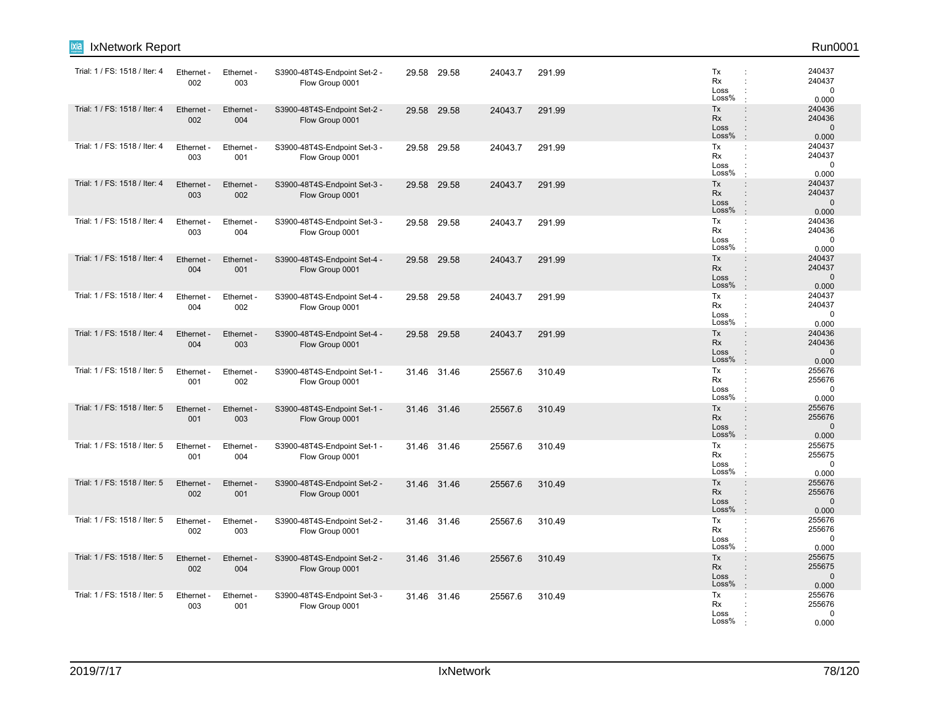| ixia<br>IxNetwork Report      |                   |                        |                                                 |       |             |         |        |                                                                                                  | Run0001                                   |
|-------------------------------|-------------------|------------------------|-------------------------------------------------|-------|-------------|---------|--------|--------------------------------------------------------------------------------------------------|-------------------------------------------|
| Trial: 1 / FS: 1518 / Iter: 4 | Ethernet -<br>002 | Ethernet -<br>003      | S3900-48T4S-Endpoint Set-2 -<br>Flow Group 0001 |       | 29.58 29.58 | 24043.7 | 291.99 | Tx<br><b>Rx</b><br>Loss<br>Loss%                                                                 | 240437<br>240437<br>0<br>0.000            |
| Trial: 1 / FS: 1518 / Iter: 4 | Ethernet -<br>002 | Ethernet -<br>004      | S3900-48T4S-Endpoint Set-2 -<br>Flow Group 0001 |       | 29.58 29.58 | 24043.7 | 291.99 | Tx<br>$\vdots$<br><b>Rx</b><br>÷<br>Loss<br>$\ddot{\phantom{a}}$<br>Loss%<br>$\cdot$             | 240436<br>240436<br>$\mathbf 0$<br>0.000  |
| Trial: 1 / FS: 1518 / Iter: 4 | Ethernet<br>003   | Ethernet -<br>001      | S3900-48T4S-Endpoint Set-3 -<br>Flow Group 0001 | 29.58 | 29.58       | 24043.7 | 291.99 | Tx<br>÷<br>Rx<br>÷<br>Loss<br>÷<br>Loss%                                                         | 240437<br>240437<br>$\mathbf 0$<br>0.000  |
| Trial: 1 / FS: 1518 / Iter: 4 | Ethernet<br>003   | Ethernet -<br>002      | S3900-48T4S-Endpoint Set-3 -<br>Flow Group 0001 | 29.58 | 29.58       | 24043.7 | 291.99 | Tx<br>$\vdots$<br><b>Rx</b><br>÷<br>Loss<br>$\ddot{\phantom{a}}$<br>Loss%<br>$\cdot$             | 240437<br>240437<br>$\mathbf{0}$<br>0.000 |
| Trial: 1 / FS: 1518 / Iter: 4 | Ethernet -<br>003 | Ethernet -<br>004      | S3900-48T4S-Endpoint Set-3 -<br>Flow Group 0001 |       | 29.58 29.58 | 24043.7 | 291.99 | Tx<br>÷<br>Rx<br>÷<br>Loss<br>Loss%                                                              | 240436<br>240436<br>$\Omega$<br>0.000     |
| Trial: 1 / FS: 1518 / Iter: 4 | Ethernet -<br>004 | Ethernet -<br>001      | S3900-48T4S-Endpoint Set-4 -<br>Flow Group 0001 |       | 29.58 29.58 | 24043.7 | 291.99 | Tx<br>$\ddot{\phantom{a}}$<br><b>Rx</b><br>÷<br>Loss<br>$\vdots$<br>Loss%<br>$\cdot$             | 240437<br>240437<br>$\mathbf 0$<br>0.000  |
| Trial: 1 / FS: 1518 / Iter: 4 | Ethernet<br>004   | Ethernet -<br>002      | S3900-48T4S-Endpoint Set-4 -<br>Flow Group 0001 | 29.58 | 29.58       | 24043.7 | 291.99 | Tx<br>$\ddot{\phantom{a}}$<br>Rx<br>÷<br>Loss<br>Loss%                                           | 240437<br>240437<br>$\mathbf 0$<br>0.000  |
| Trial: 1 / FS: 1518 / Iter: 4 | Ethernet -<br>004 | Ethernet -<br>003      | S3900-48T4S-Endpoint Set-4 -<br>Flow Group 0001 |       | 29.58 29.58 | 24043.7 | 291.99 | Tx<br>$\ddot{\phantom{a}}$<br>Rx<br>$\ddot{\phantom{a}}$<br>Loss<br>$\vdots$<br>Loss%<br>$\cdot$ | 240436<br>240436<br>$\mathbf 0$<br>0.000  |
| Trial: 1 / FS: 1518 / Iter: 5 | Ethernet<br>001   | Ethernet -<br>002      | S3900-48T4S-Endpoint Set-1 -<br>Flow Group 0001 |       | 31.46 31.46 | 25567.6 | 310.49 | Tx<br>÷<br>Rx<br>Loss<br>Loss%                                                                   | 255676<br>255676<br>$\mathbf 0$<br>0.000  |
| Trial: 1 / FS: 1518 / Iter: 5 | Ethernet -<br>001 | Ethernet -<br>003      | S3900-48T4S-Endpoint Set-1 -<br>Flow Group 0001 |       | 31.46 31.46 | 25567.6 | 310.49 | Tx<br>$\ddot{\phantom{a}}$<br><b>Rx</b><br>÷<br>Loss<br>$\vdots$<br>Loss%<br>$\cdot$             | 255676<br>255676<br>$\mathbf 0$<br>0.000  |
| Trial: 1 / FS: 1518 / Iter: 5 | Ethernet<br>001   | Ethernet<br>004        | S3900-48T4S-Endpoint Set-1 -<br>Flow Group 0001 |       | 31.46 31.46 | 25567.6 | 310.49 | Tx<br>÷<br>Rx<br>÷<br>Loss<br>Loss%                                                              | 255675<br>255675<br>$\mathbf 0$<br>0.000  |
| Trial: 1 / FS: 1518 / Iter: 5 | Ethernet<br>002   | Ethernet -<br>001      | S3900-48T4S-Endpoint Set-2 -<br>Flow Group 0001 |       | 31.46 31.46 | 25567.6 | 310.49 | Tx<br>÷<br><b>Rx</b><br>÷<br>Loss<br>$\ddot{\phantom{a}}$<br>Loss%<br>$\cdot$                    | 255676<br>255676<br>$\mathbf{0}$<br>0.000 |
| Trial: 1 / FS: 1518 / Iter: 5 | Ethernet -<br>002 | Ethernet -<br>003      | S3900-48T4S-Endpoint Set-2 -<br>Flow Group 0001 |       | 31.46 31.46 | 25567.6 | 310.49 | Tx<br>÷<br>Rx<br>Loss<br>Loss%<br>$\cdot$                                                        | 255676<br>255676<br>0<br>0.000            |
| Trial: 1 / FS: 1518 / Iter: 5 | Ethernet<br>002   | <b>Ethernet</b><br>004 | S3900-48T4S-Endpoint Set-2 -<br>Flow Group 0001 | 31.46 | 31.46       | 25567.6 | 310.49 | Tx<br>$\ddot{\phantom{a}}$<br>Rx<br>÷<br>Loss<br>$\ddot{\phantom{a}}$<br>Loss%<br>$\cdot$        | 255675<br>255675<br>$\mathbf{0}$<br>0.000 |
| Trial: 1 / FS: 1518 / Iter: 5 | Ethernet<br>003   | Ethernet<br>001        | S3900-48T4S-Endpoint Set-3 -<br>Flow Group 0001 |       | 31.46 31.46 | 25567.6 | 310.49 | Tx<br>÷<br>Rx<br>Loss<br>Loss%                                                                   | 255676<br>255676<br>$\mathbf 0$<br>0.000  |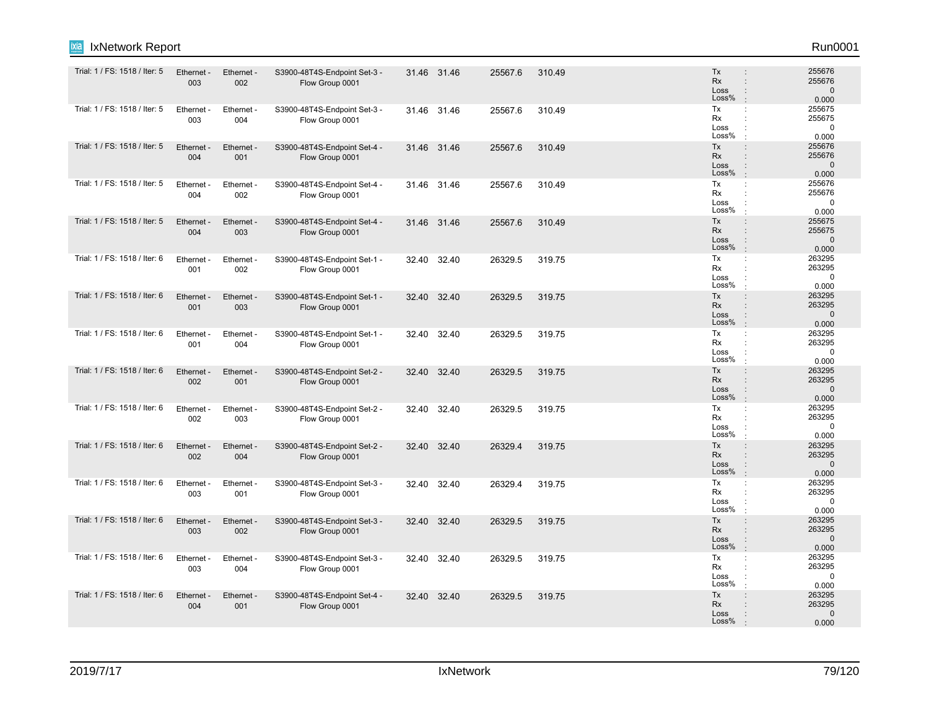| ixia<br>IxNetwork Report      |                   |                   |                                                 |       |             |         |        |                                                                                                      | Run0001                                   |
|-------------------------------|-------------------|-------------------|-------------------------------------------------|-------|-------------|---------|--------|------------------------------------------------------------------------------------------------------|-------------------------------------------|
| Trial: 1 / FS: 1518 / Iter: 5 | Ethernet -<br>003 | Ethernet -<br>002 | S3900-48T4S-Endpoint Set-3 -<br>Flow Group 0001 |       | 31.46 31.46 | 25567.6 | 310.49 | Tx<br><b>Rx</b><br>$\ddot{\phantom{a}}$<br>Loss<br>÷<br>Loss%<br>$\cdot$                             | 255676<br>255676<br>$\mathbf 0$<br>0.000  |
| Trial: 1 / FS: 1518 / Iter: 5 | Ethernet -<br>003 | Ethernet -<br>004 | S3900-48T4S-Endpoint Set-3 -<br>Flow Group 0001 |       | 31.46 31.46 | 25567.6 | 310.49 | Tx<br>÷<br>Rx<br>Loss<br>Loss%                                                                       | 255675<br>255675<br>$\mathbf 0$<br>0.000  |
| Trial: 1 / FS: 1518 / Iter: 5 | Ethernet -<br>004 | Ethernet -<br>001 | S3900-48T4S-Endpoint Set-4 -<br>Flow Group 0001 |       | 31.46 31.46 | 25567.6 | 310.49 | Tx<br>$\ddot{\phantom{a}}$<br>Rx<br>$\ddot{\phantom{a}}$<br>Loss<br>$\mathbf{I}$<br>Loss%<br>$\cdot$ | 255676<br>255676<br>$\mathbf{0}$<br>0.000 |
| Trial: 1 / FS: 1518 / Iter: 5 | Ethernet<br>004   | Ethernet -<br>002 | S3900-48T4S-Endpoint Set-4 -<br>Flow Group 0001 |       | 31.46 31.46 | 25567.6 | 310.49 | Tx<br>÷<br>Rx<br>÷<br>Loss<br>÷<br>Loss%<br>$\cdot$                                                  | 255676<br>255676<br>$\mathbf 0$<br>0.000  |
| Trial: 1 / FS: 1518 / Iter: 5 | Ethernet -<br>004 | Ethernet -<br>003 | S3900-48T4S-Endpoint Set-4 -<br>Flow Group 0001 |       | 31.46 31.46 | 25567.6 | 310.49 | Tx<br>$\vdots$<br>Rx<br>$\vdots$<br>Loss<br>$\ddot{\phantom{a}}$<br>Loss%<br>$\cdot$                 | 255675<br>255675<br>$\mathbf 0$<br>0.000  |
| Trial: 1 / FS: 1518 / Iter: 6 | Ethernet<br>001   | Ethernet -<br>002 | S3900-48T4S-Endpoint Set-1 -<br>Flow Group 0001 |       | 32.40 32.40 | 26329.5 | 319.75 | Tx<br>÷<br>Rx<br>÷.<br>Loss<br>Loss%                                                                 | 263295<br>263295<br>$\mathbf 0$<br>0.000  |
| Trial: 1 / FS: 1518 / Iter: 6 | Ethernet -<br>001 | Ethernet -<br>003 | S3900-48T4S-Endpoint Set-1 -<br>Flow Group 0001 | 32.40 | 32.40       | 26329.5 | 319.75 | Tx<br>$\ddot{\phantom{a}}$<br>Rx<br>$\ddot{\phantom{a}}$<br>Loss<br>$\mathbf{I}$<br>Loss%<br>$\cdot$ | 263295<br>263295<br>$\mathbf 0$<br>0.000  |
| Trial: 1 / FS: 1518 / Iter: 6 | Ethernet<br>001   | Ethernet -<br>004 | S3900-48T4S-Endpoint Set-1 -<br>Flow Group 0001 |       | 32.40 32.40 | 26329.5 | 319.75 | Tx<br>÷<br>Rx<br>Loss<br>Loss%                                                                       | 263295<br>263295<br>$\mathbf 0$<br>0.000  |
| Trial: 1 / FS: 1518 / Iter: 6 | Ethernet<br>002   | Ethernet -<br>001 | S3900-48T4S-Endpoint Set-2 -<br>Flow Group 0001 | 32.40 | 32.40       | 26329.5 | 319.75 | Tx<br>÷<br><b>Rx</b><br>$\ddot{\phantom{a}}$<br>Loss<br>÷<br>Loss%<br>$\cdot$                        | 263295<br>263295<br>$\mathbf{0}$<br>0.000 |
| Trial: 1 / FS: 1518 / Iter: 6 | Ethernet -<br>002 | Ethernet -<br>003 | S3900-48T4S-Endpoint Set-2 -<br>Flow Group 0001 |       | 32.40 32.40 | 26329.5 | 319.75 | Tx<br>÷<br>Rx<br>Loss<br>÷<br>Loss%<br>$\cdot$                                                       | 263295<br>263295<br>$\mathbf 0$<br>0.000  |
| Trial: 1 / FS: 1518 / Iter: 6 | Ethernet -<br>002 | Ethernet -<br>004 | S3900-48T4S-Endpoint Set-2 -<br>Flow Group 0001 | 32.40 | 32.40       | 26329.4 | 319.75 | Tx<br>$\ddot{\phantom{a}}$<br>Rx<br>$\ddot{\phantom{a}}$<br>Loss<br>Loss%<br>$\cdot$                 | 263295<br>263295<br>$\mathbf 0$<br>0.000  |
| Trial: 1 / FS: 1518 / Iter: 6 | Ethernet<br>003   | Ethernet -<br>001 | S3900-48T4S-Endpoint Set-3 -<br>Flow Group 0001 | 32.40 | 32.40       | 26329.4 | 319.75 | Tx<br>÷<br>Rx<br>Loss<br>Loss%<br>$\cdot$                                                            | 263295<br>263295<br>$\mathbf 0$<br>0.000  |
| Trial: 1 / FS: 1518 / Iter: 6 | Ethernet -<br>003 | Ethernet -<br>002 | S3900-48T4S-Endpoint Set-3 -<br>Flow Group 0001 |       | 32.40 32.40 | 26329.5 | 319.75 | Tx<br>$\ddot{\phantom{a}}$<br><b>Rx</b><br>÷<br>Loss<br>$\ddot{\phantom{a}}$<br>Loss%<br>$\cdot$     | 263295<br>263295<br>$\mathbf{0}$<br>0.000 |
| Trial: 1 / FS: 1518 / Iter: 6 | Ethernet<br>003   | Ethernet<br>004   | S3900-48T4S-Endpoint Set-3 -<br>Flow Group 0001 | 32.40 | 32.40       | 26329.5 | 319.75 | Tx<br>÷<br>Rx<br>Loss<br>Loss%                                                                       | 263295<br>263295<br>$\mathbf 0$<br>0.000  |
| Trial: 1 / FS: 1518 / Iter: 6 | Ethernet -<br>004 | Ethernet -<br>001 | S3900-48T4S-Endpoint Set-4 -<br>Flow Group 0001 |       | 32.40 32.40 | 26329.5 | 319.75 | Tx<br>$\vdots$<br><b>Rx</b><br>Loss<br>Loss%                                                         | 263295<br>263295<br>$\mathbf{0}$<br>0.000 |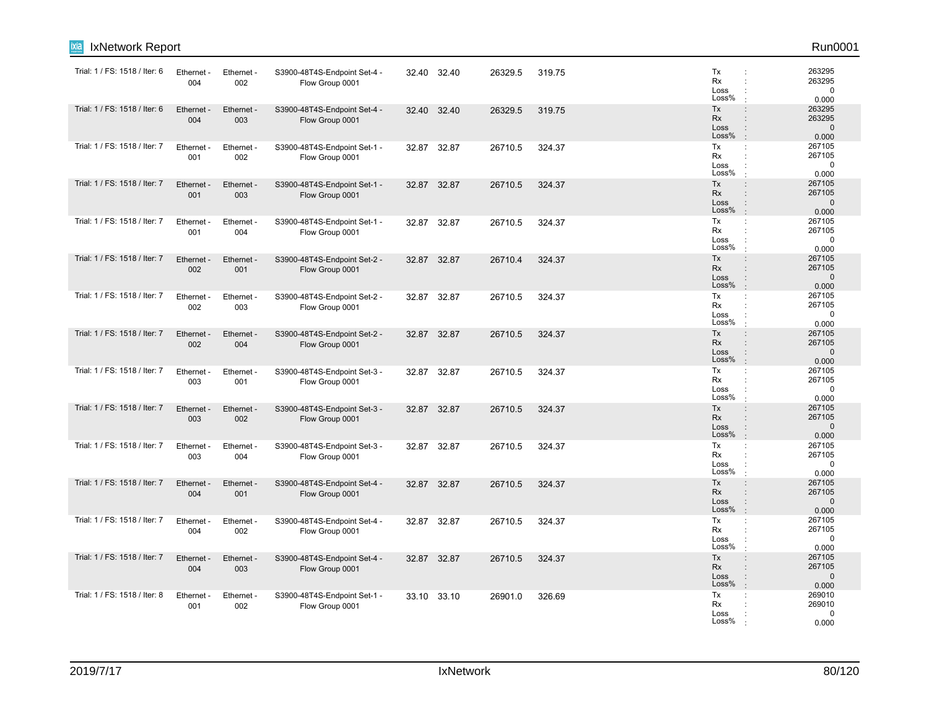| ixia<br>IxNetwork Report      |                   |                   |                                                 |       |             |         |        |                                  | Run0001                                                                                                                      |
|-------------------------------|-------------------|-------------------|-------------------------------------------------|-------|-------------|---------|--------|----------------------------------|------------------------------------------------------------------------------------------------------------------------------|
| Trial: 1 / FS: 1518 / Iter: 6 | Ethernet<br>004   | Ethernet -<br>002 | S3900-48T4S-Endpoint Set-4 -<br>Flow Group 0001 |       | 32.40 32.40 | 26329.5 | 319.75 | Tx<br>Rx<br>Loss<br>Loss%        | 263295<br>$\ddot{\phantom{a}}$<br>263295<br>t<br>$\mathbf 0$<br>0.000<br>$\cdot$                                             |
| Trial: 1 / FS: 1518 / Iter: 6 | Ethernet<br>004   | Ethernet -<br>003 | S3900-48T4S-Endpoint Set-4 -<br>Flow Group 0001 |       | 32.40 32.40 | 26329.5 | 319.75 | Tx<br>Rx<br>Loss<br>Loss%        | 263295<br>$\ddot{\phantom{a}}$<br>263295<br>$\ddot{\phantom{a}}$<br>$\mathbf{0}$<br>$\vdots$<br>0.000<br>$\cdot$             |
| Trial: 1 / FS: 1518 / Iter: 7 | Ethernet<br>001   | Ethernet -<br>002 | S3900-48T4S-Endpoint Set-1 -<br>Flow Group 0001 |       | 32.87 32.87 | 26710.5 | 324.37 | Tx<br>Rx<br>Loss<br>Loss%        | 267105<br>÷<br>267105<br>÷<br>$\mathbf 0$<br>0.000<br>$\cdot$                                                                |
| Trial: 1 / FS: 1518 / Iter: 7 | Ethernet -<br>001 | Ethernet -<br>003 | S3900-48T4S-Endpoint Set-1 -<br>Flow Group 0001 | 32.87 | 32.87       | 26710.5 | 324.37 | Tx<br>Rx<br>Loss<br>Loss%        | $\ddot{\phantom{a}}$<br>267105<br>267105<br>$\ddot{\phantom{a}}$<br>$\mathbf{0}$<br>$\ddot{\phantom{a}}$<br>$\cdot$<br>0.000 |
| Trial: 1 / FS: 1518 / Iter: 7 | Ethernet<br>001   | Ethernet -<br>004 | S3900-48T4S-Endpoint Set-1 -<br>Flow Group 0001 |       | 32.87 32.87 | 26710.5 | 324.37 | Tx<br>Rx<br>Loss<br>Loss%        | 267105<br>÷<br>267105<br>$\ddot{\phantom{a}}$<br>$\mathbf 0$<br>$\ddot{\phantom{a}}$<br>0.000<br>$\cdot$                     |
| Trial: 1 / FS: 1518 / Iter: 7 | Ethernet<br>002   | Ethernet -<br>001 | S3900-48T4S-Endpoint Set-2 -<br>Flow Group 0001 | 32.87 | 32.87       | 26710.4 | 324.37 | Tx<br><b>Rx</b><br>Loss<br>Loss% | 267105<br>$\ddot{\phantom{a}}$<br>267105<br>÷<br>$\mathbf 0$<br>$\ddot{\phantom{a}}$<br>0.000<br>$\cdot$                     |
| Trial: 1 / FS: 1518 / Iter: 7 | Ethernet -<br>002 | Ethernet -<br>003 | S3900-48T4S-Endpoint Set-2 -<br>Flow Group 0001 | 32.87 | 32.87       | 26710.5 | 324.37 | Tx<br>Rx<br>Loss<br>Loss%        | 267105<br>÷<br>267105<br>$\ddot{\phantom{a}}$<br>$\mathbf 0$<br>$\ddot{\phantom{a}}$<br>0.000<br>$\cdot$                     |
| Trial: 1 / FS: 1518 / Iter: 7 | Ethernet<br>002   | Ethernet -<br>004 | S3900-48T4S-Endpoint Set-2 -<br>Flow Group 0001 | 32.87 | 32.87       | 26710.5 | 324.37 | Tx<br><b>Rx</b><br>Loss<br>Loss% | 267105<br>$\ddot{\phantom{a}}$<br>267105<br>$\ddot{\phantom{a}}$<br>$\Omega$<br>$\ddot{\phantom{a}}$<br>0.000<br>$\cdot$     |
| Trial: 1 / FS: 1518 / Iter: 7 | Ethernet<br>003   | Ethernet -<br>001 | S3900-48T4S-Endpoint Set-3 -<br>Flow Group 0001 | 32.87 | 32.87       | 26710.5 | 324.37 | Tx<br>Rx<br>Loss<br>Loss%        | 267105<br>÷<br>267105<br>÷<br>$\ddot{\cdot}$<br>$\mathbf 0$<br>0.000<br>$\mathbf{r}$                                         |
| Trial: 1 / FS: 1518 / Iter: 7 | Ethernet<br>003   | Ethernet -<br>002 | S3900-48T4S-Endpoint Set-3 -<br>Flow Group 0001 |       | 32.87 32.87 | 26710.5 | 324.37 | Tx<br>Rx<br>Loss<br>Loss%        | 267105<br>$\ddot{\phantom{a}}$<br>267105<br>$\Omega$<br>$\ddot{\phantom{a}}$<br>0.000<br>$\mathbf{r}$                        |
| Trial: 1 / FS: 1518 / Iter: 7 | Ethernet<br>003   | Ethernet -<br>004 | S3900-48T4S-Endpoint Set-3 -<br>Flow Group 0001 | 32.87 | 32.87       | 26710.5 | 324.37 | Tx<br>Rx<br>Loss<br>Loss%        | 267105<br>÷<br>267105<br>$\ddot{\phantom{a}}$<br>$\mathbf 0$<br>0.000                                                        |
| Trial: 1 / FS: 1518 / Iter: 7 | Ethernet<br>004   | Ethernet -<br>001 | S3900-48T4S-Endpoint Set-4 -<br>Flow Group 0001 | 32.87 | 32.87       | 26710.5 | 324.37 | Tx<br><b>Rx</b><br>Loss<br>Loss% | 267105<br>$\vdots$<br>267105<br>$\ddot{\phantom{a}}$<br>$\mathbf{0}$<br>$\ddot{\phantom{a}}$<br>$\cdot$<br>0.000             |
| Trial: 1 / FS: 1518 / Iter: 7 | Ethernet -<br>004 | Ethernet -<br>002 | S3900-48T4S-Endpoint Set-4 -<br>Flow Group 0001 |       | 32.87 32.87 | 26710.5 | 324.37 | Tx<br><b>Rx</b><br>Loss<br>Loss% | 267105<br>÷<br>267105<br>$\ddot{\phantom{a}}$<br>$\mathbf 0$<br>$\ddot{\phantom{a}}$<br>0.000                                |
| Trial: 1 / FS: 1518 / Iter: 7 | Ethernet -<br>004 | Ethernet -<br>003 | S3900-48T4S-Endpoint Set-4 -<br>Flow Group 0001 |       | 32.87 32.87 | 26710.5 | 324.37 | Tx<br><b>Rx</b><br>Loss<br>Loss% | 267105<br>$\vdots$<br>267105<br>÷<br>$\mathbf 0$<br>$\ddot{\phantom{a}}$<br>0.000                                            |
| Trial: 1 / FS: 1518 / Iter: 8 | Ethernet -<br>001 | Ethernet -<br>002 | S3900-48T4S-Endpoint Set-1 -<br>Flow Group 0001 |       | 33.10 33.10 | 26901.0 | 326.69 | Tx<br>Rx<br>Loss<br>Loss%        | 269010<br>÷<br>269010<br>$\Omega$<br>0.000                                                                                   |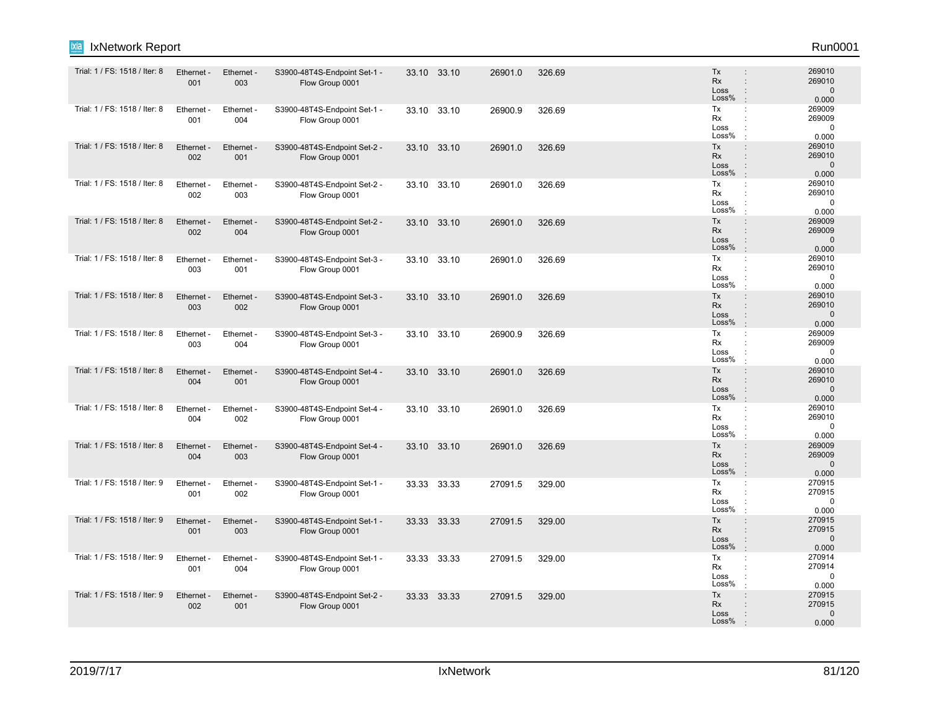| ixia<br>IxNetwork Report      |                   |                   |                                                 |       |             |         |        |                                                                                                      | Run0001                                   |
|-------------------------------|-------------------|-------------------|-------------------------------------------------|-------|-------------|---------|--------|------------------------------------------------------------------------------------------------------|-------------------------------------------|
| Trial: 1 / FS: 1518 / Iter: 8 | Ethernet -<br>001 | Ethernet -<br>003 | S3900-48T4S-Endpoint Set-1 -<br>Flow Group 0001 |       | 33.10 33.10 | 26901.0 | 326.69 | Tx<br><b>Rx</b><br>$\ddot{\phantom{a}}$<br>Loss<br>÷<br>Loss%<br>$\cdot$                             | 269010<br>269010<br>$\mathbf 0$<br>0.000  |
| Trial: 1 / FS: 1518 / Iter: 8 | Ethernet -<br>001 | Ethernet -<br>004 | S3900-48T4S-Endpoint Set-1 -<br>Flow Group 0001 |       | 33.10 33.10 | 26900.9 | 326.69 | Tx<br>÷<br>Rx<br>Loss<br>÷<br>Loss%                                                                  | 269009<br>269009<br>$\mathbf 0$<br>0.000  |
| Trial: 1 / FS: 1518 / Iter: 8 | Ethernet -<br>002 | Ethernet -<br>001 | S3900-48T4S-Endpoint Set-2 -<br>Flow Group 0001 |       | 33.10 33.10 | 26901.0 | 326.69 | Tx<br>$\ddot{\phantom{a}}$<br>Rx<br>$\ddot{\phantom{a}}$<br>Loss<br>$\mathbf{L}$<br>Loss%            | 269010<br>269010<br>$\mathbf 0$<br>0.000  |
| Trial: 1 / FS: 1518 / Iter: 8 | Ethernet<br>002   | Ethernet -<br>003 | S3900-48T4S-Endpoint Set-2 -<br>Flow Group 0001 |       | 33.10 33.10 | 26901.0 | 326.69 | Tx<br>÷<br>Rx<br>÷<br>Loss<br>÷<br>Loss%<br>$\cdot$                                                  | 269010<br>269010<br>$\mathbf 0$<br>0.000  |
| Trial: 1 / FS: 1518 / Iter: 8 | Ethernet -<br>002 | Ethernet -<br>004 | S3900-48T4S-Endpoint Set-2 -<br>Flow Group 0001 |       | 33.10 33.10 | 26901.0 | 326.69 | Tx<br>$\vdots$<br>Rx<br>$\vdots$<br>Loss<br>$\ddot{\phantom{a}}$<br>Loss%<br>$\cdot$                 | 269009<br>269009<br>$\mathbf 0$<br>0.000  |
| Trial: 1 / FS: 1518 / Iter: 8 | Ethernet<br>003   | Ethernet -<br>001 | S3900-48T4S-Endpoint Set-3 -<br>Flow Group 0001 |       | 33.10 33.10 | 26901.0 | 326.69 | Tx<br>÷<br>Rx<br>÷<br>Loss<br>Loss%                                                                  | 269010<br>269010<br>$\mathbf 0$<br>0.000  |
| Trial: 1 / FS: 1518 / Iter: 8 | Ethernet -<br>003 | Ethernet -<br>002 | S3900-48T4S-Endpoint Set-3 -<br>Flow Group 0001 |       | 33.10 33.10 | 26901.0 | 326.69 | Tx<br>$\ddot{\phantom{a}}$<br>Rx<br>$\ddot{\phantom{a}}$<br>Loss<br>$\mathbf{L}$<br>Loss%<br>$\cdot$ | 269010<br>269010<br>$\mathbf 0$<br>0.000  |
| Trial: 1 / FS: 1518 / Iter: 8 | Ethernet<br>003   | Ethernet -<br>004 | S3900-48T4S-Endpoint Set-3 -<br>Flow Group 0001 |       | 33.10 33.10 | 26900.9 | 326.69 | Tx<br>÷<br>Rx<br>Loss<br>÷<br>Loss%                                                                  | 269009<br>269009<br>$\mathbf 0$<br>0.000  |
| Trial: 1 / FS: 1518 / Iter: 8 | Ethernet<br>004   | Ethernet -<br>001 | S3900-48T4S-Endpoint Set-4 -<br>Flow Group 0001 |       | 33.10 33.10 | 26901.0 | 326.69 | Tx<br>÷<br><b>Rx</b><br>$\ddot{\phantom{a}}$<br>Loss<br>÷<br>Loss%<br>$\cdot$                        | 269010<br>269010<br>$\mathbf{0}$<br>0.000 |
| Trial: 1 / FS: 1518 / Iter: 8 | Ethernet -<br>004 | Ethernet -<br>002 | S3900-48T4S-Endpoint Set-4 -<br>Flow Group 0001 |       | 33.10 33.10 | 26901.0 | 326.69 | Tx<br>÷<br>Rx<br>Loss<br>÷<br>Loss%<br>$\cdot$                                                       | 269010<br>269010<br>0<br>0.000            |
| Trial: 1 / FS: 1518 / Iter: 8 | Ethernet -<br>004 | Ethernet -<br>003 | S3900-48T4S-Endpoint Set-4 -<br>Flow Group 0001 |       | 33.10 33.10 | 26901.0 | 326.69 | Tx<br>$\ddot{\phantom{a}}$<br>Rx<br>$\ddot{\phantom{a}}$<br>Loss<br>Loss%<br>$\cdot$                 | 269009<br>269009<br>$\mathbf 0$<br>0.000  |
| Trial: 1 / FS: 1518 / Iter: 9 | Ethernet<br>001   | Ethernet -<br>002 | S3900-48T4S-Endpoint Set-1 -<br>Flow Group 0001 | 33.33 | 33.33       | 27091.5 | 329.00 | Tx<br>÷<br>Rx<br>Loss<br>Loss%<br>$\cdot$                                                            | 270915<br>270915<br>$\mathbf 0$<br>0.000  |
| Trial: 1 / FS: 1518 / Iter: 9 | Ethernet -<br>001 | Ethernet -<br>003 | S3900-48T4S-Endpoint Set-1 -<br>Flow Group 0001 |       | 33.33 33.33 | 27091.5 | 329.00 | Tx<br>$\ddot{\phantom{a}}$<br><b>Rx</b><br>÷<br>Loss<br>$\ddot{\phantom{a}}$<br>Loss%<br>$\cdot$     | 270915<br>270915<br>$\mathbf{0}$<br>0.000 |
| Trial: 1 / FS: 1518 / Iter: 9 | Ethernet<br>001   | Ethernet<br>004   | S3900-48T4S-Endpoint Set-1 -<br>Flow Group 0001 |       | 33.33 33.33 | 27091.5 | 329.00 | Tx<br>÷<br>Rx<br>Loss<br>Loss%                                                                       | 270914<br>270914<br>$\mathbf 0$<br>0.000  |
| Trial: 1 / FS: 1518 / Iter: 9 | Ethernet -<br>002 | Ethernet -<br>001 | S3900-48T4S-Endpoint Set-2 -<br>Flow Group 0001 |       | 33.33 33.33 | 27091.5 | 329.00 | Tx<br>$\vdots$<br>Rx<br>Loss<br>Loss%                                                                | 270915<br>270915<br>$\Omega$<br>0.000     |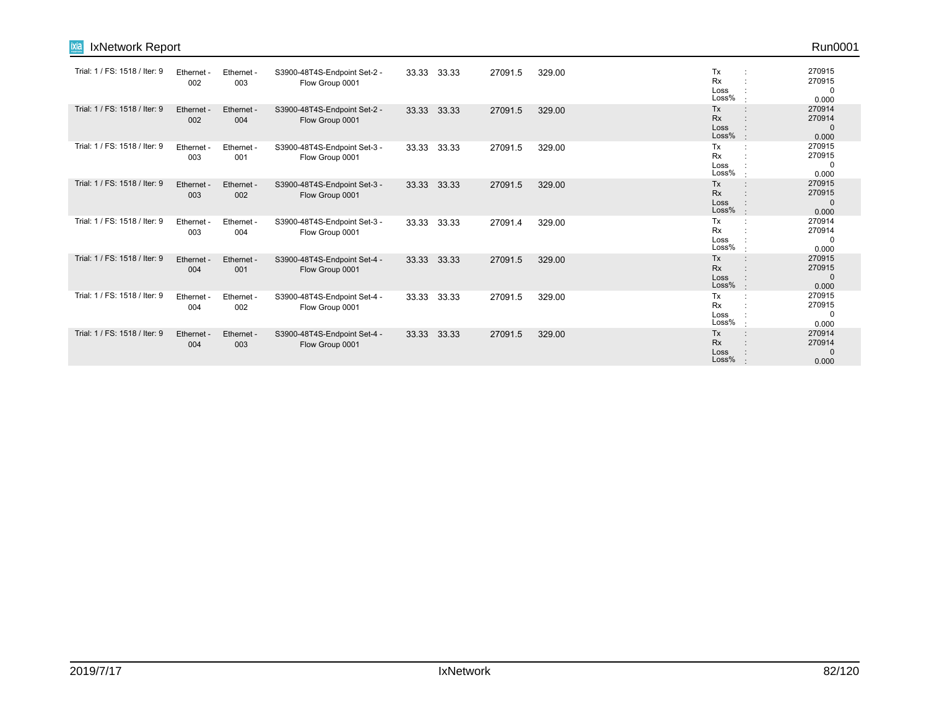| <b>IxNetwork Report</b><br>$M =$ |                        |                   |                                                 |       |       |         |        |                                      | Run0001                                   |
|----------------------------------|------------------------|-------------------|-------------------------------------------------|-------|-------|---------|--------|--------------------------------------|-------------------------------------------|
| Trial: 1 / FS: 1518 / Iter: 9    | <b>Ethernet</b><br>002 | Ethernet -<br>003 | S3900-48T4S-Endpoint Set-2 -<br>Flow Group 0001 | 33.33 | 33.33 | 27091.5 | 329.00 | Tx<br><b>Rx</b><br>Loss<br>Loss%     | 270915<br>270915<br>0<br>0.000            |
| Trial: 1 / FS: 1518 / Iter: 9    | Ethernet -<br>002      | Ethernet -<br>004 | S3900-48T4S-Endpoint Set-2 -<br>Flow Group 0001 | 33.33 | 33.33 | 27091.5 | 329.00 | Tx<br>$\cdot$<br>Rx<br>Loss<br>Loss% | 270914<br>270914<br>$\mathbf{0}$<br>0.000 |
| Trial: 1 / FS: 1518 / Iter: 9    | Ethernet -<br>003      | Ethernet -<br>001 | S3900-48T4S-Endpoint Set-3 -<br>Flow Group 0001 | 33.33 | 33.33 | 27091.5 | 329.00 | Tx<br><b>Rx</b><br>Loss<br>Loss%     | 270915<br>270915<br>0<br>0.000            |
| Trial: 1 / FS: 1518 / Iter: 9    | Ethernet<br>003        | Ethernet -<br>002 | S3900-48T4S-Endpoint Set-3 -<br>Flow Group 0001 | 33.33 | 33.33 | 27091.5 | 329.00 | Tx<br><b>Rx</b><br>Loss<br>Loss%     | 270915<br>270915<br>$\mathbf{0}$<br>0.000 |
| Trial: 1 / FS: 1518 / Iter: 9    | Ethernet -<br>003      | Ethernet -<br>004 | S3900-48T4S-Endpoint Set-3 -<br>Flow Group 0001 | 33.33 | 33.33 | 27091.4 | 329.00 | Tx<br><b>Rx</b><br>Loss<br>Loss%     | 270914<br>270914<br>0<br>0.000            |
| Trial: 1 / FS: 1518 / Iter: 9    | Ethernet -<br>004      | Ethernet -<br>001 | S3900-48T4S-Endpoint Set-4 -<br>Flow Group 0001 | 33.33 | 33.33 | 27091.5 | 329.00 | Tx<br><b>Rx</b><br>Loss<br>Loss%     | 270915<br>270915<br>$\Omega$<br>0.000     |
| Trial: 1 / FS: 1518 / Iter: 9    | Ethernet<br>004        | Ethernet -<br>002 | S3900-48T4S-Endpoint Set-4 -<br>Flow Group 0001 | 33.33 | 33.33 | 27091.5 | 329.00 | Tx<br><b>Rx</b><br>Loss<br>Loss%     | 270915<br>270915<br>0<br>0.000            |
| Trial: 1 / FS: 1518 / Iter: 9    | Ethernet -<br>004      | Ethernet -<br>003 | S3900-48T4S-Endpoint Set-4 -<br>Flow Group 0001 | 33.33 | 33.33 | 27091.5 | 329.00 | Tx<br>Rx<br>Loss<br>Loss%            | 270914<br>270914<br>$\mathbf 0$<br>0.000  |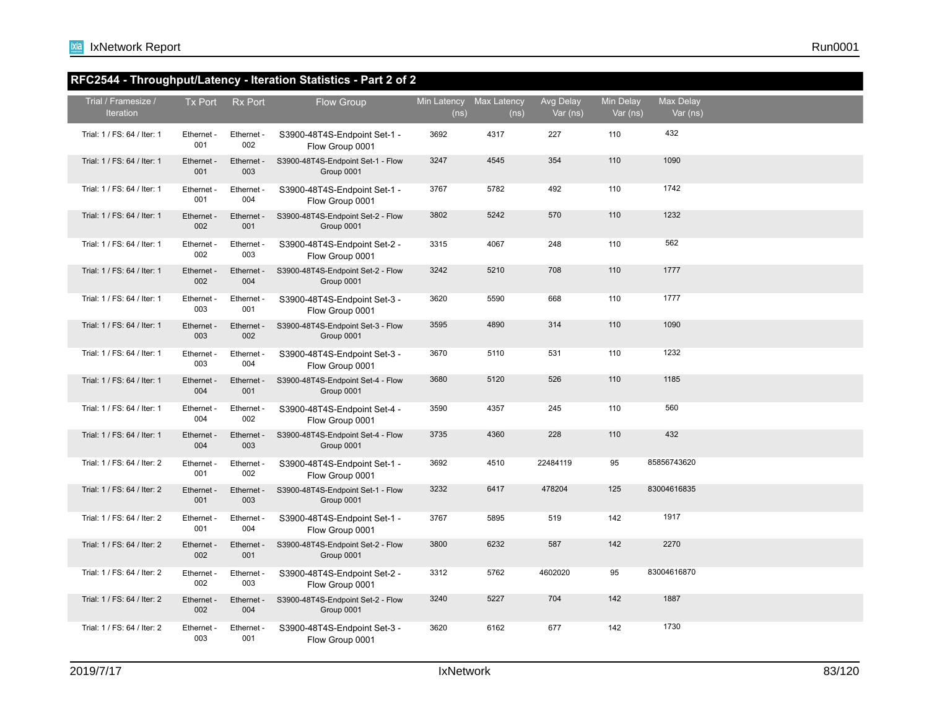### **RFC2544 - Throughput/Latency - Iteration Statistics - Part 2 of 2**

| Trial / Framesize /<br><b>Iteration</b> | Tx Port           | <b>Rx Port</b>    | Flow Group                                      | Min Latency Max Latency<br>(ns) | (ns) | Avg Delay<br>Var (ns) | <b>Min Delay</b><br>Var (ns) | Max Delay<br>Var (ns) |  |
|-----------------------------------------|-------------------|-------------------|-------------------------------------------------|---------------------------------|------|-----------------------|------------------------------|-----------------------|--|
| Trial: 1 / FS: 64 / Iter: 1             | Ethernet -<br>001 | Ethernet -<br>002 | S3900-48T4S-Endpoint Set-1 -<br>Flow Group 0001 | 3692                            | 4317 | 227                   | 110                          | 432                   |  |
| Trial: 1 / FS: 64 / Iter: 1             | Ethernet -<br>001 | Ethernet -<br>003 | S3900-48T4S-Endpoint Set-1 - Flow<br>Group 0001 | 3247                            | 4545 | 354                   | 110                          | 1090                  |  |
| Trial: 1 / FS: 64 / Iter: 1             | Ethernet -<br>001 | Ethernet -<br>004 | S3900-48T4S-Endpoint Set-1 -<br>Flow Group 0001 | 3767                            | 5782 | 492                   | 110                          | 1742                  |  |
| Trial: 1 / FS: 64 / Iter: 1             | Ethernet -<br>002 | Ethernet -<br>001 | S3900-48T4S-Endpoint Set-2 - Flow<br>Group 0001 | 3802                            | 5242 | 570                   | 110                          | 1232                  |  |
| Trial: 1 / FS: 64 / Iter: 1             | Ethernet -<br>002 | Ethernet -<br>003 | S3900-48T4S-Endpoint Set-2 -<br>Flow Group 0001 | 3315                            | 4067 | 248                   | 110                          | 562                   |  |
| Trial: 1 / FS: 64 / Iter: 1             | Ethernet -<br>002 | Ethernet -<br>004 | S3900-48T4S-Endpoint Set-2 - Flow<br>Group 0001 | 3242                            | 5210 | 708                   | 110                          | 1777                  |  |
| Trial: 1 / FS: 64 / Iter: 1             | Ethernet -<br>003 | Ethernet -<br>001 | S3900-48T4S-Endpoint Set-3 -<br>Flow Group 0001 | 3620                            | 5590 | 668                   | 110                          | 1777                  |  |
| Trial: 1 / FS: 64 / Iter: 1             | Ethernet -<br>003 | Ethernet -<br>002 | S3900-48T4S-Endpoint Set-3 - Flow<br>Group 0001 | 3595                            | 4890 | 314                   | 110                          | 1090                  |  |
| Trial: 1 / FS: 64 / Iter: 1             | Ethernet -<br>003 | Ethernet -<br>004 | S3900-48T4S-Endpoint Set-3 -<br>Flow Group 0001 | 3670                            | 5110 | 531                   | 110                          | 1232                  |  |
| Trial: 1 / FS: 64 / Iter: 1             | Ethernet -<br>004 | Ethernet -<br>001 | S3900-48T4S-Endpoint Set-4 - Flow<br>Group 0001 | 3680                            | 5120 | 526                   | 110                          | 1185                  |  |
| Trial: 1 / FS: 64 / Iter: 1             | Ethernet -<br>004 | Ethernet -<br>002 | S3900-48T4S-Endpoint Set-4 -<br>Flow Group 0001 | 3590                            | 4357 | 245                   | 110                          | 560                   |  |
| Trial: 1 / FS: 64 / Iter: 1             | Ethernet -<br>004 | Ethernet -<br>003 | S3900-48T4S-Endpoint Set-4 - Flow<br>Group 0001 | 3735                            | 4360 | 228                   | 110                          | 432                   |  |
| Trial: 1 / FS: 64 / Iter: 2             | Ethernet -<br>001 | Ethernet -<br>002 | S3900-48T4S-Endpoint Set-1 -<br>Flow Group 0001 | 3692                            | 4510 | 22484119              | 95                           | 85856743620           |  |
| Trial: 1 / FS: 64 / Iter: 2             | Ethernet -<br>001 | Ethernet -<br>003 | S3900-48T4S-Endpoint Set-1 - Flow<br>Group 0001 | 3232                            | 6417 | 478204                | 125                          | 83004616835           |  |
| Trial: 1 / FS: 64 / Iter: 2             | Ethernet -<br>001 | Ethernet -<br>004 | S3900-48T4S-Endpoint Set-1 -<br>Flow Group 0001 | 3767                            | 5895 | 519                   | 142                          | 1917                  |  |
| Trial: 1 / FS: 64 / Iter: 2             | Ethernet -<br>002 | Ethernet -<br>001 | S3900-48T4S-Endpoint Set-2 - Flow<br>Group 0001 | 3800                            | 6232 | 587                   | 142                          | 2270                  |  |
| Trial: 1 / FS: 64 / Iter: 2             | Ethernet -<br>002 | Ethernet -<br>003 | S3900-48T4S-Endpoint Set-2 -<br>Flow Group 0001 | 3312                            | 5762 | 4602020               | 95                           | 83004616870           |  |
| Trial: 1 / FS: 64 / Iter: 2             | Ethernet -<br>002 | Ethernet -<br>004 | S3900-48T4S-Endpoint Set-2 - Flow<br>Group 0001 | 3240                            | 5227 | 704                   | 142                          | 1887                  |  |
| Trial: 1 / FS: 64 / Iter: 2             | Ethernet -<br>003 | Ethernet -<br>001 | S3900-48T4S-Endpoint Set-3 -<br>Flow Group 0001 | 3620                            | 6162 | 677                   | 142                          | 1730                  |  |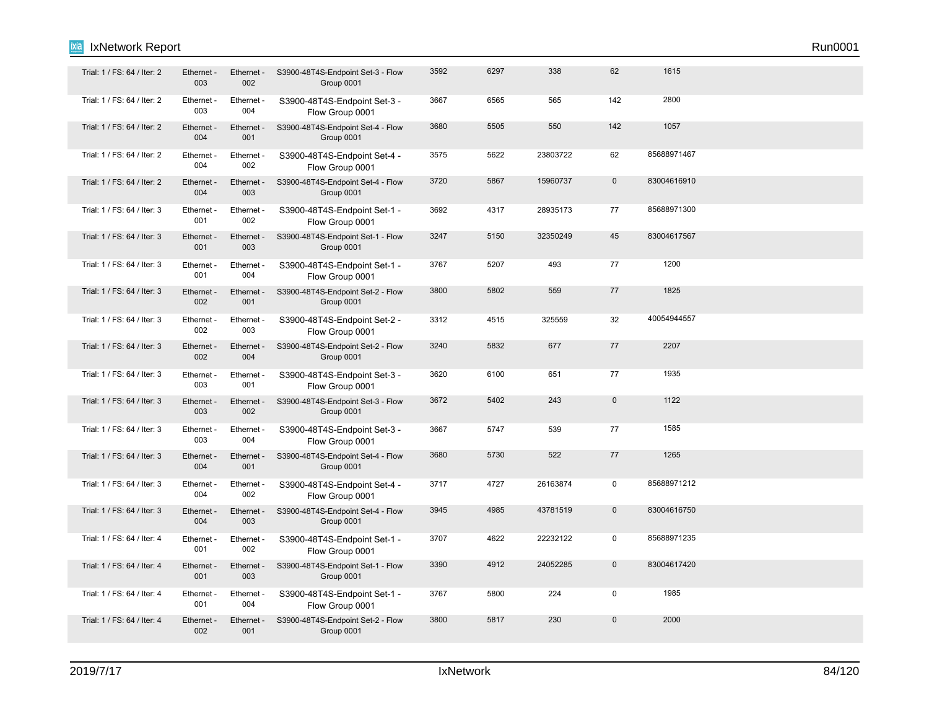| Trial: 1 / FS: 64 / Iter: 2 | Ethernet -<br>003 | Ethernet -<br>002 | S3900-48T4S-Endpoint Set-3 - Flow<br>Group 0001 | 3592 | 6297 | 338      | 62          | 1615        |  |  |
|-----------------------------|-------------------|-------------------|-------------------------------------------------|------|------|----------|-------------|-------------|--|--|
| Trial: 1 / FS: 64 / Iter: 2 | Ethernet -<br>003 | Ethernet -<br>004 | S3900-48T4S-Endpoint Set-3 -<br>Flow Group 0001 | 3667 | 6565 | 565      | 142         | 2800        |  |  |
| Trial: 1 / FS: 64 / Iter: 2 | Ethernet -<br>004 | Ethernet -<br>001 | S3900-48T4S-Endpoint Set-4 - Flow<br>Group 0001 | 3680 | 5505 | 550      | 142         | 1057        |  |  |
| Trial: 1 / FS: 64 / Iter: 2 | Ethernet -<br>004 | Ethernet -<br>002 | S3900-48T4S-Endpoint Set-4 -<br>Flow Group 0001 | 3575 | 5622 | 23803722 | 62          | 85688971467 |  |  |
| Trial: 1 / FS: 64 / Iter: 2 | Ethernet -<br>004 | Ethernet -<br>003 | S3900-48T4S-Endpoint Set-4 - Flow<br>Group 0001 | 3720 | 5867 | 15960737 | $\mathbf 0$ | 83004616910 |  |  |
| Trial: 1 / FS: 64 / Iter: 3 | Ethernet -<br>001 | Ethernet -<br>002 | S3900-48T4S-Endpoint Set-1 -<br>Flow Group 0001 | 3692 | 4317 | 28935173 | 77          | 85688971300 |  |  |
| Trial: 1 / FS: 64 / Iter: 3 | Ethernet -<br>001 | Ethernet -<br>003 | S3900-48T4S-Endpoint Set-1 - Flow<br>Group 0001 | 3247 | 5150 | 32350249 | 45          | 83004617567 |  |  |
| Trial: 1 / FS: 64 / Iter: 3 | Ethernet -<br>001 | Ethernet -<br>004 | S3900-48T4S-Endpoint Set-1 -<br>Flow Group 0001 | 3767 | 5207 | 493      | 77          | 1200        |  |  |
| Trial: 1 / FS: 64 / Iter: 3 | Ethernet -<br>002 | Ethernet -<br>001 | S3900-48T4S-Endpoint Set-2 - Flow<br>Group 0001 | 3800 | 5802 | 559      | 77          | 1825        |  |  |
| Trial: 1 / FS: 64 / Iter: 3 | Ethernet -<br>002 | Ethernet -<br>003 | S3900-48T4S-Endpoint Set-2 -<br>Flow Group 0001 | 3312 | 4515 | 325559   | 32          | 40054944557 |  |  |
| Trial: 1 / FS: 64 / Iter: 3 | Ethernet -<br>002 | Ethernet -<br>004 | S3900-48T4S-Endpoint Set-2 - Flow<br>Group 0001 | 3240 | 5832 | 677      | 77          | 2207        |  |  |
| Trial: 1 / FS: 64 / Iter: 3 | Ethernet -<br>003 | Ethernet -<br>001 | S3900-48T4S-Endpoint Set-3 -<br>Flow Group 0001 | 3620 | 6100 | 651      | 77          | 1935        |  |  |
| Trial: 1 / FS: 64 / Iter: 3 | Ethernet -<br>003 | Ethernet -<br>002 | S3900-48T4S-Endpoint Set-3 - Flow<br>Group 0001 | 3672 | 5402 | 243      | $\mathbf 0$ | 1122        |  |  |
| Trial: 1 / FS: 64 / Iter: 3 | Ethernet -<br>003 | Ethernet -<br>004 | S3900-48T4S-Endpoint Set-3 -<br>Flow Group 0001 | 3667 | 5747 | 539      | 77          | 1585        |  |  |
| Trial: 1 / FS: 64 / Iter: 3 | Ethernet -<br>004 | Ethernet -<br>001 | S3900-48T4S-Endpoint Set-4 - Flow<br>Group 0001 | 3680 | 5730 | 522      | 77          | 1265        |  |  |
| Trial: 1 / FS: 64 / Iter: 3 | Ethernet -<br>004 | Ethernet -<br>002 | S3900-48T4S-Endpoint Set-4 -<br>Flow Group 0001 | 3717 | 4727 | 26163874 | $\mathsf 0$ | 85688971212 |  |  |
| Trial: 1 / FS: 64 / Iter: 3 | Ethernet -<br>004 | Ethernet -<br>003 | S3900-48T4S-Endpoint Set-4 - Flow<br>Group 0001 | 3945 | 4985 | 43781519 | $\mathbf 0$ | 83004616750 |  |  |
| Trial: 1 / FS: 64 / Iter: 4 | Ethernet -<br>001 | Ethernet -<br>002 | S3900-48T4S-Endpoint Set-1 -<br>Flow Group 0001 | 3707 | 4622 | 22232122 | $\mathbf 0$ | 85688971235 |  |  |
| Trial: 1 / FS: 64 / Iter: 4 | Ethernet -<br>001 | Ethernet -<br>003 | S3900-48T4S-Endpoint Set-1 - Flow<br>Group 0001 | 3390 | 4912 | 24052285 | $\mathbf 0$ | 83004617420 |  |  |
| Trial: 1 / FS: 64 / Iter: 4 | Ethernet -<br>001 | Ethernet -<br>004 | S3900-48T4S-Endpoint Set-1 -<br>Flow Group 0001 | 3767 | 5800 | 224      | $\mathsf 0$ | 1985        |  |  |
| Trial: 1 / FS: 64 / Iter: 4 | Ethernet -<br>002 | Ethernet -<br>001 | S3900-48T4S-Endpoint Set-2 - Flow<br>Group 0001 | 3800 | 5817 | 230      | $\mathbf 0$ | 2000        |  |  |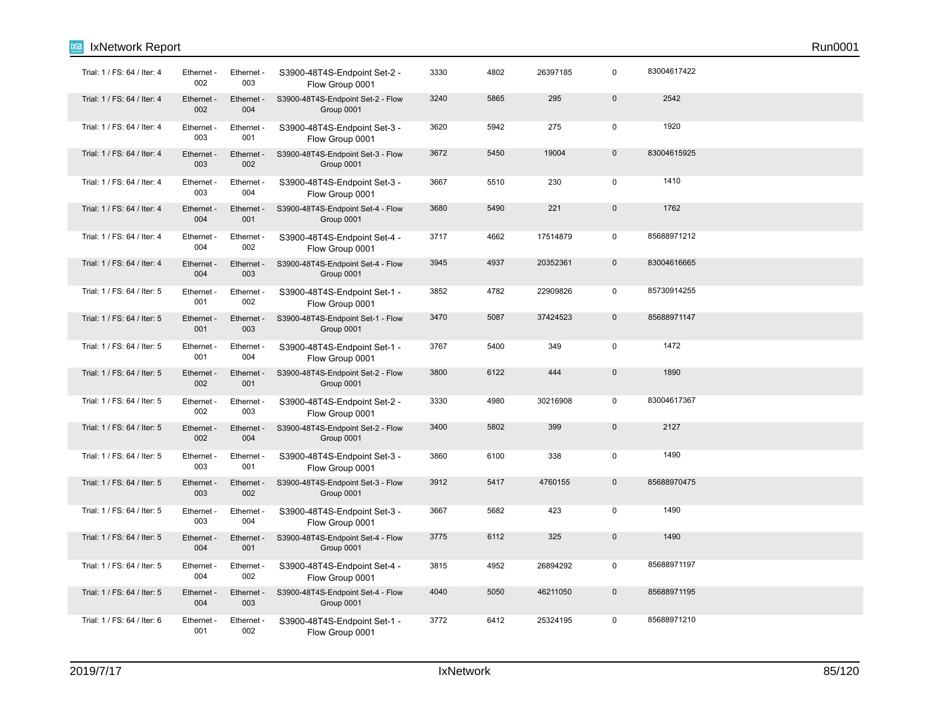| Trial: 1 / FS: 64 / Iter: 4 | Ethernet -<br>002 | Ethernet -<br>003 | S3900-48T4S-Endpoint Set-2 -<br>Flow Group 0001 | 3330 | 4802 | 26397185 | 0            | 83004617422 |  |
|-----------------------------|-------------------|-------------------|-------------------------------------------------|------|------|----------|--------------|-------------|--|
| Trial: 1 / FS: 64 / Iter: 4 | Ethernet -<br>002 | Ethernet -<br>004 | S3900-48T4S-Endpoint Set-2 - Flow<br>Group 0001 | 3240 | 5865 | 295      | $\mathbf 0$  | 2542        |  |
| Trial: 1 / FS: 64 / Iter: 4 | Ethernet -<br>003 | Ethernet -<br>001 | S3900-48T4S-Endpoint Set-3 -<br>Flow Group 0001 | 3620 | 5942 | 275      | $\mathbf 0$  | 1920        |  |
| Trial: 1 / FS: 64 / Iter: 4 | Ethernet<br>003   | Ethernet -<br>002 | S3900-48T4S-Endpoint Set-3 - Flow<br>Group 0001 | 3672 | 5450 | 19004    | $\mathbf 0$  | 83004615925 |  |
| Trial: 1 / FS: 64 / Iter: 4 | Ethernet -<br>003 | Ethernet -<br>004 | S3900-48T4S-Endpoint Set-3 -<br>Flow Group 0001 | 3667 | 5510 | 230      | $\mathbf 0$  | 1410        |  |
| Trial: 1 / FS: 64 / Iter: 4 | Ethernet -<br>004 | Ethernet -<br>001 | S3900-48T4S-Endpoint Set-4 - Flow<br>Group 0001 | 3680 | 5490 | 221      | $\pmb{0}$    | 1762        |  |
| Trial: 1 / FS: 64 / Iter: 4 | Ethernet -<br>004 | Ethernet -<br>002 | S3900-48T4S-Endpoint Set-4 -<br>Flow Group 0001 | 3717 | 4662 | 17514879 | $\pmb{0}$    | 85688971212 |  |
| Trial: 1 / FS: 64 / Iter: 4 | Ethernet -<br>004 | Ethernet -<br>003 | S3900-48T4S-Endpoint Set-4 - Flow<br>Group 0001 | 3945 | 4937 | 20352361 | $\mathsf{O}$ | 83004616665 |  |
| Trial: 1 / FS: 64 / Iter: 5 | Ethernet -<br>001 | Ethernet -<br>002 | S3900-48T4S-Endpoint Set-1 -<br>Flow Group 0001 | 3852 | 4782 | 22909826 | $\pmb{0}$    | 85730914255 |  |
| Trial: 1 / FS: 64 / Iter: 5 | Ethernet -<br>001 | Ethernet -<br>003 | S3900-48T4S-Endpoint Set-1 - Flow<br>Group 0001 | 3470 | 5087 | 37424523 | $\mathbf 0$  | 85688971147 |  |
| Trial: 1 / FS: 64 / Iter: 5 | Ethernet -<br>001 | Ethernet -<br>004 | S3900-48T4S-Endpoint Set-1 -<br>Flow Group 0001 | 3767 | 5400 | 349      | $\mathbf 0$  | 1472        |  |
| Trial: 1 / FS: 64 / Iter: 5 | Ethernet -<br>002 | Ethernet -<br>001 | S3900-48T4S-Endpoint Set-2 - Flow<br>Group 0001 | 3800 | 6122 | 444      | $\pmb{0}$    | 1890        |  |
| Trial: 1 / FS: 64 / Iter: 5 | Ethernet -<br>002 | Ethernet -<br>003 | S3900-48T4S-Endpoint Set-2 -<br>Flow Group 0001 | 3330 | 4980 | 30216908 | $\pmb{0}$    | 83004617367 |  |
| Trial: 1 / FS: 64 / Iter: 5 | Ethernet -<br>002 | Ethernet -<br>004 | S3900-48T4S-Endpoint Set-2 - Flow<br>Group 0001 | 3400 | 5802 | 399      | $\mathbf{0}$ | 2127        |  |
| Trial: 1 / FS: 64 / Iter: 5 | Ethernet -<br>003 | Ethernet -<br>001 | S3900-48T4S-Endpoint Set-3 -<br>Flow Group 0001 | 3860 | 6100 | 338      | $\mathbf 0$  | 1490        |  |
| Trial: 1 / FS: 64 / Iter: 5 | Ethernet -<br>003 | Ethernet -<br>002 | S3900-48T4S-Endpoint Set-3 - Flow<br>Group 0001 | 3912 | 5417 | 4760155  | $\mathbf{0}$ | 85688970475 |  |
| Trial: 1 / FS: 64 / Iter: 5 | Ethernet -<br>003 | Ethernet -<br>004 | S3900-48T4S-Endpoint Set-3 -<br>Flow Group 0001 | 3667 | 5682 | 423      | $\mathbf 0$  | 1490        |  |
| Trial: 1 / FS: 64 / Iter: 5 | Ethernet -<br>004 | Ethernet -<br>001 | S3900-48T4S-Endpoint Set-4 - Flow<br>Group 0001 | 3775 | 6112 | 325      | $\mathbf 0$  | 1490        |  |
| Trial: 1 / FS: 64 / Iter: 5 | Ethernet -<br>004 | Ethernet -<br>002 | S3900-48T4S-Endpoint Set-4 -<br>Flow Group 0001 | 3815 | 4952 | 26894292 | $\pmb{0}$    | 85688971197 |  |
| Trial: 1 / FS: 64 / Iter: 5 | Ethernet -<br>004 | Ethernet -<br>003 | S3900-48T4S-Endpoint Set-4 - Flow<br>Group 0001 | 4040 | 5050 | 46211050 | $\mathbf{0}$ | 85688971195 |  |
| Trial: 1 / FS: 64 / Iter: 6 | Ethernet -<br>001 | Ethernet -<br>002 | S3900-48T4S-Endpoint Set-1 -<br>Flow Group 0001 | 3772 | 6412 | 25324195 | $\mathbf 0$  | 85688971210 |  |

# **Ixia** IxNetwork Report Run0001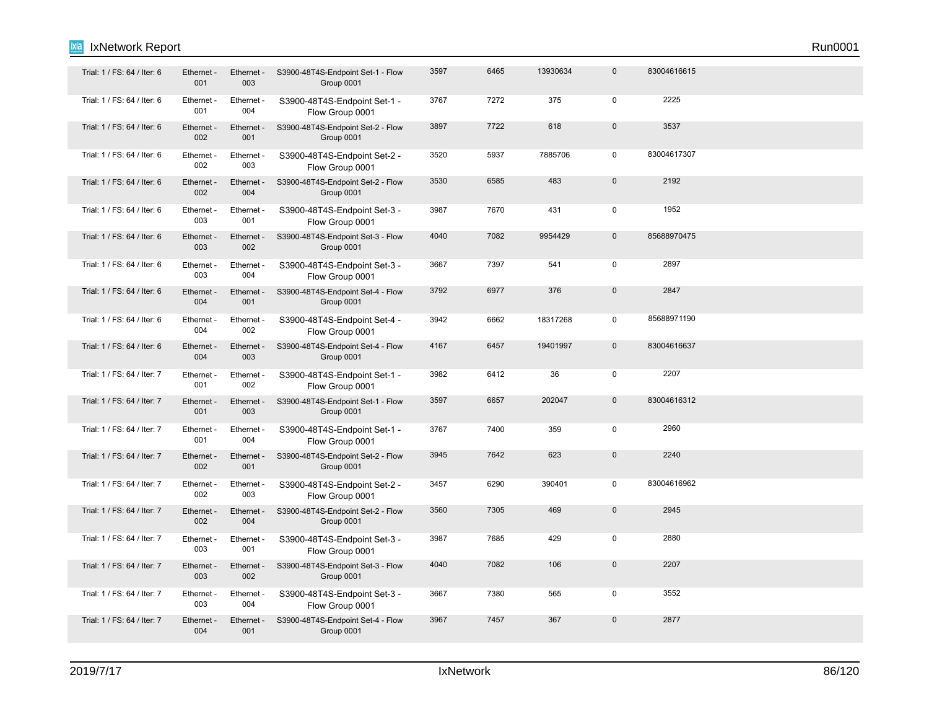| Trial: 1 / FS: 64 / Iter: 6 | Ethernet -<br>001 | Ethernet -<br>003 | S3900-48T4S-Endpoint Set-1 - Flow<br>Group 0001 | 3597 | 6465 | 13930634 | $\mathbf 0$  | 83004616615 |  |  |
|-----------------------------|-------------------|-------------------|-------------------------------------------------|------|------|----------|--------------|-------------|--|--|
| Trial: 1 / FS: 64 / Iter: 6 | Ethernet -<br>001 | Ethernet -<br>004 | S3900-48T4S-Endpoint Set-1 -<br>Flow Group 0001 | 3767 | 7272 | 375      | $\mathbf 0$  | 2225        |  |  |
| Trial: 1 / FS: 64 / Iter: 6 | Ethernet -<br>002 | Ethernet -<br>001 | S3900-48T4S-Endpoint Set-2 - Flow<br>Group 0001 | 3897 | 7722 | 618      | $\mathbf 0$  | 3537        |  |  |
| Trial: 1 / FS: 64 / Iter: 6 | Ethernet -<br>002 | Ethernet -<br>003 | S3900-48T4S-Endpoint Set-2 -<br>Flow Group 0001 | 3520 | 5937 | 7885706  | $\mathbf 0$  | 83004617307 |  |  |
| Trial: 1 / FS: 64 / Iter: 6 | Ethernet -<br>002 | Ethernet -<br>004 | S3900-48T4S-Endpoint Set-2 - Flow<br>Group 0001 | 3530 | 6585 | 483      | $\mathbf{0}$ | 2192        |  |  |
| Trial: 1 / FS: 64 / Iter: 6 | Ethernet -<br>003 | Ethernet -<br>001 | S3900-48T4S-Endpoint Set-3 -<br>Flow Group 0001 | 3987 | 7670 | 431      | $\mathbf 0$  | 1952        |  |  |
| Trial: 1 / FS: 64 / Iter: 6 | Ethernet -<br>003 | Ethernet -<br>002 | S3900-48T4S-Endpoint Set-3 - Flow<br>Group 0001 | 4040 | 7082 | 9954429  | $\mathbf 0$  | 85688970475 |  |  |
| Trial: 1 / FS: 64 / Iter: 6 | Ethernet -<br>003 | Ethernet -<br>004 | S3900-48T4S-Endpoint Set-3 -<br>Flow Group 0001 | 3667 | 7397 | 541      | $\mathbf 0$  | 2897        |  |  |
| Trial: 1 / FS: 64 / Iter: 6 | Ethernet -<br>004 | Ethernet -<br>001 | S3900-48T4S-Endpoint Set-4 - Flow<br>Group 0001 | 3792 | 6977 | 376      | $\mathbf 0$  | 2847        |  |  |
| Trial: 1 / FS: 64 / Iter: 6 | Ethernet -<br>004 | Ethernet -<br>002 | S3900-48T4S-Endpoint Set-4 -<br>Flow Group 0001 | 3942 | 6662 | 18317268 | $\mathbf 0$  | 85688971190 |  |  |
| Trial: 1 / FS: 64 / Iter: 6 | Ethernet -<br>004 | Ethernet -<br>003 | S3900-48T4S-Endpoint Set-4 - Flow<br>Group 0001 | 4167 | 6457 | 19401997 | $\mathbf 0$  | 83004616637 |  |  |
| Trial: 1 / FS: 64 / Iter: 7 | Ethernet -<br>001 | Ethernet -<br>002 | S3900-48T4S-Endpoint Set-1 -<br>Flow Group 0001 | 3982 | 6412 | 36       | $\mathsf 0$  | 2207        |  |  |
| Trial: 1 / FS: 64 / Iter: 7 | Ethernet -<br>001 | Ethernet -<br>003 | S3900-48T4S-Endpoint Set-1 - Flow<br>Group 0001 | 3597 | 6657 | 202047   | $\mathbf 0$  | 83004616312 |  |  |
| Trial: 1 / FS: 64 / Iter: 7 | Ethernet -<br>001 | Ethernet -<br>004 | S3900-48T4S-Endpoint Set-1 -<br>Flow Group 0001 | 3767 | 7400 | 359      | $\mathbf 0$  | 2960        |  |  |
| Trial: 1 / FS: 64 / Iter: 7 | Ethernet -<br>002 | Ethernet -<br>001 | S3900-48T4S-Endpoint Set-2 - Flow<br>Group 0001 | 3945 | 7642 | 623      | $\mathbf 0$  | 2240        |  |  |
| Trial: 1 / FS: 64 / Iter: 7 | Ethernet -<br>002 | Ethernet -<br>003 | S3900-48T4S-Endpoint Set-2 -<br>Flow Group 0001 | 3457 | 6290 | 390401   | $\mathbf 0$  | 83004616962 |  |  |
| Trial: 1 / FS: 64 / Iter: 7 | Ethernet -<br>002 | Ethernet -<br>004 | S3900-48T4S-Endpoint Set-2 - Flow<br>Group 0001 | 3560 | 7305 | 469      | $\mathbf 0$  | 2945        |  |  |
| Trial: 1 / FS: 64 / Iter: 7 | Ethernet -<br>003 | Ethernet -<br>001 | S3900-48T4S-Endpoint Set-3 -<br>Flow Group 0001 | 3987 | 7685 | 429      | $\mathsf 0$  | 2880        |  |  |
| Trial: 1 / FS: 64 / Iter: 7 | Ethernet -<br>003 | Ethernet -<br>002 | S3900-48T4S-Endpoint Set-3 - Flow<br>Group 0001 | 4040 | 7082 | 106      | $\mathbf 0$  | 2207        |  |  |
| Trial: 1 / FS: 64 / Iter: 7 | Ethernet -<br>003 | Ethernet -<br>004 | S3900-48T4S-Endpoint Set-3 -<br>Flow Group 0001 | 3667 | 7380 | 565      | $\mathbf 0$  | 3552        |  |  |
| Trial: 1 / FS: 64 / Iter: 7 | Ethernet -<br>004 | Ethernet -<br>001 | S3900-48T4S-Endpoint Set-4 - Flow<br>Group 0001 | 3967 | 7457 | 367      | $\mathbf 0$  | 2877        |  |  |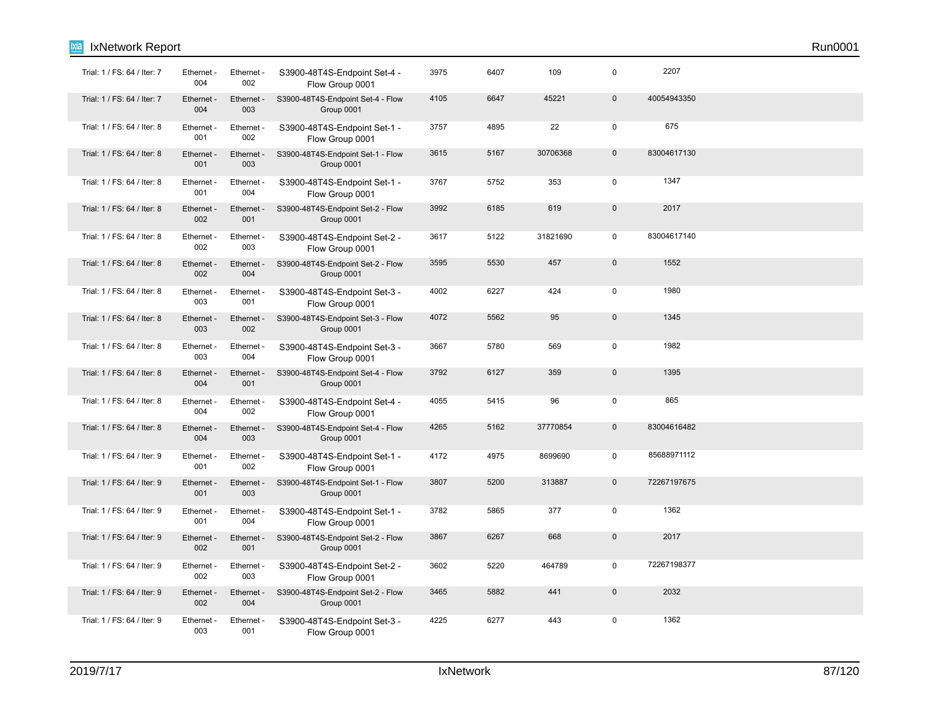| ixia<br>IxNetwork Report    |                   |                   |                                                 |      |      |          |              |             | Run0001 |
|-----------------------------|-------------------|-------------------|-------------------------------------------------|------|------|----------|--------------|-------------|---------|
| Trial: 1 / FS: 64 / Iter: 7 | Ethernet -<br>004 | Ethernet -<br>002 | S3900-48T4S-Endpoint Set-4 -<br>Flow Group 0001 | 3975 | 6407 | 109      | 0            | 2207        |         |
| Trial: 1 / FS: 64 / Iter: 7 | Ethernet -<br>004 | Ethernet -<br>003 | S3900-48T4S-Endpoint Set-4 - Flow<br>Group 0001 | 4105 | 6647 | 45221    | $\mathsf 0$  | 40054943350 |         |
| Trial: 1 / FS: 64 / Iter: 8 | Ethernet -<br>001 | Ethernet -<br>002 | S3900-48T4S-Endpoint Set-1 -<br>Flow Group 0001 | 3757 | 4895 | 22       | $\mathbf 0$  | 675         |         |
| Trial: 1 / FS: 64 / Iter: 8 | Ethernet -<br>001 | Ethernet -<br>003 | S3900-48T4S-Endpoint Set-1 - Flow<br>Group 0001 | 3615 | 5167 | 30706368 | $\pmb{0}$    | 83004617130 |         |
| Trial: 1 / FS: 64 / Iter: 8 | Ethernet -<br>001 | Ethernet -<br>004 | S3900-48T4S-Endpoint Set-1 -<br>Flow Group 0001 | 3767 | 5752 | 353      | 0            | 1347        |         |
| Trial: 1 / FS: 64 / Iter: 8 | Ethernet -<br>002 | Ethernet -<br>001 | S3900-48T4S-Endpoint Set-2 - Flow<br>Group 0001 | 3992 | 6185 | 619      | $\mathbf{0}$ | 2017        |         |
| Trial: 1 / FS: 64 / Iter: 8 | Ethernet -<br>002 | Ethernet -<br>003 | S3900-48T4S-Endpoint Set-2 -<br>Flow Group 0001 | 3617 | 5122 | 31821690 | $\mathbf 0$  | 83004617140 |         |
| Trial: 1 / FS: 64 / Iter: 8 | Ethernet -<br>002 | Ethernet -<br>004 | S3900-48T4S-Endpoint Set-2 - Flow<br>Group 0001 | 3595 | 5530 | 457      | $\pmb{0}$    | 1552        |         |
| Trial: 1 / FS: 64 / Iter: 8 | Ethernet -<br>003 | Ethernet -<br>001 | S3900-48T4S-Endpoint Set-3 -<br>Flow Group 0001 | 4002 | 6227 | 424      | 0            | 1980        |         |
| Trial: 1 / FS: 64 / Iter: 8 | Ethernet -<br>003 | Ethernet -<br>002 | S3900-48T4S-Endpoint Set-3 - Flow<br>Group 0001 | 4072 | 5562 | 95       | $\pmb{0}$    | 1345        |         |
| Trial: 1 / FS: 64 / Iter: 8 | Ethernet<br>003   | Ethernet -<br>004 | S3900-48T4S-Endpoint Set-3 -<br>Flow Group 0001 | 3667 | 5780 | 569      | 0            | 1982        |         |
| Trial: 1 / FS: 64 / Iter: 8 | Ethernet -<br>004 | Ethernet -<br>001 | S3900-48T4S-Endpoint Set-4 - Flow<br>Group 0001 | 3792 | 6127 | 359      | $\pmb{0}$    | 1395        |         |
| Trial: 1 / FS: 64 / Iter: 8 | Ethernet -<br>004 | Ethernet -<br>002 | S3900-48T4S-Endpoint Set-4 -<br>Flow Group 0001 | 4055 | 5415 | 96       | 0            | 865         |         |
| Trial: 1 / FS: 64 / Iter: 8 | Ethernet -<br>004 | Ethernet -<br>003 | S3900-48T4S-Endpoint Set-4 - Flow<br>Group 0001 | 4265 | 5162 | 37770854 | $\mathbf 0$  | 83004616482 |         |
| Trial: 1 / FS: 64 / Iter: 9 | Ethernet -<br>001 | Ethernet -<br>002 | S3900-48T4S-Endpoint Set-1 -<br>Flow Group 0001 | 4172 | 4975 | 8699690  | 0            | 85688971112 |         |
| Trial: 1 / FS: 64 / Iter: 9 | Ethernet -<br>001 | Ethernet -<br>003 | S3900-48T4S-Endpoint Set-1 - Flow<br>Group 0001 | 3807 | 5200 | 313887   | $\pmb{0}$    | 72267197675 |         |
| Trial: 1 / FS: 64 / Iter: 9 | Ethernet -<br>001 | Ethernet -<br>004 | S3900-48T4S-Endpoint Set-1 -<br>Flow Group 0001 | 3782 | 5865 | 377      | $\pmb{0}$    | 1362        |         |
| Trial: 1 / FS: 64 / Iter: 9 | Ethernet -<br>002 | Ethernet -<br>001 | S3900-48T4S-Endpoint Set-2 - Flow<br>Group 0001 | 3867 | 6267 | 668      | $\pmb{0}$    | 2017        |         |
| Trial: 1 / FS: 64 / Iter: 9 | Ethernet -<br>002 | Ethernet -<br>003 | S3900-48T4S-Endpoint Set-2 -<br>Flow Group 0001 | 3602 | 5220 | 464789   | $\mathbf 0$  | 72267198377 |         |
| Trial: 1 / FS: 64 / Iter: 9 | Ethernet -<br>002 | Ethernet -<br>004 | S3900-48T4S-Endpoint Set-2 - Flow<br>Group 0001 | 3465 | 5882 | 441      | $\mathsf 0$  | 2032        |         |
| Trial: 1 / FS: 64 / Iter: 9 | Ethernet -<br>003 | Ethernet -<br>001 | S3900-48T4S-Endpoint Set-3 -<br>Flow Group 0001 | 4225 | 6277 | 443      | 0            | 1362        |         |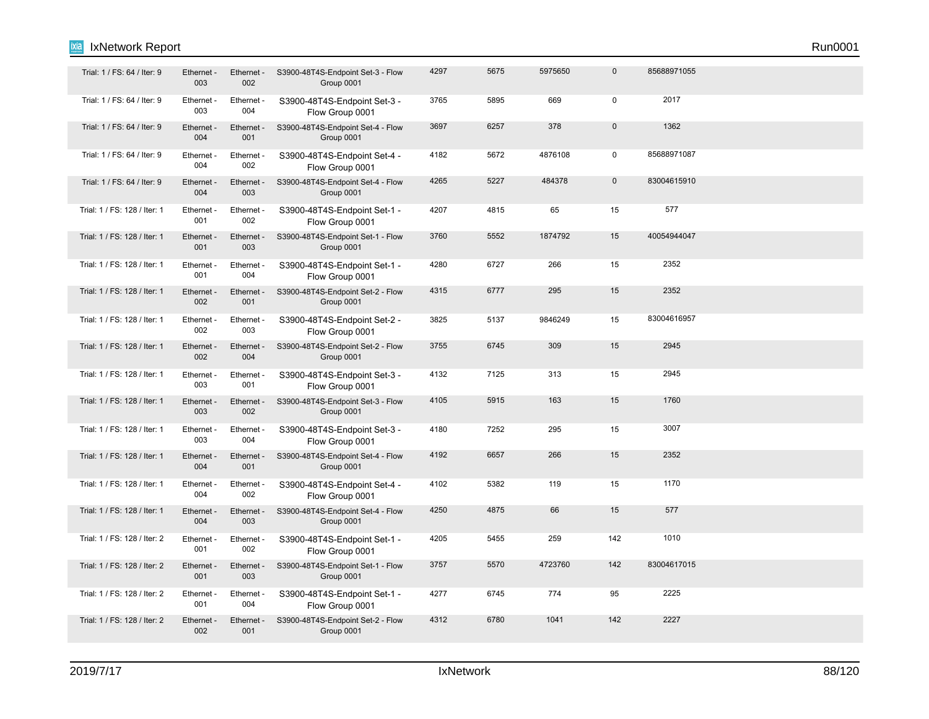| Trial: 1 / FS: 64 / Iter: 9  | Ethernet -<br>003 | Ethernet -<br>002 | S3900-48T4S-Endpoint Set-3 - Flow<br>Group 0001 | 4297 | 5675 | 5975650 | $\mathbf 0$ | 85688971055 |  |  |
|------------------------------|-------------------|-------------------|-------------------------------------------------|------|------|---------|-------------|-------------|--|--|
| Trial: 1 / FS: 64 / Iter: 9  | Ethernet -<br>003 | Ethernet -<br>004 | S3900-48T4S-Endpoint Set-3 -<br>Flow Group 0001 | 3765 | 5895 | 669     | $\mathbf 0$ | 2017        |  |  |
| Trial: 1 / FS: 64 / Iter: 9  | Ethernet -<br>004 | Ethernet -<br>001 | S3900-48T4S-Endpoint Set-4 - Flow<br>Group 0001 | 3697 | 6257 | 378     | $\mathbf 0$ | 1362        |  |  |
| Trial: 1 / FS: 64 / Iter: 9  | Ethernet -<br>004 | Ethernet -<br>002 | S3900-48T4S-Endpoint Set-4 -<br>Flow Group 0001 | 4182 | 5672 | 4876108 | $\mathsf 0$ | 85688971087 |  |  |
| Trial: 1 / FS: 64 / Iter: 9  | Ethernet -<br>004 | Ethernet -<br>003 | S3900-48T4S-Endpoint Set-4 - Flow<br>Group 0001 | 4265 | 5227 | 484378  | $\mathbf 0$ | 83004615910 |  |  |
| Trial: 1 / FS: 128 / Iter: 1 | Ethernet -<br>001 | Ethernet -<br>002 | S3900-48T4S-Endpoint Set-1 -<br>Flow Group 0001 | 4207 | 4815 | 65      | 15          | 577         |  |  |
| Trial: 1 / FS: 128 / Iter: 1 | Ethernet -<br>001 | Ethernet<br>003   | S3900-48T4S-Endpoint Set-1 - Flow<br>Group 0001 | 3760 | 5552 | 1874792 | 15          | 40054944047 |  |  |
| Trial: 1 / FS: 128 / Iter: 1 | Ethernet -<br>001 | Ethernet -<br>004 | S3900-48T4S-Endpoint Set-1 -<br>Flow Group 0001 | 4280 | 6727 | 266     | 15          | 2352        |  |  |
| Trial: 1 / FS: 128 / Iter: 1 | Ethernet -<br>002 | Ethernet -<br>001 | S3900-48T4S-Endpoint Set-2 - Flow<br>Group 0001 | 4315 | 6777 | 295     | 15          | 2352        |  |  |
| Trial: 1 / FS: 128 / Iter: 1 | Ethernet -<br>002 | Ethernet -<br>003 | S3900-48T4S-Endpoint Set-2 -<br>Flow Group 0001 | 3825 | 5137 | 9846249 | 15          | 83004616957 |  |  |
| Trial: 1 / FS: 128 / Iter: 1 | Ethernet -<br>002 | Ethernet -<br>004 | S3900-48T4S-Endpoint Set-2 - Flow<br>Group 0001 | 3755 | 6745 | 309     | 15          | 2945        |  |  |
| Trial: 1 / FS: 128 / Iter: 1 | Ethernet<br>003   | Ethernet -<br>001 | S3900-48T4S-Endpoint Set-3 -<br>Flow Group 0001 | 4132 | 7125 | 313     | 15          | 2945        |  |  |
| Trial: 1 / FS: 128 / Iter: 1 | Ethernet<br>003   | Ethernet -<br>002 | S3900-48T4S-Endpoint Set-3 - Flow<br>Group 0001 | 4105 | 5915 | 163     | 15          | 1760        |  |  |
| Trial: 1 / FS: 128 / Iter: 1 | Ethernet -<br>003 | Ethernet -<br>004 | S3900-48T4S-Endpoint Set-3 -<br>Flow Group 0001 | 4180 | 7252 | 295     | 15          | 3007        |  |  |
| Trial: 1 / FS: 128 / Iter: 1 | Ethernet -<br>004 | Ethernet -<br>001 | S3900-48T4S-Endpoint Set-4 - Flow<br>Group 0001 | 4192 | 6657 | 266     | 15          | 2352        |  |  |
| Trial: 1 / FS: 128 / Iter: 1 | Ethernet -<br>004 | Ethernet -<br>002 | S3900-48T4S-Endpoint Set-4 -<br>Flow Group 0001 | 4102 | 5382 | 119     | 15          | 1170        |  |  |
| Trial: 1 / FS: 128 / Iter: 1 | Ethernet -<br>004 | Ethernet -<br>003 | S3900-48T4S-Endpoint Set-4 - Flow<br>Group 0001 | 4250 | 4875 | 66      | 15          | 577         |  |  |
| Trial: 1 / FS: 128 / Iter: 2 | Ethernet -<br>001 | Ethernet -<br>002 | S3900-48T4S-Endpoint Set-1 -<br>Flow Group 0001 | 4205 | 5455 | 259     | 142         | 1010        |  |  |
| Trial: 1 / FS: 128 / Iter: 2 | Ethernet -<br>001 | Ethernet -<br>003 | S3900-48T4S-Endpoint Set-1 - Flow<br>Group 0001 | 3757 | 5570 | 4723760 | 142         | 83004617015 |  |  |
| Trial: 1 / FS: 128 / Iter: 2 | Ethernet -<br>001 | Ethernet -<br>004 | S3900-48T4S-Endpoint Set-1 -<br>Flow Group 0001 | 4277 | 6745 | 774     | 95          | 2225        |  |  |
| Trial: 1 / FS: 128 / Iter: 2 | Ethernet -<br>002 | Ethernet -<br>001 | S3900-48T4S-Endpoint Set-2 - Flow<br>Group 0001 | 4312 | 6780 | 1041    | 142         | 2227        |  |  |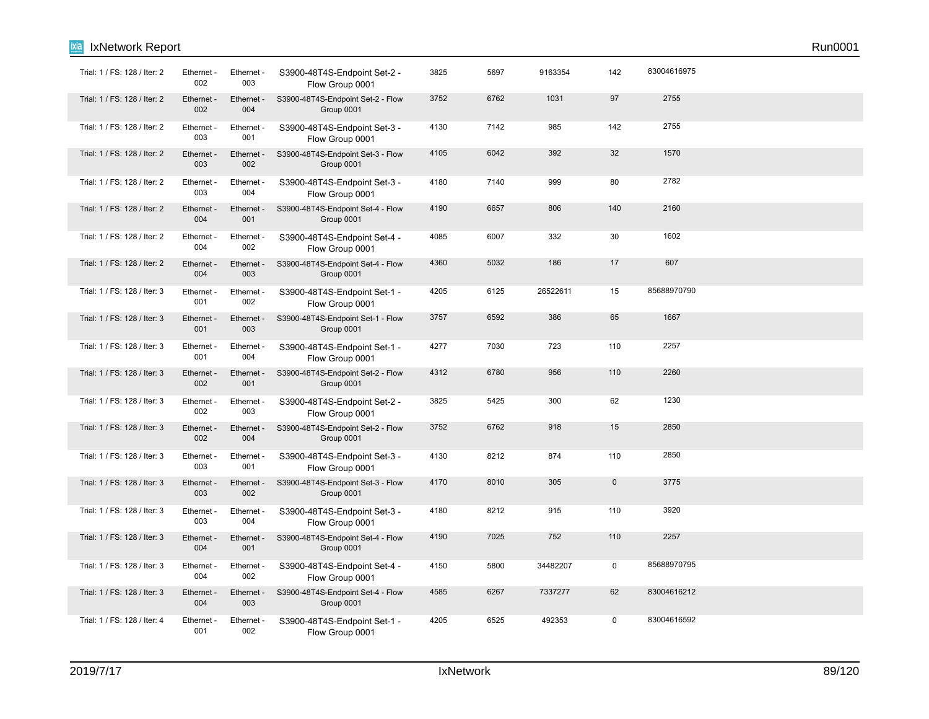| Trial: 1 / FS: 128 / Iter: 2 | Ethernet -<br>002 | Ethernet -<br>003 | S3900-48T4S-Endpoint Set-2 -<br>Flow Group 0001 | 3825 | 5697 | 9163354  | 142         | 83004616975 |  |
|------------------------------|-------------------|-------------------|-------------------------------------------------|------|------|----------|-------------|-------------|--|
| Trial: 1 / FS: 128 / Iter: 2 | Ethernet -<br>002 | Ethernet -<br>004 | S3900-48T4S-Endpoint Set-2 - Flow<br>Group 0001 | 3752 | 6762 | 1031     | 97          | 2755        |  |
| Trial: 1 / FS: 128 / Iter: 2 | Ethernet -<br>003 | Ethernet -<br>001 | S3900-48T4S-Endpoint Set-3 -<br>Flow Group 0001 | 4130 | 7142 | 985      | 142         | 2755        |  |
| Trial: 1 / FS: 128 / Iter: 2 | Ethernet -<br>003 | Ethernet<br>002   | S3900-48T4S-Endpoint Set-3 - Flow<br>Group 0001 | 4105 | 6042 | 392      | 32          | 1570        |  |
| Trial: 1 / FS: 128 / Iter: 2 | Ethernet -<br>003 | Ethernet -<br>004 | S3900-48T4S-Endpoint Set-3 -<br>Flow Group 0001 | 4180 | 7140 | 999      | 80          | 2782        |  |
| Trial: 1 / FS: 128 / Iter: 2 | Ethernet -<br>004 | Ethernet -<br>001 | S3900-48T4S-Endpoint Set-4 - Flow<br>Group 0001 | 4190 | 6657 | 806      | 140         | 2160        |  |
| Trial: 1 / FS: 128 / Iter: 2 | Ethernet -<br>004 | Ethernet -<br>002 | S3900-48T4S-Endpoint Set-4 -<br>Flow Group 0001 | 4085 | 6007 | 332      | 30          | 1602        |  |
| Trial: 1 / FS: 128 / Iter: 2 | Ethernet -<br>004 | Ethernet -<br>003 | S3900-48T4S-Endpoint Set-4 - Flow<br>Group 0001 | 4360 | 5032 | 186      | 17          | 607         |  |
| Trial: 1 / FS: 128 / Iter: 3 | Ethernet -<br>001 | Ethernet -<br>002 | S3900-48T4S-Endpoint Set-1 -<br>Flow Group 0001 | 4205 | 6125 | 26522611 | 15          | 85688970790 |  |
| Trial: 1 / FS: 128 / Iter: 3 | Ethernet -<br>001 | Ethernet -<br>003 | S3900-48T4S-Endpoint Set-1 - Flow<br>Group 0001 | 3757 | 6592 | 386      | 65          | 1667        |  |
| Trial: 1 / FS: 128 / Iter: 3 | Ethernet -<br>001 | Ethernet -<br>004 | S3900-48T4S-Endpoint Set-1 -<br>Flow Group 0001 | 4277 | 7030 | 723      | 110         | 2257        |  |
| Trial: 1 / FS: 128 / Iter: 3 | Ethernet -<br>002 | Ethernet -<br>001 | S3900-48T4S-Endpoint Set-2 - Flow<br>Group 0001 | 4312 | 6780 | 956      | 110         | 2260        |  |
| Trial: 1 / FS: 128 / Iter: 3 | Ethernet -<br>002 | Ethernet -<br>003 | S3900-48T4S-Endpoint Set-2 -<br>Flow Group 0001 | 3825 | 5425 | 300      | 62          | 1230        |  |
| Trial: 1 / FS: 128 / Iter: 3 | Ethernet -<br>002 | Ethernet -<br>004 | S3900-48T4S-Endpoint Set-2 - Flow<br>Group 0001 | 3752 | 6762 | 918      | 15          | 2850        |  |
| Trial: 1 / FS: 128 / Iter: 3 | Ethernet -<br>003 | Ethernet -<br>001 | S3900-48T4S-Endpoint Set-3 -<br>Flow Group 0001 | 4130 | 8212 | 874      | 110         | 2850        |  |
| Trial: 1 / FS: 128 / Iter: 3 | Ethernet -<br>003 | Ethernet -<br>002 | S3900-48T4S-Endpoint Set-3 - Flow<br>Group 0001 | 4170 | 8010 | 305      | $\mathbf 0$ | 3775        |  |
| Trial: 1 / FS: 128 / Iter: 3 | Ethernet<br>003   | Ethernet -<br>004 | S3900-48T4S-Endpoint Set-3 -<br>Flow Group 0001 | 4180 | 8212 | 915      | 110         | 3920        |  |
| Trial: 1 / FS: 128 / Iter: 3 | Ethernet -<br>004 | Ethernet -<br>001 | S3900-48T4S-Endpoint Set-4 - Flow<br>Group 0001 | 4190 | 7025 | 752      | 110         | 2257        |  |
| Trial: 1 / FS: 128 / Iter: 3 | Ethernet -<br>004 | Ethernet<br>002   | S3900-48T4S-Endpoint Set-4 -<br>Flow Group 0001 | 4150 | 5800 | 34482207 | $\mathsf 0$ | 85688970795 |  |
| Trial: 1 / FS: 128 / Iter: 3 | Ethernet -<br>004 | Ethernet -<br>003 | S3900-48T4S-Endpoint Set-4 - Flow<br>Group 0001 | 4585 | 6267 | 7337277  | 62          | 83004616212 |  |
| Trial: 1 / FS: 128 / Iter: 4 | Ethernet -<br>001 | Ethernet -<br>002 | S3900-48T4S-Endpoint Set-1 -<br>Flow Group 0001 | 4205 | 6525 | 492353   | $\mathbf 0$ | 83004616592 |  |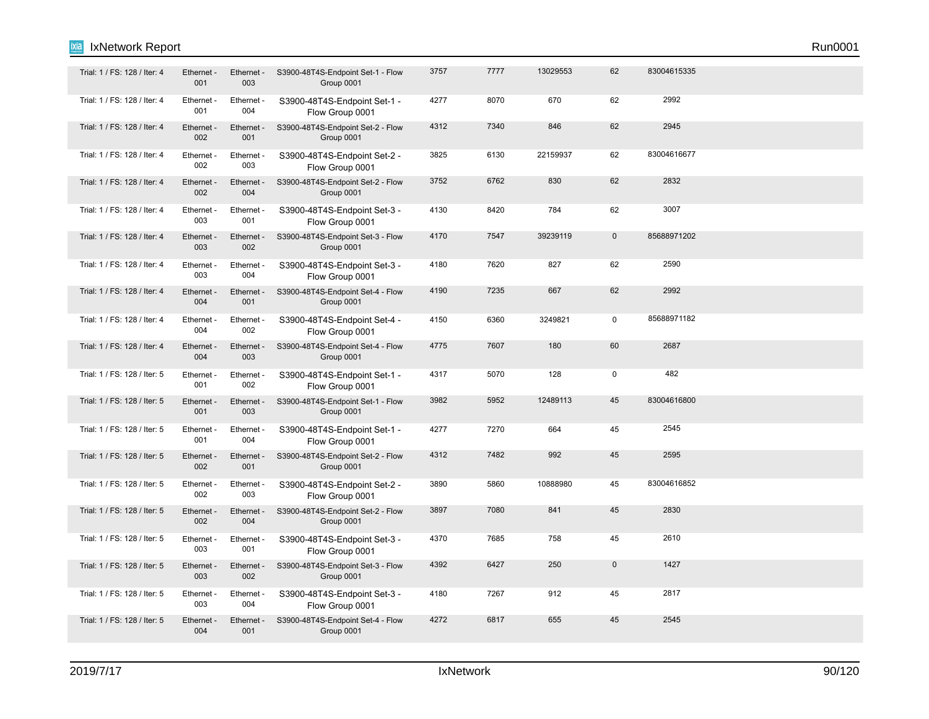| Trial: 1 / FS: 128 / Iter: 4 | Ethernet -<br>001 | Ethernet -<br>003 | S3900-48T4S-Endpoint Set-1 - Flow<br>Group 0001 | 3757 | 7777 | 13029553 | 62           | 83004615335 |  |
|------------------------------|-------------------|-------------------|-------------------------------------------------|------|------|----------|--------------|-------------|--|
| Trial: 1 / FS: 128 / Iter: 4 | Ethernet -<br>001 | Ethernet -<br>004 | S3900-48T4S-Endpoint Set-1 -<br>Flow Group 0001 | 4277 | 8070 | 670      | 62           | 2992        |  |
| Trial: 1 / FS: 128 / Iter: 4 | Ethernet -<br>002 | Ethernet -<br>001 | S3900-48T4S-Endpoint Set-2 - Flow<br>Group 0001 | 4312 | 7340 | 846      | 62           | 2945        |  |
| Trial: 1 / FS: 128 / Iter: 4 | Ethernet -<br>002 | Ethernet -<br>003 | S3900-48T4S-Endpoint Set-2 -<br>Flow Group 0001 | 3825 | 6130 | 22159937 | 62           | 83004616677 |  |
| Trial: 1 / FS: 128 / Iter: 4 | Ethernet -<br>002 | Ethernet -<br>004 | S3900-48T4S-Endpoint Set-2 - Flow<br>Group 0001 | 3752 | 6762 | 830      | 62           | 2832        |  |
| Trial: 1 / FS: 128 / Iter: 4 | Ethernet -<br>003 | Ethernet -<br>001 | S3900-48T4S-Endpoint Set-3 -<br>Flow Group 0001 | 4130 | 8420 | 784      | 62           | 3007        |  |
| Trial: 1 / FS: 128 / Iter: 4 | Ethernet<br>003   | Ethernet -<br>002 | S3900-48T4S-Endpoint Set-3 - Flow<br>Group 0001 | 4170 | 7547 | 39239119 | $\mathbf 0$  | 85688971202 |  |
| Trial: 1 / FS: 128 / Iter: 4 | Ethernet -<br>003 | Ethernet -<br>004 | S3900-48T4S-Endpoint Set-3 -<br>Flow Group 0001 | 4180 | 7620 | 827      | 62           | 2590        |  |
| Trial: 1 / FS: 128 / Iter: 4 | Ethernet -<br>004 | Ethernet -<br>001 | S3900-48T4S-Endpoint Set-4 - Flow<br>Group 0001 | 4190 | 7235 | 667      | 62           | 2992        |  |
| Trial: 1 / FS: 128 / Iter: 4 | Ethernet -<br>004 | Ethernet -<br>002 | S3900-48T4S-Endpoint Set-4 -<br>Flow Group 0001 | 4150 | 6360 | 3249821  | $\mathbf 0$  | 85688971182 |  |
| Trial: 1 / FS: 128 / Iter: 4 | Ethernet -<br>004 | Ethernet -<br>003 | S3900-48T4S-Endpoint Set-4 - Flow<br>Group 0001 | 4775 | 7607 | 180      | 60           | 2687        |  |
| Trial: 1 / FS: 128 / Iter: 5 | Ethernet -<br>001 | Ethernet -<br>002 | S3900-48T4S-Endpoint Set-1 -<br>Flow Group 0001 | 4317 | 5070 | 128      | $\mathbf 0$  | 482         |  |
| Trial: 1 / FS: 128 / Iter: 5 | Ethernet -<br>001 | Ethernet -<br>003 | S3900-48T4S-Endpoint Set-1 - Flow<br>Group 0001 | 3982 | 5952 | 12489113 | 45           | 83004616800 |  |
| Trial: 1 / FS: 128 / Iter: 5 | Ethernet -<br>001 | Ethernet -<br>004 | S3900-48T4S-Endpoint Set-1 -<br>Flow Group 0001 | 4277 | 7270 | 664      | 45           | 2545        |  |
| Trial: 1 / FS: 128 / Iter: 5 | Ethernet -<br>002 | Ethernet -<br>001 | S3900-48T4S-Endpoint Set-2 - Flow<br>Group 0001 | 4312 | 7482 | 992      | 45           | 2595        |  |
| Trial: 1 / FS: 128 / Iter: 5 | Ethernet -<br>002 | Ethernet -<br>003 | S3900-48T4S-Endpoint Set-2 -<br>Flow Group 0001 | 3890 | 5860 | 10888980 | 45           | 83004616852 |  |
| Trial: 1 / FS: 128 / Iter: 5 | Ethernet -<br>002 | Ethernet -<br>004 | S3900-48T4S-Endpoint Set-2 - Flow<br>Group 0001 | 3897 | 7080 | 841      | 45           | 2830        |  |
| Trial: 1 / FS: 128 / Iter: 5 | Ethernet -<br>003 | Ethernet -<br>001 | S3900-48T4S-Endpoint Set-3 -<br>Flow Group 0001 | 4370 | 7685 | 758      | 45           | 2610        |  |
| Trial: 1 / FS: 128 / Iter: 5 | Ethernet -<br>003 | Ethernet -<br>002 | S3900-48T4S-Endpoint Set-3 - Flow<br>Group 0001 | 4392 | 6427 | 250      | $\mathbf{0}$ | 1427        |  |
| Trial: 1 / FS: 128 / Iter: 5 | Ethernet -<br>003 | Ethernet -<br>004 | S3900-48T4S-Endpoint Set-3 -<br>Flow Group 0001 | 4180 | 7267 | 912      | 45           | 2817        |  |
| Trial: 1 / FS: 128 / Iter: 5 | Ethernet -<br>004 | Ethernet -<br>001 | S3900-48T4S-Endpoint Set-4 - Flow<br>Group 0001 | 4272 | 6817 | 655      | 45           | 2545        |  |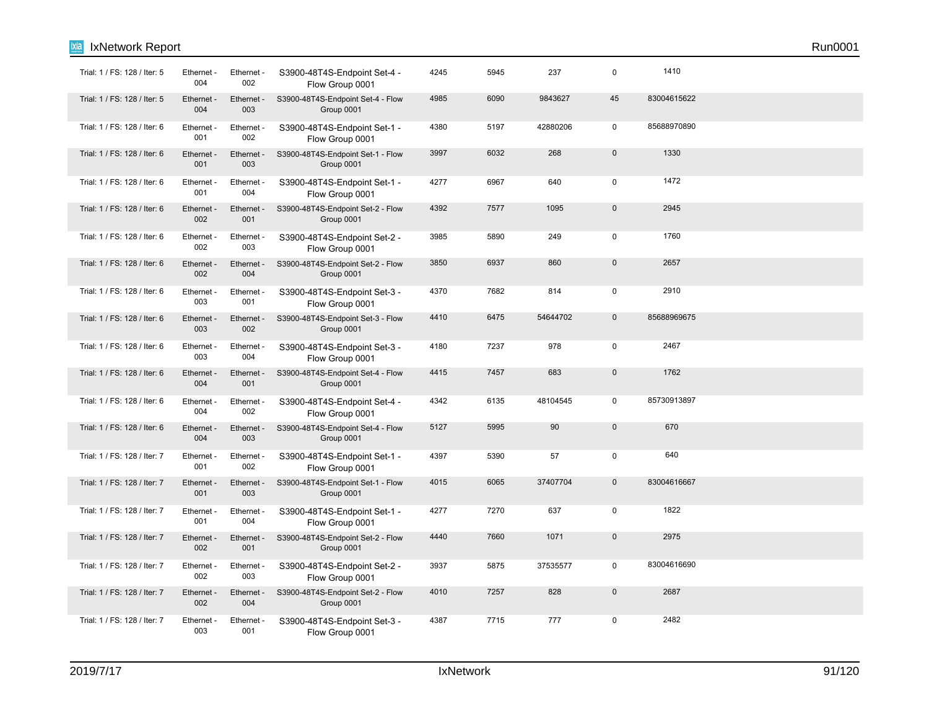| Trial: 1 / FS: 128 / Iter: 5 | Ethernet -<br>004 | Ethernet -<br>002 | S3900-48T4S-Endpoint Set-4 -<br>Flow Group 0001 | 4245 | 5945 | 237      | 0            | 1410        |  |
|------------------------------|-------------------|-------------------|-------------------------------------------------|------|------|----------|--------------|-------------|--|
| Trial: 1 / FS: 128 / Iter: 5 | Ethernet -<br>004 | Ethernet<br>003   | S3900-48T4S-Endpoint Set-4 - Flow<br>Group 0001 | 4985 | 6090 | 9843627  | 45           | 83004615622 |  |
| Trial: 1 / FS: 128 / Iter: 6 | Ethernet -<br>001 | Ethernet -<br>002 | S3900-48T4S-Endpoint Set-1 -<br>Flow Group 0001 | 4380 | 5197 | 42880206 | $\mathbf 0$  | 85688970890 |  |
| Trial: 1 / FS: 128 / Iter: 6 | Ethernet<br>001   | Ethernet<br>003   | S3900-48T4S-Endpoint Set-1 - Flow<br>Group 0001 | 3997 | 6032 | 268      | $\pmb{0}$    | 1330        |  |
| Trial: 1 / FS: 128 / Iter: 6 | Ethernet -<br>001 | Ethernet -<br>004 | S3900-48T4S-Endpoint Set-1 -<br>Flow Group 0001 | 4277 | 6967 | 640      | 0            | 1472        |  |
| Trial: 1 / FS: 128 / Iter: 6 | Ethernet -<br>002 | Ethernet -<br>001 | S3900-48T4S-Endpoint Set-2 - Flow<br>Group 0001 | 4392 | 7577 | 1095     | $\pmb{0}$    | 2945        |  |
| Trial: 1 / FS: 128 / Iter: 6 | Ethernet -<br>002 | Ethernet -<br>003 | S3900-48T4S-Endpoint Set-2 -<br>Flow Group 0001 | 3985 | 5890 | 249      | $\pmb{0}$    | 1760        |  |
| Trial: 1 / FS: 128 / Iter: 6 | Ethernet -<br>002 | Ethernet -<br>004 | S3900-48T4S-Endpoint Set-2 - Flow<br>Group 0001 | 3850 | 6937 | 860      | $\pmb{0}$    | 2657        |  |
| Trial: 1 / FS: 128 / Iter: 6 | Ethernet -<br>003 | Ethernet -<br>001 | S3900-48T4S-Endpoint Set-3 -<br>Flow Group 0001 | 4370 | 7682 | 814      | $\pmb{0}$    | 2910        |  |
| Trial: 1 / FS: 128 / Iter: 6 | Ethernet -<br>003 | Ethernet -<br>002 | S3900-48T4S-Endpoint Set-3 - Flow<br>Group 0001 | 4410 | 6475 | 54644702 | $\mathbf 0$  | 85688969675 |  |
| Trial: 1 / FS: 128 / Iter: 6 | Ethernet -<br>003 | Ethernet -<br>004 | S3900-48T4S-Endpoint Set-3 -<br>Flow Group 0001 | 4180 | 7237 | 978      | 0            | 2467        |  |
| Trial: 1 / FS: 128 / Iter: 6 | Ethernet -<br>004 | Ethernet -<br>001 | S3900-48T4S-Endpoint Set-4 - Flow<br>Group 0001 | 4415 | 7457 | 683      | $\pmb{0}$    | 1762        |  |
| Trial: 1 / FS: 128 / Iter: 6 | Ethernet -<br>004 | Ethernet -<br>002 | S3900-48T4S-Endpoint Set-4 -<br>Flow Group 0001 | 4342 | 6135 | 48104545 | $\mathbf 0$  | 85730913897 |  |
| Trial: 1 / FS: 128 / Iter: 6 | Ethernet -<br>004 | Ethernet -<br>003 | S3900-48T4S-Endpoint Set-4 - Flow<br>Group 0001 | 5127 | 5995 | 90       | $\mathbf{0}$ | 670         |  |
| Trial: 1 / FS: 128 / Iter: 7 | Ethernet -<br>001 | Ethernet -<br>002 | S3900-48T4S-Endpoint Set-1 -<br>Flow Group 0001 | 4397 | 5390 | 57       | $\pmb{0}$    | 640         |  |
| Trial: 1 / FS: 128 / Iter: 7 | Ethernet -<br>001 | Ethernet -<br>003 | S3900-48T4S-Endpoint Set-1 - Flow<br>Group 0001 | 4015 | 6065 | 37407704 | $\mathbf{0}$ | 83004616667 |  |
| Trial: 1 / FS: 128 / Iter: 7 | Ethernet<br>001   | Ethernet -<br>004 | S3900-48T4S-Endpoint Set-1 -<br>Flow Group 0001 | 4277 | 7270 | 637      | $\mathbf 0$  | 1822        |  |
| Trial: 1 / FS: 128 / Iter: 7 | Ethernet<br>002   | Ethernet -<br>001 | S3900-48T4S-Endpoint Set-2 - Flow<br>Group 0001 | 4440 | 7660 | 1071     | $\pmb{0}$    | 2975        |  |
| Trial: 1 / FS: 128 / Iter: 7 | Ethernet -<br>002 | Ethernet<br>003   | S3900-48T4S-Endpoint Set-2 -<br>Flow Group 0001 | 3937 | 5875 | 37535577 | $\pmb{0}$    | 83004616690 |  |
| Trial: 1 / FS: 128 / Iter: 7 | Ethernet -<br>002 | Ethernet -<br>004 | S3900-48T4S-Endpoint Set-2 - Flow<br>Group 0001 | 4010 | 7257 | 828      | $\mathbf{0}$ | 2687        |  |
| Trial: 1 / FS: 128 / Iter: 7 | Ethernet -<br>003 | Ethernet -<br>001 | S3900-48T4S-Endpoint Set-3 -<br>Flow Group 0001 | 4387 | 7715 | 777      | 0            | 2482        |  |

**Ixia** IxNetwork Report Run0001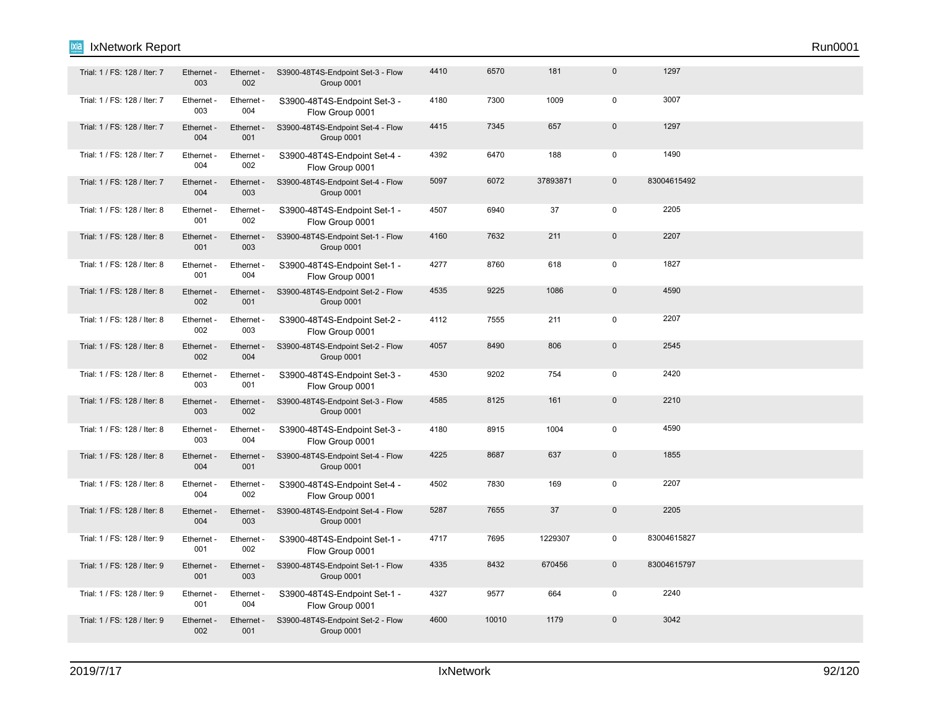| Trial: 1 / FS: 128 / Iter: 7 | Ethernet -<br>003 | Ethernet -<br>002 | S3900-48T4S-Endpoint Set-3 - Flow<br>Group 0001 | 4410 | 6570  | 181      | $\mathbf 0$         | 1297        |  |  |
|------------------------------|-------------------|-------------------|-------------------------------------------------|------|-------|----------|---------------------|-------------|--|--|
| Trial: 1 / FS: 128 / Iter: 7 | Ethernet -<br>003 | Ethernet -<br>004 | S3900-48T4S-Endpoint Set-3 -<br>Flow Group 0001 | 4180 | 7300  | 1009     | $\mathbf 0$         | 3007        |  |  |
| Trial: 1 / FS: 128 / Iter: 7 | Ethernet -<br>004 | Ethernet -<br>001 | S3900-48T4S-Endpoint Set-4 - Flow<br>Group 0001 | 4415 | 7345  | 657      | $\mathbf 0$         | 1297        |  |  |
| Trial: 1 / FS: 128 / Iter: 7 | Ethernet -<br>004 | Ethernet -<br>002 | S3900-48T4S-Endpoint Set-4 -<br>Flow Group 0001 | 4392 | 6470  | 188      | $\mathsf 0$         | 1490        |  |  |
| Trial: 1 / FS: 128 / Iter: 7 | Ethernet -<br>004 | Ethernet -<br>003 | S3900-48T4S-Endpoint Set-4 - Flow<br>Group 0001 | 5097 | 6072  | 37893871 | $\mathbf 0$         | 83004615492 |  |  |
| Trial: 1 / FS: 128 / Iter: 8 | Ethernet -<br>001 | Ethernet -<br>002 | S3900-48T4S-Endpoint Set-1 -<br>Flow Group 0001 | 4507 | 6940  | 37       | $\mathbf 0$         | 2205        |  |  |
| Trial: 1 / FS: 128 / Iter: 8 | Ethernet -<br>001 | Ethernet -<br>003 | S3900-48T4S-Endpoint Set-1 - Flow<br>Group 0001 | 4160 | 7632  | 211      | $\mathbf 0$         | 2207        |  |  |
| Trial: 1 / FS: 128 / Iter: 8 | Ethernet -<br>001 | Ethernet -<br>004 | S3900-48T4S-Endpoint Set-1 -<br>Flow Group 0001 | 4277 | 8760  | 618      | $\mathsf 0$         | 1827        |  |  |
| Trial: 1 / FS: 128 / Iter: 8 | Ethernet -<br>002 | Ethernet -<br>001 | S3900-48T4S-Endpoint Set-2 - Flow<br>Group 0001 | 4535 | 9225  | 1086     | $\mathsf{O}\xspace$ | 4590        |  |  |
| Trial: 1 / FS: 128 / Iter: 8 | Ethernet -<br>002 | Ethernet -<br>003 | S3900-48T4S-Endpoint Set-2 -<br>Flow Group 0001 | 4112 | 7555  | 211      | $\mathbf 0$         | 2207        |  |  |
| Trial: 1 / FS: 128 / Iter: 8 | Ethernet -<br>002 | Ethernet -<br>004 | S3900-48T4S-Endpoint Set-2 - Flow<br>Group 0001 | 4057 | 8490  | 806      | $\mathbf 0$         | 2545        |  |  |
| Trial: 1 / FS: 128 / Iter: 8 | Ethernet -<br>003 | Ethernet -<br>001 | S3900-48T4S-Endpoint Set-3 -<br>Flow Group 0001 | 4530 | 9202  | 754      | $\mathbf 0$         | 2420        |  |  |
| Trial: 1 / FS: 128 / Iter: 8 | Ethernet -<br>003 | Ethernet -<br>002 | S3900-48T4S-Endpoint Set-3 - Flow<br>Group 0001 | 4585 | 8125  | 161      | $\mathbf 0$         | 2210        |  |  |
| Trial: 1 / FS: 128 / Iter: 8 | Ethernet -<br>003 | Ethernet -<br>004 | S3900-48T4S-Endpoint Set-3 -<br>Flow Group 0001 | 4180 | 8915  | 1004     | $\mathsf 0$         | 4590        |  |  |
| Trial: 1 / FS: 128 / Iter: 8 | Ethernet -<br>004 | Ethernet -<br>001 | S3900-48T4S-Endpoint Set-4 - Flow<br>Group 0001 | 4225 | 8687  | 637      | $\mathbf 0$         | 1855        |  |  |
| Trial: 1 / FS: 128 / Iter: 8 | Ethernet -<br>004 | Ethernet -<br>002 | S3900-48T4S-Endpoint Set-4 -<br>Flow Group 0001 | 4502 | 7830  | 169      | $\mathbf 0$         | 2207        |  |  |
| Trial: 1 / FS: 128 / Iter: 8 | Ethernet -<br>004 | Ethernet -<br>003 | S3900-48T4S-Endpoint Set-4 - Flow<br>Group 0001 | 5287 | 7655  | 37       | $\mathsf 0$         | 2205        |  |  |
| Trial: 1 / FS: 128 / Iter: 9 | Ethernet -<br>001 | Ethernet -<br>002 | S3900-48T4S-Endpoint Set-1 -<br>Flow Group 0001 | 4717 | 7695  | 1229307  | $\mathbf 0$         | 83004615827 |  |  |
| Trial: 1 / FS: 128 / Iter: 9 | Ethernet -<br>001 | Ethernet -<br>003 | S3900-48T4S-Endpoint Set-1 - Flow<br>Group 0001 | 4335 | 8432  | 670456   | $\mathbf{0}$        | 83004615797 |  |  |
| Trial: 1 / FS: 128 / Iter: 9 | Ethernet -<br>001 | Ethernet -<br>004 | S3900-48T4S-Endpoint Set-1 -<br>Flow Group 0001 | 4327 | 9577  | 664      | $\mathbf 0$         | 2240        |  |  |
| Trial: 1 / FS: 128 / Iter: 9 | Ethernet -<br>002 | Ethernet -<br>001 | S3900-48T4S-Endpoint Set-2 - Flow<br>Group 0001 | 4600 | 10010 | 1179     | $\mathsf 0$         | 3042        |  |  |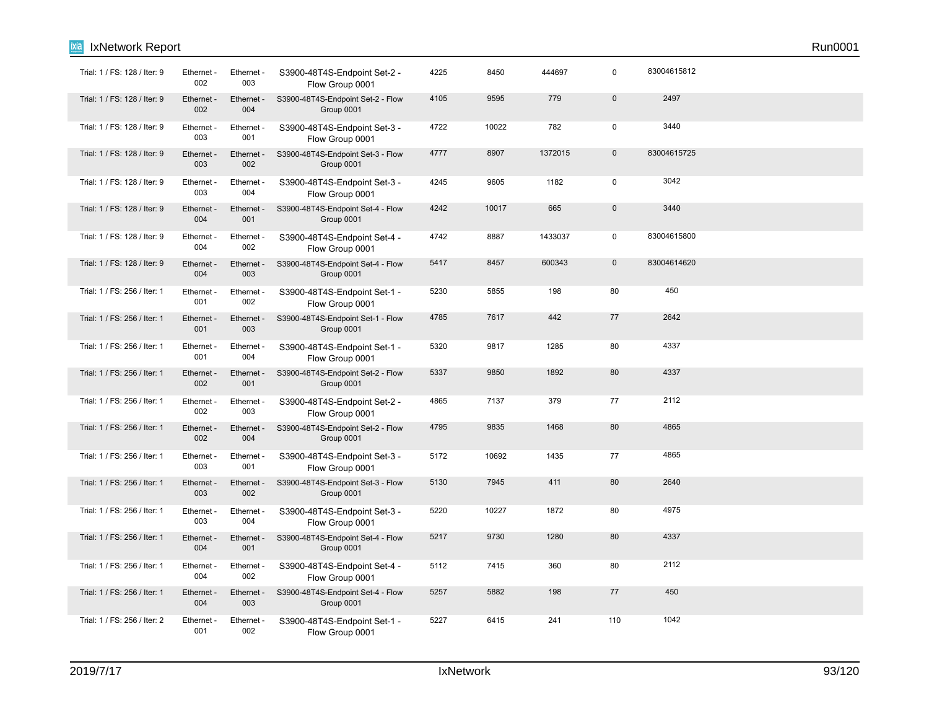| Trial: 1 / FS: 128 / Iter: 9 | Ethernet -<br>002 | Ethernet -<br>003 | S3900-48T4S-Endpoint Set-2 -<br>Flow Group 0001 | 4225 | 8450  | 444697  | $\mathbf 0$ | 83004615812 |  |
|------------------------------|-------------------|-------------------|-------------------------------------------------|------|-------|---------|-------------|-------------|--|
| Trial: 1 / FS: 128 / Iter: 9 | Ethernet -<br>002 | Ethernet -<br>004 | S3900-48T4S-Endpoint Set-2 - Flow<br>Group 0001 | 4105 | 9595  | 779     | $\pmb{0}$   | 2497        |  |
| Trial: 1 / FS: 128 / Iter: 9 | Ethernet<br>003   | Ethernet<br>001   | S3900-48T4S-Endpoint Set-3 -<br>Flow Group 0001 | 4722 | 10022 | 782     | $\pmb{0}$   | 3440        |  |
| Trial: 1 / FS: 128 / Iter: 9 | Ethernet<br>003   | Ethernet<br>002   | S3900-48T4S-Endpoint Set-3 - Flow<br>Group 0001 | 4777 | 8907  | 1372015 | $\pmb{0}$   | 83004615725 |  |
| Trial: 1 / FS: 128 / Iter: 9 | Ethernet<br>003   | Ethernet<br>004   | S3900-48T4S-Endpoint Set-3 -<br>Flow Group 0001 | 4245 | 9605  | 1182    | $\mathbf 0$ | 3042        |  |
| Trial: 1 / FS: 128 / Iter: 9 | Ethernet -<br>004 | Ethernet -<br>001 | S3900-48T4S-Endpoint Set-4 - Flow<br>Group 0001 | 4242 | 10017 | 665     | $\pmb{0}$   | 3440        |  |
| Trial: 1 / FS: 128 / Iter: 9 | Ethernet -<br>004 | Ethernet -<br>002 | S3900-48T4S-Endpoint Set-4 -<br>Flow Group 0001 | 4742 | 8887  | 1433037 | $\mathbf 0$ | 83004615800 |  |
| Trial: 1 / FS: 128 / Iter: 9 | Ethernet<br>004   | Ethernet<br>003   | S3900-48T4S-Endpoint Set-4 - Flow<br>Group 0001 | 5417 | 8457  | 600343  | $\pmb{0}$   | 83004614620 |  |
| Trial: 1 / FS: 256 / Iter: 1 | Ethernet -<br>001 | Ethernet -<br>002 | S3900-48T4S-Endpoint Set-1 -<br>Flow Group 0001 | 5230 | 5855  | 198     | 80          | 450         |  |
| Trial: 1 / FS: 256 / Iter: 1 | Ethernet -<br>001 | Ethernet<br>003   | S3900-48T4S-Endpoint Set-1 - Flow<br>Group 0001 | 4785 | 7617  | 442     | $77$        | 2642        |  |
| Trial: 1 / FS: 256 / Iter: 1 | Ethernet -<br>001 | Ethernet -<br>004 | S3900-48T4S-Endpoint Set-1 -<br>Flow Group 0001 | 5320 | 9817  | 1285    | 80          | 4337        |  |
| Trial: 1 / FS: 256 / Iter: 1 | Ethernet<br>002   | Ethernet<br>001   | S3900-48T4S-Endpoint Set-2 - Flow<br>Group 0001 | 5337 | 9850  | 1892    | 80          | 4337        |  |
| Trial: 1 / FS: 256 / Iter: 1 | Ethernet -<br>002 | Ethernet -<br>003 | S3900-48T4S-Endpoint Set-2 -<br>Flow Group 0001 | 4865 | 7137  | 379     | 77          | 2112        |  |
| Trial: 1 / FS: 256 / Iter: 1 | Ethernet -<br>002 | Ethernet<br>004   | S3900-48T4S-Endpoint Set-2 - Flow<br>Group 0001 | 4795 | 9835  | 1468    | 80          | 4865        |  |
| Trial: 1 / FS: 256 / Iter: 1 | Ethernet -<br>003 | Ethernet -<br>001 | S3900-48T4S-Endpoint Set-3 -<br>Flow Group 0001 | 5172 | 10692 | 1435    | 77          | 4865        |  |
| Trial: 1 / FS: 256 / Iter: 1 | Ethernet -<br>003 | Ethernet -<br>002 | S3900-48T4S-Endpoint Set-3 - Flow<br>Group 0001 | 5130 | 7945  | 411     | 80          | 2640        |  |
| Trial: 1 / FS: 256 / Iter: 1 | Ethernet -<br>003 | Ethernet -<br>004 | S3900-48T4S-Endpoint Set-3 -<br>Flow Group 0001 | 5220 | 10227 | 1872    | 80          | 4975        |  |
| Trial: 1 / FS: 256 / Iter: 1 | Ethernet -<br>004 | Ethernet -<br>001 | S3900-48T4S-Endpoint Set-4 - Flow<br>Group 0001 | 5217 | 9730  | 1280    | 80          | 4337        |  |
| Trial: 1 / FS: 256 / Iter: 1 | Ethernet -<br>004 | Ethernet -<br>002 | S3900-48T4S-Endpoint Set-4 -<br>Flow Group 0001 | 5112 | 7415  | 360     | 80          | 2112        |  |
| Trial: 1 / FS: 256 / Iter: 1 | Ethernet -<br>004 | Ethernet -<br>003 | S3900-48T4S-Endpoint Set-4 - Flow<br>Group 0001 | 5257 | 5882  | 198     | 77          | 450         |  |
| Trial: 1 / FS: 256 / Iter: 2 | Ethernet -<br>001 | Ethernet -<br>002 | S3900-48T4S-Endpoint Set-1 -<br>Flow Group 0001 | 5227 | 6415  | 241     | 110         | 1042        |  |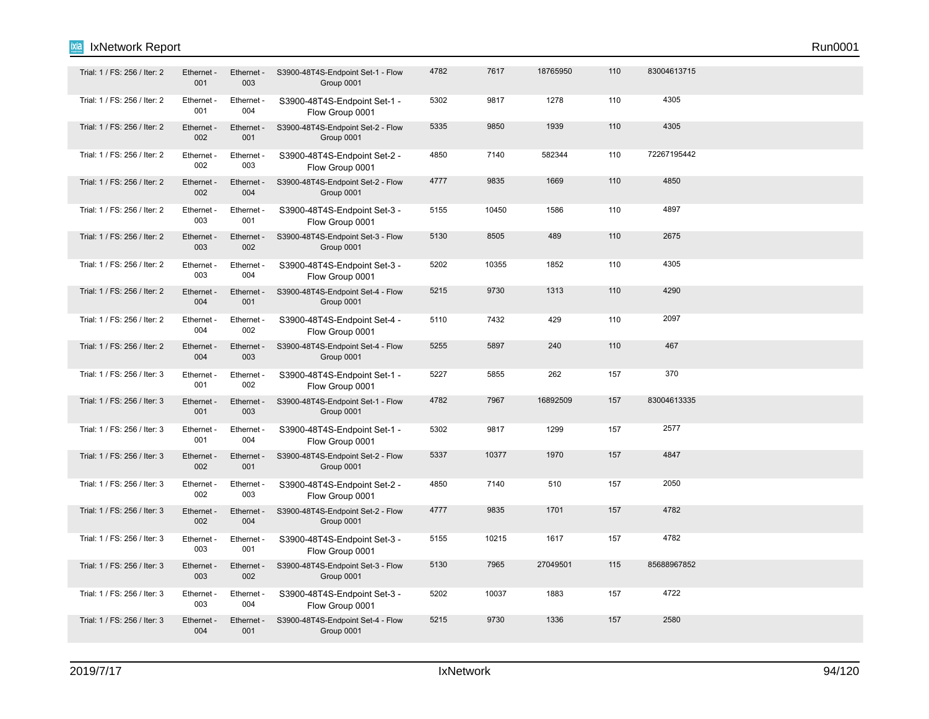| Trial: 1 / FS: 256 / Iter: 2 | Ethernet -<br>001 | Ethernet -<br>003 | S3900-48T4S-Endpoint Set-1 - Flow<br>Group 0001 | 4782 | 7617  | 18765950 | 110 | 83004613715 |  |  |
|------------------------------|-------------------|-------------------|-------------------------------------------------|------|-------|----------|-----|-------------|--|--|
| Trial: 1 / FS: 256 / Iter: 2 | Ethernet -<br>001 | Ethernet -<br>004 | S3900-48T4S-Endpoint Set-1 -<br>Flow Group 0001 | 5302 | 9817  | 1278     | 110 | 4305        |  |  |
| Trial: 1 / FS: 256 / Iter: 2 | Ethernet -<br>002 | Ethernet -<br>001 | S3900-48T4S-Endpoint Set-2 - Flow<br>Group 0001 | 5335 | 9850  | 1939     | 110 | 4305        |  |  |
| Trial: 1 / FS: 256 / Iter: 2 | Ethernet -<br>002 | Ethernet -<br>003 | S3900-48T4S-Endpoint Set-2 -<br>Flow Group 0001 | 4850 | 7140  | 582344   | 110 | 72267195442 |  |  |
| Trial: 1 / FS: 256 / Iter: 2 | Ethernet -<br>002 | Ethernet -<br>004 | S3900-48T4S-Endpoint Set-2 - Flow<br>Group 0001 | 4777 | 9835  | 1669     | 110 | 4850        |  |  |
| Trial: 1 / FS: 256 / Iter: 2 | Ethernet -<br>003 | Ethernet -<br>001 | S3900-48T4S-Endpoint Set-3 -<br>Flow Group 0001 | 5155 | 10450 | 1586     | 110 | 4897        |  |  |
| Trial: 1 / FS: 256 / Iter: 2 | Ethernet -<br>003 | Ethernet<br>002   | S3900-48T4S-Endpoint Set-3 - Flow<br>Group 0001 | 5130 | 8505  | 489      | 110 | 2675        |  |  |
| Trial: 1 / FS: 256 / Iter: 2 | Ethernet -<br>003 | Ethernet -<br>004 | S3900-48T4S-Endpoint Set-3 -<br>Flow Group 0001 | 5202 | 10355 | 1852     | 110 | 4305        |  |  |
| Trial: 1 / FS: 256 / Iter: 2 | Ethernet -<br>004 | Ethernet -<br>001 | S3900-48T4S-Endpoint Set-4 - Flow<br>Group 0001 | 5215 | 9730  | 1313     | 110 | 4290        |  |  |
| Trial: 1 / FS: 256 / Iter: 2 | Ethernet -<br>004 | Ethernet -<br>002 | S3900-48T4S-Endpoint Set-4 -<br>Flow Group 0001 | 5110 | 7432  | 429      | 110 | 2097        |  |  |
| Trial: 1 / FS: 256 / Iter: 2 | Ethernet -<br>004 | Ethernet -<br>003 | S3900-48T4S-Endpoint Set-4 - Flow<br>Group 0001 | 5255 | 5897  | 240      | 110 | 467         |  |  |
| Trial: 1 / FS: 256 / Iter: 3 | Ethernet -<br>001 | Ethernet -<br>002 | S3900-48T4S-Endpoint Set-1 -<br>Flow Group 0001 | 5227 | 5855  | 262      | 157 | 370         |  |  |
| Trial: 1 / FS: 256 / Iter: 3 | Ethernet -<br>001 | Ethernet -<br>003 | S3900-48T4S-Endpoint Set-1 - Flow<br>Group 0001 | 4782 | 7967  | 16892509 | 157 | 83004613335 |  |  |
| Trial: 1 / FS: 256 / Iter: 3 | Ethernet -<br>001 | Ethernet -<br>004 | S3900-48T4S-Endpoint Set-1 -<br>Flow Group 0001 | 5302 | 9817  | 1299     | 157 | 2577        |  |  |
| Trial: 1 / FS: 256 / Iter: 3 | Ethernet -<br>002 | Ethernet -<br>001 | S3900-48T4S-Endpoint Set-2 - Flow<br>Group 0001 | 5337 | 10377 | 1970     | 157 | 4847        |  |  |
| Trial: 1 / FS: 256 / Iter: 3 | Ethernet -<br>002 | Ethernet -<br>003 | S3900-48T4S-Endpoint Set-2 -<br>Flow Group 0001 | 4850 | 7140  | 510      | 157 | 2050        |  |  |
| Trial: 1 / FS: 256 / Iter: 3 | Ethernet -<br>002 | Ethernet -<br>004 | S3900-48T4S-Endpoint Set-2 - Flow<br>Group 0001 | 4777 | 9835  | 1701     | 157 | 4782        |  |  |
| Trial: 1 / FS: 256 / Iter: 3 | Ethernet -<br>003 | Ethernet -<br>001 | S3900-48T4S-Endpoint Set-3 -<br>Flow Group 0001 | 5155 | 10215 | 1617     | 157 | 4782        |  |  |
| Trial: 1 / FS: 256 / Iter: 3 | Ethernet -<br>003 | Ethernet -<br>002 | S3900-48T4S-Endpoint Set-3 - Flow<br>Group 0001 | 5130 | 7965  | 27049501 | 115 | 85688967852 |  |  |
| Trial: 1 / FS: 256 / Iter: 3 | Ethernet -<br>003 | Ethernet -<br>004 | S3900-48T4S-Endpoint Set-3 -<br>Flow Group 0001 | 5202 | 10037 | 1883     | 157 | 4722        |  |  |
| Trial: 1 / FS: 256 / Iter: 3 | Ethernet -<br>004 | Ethernet -<br>001 | S3900-48T4S-Endpoint Set-4 - Flow<br>Group 0001 | 5215 | 9730  | 1336     | 157 | 2580        |  |  |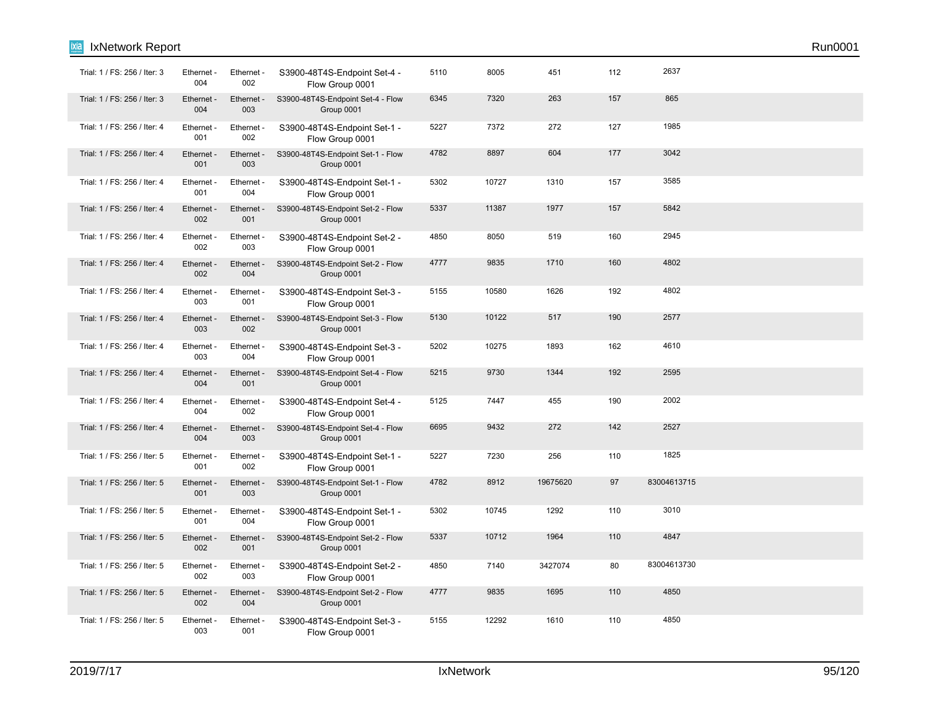| <b>IxNetwork Report</b>      |                   |                   |                                                 |      |       |          |     |             | Run0001 |
|------------------------------|-------------------|-------------------|-------------------------------------------------|------|-------|----------|-----|-------------|---------|
| Trial: 1 / FS: 256 / Iter: 3 | Ethernet -<br>004 | Ethernet -<br>002 | S3900-48T4S-Endpoint Set-4 -<br>Flow Group 0001 | 5110 | 8005  | 451      | 112 | 2637        |         |
| Trial: 1 / FS: 256 / Iter: 3 | Ethernet -<br>004 | Ethernet -<br>003 | S3900-48T4S-Endpoint Set-4 - Flow<br>Group 0001 | 6345 | 7320  | 263      | 157 | 865         |         |
| Trial: 1 / FS: 256 / Iter: 4 | Ethernet -<br>001 | Ethernet -<br>002 | S3900-48T4S-Endpoint Set-1 -<br>Flow Group 0001 | 5227 | 7372  | 272      | 127 | 1985        |         |
| Trial: 1 / FS: 256 / Iter: 4 | Ethernet -<br>001 | Ethernet -<br>003 | S3900-48T4S-Endpoint Set-1 - Flow<br>Group 0001 | 4782 | 8897  | 604      | 177 | 3042        |         |
| Trial: 1 / FS: 256 / Iter: 4 | Ethernet -<br>001 | Ethernet -<br>004 | S3900-48T4S-Endpoint Set-1 -<br>Flow Group 0001 | 5302 | 10727 | 1310     | 157 | 3585        |         |
| Trial: 1 / FS: 256 / Iter: 4 | Ethernet -<br>002 | Ethernet -<br>001 | S3900-48T4S-Endpoint Set-2 - Flow<br>Group 0001 | 5337 | 11387 | 1977     | 157 | 5842        |         |
| Trial: 1 / FS: 256 / Iter: 4 | Ethernet -<br>002 | Ethernet -<br>003 | S3900-48T4S-Endpoint Set-2 -<br>Flow Group 0001 | 4850 | 8050  | 519      | 160 | 2945        |         |
| Trial: 1 / FS: 256 / Iter: 4 | Ethernet -<br>002 | Ethernet -<br>004 | S3900-48T4S-Endpoint Set-2 - Flow<br>Group 0001 | 4777 | 9835  | 1710     | 160 | 4802        |         |
| Trial: 1 / FS: 256 / Iter: 4 | Ethernet -<br>003 | Ethernet -<br>001 | S3900-48T4S-Endpoint Set-3 -<br>Flow Group 0001 | 5155 | 10580 | 1626     | 192 | 4802        |         |
| Trial: 1 / FS: 256 / Iter: 4 | Ethernet -<br>003 | Ethernet -<br>002 | S3900-48T4S-Endpoint Set-3 - Flow<br>Group 0001 | 5130 | 10122 | 517      | 190 | 2577        |         |
| Trial: 1 / FS: 256 / Iter: 4 | Ethernet -<br>003 | Ethernet -<br>004 | S3900-48T4S-Endpoint Set-3 -<br>Flow Group 0001 | 5202 | 10275 | 1893     | 162 | 4610        |         |
| Trial: 1 / FS: 256 / Iter: 4 | Ethernet -<br>004 | Ethernet -<br>001 | S3900-48T4S-Endpoint Set-4 - Flow<br>Group 0001 | 5215 | 9730  | 1344     | 192 | 2595        |         |
| Trial: 1 / FS: 256 / Iter: 4 | Ethernet -<br>004 | Ethernet -<br>002 | S3900-48T4S-Endpoint Set-4 -<br>Flow Group 0001 | 5125 | 7447  | 455      | 190 | 2002        |         |
| Trial: 1 / FS: 256 / Iter: 4 | Ethernet -<br>004 | Ethernet -<br>003 | S3900-48T4S-Endpoint Set-4 - Flow<br>Group 0001 | 6695 | 9432  | 272      | 142 | 2527        |         |
| Trial: 1 / FS: 256 / Iter: 5 | Ethernet -<br>001 | Ethernet -<br>002 | S3900-48T4S-Endpoint Set-1 -<br>Flow Group 0001 | 5227 | 7230  | 256      | 110 | 1825        |         |
| Trial: 1 / FS: 256 / Iter: 5 | Ethernet -<br>001 | Ethernet -<br>003 | S3900-48T4S-Endpoint Set-1 - Flow<br>Group 0001 | 4782 | 8912  | 19675620 | 97  | 83004613715 |         |
| Trial: 1 / FS: 256 / Iter: 5 | Ethernet -<br>001 | Ethernet -<br>004 | S3900-48T4S-Endpoint Set-1 -<br>Flow Group 0001 | 5302 | 10745 | 1292     | 110 | 3010        |         |
| Trial: 1 / FS: 256 / Iter: 5 | Ethernet -<br>002 | Ethernet -<br>001 | S3900-48T4S-Endpoint Set-2 - Flow<br>Group 0001 | 5337 | 10712 | 1964     | 110 | 4847        |         |
| Trial: 1 / FS: 256 / Iter: 5 | Ethernet -<br>002 | Ethernet -<br>003 | S3900-48T4S-Endpoint Set-2 -<br>Flow Group 0001 | 4850 | 7140  | 3427074  | 80  | 83004613730 |         |
| Trial: 1 / FS: 256 / Iter: 5 | Ethernet -<br>002 | Ethernet -<br>004 | S3900-48T4S-Endpoint Set-2 - Flow<br>Group 0001 | 4777 | 9835  | 1695     | 110 | 4850        |         |
| Trial: 1 / FS: 256 / Iter: 5 | Ethernet -<br>003 | Ethernet -<br>001 | S3900-48T4S-Endpoint Set-3 -<br>Flow Group 0001 | 5155 | 12292 | 1610     | 110 | 4850        |         |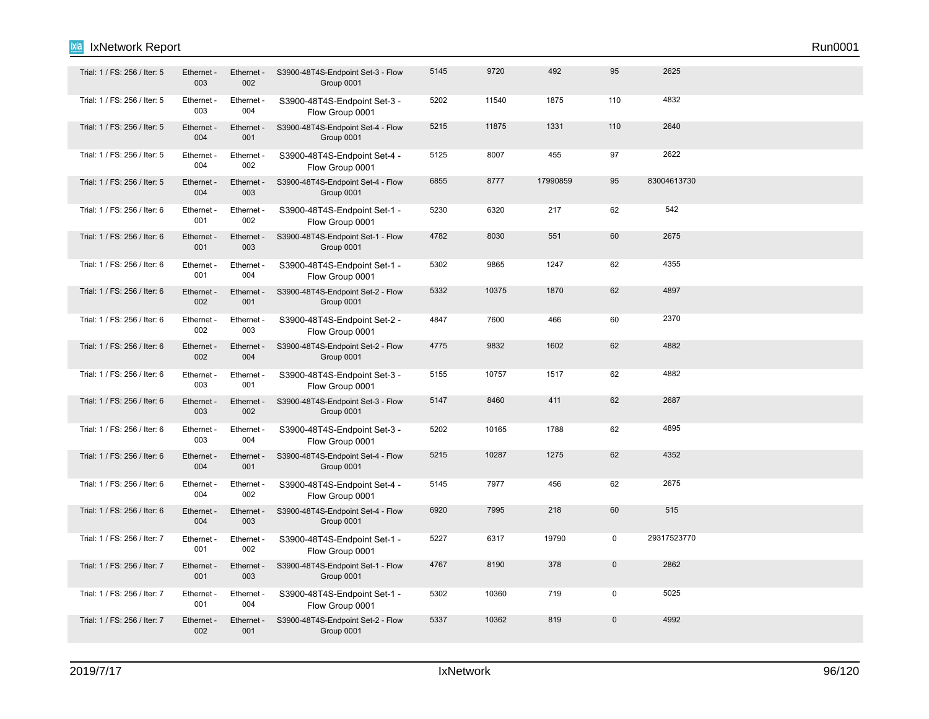| Trial: 1 / FS: 256 / Iter: 5 | Ethernet -<br>003 | Ethernet -<br>002 | S3900-48T4S-Endpoint Set-3 - Flow<br>Group 0001 | 5145 | 9720  | 492      | 95          | 2625        |  |  |
|------------------------------|-------------------|-------------------|-------------------------------------------------|------|-------|----------|-------------|-------------|--|--|
| Trial: 1 / FS: 256 / Iter: 5 | Ethernet -<br>003 | Ethernet -<br>004 | S3900-48T4S-Endpoint Set-3 -<br>Flow Group 0001 | 5202 | 11540 | 1875     | 110         | 4832        |  |  |
| Trial: 1 / FS: 256 / Iter: 5 | Ethernet -<br>004 | Ethernet -<br>001 | S3900-48T4S-Endpoint Set-4 - Flow<br>Group 0001 | 5215 | 11875 | 1331     | 110         | 2640        |  |  |
| Trial: 1 / FS: 256 / Iter: 5 | Ethernet -<br>004 | Ethernet -<br>002 | S3900-48T4S-Endpoint Set-4 -<br>Flow Group 0001 | 5125 | 8007  | 455      | 97          | 2622        |  |  |
| Trial: 1 / FS: 256 / Iter: 5 | Ethernet -<br>004 | Ethernet -<br>003 | S3900-48T4S-Endpoint Set-4 - Flow<br>Group 0001 | 6855 | 8777  | 17990859 | 95          | 83004613730 |  |  |
| Trial: 1 / FS: 256 / Iter: 6 | Ethernet -<br>001 | Ethernet -<br>002 | S3900-48T4S-Endpoint Set-1 -<br>Flow Group 0001 | 5230 | 6320  | 217      | 62          | 542         |  |  |
| Trial: 1 / FS: 256 / Iter: 6 | Ethernet -<br>001 | Ethernet -<br>003 | S3900-48T4S-Endpoint Set-1 - Flow<br>Group 0001 | 4782 | 8030  | 551      | 60          | 2675        |  |  |
| Trial: 1 / FS: 256 / Iter: 6 | Ethernet -<br>001 | Ethernet -<br>004 | S3900-48T4S-Endpoint Set-1 -<br>Flow Group 0001 | 5302 | 9865  | 1247     | 62          | 4355        |  |  |
| Trial: 1 / FS: 256 / Iter: 6 | Ethernet -<br>002 | Ethernet -<br>001 | S3900-48T4S-Endpoint Set-2 - Flow<br>Group 0001 | 5332 | 10375 | 1870     | 62          | 4897        |  |  |
| Trial: 1 / FS: 256 / Iter: 6 | Ethernet -<br>002 | Ethernet -<br>003 | S3900-48T4S-Endpoint Set-2 -<br>Flow Group 0001 | 4847 | 7600  | 466      | 60          | 2370        |  |  |
| Trial: 1 / FS: 256 / Iter: 6 | Ethernet -<br>002 | Ethernet -<br>004 | S3900-48T4S-Endpoint Set-2 - Flow<br>Group 0001 | 4775 | 9832  | 1602     | 62          | 4882        |  |  |
| Trial: 1 / FS: 256 / Iter: 6 | Ethernet<br>003   | Ethernet -<br>001 | S3900-48T4S-Endpoint Set-3 -<br>Flow Group 0001 | 5155 | 10757 | 1517     | 62          | 4882        |  |  |
| Trial: 1 / FS: 256 / Iter: 6 | Ethernet -<br>003 | Ethernet -<br>002 | S3900-48T4S-Endpoint Set-3 - Flow<br>Group 0001 | 5147 | 8460  | 411      | 62          | 2687        |  |  |
| Trial: 1 / FS: 256 / Iter: 6 | Ethernet -<br>003 | Ethernet -<br>004 | S3900-48T4S-Endpoint Set-3 -<br>Flow Group 0001 | 5202 | 10165 | 1788     | 62          | 4895        |  |  |
| Trial: 1 / FS: 256 / Iter: 6 | Ethernet -<br>004 | Ethernet -<br>001 | S3900-48T4S-Endpoint Set-4 - Flow<br>Group 0001 | 5215 | 10287 | 1275     | 62          | 4352        |  |  |
| Trial: 1 / FS: 256 / Iter: 6 | Ethernet -<br>004 | Ethernet -<br>002 | S3900-48T4S-Endpoint Set-4 -<br>Flow Group 0001 | 5145 | 7977  | 456      | 62          | 2675        |  |  |
| Trial: 1 / FS: 256 / Iter: 6 | Ethernet -<br>004 | Ethernet -<br>003 | S3900-48T4S-Endpoint Set-4 - Flow<br>Group 0001 | 6920 | 7995  | 218      | 60          | 515         |  |  |
| Trial: 1 / FS: 256 / Iter: 7 | Ethernet -<br>001 | Ethernet -<br>002 | S3900-48T4S-Endpoint Set-1 -<br>Flow Group 0001 | 5227 | 6317  | 19790    | $\mathbf 0$ | 29317523770 |  |  |
| Trial: 1 / FS: 256 / Iter: 7 | Ethernet -<br>001 | Ethernet -<br>003 | S3900-48T4S-Endpoint Set-1 - Flow<br>Group 0001 | 4767 | 8190  | 378      | $\mathbf 0$ | 2862        |  |  |
| Trial: 1 / FS: 256 / Iter: 7 | Ethernet -<br>001 | Ethernet -<br>004 | S3900-48T4S-Endpoint Set-1 -<br>Flow Group 0001 | 5302 | 10360 | 719      | $\mathbf 0$ | 5025        |  |  |
| Trial: 1 / FS: 256 / Iter: 7 | Ethernet -<br>002 | Ethernet -<br>001 | S3900-48T4S-Endpoint Set-2 - Flow<br>Group 0001 | 5337 | 10362 | 819      | $\mathbf 0$ | 4992        |  |  |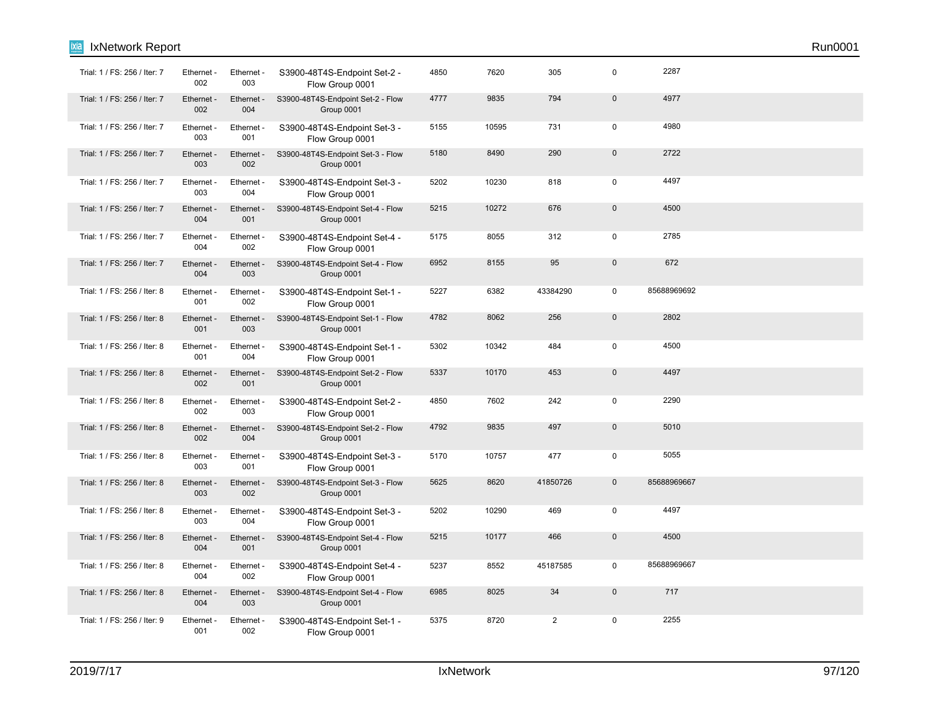| ixia<br>IxNetwork Report     |                   |                   |                                                 |      |       |                |              |             | Run0001 |  |
|------------------------------|-------------------|-------------------|-------------------------------------------------|------|-------|----------------|--------------|-------------|---------|--|
| Trial: 1 / FS: 256 / Iter: 7 | Ethernet -<br>002 | Ethernet -<br>003 | S3900-48T4S-Endpoint Set-2 -<br>Flow Group 0001 | 4850 | 7620  | 305            | 0            | 2287        |         |  |
| Trial: 1 / FS: 256 / Iter: 7 | Ethernet -<br>002 | Ethernet -<br>004 | S3900-48T4S-Endpoint Set-2 - Flow<br>Group 0001 | 4777 | 9835  | 794            | $\mathbf 0$  | 4977        |         |  |
| Trial: 1 / FS: 256 / Iter: 7 | Ethernet -<br>003 | Ethernet -<br>001 | S3900-48T4S-Endpoint Set-3 -<br>Flow Group 0001 | 5155 | 10595 | 731            | $\mathbf 0$  | 4980        |         |  |
| Trial: 1 / FS: 256 / Iter: 7 | Ethernet -<br>003 | Ethernet -<br>002 | S3900-48T4S-Endpoint Set-3 - Flow<br>Group 0001 | 5180 | 8490  | 290            | $\mathbf{0}$ | 2722        |         |  |
| Trial: 1 / FS: 256 / Iter: 7 | Ethernet -<br>003 | Ethernet -<br>004 | S3900-48T4S-Endpoint Set-3 -<br>Flow Group 0001 | 5202 | 10230 | 818            | $\mathbf 0$  | 4497        |         |  |
| Trial: 1 / FS: 256 / Iter: 7 | Ethernet -<br>004 | Ethernet -<br>001 | S3900-48T4S-Endpoint Set-4 - Flow<br>Group 0001 | 5215 | 10272 | 676            | $\mathbf{0}$ | 4500        |         |  |
| Trial: 1 / FS: 256 / Iter: 7 | Ethernet -<br>004 | Ethernet -<br>002 | S3900-48T4S-Endpoint Set-4 -<br>Flow Group 0001 | 5175 | 8055  | 312            | $\mathbf 0$  | 2785        |         |  |
| Trial: 1 / FS: 256 / Iter: 7 | Ethernet -<br>004 | Ethernet -<br>003 | S3900-48T4S-Endpoint Set-4 - Flow<br>Group 0001 | 6952 | 8155  | 95             | $\mathbf{0}$ | 672         |         |  |
| Trial: 1 / FS: 256 / Iter: 8 | Ethernet -<br>001 | Ethernet -<br>002 | S3900-48T4S-Endpoint Set-1 -<br>Flow Group 0001 | 5227 | 6382  | 43384290       | $\mathbf 0$  | 85688969692 |         |  |
| Trial: 1 / FS: 256 / Iter: 8 | Ethernet -<br>001 | Ethernet -<br>003 | S3900-48T4S-Endpoint Set-1 - Flow<br>Group 0001 | 4782 | 8062  | 256            | $\mathbf 0$  | 2802        |         |  |
| Trial: 1 / FS: 256 / Iter: 8 | Ethernet<br>001   | Ethernet -<br>004 | S3900-48T4S-Endpoint Set-1 -<br>Flow Group 0001 | 5302 | 10342 | 484            | $\mathbf 0$  | 4500        |         |  |
| Trial: 1 / FS: 256 / Iter: 8 | Ethernet -<br>002 | Ethernet -<br>001 | S3900-48T4S-Endpoint Set-2 - Flow<br>Group 0001 | 5337 | 10170 | 453            | $\mathbf 0$  | 4497        |         |  |
| Trial: 1 / FS: 256 / Iter: 8 | Ethernet -<br>002 | Ethernet -<br>003 | S3900-48T4S-Endpoint Set-2 -<br>Flow Group 0001 | 4850 | 7602  | 242            | $\mathbf 0$  | 2290        |         |  |
| Trial: 1 / FS: 256 / Iter: 8 | Ethernet -<br>002 | Ethernet -<br>004 | S3900-48T4S-Endpoint Set-2 - Flow<br>Group 0001 | 4792 | 9835  | 497            | $\mathbf 0$  | 5010        |         |  |
| Trial: 1 / FS: 256 / Iter: 8 | Ethernet -<br>003 | Ethernet -<br>001 | S3900-48T4S-Endpoint Set-3 -<br>Flow Group 0001 | 5170 | 10757 | 477            | 0            | 5055        |         |  |
| Trial: 1 / FS: 256 / Iter: 8 | Ethernet -<br>003 | Ethernet -<br>002 | S3900-48T4S-Endpoint Set-3 - Flow<br>Group 0001 | 5625 | 8620  | 41850726       | $\mathbf 0$  | 85688969667 |         |  |
| Trial: 1 / FS: 256 / Iter: 8 | Ethernet -<br>003 | Ethernet -<br>004 | S3900-48T4S-Endpoint Set-3 -<br>Flow Group 0001 | 5202 | 10290 | 469            | $\mathbf 0$  | 4497        |         |  |
| Trial: 1 / FS: 256 / Iter: 8 | Ethernet -<br>004 | Ethernet -<br>001 | S3900-48T4S-Endpoint Set-4 - Flow<br>Group 0001 | 5215 | 10177 | 466            | $\mathbf 0$  | 4500        |         |  |
| Trial: 1 / FS: 256 / Iter: 8 | Ethernet -<br>004 | Ethernet -<br>002 | S3900-48T4S-Endpoint Set-4 -<br>Flow Group 0001 | 5237 | 8552  | 45187585       | $\mathbf 0$  | 85688969667 |         |  |
| Trial: 1 / FS: 256 / Iter: 8 | Ethernet -<br>004 | Ethernet -<br>003 | S3900-48T4S-Endpoint Set-4 - Flow<br>Group 0001 | 6985 | 8025  | 34             | $\mathbf{0}$ | 717         |         |  |
| Trial: 1 / FS: 256 / Iter: 9 | Ethernet -<br>001 | Ethernet -<br>002 | S3900-48T4S-Endpoint Set-1 -<br>Flow Group 0001 | 5375 | 8720  | $\overline{2}$ | $\mathbf 0$  | 2255        |         |  |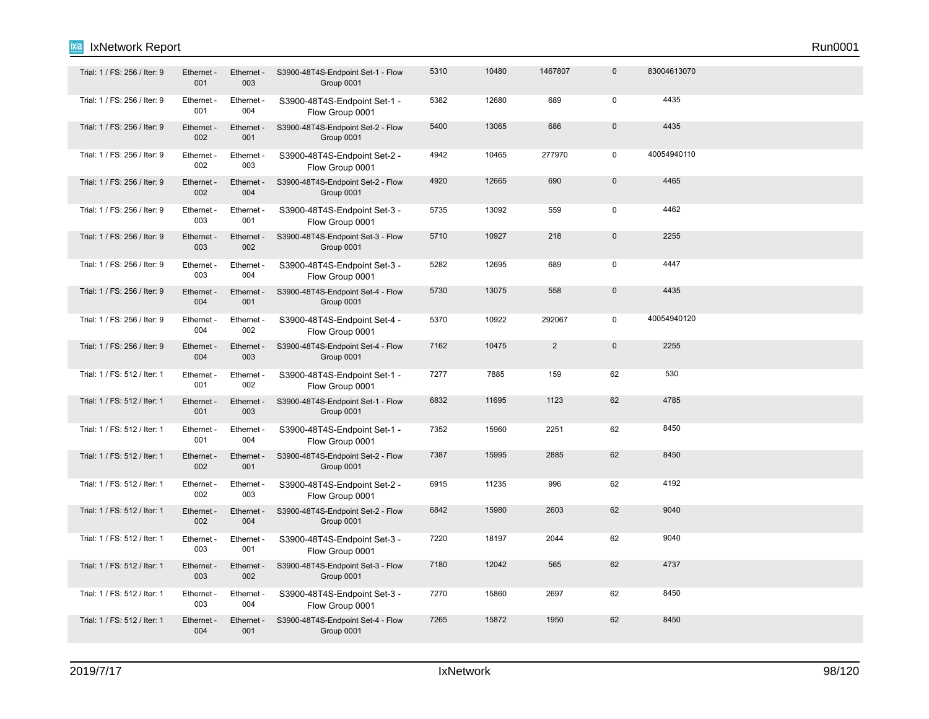| Trial: 1 / FS: 256 / Iter: 9 | Ethernet -<br>001 | Ethernet -<br>003 | S3900-48T4S-Endpoint Set-1 - Flow<br>Group 0001 | 5310 | 10480 | 1467807        | $\mathbf 0$         | 83004613070 |  |  |
|------------------------------|-------------------|-------------------|-------------------------------------------------|------|-------|----------------|---------------------|-------------|--|--|
| Trial: 1 / FS: 256 / Iter: 9 | Ethernet -<br>001 | Ethernet -<br>004 | S3900-48T4S-Endpoint Set-1 -<br>Flow Group 0001 | 5382 | 12680 | 689            | $\mathbf 0$         | 4435        |  |  |
| Trial: 1 / FS: 256 / Iter: 9 | Ethernet -<br>002 | Ethernet -<br>001 | S3900-48T4S-Endpoint Set-2 - Flow<br>Group 0001 | 5400 | 13065 | 686            | $\mathbf 0$         | 4435        |  |  |
| Trial: 1 / FS: 256 / Iter: 9 | Ethernet -<br>002 | Ethernet -<br>003 | S3900-48T4S-Endpoint Set-2 -<br>Flow Group 0001 | 4942 | 10465 | 277970         | $\mathbf 0$         | 40054940110 |  |  |
| Trial: 1 / FS: 256 / Iter: 9 | Ethernet -<br>002 | Ethernet -<br>004 | S3900-48T4S-Endpoint Set-2 - Flow<br>Group 0001 | 4920 | 12665 | 690            | $\mathbf{0}$        | 4465        |  |  |
| Trial: 1 / FS: 256 / Iter: 9 | Ethernet -<br>003 | Ethernet -<br>001 | S3900-48T4S-Endpoint Set-3 -<br>Flow Group 0001 | 5735 | 13092 | 559            | $\mathsf 0$         | 4462        |  |  |
| Trial: 1 / FS: 256 / Iter: 9 | Ethernet<br>003   | Ethernet -<br>002 | S3900-48T4S-Endpoint Set-3 - Flow<br>Group 0001 | 5710 | 10927 | 218            | $\mathbf{0}$        | 2255        |  |  |
| Trial: 1 / FS: 256 / Iter: 9 | Ethernet -<br>003 | Ethernet -<br>004 | S3900-48T4S-Endpoint Set-3 -<br>Flow Group 0001 | 5282 | 12695 | 689            | $\mathbf 0$         | 4447        |  |  |
| Trial: 1 / FS: 256 / Iter: 9 | Ethernet -<br>004 | Ethernet -<br>001 | S3900-48T4S-Endpoint Set-4 - Flow<br>Group 0001 | 5730 | 13075 | 558            | $\mathsf{O}\xspace$ | 4435        |  |  |
| Trial: 1 / FS: 256 / Iter: 9 | Ethernet -<br>004 | Ethernet -<br>002 | S3900-48T4S-Endpoint Set-4 -<br>Flow Group 0001 | 5370 | 10922 | 292067         | $\mathbf 0$         | 40054940120 |  |  |
| Trial: 1 / FS: 256 / Iter: 9 | Ethernet -<br>004 | Ethernet -<br>003 | S3900-48T4S-Endpoint Set-4 - Flow<br>Group 0001 | 7162 | 10475 | $\overline{2}$ | $\mathbf 0$         | 2255        |  |  |
| Trial: 1 / FS: 512 / Iter: 1 | Ethernet -<br>001 | Ethernet -<br>002 | S3900-48T4S-Endpoint Set-1 -<br>Flow Group 0001 | 7277 | 7885  | 159            | 62                  | 530         |  |  |
| Trial: 1 / FS: 512 / Iter: 1 | Ethernet -<br>001 | Ethernet -<br>003 | S3900-48T4S-Endpoint Set-1 - Flow<br>Group 0001 | 6832 | 11695 | 1123           | 62                  | 4785        |  |  |
| Trial: 1 / FS: 512 / Iter: 1 | Ethernet -<br>001 | Ethernet -<br>004 | S3900-48T4S-Endpoint Set-1 -<br>Flow Group 0001 | 7352 | 15960 | 2251           | 62                  | 8450        |  |  |
| Trial: 1 / FS: 512 / Iter: 1 | Ethernet -<br>002 | Ethernet -<br>001 | S3900-48T4S-Endpoint Set-2 - Flow<br>Group 0001 | 7387 | 15995 | 2885           | 62                  | 8450        |  |  |
| Trial: 1 / FS: 512 / Iter: 1 | Ethernet -<br>002 | Ethernet -<br>003 | S3900-48T4S-Endpoint Set-2 -<br>Flow Group 0001 | 6915 | 11235 | 996            | 62                  | 4192        |  |  |
| Trial: 1 / FS: 512 / Iter: 1 | Ethernet -<br>002 | Ethernet -<br>004 | S3900-48T4S-Endpoint Set-2 - Flow<br>Group 0001 | 6842 | 15980 | 2603           | 62                  | 9040        |  |  |
| Trial: 1 / FS: 512 / Iter: 1 | Ethernet -<br>003 | Ethernet -<br>001 | S3900-48T4S-Endpoint Set-3 -<br>Flow Group 0001 | 7220 | 18197 | 2044           | 62                  | 9040        |  |  |
| Trial: 1 / FS: 512 / Iter: 1 | Ethernet -<br>003 | Ethernet -<br>002 | S3900-48T4S-Endpoint Set-3 - Flow<br>Group 0001 | 7180 | 12042 | 565            | 62                  | 4737        |  |  |
| Trial: 1 / FS: 512 / Iter: 1 | Ethernet -<br>003 | Ethernet -<br>004 | S3900-48T4S-Endpoint Set-3 -<br>Flow Group 0001 | 7270 | 15860 | 2697           | 62                  | 8450        |  |  |
| Trial: 1 / FS: 512 / Iter: 1 | Ethernet -<br>004 | Ethernet -<br>001 | S3900-48T4S-Endpoint Set-4 - Flow<br>Group 0001 | 7265 | 15872 | 1950           | 62                  | 8450        |  |  |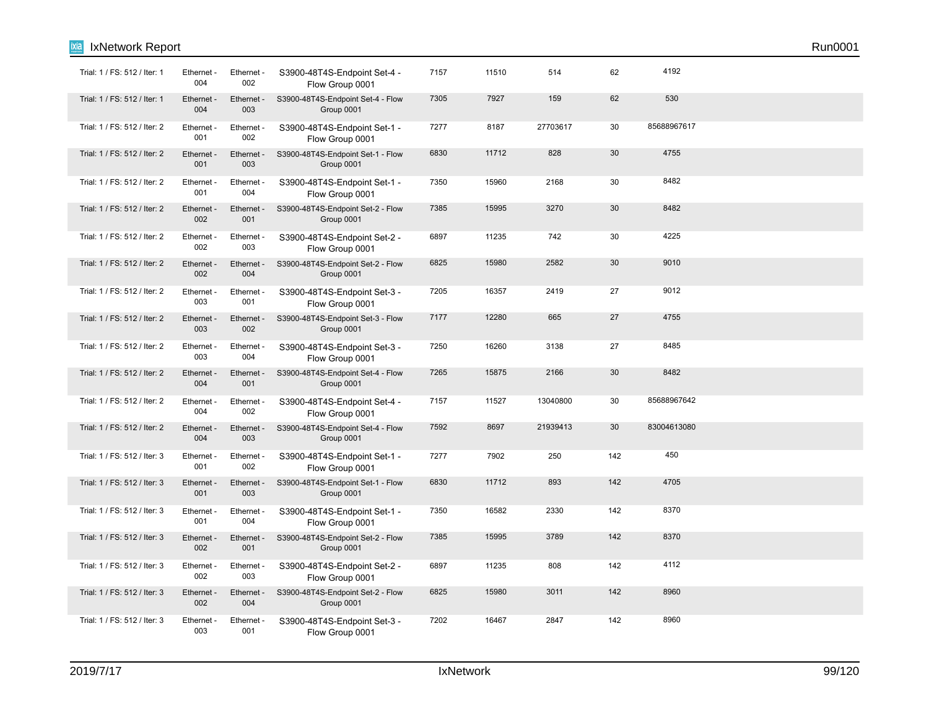| Trial: 1 / FS: 512 / Iter: 1 | Ethernet -<br>004 | Ethernet -<br>002 | S3900-48T4S-Endpoint Set-4 -<br>Flow Group 0001 | 7157 | 11510 | 514      | 62  | 4192        |  |
|------------------------------|-------------------|-------------------|-------------------------------------------------|------|-------|----------|-----|-------------|--|
| Trial: 1 / FS: 512 / Iter: 1 | Ethernet -<br>004 | Ethernet -<br>003 | S3900-48T4S-Endpoint Set-4 - Flow<br>Group 0001 | 7305 | 7927  | 159      | 62  | 530         |  |
| Trial: 1 / FS: 512 / Iter: 2 | Ethernet -<br>001 | Ethernet -<br>002 | S3900-48T4S-Endpoint Set-1 -<br>Flow Group 0001 | 7277 | 8187  | 27703617 | 30  | 85688967617 |  |
| Trial: 1 / FS: 512 / Iter: 2 | Ethernet -<br>001 | Ethernet -<br>003 | S3900-48T4S-Endpoint Set-1 - Flow<br>Group 0001 | 6830 | 11712 | 828      | 30  | 4755        |  |
| Trial: 1 / FS: 512 / Iter: 2 | Ethernet -<br>001 | Ethernet -<br>004 | S3900-48T4S-Endpoint Set-1 -<br>Flow Group 0001 | 7350 | 15960 | 2168     | 30  | 8482        |  |
| Trial: 1 / FS: 512 / Iter: 2 | Ethernet -<br>002 | Ethernet -<br>001 | S3900-48T4S-Endpoint Set-2 - Flow<br>Group 0001 | 7385 | 15995 | 3270     | 30  | 8482        |  |
| Trial: 1 / FS: 512 / Iter: 2 | Ethernet -<br>002 | Ethernet -<br>003 | S3900-48T4S-Endpoint Set-2 -<br>Flow Group 0001 | 6897 | 11235 | 742      | 30  | 4225        |  |
| Trial: 1 / FS: 512 / Iter: 2 | Ethernet -<br>002 | Ethernet -<br>004 | S3900-48T4S-Endpoint Set-2 - Flow<br>Group 0001 | 6825 | 15980 | 2582     | 30  | 9010        |  |
| Trial: 1 / FS: 512 / Iter: 2 | Ethernet -<br>003 | Ethernet -<br>001 | S3900-48T4S-Endpoint Set-3 -<br>Flow Group 0001 | 7205 | 16357 | 2419     | 27  | 9012        |  |
| Trial: 1 / FS: 512 / Iter: 2 | Ethernet -<br>003 | Ethernet -<br>002 | S3900-48T4S-Endpoint Set-3 - Flow<br>Group 0001 | 7177 | 12280 | 665      | 27  | 4755        |  |
| Trial: 1 / FS: 512 / Iter: 2 | Ethernet -<br>003 | Ethernet -<br>004 | S3900-48T4S-Endpoint Set-3 -<br>Flow Group 0001 | 7250 | 16260 | 3138     | 27  | 8485        |  |
| Trial: 1 / FS: 512 / Iter: 2 | Ethernet -<br>004 | Ethernet -<br>001 | S3900-48T4S-Endpoint Set-4 - Flow<br>Group 0001 | 7265 | 15875 | 2166     | 30  | 8482        |  |
| Trial: 1 / FS: 512 / Iter: 2 | Ethernet -<br>004 | Ethernet -<br>002 | S3900-48T4S-Endpoint Set-4 -<br>Flow Group 0001 | 7157 | 11527 | 13040800 | 30  | 85688967642 |  |
| Trial: 1 / FS: 512 / Iter: 2 | Ethernet -<br>004 | Ethernet -<br>003 | S3900-48T4S-Endpoint Set-4 - Flow<br>Group 0001 | 7592 | 8697  | 21939413 | 30  | 83004613080 |  |
| Trial: 1 / FS: 512 / Iter: 3 | Ethernet -<br>001 | Ethernet -<br>002 | S3900-48T4S-Endpoint Set-1 -<br>Flow Group 0001 | 7277 | 7902  | 250      | 142 | 450         |  |
| Trial: 1 / FS: 512 / Iter: 3 | Ethernet -<br>001 | Ethernet -<br>003 | S3900-48T4S-Endpoint Set-1 - Flow<br>Group 0001 | 6830 | 11712 | 893      | 142 | 4705        |  |
| Trial: 1 / FS: 512 / Iter: 3 | Ethernet -<br>001 | Ethernet -<br>004 | S3900-48T4S-Endpoint Set-1 -<br>Flow Group 0001 | 7350 | 16582 | 2330     | 142 | 8370        |  |
| Trial: 1 / FS: 512 / Iter: 3 | Ethernet -<br>002 | Ethernet -<br>001 | S3900-48T4S-Endpoint Set-2 - Flow<br>Group 0001 | 7385 | 15995 | 3789     | 142 | 8370        |  |
| Trial: 1 / FS: 512 / Iter: 3 | Ethernet -<br>002 | Ethernet -<br>003 | S3900-48T4S-Endpoint Set-2 -<br>Flow Group 0001 | 6897 | 11235 | 808      | 142 | 4112        |  |
| Trial: 1 / FS: 512 / Iter: 3 | Ethernet -<br>002 | Ethernet -<br>004 | S3900-48T4S-Endpoint Set-2 - Flow<br>Group 0001 | 6825 | 15980 | 3011     | 142 | 8960        |  |
| Trial: 1 / FS: 512 / Iter: 3 | Ethernet -<br>003 | Ethernet -<br>001 | S3900-48T4S-Endpoint Set-3 -<br>Flow Group 0001 | 7202 | 16467 | 2847     | 142 | 8960        |  |

**Ixia** IxNetwork Report Run0001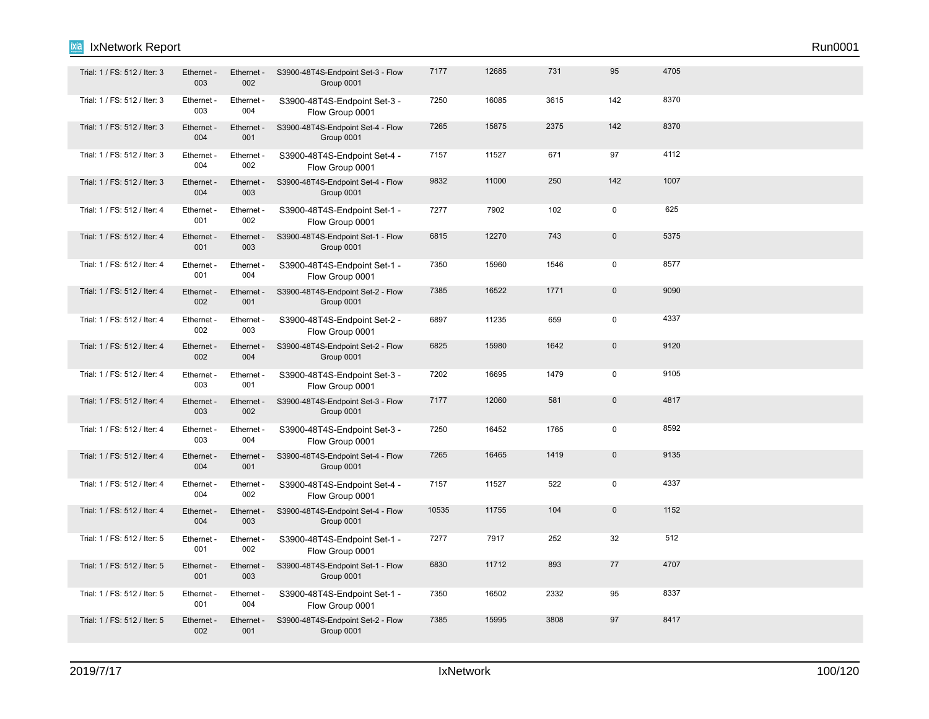| Trial: 1 / FS: 512 / Iter: 3 | Ethernet<br>003   | Ethernet -<br>002 | S3900-48T4S-Endpoint Set-3 - Flow<br>Group 0001 | 7177  | 12685 | 731  | 95           | 4705 |  |
|------------------------------|-------------------|-------------------|-------------------------------------------------|-------|-------|------|--------------|------|--|
| Trial: 1 / FS: 512 / Iter: 3 | Ethernet -<br>003 | Ethernet -<br>004 | S3900-48T4S-Endpoint Set-3 -<br>Flow Group 0001 | 7250  | 16085 | 3615 | 142          | 8370 |  |
| Trial: 1 / FS: 512 / Iter: 3 | Ethernet -<br>004 | Ethernet -<br>001 | S3900-48T4S-Endpoint Set-4 - Flow<br>Group 0001 | 7265  | 15875 | 2375 | 142          | 8370 |  |
| Trial: 1 / FS: 512 / Iter: 3 | Ethernet -<br>004 | Ethernet -<br>002 | S3900-48T4S-Endpoint Set-4 -<br>Flow Group 0001 | 7157  | 11527 | 671  | 97           | 4112 |  |
| Trial: 1 / FS: 512 / Iter: 3 | Ethernet -<br>004 | Ethernet -<br>003 | S3900-48T4S-Endpoint Set-4 - Flow<br>Group 0001 | 9832  | 11000 | 250  | 142          | 1007 |  |
| Trial: 1 / FS: 512 / Iter: 4 | Ethernet -<br>001 | Ethernet -<br>002 | S3900-48T4S-Endpoint Set-1 -<br>Flow Group 0001 | 7277  | 7902  | 102  | 0            | 625  |  |
| Trial: 1 / FS: 512 / Iter: 4 | Ethernet -<br>001 | Ethernet -<br>003 | S3900-48T4S-Endpoint Set-1 - Flow<br>Group 0001 | 6815  | 12270 | 743  | $\mathsf 0$  | 5375 |  |
| Trial: 1 / FS: 512 / Iter: 4 | Ethernet -<br>001 | Ethernet -<br>004 | S3900-48T4S-Endpoint Set-1 -<br>Flow Group 0001 | 7350  | 15960 | 1546 | $\mathbf 0$  | 8577 |  |
| Trial: 1 / FS: 512 / Iter: 4 | Ethernet -<br>002 | Ethernet -<br>001 | S3900-48T4S-Endpoint Set-2 - Flow<br>Group 0001 | 7385  | 16522 | 1771 | $\pmb{0}$    | 9090 |  |
| Trial: 1 / FS: 512 / Iter: 4 | Ethernet -<br>002 | Ethernet -<br>003 | S3900-48T4S-Endpoint Set-2 -<br>Flow Group 0001 | 6897  | 11235 | 659  | $\mathbf 0$  | 4337 |  |
| Trial: 1 / FS: 512 / Iter: 4 | Ethernet -<br>002 | Ethernet -<br>004 | S3900-48T4S-Endpoint Set-2 - Flow<br>Group 0001 | 6825  | 15980 | 1642 | $\pmb{0}$    | 9120 |  |
| Trial: 1 / FS: 512 / Iter: 4 | Ethernet -<br>003 | Ethernet -<br>001 | S3900-48T4S-Endpoint Set-3 -<br>Flow Group 0001 | 7202  | 16695 | 1479 | $\mathbf 0$  | 9105 |  |
| Trial: 1 / FS: 512 / Iter: 4 | Ethernet -<br>003 | Ethernet -<br>002 | S3900-48T4S-Endpoint Set-3 - Flow<br>Group 0001 | 7177  | 12060 | 581  | $\mathsf{O}$ | 4817 |  |
| Trial: 1 / FS: 512 / Iter: 4 | Ethernet -<br>003 | Ethernet -<br>004 | S3900-48T4S-Endpoint Set-3 -<br>Flow Group 0001 | 7250  | 16452 | 1765 | $\mathsf 0$  | 8592 |  |
| Trial: 1 / FS: 512 / Iter: 4 | Ethernet -<br>004 | Ethernet -<br>001 | S3900-48T4S-Endpoint Set-4 - Flow<br>Group 0001 | 7265  | 16465 | 1419 | $\mathbf{0}$ | 9135 |  |
| Trial: 1 / FS: 512 / Iter: 4 | Ethernet -<br>004 | Ethernet -<br>002 | S3900-48T4S-Endpoint Set-4 -<br>Flow Group 0001 | 7157  | 11527 | 522  | $\mathbf 0$  | 4337 |  |
| Trial: 1 / FS: 512 / Iter: 4 | Ethernet -<br>004 | Ethernet -<br>003 | S3900-48T4S-Endpoint Set-4 - Flow<br>Group 0001 | 10535 | 11755 | 104  | $\mathsf 0$  | 1152 |  |
| Trial: 1 / FS: 512 / Iter: 5 | Ethernet -<br>001 | Ethernet -<br>002 | S3900-48T4S-Endpoint Set-1 -<br>Flow Group 0001 | 7277  | 7917  | 252  | 32           | 512  |  |
| Trial: 1 / FS: 512 / Iter: 5 | Ethernet -<br>001 | Ethernet -<br>003 | S3900-48T4S-Endpoint Set-1 - Flow<br>Group 0001 | 6830  | 11712 | 893  | 77           | 4707 |  |
| Trial: 1 / FS: 512 / Iter: 5 | Ethernet -<br>001 | Ethernet -<br>004 | S3900-48T4S-Endpoint Set-1 -<br>Flow Group 0001 | 7350  | 16502 | 2332 | 95           | 8337 |  |
| Trial: 1 / FS: 512 / Iter: 5 | Ethernet -<br>002 | Ethernet -<br>001 | S3900-48T4S-Endpoint Set-2 - Flow<br>Group 0001 | 7385  | 15995 | 3808 | 97           | 8417 |  |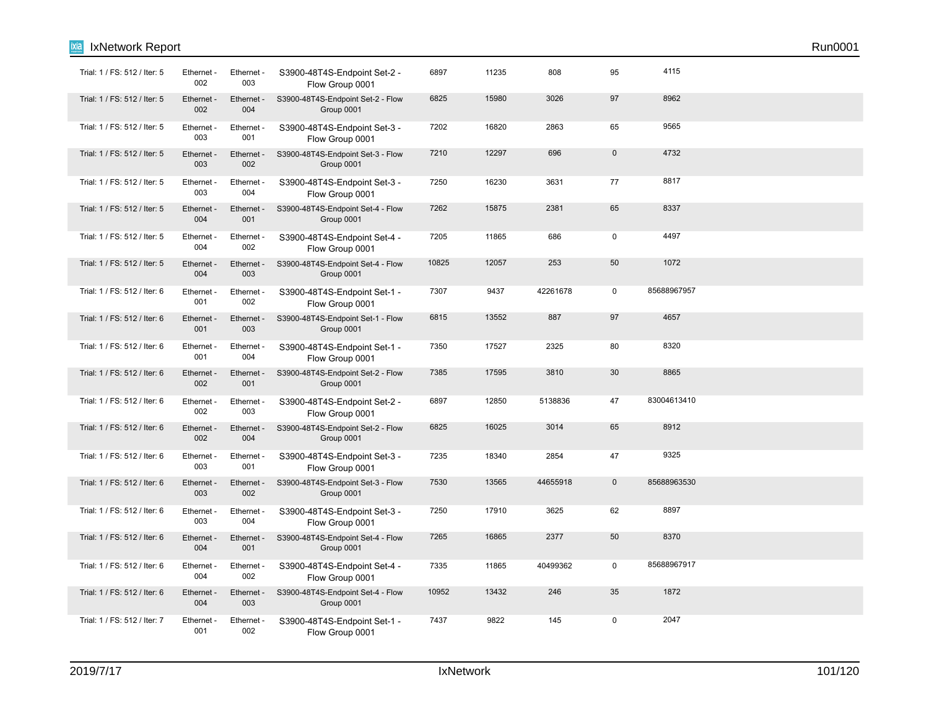| ixia | IxNetwork Report             |                   |                   |                                                 |       |       |          |              |             | Run0001 |
|------|------------------------------|-------------------|-------------------|-------------------------------------------------|-------|-------|----------|--------------|-------------|---------|
|      | Trial: 1 / FS: 512 / Iter: 5 | Ethernet -<br>002 | Ethernet -<br>003 | S3900-48T4S-Endpoint Set-2 -<br>Flow Group 0001 | 6897  | 11235 | 808      | 95           | 4115        |         |
|      | Trial: 1 / FS: 512 / Iter: 5 | Ethernet -<br>002 | Ethernet -<br>004 | S3900-48T4S-Endpoint Set-2 - Flow<br>Group 0001 | 6825  | 15980 | 3026     | 97           | 8962        |         |
|      | Trial: 1 / FS: 512 / Iter: 5 | Ethernet -<br>003 | Ethernet -<br>001 | S3900-48T4S-Endpoint Set-3 -<br>Flow Group 0001 | 7202  | 16820 | 2863     | 65           | 9565        |         |
|      | Trial: 1 / FS: 512 / Iter: 5 | Ethernet -<br>003 | Ethernet -<br>002 | S3900-48T4S-Endpoint Set-3 - Flow<br>Group 0001 | 7210  | 12297 | 696      | $\pmb{0}$    | 4732        |         |
|      | Trial: 1 / FS: 512 / Iter: 5 | Ethernet -<br>003 | Ethernet -<br>004 | S3900-48T4S-Endpoint Set-3 -<br>Flow Group 0001 | 7250  | 16230 | 3631     | 77           | 8817        |         |
|      | Trial: 1 / FS: 512 / Iter: 5 | Ethernet -<br>004 | Ethernet -<br>001 | S3900-48T4S-Endpoint Set-4 - Flow<br>Group 0001 | 7262  | 15875 | 2381     | 65           | 8337        |         |
|      | Trial: 1 / FS: 512 / Iter: 5 | Ethernet -<br>004 | Ethernet -<br>002 | S3900-48T4S-Endpoint Set-4 -<br>Flow Group 0001 | 7205  | 11865 | 686      | $\pmb{0}$    | 4497        |         |
|      | Trial: 1 / FS: 512 / Iter: 5 | Ethernet -<br>004 | Ethernet -<br>003 | S3900-48T4S-Endpoint Set-4 - Flow<br>Group 0001 | 10825 | 12057 | 253      | 50           | 1072        |         |
|      | Trial: 1 / FS: 512 / Iter: 6 | Ethernet -<br>001 | Ethernet -<br>002 | S3900-48T4S-Endpoint Set-1 -<br>Flow Group 0001 | 7307  | 9437  | 42261678 | $\mathbf 0$  | 85688967957 |         |
|      | Trial: 1 / FS: 512 / Iter: 6 | Ethernet -<br>001 | Ethernet -<br>003 | S3900-48T4S-Endpoint Set-1 - Flow<br>Group 0001 | 6815  | 13552 | 887      | 97           | 4657        |         |
|      | Trial: 1 / FS: 512 / Iter: 6 | Ethernet -<br>001 | Ethernet -<br>004 | S3900-48T4S-Endpoint Set-1 -<br>Flow Group 0001 | 7350  | 17527 | 2325     | 80           | 8320        |         |
|      | Trial: 1 / FS: 512 / Iter: 6 | Ethernet -<br>002 | Ethernet -<br>001 | S3900-48T4S-Endpoint Set-2 - Flow<br>Group 0001 | 7385  | 17595 | 3810     | 30           | 8865        |         |
|      | Trial: 1 / FS: 512 / Iter: 6 | Ethernet -<br>002 | Ethernet -<br>003 | S3900-48T4S-Endpoint Set-2 -<br>Flow Group 0001 | 6897  | 12850 | 5138836  | 47           | 83004613410 |         |
|      | Trial: 1 / FS: 512 / Iter: 6 | Ethernet -<br>002 | Ethernet -<br>004 | S3900-48T4S-Endpoint Set-2 - Flow<br>Group 0001 | 6825  | 16025 | 3014     | 65           | 8912        |         |
|      | Trial: 1 / FS: 512 / Iter: 6 | Ethernet -<br>003 | Ethernet -<br>001 | S3900-48T4S-Endpoint Set-3 -<br>Flow Group 0001 | 7235  | 18340 | 2854     | 47           | 9325        |         |
|      | Trial: 1 / FS: 512 / Iter: 6 | Ethernet -<br>003 | Ethernet -<br>002 | S3900-48T4S-Endpoint Set-3 - Flow<br>Group 0001 | 7530  | 13565 | 44655918 | $\mathbf{0}$ | 85688963530 |         |
|      | Trial: 1 / FS: 512 / Iter: 6 | Ethernet -<br>003 | Ethernet -<br>004 | S3900-48T4S-Endpoint Set-3 -<br>Flow Group 0001 | 7250  | 17910 | 3625     | 62           | 8897        |         |
|      | Trial: 1 / FS: 512 / Iter: 6 | Ethernet -<br>004 | Ethernet -<br>001 | S3900-48T4S-Endpoint Set-4 - Flow<br>Group 0001 | 7265  | 16865 | 2377     | 50           | 8370        |         |
|      | Trial: 1 / FS: 512 / Iter: 6 | Ethernet -<br>004 | Ethernet -<br>002 | S3900-48T4S-Endpoint Set-4 -<br>Flow Group 0001 | 7335  | 11865 | 40499362 | $\mathbf 0$  | 85688967917 |         |
|      | Trial: 1 / FS: 512 / Iter: 6 | Ethernet -<br>004 | Ethernet -<br>003 | S3900-48T4S-Endpoint Set-4 - Flow<br>Group 0001 | 10952 | 13432 | 246      | 35           | 1872        |         |
|      | Trial: 1 / FS: 512 / Iter: 7 | Ethernet -<br>001 | Ethernet -<br>002 | S3900-48T4S-Endpoint Set-1 -<br>Flow Group 0001 | 7437  | 9822  | 145      | $\mathbf 0$  | 2047        |         |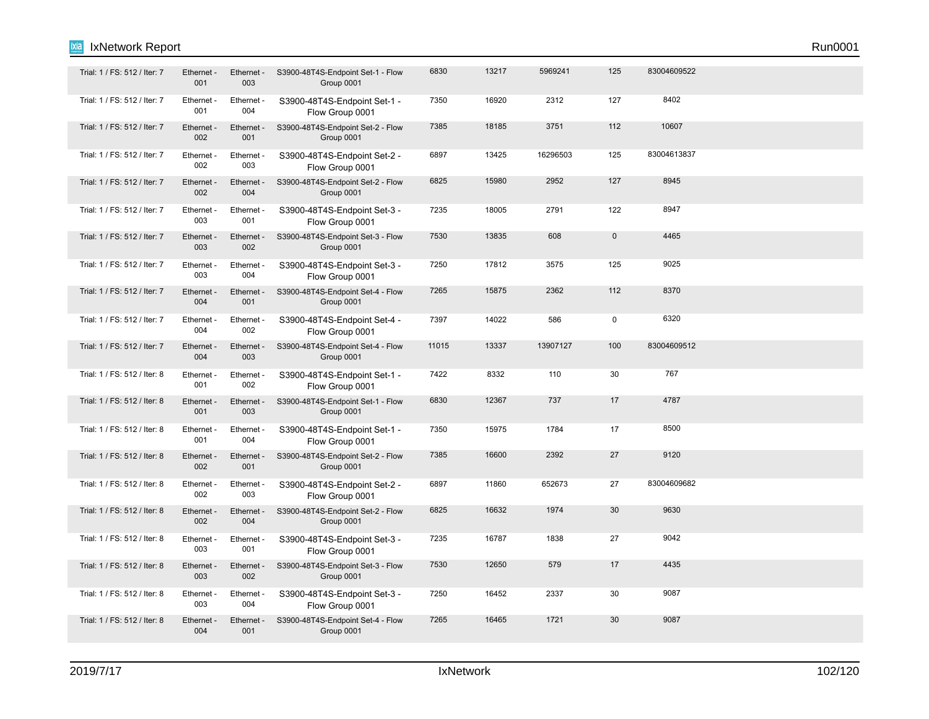| Trial: 1 / FS: 512 / Iter: 7 | Ethernet -<br>001 | Ethernet -<br>003 | S3900-48T4S-Endpoint Set-1 - Flow<br>Group 0001 | 6830  | 13217 | 5969241  | 125                 | 83004609522 |  |  |
|------------------------------|-------------------|-------------------|-------------------------------------------------|-------|-------|----------|---------------------|-------------|--|--|
| Trial: 1 / FS: 512 / Iter: 7 | Ethernet -<br>001 | Ethernet -<br>004 | S3900-48T4S-Endpoint Set-1 -<br>Flow Group 0001 | 7350  | 16920 | 2312     | 127                 | 8402        |  |  |
| Trial: 1 / FS: 512 / Iter: 7 | Ethernet -<br>002 | Ethernet -<br>001 | S3900-48T4S-Endpoint Set-2 - Flow<br>Group 0001 | 7385  | 18185 | 3751     | 112                 | 10607       |  |  |
| Trial: 1 / FS: 512 / Iter: 7 | Ethernet -<br>002 | Ethernet -<br>003 | S3900-48T4S-Endpoint Set-2 -<br>Flow Group 0001 | 6897  | 13425 | 16296503 | 125                 | 83004613837 |  |  |
| Trial: 1 / FS: 512 / Iter: 7 | Ethernet -<br>002 | Ethernet -<br>004 | S3900-48T4S-Endpoint Set-2 - Flow<br>Group 0001 | 6825  | 15980 | 2952     | 127                 | 8945        |  |  |
| Trial: 1 / FS: 512 / Iter: 7 | Ethernet -<br>003 | Ethernet -<br>001 | S3900-48T4S-Endpoint Set-3 -<br>Flow Group 0001 | 7235  | 18005 | 2791     | 122                 | 8947        |  |  |
| Trial: 1 / FS: 512 / Iter: 7 | Ethernet<br>003   | Ethernet<br>002   | S3900-48T4S-Endpoint Set-3 - Flow<br>Group 0001 | 7530  | 13835 | 608      | $\mathsf{O}\xspace$ | 4465        |  |  |
| Trial: 1 / FS: 512 / Iter: 7 | Ethernet -<br>003 | Ethernet -<br>004 | S3900-48T4S-Endpoint Set-3 -<br>Flow Group 0001 | 7250  | 17812 | 3575     | 125                 | 9025        |  |  |
| Trial: 1 / FS: 512 / Iter: 7 | Ethernet -<br>004 | Ethernet -<br>001 | S3900-48T4S-Endpoint Set-4 - Flow<br>Group 0001 | 7265  | 15875 | 2362     | 112                 | 8370        |  |  |
| Trial: 1 / FS: 512 / Iter: 7 | Ethernet -<br>004 | Ethernet -<br>002 | S3900-48T4S-Endpoint Set-4 -<br>Flow Group 0001 | 7397  | 14022 | 586      | $\mathbf 0$         | 6320        |  |  |
| Trial: 1 / FS: 512 / Iter: 7 | Ethernet -<br>004 | Ethernet -<br>003 | S3900-48T4S-Endpoint Set-4 - Flow<br>Group 0001 | 11015 | 13337 | 13907127 | 100                 | 83004609512 |  |  |
| Trial: 1 / FS: 512 / Iter: 8 | Ethernet -<br>001 | Ethernet -<br>002 | S3900-48T4S-Endpoint Set-1 -<br>Flow Group 0001 | 7422  | 8332  | 110      | 30                  | 767         |  |  |
| Trial: 1 / FS: 512 / Iter: 8 | Ethernet -<br>001 | Ethernet -<br>003 | S3900-48T4S-Endpoint Set-1 - Flow<br>Group 0001 | 6830  | 12367 | 737      | 17                  | 4787        |  |  |
| Trial: 1 / FS: 512 / Iter: 8 | Ethernet -<br>001 | Ethernet -<br>004 | S3900-48T4S-Endpoint Set-1 -<br>Flow Group 0001 | 7350  | 15975 | 1784     | 17                  | 8500        |  |  |
| Trial: 1 / FS: 512 / Iter: 8 | Ethernet -<br>002 | Ethernet -<br>001 | S3900-48T4S-Endpoint Set-2 - Flow<br>Group 0001 | 7385  | 16600 | 2392     | 27                  | 9120        |  |  |
| Trial: 1 / FS: 512 / Iter: 8 | Ethernet -<br>002 | Ethernet -<br>003 | S3900-48T4S-Endpoint Set-2 -<br>Flow Group 0001 | 6897  | 11860 | 652673   | 27                  | 83004609682 |  |  |
| Trial: 1 / FS: 512 / Iter: 8 | Ethernet -<br>002 | Ethernet -<br>004 | S3900-48T4S-Endpoint Set-2 - Flow<br>Group 0001 | 6825  | 16632 | 1974     | 30                  | 9630        |  |  |
| Trial: 1 / FS: 512 / Iter: 8 | Ethernet -<br>003 | Ethernet -<br>001 | S3900-48T4S-Endpoint Set-3 -<br>Flow Group 0001 | 7235  | 16787 | 1838     | 27                  | 9042        |  |  |
| Trial: 1 / FS: 512 / Iter: 8 | Ethernet -<br>003 | Ethernet -<br>002 | S3900-48T4S-Endpoint Set-3 - Flow<br>Group 0001 | 7530  | 12650 | 579      | 17                  | 4435        |  |  |
| Trial: 1 / FS: 512 / Iter: 8 | Ethernet -<br>003 | Ethernet -<br>004 | S3900-48T4S-Endpoint Set-3 -<br>Flow Group 0001 | 7250  | 16452 | 2337     | 30                  | 9087        |  |  |
| Trial: 1 / FS: 512 / Iter: 8 | Ethernet -<br>004 | Ethernet -<br>001 | S3900-48T4S-Endpoint Set-4 - Flow<br>Group 0001 | 7265  | 16465 | 1721     | 30                  | 9087        |  |  |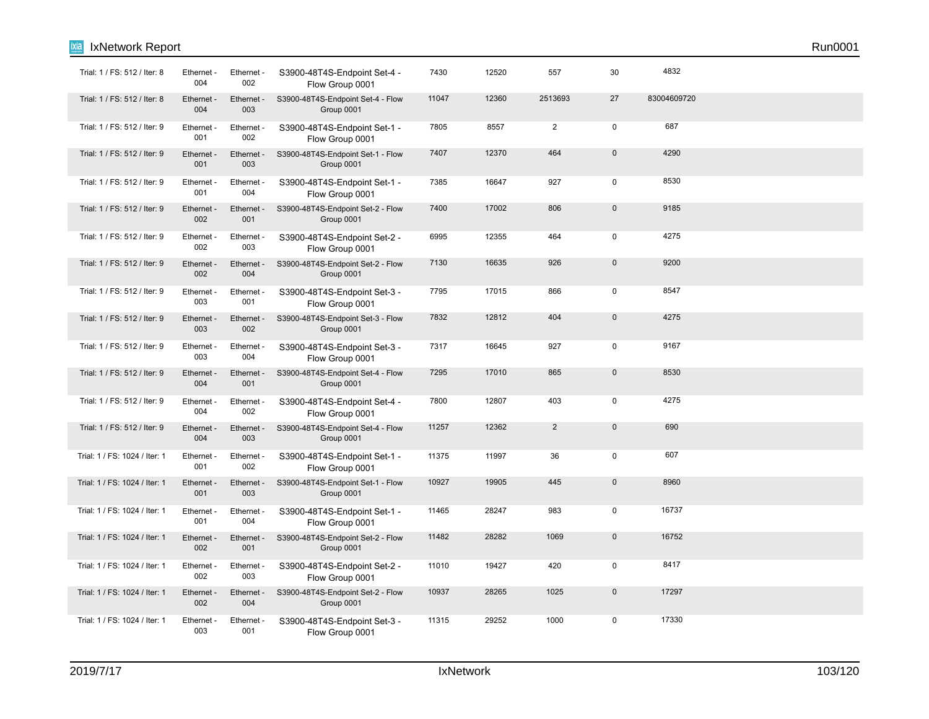| Trial: 1 / FS: 512 / Iter: 8  | Ethernet -<br>004 | Ethernet -<br>002 | S3900-48T4S-Endpoint Set-4 -<br>Flow Group 0001 | 7430  | 12520 | 557            | 30             | 4832        |  |
|-------------------------------|-------------------|-------------------|-------------------------------------------------|-------|-------|----------------|----------------|-------------|--|
| Trial: 1 / FS: 512 / Iter: 8  | Ethernet -<br>004 | Ethernet -<br>003 | S3900-48T4S-Endpoint Set-4 - Flow<br>Group 0001 | 11047 | 12360 | 2513693        | 27             | 83004609720 |  |
| Trial: 1 / FS: 512 / Iter: 9  | Ethernet -<br>001 | Ethernet -<br>002 | S3900-48T4S-Endpoint Set-1 -<br>Flow Group 0001 | 7805  | 8557  | $\overline{2}$ | $\mathbf 0$    | 687         |  |
| Trial: 1 / FS: 512 / Iter: 9  | Ethernet -<br>001 | Ethernet<br>003   | S3900-48T4S-Endpoint Set-1 - Flow<br>Group 0001 | 7407  | 12370 | 464            | 0              | 4290        |  |
| Trial: 1 / FS: 512 / Iter: 9  | Ethernet -<br>001 | Ethernet -<br>004 | S3900-48T4S-Endpoint Set-1 -<br>Flow Group 0001 | 7385  | 16647 | 927            | $\pmb{0}$      | 8530        |  |
| Trial: 1 / FS: 512 / Iter: 9  | Ethernet -<br>002 | Ethernet -<br>001 | S3900-48T4S-Endpoint Set-2 - Flow<br>Group 0001 | 7400  | 17002 | 806            | $\overline{0}$ | 9185        |  |
| Trial: 1 / FS: 512 / Iter: 9  | Ethernet -<br>002 | Ethernet -<br>003 | S3900-48T4S-Endpoint Set-2 -<br>Flow Group 0001 | 6995  | 12355 | 464            | $\mathbf 0$    | 4275        |  |
| Trial: 1 / FS: 512 / Iter: 9  | Ethernet -<br>002 | Ethernet<br>004   | S3900-48T4S-Endpoint Set-2 - Flow<br>Group 0001 | 7130  | 16635 | 926            | $\overline{0}$ | 9200        |  |
| Trial: 1 / FS: 512 / Iter: 9  | Ethernet -<br>003 | Ethernet -<br>001 | S3900-48T4S-Endpoint Set-3 -<br>Flow Group 0001 | 7795  | 17015 | 866            | $\mathbf 0$    | 8547        |  |
| Trial: 1 / FS: 512 / Iter: 9  | Ethernet -<br>003 | Ethernet -<br>002 | S3900-48T4S-Endpoint Set-3 - Flow<br>Group 0001 | 7832  | 12812 | 404            | $\mathbf 0$    | 4275        |  |
| Trial: 1 / FS: 512 / Iter: 9  | Ethernet -<br>003 | Ethernet -<br>004 | S3900-48T4S-Endpoint Set-3 -<br>Flow Group 0001 | 7317  | 16645 | 927            | 0              | 9167        |  |
| Trial: 1 / FS: 512 / Iter: 9  | Ethernet -<br>004 | Ethernet -<br>001 | S3900-48T4S-Endpoint Set-4 - Flow<br>Group 0001 | 7295  | 17010 | 865            | $\mathbf 0$    | 8530        |  |
| Trial: 1 / FS: 512 / Iter: 9  | Ethernet -<br>004 | Ethernet -<br>002 | S3900-48T4S-Endpoint Set-4 -<br>Flow Group 0001 | 7800  | 12807 | 403            | $\mathbf 0$    | 4275        |  |
| Trial: 1 / FS: 512 / Iter: 9  | Ethernet -<br>004 | Ethernet -<br>003 | S3900-48T4S-Endpoint Set-4 - Flow<br>Group 0001 | 11257 | 12362 | $\overline{2}$ | $\pmb{0}$      | 690         |  |
| Trial: 1 / FS: 1024 / Iter: 1 | Ethernet -<br>001 | Ethernet -<br>002 | S3900-48T4S-Endpoint Set-1 -<br>Flow Group 0001 | 11375 | 11997 | 36             | $\mathbf 0$    | 607         |  |
| Trial: 1 / FS: 1024 / Iter: 1 | Ethernet -<br>001 | Ethernet -<br>003 | S3900-48T4S-Endpoint Set-1 - Flow<br>Group 0001 | 10927 | 19905 | 445            | $\mathbf 0$    | 8960        |  |
| Trial: 1 / FS: 1024 / Iter: 1 | Ethernet -<br>001 | Ethernet -<br>004 | S3900-48T4S-Endpoint Set-1 -<br>Flow Group 0001 | 11465 | 28247 | 983            | $\pmb{0}$      | 16737       |  |
| Trial: 1 / FS: 1024 / Iter: 1 | Ethernet -<br>002 | Ethernet -<br>001 | S3900-48T4S-Endpoint Set-2 - Flow<br>Group 0001 | 11482 | 28282 | 1069           | 0              | 16752       |  |
| Trial: 1 / FS: 1024 / Iter: 1 | Ethernet -<br>002 | Ethernet -<br>003 | S3900-48T4S-Endpoint Set-2 -<br>Flow Group 0001 | 11010 | 19427 | 420            | $\pmb{0}$      | 8417        |  |
| Trial: 1 / FS: 1024 / Iter: 1 | Ethernet -<br>002 | Ethernet -<br>004 | S3900-48T4S-Endpoint Set-2 - Flow<br>Group 0001 | 10937 | 28265 | 1025           | $\pmb{0}$      | 17297       |  |
| Trial: 1 / FS: 1024 / Iter: 1 | Ethernet -<br>003 | Ethernet -<br>001 | S3900-48T4S-Endpoint Set-3 -<br>Flow Group 0001 | 11315 | 29252 | 1000           | $\mathbf 0$    | 17330       |  |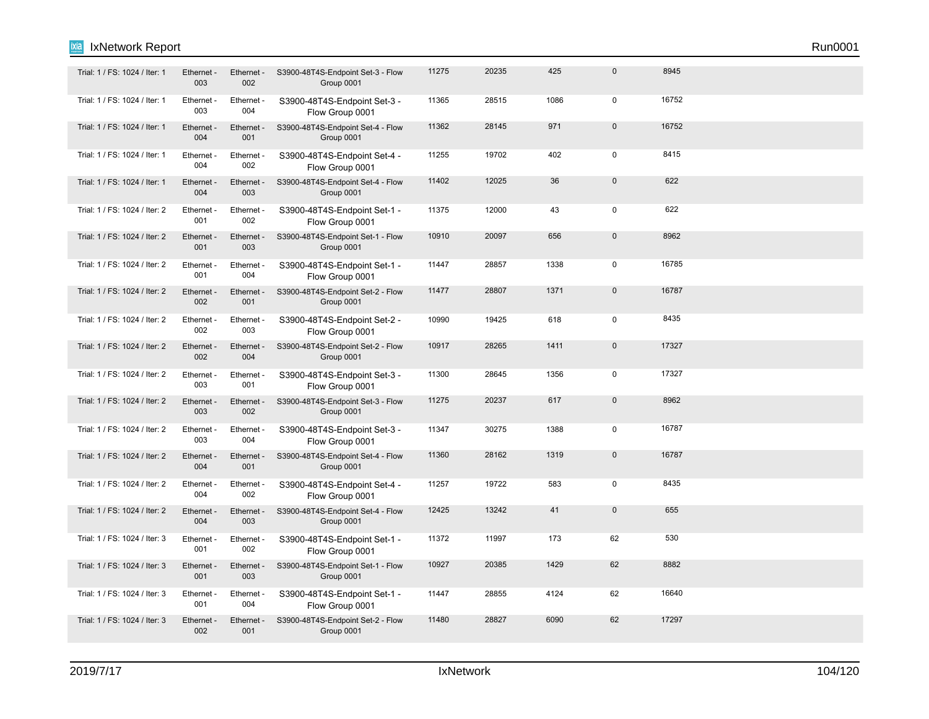| Trial: 1 / FS: 1024 / Iter: 1 | Ethernet -<br>003 | Ethernet -<br>002 | S3900-48T4S-Endpoint Set-3 - Flow<br>Group 0001 | 11275 | 20235 | 425  | $\mathbf 0$         | 8945  |  |  |
|-------------------------------|-------------------|-------------------|-------------------------------------------------|-------|-------|------|---------------------|-------|--|--|
| Trial: 1 / FS: 1024 / Iter: 1 | Ethernet -<br>003 | Ethernet -<br>004 | S3900-48T4S-Endpoint Set-3 -<br>Flow Group 0001 | 11365 | 28515 | 1086 | $\mathbf 0$         | 16752 |  |  |
| Trial: 1 / FS: 1024 / Iter: 1 | Ethernet -<br>004 | Ethernet -<br>001 | S3900-48T4S-Endpoint Set-4 - Flow<br>Group 0001 | 11362 | 28145 | 971  | $\pmb{0}$           | 16752 |  |  |
| Trial: 1 / FS: 1024 / Iter: 1 | Ethernet -<br>004 | Ethernet -<br>002 | S3900-48T4S-Endpoint Set-4 -<br>Flow Group 0001 | 11255 | 19702 | 402  | $\mathsf 0$         | 8415  |  |  |
| Trial: 1 / FS: 1024 / Iter: 1 | Ethernet -<br>004 | Ethernet -<br>003 | S3900-48T4S-Endpoint Set-4 - Flow<br>Group 0001 | 11402 | 12025 | 36   | $\pmb{0}$           | 622   |  |  |
| Trial: 1 / FS: 1024 / Iter: 2 | Ethernet -<br>001 | Ethernet -<br>002 | S3900-48T4S-Endpoint Set-1 -<br>Flow Group 0001 | 11375 | 12000 | 43   | $\mathbf 0$         | 622   |  |  |
| Trial: 1 / FS: 1024 / Iter: 2 | Ethernet -<br>001 | Ethernet -<br>003 | S3900-48T4S-Endpoint Set-1 - Flow<br>Group 0001 | 10910 | 20097 | 656  | $\mathsf{O}\xspace$ | 8962  |  |  |
| Trial: 1 / FS: 1024 / Iter: 2 | Ethernet -<br>001 | Ethernet -<br>004 | S3900-48T4S-Endpoint Set-1 -<br>Flow Group 0001 | 11447 | 28857 | 1338 | $\mathbf 0$         | 16785 |  |  |
| Trial: 1 / FS: 1024 / Iter: 2 | Ethernet -<br>002 | Ethernet -<br>001 | S3900-48T4S-Endpoint Set-2 - Flow<br>Group 0001 | 11477 | 28807 | 1371 | $\mathsf{O}\xspace$ | 16787 |  |  |
| Trial: 1 / FS: 1024 / Iter: 2 | Ethernet -<br>002 | Ethernet -<br>003 | S3900-48T4S-Endpoint Set-2 -<br>Flow Group 0001 | 10990 | 19425 | 618  | $\mathsf 0$         | 8435  |  |  |
| Trial: 1 / FS: 1024 / Iter: 2 | Ethernet -<br>002 | Ethernet -<br>004 | S3900-48T4S-Endpoint Set-2 - Flow<br>Group 0001 | 10917 | 28265 | 1411 | $\mathsf{O}\xspace$ | 17327 |  |  |
| Trial: 1 / FS: 1024 / Iter: 2 | Ethernet -<br>003 | Ethernet -<br>001 | S3900-48T4S-Endpoint Set-3 -<br>Flow Group 0001 | 11300 | 28645 | 1356 | $\mathbf 0$         | 17327 |  |  |
| Trial: 1 / FS: 1024 / Iter: 2 | Ethernet -<br>003 | Ethernet -<br>002 | S3900-48T4S-Endpoint Set-3 - Flow<br>Group 0001 | 11275 | 20237 | 617  | $\mathsf{O}\xspace$ | 8962  |  |  |
| Trial: 1 / FS: 1024 / Iter: 2 | Ethernet -<br>003 | Ethernet -<br>004 | S3900-48T4S-Endpoint Set-3 -<br>Flow Group 0001 | 11347 | 30275 | 1388 | $\mathsf 0$         | 16787 |  |  |
| Trial: 1 / FS: 1024 / Iter: 2 | Ethernet -<br>004 | Ethernet -<br>001 | S3900-48T4S-Endpoint Set-4 - Flow<br>Group 0001 | 11360 | 28162 | 1319 | $\mathbf 0$         | 16787 |  |  |
| Trial: 1 / FS: 1024 / Iter: 2 | Ethernet -<br>004 | Ethernet -<br>002 | S3900-48T4S-Endpoint Set-4 -<br>Flow Group 0001 | 11257 | 19722 | 583  | $\mathbf 0$         | 8435  |  |  |
| Trial: 1 / FS: 1024 / Iter: 2 | Ethernet -<br>004 | Ethernet -<br>003 | S3900-48T4S-Endpoint Set-4 - Flow<br>Group 0001 | 12425 | 13242 | 41   | $\mathbf 0$         | 655   |  |  |
| Trial: 1 / FS: 1024 / Iter: 3 | Ethernet -<br>001 | Ethernet -<br>002 | S3900-48T4S-Endpoint Set-1 -<br>Flow Group 0001 | 11372 | 11997 | 173  | 62                  | 530   |  |  |
| Trial: 1 / FS: 1024 / Iter: 3 | Ethernet -<br>001 | Ethernet -<br>003 | S3900-48T4S-Endpoint Set-1 - Flow<br>Group 0001 | 10927 | 20385 | 1429 | 62                  | 8882  |  |  |
| Trial: 1 / FS: 1024 / Iter: 3 | Ethernet -<br>001 | Ethernet -<br>004 | S3900-48T4S-Endpoint Set-1 -<br>Flow Group 0001 | 11447 | 28855 | 4124 | 62                  | 16640 |  |  |
| Trial: 1 / FS: 1024 / Iter: 3 | Ethernet -<br>002 | Ethernet -<br>001 | S3900-48T4S-Endpoint Set-2 - Flow<br>Group 0001 | 11480 | 28827 | 6090 | 62                  | 17297 |  |  |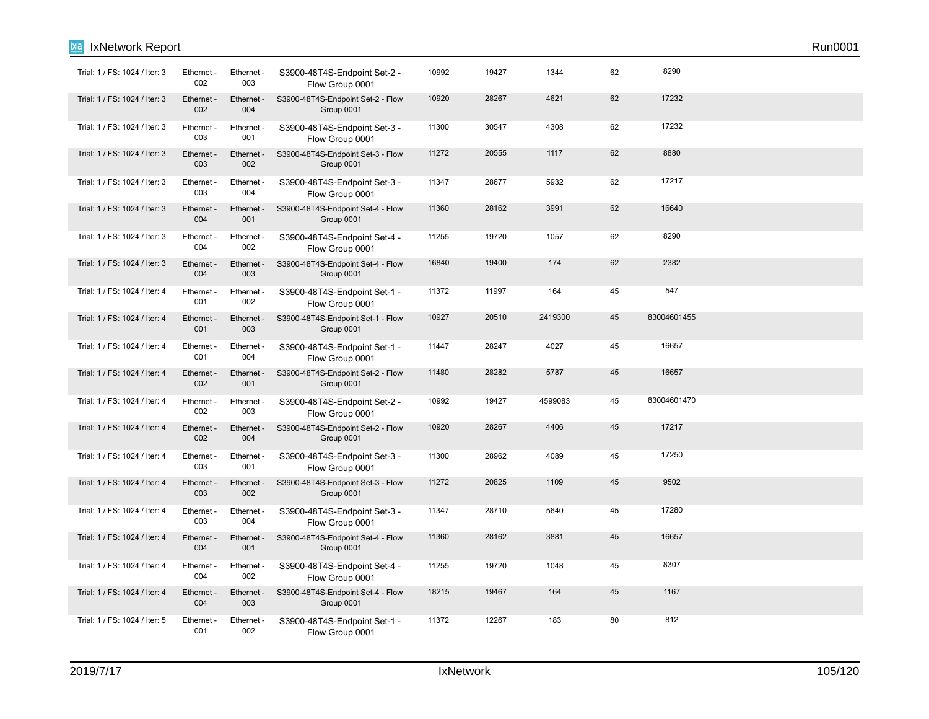| ixia<br>IxNetwork Report      |                   |                   |                                                 |       |       |         |    |             | Run0001 |
|-------------------------------|-------------------|-------------------|-------------------------------------------------|-------|-------|---------|----|-------------|---------|
| Trial: 1 / FS: 1024 / Iter: 3 | Ethernet -<br>002 | Ethernet -<br>003 | S3900-48T4S-Endpoint Set-2 -<br>Flow Group 0001 | 10992 | 19427 | 1344    | 62 | 8290        |         |
| Trial: 1 / FS: 1024 / Iter: 3 | Ethernet -<br>002 | Ethernet -<br>004 | S3900-48T4S-Endpoint Set-2 - Flow<br>Group 0001 | 10920 | 28267 | 4621    | 62 | 17232       |         |
| Trial: 1 / FS: 1024 / Iter: 3 | Ethernet -<br>003 | Ethernet -<br>001 | S3900-48T4S-Endpoint Set-3 -<br>Flow Group 0001 | 11300 | 30547 | 4308    | 62 | 17232       |         |
| Trial: 1 / FS: 1024 / Iter: 3 | Ethernet -<br>003 | Ethernet -<br>002 | S3900-48T4S-Endpoint Set-3 - Flow<br>Group 0001 | 11272 | 20555 | 1117    | 62 | 8880        |         |
| Trial: 1 / FS: 1024 / Iter: 3 | Ethernet -<br>003 | Ethernet -<br>004 | S3900-48T4S-Endpoint Set-3 -<br>Flow Group 0001 | 11347 | 28677 | 5932    | 62 | 17217       |         |
| Trial: 1 / FS: 1024 / Iter: 3 | Ethernet -<br>004 | Ethernet -<br>001 | S3900-48T4S-Endpoint Set-4 - Flow<br>Group 0001 | 11360 | 28162 | 3991    | 62 | 16640       |         |
| Trial: 1 / FS: 1024 / Iter: 3 | Ethernet -<br>004 | Ethernet -<br>002 | S3900-48T4S-Endpoint Set-4 -<br>Flow Group 0001 | 11255 | 19720 | 1057    | 62 | 8290        |         |
| Trial: 1 / FS: 1024 / Iter: 3 | Ethernet -<br>004 | Ethernet -<br>003 | S3900-48T4S-Endpoint Set-4 - Flow<br>Group 0001 | 16840 | 19400 | 174     | 62 | 2382        |         |
| Trial: 1 / FS: 1024 / Iter: 4 | Ethernet -<br>001 | Ethernet -<br>002 | S3900-48T4S-Endpoint Set-1 -<br>Flow Group 0001 | 11372 | 11997 | 164     | 45 | 547         |         |
| Trial: 1 / FS: 1024 / Iter: 4 | Ethernet -<br>001 | Ethernet -<br>003 | S3900-48T4S-Endpoint Set-1 - Flow<br>Group 0001 | 10927 | 20510 | 2419300 | 45 | 83004601455 |         |
| Trial: 1 / FS: 1024 / Iter: 4 | Ethernet -<br>001 | Ethernet -<br>004 | S3900-48T4S-Endpoint Set-1 -<br>Flow Group 0001 | 11447 | 28247 | 4027    | 45 | 16657       |         |
| Trial: 1 / FS: 1024 / Iter: 4 | Ethernet -<br>002 | Ethernet -<br>001 | S3900-48T4S-Endpoint Set-2 - Flow<br>Group 0001 | 11480 | 28282 | 5787    | 45 | 16657       |         |
| Trial: 1 / FS: 1024 / Iter: 4 | Ethernet -<br>002 | Ethernet -<br>003 | S3900-48T4S-Endpoint Set-2 -<br>Flow Group 0001 | 10992 | 19427 | 4599083 | 45 | 83004601470 |         |
| Trial: 1 / FS: 1024 / Iter: 4 | Ethernet -<br>002 | Ethernet -<br>004 | S3900-48T4S-Endpoint Set-2 - Flow<br>Group 0001 | 10920 | 28267 | 4406    | 45 | 17217       |         |
| Trial: 1 / FS: 1024 / Iter: 4 | Ethernet -<br>003 | Ethernet -<br>001 | S3900-48T4S-Endpoint Set-3 -<br>Flow Group 0001 | 11300 | 28962 | 4089    | 45 | 17250       |         |
| Trial: 1 / FS: 1024 / Iter: 4 | Ethernet -<br>003 | Ethernet -<br>002 | S3900-48T4S-Endpoint Set-3 - Flow<br>Group 0001 | 11272 | 20825 | 1109    | 45 | 9502        |         |
| Trial: 1 / FS: 1024 / Iter: 4 | Ethernet -<br>003 | Ethernet -<br>004 | S3900-48T4S-Endpoint Set-3 -<br>Flow Group 0001 | 11347 | 28710 | 5640    | 45 | 17280       |         |
| Trial: 1 / FS: 1024 / Iter: 4 | Ethernet -<br>004 | Ethernet -<br>001 | S3900-48T4S-Endpoint Set-4 - Flow<br>Group 0001 | 11360 | 28162 | 3881    | 45 | 16657       |         |
| Trial: 1 / FS: 1024 / Iter: 4 | Ethernet -<br>004 | Ethernet -<br>002 | S3900-48T4S-Endpoint Set-4 -<br>Flow Group 0001 | 11255 | 19720 | 1048    | 45 | 8307        |         |
| Trial: 1 / FS: 1024 / Iter: 4 | Ethernet -<br>004 | Ethernet -<br>003 | S3900-48T4S-Endpoint Set-4 - Flow<br>Group 0001 | 18215 | 19467 | 164     | 45 | 1167        |         |
| Trial: 1 / FS: 1024 / Iter: 5 | Ethernet -<br>001 | Ethernet -<br>002 | S3900-48T4S-Endpoint Set-1 -<br>Flow Group 0001 | 11372 | 12267 | 183     | 80 | 812         |         |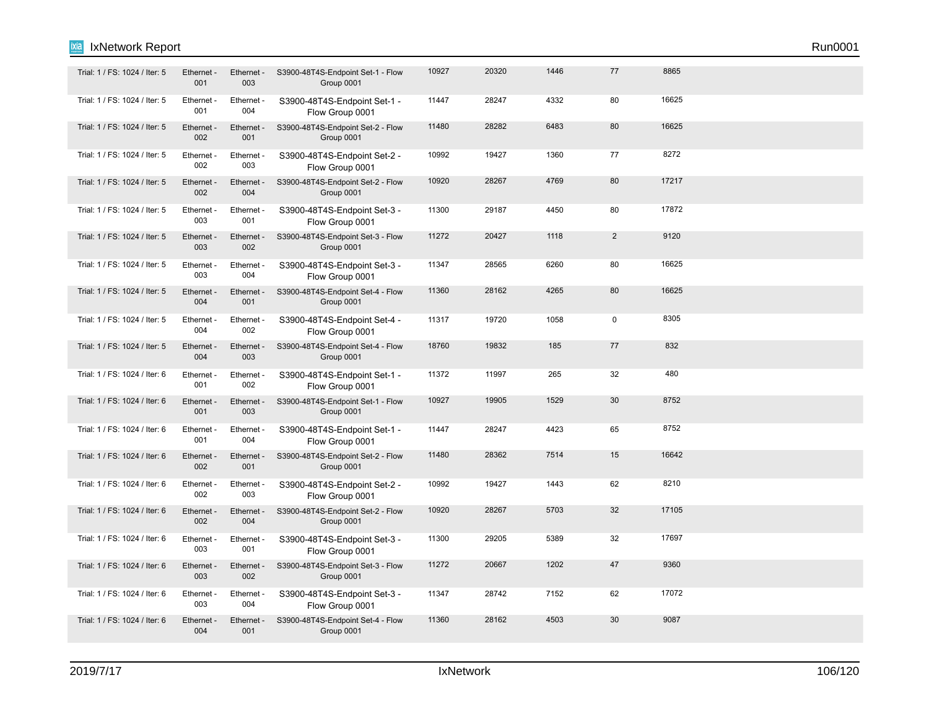| Trial: 1 / FS: 1024 / Iter: 5 | Ethernet -<br>001 | Ethernet -<br>003 | S3900-48T4S-Endpoint Set-1 - Flow<br>Group 0001 | 10927 | 20320 | 1446 | 77             | 8865  |  |
|-------------------------------|-------------------|-------------------|-------------------------------------------------|-------|-------|------|----------------|-------|--|
| Trial: 1 / FS: 1024 / Iter: 5 | Ethernet -<br>001 | Ethernet -<br>004 | S3900-48T4S-Endpoint Set-1 -<br>Flow Group 0001 | 11447 | 28247 | 4332 | 80             | 16625 |  |
| Trial: 1 / FS: 1024 / Iter: 5 | Ethernet -<br>002 | Ethernet -<br>001 | S3900-48T4S-Endpoint Set-2 - Flow<br>Group 0001 | 11480 | 28282 | 6483 | 80             | 16625 |  |
| Trial: 1 / FS: 1024 / Iter: 5 | Ethernet -<br>002 | Ethernet -<br>003 | S3900-48T4S-Endpoint Set-2 -<br>Flow Group 0001 | 10992 | 19427 | 1360 | 77             | 8272  |  |
| Trial: 1 / FS: 1024 / Iter: 5 | Ethernet -<br>002 | Ethernet -<br>004 | S3900-48T4S-Endpoint Set-2 - Flow<br>Group 0001 | 10920 | 28267 | 4769 | 80             | 17217 |  |
| Trial: 1 / FS: 1024 / Iter: 5 | Ethernet -<br>003 | Ethernet -<br>001 | S3900-48T4S-Endpoint Set-3 -<br>Flow Group 0001 | 11300 | 29187 | 4450 | 80             | 17872 |  |
| Trial: 1 / FS: 1024 / Iter: 5 | Ethernet -<br>003 | Ethernet -<br>002 | S3900-48T4S-Endpoint Set-3 - Flow<br>Group 0001 | 11272 | 20427 | 1118 | $\overline{2}$ | 9120  |  |
| Trial: 1 / FS: 1024 / Iter: 5 | Ethernet -<br>003 | Ethernet -<br>004 | S3900-48T4S-Endpoint Set-3 -<br>Flow Group 0001 | 11347 | 28565 | 6260 | 80             | 16625 |  |
| Trial: 1 / FS: 1024 / Iter: 5 | Ethernet -<br>004 | Ethernet -<br>001 | S3900-48T4S-Endpoint Set-4 - Flow<br>Group 0001 | 11360 | 28162 | 4265 | 80             | 16625 |  |
| Trial: 1 / FS: 1024 / Iter: 5 | Ethernet -<br>004 | Ethernet -<br>002 | S3900-48T4S-Endpoint Set-4 -<br>Flow Group 0001 | 11317 | 19720 | 1058 | 0              | 8305  |  |
| Trial: 1 / FS: 1024 / Iter: 5 | Ethernet -<br>004 | Ethernet -<br>003 | S3900-48T4S-Endpoint Set-4 - Flow<br>Group 0001 | 18760 | 19832 | 185  | 77             | 832   |  |
| Trial: 1 / FS: 1024 / Iter: 6 | Ethernet -<br>001 | Ethernet -<br>002 | S3900-48T4S-Endpoint Set-1 -<br>Flow Group 0001 | 11372 | 11997 | 265  | 32             | 480   |  |
| Trial: 1 / FS: 1024 / Iter: 6 | Ethernet -<br>001 | Ethernet -<br>003 | S3900-48T4S-Endpoint Set-1 - Flow<br>Group 0001 | 10927 | 19905 | 1529 | 30             | 8752  |  |
| Trial: 1 / FS: 1024 / Iter: 6 | Ethernet -<br>001 | Ethernet -<br>004 | S3900-48T4S-Endpoint Set-1 -<br>Flow Group 0001 | 11447 | 28247 | 4423 | 65             | 8752  |  |
| Trial: 1 / FS: 1024 / Iter: 6 | Ethernet -<br>002 | Ethernet -<br>001 | S3900-48T4S-Endpoint Set-2 - Flow<br>Group 0001 | 11480 | 28362 | 7514 | 15             | 16642 |  |
| Trial: 1 / FS: 1024 / Iter: 6 | Ethernet -<br>002 | Ethernet -<br>003 | S3900-48T4S-Endpoint Set-2 -<br>Flow Group 0001 | 10992 | 19427 | 1443 | 62             | 8210  |  |
| Trial: 1 / FS: 1024 / Iter: 6 | Ethernet -<br>002 | Ethernet -<br>004 | S3900-48T4S-Endpoint Set-2 - Flow<br>Group 0001 | 10920 | 28267 | 5703 | 32             | 17105 |  |
| Trial: 1 / FS: 1024 / Iter: 6 | Ethernet -<br>003 | Ethernet -<br>001 | S3900-48T4S-Endpoint Set-3 -<br>Flow Group 0001 | 11300 | 29205 | 5389 | 32             | 17697 |  |
| Trial: 1 / FS: 1024 / Iter: 6 | Ethernet -<br>003 | Ethernet -<br>002 | S3900-48T4S-Endpoint Set-3 - Flow<br>Group 0001 | 11272 | 20667 | 1202 | 47             | 9360  |  |
| Trial: 1 / FS: 1024 / Iter: 6 | Ethernet -<br>003 | Ethernet -<br>004 | S3900-48T4S-Endpoint Set-3 -<br>Flow Group 0001 | 11347 | 28742 | 7152 | 62             | 17072 |  |
| Trial: 1 / FS: 1024 / Iter: 6 | Ethernet -<br>004 | Ethernet -<br>001 | S3900-48T4S-Endpoint Set-4 - Flow<br>Group 0001 | 11360 | 28162 | 4503 | 30             | 9087  |  |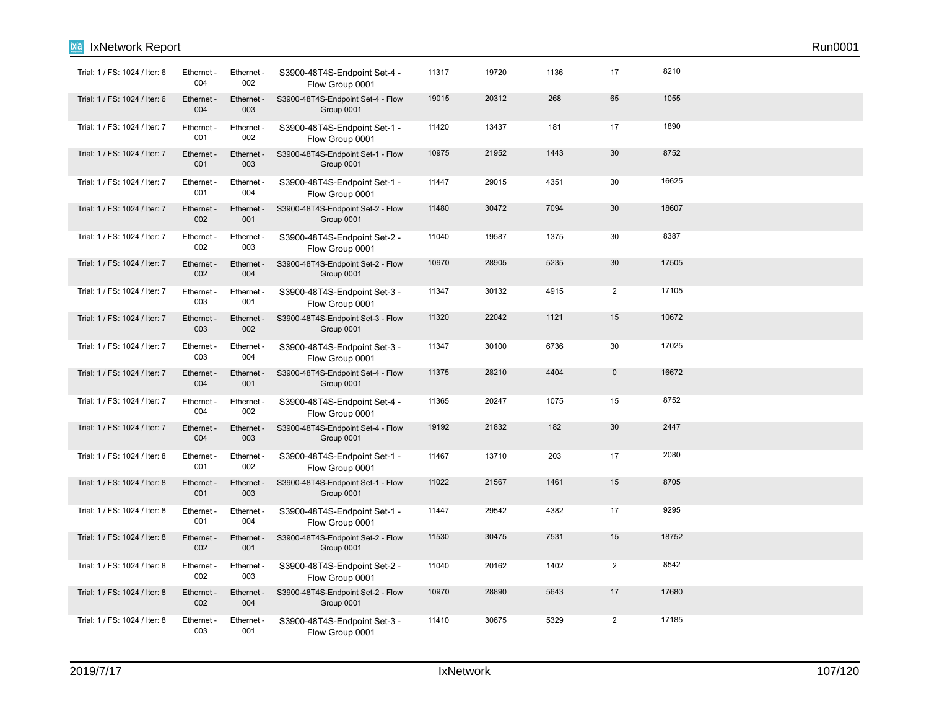| Trial: 1 / FS: 1024 / Iter: 6 | Ethernet -<br>004 | Ethernet -<br>002 | S3900-48T4S-Endpoint Set-4 -<br>Flow Group 0001 | 11317 | 19720 | 1136 | 17             | 8210  |  |
|-------------------------------|-------------------|-------------------|-------------------------------------------------|-------|-------|------|----------------|-------|--|
| Trial: 1 / FS: 1024 / Iter: 6 | Ethernet -<br>004 | Ethernet -<br>003 | S3900-48T4S-Endpoint Set-4 - Flow<br>Group 0001 | 19015 | 20312 | 268  | 65             | 1055  |  |
| Trial: 1 / FS: 1024 / Iter: 7 | Ethernet -<br>001 | Ethernet -<br>002 | S3900-48T4S-Endpoint Set-1 -<br>Flow Group 0001 | 11420 | 13437 | 181  | 17             | 1890  |  |
| Trial: 1 / FS: 1024 / Iter: 7 | Ethernet -<br>001 | Ethernet -<br>003 | S3900-48T4S-Endpoint Set-1 - Flow<br>Group 0001 | 10975 | 21952 | 1443 | 30             | 8752  |  |
| Trial: 1 / FS: 1024 / Iter: 7 | Ethernet -<br>001 | Ethernet -<br>004 | S3900-48T4S-Endpoint Set-1 -<br>Flow Group 0001 | 11447 | 29015 | 4351 | 30             | 16625 |  |
| Trial: 1 / FS: 1024 / Iter: 7 | Ethernet -<br>002 | Ethernet -<br>001 | S3900-48T4S-Endpoint Set-2 - Flow<br>Group 0001 | 11480 | 30472 | 7094 | 30             | 18607 |  |
| Trial: 1 / FS: 1024 / Iter: 7 | Ethernet -<br>002 | Ethernet -<br>003 | S3900-48T4S-Endpoint Set-2 -<br>Flow Group 0001 | 11040 | 19587 | 1375 | 30             | 8387  |  |
| Trial: 1 / FS: 1024 / Iter: 7 | Ethernet -<br>002 | Ethernet -<br>004 | S3900-48T4S-Endpoint Set-2 - Flow<br>Group 0001 | 10970 | 28905 | 5235 | 30             | 17505 |  |
| Trial: 1 / FS: 1024 / Iter: 7 | Ethernet -<br>003 | Ethernet -<br>001 | S3900-48T4S-Endpoint Set-3 -<br>Flow Group 0001 | 11347 | 30132 | 4915 | $\overline{2}$ | 17105 |  |
| Trial: 1 / FS: 1024 / Iter: 7 | Ethernet -<br>003 | Ethernet -<br>002 | S3900-48T4S-Endpoint Set-3 - Flow<br>Group 0001 | 11320 | 22042 | 1121 | 15             | 10672 |  |
| Trial: 1 / FS: 1024 / Iter: 7 | Ethernet -<br>003 | Ethernet -<br>004 | S3900-48T4S-Endpoint Set-3 -<br>Flow Group 0001 | 11347 | 30100 | 6736 | 30             | 17025 |  |
| Trial: 1 / FS: 1024 / Iter: 7 | Ethernet -<br>004 | Ethernet -<br>001 | S3900-48T4S-Endpoint Set-4 - Flow<br>Group 0001 | 11375 | 28210 | 4404 | $\mathbf 0$    | 16672 |  |
| Trial: 1 / FS: 1024 / Iter: 7 | Ethernet -<br>004 | Ethernet -<br>002 | S3900-48T4S-Endpoint Set-4 -<br>Flow Group 0001 | 11365 | 20247 | 1075 | 15             | 8752  |  |
| Trial: 1 / FS: 1024 / Iter: 7 | Ethernet -<br>004 | Ethernet -<br>003 | S3900-48T4S-Endpoint Set-4 - Flow<br>Group 0001 | 19192 | 21832 | 182  | 30             | 2447  |  |
| Trial: 1 / FS: 1024 / Iter: 8 | Ethernet -<br>001 | Ethernet -<br>002 | S3900-48T4S-Endpoint Set-1 -<br>Flow Group 0001 | 11467 | 13710 | 203  | 17             | 2080  |  |
| Trial: 1 / FS: 1024 / Iter: 8 | Ethernet -<br>001 | Ethernet -<br>003 | S3900-48T4S-Endpoint Set-1 - Flow<br>Group 0001 | 11022 | 21567 | 1461 | 15             | 8705  |  |
| Trial: 1 / FS: 1024 / Iter: 8 | Ethernet -<br>001 | Ethernet -<br>004 | S3900-48T4S-Endpoint Set-1 -<br>Flow Group 0001 | 11447 | 29542 | 4382 | 17             | 9295  |  |
| Trial: 1 / FS: 1024 / Iter: 8 | Ethernet -<br>002 | Ethernet -<br>001 | S3900-48T4S-Endpoint Set-2 - Flow<br>Group 0001 | 11530 | 30475 | 7531 | 15             | 18752 |  |
| Trial: 1 / FS: 1024 / Iter: 8 | Ethernet -<br>002 | Ethernet -<br>003 | S3900-48T4S-Endpoint Set-2 -<br>Flow Group 0001 | 11040 | 20162 | 1402 | $\overline{2}$ | 8542  |  |
| Trial: 1 / FS: 1024 / Iter: 8 | Ethernet -<br>002 | Ethernet -<br>004 | S3900-48T4S-Endpoint Set-2 - Flow<br>Group 0001 | 10970 | 28890 | 5643 | 17             | 17680 |  |
| Trial: 1 / FS: 1024 / Iter: 8 | Ethernet -<br>003 | Ethernet -<br>001 | S3900-48T4S-Endpoint Set-3 -<br>Flow Group 0001 | 11410 | 30675 | 5329 | 2              | 17185 |  |

**Ixia** IxNetwork Report Run0001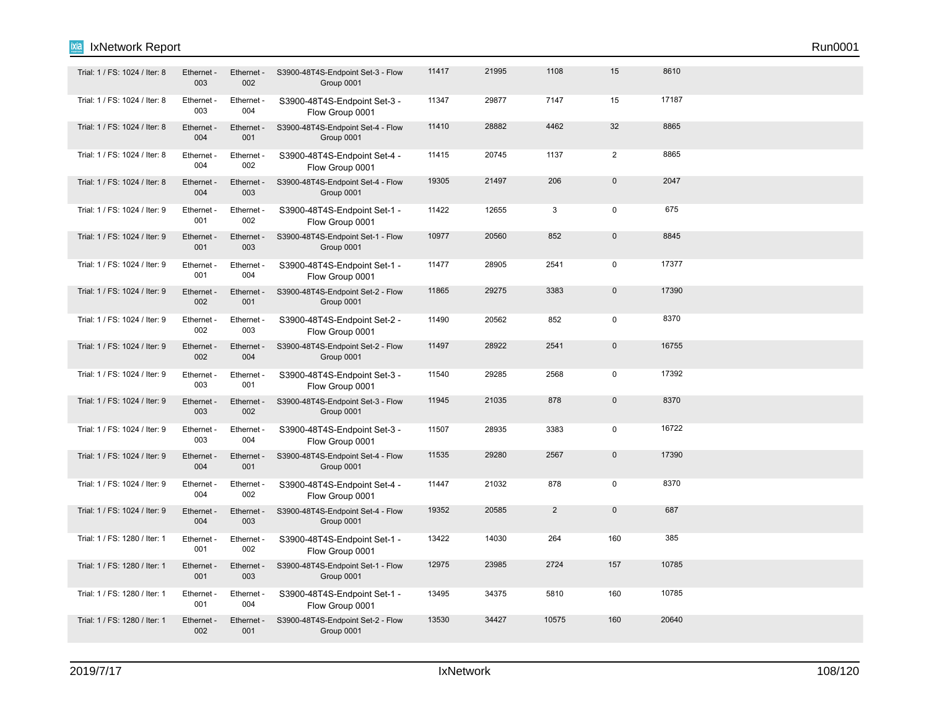| Trial: 1 / FS: 1024 / Iter: 8 | Ethernet -<br>003 | Ethernet -<br>002 | S3900-48T4S-Endpoint Set-3 - Flow<br>Group 0001 | 11417 | 21995 | 1108           | 15             | 8610  |  |
|-------------------------------|-------------------|-------------------|-------------------------------------------------|-------|-------|----------------|----------------|-------|--|
| Trial: 1 / FS: 1024 / Iter: 8 | Ethernet -<br>003 | Ethernet -<br>004 | S3900-48T4S-Endpoint Set-3 -<br>Flow Group 0001 | 11347 | 29877 | 7147           | 15             | 17187 |  |
| Trial: 1 / FS: 1024 / Iter: 8 | Ethernet -<br>004 | Ethernet -<br>001 | S3900-48T4S-Endpoint Set-4 - Flow<br>Group 0001 | 11410 | 28882 | 4462           | 32             | 8865  |  |
| Trial: 1 / FS: 1024 / Iter: 8 | Ethernet -<br>004 | Ethernet -<br>002 | S3900-48T4S-Endpoint Set-4 -<br>Flow Group 0001 | 11415 | 20745 | 1137           | 2              | 8865  |  |
| Trial: 1 / FS: 1024 / Iter: 8 | Ethernet -<br>004 | Ethernet -<br>003 | S3900-48T4S-Endpoint Set-4 - Flow<br>Group 0001 | 19305 | 21497 | 206            | $\mathbf 0$    | 2047  |  |
| Trial: 1 / FS: 1024 / Iter: 9 | Ethernet -<br>001 | Ethernet -<br>002 | S3900-48T4S-Endpoint Set-1 -<br>Flow Group 0001 | 11422 | 12655 | 3              | $\mathbf 0$    | 675   |  |
| Trial: 1 / FS: 1024 / Iter: 9 | Ethernet -<br>001 | Ethernet -<br>003 | S3900-48T4S-Endpoint Set-1 - Flow<br>Group 0001 | 10977 | 20560 | 852            | $\overline{0}$ | 8845  |  |
| Trial: 1 / FS: 1024 / Iter: 9 | Ethernet -<br>001 | Ethernet -<br>004 | S3900-48T4S-Endpoint Set-1 -<br>Flow Group 0001 | 11477 | 28905 | 2541           | 0              | 17377 |  |
| Trial: 1 / FS: 1024 / Iter: 9 | Ethernet -<br>002 | Ethernet -<br>001 | S3900-48T4S-Endpoint Set-2 - Flow<br>Group 0001 | 11865 | 29275 | 3383           | $\mathbf 0$    | 17390 |  |
| Trial: 1 / FS: 1024 / Iter: 9 | Ethernet -<br>002 | Ethernet -<br>003 | S3900-48T4S-Endpoint Set-2 -<br>Flow Group 0001 | 11490 | 20562 | 852            | $\mathbf 0$    | 8370  |  |
| Trial: 1 / FS: 1024 / Iter: 9 | Ethernet -<br>002 | Ethernet -<br>004 | S3900-48T4S-Endpoint Set-2 - Flow<br>Group 0001 | 11497 | 28922 | 2541           | $\mathbf{0}$   | 16755 |  |
| Trial: 1 / FS: 1024 / Iter: 9 | Ethernet -<br>003 | Ethernet -<br>001 | S3900-48T4S-Endpoint Set-3 -<br>Flow Group 0001 | 11540 | 29285 | 2568           | 0              | 17392 |  |
| Trial: 1 / FS: 1024 / Iter: 9 | Ethernet -<br>003 | Ethernet -<br>002 | S3900-48T4S-Endpoint Set-3 - Flow<br>Group 0001 | 11945 | 21035 | 878            | $\mathbf 0$    | 8370  |  |
| Trial: 1 / FS: 1024 / Iter: 9 | Ethernet -<br>003 | Ethernet -<br>004 | S3900-48T4S-Endpoint Set-3 -<br>Flow Group 0001 | 11507 | 28935 | 3383           | 0              | 16722 |  |
| Trial: 1 / FS: 1024 / Iter: 9 | Ethernet -<br>004 | Ethernet -<br>001 | S3900-48T4S-Endpoint Set-4 - Flow<br>Group 0001 | 11535 | 29280 | 2567           | $\mathbf 0$    | 17390 |  |
| Trial: 1 / FS: 1024 / Iter: 9 | Ethernet -<br>004 | Ethernet -<br>002 | S3900-48T4S-Endpoint Set-4 -<br>Flow Group 0001 | 11447 | 21032 | 878            | $\mathbf 0$    | 8370  |  |
| Trial: 1 / FS: 1024 / Iter: 9 | Ethernet -<br>004 | Ethernet -<br>003 | S3900-48T4S-Endpoint Set-4 - Flow<br>Group 0001 | 19352 | 20585 | $\overline{2}$ | $\mathbf{0}$   | 687   |  |
| Trial: 1 / FS: 1280 / Iter: 1 | Ethernet -<br>001 | Ethernet -<br>002 | S3900-48T4S-Endpoint Set-1 -<br>Flow Group 0001 | 13422 | 14030 | 264            | 160            | 385   |  |
| Trial: 1 / FS: 1280 / Iter: 1 | Ethernet -<br>001 | Ethernet -<br>003 | S3900-48T4S-Endpoint Set-1 - Flow<br>Group 0001 | 12975 | 23985 | 2724           | 157            | 10785 |  |
| Trial: 1 / FS: 1280 / Iter: 1 | Ethernet -<br>001 | Ethernet -<br>004 | S3900-48T4S-Endpoint Set-1 -<br>Flow Group 0001 | 13495 | 34375 | 5810           | 160            | 10785 |  |
| Trial: 1 / FS: 1280 / Iter: 1 | Ethernet -<br>002 | Ethernet -<br>001 | S3900-48T4S-Endpoint Set-2 - Flow<br>Group 0001 | 13530 | 34427 | 10575          | 160            | 20640 |  |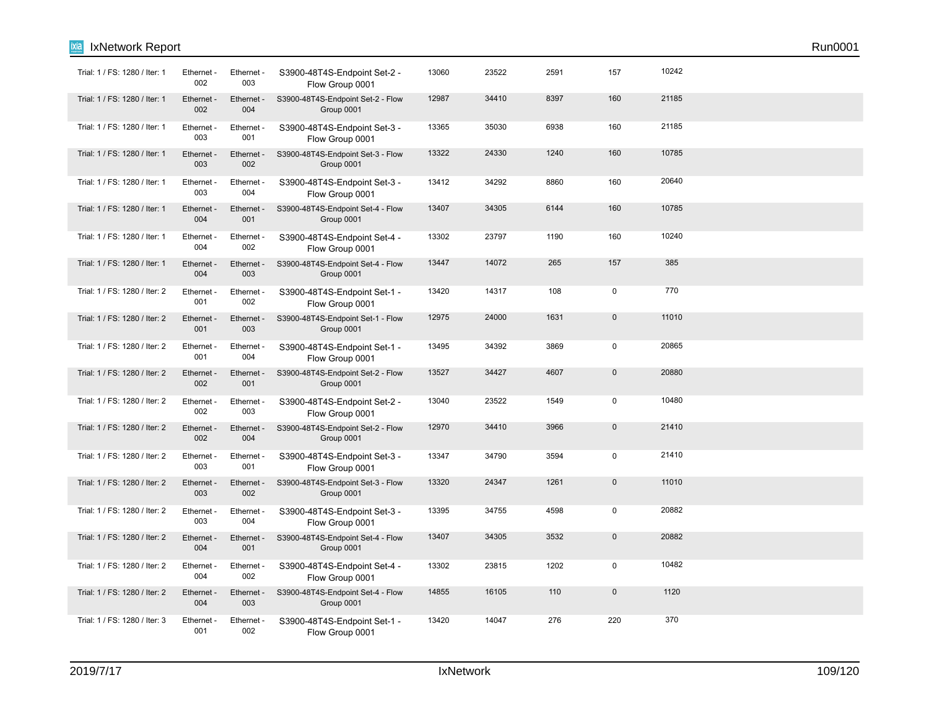| ixia<br>IxNetwork Report      |                   |                   |                                                 |       |       |      |                |       | Run0001 |
|-------------------------------|-------------------|-------------------|-------------------------------------------------|-------|-------|------|----------------|-------|---------|
| Trial: 1 / FS: 1280 / Iter: 1 | Ethernet -<br>002 | Ethernet -<br>003 | S3900-48T4S-Endpoint Set-2 -<br>Flow Group 0001 | 13060 | 23522 | 2591 | 157            | 10242 |         |
| Trial: 1 / FS: 1280 / Iter: 1 | Ethernet -<br>002 | Ethernet -<br>004 | S3900-48T4S-Endpoint Set-2 - Flow<br>Group 0001 | 12987 | 34410 | 8397 | 160            | 21185 |         |
| Trial: 1 / FS: 1280 / Iter: 1 | Ethernet -<br>003 | Ethernet -<br>001 | S3900-48T4S-Endpoint Set-3 -<br>Flow Group 0001 | 13365 | 35030 | 6938 | 160            | 21185 |         |
| Trial: 1 / FS: 1280 / Iter: 1 | Ethernet -<br>003 | Ethernet -<br>002 | S3900-48T4S-Endpoint Set-3 - Flow<br>Group 0001 | 13322 | 24330 | 1240 | 160            | 10785 |         |
| Trial: 1 / FS: 1280 / Iter: 1 | Ethernet -<br>003 | Ethernet -<br>004 | S3900-48T4S-Endpoint Set-3 -<br>Flow Group 0001 | 13412 | 34292 | 8860 | 160            | 20640 |         |
| Trial: 1 / FS: 1280 / Iter: 1 | Ethernet -<br>004 | Ethernet -<br>001 | S3900-48T4S-Endpoint Set-4 - Flow<br>Group 0001 | 13407 | 34305 | 6144 | 160            | 10785 |         |
| Trial: 1 / FS: 1280 / Iter: 1 | Ethernet -<br>004 | Ethernet -<br>002 | S3900-48T4S-Endpoint Set-4 -<br>Flow Group 0001 | 13302 | 23797 | 1190 | 160            | 10240 |         |
| Trial: 1 / FS: 1280 / Iter: 1 | Ethernet -<br>004 | Ethernet -<br>003 | S3900-48T4S-Endpoint Set-4 - Flow<br>Group 0001 | 13447 | 14072 | 265  | 157            | 385   |         |
| Trial: 1 / FS: 1280 / Iter: 2 | Ethernet -<br>001 | Ethernet -<br>002 | S3900-48T4S-Endpoint Set-1 -<br>Flow Group 0001 | 13420 | 14317 | 108  | $\mathbf 0$    | 770   |         |
| Trial: 1 / FS: 1280 / Iter: 2 | Ethernet -<br>001 | Ethernet -<br>003 | S3900-48T4S-Endpoint Set-1 - Flow<br>Group 0001 | 12975 | 24000 | 1631 | $\pmb{0}$      | 11010 |         |
| Trial: 1 / FS: 1280 / Iter: 2 | Ethernet -<br>001 | Ethernet -<br>004 | S3900-48T4S-Endpoint Set-1 -<br>Flow Group 0001 | 13495 | 34392 | 3869 | $\pmb{0}$      | 20865 |         |
| Trial: 1 / FS: 1280 / Iter: 2 | Ethernet -<br>002 | Ethernet -<br>001 | S3900-48T4S-Endpoint Set-2 - Flow<br>Group 0001 | 13527 | 34427 | 4607 | $\pmb{0}$      | 20880 |         |
| Trial: 1 / FS: 1280 / Iter: 2 | Ethernet -<br>002 | Ethernet -<br>003 | S3900-48T4S-Endpoint Set-2 -<br>Flow Group 0001 | 13040 | 23522 | 1549 | $\mathbf 0$    | 10480 |         |
| Trial: 1 / FS: 1280 / Iter: 2 | Ethernet -<br>002 | Ethernet -<br>004 | S3900-48T4S-Endpoint Set-2 - Flow<br>Group 0001 | 12970 | 34410 | 3966 | $\overline{0}$ | 21410 |         |
| Trial: 1 / FS: 1280 / Iter: 2 | Ethernet -<br>003 | Ethernet -<br>001 | S3900-48T4S-Endpoint Set-3 -<br>Flow Group 0001 | 13347 | 34790 | 3594 | $\pmb{0}$      | 21410 |         |
| Trial: 1 / FS: 1280 / Iter: 2 | Ethernet -<br>003 | Ethernet -<br>002 | S3900-48T4S-Endpoint Set-3 - Flow<br>Group 0001 | 13320 | 24347 | 1261 | $\Omega$       | 11010 |         |
| Trial: 1 / FS: 1280 / Iter: 2 | Ethernet -<br>003 | Ethernet -<br>004 | S3900-48T4S-Endpoint Set-3 -<br>Flow Group 0001 | 13395 | 34755 | 4598 | $\mathbf 0$    | 20882 |         |
| Trial: 1 / FS: 1280 / Iter: 2 | Ethernet -<br>004 | Ethernet -<br>001 | S3900-48T4S-Endpoint Set-4 - Flow<br>Group 0001 | 13407 | 34305 | 3532 | $\mathbf 0$    | 20882 |         |
| Trial: 1 / FS: 1280 / Iter: 2 | Ethernet -<br>004 | Ethernet -<br>002 | S3900-48T4S-Endpoint Set-4 -<br>Flow Group 0001 | 13302 | 23815 | 1202 | $\pmb{0}$      | 10482 |         |
| Trial: 1 / FS: 1280 / Iter: 2 | Ethernet -<br>004 | Ethernet -<br>003 | S3900-48T4S-Endpoint Set-4 - Flow<br>Group 0001 | 14855 | 16105 | 110  | $\pmb{0}$      | 1120  |         |
| Trial: 1 / FS: 1280 / Iter: 3 | Ethernet -<br>001 | Ethernet -<br>002 | S3900-48T4S-Endpoint Set-1 -<br>Flow Group 0001 | 13420 | 14047 | 276  | 220            | 370   |         |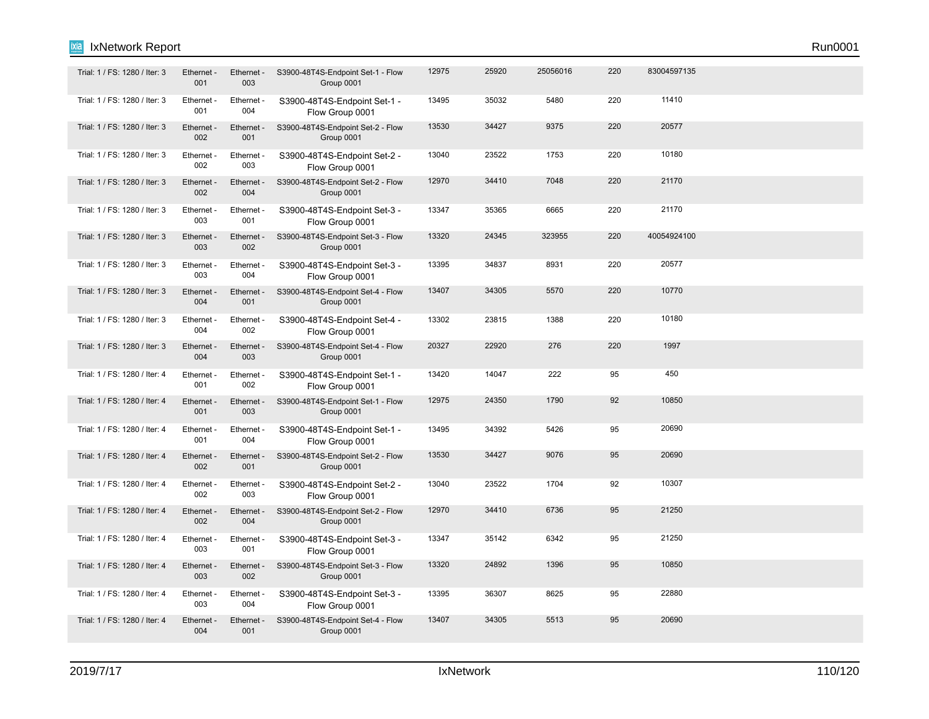### IxNetwork Report Run0001 ixia

| Trial: 1 / FS: 1280 / Iter: 3 | Ethernet -<br>001 | Ethernet -<br>003 | S3900-48T4S-Endpoint Set-1 - Flow<br>Group 0001 | 12975 | 25920 | 25056016 | 220 | 83004597135 |  |  |
|-------------------------------|-------------------|-------------------|-------------------------------------------------|-------|-------|----------|-----|-------------|--|--|
| Trial: 1 / FS: 1280 / Iter: 3 | Ethernet -<br>001 | Ethernet -<br>004 | S3900-48T4S-Endpoint Set-1 -<br>Flow Group 0001 | 13495 | 35032 | 5480     | 220 | 11410       |  |  |
| Trial: 1 / FS: 1280 / Iter: 3 | Ethernet -<br>002 | Ethernet -<br>001 | S3900-48T4S-Endpoint Set-2 - Flow<br>Group 0001 | 13530 | 34427 | 9375     | 220 | 20577       |  |  |
| Trial: 1 / FS: 1280 / Iter: 3 | Ethernet -<br>002 | Ethernet -<br>003 | S3900-48T4S-Endpoint Set-2 -<br>Flow Group 0001 | 13040 | 23522 | 1753     | 220 | 10180       |  |  |
| Trial: 1 / FS: 1280 / Iter: 3 | Ethernet -<br>002 | Ethernet -<br>004 | S3900-48T4S-Endpoint Set-2 - Flow<br>Group 0001 | 12970 | 34410 | 7048     | 220 | 21170       |  |  |
| Trial: 1 / FS: 1280 / Iter: 3 | Ethernet -<br>003 | Ethernet -<br>001 | S3900-48T4S-Endpoint Set-3 -<br>Flow Group 0001 | 13347 | 35365 | 6665     | 220 | 21170       |  |  |
| Trial: 1 / FS: 1280 / Iter: 3 | Ethernet -<br>003 | Ethernet -<br>002 | S3900-48T4S-Endpoint Set-3 - Flow<br>Group 0001 | 13320 | 24345 | 323955   | 220 | 40054924100 |  |  |
| Trial: 1 / FS: 1280 / Iter: 3 | Ethernet -<br>003 | Ethernet -<br>004 | S3900-48T4S-Endpoint Set-3 -<br>Flow Group 0001 | 13395 | 34837 | 8931     | 220 | 20577       |  |  |
| Trial: 1 / FS: 1280 / Iter: 3 | Ethernet -<br>004 | Ethernet -<br>001 | S3900-48T4S-Endpoint Set-4 - Flow<br>Group 0001 | 13407 | 34305 | 5570     | 220 | 10770       |  |  |
| Trial: 1 / FS: 1280 / Iter: 3 | Ethernet -<br>004 | Ethernet -<br>002 | S3900-48T4S-Endpoint Set-4 -<br>Flow Group 0001 | 13302 | 23815 | 1388     | 220 | 10180       |  |  |
| Trial: 1 / FS: 1280 / Iter: 3 | Ethernet -<br>004 | Ethernet -<br>003 | S3900-48T4S-Endpoint Set-4 - Flow<br>Group 0001 | 20327 | 22920 | 276      | 220 | 1997        |  |  |
| Trial: 1 / FS: 1280 / Iter: 4 | Ethernet<br>001   | Ethernet -<br>002 | S3900-48T4S-Endpoint Set-1 -<br>Flow Group 0001 | 13420 | 14047 | 222      | 95  | 450         |  |  |
| Trial: 1 / FS: 1280 / Iter: 4 | Ethernet -<br>001 | Ethernet -<br>003 | S3900-48T4S-Endpoint Set-1 - Flow<br>Group 0001 | 12975 | 24350 | 1790     | 92  | 10850       |  |  |
| Trial: 1 / FS: 1280 / Iter: 4 | Ethernet -<br>001 | Ethernet -<br>004 | S3900-48T4S-Endpoint Set-1 -<br>Flow Group 0001 | 13495 | 34392 | 5426     | 95  | 20690       |  |  |
| Trial: 1 / FS: 1280 / Iter: 4 | Ethernet -<br>002 | Ethernet -<br>001 | S3900-48T4S-Endpoint Set-2 - Flow<br>Group 0001 | 13530 | 34427 | 9076     | 95  | 20690       |  |  |
| Trial: 1 / FS: 1280 / Iter: 4 | Ethernet -<br>002 | Ethernet -<br>003 | S3900-48T4S-Endpoint Set-2 -<br>Flow Group 0001 | 13040 | 23522 | 1704     | 92  | 10307       |  |  |
| Trial: 1 / FS: 1280 / Iter: 4 | Ethernet -<br>002 | Ethernet -<br>004 | S3900-48T4S-Endpoint Set-2 - Flow<br>Group 0001 | 12970 | 34410 | 6736     | 95  | 21250       |  |  |
| Trial: 1 / FS: 1280 / Iter: 4 | Ethernet -<br>003 | Ethernet -<br>001 | S3900-48T4S-Endpoint Set-3 -<br>Flow Group 0001 | 13347 | 35142 | 6342     | 95  | 21250       |  |  |
| Trial: 1 / FS: 1280 / Iter: 4 | Ethernet -<br>003 | Ethernet -<br>002 | S3900-48T4S-Endpoint Set-3 - Flow<br>Group 0001 | 13320 | 24892 | 1396     | 95  | 10850       |  |  |
| Trial: 1 / FS: 1280 / Iter: 4 | Ethernet -<br>003 | Ethernet -<br>004 | S3900-48T4S-Endpoint Set-3 -<br>Flow Group 0001 | 13395 | 36307 | 8625     | 95  | 22880       |  |  |
| Trial: 1 / FS: 1280 / Iter: 4 | Ethernet -<br>004 | Ethernet -<br>001 | S3900-48T4S-Endpoint Set-4 - Flow<br>Group 0001 | 13407 | 34305 | 5513     | 95  | 20690       |  |  |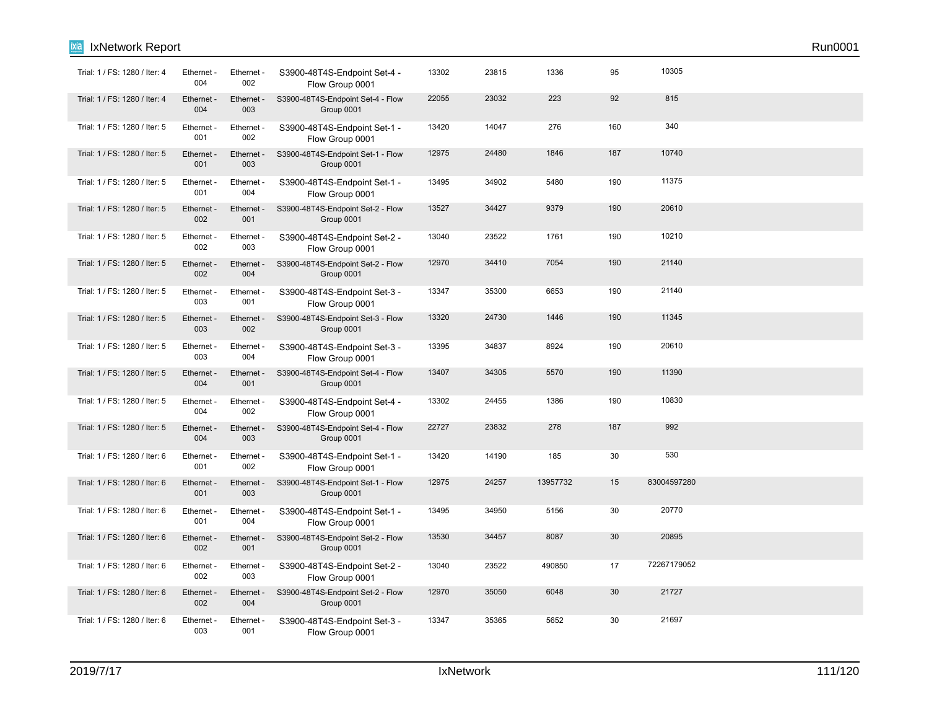| Trial: 1 / FS: 1280 / Iter: 4 | Ethernet -<br>004 | Ethernet -<br>002 | S3900-48T4S-Endpoint Set-4 -<br>Flow Group 0001 | 13302 | 23815 | 1336     | 95  | 10305       |  |
|-------------------------------|-------------------|-------------------|-------------------------------------------------|-------|-------|----------|-----|-------------|--|
| Trial: 1 / FS: 1280 / Iter: 4 | Ethernet -<br>004 | Ethernet -<br>003 | S3900-48T4S-Endpoint Set-4 - Flow<br>Group 0001 | 22055 | 23032 | 223      | 92  | 815         |  |
| Trial: 1 / FS: 1280 / Iter: 5 | Ethernet -<br>001 | Ethernet -<br>002 | S3900-48T4S-Endpoint Set-1 -<br>Flow Group 0001 | 13420 | 14047 | 276      | 160 | 340         |  |
| Trial: 1 / FS: 1280 / Iter: 5 | Ethernet -<br>001 | Ethernet -<br>003 | S3900-48T4S-Endpoint Set-1 - Flow<br>Group 0001 | 12975 | 24480 | 1846     | 187 | 10740       |  |
| Trial: 1 / FS: 1280 / Iter: 5 | Ethernet -<br>001 | Ethernet -<br>004 | S3900-48T4S-Endpoint Set-1 -<br>Flow Group 0001 | 13495 | 34902 | 5480     | 190 | 11375       |  |
| Trial: 1 / FS: 1280 / Iter: 5 | Ethernet -<br>002 | Ethernet -<br>001 | S3900-48T4S-Endpoint Set-2 - Flow<br>Group 0001 | 13527 | 34427 | 9379     | 190 | 20610       |  |
| Trial: 1 / FS: 1280 / Iter: 5 | Ethernet -<br>002 | Ethernet -<br>003 | S3900-48T4S-Endpoint Set-2 -<br>Flow Group 0001 | 13040 | 23522 | 1761     | 190 | 10210       |  |
| Trial: 1 / FS: 1280 / Iter: 5 | Ethernet -<br>002 | Ethernet -<br>004 | S3900-48T4S-Endpoint Set-2 - Flow<br>Group 0001 | 12970 | 34410 | 7054     | 190 | 21140       |  |
| Trial: 1 / FS: 1280 / Iter: 5 | Ethernet -<br>003 | Ethernet -<br>001 | S3900-48T4S-Endpoint Set-3 -<br>Flow Group 0001 | 13347 | 35300 | 6653     | 190 | 21140       |  |
| Trial: 1 / FS: 1280 / Iter: 5 | Ethernet -<br>003 | Ethernet -<br>002 | S3900-48T4S-Endpoint Set-3 - Flow<br>Group 0001 | 13320 | 24730 | 1446     | 190 | 11345       |  |
| Trial: 1 / FS: 1280 / Iter: 5 | Ethernet -<br>003 | Ethernet -<br>004 | S3900-48T4S-Endpoint Set-3 -<br>Flow Group 0001 | 13395 | 34837 | 8924     | 190 | 20610       |  |
| Trial: 1 / FS: 1280 / Iter: 5 | Ethernet -<br>004 | Ethernet -<br>001 | S3900-48T4S-Endpoint Set-4 - Flow<br>Group 0001 | 13407 | 34305 | 5570     | 190 | 11390       |  |
| Trial: 1 / FS: 1280 / Iter: 5 | Ethernet -<br>004 | Ethernet -<br>002 | S3900-48T4S-Endpoint Set-4 -<br>Flow Group 0001 | 13302 | 24455 | 1386     | 190 | 10830       |  |
| Trial: 1 / FS: 1280 / Iter: 5 | Ethernet -<br>004 | Ethernet -<br>003 | S3900-48T4S-Endpoint Set-4 - Flow<br>Group 0001 | 22727 | 23832 | 278      | 187 | 992         |  |
| Trial: 1 / FS: 1280 / Iter: 6 | Ethernet -<br>001 | Ethernet -<br>002 | S3900-48T4S-Endpoint Set-1 -<br>Flow Group 0001 | 13420 | 14190 | 185      | 30  | 530         |  |
| Trial: 1 / FS: 1280 / Iter: 6 | Ethernet -<br>001 | Ethernet -<br>003 | S3900-48T4S-Endpoint Set-1 - Flow<br>Group 0001 | 12975 | 24257 | 13957732 | 15  | 83004597280 |  |
| Trial: 1 / FS: 1280 / Iter: 6 | Ethernet -<br>001 | Ethernet -<br>004 | S3900-48T4S-Endpoint Set-1 -<br>Flow Group 0001 | 13495 | 34950 | 5156     | 30  | 20770       |  |
| Trial: 1 / FS: 1280 / Iter: 6 | Ethernet -<br>002 | Ethernet -<br>001 | S3900-48T4S-Endpoint Set-2 - Flow<br>Group 0001 | 13530 | 34457 | 8087     | 30  | 20895       |  |
| Trial: 1 / FS: 1280 / Iter: 6 | Ethernet -<br>002 | Ethernet -<br>003 | S3900-48T4S-Endpoint Set-2 -<br>Flow Group 0001 | 13040 | 23522 | 490850   | 17  | 72267179052 |  |
| Trial: 1 / FS: 1280 / Iter: 6 | Ethernet -<br>002 | Ethernet -<br>004 | S3900-48T4S-Endpoint Set-2 - Flow<br>Group 0001 | 12970 | 35050 | 6048     | 30  | 21727       |  |
| Trial: 1 / FS: 1280 / Iter: 6 | Ethernet -<br>003 | Ethernet -<br>001 | S3900-48T4S-Endpoint Set-3 -<br>Flow Group 0001 | 13347 | 35365 | 5652     | 30  | 21697       |  |

**Ixia** IxNetwork Report Run0001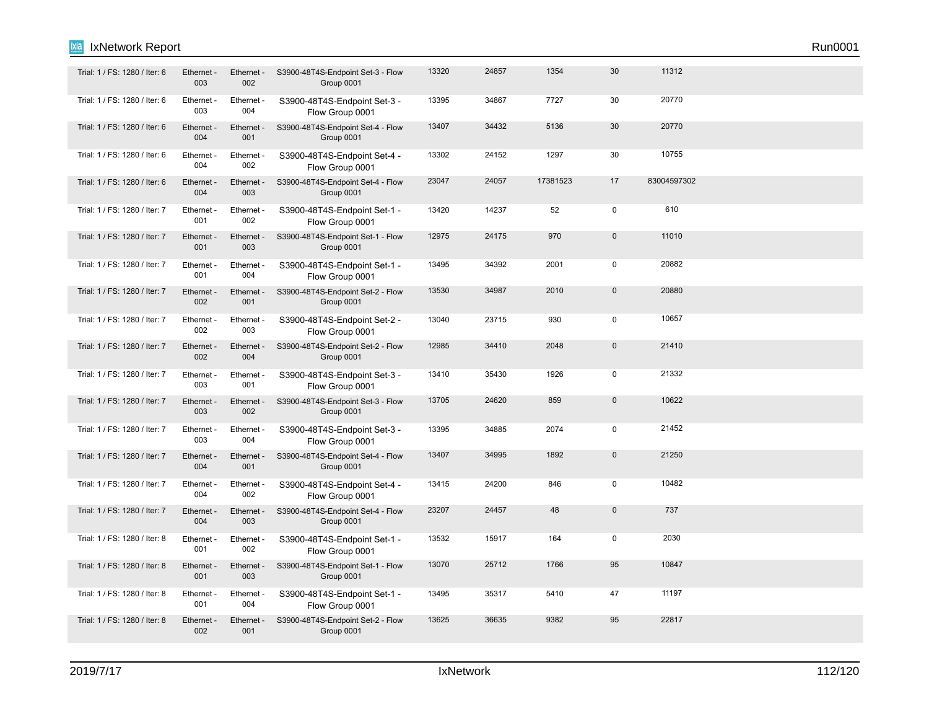# IxNetwork Report Run0001

ixia

| Trial: 1 / FS: 1280 / Iter: 6 | Ethernet -<br>003 | Ethernet -<br>002 | S3900-48T4S-Endpoint Set-3 - Flow<br>Group 0001 | 13320 | 24857 | 1354     | 30           | 11312       |  |  |
|-------------------------------|-------------------|-------------------|-------------------------------------------------|-------|-------|----------|--------------|-------------|--|--|
| Trial: 1 / FS: 1280 / Iter: 6 | Ethernet -<br>003 | Ethernet -<br>004 | S3900-48T4S-Endpoint Set-3 -<br>Flow Group 0001 | 13395 | 34867 | 7727     | 30           | 20770       |  |  |
| Trial: 1 / FS: 1280 / Iter: 6 | Ethernet -<br>004 | Ethernet -<br>001 | S3900-48T4S-Endpoint Set-4 - Flow<br>Group 0001 | 13407 | 34432 | 5136     | 30           | 20770       |  |  |
| Trial: 1 / FS: 1280 / Iter: 6 | Ethernet -<br>004 | Ethernet -<br>002 | S3900-48T4S-Endpoint Set-4 -<br>Flow Group 0001 | 13302 | 24152 | 1297     | 30           | 10755       |  |  |
| Trial: 1 / FS: 1280 / Iter: 6 | Ethernet -<br>004 | Ethernet -<br>003 | S3900-48T4S-Endpoint Set-4 - Flow<br>Group 0001 | 23047 | 24057 | 17381523 | 17           | 83004597302 |  |  |
| Trial: 1 / FS: 1280 / Iter: 7 | Ethernet -<br>001 | Ethernet -<br>002 | S3900-48T4S-Endpoint Set-1 -<br>Flow Group 0001 | 13420 | 14237 | 52       | $\mathbf 0$  | 610         |  |  |
| Trial: 1 / FS: 1280 / Iter: 7 | Ethernet -<br>001 | Ethernet<br>003   | S3900-48T4S-Endpoint Set-1 - Flow<br>Group 0001 | 12975 | 24175 | 970      | $\pmb{0}$    | 11010       |  |  |
| Trial: 1 / FS: 1280 / Iter: 7 | Ethernet -<br>001 | Ethernet -<br>004 | S3900-48T4S-Endpoint Set-1 -<br>Flow Group 0001 | 13495 | 34392 | 2001     | $\pmb{0}$    | 20882       |  |  |
| Trial: 1 / FS: 1280 / Iter: 7 | Ethernet -<br>002 | Ethernet -<br>001 | S3900-48T4S-Endpoint Set-2 - Flow<br>Group 0001 | 13530 | 34987 | 2010     | $\mathbf{0}$ | 20880       |  |  |
| Trial: 1 / FS: 1280 / Iter: 7 | Ethernet -<br>002 | Ethernet -<br>003 | S3900-48T4S-Endpoint Set-2 -<br>Flow Group 0001 | 13040 | 23715 | 930      | $\mathsf 0$  | 10657       |  |  |
| Trial: 1 / FS: 1280 / Iter: 7 | Ethernet -<br>002 | Ethernet -<br>004 | S3900-48T4S-Endpoint Set-2 - Flow<br>Group 0001 | 12985 | 34410 | 2048     | $\pmb{0}$    | 21410       |  |  |
| Trial: 1 / FS: 1280 / Iter: 7 | Ethernet -<br>003 | Ethernet -<br>001 | S3900-48T4S-Endpoint Set-3 -<br>Flow Group 0001 | 13410 | 35430 | 1926     | 0            | 21332       |  |  |
| Trial: 1 / FS: 1280 / Iter: 7 | Ethernet -<br>003 | Ethernet -<br>002 | S3900-48T4S-Endpoint Set-3 - Flow<br>Group 0001 | 13705 | 24620 | 859      | $\pmb{0}$    | 10622       |  |  |
| Trial: 1 / FS: 1280 / Iter: 7 | Ethernet -<br>003 | Ethernet -<br>004 | S3900-48T4S-Endpoint Set-3 -<br>Flow Group 0001 | 13395 | 34885 | 2074     | $\mathbf 0$  | 21452       |  |  |
| Trial: 1 / FS: 1280 / Iter: 7 | Ethernet -<br>004 | Ethernet -<br>001 | S3900-48T4S-Endpoint Set-4 - Flow<br>Group 0001 | 13407 | 34995 | 1892     | $\mathbf{0}$ | 21250       |  |  |
| Trial: 1 / FS: 1280 / Iter: 7 | Ethernet -<br>004 | Ethernet -<br>002 | S3900-48T4S-Endpoint Set-4 -<br>Flow Group 0001 | 13415 | 24200 | 846      | $\mathbf 0$  | 10482       |  |  |
| Trial: 1 / FS: 1280 / Iter: 7 | Ethernet -<br>004 | Ethernet -<br>003 | S3900-48T4S-Endpoint Set-4 - Flow<br>Group 0001 | 23207 | 24457 | 48       | $\mathbf{0}$ | 737         |  |  |
| Trial: 1 / FS: 1280 / Iter: 8 | Ethernet -<br>001 | Ethernet -<br>002 | S3900-48T4S-Endpoint Set-1 -<br>Flow Group 0001 | 13532 | 15917 | 164      | $\pmb{0}$    | 2030        |  |  |
| Trial: 1 / FS: 1280 / Iter: 8 | Ethernet -<br>001 | Ethernet -<br>003 | S3900-48T4S-Endpoint Set-1 - Flow<br>Group 0001 | 13070 | 25712 | 1766     | 95           | 10847       |  |  |
| Trial: 1 / FS: 1280 / Iter: 8 | Ethernet -<br>001 | Ethernet -<br>004 | S3900-48T4S-Endpoint Set-1 -<br>Flow Group 0001 | 13495 | 35317 | 5410     | 47           | 11197       |  |  |
| Trial: 1 / FS: 1280 / Iter: 8 | Ethernet -<br>002 | Ethernet -<br>001 | S3900-48T4S-Endpoint Set-2 - Flow<br>Group 0001 | 13625 | 36635 | 9382     | 95           | 22817       |  |  |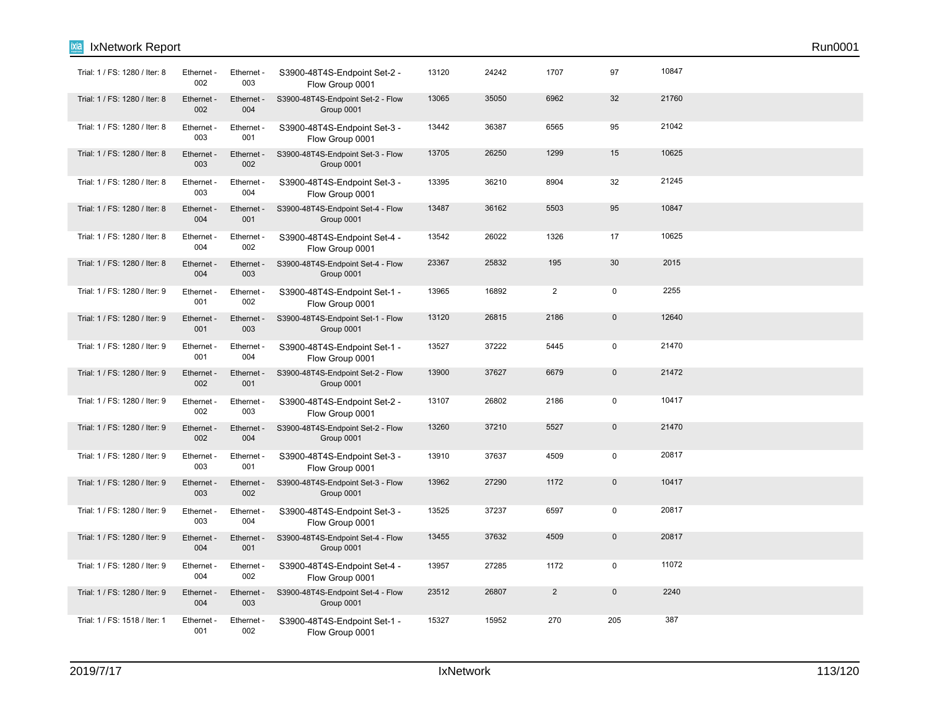| ixia<br>IxNetwork Report      |                   |                   |                                                 |       |       |                |              |       | Run0001 |  |
|-------------------------------|-------------------|-------------------|-------------------------------------------------|-------|-------|----------------|--------------|-------|---------|--|
| Trial: 1 / FS: 1280 / Iter: 8 | Ethernet -<br>002 | Ethernet -<br>003 | S3900-48T4S-Endpoint Set-2 -<br>Flow Group 0001 | 13120 | 24242 | 1707           | 97           | 10847 |         |  |
| Trial: 1 / FS: 1280 / Iter: 8 | Ethernet -<br>002 | Ethernet -<br>004 | S3900-48T4S-Endpoint Set-2 - Flow<br>Group 0001 | 13065 | 35050 | 6962           | 32           | 21760 |         |  |
| Trial: 1 / FS: 1280 / Iter: 8 | Ethernet -<br>003 | Ethernet -<br>001 | S3900-48T4S-Endpoint Set-3 -<br>Flow Group 0001 | 13442 | 36387 | 6565           | 95           | 21042 |         |  |
| Trial: 1 / FS: 1280 / Iter: 8 | Ethernet -<br>003 | Ethernet -<br>002 | S3900-48T4S-Endpoint Set-3 - Flow<br>Group 0001 | 13705 | 26250 | 1299           | 15           | 10625 |         |  |
| Trial: 1 / FS: 1280 / Iter: 8 | Ethernet -<br>003 | Ethernet -<br>004 | S3900-48T4S-Endpoint Set-3 -<br>Flow Group 0001 | 13395 | 36210 | 8904           | 32           | 21245 |         |  |
| Trial: 1 / FS: 1280 / Iter: 8 | Ethernet -<br>004 | Ethernet -<br>001 | S3900-48T4S-Endpoint Set-4 - Flow<br>Group 0001 | 13487 | 36162 | 5503           | 95           | 10847 |         |  |
| Trial: 1 / FS: 1280 / Iter: 8 | Ethernet -<br>004 | Ethernet -<br>002 | S3900-48T4S-Endpoint Set-4 -<br>Flow Group 0001 | 13542 | 26022 | 1326           | 17           | 10625 |         |  |
| Trial: 1 / FS: 1280 / Iter: 8 | Ethernet -<br>004 | Ethernet -<br>003 | S3900-48T4S-Endpoint Set-4 - Flow<br>Group 0001 | 23367 | 25832 | 195            | 30           | 2015  |         |  |
| Trial: 1 / FS: 1280 / Iter: 9 | Ethernet -<br>001 | Ethernet -<br>002 | S3900-48T4S-Endpoint Set-1 -<br>Flow Group 0001 | 13965 | 16892 | $\overline{2}$ | $\mathbf 0$  | 2255  |         |  |
| Trial: 1 / FS: 1280 / Iter: 9 | Ethernet -<br>001 | Ethernet -<br>003 | S3900-48T4S-Endpoint Set-1 - Flow<br>Group 0001 | 13120 | 26815 | 2186           | $\pmb{0}$    | 12640 |         |  |
| Trial: 1 / FS: 1280 / Iter: 9 | Ethernet -<br>001 | Ethernet -<br>004 | S3900-48T4S-Endpoint Set-1 -<br>Flow Group 0001 | 13527 | 37222 | 5445           | $\pmb{0}$    | 21470 |         |  |
| Trial: 1 / FS: 1280 / Iter: 9 | Ethernet -<br>002 | Ethernet -<br>001 | S3900-48T4S-Endpoint Set-2 - Flow<br>Group 0001 | 13900 | 37627 | 6679           | $\pmb{0}$    | 21472 |         |  |
| Trial: 1 / FS: 1280 / Iter: 9 | Ethernet -<br>002 | Ethernet -<br>003 | S3900-48T4S-Endpoint Set-2 -<br>Flow Group 0001 | 13107 | 26802 | 2186           | $\mathbf 0$  | 10417 |         |  |
| Trial: 1 / FS: 1280 / Iter: 9 | Ethernet -<br>002 | Ethernet -<br>004 | S3900-48T4S-Endpoint Set-2 - Flow<br>Group 0001 | 13260 | 37210 | 5527           | $\pmb{0}$    | 21470 |         |  |
| Trial: 1 / FS: 1280 / Iter: 9 | Ethernet -<br>003 | Ethernet -<br>001 | S3900-48T4S-Endpoint Set-3 -<br>Flow Group 0001 | 13910 | 37637 | 4509           | $\pmb{0}$    | 20817 |         |  |
| Trial: 1 / FS: 1280 / Iter: 9 | Ethernet -<br>003 | Ethernet -<br>002 | S3900-48T4S-Endpoint Set-3 - Flow<br>Group 0001 | 13962 | 27290 | 1172           | $\mathbf{0}$ | 10417 |         |  |
| Trial: 1 / FS: 1280 / Iter: 9 | Ethernet -<br>003 | Ethernet -<br>004 | S3900-48T4S-Endpoint Set-3 -<br>Flow Group 0001 | 13525 | 37237 | 6597           | $\mathbf 0$  | 20817 |         |  |
| Trial: 1 / FS: 1280 / Iter: 9 | Ethernet -<br>004 | Ethernet -<br>001 | S3900-48T4S-Endpoint Set-4 - Flow<br>Group 0001 | 13455 | 37632 | 4509           | $\pmb{0}$    | 20817 |         |  |
| Trial: 1 / FS: 1280 / Iter: 9 | Ethernet -<br>004 | Ethernet -<br>002 | S3900-48T4S-Endpoint Set-4 -<br>Flow Group 0001 | 13957 | 27285 | 1172           | $\mathbf 0$  | 11072 |         |  |
| Trial: 1 / FS: 1280 / Iter: 9 | Ethernet -<br>004 | Ethernet -<br>003 | S3900-48T4S-Endpoint Set-4 - Flow<br>Group 0001 | 23512 | 26807 | $\overline{2}$ | $\pmb{0}$    | 2240  |         |  |
| Trial: 1 / FS: 1518 / Iter: 1 | Ethernet -<br>001 | Ethernet -<br>002 | S3900-48T4S-Endpoint Set-1 -<br>Flow Group 0001 | 15327 | 15952 | 270            | 205          | 387   |         |  |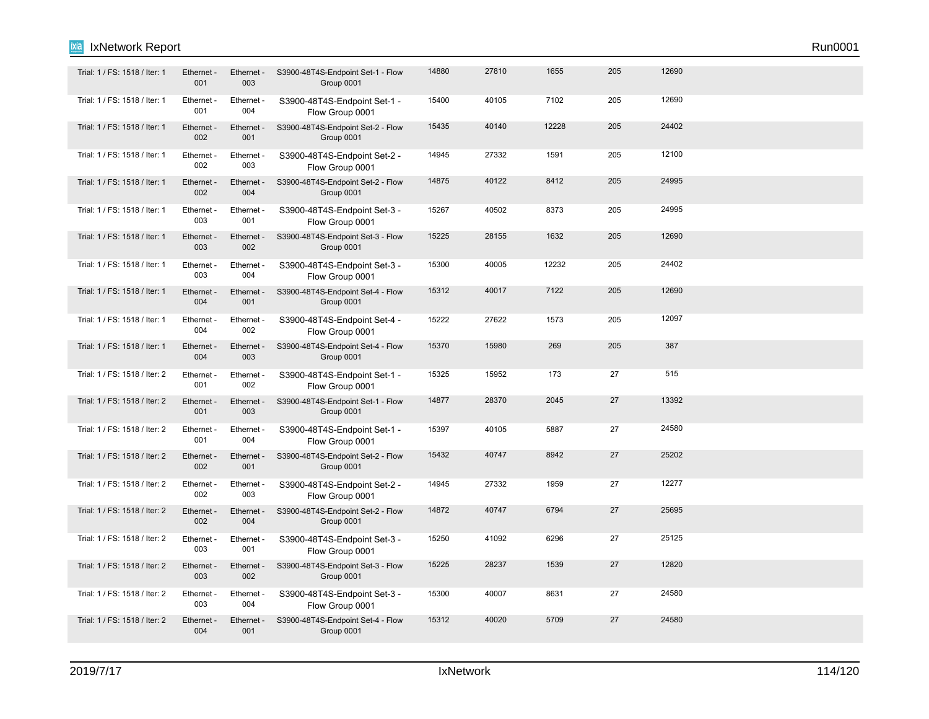## IxNetwork Report Run0001

| Trial: 1 / FS: 1518 / Iter: 1 | Ethernet -<br>001 | Ethernet -<br>003 | S3900-48T4S-Endpoint Set-1 - Flow<br>Group 0001 | 14880 | 27810 | 1655  | 205 | 12690 |  |
|-------------------------------|-------------------|-------------------|-------------------------------------------------|-------|-------|-------|-----|-------|--|
| Trial: 1 / FS: 1518 / Iter: 1 | Ethernet -<br>001 | Ethernet -<br>004 | S3900-48T4S-Endpoint Set-1 -<br>Flow Group 0001 | 15400 | 40105 | 7102  | 205 | 12690 |  |
| Trial: 1 / FS: 1518 / Iter: 1 | Ethernet -<br>002 | Ethernet -<br>001 | S3900-48T4S-Endpoint Set-2 - Flow<br>Group 0001 | 15435 | 40140 | 12228 | 205 | 24402 |  |
| Trial: 1 / FS: 1518 / Iter: 1 | Ethernet -<br>002 | Ethernet -<br>003 | S3900-48T4S-Endpoint Set-2 -<br>Flow Group 0001 | 14945 | 27332 | 1591  | 205 | 12100 |  |
| Trial: 1 / FS: 1518 / Iter: 1 | Ethernet -<br>002 | Ethernet -<br>004 | S3900-48T4S-Endpoint Set-2 - Flow<br>Group 0001 | 14875 | 40122 | 8412  | 205 | 24995 |  |
| Trial: 1 / FS: 1518 / Iter: 1 | Ethernet -<br>003 | Ethernet -<br>001 | S3900-48T4S-Endpoint Set-3 -<br>Flow Group 0001 | 15267 | 40502 | 8373  | 205 | 24995 |  |
| Trial: 1 / FS: 1518 / Iter: 1 | Ethernet -<br>003 | Ethernet -<br>002 | S3900-48T4S-Endpoint Set-3 - Flow<br>Group 0001 | 15225 | 28155 | 1632  | 205 | 12690 |  |
| Trial: 1 / FS: 1518 / Iter: 1 | Ethernet -<br>003 | Ethernet -<br>004 | S3900-48T4S-Endpoint Set-3 -<br>Flow Group 0001 | 15300 | 40005 | 12232 | 205 | 24402 |  |
| Trial: 1 / FS: 1518 / Iter: 1 | Ethernet -<br>004 | Ethernet -<br>001 | S3900-48T4S-Endpoint Set-4 - Flow<br>Group 0001 | 15312 | 40017 | 7122  | 205 | 12690 |  |
| Trial: 1 / FS: 1518 / Iter: 1 | Ethernet -<br>004 | Ethernet -<br>002 | S3900-48T4S-Endpoint Set-4 -<br>Flow Group 0001 | 15222 | 27622 | 1573  | 205 | 12097 |  |
| Trial: 1 / FS: 1518 / Iter: 1 | Ethernet -<br>004 | Ethernet -<br>003 | S3900-48T4S-Endpoint Set-4 - Flow<br>Group 0001 | 15370 | 15980 | 269   | 205 | 387   |  |
| Trial: 1 / FS: 1518 / Iter: 2 | Ethernet -<br>001 | Ethernet -<br>002 | S3900-48T4S-Endpoint Set-1 -<br>Flow Group 0001 | 15325 | 15952 | 173   | 27  | 515   |  |
| Trial: 1 / FS: 1518 / Iter: 2 | Ethernet -<br>001 | Ethernet -<br>003 | S3900-48T4S-Endpoint Set-1 - Flow<br>Group 0001 | 14877 | 28370 | 2045  | 27  | 13392 |  |
| Trial: 1 / FS: 1518 / Iter: 2 | Ethernet -<br>001 | Ethernet -<br>004 | S3900-48T4S-Endpoint Set-1 -<br>Flow Group 0001 | 15397 | 40105 | 5887  | 27  | 24580 |  |
| Trial: 1 / FS: 1518 / Iter: 2 | Ethernet -<br>002 | Ethernet -<br>001 | S3900-48T4S-Endpoint Set-2 - Flow<br>Group 0001 | 15432 | 40747 | 8942  | 27  | 25202 |  |
| Trial: 1 / FS: 1518 / Iter: 2 | Ethernet -<br>002 | Ethernet -<br>003 | S3900-48T4S-Endpoint Set-2 -<br>Flow Group 0001 | 14945 | 27332 | 1959  | 27  | 12277 |  |
| Trial: 1 / FS: 1518 / Iter: 2 | Ethernet -<br>002 | Ethernet -<br>004 | S3900-48T4S-Endpoint Set-2 - Flow<br>Group 0001 | 14872 | 40747 | 6794  | 27  | 25695 |  |
| Trial: 1 / FS: 1518 / Iter: 2 | Ethernet -<br>003 | Ethernet -<br>001 | S3900-48T4S-Endpoint Set-3 -<br>Flow Group 0001 | 15250 | 41092 | 6296  | 27  | 25125 |  |

Trial: 1 / FS: 1518 / Iter: 2 Ethernet - Ethernet - S3900-48T4S-Endpoint Set-3 - Flow 15225 28237 1539 27 12820

Trial: 1 / FS: 1518 / Iter: 2 Ethernet Ethernet S3900-48T4S-Endpoint Set-3 - 15300 40007 8631 27 24580

Trial: 1 / FS: 1518 / Iter: 2 Ethernet - Ethernet - S3900-48T4S-Endpoint Set-4 - Flow 15312 40020 5709 27 24580

Group 0001

Flow Group 0001

Group 0001

ixia

003

Ethernet - 003

Ethernet - 004

002

Ethernet - 004

Ethernet - 001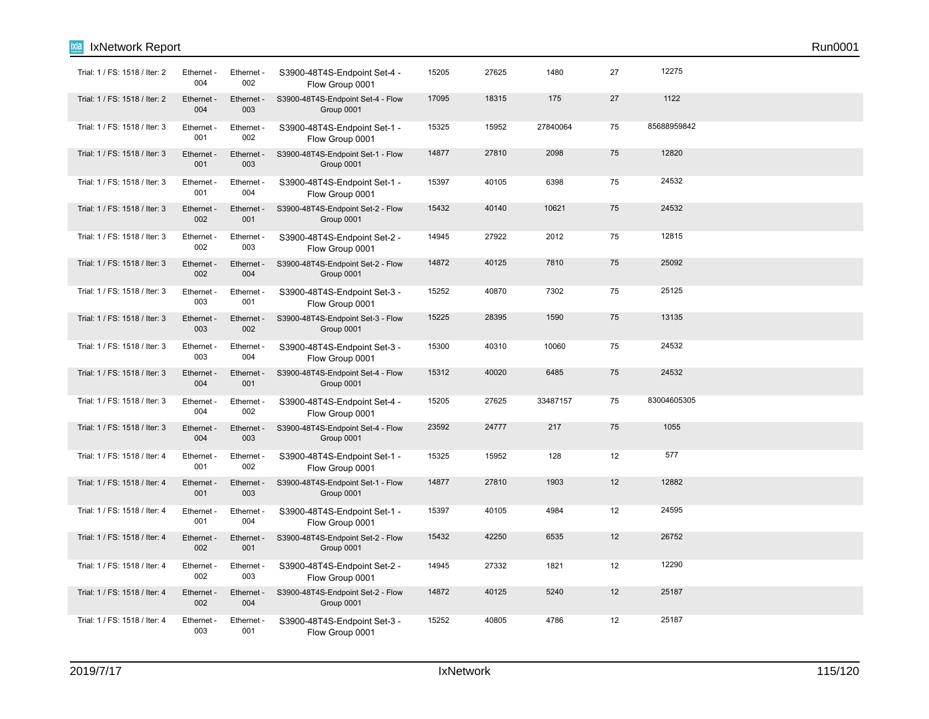| Trial: 1 / FS: 1518 / Iter: 2 | Ethernet -<br>004 | Ethernet -<br>002 | S3900-48T4S-Endpoint Set-4 -<br>Flow Group 0001 | 15205 | 27625 | 1480     | 27 | 12275       |  |
|-------------------------------|-------------------|-------------------|-------------------------------------------------|-------|-------|----------|----|-------------|--|
| Trial: 1 / FS: 1518 / Iter: 2 | Ethernet -<br>004 | Ethernet -<br>003 | S3900-48T4S-Endpoint Set-4 - Flow<br>Group 0001 | 17095 | 18315 | 175      | 27 | 1122        |  |
| Trial: 1 / FS: 1518 / Iter: 3 | Ethernet -<br>001 | Ethernet -<br>002 | S3900-48T4S-Endpoint Set-1 -<br>Flow Group 0001 | 15325 | 15952 | 27840064 | 75 | 85688959842 |  |
| Trial: 1 / FS: 1518 / Iter: 3 | Ethernet -<br>001 | Ethernet<br>003   | S3900-48T4S-Endpoint Set-1 - Flow<br>Group 0001 | 14877 | 27810 | 2098     | 75 | 12820       |  |
| Trial: 1 / FS: 1518 / Iter: 3 | Ethernet -<br>001 | Ethernet -<br>004 | S3900-48T4S-Endpoint Set-1 -<br>Flow Group 0001 | 15397 | 40105 | 6398     | 75 | 24532       |  |
| Trial: 1 / FS: 1518 / Iter: 3 | Ethernet -<br>002 | Ethernet -<br>001 | S3900-48T4S-Endpoint Set-2 - Flow<br>Group 0001 | 15432 | 40140 | 10621    | 75 | 24532       |  |
| Trial: 1 / FS: 1518 / Iter: 3 | Ethernet -<br>002 | Ethernet -<br>003 | S3900-48T4S-Endpoint Set-2 -<br>Flow Group 0001 | 14945 | 27922 | 2012     | 75 | 12815       |  |
| Trial: 1 / FS: 1518 / Iter: 3 | Ethernet -<br>002 | Ethernet<br>004   | S3900-48T4S-Endpoint Set-2 - Flow<br>Group 0001 | 14872 | 40125 | 7810     | 75 | 25092       |  |
| Trial: 1 / FS: 1518 / Iter: 3 | Ethernet -<br>003 | Ethernet -<br>001 | S3900-48T4S-Endpoint Set-3 -<br>Flow Group 0001 | 15252 | 40870 | 7302     | 75 | 25125       |  |
| Trial: 1 / FS: 1518 / Iter: 3 | Ethernet -<br>003 | Ethernet -<br>002 | S3900-48T4S-Endpoint Set-3 - Flow<br>Group 0001 | 15225 | 28395 | 1590     | 75 | 13135       |  |
| Trial: 1 / FS: 1518 / Iter: 3 | Ethernet -<br>003 | Ethernet -<br>004 | S3900-48T4S-Endpoint Set-3 -<br>Flow Group 0001 | 15300 | 40310 | 10060    | 75 | 24532       |  |
| Trial: 1 / FS: 1518 / Iter: 3 | Ethernet -<br>004 | Ethernet -<br>001 | S3900-48T4S-Endpoint Set-4 - Flow<br>Group 0001 | 15312 | 40020 | 6485     | 75 | 24532       |  |
| Trial: 1 / FS: 1518 / Iter: 3 | Ethernet -<br>004 | Ethernet -<br>002 | S3900-48T4S-Endpoint Set-4 -<br>Flow Group 0001 | 15205 | 27625 | 33487157 | 75 | 83004605305 |  |
| Trial: 1 / FS: 1518 / Iter: 3 | Ethernet -<br>004 | Ethernet -<br>003 | S3900-48T4S-Endpoint Set-4 - Flow<br>Group 0001 | 23592 | 24777 | 217      | 75 | 1055        |  |
| Trial: 1 / FS: 1518 / Iter: 4 | Ethernet -<br>001 | Ethernet -<br>002 | S3900-48T4S-Endpoint Set-1 -<br>Flow Group 0001 | 15325 | 15952 | 128      | 12 | 577         |  |
| Trial: 1 / FS: 1518 / Iter: 4 | Ethernet -<br>001 | Ethernet -<br>003 | S3900-48T4S-Endpoint Set-1 - Flow<br>Group 0001 | 14877 | 27810 | 1903     | 12 | 12882       |  |
| Trial: 1 / FS: 1518 / Iter: 4 | Ethernet -<br>001 | Ethernet -<br>004 | S3900-48T4S-Endpoint Set-1 -<br>Flow Group 0001 | 15397 | 40105 | 4984     | 12 | 24595       |  |
| Trial: 1 / FS: 1518 / Iter: 4 | Ethernet -<br>002 | Ethernet -<br>001 | S3900-48T4S-Endpoint Set-2 - Flow<br>Group 0001 | 15432 | 42250 | 6535     | 12 | 26752       |  |
| Trial: 1 / FS: 1518 / Iter: 4 | Ethernet -<br>002 | Ethernet -<br>003 | S3900-48T4S-Endpoint Set-2 -<br>Flow Group 0001 | 14945 | 27332 | 1821     | 12 | 12290       |  |
| Trial: 1 / FS: 1518 / Iter: 4 | Ethernet -<br>002 | Ethernet -<br>004 | S3900-48T4S-Endpoint Set-2 - Flow<br>Group 0001 | 14872 | 40125 | 5240     | 12 | 25187       |  |
| Trial: 1 / FS: 1518 / Iter: 4 | Ethernet -<br>003 | Ethernet -<br>001 | S3900-48T4S-Endpoint Set-3 -<br>Flow Group 0001 | 15252 | 40805 | 4786     | 12 | 25187       |  |

IxNetwork Report Run0001

ixia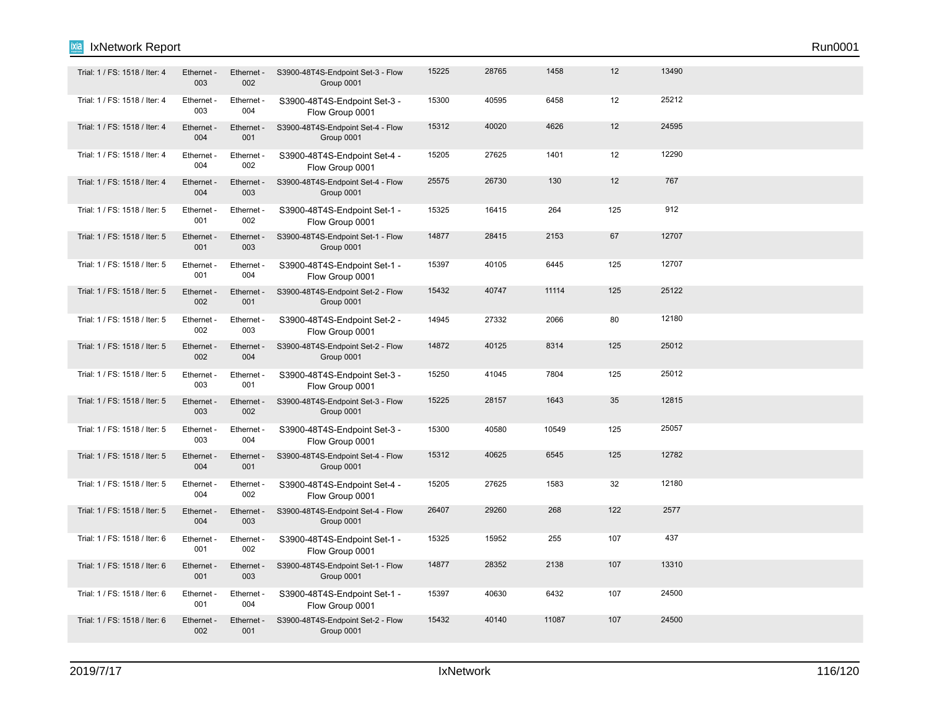### Ethernet - 003 Ethernet - 004 Trial: 1 / FS: 1518 / Iter: 4 Ethernet Ethernet - S3900-48T4S-Endpoint Set-3 - 15300 40595 6458 12 25212 Flow Group 0001 Ethernet - 004 Ethernet 001 Trial: 1 / FS: 1518 / Iter: 4 Ethernet - Ethernet - S3900-48T4S-Endpoint Set-4 - Flow 15312 40020 4626 12 24595 Group 0001 Ethernet - 004 Ethernet 002 Trial: 1 / FS: 1518 / Iter: 4 Ethernet - Ethernet - S3900-48T4S-Endpoint Set-4 - 15205 27625 1401 12 12290 Flow Group 0001 Ethernet - 004 Ethernet - 003 Trial: 1 / FS: 1518 / Iter: 4 Ethernet - Ethernet - S3900-48T4S-Endpoint Set-4 - Flow 25575 26730 130 130 12 767 Group 0001 Ethernet - 001 Ethernet - 002 Trial: 1 / FS: 1518 / Iter: 5 Ethernet - Ethernet - S3900-48T4S-Endpoint Set-1 - 15325 16415 264 125 912 Flow Group 0001 Ethernet - 001 Ethernet - 003 Trial: 1 / FS: 1518 / Iter: 5 Ethernet - Ethernet - S3900-48T4S-Endpoint Set-1 - Flow 14877 28415 2153 67 12707 Group 0001 Ethernet -  $0<sub>01</sub>$ **Ethernet** 004 Trial: 1 / FS: 1518 / Iter: 5 Ethernet - Ethernet - S3900-48T4S-Endpoint Set-1 - 15397 40105 6445 125 12707 Flow Group 0001 Ethernet - 002 Ethernet - 001 Trial: 1 / FS: 1518 / Iter: 5 Ethernet - Ethernet - S3900-48T4S-Endpoint Set-2 - Flow 15432 40747 11114 1114 125 25122 Group 0001 Ethernet - 002 **Ethernet** 003 Trial: 1 / FS: 1518 / Iter: 5 Ethernet - Ethernet - S3900-48T4S-Endpoint Set-2 - 14945 27332 2066 80 12180 Flow Group 0001 Ethernet - 002 Ethernet - 004 Trial: 1 / FS: 1518 / Iter: 5 Ethernet - Ethernet - S3900-48T4S-Endpoint Set-2 - Flow 14872 40125 8314 125 25012 Group 0001 Ethernet - 003 Ethernet 001 Trial: 1 / FS: 1518 / Iter: 5 Ethernet Ethernet S3900-48T4S-Endpoint Set-3 - 15250 41045 7804 125 25012 Flow Group 0001 Ethernet - 003 **Ethernet** 002 Trial: 1 / FS: 1518 / Iter: 5 Ethernet - Ethernet - S3900-48T4S-Endpoint Set-3 - Flow 15225 28157 1643 35 12815 Group 0001 Ethernet - 003 **Ethernet** 004 Trial: 1 / FS: 1518 / Iter: 5 Ethernet - Ethernet - S3900-48T4S-Endpoint Set-3 - 15300 40580 10549 125 25057 Flow Group 0001 Ethernet - 004 **Ethernet** 001 Trial: 1 / FS: 1518 / Iter: 5 Ethernet - Ethernet - S3900-48T4S-Endpoint Set-4 - Flow 15312 40625 6545 125 12782 Group 0001 Ethernet - 004 Ethernet 002 Trial: 1 / FS: 1518 / Iter: 5 Ethernet - Ethernet - S3900-48T4S-Endpoint Set-4 - 15205 27625 1583 32 12180 Flow Group 0001 Ethernet - 004 **Ethernet** 003 Trial: 1 / FS: 1518 / Iter: 5 Ethernet - Ethernet - S3900-48T4S-Endpoint Set-4 - Flow 26407 29260 268 122 2577 Group 0001 Ethernet - 001 Ethernet 002 Trial: 1 / FS: 1518 / Iter: 6 Ethernet - Ethernet - S3900-48T4S-Endpoint Set-1 - 15325 15952 255 107 437 Flow Group 0001 Ethernet - 001 **Ethernet** 003 Trial: 1 / FS: 1518 / Iter: 6 Ethernet - Ethernet - S3900-48T4S-Endpoint Set-1 - Flow 14877 28352 2138 107 13310 Group 0001

Trial: 1 / FS: 1518 / Iter: 6 Ethernet - Ethernet - S3900-48T4S-Endpoint Set-1 - 15397 40630 6432 107 24500

Trial: 1 / FS: 1518 / Iter: 6 Ethernet - Ethernet - S3900-48T4S-Endpoint Set-2 - Flow 15432 40140 11087 107 24500

Flow Group 0001

Group 0001

Ethernet - 003

Ethernet - 001

Ethernet - 002

Ethernet  $004$ 

Ethernet 001

Ethernet - 002

Trial: 1 / FS: 1518 / Iter: 4 Ethernet - Ethernet - S3900-48T4S-Endpoint Set-3 - Flow 15225 28765 1458 13490 12

Group 0001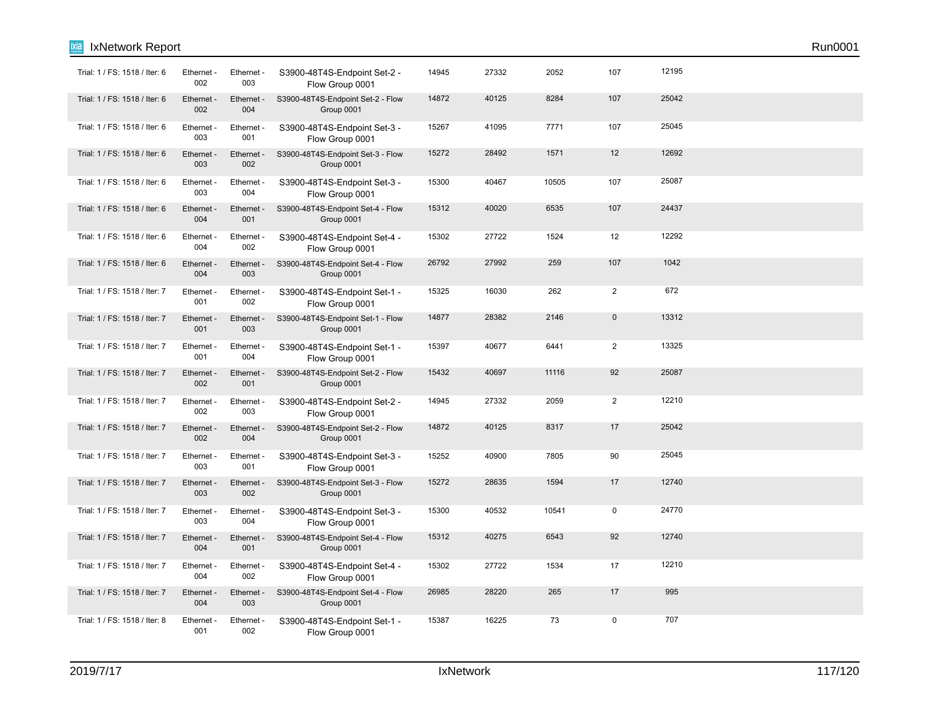| Trial: 1 / FS: 1518 / Iter: 6 | Ethernet -<br>002 | Ethernet -<br>003 | S3900-48T4S-Endpoint Set-2 -<br>Flow Group 0001 | 14945 | 27332 | 2052  | 107            | 12195 |  |
|-------------------------------|-------------------|-------------------|-------------------------------------------------|-------|-------|-------|----------------|-------|--|
| Trial: 1 / FS: 1518 / Iter: 6 | Ethernet -<br>002 | Ethernet -<br>004 | S3900-48T4S-Endpoint Set-2 - Flow<br>Group 0001 | 14872 | 40125 | 8284  | 107            | 25042 |  |
| Trial: 1 / FS: 1518 / Iter: 6 | Ethernet -<br>003 | Ethernet -<br>001 | S3900-48T4S-Endpoint Set-3 -<br>Flow Group 0001 | 15267 | 41095 | 7771  | 107            | 25045 |  |
| Trial: 1 / FS: 1518 / Iter: 6 | Ethernet -<br>003 | Ethernet -<br>002 | S3900-48T4S-Endpoint Set-3 - Flow<br>Group 0001 | 15272 | 28492 | 1571  | 12             | 12692 |  |
| Trial: 1 / FS: 1518 / Iter: 6 | Ethernet -<br>003 | Ethernet -<br>004 | S3900-48T4S-Endpoint Set-3 -<br>Flow Group 0001 | 15300 | 40467 | 10505 | 107            | 25087 |  |
| Trial: 1 / FS: 1518 / Iter: 6 | Ethernet -<br>004 | Ethernet -<br>001 | S3900-48T4S-Endpoint Set-4 - Flow<br>Group 0001 | 15312 | 40020 | 6535  | 107            | 24437 |  |
| Trial: 1 / FS: 1518 / Iter: 6 | Ethernet -<br>004 | Ethernet -<br>002 | S3900-48T4S-Endpoint Set-4 -<br>Flow Group 0001 | 15302 | 27722 | 1524  | 12             | 12292 |  |
| Trial: 1 / FS: 1518 / Iter: 6 | Ethernet -<br>004 | Ethernet -<br>003 | S3900-48T4S-Endpoint Set-4 - Flow<br>Group 0001 | 26792 | 27992 | 259   | 107            | 1042  |  |
| Trial: 1 / FS: 1518 / Iter: 7 | Ethernet -<br>001 | Ethernet -<br>002 | S3900-48T4S-Endpoint Set-1 -<br>Flow Group 0001 | 15325 | 16030 | 262   | $\overline{2}$ | 672   |  |
| Trial: 1 / FS: 1518 / Iter: 7 | Ethernet -<br>001 | Ethernet -<br>003 | S3900-48T4S-Endpoint Set-1 - Flow<br>Group 0001 | 14877 | 28382 | 2146  | $\mathbf{0}$   | 13312 |  |
| Trial: 1 / FS: 1518 / Iter: 7 | Ethernet -<br>001 | Ethernet -<br>004 | S3900-48T4S-Endpoint Set-1 -<br>Flow Group 0001 | 15397 | 40677 | 6441  | 2              | 13325 |  |
| Trial: 1 / FS: 1518 / Iter: 7 | Ethernet -<br>002 | Ethernet -<br>001 | S3900-48T4S-Endpoint Set-2 - Flow<br>Group 0001 | 15432 | 40697 | 11116 | 92             | 25087 |  |
| Trial: 1 / FS: 1518 / Iter: 7 | Ethernet -<br>002 | Ethernet -<br>003 | S3900-48T4S-Endpoint Set-2 -<br>Flow Group 0001 | 14945 | 27332 | 2059  | 2              | 12210 |  |
| Trial: 1 / FS: 1518 / Iter: 7 | Ethernet -<br>002 | Ethernet -<br>004 | S3900-48T4S-Endpoint Set-2 - Flow<br>Group 0001 | 14872 | 40125 | 8317  | 17             | 25042 |  |
| Trial: 1 / FS: 1518 / Iter: 7 | Ethernet -<br>003 | Ethernet -<br>001 | S3900-48T4S-Endpoint Set-3 -<br>Flow Group 0001 | 15252 | 40900 | 7805  | 90             | 25045 |  |
| Trial: 1 / FS: 1518 / Iter: 7 | Ethernet -<br>003 | Ethernet -<br>002 | S3900-48T4S-Endpoint Set-3 - Flow<br>Group 0001 | 15272 | 28635 | 1594  | 17             | 12740 |  |
| Trial: 1 / FS: 1518 / Iter: 7 | Ethernet -<br>003 | Ethernet -<br>004 | S3900-48T4S-Endpoint Set-3 -<br>Flow Group 0001 | 15300 | 40532 | 10541 | $\mathsf 0$    | 24770 |  |
| Trial: 1 / FS: 1518 / Iter: 7 | Ethernet -<br>004 | Ethernet -<br>001 | S3900-48T4S-Endpoint Set-4 - Flow<br>Group 0001 | 15312 | 40275 | 6543  | 92             | 12740 |  |
| Trial: 1 / FS: 1518 / Iter: 7 | Ethernet -<br>004 | Ethernet -<br>002 | S3900-48T4S-Endpoint Set-4 -<br>Flow Group 0001 | 15302 | 27722 | 1534  | 17             | 12210 |  |
| Trial: 1 / FS: 1518 / Iter: 7 | Ethernet -<br>004 | Ethernet -<br>003 | S3900-48T4S-Endpoint Set-4 - Flow<br>Group 0001 | 26985 | 28220 | 265   | 17             | 995   |  |
| Trial: 1 / FS: 1518 / Iter: 8 | Ethernet -<br>001 | Ethernet -<br>002 | S3900-48T4S-Endpoint Set-1 -<br>Flow Group 0001 | 15387 | 16225 | 73    | $\mathbf 0$    | 707   |  |

**Ixia** IxNetwork Report Run0001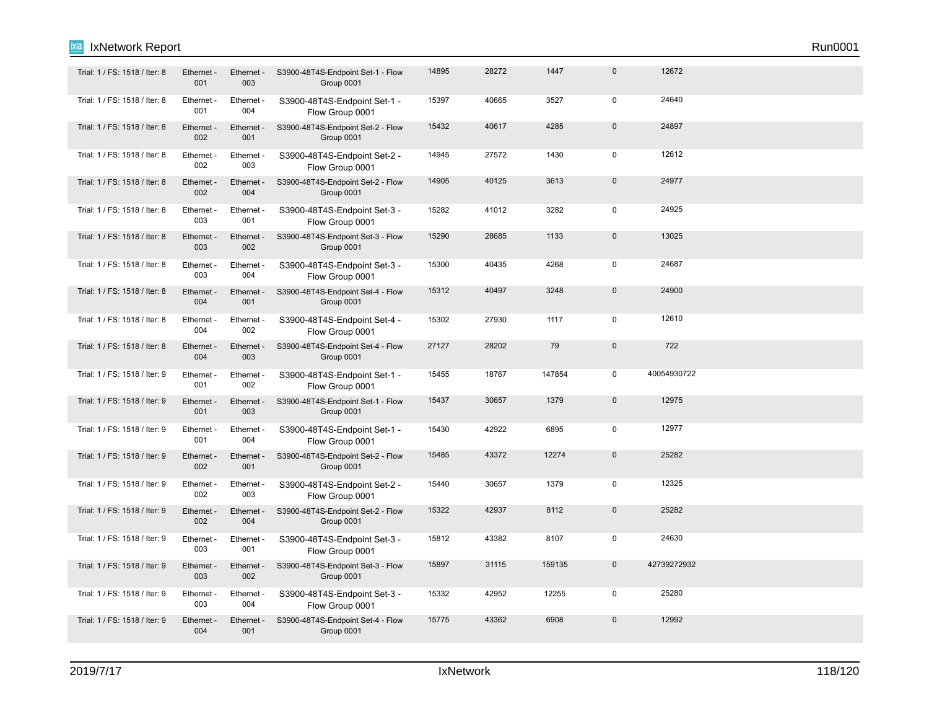| Trial: 1 / FS: 1518 / Iter: 8 | Ethernet -<br>001 | Ethernet -<br>003 | S3900-48T4S-Endpoint Set-1 - Flow<br>Group 0001 | 14895 | 28272 | 1447   | $\mathbf{0}$ | 12672       |  |
|-------------------------------|-------------------|-------------------|-------------------------------------------------|-------|-------|--------|--------------|-------------|--|
| Trial: 1 / FS: 1518 / Iter: 8 | Ethernet -<br>001 | Ethernet -<br>004 | S3900-48T4S-Endpoint Set-1 -<br>Flow Group 0001 | 15397 | 40665 | 3527   | 0            | 24640       |  |
| Trial: 1 / FS: 1518 / Iter: 8 | Ethernet -<br>002 | Ethernet -<br>001 | S3900-48T4S-Endpoint Set-2 - Flow<br>Group 0001 | 15432 | 40617 | 4285   | $\mathbf 0$  | 24897       |  |
| Trial: 1 / FS: 1518 / Iter: 8 | Ethernet -<br>002 | Ethernet -<br>003 | S3900-48T4S-Endpoint Set-2 -<br>Flow Group 0001 | 14945 | 27572 | 1430   | 0            | 12612       |  |
| Trial: 1 / FS: 1518 / Iter: 8 | Ethernet -<br>002 | Ethernet -<br>004 | S3900-48T4S-Endpoint Set-2 - Flow<br>Group 0001 | 14905 | 40125 | 3613   | $\mathbf{0}$ | 24977       |  |
| Trial: 1 / FS: 1518 / Iter: 8 | Ethernet -<br>003 | Ethernet -<br>001 | S3900-48T4S-Endpoint Set-3 -<br>Flow Group 0001 | 15282 | 41012 | 3282   | $\mathbf 0$  | 24925       |  |
| Trial: 1 / FS: 1518 / Iter: 8 | Ethernet -<br>003 | Ethernet -<br>002 | S3900-48T4S-Endpoint Set-3 - Flow<br>Group 0001 | 15290 | 28685 | 1133   | $\mathbf 0$  | 13025       |  |
| Trial: 1 / FS: 1518 / Iter: 8 | Ethernet -<br>003 | Ethernet -<br>004 | S3900-48T4S-Endpoint Set-3 -<br>Flow Group 0001 | 15300 | 40435 | 4268   | $\mathbf 0$  | 24687       |  |
| Trial: 1 / FS: 1518 / Iter: 8 | Ethernet -<br>004 | Ethernet -<br>001 | S3900-48T4S-Endpoint Set-4 - Flow<br>Group 0001 | 15312 | 40497 | 3248   | $\mathbf{0}$ | 24900       |  |
| Trial: 1 / FS: 1518 / Iter: 8 | Ethernet -<br>004 | Ethernet -<br>002 | S3900-48T4S-Endpoint Set-4 -<br>Flow Group 0001 | 15302 | 27930 | 1117   | $\mathbf 0$  | 12610       |  |
| Trial: 1 / FS: 1518 / Iter: 8 | Ethernet -<br>004 | Ethernet -<br>003 | S3900-48T4S-Endpoint Set-4 - Flow<br>Group 0001 | 27127 | 28202 | 79     | $\mathbf 0$  | 722         |  |
| Trial: 1 / FS: 1518 / Iter: 9 | Ethernet -<br>001 | Ethernet -<br>002 | S3900-48T4S-Endpoint Set-1 -<br>Flow Group 0001 | 15455 | 18767 | 147854 | $\Omega$     | 40054930722 |  |
| Trial: 1 / FS: 1518 / Iter: 9 | Ethernet -<br>001 | Ethernet -<br>003 | S3900-48T4S-Endpoint Set-1 - Flow<br>Group 0001 | 15437 | 30657 | 1379   | $\mathbf{0}$ | 12975       |  |
| Trial: 1 / FS: 1518 / Iter: 9 | Ethernet -<br>001 | Ethernet -<br>004 | S3900-48T4S-Endpoint Set-1 -<br>Flow Group 0001 | 15430 | 42922 | 6895   | $\mathbf 0$  | 12977       |  |
| Trial: 1 / FS: 1518 / Iter: 9 | Ethernet -<br>002 | Ethernet -<br>001 | S3900-48T4S-Endpoint Set-2 - Flow<br>Group 0001 | 15485 | 43372 | 12274  | $\mathbf{0}$ | 25282       |  |
| Trial: 1 / FS: 1518 / Iter: 9 | Ethernet -<br>002 | Ethernet -<br>003 | S3900-48T4S-Endpoint Set-2 -<br>Flow Group 0001 | 15440 | 30657 | 1379   | $\Omega$     | 12325       |  |
| Trial: 1 / FS: 1518 / Iter: 9 | Ethernet -<br>002 | Ethernet -<br>004 | S3900-48T4S-Endpoint Set-2 - Flow<br>Group 0001 | 15322 | 42937 | 8112   | $\mathbf{0}$ | 25282       |  |
| Trial: 1 / FS: 1518 / Iter: 9 | Ethernet -<br>003 | Ethernet -<br>001 | S3900-48T4S-Endpoint Set-3 -<br>Flow Group 0001 | 15812 | 43382 | 8107   | $\mathbf 0$  | 24630       |  |
| Trial: 1 / FS: 1518 / Iter: 9 | Ethernet -<br>003 | Ethernet -<br>002 | S3900-48T4S-Endpoint Set-3 - Flow<br>Group 0001 | 15897 | 31115 | 159135 | $\mathbf{0}$ | 42739272932 |  |

Trial: 1 / FS: 1518 / Iter: 9 Ethernet Ethernet S3900-48T4S-Endpoint Set-3 - 15332 42952 12255 0 25280

Trial: 1 / FS: 1518 / Iter: 9 Ethernet - Ethernet - S3900-48T4S-Endpoint Set-4 - Flow 15775 43362 6908 0 12992

Flow Group 0001

Group 0001

Ethernet - 003

Ethernet - 004

Ethernet - 004

Ethernet - 001